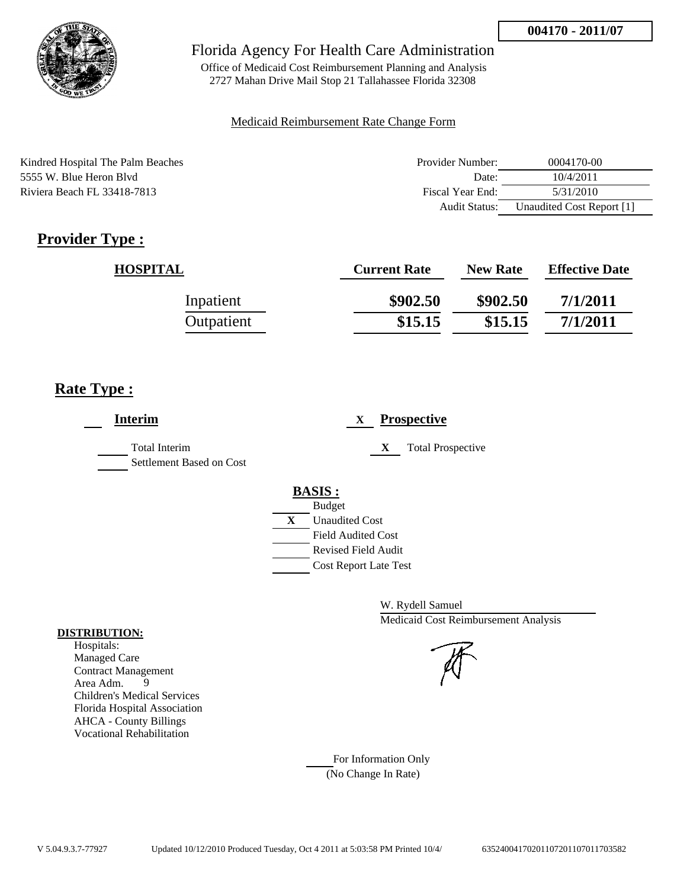

Office of Medicaid Cost Reimbursement Planning and Analysis 2727 Mahan Drive Mail Stop 21 Tallahassee Florida 32308

#### Medicaid Reimbursement Rate Change Form

| Kindred Hospital The Palm Beaches | Provider Number: | 0004170-00                |
|-----------------------------------|------------------|---------------------------|
| 5555 W. Blue Heron Blyd           | Date:            | 10/4/2011                 |
| Riviera Beach FL 33418-7813       | Fiscal Year End: | 5/31/2010                 |
|                                   | Audit Status:    | Unaudited Cost Report [1] |

# **Provider Type :**

| <b>HOSPITAL</b> | <b>Current Rate</b> | <b>New Rate</b> | <b>Effective Date</b> |
|-----------------|---------------------|-----------------|-----------------------|
| Inpatient       | \$902.50            | \$902.50        | 7/1/2011              |
| Outpatient      | \$15.15             | \$15.15         | 7/1/2011              |

## **Rate Type :**

| <b>Interim</b>                            | <b>Prospective</b><br>X                                                                                                                          |
|-------------------------------------------|--------------------------------------------------------------------------------------------------------------------------------------------------|
| Total Interim<br>Settlement Based on Cost | <b>Total Prospective</b><br>X                                                                                                                    |
|                                           | <b>BASIS:</b><br><b>Budget</b><br>X<br><b>Unaudited Cost</b><br><b>Field Audited Cost</b><br>Revised Field Audit<br><b>Cost Report Late Test</b> |

W. Rydell Samuel Medicaid Cost Reimbursement Analysis

For Information Only (No Change In Rate)

#### **DISTRIBUTION:**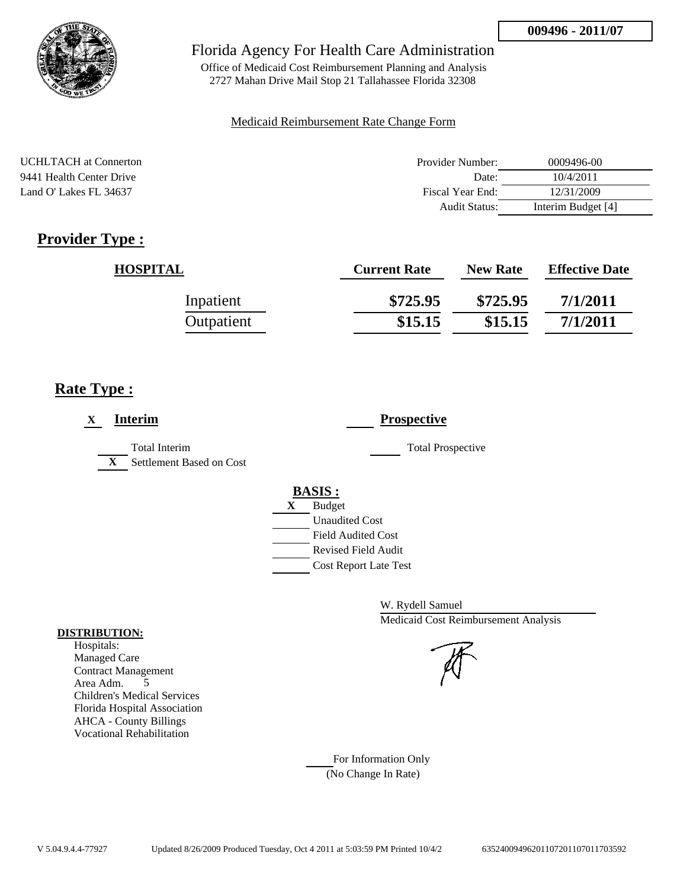

Office of Medicaid Cost Reimbursement Planning and Analysis 2727 Mahan Drive Mail Stop 21 Tallahassee Florida 32308

### Medicaid Reimbursement Rate Change Form

| <b>UCHLTACH</b> at Connerton | Provider Number: | 0009496-00         |
|------------------------------|------------------|--------------------|
| 9441 Health Center Drive     | Date:            | 10/4/2011          |
| Land O' Lakes FL 34637       | Fiscal Year End: | 12/31/2009         |
|                              | Audit Status:    | Interim Budget [4] |

# **Provider Type :**

| <b>HOSPITAL</b> | <b>Current Rate</b> | <b>New Rate</b> | <b>Effective Date</b> |
|-----------------|---------------------|-----------------|-----------------------|
| Inpatient       | \$725.95            | \$725.95        | 7/1/2011              |
| Outpatient      | \$15.15             | \$15.15         | 7/1/2011              |

## **Rate Type :**

| <b>Interim</b><br>$\mathbf X$                                    | <b>Prospective</b>           |
|------------------------------------------------------------------|------------------------------|
| <b>Total Interim</b><br>$\mathbf{X}$<br>Settlement Based on Cost | <b>Total Prospective</b>     |
|                                                                  | <b>BASIS:</b>                |
|                                                                  | <b>Budget</b><br>X           |
|                                                                  | <b>Unaudited Cost</b>        |
|                                                                  | <b>Field Audited Cost</b>    |
|                                                                  | <b>Revised Field Audit</b>   |
|                                                                  | <b>Cost Report Late Test</b> |

W. Rydell Samuel Medicaid Cost Reimbursement Analysis

For Information Only (No Change In Rate)

#### **DISTRIBUTION:**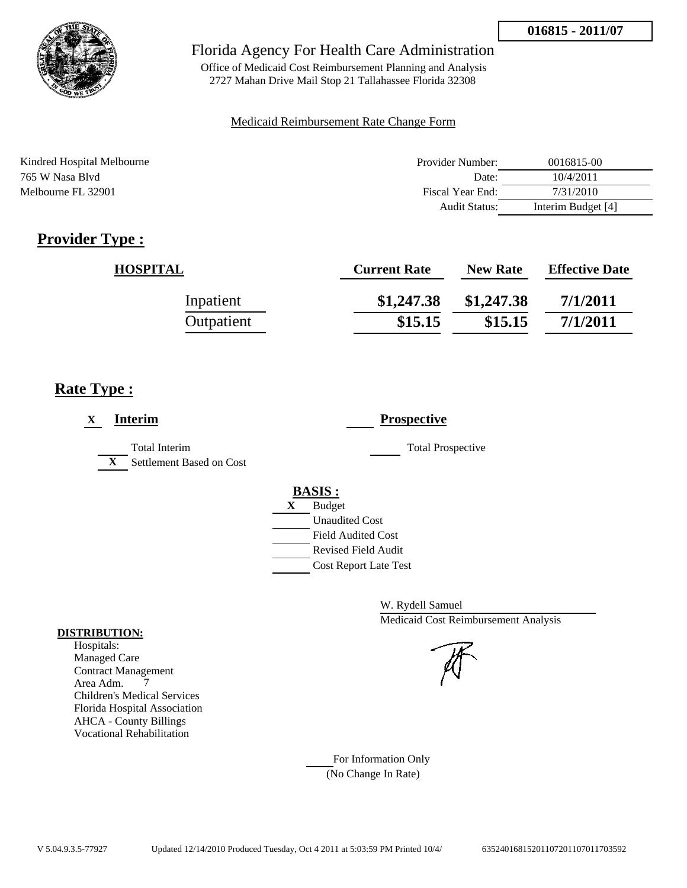

Office of Medicaid Cost Reimbursement Planning and Analysis 2727 Mahan Drive Mail Stop 21 Tallahassee Florida 32308

#### Medicaid Reimbursement Rate Change Form

| Kindred Hospital Melbourne | Provider Number: | 0016815-00         |
|----------------------------|------------------|--------------------|
| 765 W Nasa Blyd            | Date:            | 10/4/2011          |
| Melbourne FL 32901         | Fiscal Year End: | 7/31/2010          |
|                            | Audit Status:    | Interim Budget [4] |

# **Provider Type :**

| <b>HOSPITAL</b> | <b>Current Rate</b> | <b>New Rate</b> | <b>Effective Date</b> |
|-----------------|---------------------|-----------------|-----------------------|
| Inpatient       | \$1,247.38          | \$1,247.38      | 7/1/2011              |
| Outpatient      | \$15.15             | \$15.15         | 7/1/2011              |

## **Rate Type :**

| <b>Interim</b><br>$\mathbf X$                                    | <b>Prospective</b>                                                                                                                               |
|------------------------------------------------------------------|--------------------------------------------------------------------------------------------------------------------------------------------------|
| <b>Total Interim</b><br>$\mathbf{X}$<br>Settlement Based on Cost | <b>Total Prospective</b>                                                                                                                         |
|                                                                  | <b>BASIS:</b><br><b>Budget</b><br>X<br><b>Unaudited Cost</b><br><b>Field Audited Cost</b><br>Revised Field Audit<br><b>Cost Report Late Test</b> |

W. Rydell Samuel Medicaid Cost Reimbursement Analysis

For Information Only (No Change In Rate)

#### **DISTRIBUTION:**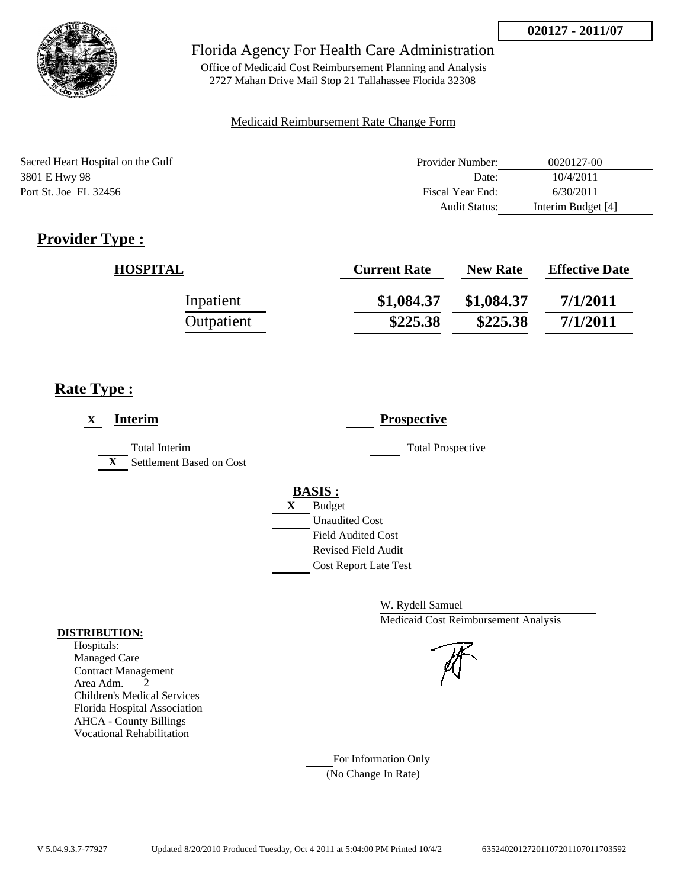

Office of Medicaid Cost Reimbursement Planning and Analysis 2727 Mahan Drive Mail Stop 21 Tallahassee Florida 32308

#### Medicaid Reimbursement Rate Change Form

| Sacred Heart Hospital on the Gulf | Provider Number: | 0020127-00         |
|-----------------------------------|------------------|--------------------|
| 3801 E Hwy 98                     | Date:            | 10/4/2011          |
| Port St. Joe FL 32456             | Fiscal Year End: | 6/30/2011          |
|                                   | Audit Status:    | Interim Budget [4] |

# **Provider Type :**

| <b>HOSPITAL</b> | <b>Current Rate</b> | <b>New Rate</b> | <b>Effective Date</b> |
|-----------------|---------------------|-----------------|-----------------------|
| Inpatient       | \$1,084.37          | \$1,084.37      | 7/1/2011              |
| Outpatient      | \$225.38            | \$225.38        | 7/1/2011              |

## **Rate Type :**

| <b>Interim</b><br>X                                              | <b>Prospective</b>                                                                                                                                      |
|------------------------------------------------------------------|---------------------------------------------------------------------------------------------------------------------------------------------------------|
| <b>Total Interim</b><br>Settlement Based on Cost<br>$\mathbf{X}$ | <b>Total Prospective</b>                                                                                                                                |
|                                                                  | <b>BASIS:</b><br><b>Budget</b><br>X<br><b>Unaudited Cost</b><br><b>Field Audited Cost</b><br><b>Revised Field Audit</b><br><b>Cost Report Late Test</b> |

W. Rydell Samuel Medicaid Cost Reimbursement Analysis

For Information Only (No Change In Rate)

#### **DISTRIBUTION:**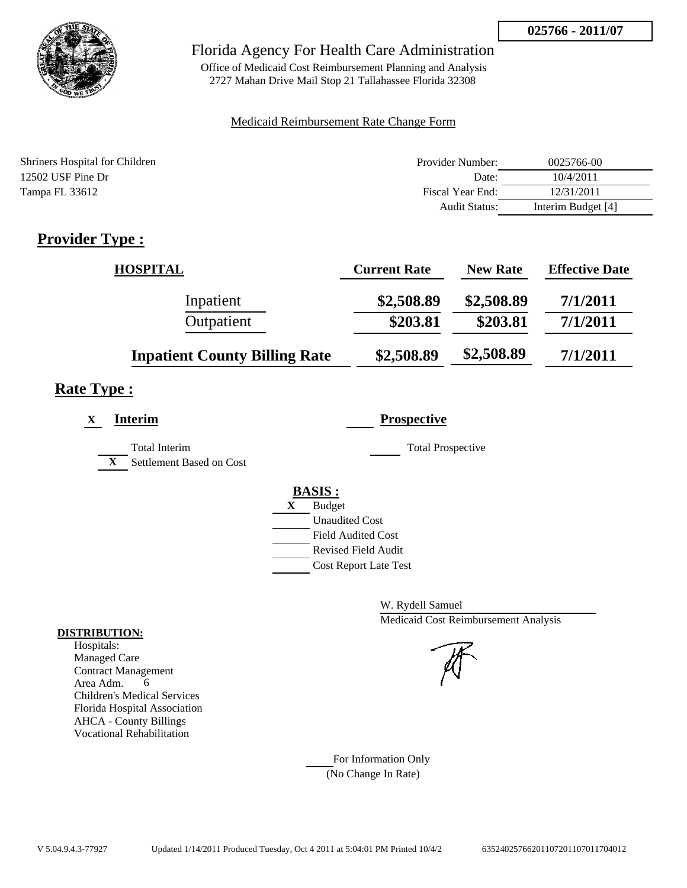

Office of Medicaid Cost Reimbursement Planning and Analysis 2727 Mahan Drive Mail Stop 21 Tallahassee Florida 32308

### Medicaid Reimbursement Rate Change Form

| Shriners Hospital for Children | Provider Number:     | 0025766-00         |
|--------------------------------|----------------------|--------------------|
| 12502 USF Pine Dr              | Date:                | 10/4/2011          |
| Tampa FL 33612                 | Fiscal Year End:     | 12/31/2011         |
|                                | <b>Audit Status:</b> | Interim Budget [4] |

# **Provider Type :**

| <b>HOSPITAL</b>                      | <b>Current Rate</b> | <b>New Rate</b> | <b>Effective Date</b> |
|--------------------------------------|---------------------|-----------------|-----------------------|
| Inpatient                            | \$2,508.89          | \$2,508.89      | 7/1/2011              |
| Outpatient                           | \$203.81            | \$203.81        | 7/1/2011              |
| <b>Inpatient County Billing Rate</b> | \$2,508.89          | \$2,508.89      | 7/1/2011              |

# **Rate Type :**

| <b>Interim</b><br>X                                              | <b>Prospective</b>                                                                                                                                      |
|------------------------------------------------------------------|---------------------------------------------------------------------------------------------------------------------------------------------------------|
| <b>Total Interim</b><br>Settlement Based on Cost<br>$\mathbf{X}$ | <b>Total Prospective</b>                                                                                                                                |
|                                                                  | <b>BASIS:</b><br><b>Budget</b><br>X<br><b>Unaudited Cost</b><br><b>Field Audited Cost</b><br><b>Revised Field Audit</b><br><b>Cost Report Late Test</b> |

W. Rydell Samuel Medicaid Cost Reimbursement Analysis

For Information Only (No Change In Rate)

#### **DISTRIBUTION:**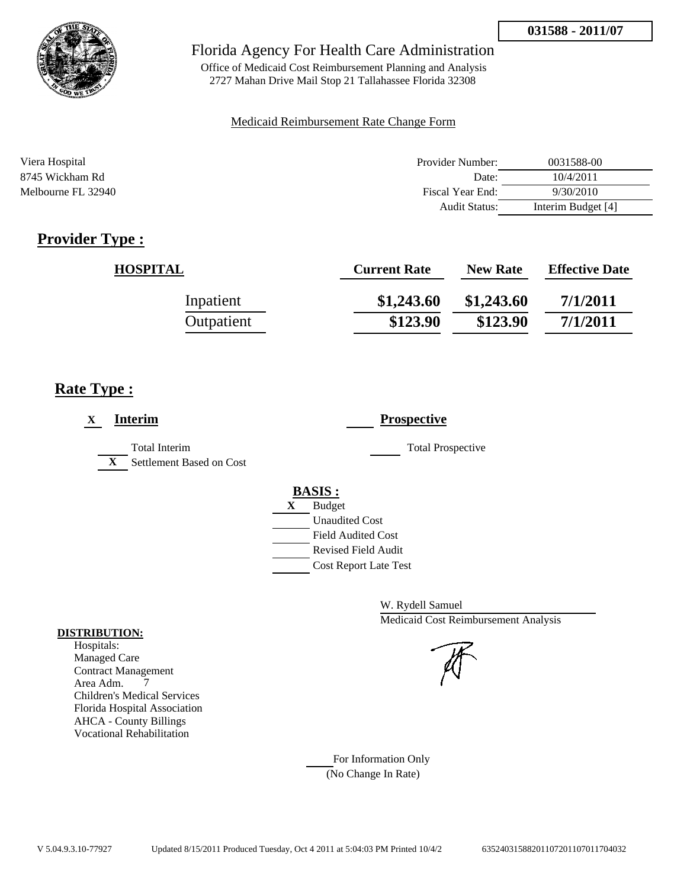

Office of Medicaid Cost Reimbursement Planning and Analysis 2727 Mahan Drive Mail Stop 21 Tallahassee Florida 32308

### Medicaid Reimbursement Rate Change Form

| Viera Hospital     | Provider Number: | 0031588-00         |
|--------------------|------------------|--------------------|
| 8745 Wickham Rd    | Date:            | 10/4/2011          |
| Melbourne FL 32940 | Fiscal Year End: | 9/30/2010          |
|                    | Audit Status:    | Interim Budget [4] |

# **Provider Type :**

| <b>HOSPITAL</b> | <b>Current Rate</b> | <b>New Rate</b> | <b>Effective Date</b> |
|-----------------|---------------------|-----------------|-----------------------|
| Inpatient       | \$1,243.60          | \$1,243.60      | 7/1/2011              |
| Outpatient      | \$123.90            | \$123.90        | 7/1/2011              |

## **Rate Type :**

| <b>Interim</b><br>X                                              | <b>Prospective</b>                                                                                                                               |
|------------------------------------------------------------------|--------------------------------------------------------------------------------------------------------------------------------------------------|
| <b>Total Interim</b><br>Settlement Based on Cost<br>$\mathbf{X}$ | <b>Total Prospective</b>                                                                                                                         |
|                                                                  | <b>BASIS:</b><br><b>Budget</b><br>X<br><b>Unaudited Cost</b><br><b>Field Audited Cost</b><br>Revised Field Audit<br><b>Cost Report Late Test</b> |

W. Rydell Samuel Medicaid Cost Reimbursement Analysis

For Information Only (No Change In Rate)

#### **DISTRIBUTION:**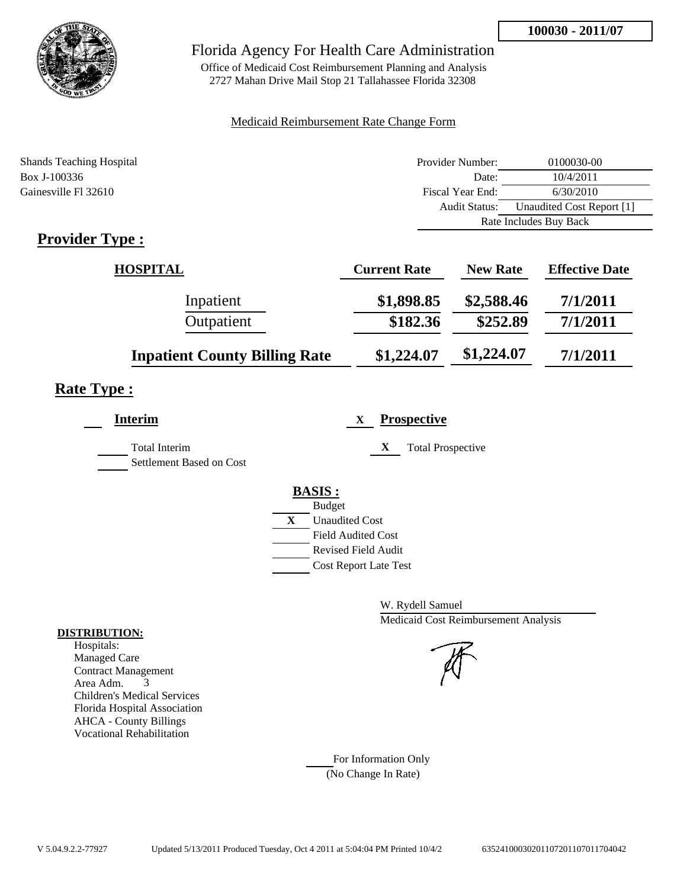

Office of Medicaid Cost Reimbursement Planning and Analysis 2727 Mahan Drive Mail Stop 21 Tallahassee Florida 32308

### Medicaid Reimbursement Rate Change Form

| <b>Shands Teaching Hospital</b> | Provider Number:     | 0100030-00                |
|---------------------------------|----------------------|---------------------------|
| Box J-100336                    | Date:                | 10/4/2011                 |
| Gainesville Fl 32610            | Fiscal Year End:     | 6/30/2010                 |
|                                 | <b>Audit Status:</b> | Unaudited Cost Report [1] |
|                                 |                      | Rate Includes Buy Back    |
|                                 |                      |                           |

## **Provider Type :**

| <b>HOSPITAL</b>                      | <b>Current Rate</b> | <b>New Rate</b> | <b>Effective Date</b> |
|--------------------------------------|---------------------|-----------------|-----------------------|
| Inpatient                            | \$1,898.85          | \$2,588.46      | 7/1/2011              |
| Outpatient                           | \$182.36            | \$252.89        | 7/1/2011              |
| <b>Inpatient County Billing Rate</b> | \$1,224.07          | \$1,224.07      | 7/1/2011              |

# **Rate Type :**

| <b>Interim</b>                                   | <b>Prospective</b><br>X               |
|--------------------------------------------------|---------------------------------------|
| <b>Total Interim</b><br>Settlement Based on Cost | X<br><b>Total Prospective</b>         |
|                                                  | <b>BASIS:</b>                         |
|                                                  | <b>Budget</b>                         |
|                                                  | $\mathbf{X}$<br><b>Unaudited Cost</b> |
|                                                  | <b>Field Audited Cost</b>             |
|                                                  | Revised Field Audit                   |
|                                                  | <b>Cost Report Late Test</b>          |
|                                                  |                                       |

W. Rydell Samuel Medicaid Cost Reimbursement Analysis

For Information Only (No Change In Rate)

#### **DISTRIBUTION:**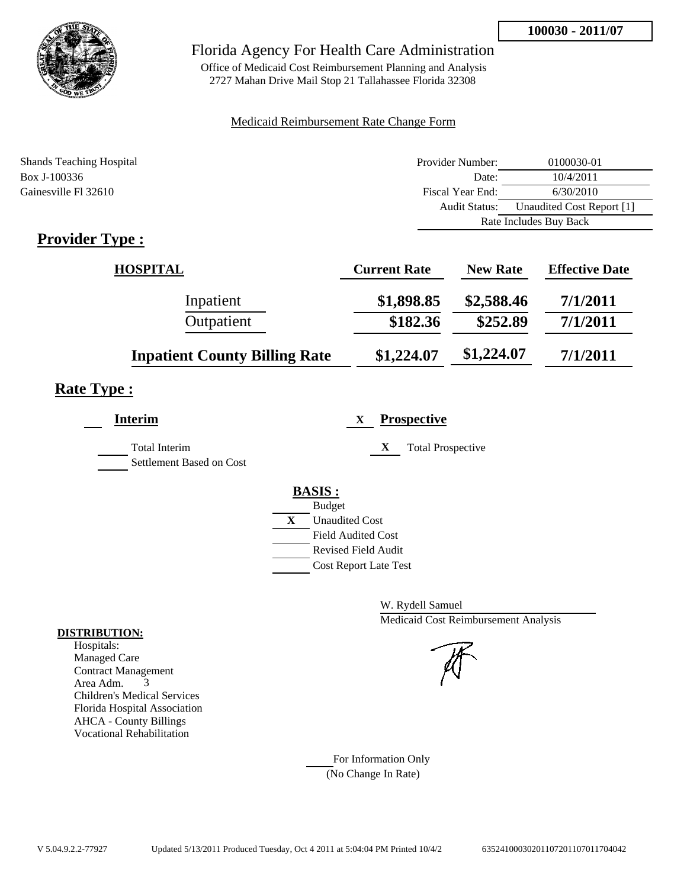

Office of Medicaid Cost Reimbursement Planning and Analysis 2727 Mahan Drive Mail Stop 21 Tallahassee Florida 32308

### Medicaid Reimbursement Rate Change Form

| <b>Shands Teaching Hospital</b> | Provider Number:     | 0100030-01                |
|---------------------------------|----------------------|---------------------------|
| Box J-100336                    | Date:                | 10/4/2011                 |
| Gainesville Fl 32610            | Fiscal Year End:     | 6/30/2010                 |
|                                 | <b>Audit Status:</b> | Unaudited Cost Report [1] |
|                                 |                      | Rate Includes Buy Back    |
|                                 |                      |                           |

## **Provider Type :**

| <b>HOSPITAL</b>                      | <b>Current Rate</b> | <b>New Rate</b> | <b>Effective Date</b> |
|--------------------------------------|---------------------|-----------------|-----------------------|
| Inpatient                            | \$1,898.85          | \$2,588.46      | 7/1/2011              |
| Outpatient                           | \$182.36            | \$252.89        | 7/1/2011              |
| <b>Inpatient County Billing Rate</b> | \$1,224.07          | \$1,224.07      | 7/1/2011              |

# **Rate Type :**

| <b>Interim</b>                            | <b>Prospective</b><br>X       |
|-------------------------------------------|-------------------------------|
| Total Interim<br>Settlement Based on Cost | X<br><b>Total Prospective</b> |
|                                           | <b>BASIS:</b>                 |
|                                           | <b>Budget</b>                 |
|                                           | X<br><b>Unaudited Cost</b>    |
|                                           | <b>Field Audited Cost</b>     |
|                                           | Revised Field Audit           |
|                                           | <b>Cost Report Late Test</b>  |
|                                           |                               |

W. Rydell Samuel Medicaid Cost Reimbursement Analysis

For Information Only (No Change In Rate)

#### **DISTRIBUTION:**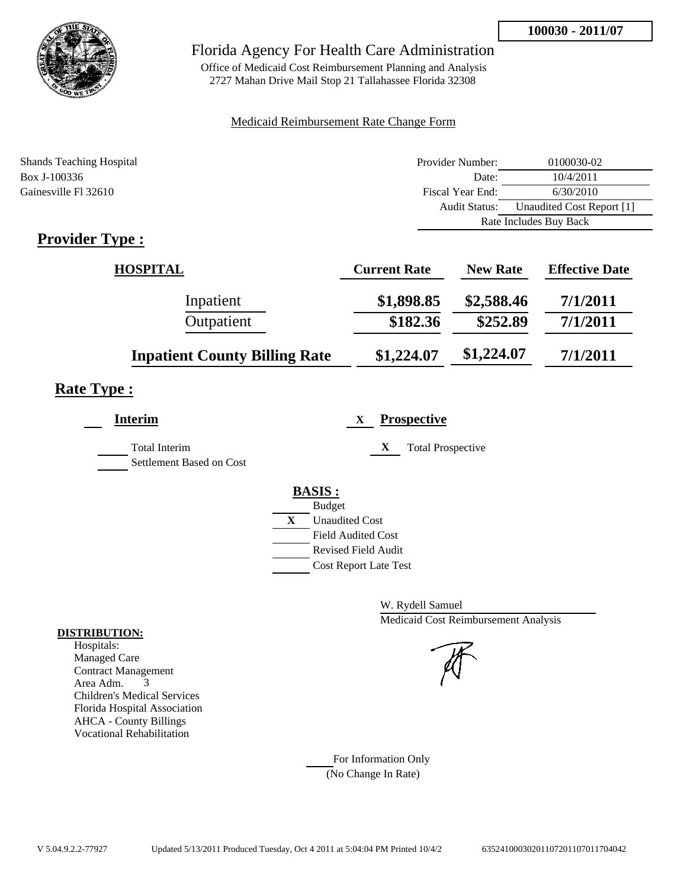

Office of Medicaid Cost Reimbursement Planning and Analysis 2727 Mahan Drive Mail Stop 21 Tallahassee Florida 32308

### Medicaid Reimbursement Rate Change Form

| <b>Shands Teaching Hospital</b> | Provider Number:     | 0100030-02                |  |
|---------------------------------|----------------------|---------------------------|--|
| Box J-100336                    | Date:                | 10/4/2011                 |  |
| Gainesville Fl 32610            | Fiscal Year End:     | 6/30/2010                 |  |
|                                 | <b>Audit Status:</b> | Unaudited Cost Report [1] |  |
|                                 |                      | Rate Includes Buy Back    |  |
|                                 |                      |                           |  |

## **Provider Type :**

| <b>HOSPITAL</b>                      | <b>Current Rate</b> | <b>New Rate</b> | <b>Effective Date</b> |
|--------------------------------------|---------------------|-----------------|-----------------------|
| Inpatient                            | \$1,898.85          | \$2,588.46      | 7/1/2011              |
| Outpatient                           | \$182.36            | \$252.89        | 7/1/2011              |
| <b>Inpatient County Billing Rate</b> | \$1,224.07          | \$1,224.07      | 7/1/2011              |

# **Rate Type :**

| <b>Interim</b>                                   | <b>Prospective</b><br>X               |
|--------------------------------------------------|---------------------------------------|
| <b>Total Interim</b><br>Settlement Based on Cost | X<br><b>Total Prospective</b>         |
|                                                  | <b>BASIS:</b>                         |
|                                                  | <b>Budget</b>                         |
|                                                  | $\mathbf{X}$<br><b>Unaudited Cost</b> |
|                                                  | <b>Field Audited Cost</b>             |
|                                                  | <b>Revised Field Audit</b>            |
|                                                  | <b>Cost Report Late Test</b>          |
|                                                  |                                       |

W. Rydell Samuel Medicaid Cost Reimbursement Analysis

For Information Only (No Change In Rate)

#### **DISTRIBUTION:**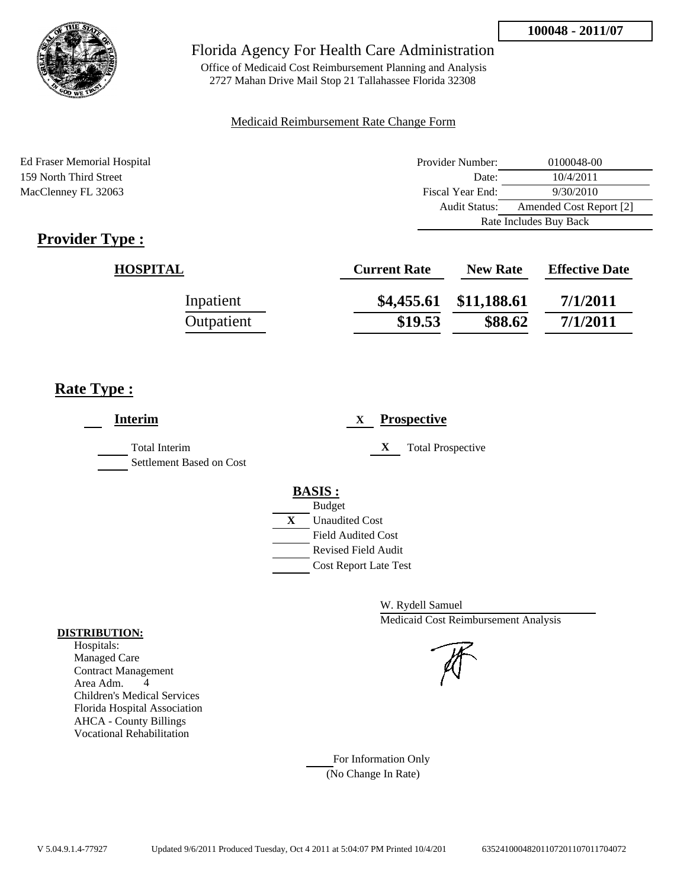

Office of Medicaid Cost Reimbursement Planning and Analysis 2727 Mahan Drive Mail Stop 21 Tallahassee Florida 32308

### Medicaid Reimbursement Rate Change Form

Ed Fraser Memorial Hospital 159 North Third Street MacClenney FL 32063

| Provider Number:       | 0100048-00              |  |
|------------------------|-------------------------|--|
| Date:                  | 10/4/2011               |  |
| Fiscal Year End:       | 9/30/2010               |  |
| <b>Audit Status:</b>   | Amended Cost Report [2] |  |
| Rate Includes Buy Back |                         |  |

# **Provider Type :**

| <b>HOSPITAL</b> | <b>Current Rate</b> | <b>New Rate</b>        | <b>Effective Date</b> |
|-----------------|---------------------|------------------------|-----------------------|
| Inpatient       |                     | \$4,455.61 \$11,188.61 | 7/1/2011              |
| Outpatient      | \$19.53             | \$88.62                | 7/1/2011              |

## **Rate Type :**

| <b>Interim</b>                                   | <b>Prospective</b><br>X                                                                                                                                 |
|--------------------------------------------------|---------------------------------------------------------------------------------------------------------------------------------------------------------|
| <b>Total Interim</b><br>Settlement Based on Cost | X<br><b>Total Prospective</b>                                                                                                                           |
|                                                  | <b>BASIS:</b><br><b>Budget</b><br>X<br><b>Unaudited Cost</b><br><b>Field Audited Cost</b><br><b>Revised Field Audit</b><br><b>Cost Report Late Test</b> |

W. Rydell Samuel Medicaid Cost Reimbursement Analysis

For Information Only (No Change In Rate)

#### **DISTRIBUTION:**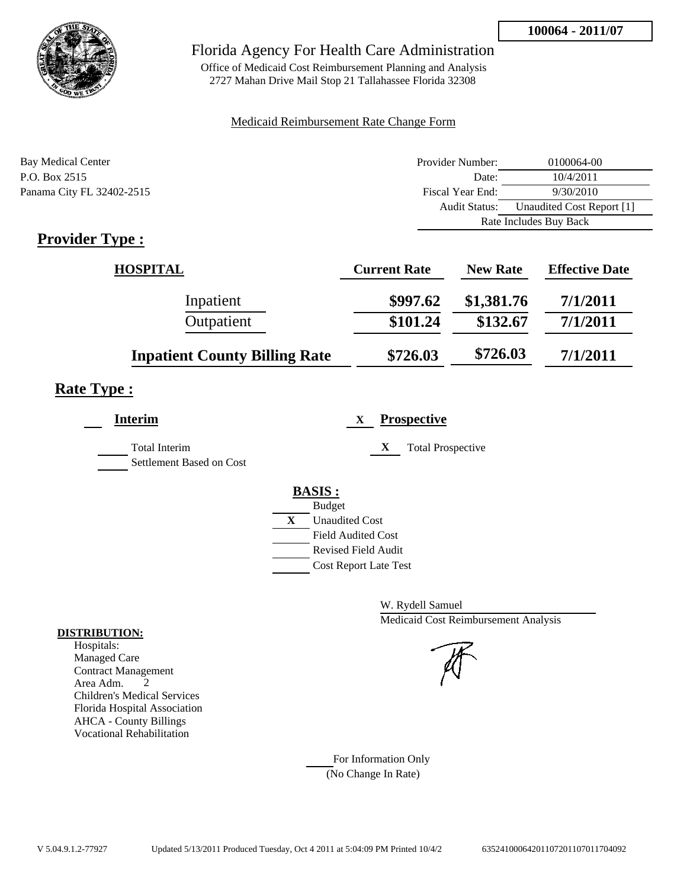

Office of Medicaid Cost Reimbursement Planning and Analysis 2727 Mahan Drive Mail Stop 21 Tallahassee Florida 32308

### Medicaid Reimbursement Rate Change Form

| Bay Medical Center        | Provider Number:     | 0100064-00                |  |
|---------------------------|----------------------|---------------------------|--|
| P.O. Box 2515             | Date:                | 10/4/2011                 |  |
| Panama City FL 32402-2515 | Fiscal Year End:     | 9/30/2010                 |  |
|                           | <b>Audit Status:</b> | Unaudited Cost Report [1] |  |
|                           |                      | Rate Includes Buy Back    |  |

# **Provider Type :**

| <b>HOSPITAL</b>                      | <b>Current Rate</b> | <b>New Rate</b> | <b>Effective Date</b> |
|--------------------------------------|---------------------|-----------------|-----------------------|
| Inpatient                            | \$997.62            | \$1,381.76      | 7/1/2011              |
| Outpatient                           | \$101.24            | \$132.67        | 7/1/2011              |
| <b>Inpatient County Billing Rate</b> | \$726.03            | \$726.03        | 7/1/2011              |

# **Rate Type :**

| <b>Interim</b>                                   | <b>Prospective</b><br>X                                                                                                 |
|--------------------------------------------------|-------------------------------------------------------------------------------------------------------------------------|
| <b>Total Interim</b><br>Settlement Based on Cost | X<br><b>Total Prospective</b>                                                                                           |
|                                                  | <b>BASIS:</b><br><b>Budget</b><br>X<br><b>Unaudited Cost</b><br><b>Field Audited Cost</b><br><b>Revised Field Audit</b> |
|                                                  | <b>Cost Report Late Test</b>                                                                                            |

W. Rydell Samuel Medicaid Cost Reimbursement Analysis

### For Information Only (No Change In Rate)

#### **DISTRIBUTION:**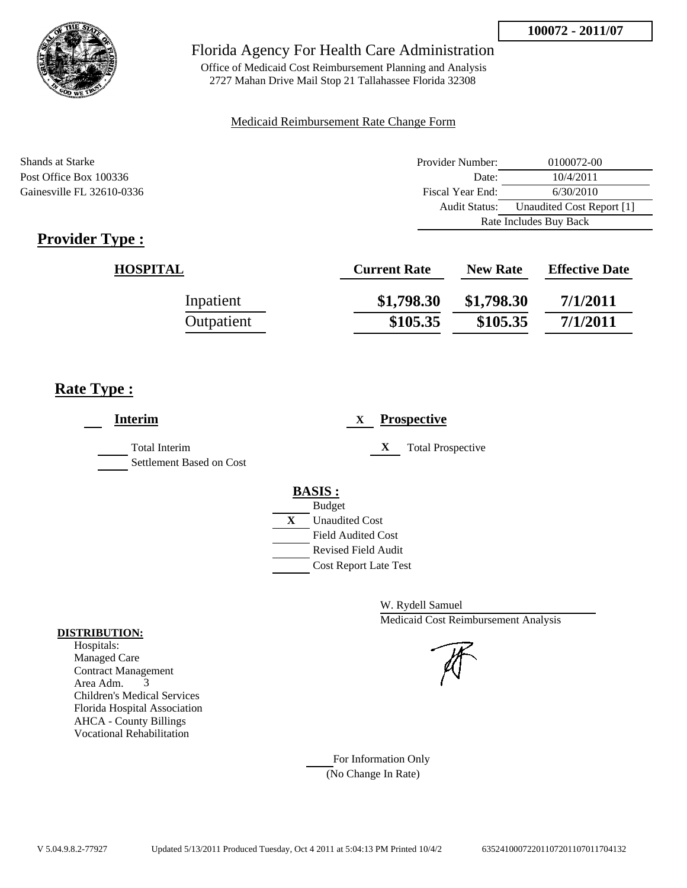

Office of Medicaid Cost Reimbursement Planning and Analysis 2727 Mahan Drive Mail Stop 21 Tallahassee Florida 32308

#### Medicaid Reimbursement Rate Change Form

Shands at Starke **Provider Number:** 0100072-00 Post Office Box 100336 Date: 10/4/2011 Gainesville FL 32610-0336 Fiscal Year End: 6/30/2010 Audit Status: Unaudited Cost Report [1] Rate Includes Buy Back

# **Provider Type :**

| <b>HOSPITAL</b> | <b>Current Rate</b> | <b>New Rate</b> | <b>Effective Date</b> |
|-----------------|---------------------|-----------------|-----------------------|
| Inpatient       | \$1,798.30          | \$1,798.30      | 7/1/2011              |
| Outpatient      | \$105.35            | \$105.35        | 7/1/2011              |

## **Rate Type :**

| <b>Interim</b>                                   | <b>Prospective</b><br>X                                                                                                                                 |
|--------------------------------------------------|---------------------------------------------------------------------------------------------------------------------------------------------------------|
| <b>Total Interim</b><br>Settlement Based on Cost | X<br><b>Total Prospective</b>                                                                                                                           |
|                                                  | <b>BASIS:</b><br><b>Budget</b><br>X<br><b>Unaudited Cost</b><br><b>Field Audited Cost</b><br><b>Revised Field Audit</b><br><b>Cost Report Late Test</b> |

W. Rydell Samuel Medicaid Cost Reimbursement Analysis



For Information Only (No Change In Rate)

#### **DISTRIBUTION:**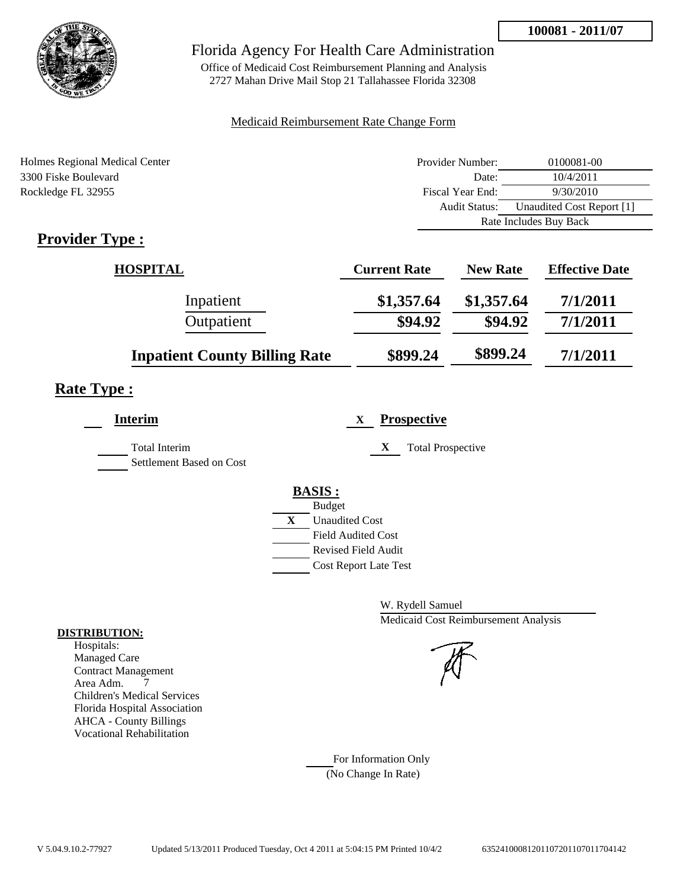

Office of Medicaid Cost Reimbursement Planning and Analysis 2727 Mahan Drive Mail Stop 21 Tallahassee Florida 32308

### Medicaid Reimbursement Rate Change Form

| Holmes Regional Medical Center            | Provider Number: | 0100081-00                |
|-------------------------------------------|------------------|---------------------------|
| 3300 Fiske Boulevard                      | Date:            | 10/4/2011                 |
| Rockledge FL 32955                        | Fiscal Year End: | 9/30/2010                 |
|                                           | Audit Status:    | Unaudited Cost Report [1] |
|                                           |                  | Rate Includes Buy Back    |
| $D$ <i>novidor</i> $T$ <i>vno</i> $\cdot$ |                  |                           |

# **Provider Type :**

| <b>HOSPITAL</b>                      | <b>Current Rate</b> | <b>New Rate</b> | <b>Effective Date</b> |
|--------------------------------------|---------------------|-----------------|-----------------------|
| Inpatient                            | \$1,357.64          | \$1,357.64      | 7/1/2011              |
| Outpatient                           | \$94.92             | \$94.92         | 7/1/2011              |
| <b>Inpatient County Billing Rate</b> | \$899.24            | \$899.24        | 7/1/2011              |

# **Rate Type :**

| Interim                                          | <b>Prospective</b><br>X                     |
|--------------------------------------------------|---------------------------------------------|
| <b>Total Interim</b><br>Settlement Based on Cost | X<br><b>Total Prospective</b>               |
|                                                  | <b>BASIS:</b>                               |
|                                                  | <b>Budget</b><br>X<br><b>Unaudited Cost</b> |
|                                                  | <b>Field Audited Cost</b>                   |
|                                                  | <b>Revised Field Audit</b>                  |
|                                                  | <b>Cost Report Late Test</b>                |

W. Rydell Samuel Medicaid Cost Reimbursement Analysis

### For Information Only (No Change In Rate)

#### **DISTRIBUTION:**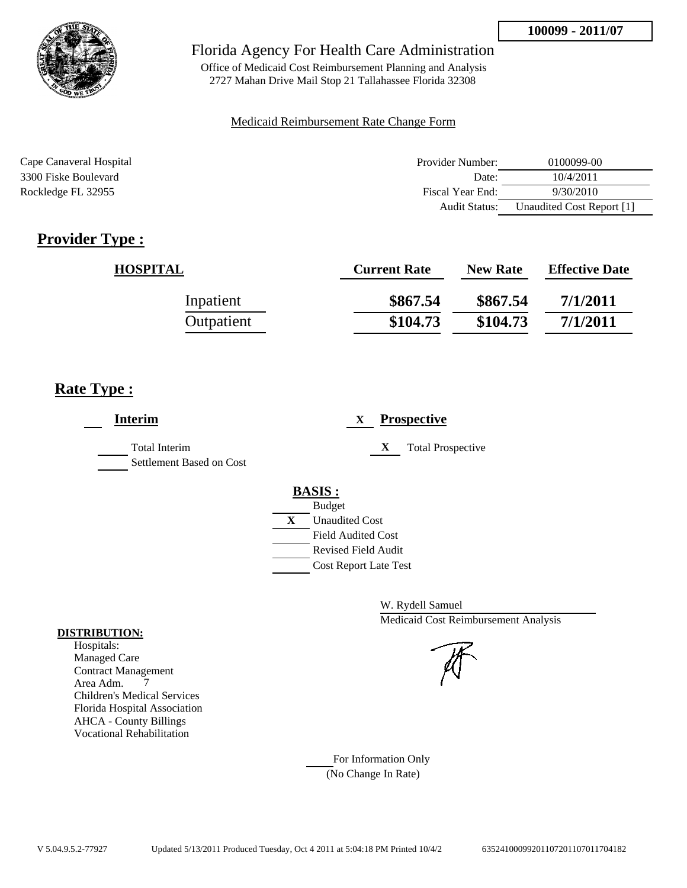

Office of Medicaid Cost Reimbursement Planning and Analysis 2727 Mahan Drive Mail Stop 21 Tallahassee Florida 32308

#### Medicaid Reimbursement Rate Change Form

| Cape Canaveral Hospital | Provider Number: | 0100099-00                |
|-------------------------|------------------|---------------------------|
| 3300 Fiske Boulevard    | Date:            | 10/4/2011                 |
| Rockledge FL 32955      | Fiscal Year End: | 9/30/2010                 |
|                         | Audit Status:    | Unaudited Cost Report [1] |

# **Provider Type :**

| <b>HOSPITAL</b> | <b>Current Rate</b> | <b>New Rate</b> | <b>Effective Date</b> |
|-----------------|---------------------|-----------------|-----------------------|
| Inpatient       | \$867.54            | \$867.54        | 7/1/2011              |
| Outpatient      | \$104.73            | \$104.73        | 7/1/2011              |

## **Rate Type :**

| <b>Interim</b>                                   | <b>Prospective</b><br>X               |  |
|--------------------------------------------------|---------------------------------------|--|
| <b>Total Interim</b><br>Settlement Based on Cost | X<br><b>Total Prospective</b>         |  |
|                                                  | <b>BASIS:</b>                         |  |
|                                                  | <b>Budget</b>                         |  |
|                                                  | $\mathbf{X}$<br><b>Unaudited Cost</b> |  |
|                                                  | <b>Field Audited Cost</b>             |  |
|                                                  | Revised Field Audit                   |  |
|                                                  | <b>Cost Report Late Test</b>          |  |
|                                                  |                                       |  |

W. Rydell Samuel Medicaid Cost Reimbursement Analysis



### For Information Only (No Change In Rate)

**DISTRIBUTION:**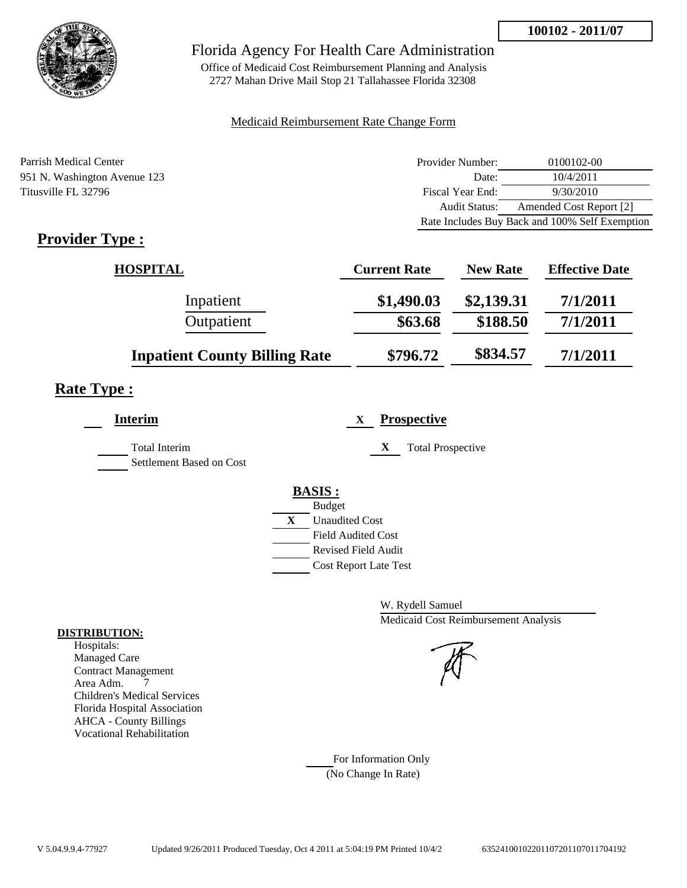

Office of Medicaid Cost Reimbursement Planning and Analysis 2727 Mahan Drive Mail Stop 21 Tallahassee Florida 32308

### Medicaid Reimbursement Rate Change Form

Parrish Medical Center 951 N. Washington Avenue 123 Titusville FL 32796

| Provider Number:                               | 0100102-00              |  |
|------------------------------------------------|-------------------------|--|
| Date:                                          | 10/4/2011               |  |
| Fiscal Year End:                               | 9/30/2010               |  |
| <b>Audit Status:</b>                           | Amended Cost Report [2] |  |
| Rate Includes Buy Back and 100% Self Exemption |                         |  |

# **Provider Type :**

| <b>HOSPITAL</b>                      | <b>Current Rate</b> | <b>New Rate</b> | <b>Effective Date</b> |
|--------------------------------------|---------------------|-----------------|-----------------------|
| Inpatient                            | \$1,490.03          | \$2,139.31      | 7/1/2011              |
| Outpatient                           | \$63.68             | \$188.50        | 7/1/2011              |
| <b>Inpatient County Billing Rate</b> | \$796.72            | \$834.57        | 7/1/2011              |

## **Rate Type :**

| <b>Interim</b>                            | <b>Prospective</b><br>X               |
|-------------------------------------------|---------------------------------------|
| Total Interim<br>Settlement Based on Cost | X<br><b>Total Prospective</b>         |
|                                           | <b>BASIS:</b>                         |
|                                           | <b>Budget</b>                         |
|                                           | $\mathbf{X}$<br><b>Unaudited Cost</b> |
|                                           | <b>Field Audited Cost</b>             |
|                                           | <b>Revised Field Audit</b>            |
|                                           | <b>Cost Report Late Test</b>          |
|                                           |                                       |

W. Rydell Samuel Medicaid Cost Reimbursement Analysis

For Information Only (No Change In Rate)

#### **DISTRIBUTION:**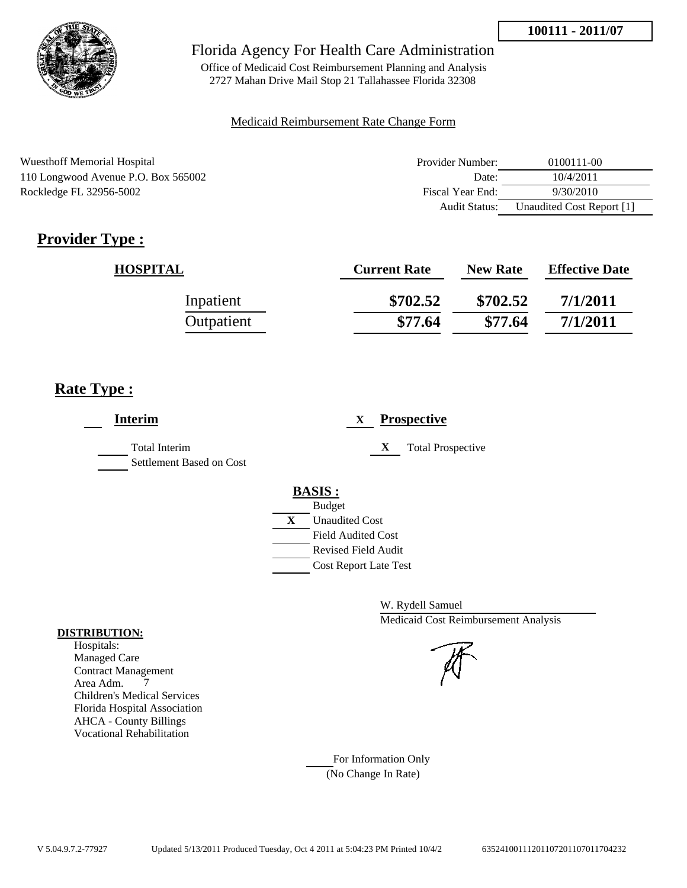

Office of Medicaid Cost Reimbursement Planning and Analysis 2727 Mahan Drive Mail Stop 21 Tallahassee Florida 32308

#### Medicaid Reimbursement Rate Change Form

| <b>Wuesthoff Memorial Hospital</b>  | Provider Number: | 0100111-00                |
|-------------------------------------|------------------|---------------------------|
| 110 Longwood Avenue P.O. Box 565002 | Date:            | 10/4/2011                 |
| Rockledge FL 32956-5002             | Fiscal Year End: | 9/30/2010                 |
|                                     | Audit Status:    | Unaudited Cost Report [1] |

# **Provider Type :**

| <b>HOSPITAL</b> | <b>Current Rate</b> | <b>New Rate</b> | <b>Effective Date</b> |
|-----------------|---------------------|-----------------|-----------------------|
| Inpatient       | \$702.52            | \$702.52        | 7/1/2011              |
| Outpatient      | \$77.64             | \$77.64         | 7/1/2011              |

## **Rate Type :**

| <b>Interim</b>                                   | <b>Prospective</b><br>X               |  |
|--------------------------------------------------|---------------------------------------|--|
| <b>Total Interim</b><br>Settlement Based on Cost | X<br><b>Total Prospective</b>         |  |
|                                                  | <b>BASIS:</b>                         |  |
|                                                  | <b>Budget</b>                         |  |
|                                                  | $\mathbf{X}$<br><b>Unaudited Cost</b> |  |
|                                                  | <b>Field Audited Cost</b>             |  |
|                                                  | <b>Revised Field Audit</b>            |  |
|                                                  | <b>Cost Report Late Test</b>          |  |
|                                                  |                                       |  |

W. Rydell Samuel Medicaid Cost Reimbursement Analysis

For Information Only (No Change In Rate)

#### **DISTRIBUTION:**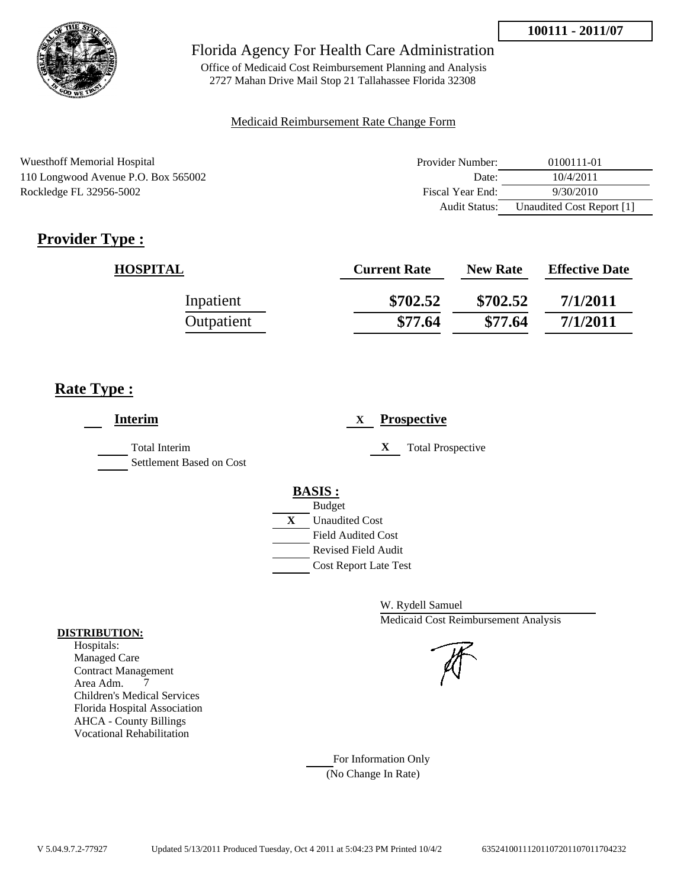

Office of Medicaid Cost Reimbursement Planning and Analysis 2727 Mahan Drive Mail Stop 21 Tallahassee Florida 32308

#### Medicaid Reimbursement Rate Change Form

| <b>Wuesthoff Memorial Hospital</b>  | Provider Number: | 0100111-01                |
|-------------------------------------|------------------|---------------------------|
| 110 Longwood Avenue P.O. Box 565002 | Date:            | 10/4/2011                 |
| Rockledge FL 32956-5002             | Fiscal Year End: | 9/30/2010                 |
|                                     | Audit Status:    | Unaudited Cost Report [1] |

# **Provider Type :**

| <b>HOSPITAL</b> | <b>Current Rate</b> | <b>New Rate</b> | <b>Effective Date</b> |
|-----------------|---------------------|-----------------|-----------------------|
| Inpatient       | \$702.52            | \$702.52        | 7/1/2011              |
| Outpatient      | \$77.64             | \$77.64         | 7/1/2011              |

## **Rate Type :**

| <b>Interim</b>                                   | <b>Prospective</b><br>X               |
|--------------------------------------------------|---------------------------------------|
| <b>Total Interim</b><br>Settlement Based on Cost | X<br><b>Total Prospective</b>         |
|                                                  | <b>BASIS:</b>                         |
|                                                  | <b>Budget</b>                         |
|                                                  | $\mathbf{X}$<br><b>Unaudited Cost</b> |
|                                                  | <b>Field Audited Cost</b>             |
|                                                  | <b>Revised Field Audit</b>            |
|                                                  | <b>Cost Report Late Test</b>          |
|                                                  |                                       |

W. Rydell Samuel Medicaid Cost Reimbursement Analysis

#### For Information Only (No Change In Rate)

#### **DISTRIBUTION:**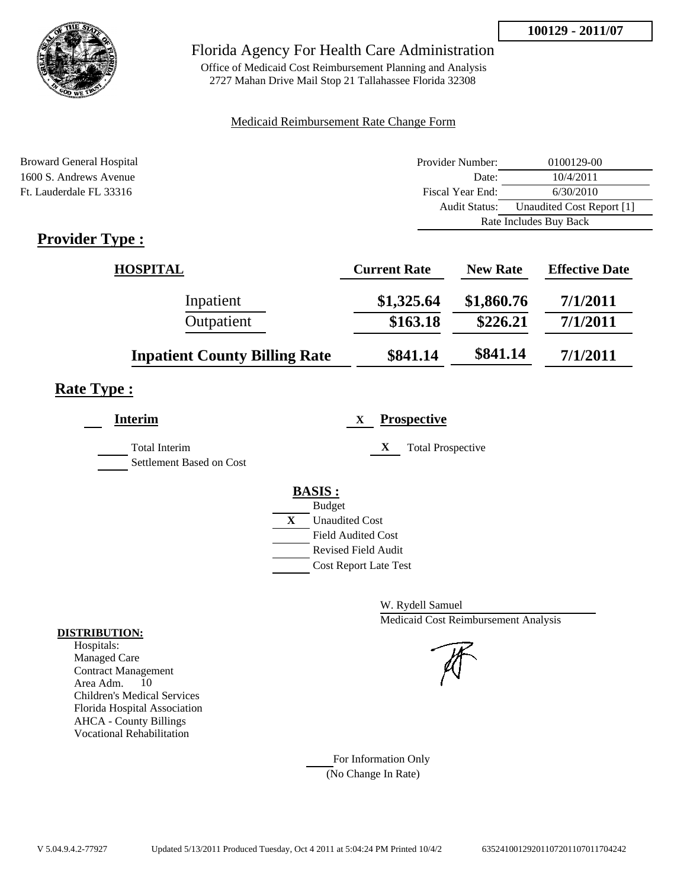

## Florida Agency For Health Care Administration

Office of Medicaid Cost Reimbursement Planning and Analysis 2727 Mahan Drive Mail Stop 21 Tallahassee Florida 32308

### Medicaid Reimbursement Rate Change Form

| <b>Broward General Hospital</b>                                                                                                                                                                                                                                                                                                                                                   | Provider Number: | 0100129-00                |
|-----------------------------------------------------------------------------------------------------------------------------------------------------------------------------------------------------------------------------------------------------------------------------------------------------------------------------------------------------------------------------------|------------------|---------------------------|
| 1600 S. Andrews Avenue                                                                                                                                                                                                                                                                                                                                                            | Date:            | 10/4/2011                 |
| Ft. Lauderdale FL 33316                                                                                                                                                                                                                                                                                                                                                           | Fiscal Year End: | 6/30/2010                 |
|                                                                                                                                                                                                                                                                                                                                                                                   | Audit Status:    | Unaudited Cost Report [1] |
|                                                                                                                                                                                                                                                                                                                                                                                   |                  | Rate Includes Buy Back    |
| $\mathbf{n}$ . $\mathbf{1}$ . $\mathbf{n}$ . $\mathbf{n}$ . $\mathbf{n}$ . $\mathbf{n}$ . $\mathbf{n}$ . $\mathbf{n}$ . $\mathbf{n}$ . $\mathbf{n}$ . $\mathbf{n}$ . $\mathbf{n}$ . $\mathbf{n}$ . $\mathbf{n}$ . $\mathbf{n}$ . $\mathbf{n}$ . $\mathbf{n}$ . $\mathbf{n}$ . $\mathbf{n}$ . $\mathbf{n}$ . $\mathbf{n}$ . $\mathbf{n}$ . $\mathbf{n}$ . $\mathbf{n}$ . $\mathbf$ |                  |                           |

# **Provider Type :**

| <b>HOSPITAL</b>                      | <b>Current Rate</b> | <b>New Rate</b> | <b>Effective Date</b> |
|--------------------------------------|---------------------|-----------------|-----------------------|
| Inpatient                            | \$1,325.64          | \$1,860.76      | 7/1/2011              |
| Outpatient                           | \$163.18            | \$226.21        | 7/1/2011              |
| <b>Inpatient County Billing Rate</b> | \$841.14            | \$841.14        | 7/1/2011              |

# **Rate Type :**

| <b>Interim</b>                                   | <b>Prospective</b><br>X        |
|--------------------------------------------------|--------------------------------|
| <b>Total Interim</b><br>Settlement Based on Cost | X<br><b>Total Prospective</b>  |
|                                                  | <b>BASIS:</b><br><b>Budget</b> |
|                                                  | X<br><b>Unaudited Cost</b>     |
|                                                  | <b>Field Audited Cost</b>      |
|                                                  | Revised Field Audit            |
|                                                  | <b>Cost Report Late Test</b>   |
|                                                  |                                |

W. Rydell Samuel Medicaid Cost Reimbursement Analysis

For Information Only (No Change In Rate)

#### **DISTRIBUTION:**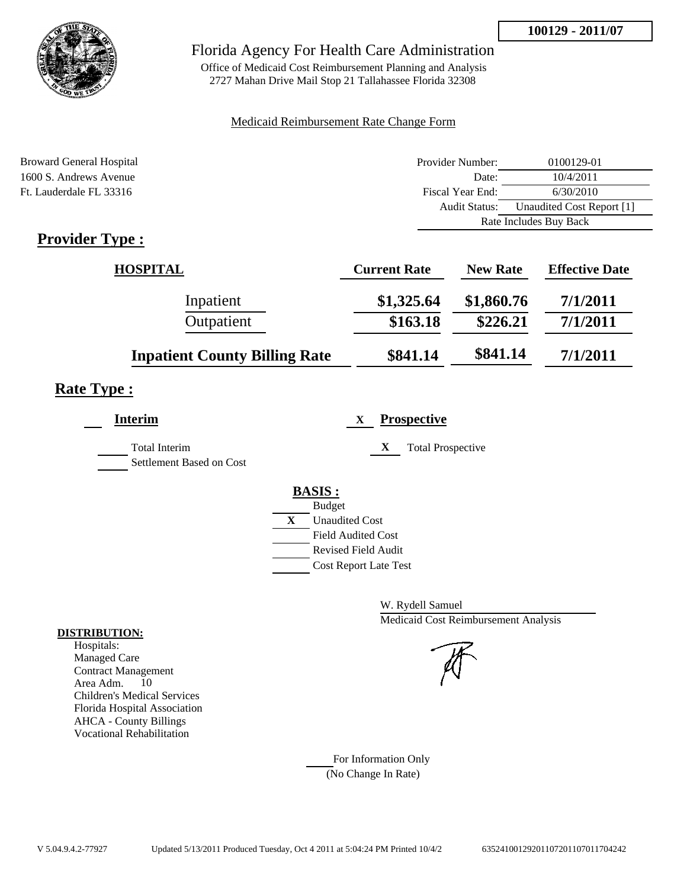

## Florida Agency For Health Care Administration

Office of Medicaid Cost Reimbursement Planning and Analysis 2727 Mahan Drive Mail Stop 21 Tallahassee Florida 32308

### Medicaid Reimbursement Rate Change Form

| <b>Broward General Hospital</b>                                                                                                                                                                                                                                                                                                                                                   | Provider Number: | 0100129-01                |
|-----------------------------------------------------------------------------------------------------------------------------------------------------------------------------------------------------------------------------------------------------------------------------------------------------------------------------------------------------------------------------------|------------------|---------------------------|
| 1600 S. Andrews Avenue                                                                                                                                                                                                                                                                                                                                                            | Date:            | 10/4/2011                 |
| Ft. Lauderdale FL 33316                                                                                                                                                                                                                                                                                                                                                           | Fiscal Year End: | 6/30/2010                 |
|                                                                                                                                                                                                                                                                                                                                                                                   | Audit Status:    | Unaudited Cost Report [1] |
|                                                                                                                                                                                                                                                                                                                                                                                   |                  | Rate Includes Buy Back    |
| $\mathbf{n}$ . $\mathbf{1}$ . $\mathbf{n}$ . $\mathbf{n}$ . $\mathbf{n}$ . $\mathbf{n}$ . $\mathbf{n}$ . $\mathbf{n}$ . $\mathbf{n}$ . $\mathbf{n}$ . $\mathbf{n}$ . $\mathbf{n}$ . $\mathbf{n}$ . $\mathbf{n}$ . $\mathbf{n}$ . $\mathbf{n}$ . $\mathbf{n}$ . $\mathbf{n}$ . $\mathbf{n}$ . $\mathbf{n}$ . $\mathbf{n}$ . $\mathbf{n}$ . $\mathbf{n}$ . $\mathbf{n}$ . $\mathbf$ |                  |                           |

# **Provider Type :**

| <b>HOSPITAL</b>                      | <b>Current Rate</b> | <b>New Rate</b> | <b>Effective Date</b> |
|--------------------------------------|---------------------|-----------------|-----------------------|
| Inpatient                            | \$1,325.64          | \$1,860.76      | 7/1/2011              |
| Outpatient                           | \$163.18            | \$226.21        | 7/1/2011              |
| <b>Inpatient County Billing Rate</b> | \$841.14            | \$841.14        | 7/1/2011              |

# **Rate Type :**

| <b>Interim</b>                                   | <b>Prospective</b><br>X        |
|--------------------------------------------------|--------------------------------|
| <b>Total Interim</b><br>Settlement Based on Cost | X<br><b>Total Prospective</b>  |
|                                                  | <b>BASIS:</b><br><b>Budget</b> |
|                                                  | X<br><b>Unaudited Cost</b>     |
|                                                  | <b>Field Audited Cost</b>      |
|                                                  | Revised Field Audit            |
|                                                  | <b>Cost Report Late Test</b>   |
|                                                  |                                |

W. Rydell Samuel Medicaid Cost Reimbursement Analysis

For Information Only (No Change In Rate)

#### **DISTRIBUTION:**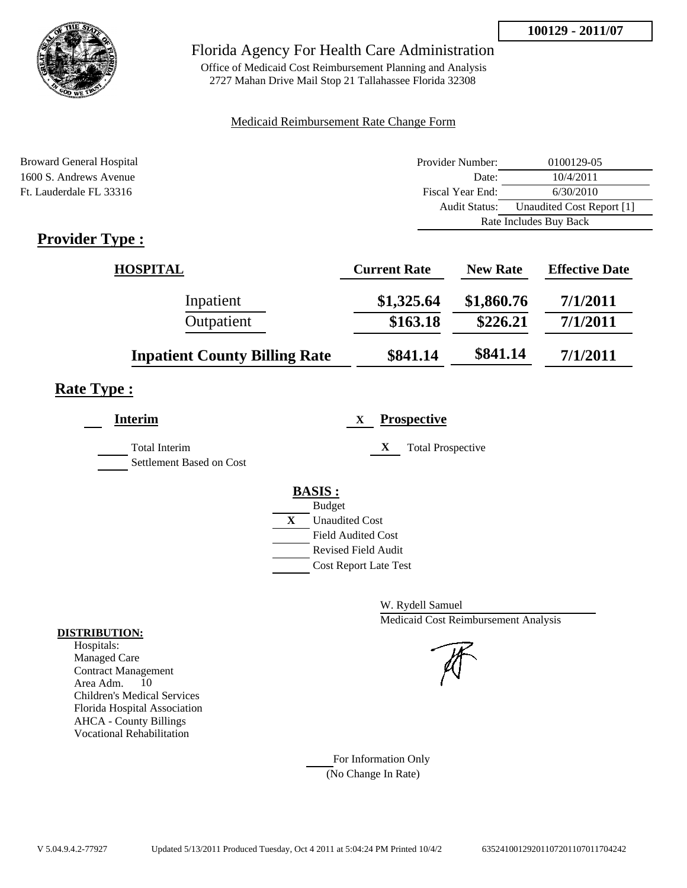

## Florida Agency For Health Care Administration

Office of Medicaid Cost Reimbursement Planning and Analysis 2727 Mahan Drive Mail Stop 21 Tallahassee Florida 32308

### Medicaid Reimbursement Rate Change Form

| Broward General Hospital                                                                                                                                                                                                                                                                                                                                                          | Provider Number: | 0100129-05                |
|-----------------------------------------------------------------------------------------------------------------------------------------------------------------------------------------------------------------------------------------------------------------------------------------------------------------------------------------------------------------------------------|------------------|---------------------------|
| 1600 S. Andrews Avenue                                                                                                                                                                                                                                                                                                                                                            | Date:            | 10/4/2011                 |
| Ft. Lauderdale FL 33316                                                                                                                                                                                                                                                                                                                                                           | Fiscal Year End: | 6/30/2010                 |
|                                                                                                                                                                                                                                                                                                                                                                                   | Audit Status:    | Unaudited Cost Report [1] |
|                                                                                                                                                                                                                                                                                                                                                                                   |                  | Rate Includes Buy Back    |
| $\mathbf{n}$ . $\mathbf{1}$ . $\mathbf{n}$ . $\mathbf{n}$ . $\mathbf{n}$ . $\mathbf{n}$ . $\mathbf{n}$ . $\mathbf{n}$ . $\mathbf{n}$ . $\mathbf{n}$ . $\mathbf{n}$ . $\mathbf{n}$ . $\mathbf{n}$ . $\mathbf{n}$ . $\mathbf{n}$ . $\mathbf{n}$ . $\mathbf{n}$ . $\mathbf{n}$ . $\mathbf{n}$ . $\mathbf{n}$ . $\mathbf{n}$ . $\mathbf{n}$ . $\mathbf{n}$ . $\mathbf{n}$ . $\mathbf$ |                  |                           |

# **Provider Type :**

| <b>HOSPITAL</b>                      | <b>Current Rate</b> | <b>New Rate</b> | <b>Effective Date</b> |
|--------------------------------------|---------------------|-----------------|-----------------------|
| Inpatient                            | \$1,325.64          | \$1,860.76      | 7/1/2011              |
| Outpatient                           | \$163.18            | \$226.21        | 7/1/2011              |
| <b>Inpatient County Billing Rate</b> | \$841.14            | \$841.14        | 7/1/2011              |

# **Rate Type :**

| <b>Interim</b>                                   | <b>Prospective</b><br>X       |
|--------------------------------------------------|-------------------------------|
| <b>Total Interim</b><br>Settlement Based on Cost | X<br><b>Total Prospective</b> |
|                                                  | <b>BASIS:</b>                 |
|                                                  | <b>Budget</b>                 |
|                                                  | X<br><b>Unaudited Cost</b>    |
|                                                  | <b>Field Audited Cost</b>     |
|                                                  | <b>Revised Field Audit</b>    |
|                                                  | <b>Cost Report Late Test</b>  |
|                                                  |                               |

W. Rydell Samuel Medicaid Cost Reimbursement Analysis

For Information Only (No Change In Rate)

#### **DISTRIBUTION:**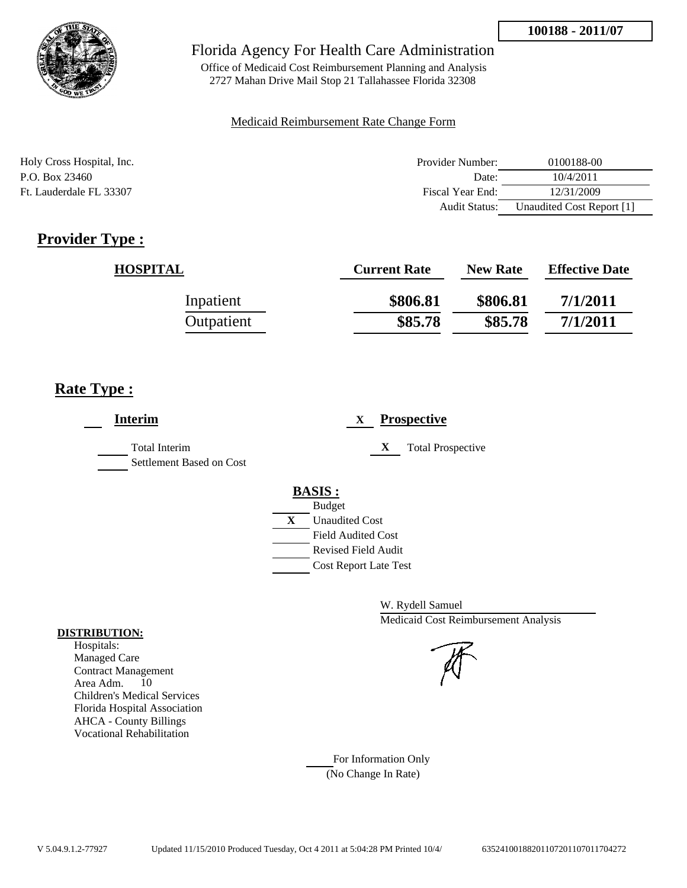

Office of Medicaid Cost Reimbursement Planning and Analysis 2727 Mahan Drive Mail Stop 21 Tallahassee Florida 32308

### Medicaid Reimbursement Rate Change Form

| Holy Cross Hospital, Inc. | Provider Number:     | 0100188-00                |
|---------------------------|----------------------|---------------------------|
| P.O. Box 23460            | Date:                | 10/4/2011                 |
| Ft. Lauderdale FL 33307   | Fiscal Year End:     | 12/31/2009                |
|                           | <b>Audit Status:</b> | Unaudited Cost Report [1] |

# **Provider Type :**

| <b>HOSPITAL</b> | <b>Current Rate</b> | <b>New Rate</b> | <b>Effective Date</b> |
|-----------------|---------------------|-----------------|-----------------------|
| Inpatient       | \$806.81            | \$806.81        | 7/1/2011              |
| Outpatient      | \$85.78             | \$85.78         | 7/1/2011              |

## **Rate Type :**

| <b>Interim</b>                                   | <b>Prospective</b><br>X       |
|--------------------------------------------------|-------------------------------|
| <b>Total Interim</b><br>Settlement Based on Cost | X<br><b>Total Prospective</b> |
|                                                  | <b>BASIS:</b>                 |
|                                                  | <b>Budget</b>                 |
|                                                  | X<br><b>Unaudited Cost</b>    |
|                                                  | <b>Field Audited Cost</b>     |
|                                                  | <b>Revised Field Audit</b>    |
|                                                  | <b>Cost Report Late Test</b>  |

W. Rydell Samuel Medicaid Cost Reimbursement Analysis

For Information Only (No Change In Rate)

#### **DISTRIBUTION:**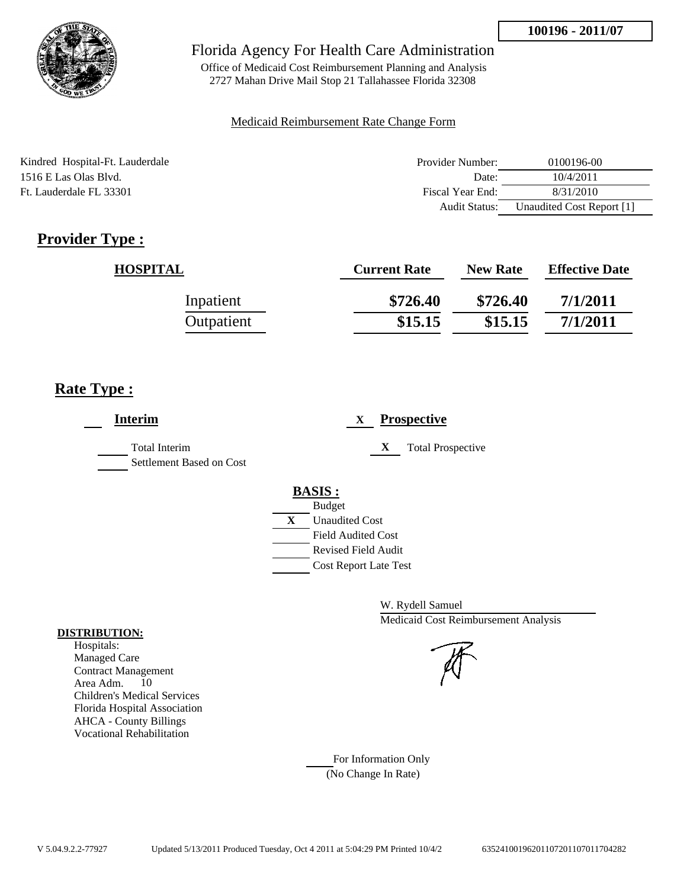

Office of Medicaid Cost Reimbursement Planning and Analysis 2727 Mahan Drive Mail Stop 21 Tallahassee Florida 32308

### Medicaid Reimbursement Rate Change Form

| Kindred Hospital-Ft. Lauderdale | Provider Number:     | 0100196-00                |
|---------------------------------|----------------------|---------------------------|
| 1516 E Las Olas Blvd.           | Date:                | 10/4/2011                 |
| Ft. Lauderdale FL 33301         | Fiscal Year End:     | 8/31/2010                 |
|                                 | <b>Audit Status:</b> | Unaudited Cost Report [1] |

# **Provider Type :**

| <b>HOSPITAL</b> | <b>Current Rate</b> | <b>New Rate</b> | <b>Effective Date</b> |
|-----------------|---------------------|-----------------|-----------------------|
| Inpatient       | \$726.40            | \$726.40        | 7/1/2011              |
| Outpatient      | \$15.15             | \$15.15         | 7/1/2011              |

## **Rate Type :**

| <b>Interim</b>                                   | <b>Prospective</b><br>X       |
|--------------------------------------------------|-------------------------------|
| <b>Total Interim</b><br>Settlement Based on Cost | X<br><b>Total Prospective</b> |
|                                                  | <b>BASIS:</b>                 |
|                                                  | <b>Budget</b>                 |
|                                                  | X<br><b>Unaudited Cost</b>    |
|                                                  | <b>Field Audited Cost</b>     |
|                                                  | <b>Revised Field Audit</b>    |
|                                                  | <b>Cost Report Late Test</b>  |
|                                                  |                               |

W. Rydell Samuel Medicaid Cost Reimbursement Analysis

#### For Information Only (No Change In Rate)

**DISTRIBUTION:**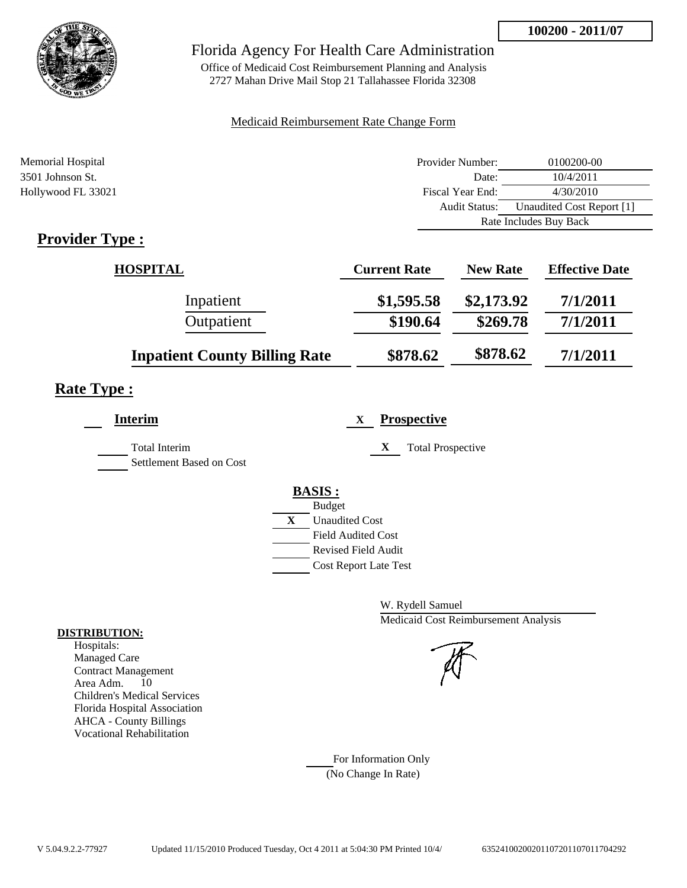

Office of Medicaid Cost Reimbursement Planning and Analysis 2727 Mahan Drive Mail Stop 21 Tallahassee Florida 32308

### Medicaid Reimbursement Rate Change Form

| Memorial Hospital    | Provider Number:     | 0100200-00                |  |
|----------------------|----------------------|---------------------------|--|
| 3501 Johnson St.     | Date:                | 10/4/2011                 |  |
| Hollywood FL 33021   | Fiscal Year End:     | 4/30/2010                 |  |
|                      | <b>Audit Status:</b> | Unaudited Cost Report [1] |  |
|                      |                      | Rate Includes Buy Back    |  |
| m<br>$\cdot$ 1<br>n. |                      |                           |  |

## **Provider Type :**

| <b>HOSPITAL</b>                      | <b>Current Rate</b> | <b>New Rate</b> | <b>Effective Date</b> |
|--------------------------------------|---------------------|-----------------|-----------------------|
| Inpatient                            | \$1,595.58          | \$2,173.92      | 7/1/2011              |
| Outpatient                           | \$190.64            | \$269.78        | 7/1/2011              |
| <b>Inpatient County Billing Rate</b> | \$878.62            | \$878.62        | 7/1/2011              |

# **Rate Type :**

| <b>Interim</b>                                   | <b>Prospective</b><br>X                                                                                                                                 |
|--------------------------------------------------|---------------------------------------------------------------------------------------------------------------------------------------------------------|
| <b>Total Interim</b><br>Settlement Based on Cost | X<br><b>Total Prospective</b>                                                                                                                           |
|                                                  | <b>BASIS:</b><br><b>Budget</b><br>X<br><b>Unaudited Cost</b><br><b>Field Audited Cost</b><br><b>Revised Field Audit</b><br><b>Cost Report Late Test</b> |

W. Rydell Samuel Medicaid Cost Reimbursement Analysis

For Information Only (No Change In Rate)

#### **DISTRIBUTION:**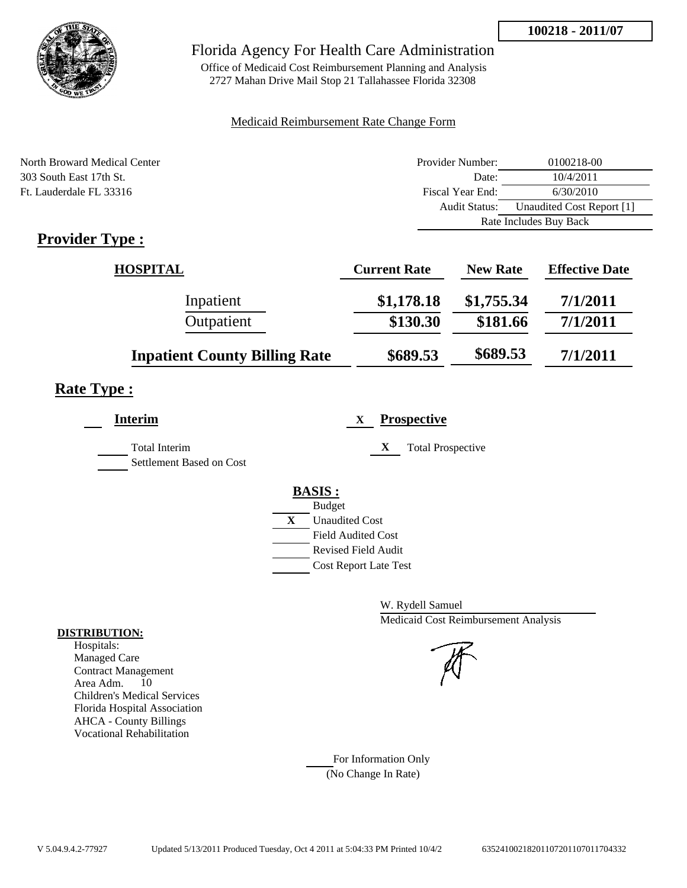

Office of Medicaid Cost Reimbursement Planning and Analysis 2727 Mahan Drive Mail Stop 21 Tallahassee Florida 32308

### Medicaid Reimbursement Rate Change Form

| North Broward Medical Center                          | Provider Number:     | 0100218-00                |  |
|-------------------------------------------------------|----------------------|---------------------------|--|
| 303 South East 17th St.                               | Date:                | 10/4/2011                 |  |
| Ft. Lauderdale FL 33316                               | Fiscal Year End:     | 6/30/2010                 |  |
|                                                       | <b>Audit Status:</b> | Unaudited Cost Report [1] |  |
|                                                       |                      | Rate Includes Buy Back    |  |
| $\mathbf{D}_{\text{max}}$ , $\mathbf{D}_{\text{max}}$ |                      |                           |  |

# **Provider Type :**

| <b>HOSPITAL</b>                      | <b>Current Rate</b> | <b>New Rate</b> | <b>Effective Date</b> |
|--------------------------------------|---------------------|-----------------|-----------------------|
| Inpatient                            | \$1,178.18          | \$1,755.34      | 7/1/2011              |
| Outpatient                           | \$130.30            | \$181.66        | 7/1/2011              |
| <b>Inpatient County Billing Rate</b> | \$689.53            | \$689.53        | 7/1/2011              |

## **Rate Type :**

| <b>Interim</b>                            | <b>Prospective</b><br>X                                                                                                                                 |
|-------------------------------------------|---------------------------------------------------------------------------------------------------------------------------------------------------------|
| Total Interim<br>Settlement Based on Cost | X<br><b>Total Prospective</b>                                                                                                                           |
|                                           | <b>BASIS:</b><br><b>Budget</b><br>X<br><b>Unaudited Cost</b><br><b>Field Audited Cost</b><br><b>Revised Field Audit</b><br><b>Cost Report Late Test</b> |

W. Rydell Samuel Medicaid Cost Reimbursement Analysis

For Information Only (No Change In Rate)

#### **DISTRIBUTION:**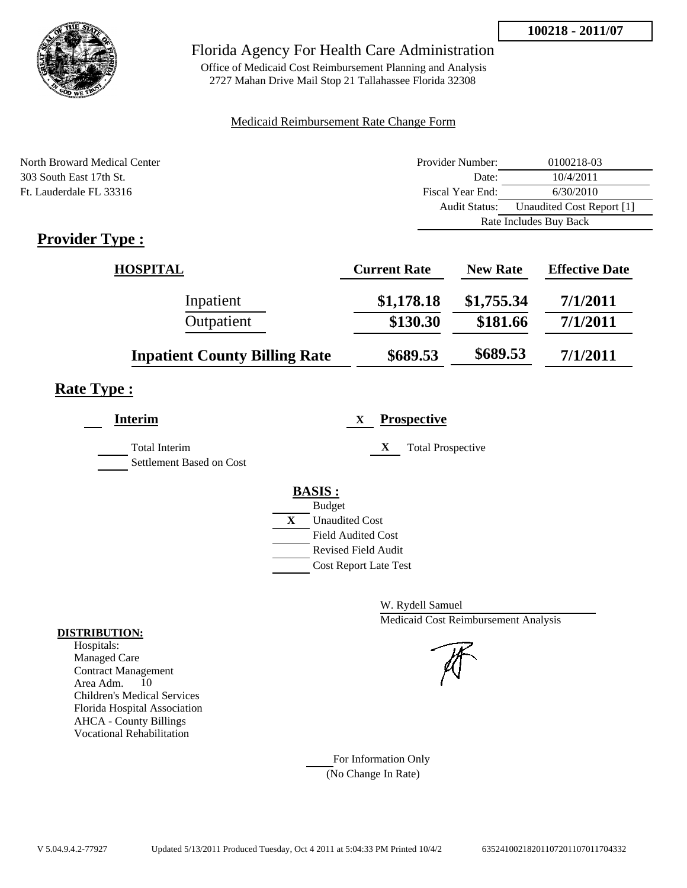

Office of Medicaid Cost Reimbursement Planning and Analysis 2727 Mahan Drive Mail Stop 21 Tallahassee Florida 32308

### Medicaid Reimbursement Rate Change Form

| North Broward Medical Center                                                    | Provider Number:     | 0100218-03                |  |
|---------------------------------------------------------------------------------|----------------------|---------------------------|--|
| 303 South East 17th St.                                                         | Date:                | 10/4/2011                 |  |
| Ft. Lauderdale FL 33316                                                         | Fiscal Year End:     | 6/30/2010                 |  |
|                                                                                 | <b>Audit Status:</b> | Unaudited Cost Report [1] |  |
|                                                                                 |                      | Rate Includes Buy Back    |  |
| $\mathbf{D}_{\text{max}}$ , $\mathbf{J}_{\text{max}}$ $\mathbf{T}_{\text{max}}$ |                      |                           |  |

# **Provider Type :**

| <b>HOSPITAL</b>                      | <b>Current Rate</b> | <b>New Rate</b> | <b>Effective Date</b> |
|--------------------------------------|---------------------|-----------------|-----------------------|
| Inpatient                            | \$1,178.18          | \$1,755.34      | 7/1/2011              |
| Outpatient                           | \$130.30            | \$181.66        | 7/1/2011              |
| <b>Inpatient County Billing Rate</b> | \$689.53            | \$689.53        | 7/1/2011              |

# **Rate Type :**

| <b>Interim</b>                                   | <b>Prospective</b><br>X                     |
|--------------------------------------------------|---------------------------------------------|
| <b>Total Interim</b><br>Settlement Based on Cost | X<br><b>Total Prospective</b>               |
|                                                  | <b>BASIS:</b>                               |
|                                                  | <b>Budget</b><br>X<br><b>Unaudited Cost</b> |
|                                                  | <b>Field Audited Cost</b>                   |
|                                                  | <b>Revised Field Audit</b>                  |
|                                                  | <b>Cost Report Late Test</b>                |
|                                                  |                                             |

W. Rydell Samuel Medicaid Cost Reimbursement Analysis

For Information Only (No Change In Rate)

#### **DISTRIBUTION:**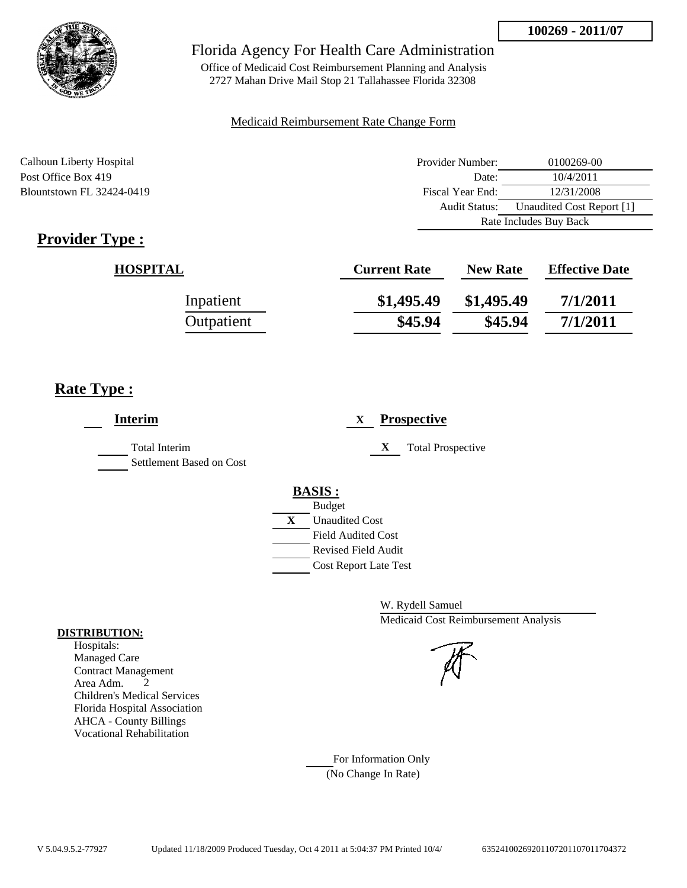

Office of Medicaid Cost Reimbursement Planning and Analysis 2727 Mahan Drive Mail Stop 21 Tallahassee Florida 32308

### Medicaid Reimbursement Rate Change Form

Calhoun Liberty Hospital **Provider Number:** 0100269-00 Post Office Box 419 Date: 10/4/2011 Blountstown FL 32424-0419 Fiscal Year End: 12/31/2008 Audit Status: Unaudited Cost Report [1] Rate Includes Buy Back

# **Provider Type :**

| <b>HOSPITAL</b> | <b>Current Rate</b> | <b>New Rate</b> | <b>Effective Date</b> |
|-----------------|---------------------|-----------------|-----------------------|
| Inpatient       | \$1,495.49          | \$1,495.49      | 7/1/2011              |
| Outpatient      | \$45.94             | \$45.94         | 7/1/2011              |

## **Rate Type :**

| <b>Interim</b>                            | <b>Prospective</b><br>X                                                                                                            |
|-------------------------------------------|------------------------------------------------------------------------------------------------------------------------------------|
| Total Interim<br>Settlement Based on Cost | X<br><b>Total Prospective</b>                                                                                                      |
|                                           | <b>BASIS:</b><br><b>Budget</b><br>$\mathbf{X}$<br><b>Unaudited Cost</b><br><b>Field Audited Cost</b><br><b>Revised Field Audit</b> |
|                                           | <b>Cost Report Late Test</b>                                                                                                       |

W. Rydell Samuel Medicaid Cost Reimbursement Analysis

For Information Only (No Change In Rate)

#### **DISTRIBUTION:**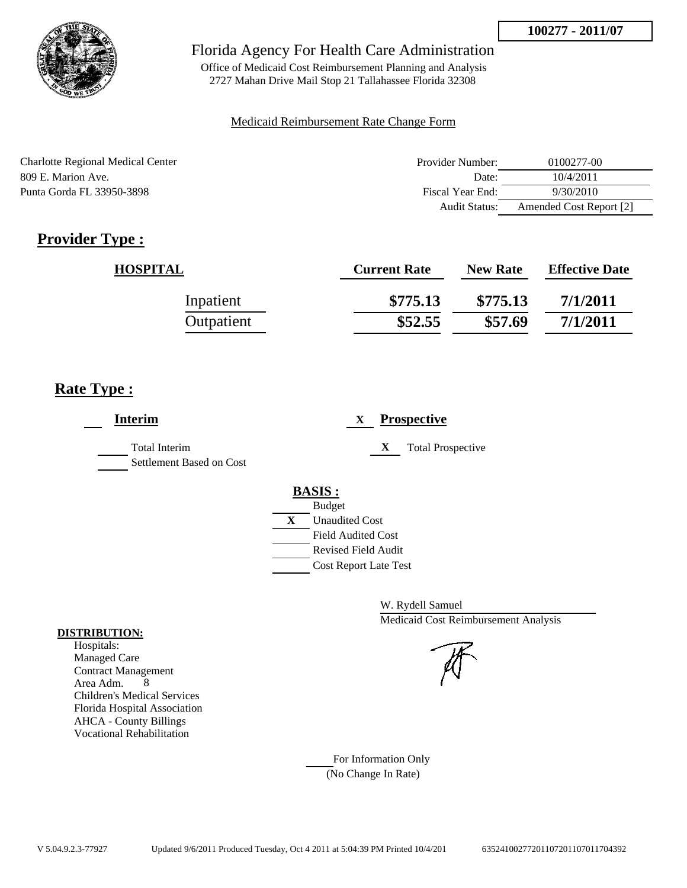

Office of Medicaid Cost Reimbursement Planning and Analysis 2727 Mahan Drive Mail Stop 21 Tallahassee Florida 32308

### Medicaid Reimbursement Rate Change Form

| Charlotte Regional Medical Center | Provider Number: | 0100277-00              |
|-----------------------------------|------------------|-------------------------|
| 809 E. Marion Ave.                | Date:            | 10/4/2011               |
| Punta Gorda FL 33950-3898         | Fiscal Year End: | 9/30/2010               |
|                                   | Audit Status:    | Amended Cost Report [2] |

# **Provider Type :**

| <b>HOSPITAL</b> | <b>Current Rate</b> | <b>New Rate</b> | <b>Effective Date</b> |
|-----------------|---------------------|-----------------|-----------------------|
| Inpatient       | \$775.13            | \$775.13        | 7/1/2011              |
| Outpatient      | \$52.55             | \$57.69         | 7/1/2011              |

## **Rate Type :**

| <b>Interim</b>                            | <b>Prospective</b><br>X               |
|-------------------------------------------|---------------------------------------|
| Total Interim<br>Settlement Based on Cost | X<br><b>Total Prospective</b>         |
|                                           | <b>BASIS:</b><br><b>Budget</b>        |
|                                           | $\mathbf{X}$<br><b>Unaudited Cost</b> |
|                                           | <b>Field Audited Cost</b>             |
|                                           | <b>Revised Field Audit</b>            |
|                                           | <b>Cost Report Late Test</b>          |
|                                           |                                       |

W. Rydell Samuel Medicaid Cost Reimbursement Analysis

For Information Only (No Change In Rate)

#### **DISTRIBUTION:**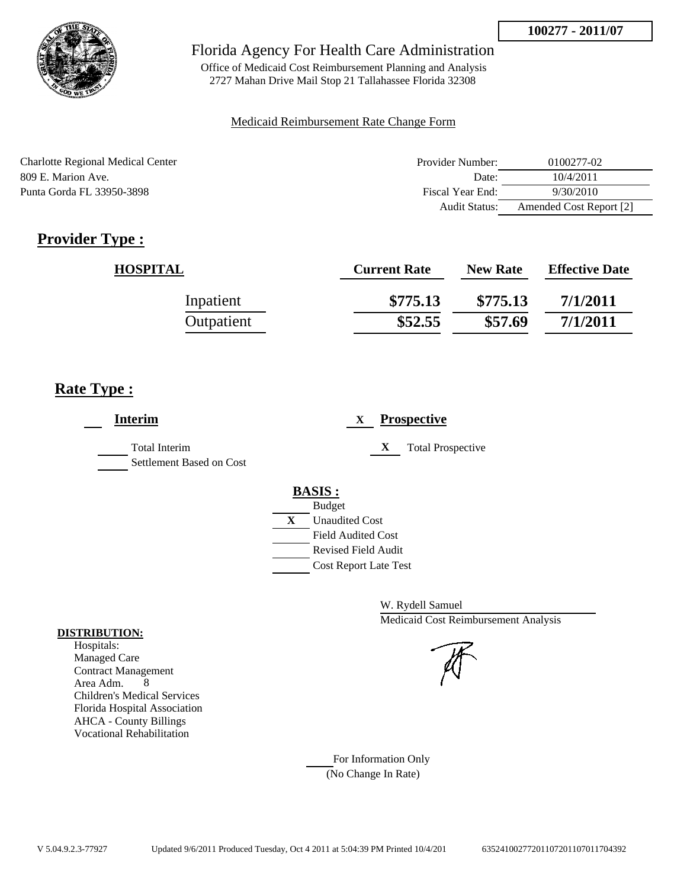

Office of Medicaid Cost Reimbursement Planning and Analysis 2727 Mahan Drive Mail Stop 21 Tallahassee Florida 32308

### Medicaid Reimbursement Rate Change Form

| <b>Charlotte Regional Medical Center</b> | Provider Number:     | 0100277-02              |
|------------------------------------------|----------------------|-------------------------|
| 809 E. Marion Ave.                       | Date:                | 10/4/2011               |
| Punta Gorda FL 33950-3898                | Fiscal Year End:     | 9/30/2010               |
|                                          | <b>Audit Status:</b> | Amended Cost Report [2] |

# **Provider Type :**

| <b>HOSPITAL</b> | <b>Current Rate</b> | <b>New Rate</b> | <b>Effective Date</b> |
|-----------------|---------------------|-----------------|-----------------------|
| Inpatient       | \$775.13            | \$775.13        | 7/1/2011              |
| Outpatient      | \$52.55             | \$57.69         | 7/1/2011              |

## **Rate Type :**

| <b>Interim</b>                            | <b>Prospective</b><br>X               |
|-------------------------------------------|---------------------------------------|
| Total Interim<br>Settlement Based on Cost | X<br><b>Total Prospective</b>         |
|                                           | <b>BASIS:</b>                         |
|                                           | <b>Budget</b>                         |
|                                           | $\mathbf{X}$<br><b>Unaudited Cost</b> |
|                                           | <b>Field Audited Cost</b>             |
|                                           | <b>Revised Field Audit</b>            |
|                                           | <b>Cost Report Late Test</b>          |
|                                           |                                       |

W. Rydell Samuel Medicaid Cost Reimbursement Analysis

For Information Only (No Change In Rate)

#### **DISTRIBUTION:**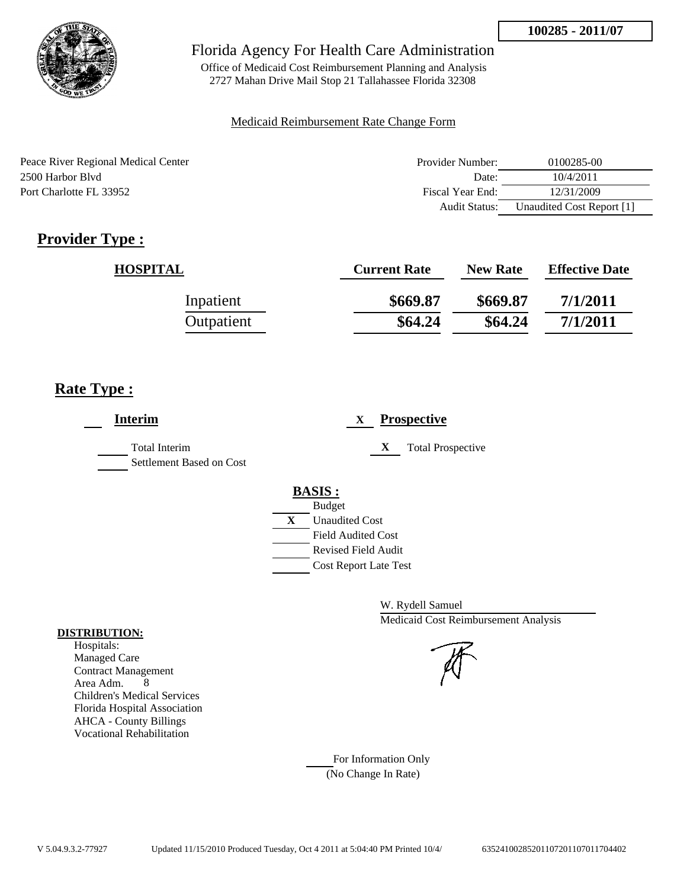

Office of Medicaid Cost Reimbursement Planning and Analysis 2727 Mahan Drive Mail Stop 21 Tallahassee Florida 32308

#### Medicaid Reimbursement Rate Change Form

| Peace River Regional Medical Center | Provider Number:     | 0100285-00                |
|-------------------------------------|----------------------|---------------------------|
| 2500 Harbor Blyd                    | Date:                | 10/4/2011                 |
| Port Charlotte FL 33952             | Fiscal Year End:     | 12/31/2009                |
|                                     | <b>Audit Status:</b> | Unaudited Cost Report [1] |

# **Provider Type :**

| <b>HOSPITAL</b> | <b>Current Rate</b> | <b>New Rate</b> | <b>Effective Date</b> |
|-----------------|---------------------|-----------------|-----------------------|
| Inpatient       | \$669.87            | \$669.87        | 7/1/2011              |
| Outpatient      | \$64.24             | \$64.24         | 7/1/2011              |

## **Rate Type :**

| <b>Interim</b>                            | <b>Prospective</b><br>X       |
|-------------------------------------------|-------------------------------|
| Total Interim<br>Settlement Based on Cost | X<br><b>Total Prospective</b> |
|                                           | <b>BASIS:</b>                 |
|                                           | <b>Budget</b>                 |
|                                           | X<br><b>Unaudited Cost</b>    |
|                                           | <b>Field Audited Cost</b>     |
|                                           | <b>Revised Field Audit</b>    |
|                                           | <b>Cost Report Late Test</b>  |

W. Rydell Samuel Medicaid Cost Reimbursement Analysis

For Information Only (No Change In Rate)

#### **DISTRIBUTION:**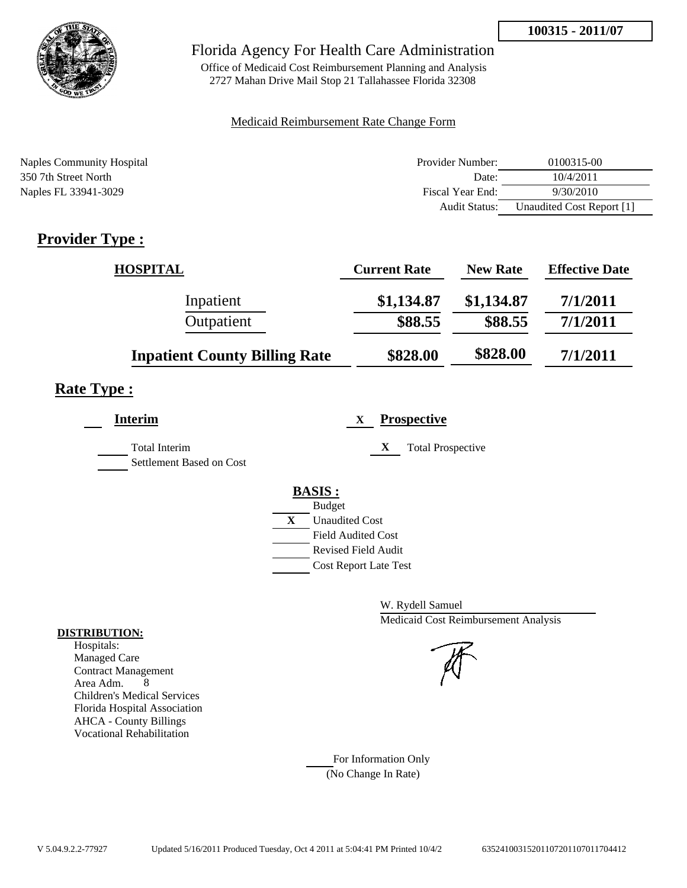

Office of Medicaid Cost Reimbursement Planning and Analysis 2727 Mahan Drive Mail Stop 21 Tallahassee Florida 32308

### Medicaid Reimbursement Rate Change Form

| Naples Community Hospital | Provider Number: | 0100315-00                |
|---------------------------|------------------|---------------------------|
| 350 7th Street North      | Date:            | 10/4/2011                 |
| Naples FL 33941-3029      | Fiscal Year End: | 9/30/2010                 |
|                           | Audit Status:    | Unaudited Cost Report [1] |

# **Provider Type :**

| <b>HOSPITAL</b>                      | <b>Current Rate</b> | <b>New Rate</b> | <b>Effective Date</b> |
|--------------------------------------|---------------------|-----------------|-----------------------|
| Inpatient                            | \$1,134.87          | \$1,134.87      | 7/1/2011              |
| Outpatient                           | \$88.55             | \$88.55         | 7/1/2011              |
| <b>Inpatient County Billing Rate</b> | \$828.00            | \$828.00        | 7/1/2011              |

# **Rate Type :**

| <b>Interim</b>                                   | <b>Prospective</b><br>$\mathbf{X}$ |
|--------------------------------------------------|------------------------------------|
| <b>Total Interim</b><br>Settlement Based on Cost | X<br><b>Total Prospective</b>      |
|                                                  | <b>BASIS:</b>                      |
|                                                  | <b>Budget</b>                      |
|                                                  | X<br><b>Unaudited Cost</b>         |
|                                                  | <b>Field Audited Cost</b>          |
|                                                  | <b>Revised Field Audit</b>         |
|                                                  | <b>Cost Report Late Test</b>       |
|                                                  |                                    |

W. Rydell Samuel Medicaid Cost Reimbursement Analysis

For Information Only (No Change In Rate)

#### **DISTRIBUTION:**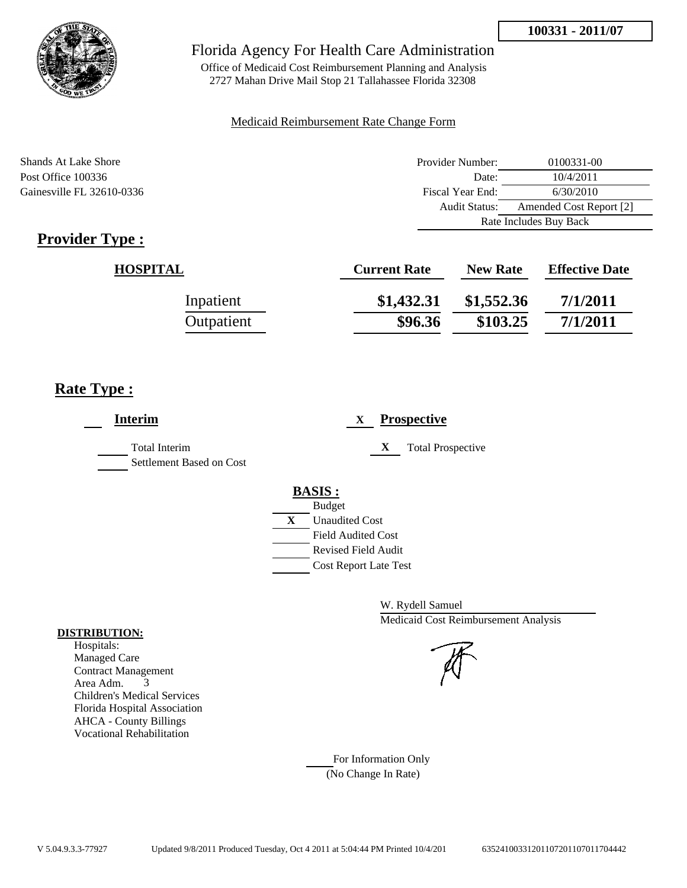

Office of Medicaid Cost Reimbursement Planning and Analysis 2727 Mahan Drive Mail Stop 21 Tallahassee Florida 32308

### Medicaid Reimbursement Rate Change Form

| <b>Shands At Lake Shore</b> | Provider Number:     | 0100331-00              |  |
|-----------------------------|----------------------|-------------------------|--|
| Post Office 100336          | Date:                | 10/4/2011               |  |
| Gainesville FL 32610-0336   | Fiscal Year End:     | 6/30/2010               |  |
|                             | <b>Audit Status:</b> | Amended Cost Report [2] |  |
|                             |                      | Rate Includes Buy Back  |  |

# **Provider Type :**

| <b>HOSPITAL</b> | <b>Current Rate</b> | <b>New Rate</b> | <b>Effective Date</b> |
|-----------------|---------------------|-----------------|-----------------------|
| Inpatient       | \$1,432.31          | \$1,552.36      | 7/1/2011              |
| Outpatient      | \$96.36             | \$103.25        | 7/1/2011              |

## **Rate Type :**

| <b>Interim</b>                                   |   | <b>Prospective</b><br>X                |
|--------------------------------------------------|---|----------------------------------------|
| <b>Total Interim</b><br>Settlement Based on Cost |   | <b>Total Prospective</b><br>X          |
|                                                  |   | <b>BASIS:</b>                          |
|                                                  | X | <b>Budget</b><br><b>Unaudited Cost</b> |
|                                                  |   | <b>Field Audited Cost</b>              |
|                                                  |   | Revised Field Audit                    |
|                                                  |   | <b>Cost Report Late Test</b>           |

W. Rydell Samuel Medicaid Cost Reimbursement Analysis

For Information Only (No Change In Rate)

#### **DISTRIBUTION:**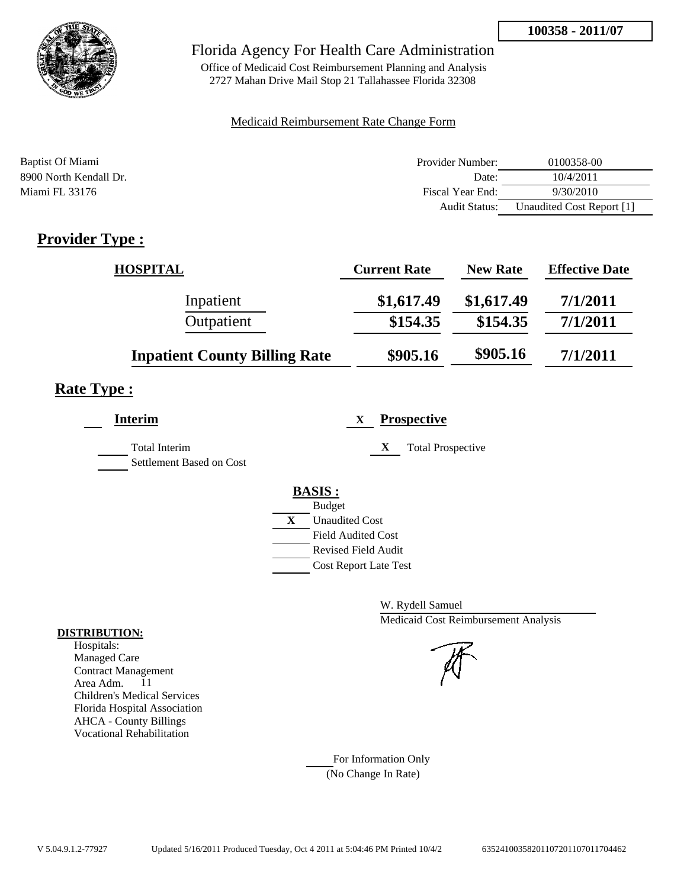

Office of Medicaid Cost Reimbursement Planning and Analysis 2727 Mahan Drive Mail Stop 21 Tallahassee Florida 32308

### Medicaid Reimbursement Rate Change Form

| Baptist Of Miami       | Provider Number: | 0100358-00                |
|------------------------|------------------|---------------------------|
| 8900 North Kendall Dr. | Date:            | 10/4/2011                 |
| Miami FL 33176         | Fiscal Year End: | 9/30/2010                 |
|                        | Audit Status:    | Unaudited Cost Report [1] |

# **Provider Type :**

| <b>HOSPITAL</b>                      | <b>Current Rate</b> | <b>New Rate</b> | <b>Effective Date</b> |
|--------------------------------------|---------------------|-----------------|-----------------------|
| Inpatient                            | \$1,617.49          | \$1,617.49      | 7/1/2011              |
| Outpatient                           | \$154.35            | \$154.35        | 7/1/2011              |
| <b>Inpatient County Billing Rate</b> | \$905.16            | \$905.16        | 7/1/2011              |

## **Rate Type :**

| <b>Interim</b>                                   | <b>Prospective</b><br>X                                                                 |
|--------------------------------------------------|-----------------------------------------------------------------------------------------|
| <b>Total Interim</b><br>Settlement Based on Cost | <b>Total Prospective</b><br>X                                                           |
|                                                  | <b>BASIS:</b><br><b>Budget</b><br>X<br><b>Unaudited Cost</b>                            |
|                                                  | <b>Field Audited Cost</b><br><b>Revised Field Audit</b><br><b>Cost Report Late Test</b> |

W. Rydell Samuel Medicaid Cost Reimbursement Analysis

For Information Only (No Change In Rate)

#### **DISTRIBUTION:**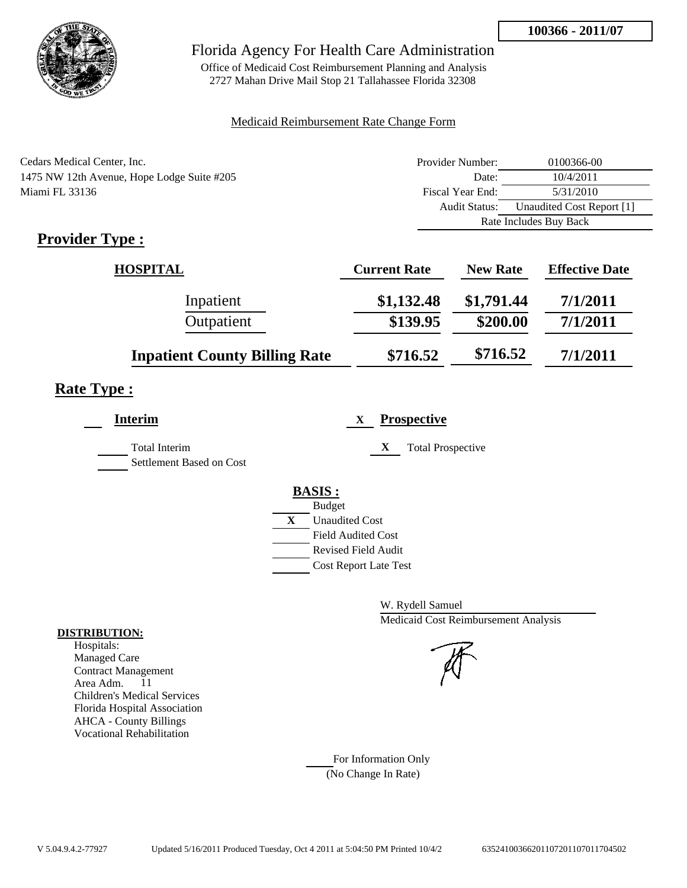

Office of Medicaid Cost Reimbursement Planning and Analysis 2727 Mahan Drive Mail Stop 21 Tallahassee Florida 32308

### Medicaid Reimbursement Rate Change Form

| Cedars Medical Center, Inc.                | Provider Number:     | 0100366-00                |  |
|--------------------------------------------|----------------------|---------------------------|--|
| 1475 NW 12th Avenue, Hope Lodge Suite #205 | Date:                | 10/4/2011                 |  |
| Miami FL 33136                             | Fiscal Year End:     | 5/31/2010                 |  |
|                                            | <b>Audit Status:</b> | Unaudited Cost Report [1] |  |
|                                            |                      | Rate Includes Buy Back    |  |

# **Provider Type :**

| <b>HOSPITAL</b>                      | <b>Current Rate</b> | <b>New Rate</b> | <b>Effective Date</b> |
|--------------------------------------|---------------------|-----------------|-----------------------|
| Inpatient                            | \$1,132.48          | \$1,791.44      | 7/1/2011              |
| Outpatient                           | \$139.95            | \$200.00        | 7/1/2011              |
| <b>Inpatient County Billing Rate</b> | \$716.52            | \$716.52        | 7/1/2011              |

## **Rate Type :**

| <b>Interim</b>                            | <b>Prospective</b><br>X       |
|-------------------------------------------|-------------------------------|
| Total Interim<br>Settlement Based on Cost | X<br><b>Total Prospective</b> |
|                                           | <b>BASIS:</b>                 |
|                                           | <b>Budget</b>                 |
|                                           | X<br><b>Unaudited Cost</b>    |
|                                           | <b>Field Audited Cost</b>     |
|                                           | Revised Field Audit           |
|                                           | <b>Cost Report Late Test</b>  |
|                                           |                               |

W. Rydell Samuel Medicaid Cost Reimbursement Analysis



For Information Only (No Change In Rate)

#### **DISTRIBUTION:**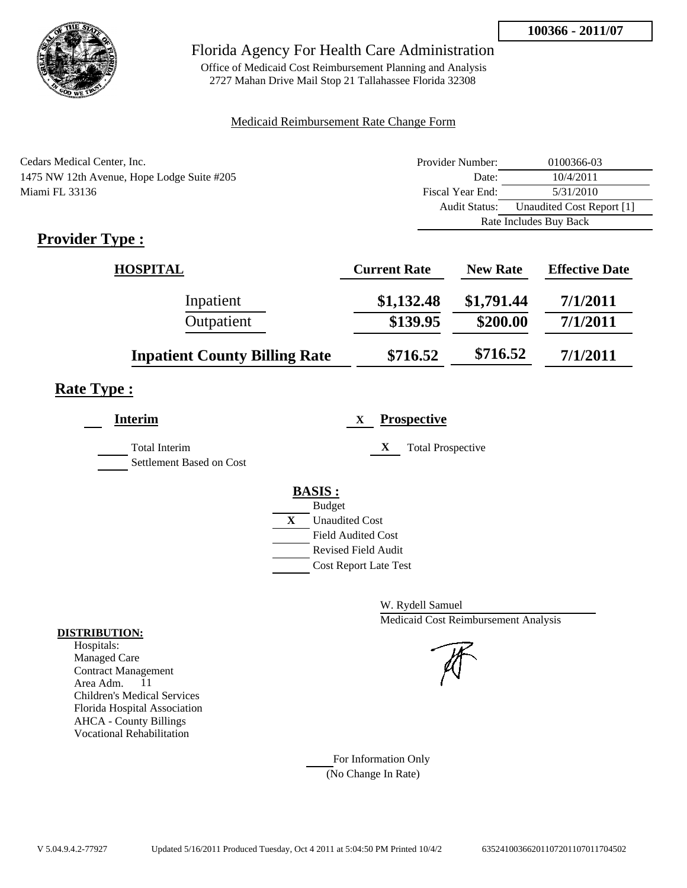

Office of Medicaid Cost Reimbursement Planning and Analysis 2727 Mahan Drive Mail Stop 21 Tallahassee Florida 32308

### Medicaid Reimbursement Rate Change Form

| Cedars Medical Center, Inc.                | Provider Number: | 0100366-03                |
|--------------------------------------------|------------------|---------------------------|
| 1475 NW 12th Avenue, Hope Lodge Suite #205 | Date:            | 10/4/2011                 |
| Miami FL 33136                             | Fiscal Year End: | 5/31/2010                 |
|                                            | Audit Status:    | Unaudited Cost Report [1] |
|                                            |                  | Rate Includes Buy Back    |

# **Provider Type :**

| <b>HOSPITAL</b>                      | <b>Current Rate</b> | <b>New Rate</b> | <b>Effective Date</b> |
|--------------------------------------|---------------------|-----------------|-----------------------|
| Inpatient                            | \$1,132.48          | \$1,791.44      | 7/1/2011              |
| Outpatient                           | \$139.95            | \$200.00        | 7/1/2011              |
| <b>Inpatient County Billing Rate</b> | \$716.52            | \$716.52        | 7/1/2011              |

## **Rate Type :**

| <b>Interim</b>                            | <b>Prospective</b><br>X       |
|-------------------------------------------|-------------------------------|
| Total Interim<br>Settlement Based on Cost | X<br><b>Total Prospective</b> |
|                                           | <b>BASIS:</b>                 |
|                                           | <b>Budget</b>                 |
|                                           | X<br><b>Unaudited Cost</b>    |
|                                           | <b>Field Audited Cost</b>     |
|                                           | Revised Field Audit           |
|                                           | <b>Cost Report Late Test</b>  |
|                                           |                               |

W. Rydell Samuel Medicaid Cost Reimbursement Analysis

For Information Only (No Change In Rate)

#### **DISTRIBUTION:**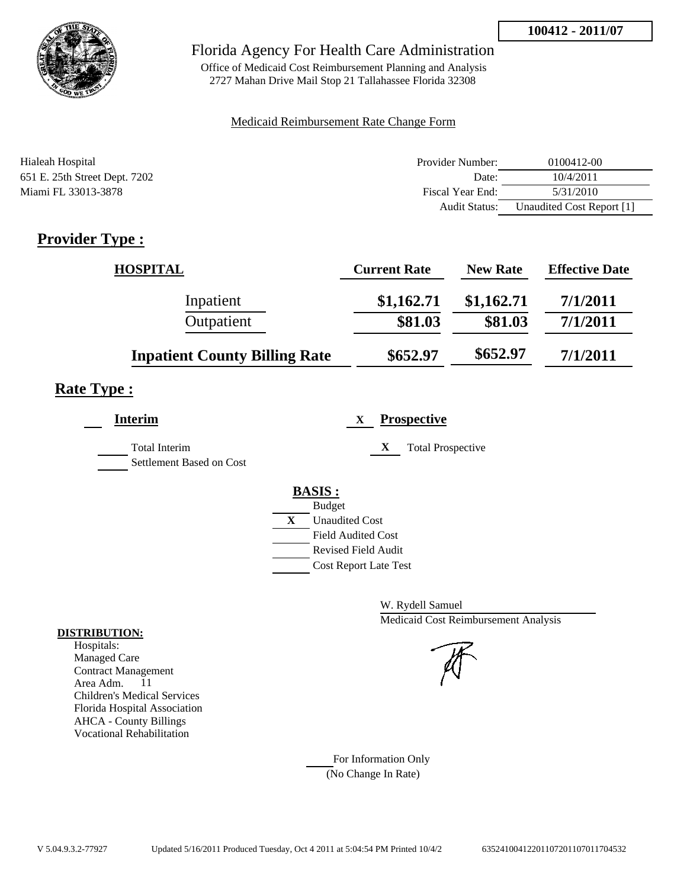

## Florida Agency For Health Care Administration

Office of Medicaid Cost Reimbursement Planning and Analysis 2727 Mahan Drive Mail Stop 21 Tallahassee Florida 32308

#### Medicaid Reimbursement Rate Change Form

| Hialeah Hospital              | Provider Number: | 0100412-00                |
|-------------------------------|------------------|---------------------------|
| 651 E. 25th Street Dept. 7202 | Date:            | 10/4/2011                 |
| Miami FL 33013-3878           | Fiscal Year End: | 5/31/2010                 |
|                               | Audit Status:    | Unaudited Cost Report [1] |

# **Provider Type :**

| <b>HOSPITAL</b>                      | <b>Current Rate</b> | <b>New Rate</b> | <b>Effective Date</b> |
|--------------------------------------|---------------------|-----------------|-----------------------|
| Inpatient                            | \$1,162.71          | \$1,162.71      | 7/1/2011              |
| Outpatient                           | \$81.03             | \$81.03         | 7/1/2011              |
| <b>Inpatient County Billing Rate</b> | \$652.97            | \$652.97        | 7/1/2011              |

# **Rate Type :**

| <b>Interim</b>                                   | <b>Prospective</b><br>X       |
|--------------------------------------------------|-------------------------------|
| <b>Total Interim</b><br>Settlement Based on Cost | <b>Total Prospective</b><br>X |
|                                                  | <b>BASIS:</b>                 |
|                                                  | <b>Budget</b>                 |
|                                                  | X<br><b>Unaudited Cost</b>    |
|                                                  | <b>Field Audited Cost</b>     |
|                                                  | <b>Revised Field Audit</b>    |
|                                                  | <b>Cost Report Late Test</b>  |
|                                                  |                               |

W. Rydell Samuel Medicaid Cost Reimbursement Analysis

For Information Only (No Change In Rate)

#### **DISTRIBUTION:**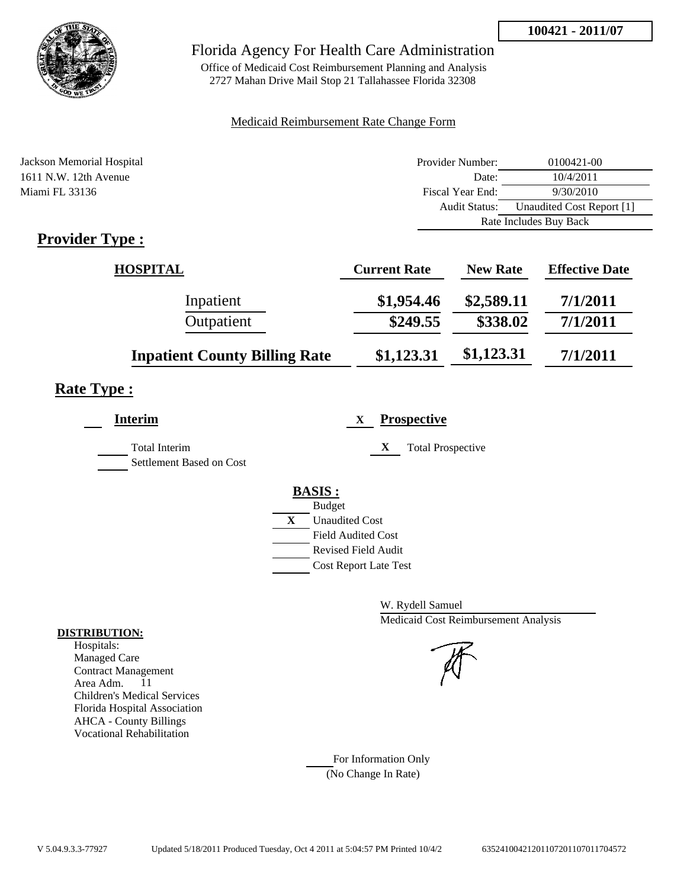

## Florida Agency For Health Care Administration

Office of Medicaid Cost Reimbursement Planning and Analysis 2727 Mahan Drive Mail Stop 21 Tallahassee Florida 32308

### Medicaid Reimbursement Rate Change Form

| Jackson Memorial Hospital  | Provider Number: | 0100421-00                |
|----------------------------|------------------|---------------------------|
| 1611 N.W. 12th Avenue      | Date:            | 10/4/2011                 |
| Miami FL 33136             | Fiscal Year End: | 9/30/2010                 |
|                            | Audit Status:    | Unaudited Cost Report [1] |
|                            |                  | Rate Includes Buy Back    |
| $\cdot$ $\cdot$<br>m<br>T. |                  |                           |

## **Provider Type :**

| <b>HOSPITAL</b>                      | <b>Current Rate</b> | <b>New Rate</b> | <b>Effective Date</b> |
|--------------------------------------|---------------------|-----------------|-----------------------|
| Inpatient                            | \$1,954.46          | \$2,589.11      | 7/1/2011              |
| Outpatient                           | \$249.55            | \$338.02        | 7/1/2011              |
| <b>Inpatient County Billing Rate</b> | \$1,123.31          | \$1,123.31      | 7/1/2011              |

# **Rate Type :**

| Interim                                          | <b>Prospective</b><br>X        |
|--------------------------------------------------|--------------------------------|
| <b>Total Interim</b><br>Settlement Based on Cost | X<br><b>Total Prospective</b>  |
|                                                  |                                |
|                                                  | <b>BASIS:</b><br><b>Budget</b> |
|                                                  | X<br><b>Unaudited Cost</b>     |
|                                                  | <b>Field Audited Cost</b>      |
|                                                  | <b>Revised Field Audit</b>     |
|                                                  | <b>Cost Report Late Test</b>   |
|                                                  |                                |

W. Rydell Samuel Medicaid Cost Reimbursement Analysis

For Information Only (No Change In Rate)

#### **DISTRIBUTION:**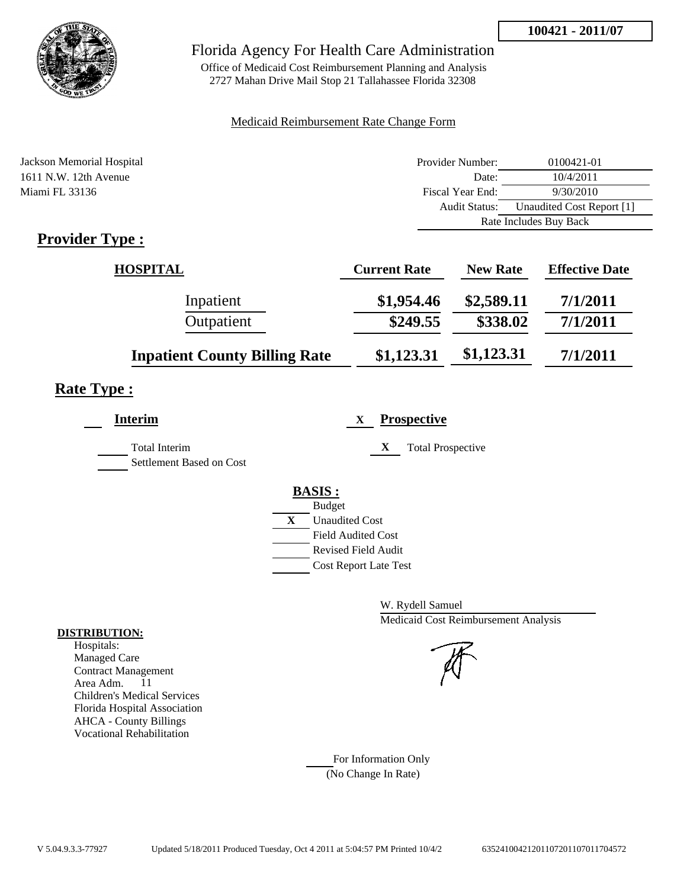

## Florida Agency For Health Care Administration

Office of Medicaid Cost Reimbursement Planning and Analysis 2727 Mahan Drive Mail Stop 21 Tallahassee Florida 32308

### Medicaid Reimbursement Rate Change Form

| Jackson Memorial Hospital  | Provider Number: | 0100421-01                |
|----------------------------|------------------|---------------------------|
| 1611 N.W. 12th Avenue      | Date:            | 10/4/2011                 |
| Miami FL 33136             | Fiscal Year End: | 9/30/2010                 |
|                            | Audit Status:    | Unaudited Cost Report [1] |
|                            |                  | Rate Includes Buy Back    |
| $\cdot$ $\cdot$<br>m<br>T. |                  |                           |

## **Provider Type :**

| <b>HOSPITAL</b>                      | <b>Current Rate</b> | <b>New Rate</b> | <b>Effective Date</b> |
|--------------------------------------|---------------------|-----------------|-----------------------|
| Inpatient                            | \$1,954.46          | \$2,589.11      | 7/1/2011              |
| Outpatient                           | \$249.55            | \$338.02        | 7/1/2011              |
| <b>Inpatient County Billing Rate</b> | \$1,123.31          | \$1,123.31      | 7/1/2011              |

# **Rate Type :**

| <b>Prospective</b><br>X        |
|--------------------------------|
| X<br><b>Total Prospective</b>  |
|                                |
| <b>BASIS:</b><br><b>Budget</b> |
| X<br><b>Unaudited Cost</b>     |
| <b>Field Audited Cost</b>      |
| <b>Revised Field Audit</b>     |
| <b>Cost Report Late Test</b>   |
|                                |

W. Rydell Samuel Medicaid Cost Reimbursement Analysis

For Information Only (No Change In Rate)

#### **DISTRIBUTION:**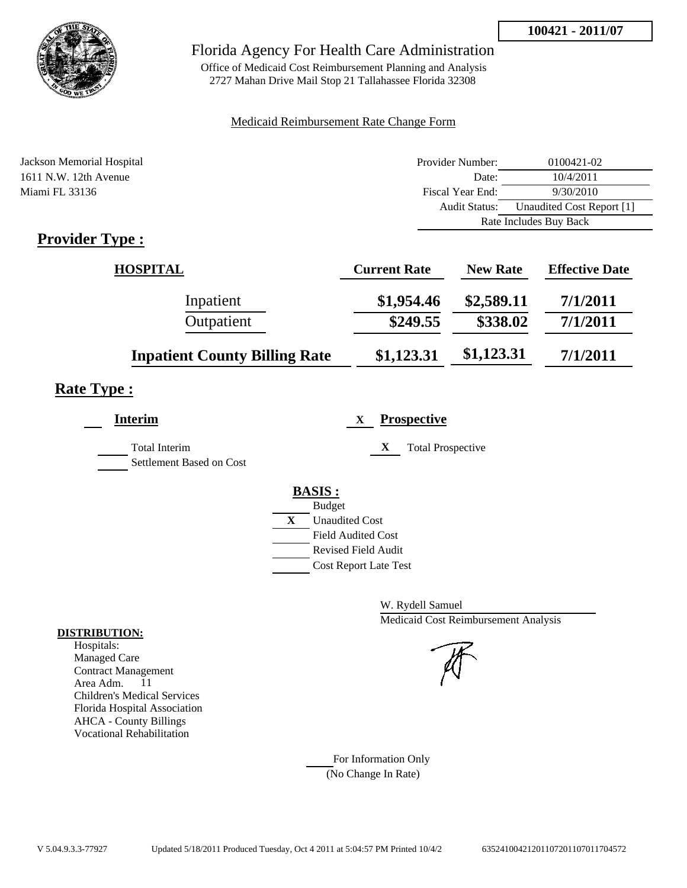

## Florida Agency For Health Care Administration

Office of Medicaid Cost Reimbursement Planning and Analysis 2727 Mahan Drive Mail Stop 21 Tallahassee Florida 32308

### Medicaid Reimbursement Rate Change Form

| Jackson Memorial Hospital  | Provider Number: | 0100421-02                |
|----------------------------|------------------|---------------------------|
| 1611 N.W. 12th Avenue      | Date:            | 10/4/2011                 |
| Miami FL 33136             | Fiscal Year End: | 9/30/2010                 |
|                            | Audit Status:    | Unaudited Cost Report [1] |
|                            |                  | Rate Includes Buy Back    |
| $\cdot$ $\cdot$<br>m<br>T. |                  |                           |

## **Provider Type :**

| <b>HOSPITAL</b>                      | <b>Current Rate</b> | <b>New Rate</b> | <b>Effective Date</b> |
|--------------------------------------|---------------------|-----------------|-----------------------|
| Inpatient                            | \$1,954.46          | \$2,589.11      | 7/1/2011              |
| Outpatient                           | \$249.55            | \$338.02        | 7/1/2011              |
| <b>Inpatient County Billing Rate</b> | \$1,123.31          | \$1,123.31      | 7/1/2011              |

# **Rate Type :**

| <b>Prospective</b><br>X        |
|--------------------------------|
| X<br><b>Total Prospective</b>  |
|                                |
| <b>BASIS:</b><br><b>Budget</b> |
| X<br><b>Unaudited Cost</b>     |
| <b>Field Audited Cost</b>      |
| <b>Revised Field Audit</b>     |
| <b>Cost Report Late Test</b>   |
|                                |

W. Rydell Samuel Medicaid Cost Reimbursement Analysis

For Information Only (No Change In Rate)

#### **DISTRIBUTION:**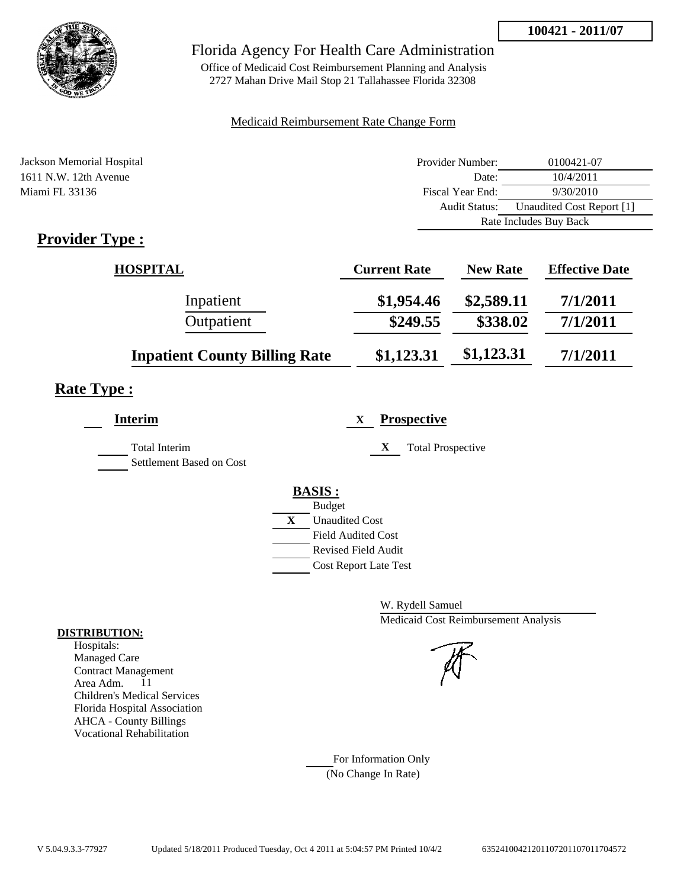

## Florida Agency For Health Care Administration

Office of Medicaid Cost Reimbursement Planning and Analysis 2727 Mahan Drive Mail Stop 21 Tallahassee Florida 32308

### Medicaid Reimbursement Rate Change Form

| Jackson Memorial Hospital  | Provider Number: | 0100421-07                |
|----------------------------|------------------|---------------------------|
| 1611 N.W. 12th Avenue      | Date:            | 10/4/2011                 |
| Miami FL 33136             | Fiscal Year End: | 9/30/2010                 |
|                            | Audit Status:    | Unaudited Cost Report [1] |
|                            |                  | Rate Includes Buy Back    |
| $\cdot$ $\cdot$<br>m<br>T. |                  |                           |

## **Provider Type :**

| <b>HOSPITAL</b>                      | <b>Current Rate</b> | <b>New Rate</b> | <b>Effective Date</b> |
|--------------------------------------|---------------------|-----------------|-----------------------|
| Inpatient                            | \$1,954.46          | \$2,589.11      | 7/1/2011              |
| Outpatient                           | \$249.55            | \$338.02        | 7/1/2011              |
| <b>Inpatient County Billing Rate</b> | \$1,123.31          | \$1,123.31      | 7/1/2011              |

# **Rate Type :**

| <b>Prospective</b><br>X        |
|--------------------------------|
| X<br><b>Total Prospective</b>  |
|                                |
| <b>BASIS:</b><br><b>Budget</b> |
| X<br><b>Unaudited Cost</b>     |
| <b>Field Audited Cost</b>      |
| <b>Revised Field Audit</b>     |
| <b>Cost Report Late Test</b>   |
|                                |

W. Rydell Samuel Medicaid Cost Reimbursement Analysis

For Information Only (No Change In Rate)

#### **DISTRIBUTION:**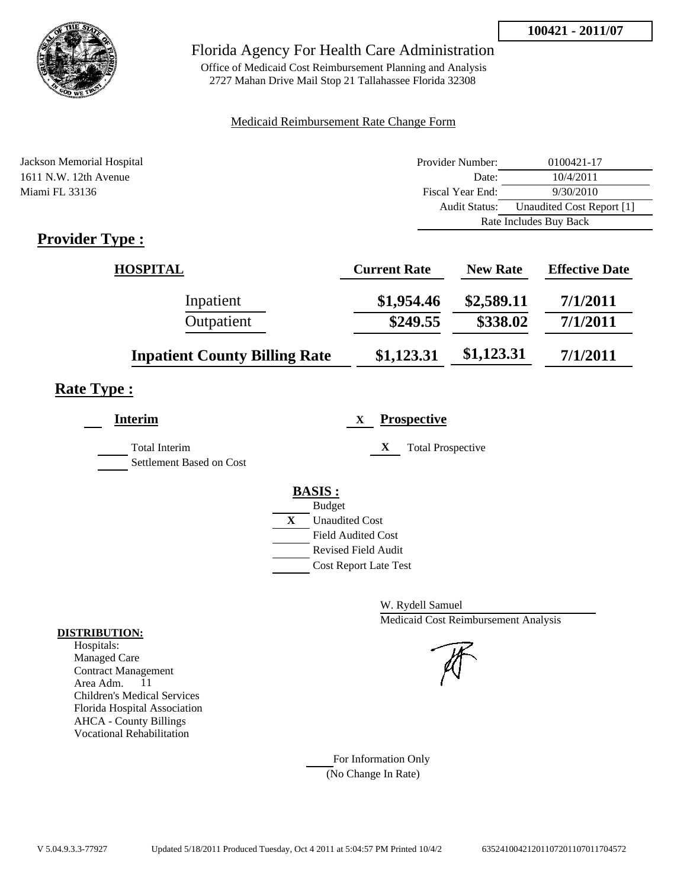

## Florida Agency For Health Care Administration

Office of Medicaid Cost Reimbursement Planning and Analysis 2727 Mahan Drive Mail Stop 21 Tallahassee Florida 32308

### Medicaid Reimbursement Rate Change Form

| Jackson Memorial Hospital                       | Provider Number: | 0100421-17                |
|-------------------------------------------------|------------------|---------------------------|
| 1611 N.W. 12th Avenue                           | Date:            | 10/4/2011                 |
| Miami FL 33136                                  | Fiscal Year End: | 9/30/2010                 |
|                                                 | Audit Status:    | Unaudited Cost Report [1] |
|                                                 |                  | Rate Includes Buy Back    |
| $\bullet$ $\blacksquare$<br>$\blacksquare$<br>m |                  |                           |

## **Provider Type :**

| <b>HOSPITAL</b>                      | <b>Current Rate</b> | <b>New Rate</b> | <b>Effective Date</b> |
|--------------------------------------|---------------------|-----------------|-----------------------|
| Inpatient                            | \$1,954.46          | \$2,589.11      | 7/1/2011              |
| Outpatient                           | \$249.55            | \$338.02        | 7/1/2011              |
| <b>Inpatient County Billing Rate</b> | \$1,123.31          | \$1,123.31      | 7/1/2011              |

# **Rate Type :**

| Interim                                   | <b>Prospective</b><br>X                                 |
|-------------------------------------------|---------------------------------------------------------|
| Total Interim<br>Settlement Based on Cost | X<br><b>Total Prospective</b>                           |
|                                           |                                                         |
|                                           | <b>BASIS:</b><br><b>Budget</b>                          |
|                                           | X<br><b>Unaudited Cost</b><br><b>Field Audited Cost</b> |
|                                           | <b>Revised Field Audit</b>                              |
|                                           | <b>Cost Report Late Test</b>                            |

W. Rydell Samuel Medicaid Cost Reimbursement Analysis

For Information Only (No Change In Rate)

#### **DISTRIBUTION:**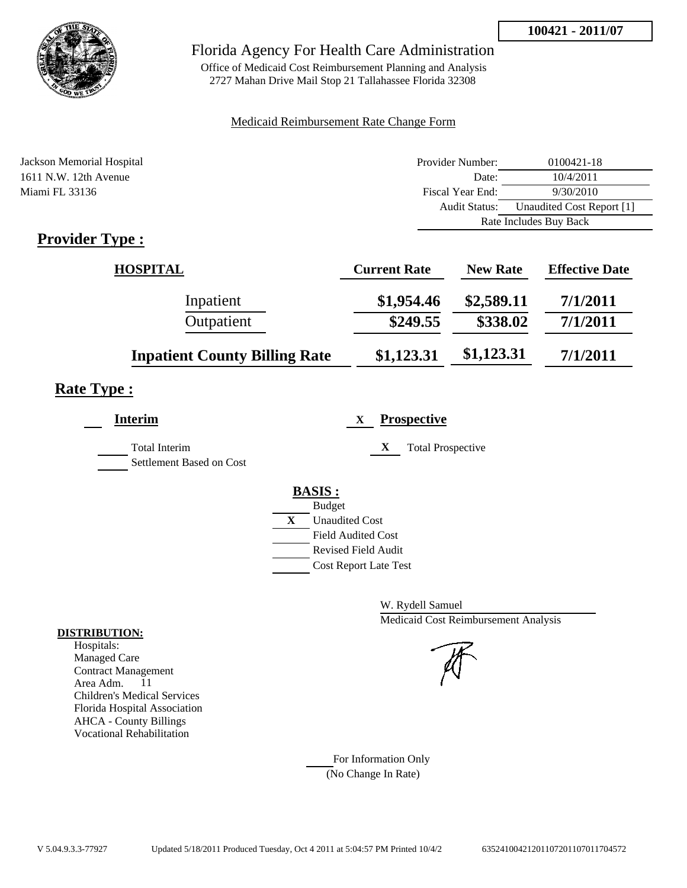

## Florida Agency For Health Care Administration

Office of Medicaid Cost Reimbursement Planning and Analysis 2727 Mahan Drive Mail Stop 21 Tallahassee Florida 32308

### Medicaid Reimbursement Rate Change Form

| Jackson Memorial Hospital  | Provider Number: | 0100421-18                |
|----------------------------|------------------|---------------------------|
| 1611 N.W. 12th Avenue      | Date:            | 10/4/2011                 |
| Miami FL 33136             | Fiscal Year End: | 9/30/2010                 |
|                            | Audit Status:    | Unaudited Cost Report [1] |
|                            |                  | Rate Includes Buy Back    |
| $\cdot$ $\cdot$<br>m<br>T. |                  |                           |

## **Provider Type :**

| <b>HOSPITAL</b>                      | <b>Current Rate</b> | <b>New Rate</b> | <b>Effective Date</b> |
|--------------------------------------|---------------------|-----------------|-----------------------|
| Inpatient                            | \$1,954.46          | \$2,589.11      | 7/1/2011              |
| Outpatient                           | \$249.55            | \$338.02        | 7/1/2011              |
| <b>Inpatient County Billing Rate</b> | \$1,123.31          | \$1,123.31      | 7/1/2011              |

# **Rate Type :**

| <b>Prospective</b><br>X        |
|--------------------------------|
| X<br><b>Total Prospective</b>  |
|                                |
| <b>BASIS:</b><br><b>Budget</b> |
| X<br><b>Unaudited Cost</b>     |
| <b>Field Audited Cost</b>      |
| <b>Revised Field Audit</b>     |
| <b>Cost Report Late Test</b>   |
|                                |

W. Rydell Samuel Medicaid Cost Reimbursement Analysis

For Information Only (No Change In Rate)

#### **DISTRIBUTION:**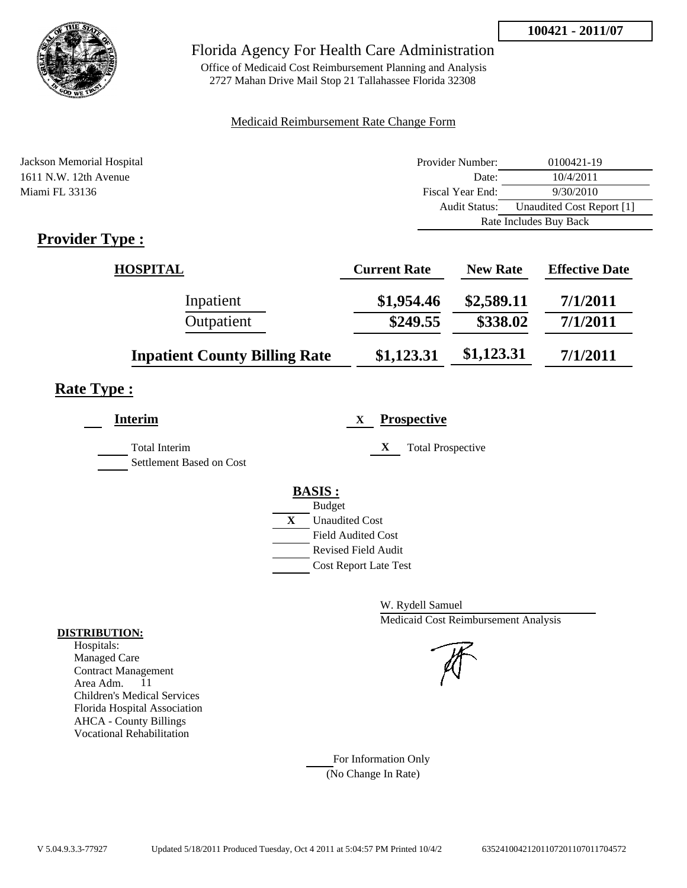

## Florida Agency For Health Care Administration

Office of Medicaid Cost Reimbursement Planning and Analysis 2727 Mahan Drive Mail Stop 21 Tallahassee Florida 32308

### Medicaid Reimbursement Rate Change Form

| Jackson Memorial Hospital                       | Provider Number:     | 0100421-19                |
|-------------------------------------------------|----------------------|---------------------------|
| 1611 N.W. 12th Avenue                           | Date:                | 10/4/2011                 |
| Miami FL 33136                                  | Fiscal Year End:     | 9/30/2010                 |
|                                                 | <b>Audit Status:</b> | Unaudited Cost Report [1] |
|                                                 |                      | Rate Includes Buy Back    |
| $\bullet$ $\blacksquare$<br>$\blacksquare$<br>m |                      |                           |

## **Provider Type :**

| <b>HOSPITAL</b>                      | <b>Current Rate</b> | <b>New Rate</b> | <b>Effective Date</b> |
|--------------------------------------|---------------------|-----------------|-----------------------|
| Inpatient                            | \$1,954.46          | \$2,589.11      | 7/1/2011              |
| Outpatient                           | \$249.55            | \$338.02        | 7/1/2011              |
| <b>Inpatient County Billing Rate</b> | \$1,123.31          | \$1,123.31      | 7/1/2011              |

# **Rate Type :**

| <b>Prospective</b><br>X        |
|--------------------------------|
| X<br><b>Total Prospective</b>  |
|                                |
| <b>BASIS:</b><br><b>Budget</b> |
| X<br><b>Unaudited Cost</b>     |
| <b>Field Audited Cost</b>      |
| <b>Revised Field Audit</b>     |
| <b>Cost Report Late Test</b>   |
|                                |

W. Rydell Samuel Medicaid Cost Reimbursement Analysis

For Information Only (No Change In Rate)

#### **DISTRIBUTION:**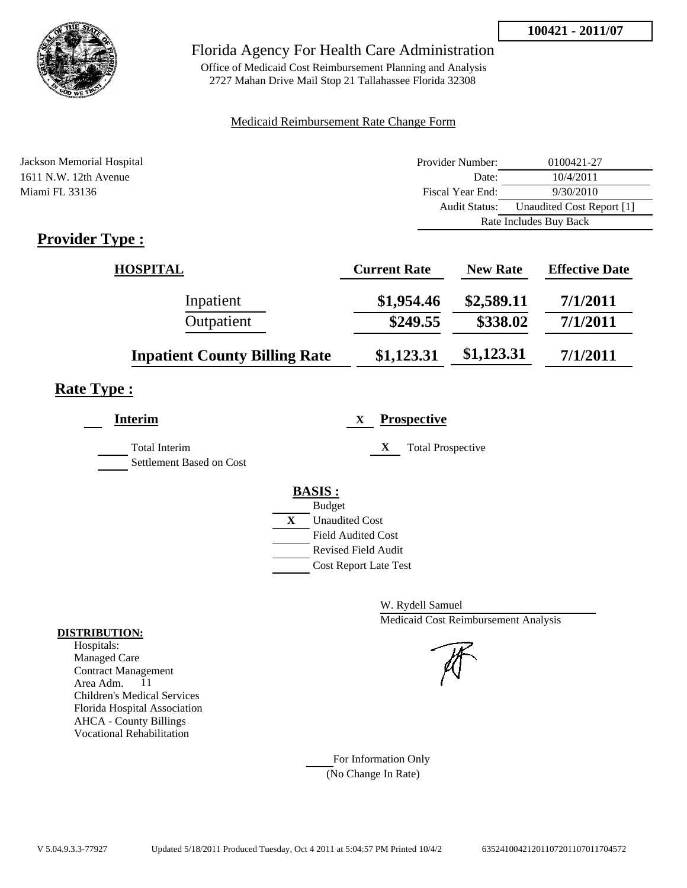

## Florida Agency For Health Care Administration

Office of Medicaid Cost Reimbursement Planning and Analysis 2727 Mahan Drive Mail Stop 21 Tallahassee Florida 32308

### Medicaid Reimbursement Rate Change Form

| Jackson Memorial Hospital  | Provider Number: | 0100421-27                |
|----------------------------|------------------|---------------------------|
| 1611 N.W. 12th Avenue      | Date:            | 10/4/2011                 |
| Miami FL 33136             | Fiscal Year End: | 9/30/2010                 |
|                            | Audit Status:    | Unaudited Cost Report [1] |
|                            |                  | Rate Includes Buy Back    |
| $\cdot$ $\cdot$<br>m<br>T. |                  |                           |

## **Provider Type :**

| <b>HOSPITAL</b>                      | <b>Current Rate</b> | <b>New Rate</b> | <b>Effective Date</b> |
|--------------------------------------|---------------------|-----------------|-----------------------|
| Inpatient                            | \$1,954.46          | \$2,589.11      | 7/1/2011              |
| Outpatient                           | \$249.55            | \$338.02        | 7/1/2011              |
| <b>Inpatient County Billing Rate</b> | \$1,123.31          | \$1,123.31      | 7/1/2011              |

# **Rate Type :**

| <b>Prospective</b><br>X        |
|--------------------------------|
| X<br><b>Total Prospective</b>  |
|                                |
| <b>BASIS:</b><br><b>Budget</b> |
| X<br><b>Unaudited Cost</b>     |
| <b>Field Audited Cost</b>      |
| <b>Revised Field Audit</b>     |
| <b>Cost Report Late Test</b>   |
|                                |

W. Rydell Samuel Medicaid Cost Reimbursement Analysis

For Information Only (No Change In Rate)

#### **DISTRIBUTION:**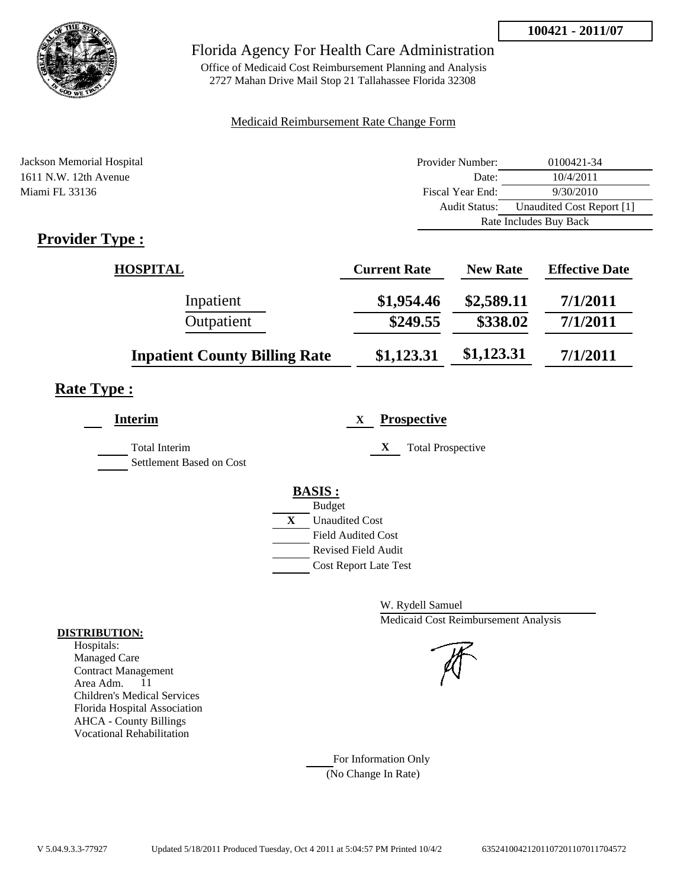

## Florida Agency For Health Care Administration

Office of Medicaid Cost Reimbursement Planning and Analysis 2727 Mahan Drive Mail Stop 21 Tallahassee Florida 32308

### Medicaid Reimbursement Rate Change Form

| Jackson Memorial Hospital  | Provider Number: | 0100421-34                |
|----------------------------|------------------|---------------------------|
| 1611 N.W. 12th Avenue      | Date:            | 10/4/2011                 |
| Miami FL 33136             | Fiscal Year End: | 9/30/2010                 |
|                            | Audit Status:    | Unaudited Cost Report [1] |
|                            |                  | Rate Includes Buy Back    |
| $\cdot$ $\cdot$<br>m<br>T. |                  |                           |

## **Provider Type :**

| <b>HOSPITAL</b>                      | <b>Current Rate</b> | <b>New Rate</b> | <b>Effective Date</b> |
|--------------------------------------|---------------------|-----------------|-----------------------|
| Inpatient                            | \$1,954.46          | \$2,589.11      | 7/1/2011              |
| Outpatient                           | \$249.55            | \$338.02        | 7/1/2011              |
| <b>Inpatient County Billing Rate</b> | \$1,123.31          | \$1,123.31      | 7/1/2011              |

# **Rate Type :**

| Interim                                   | <b>Prospective</b><br>X                                 |
|-------------------------------------------|---------------------------------------------------------|
| Total Interim<br>Settlement Based on Cost | X<br><b>Total Prospective</b>                           |
|                                           |                                                         |
|                                           | <b>BASIS:</b><br><b>Budget</b>                          |
|                                           | X<br><b>Unaudited Cost</b><br><b>Field Audited Cost</b> |
|                                           | <b>Revised Field Audit</b>                              |
|                                           | <b>Cost Report Late Test</b>                            |

W. Rydell Samuel Medicaid Cost Reimbursement Analysis

For Information Only (No Change In Rate)

#### **DISTRIBUTION:**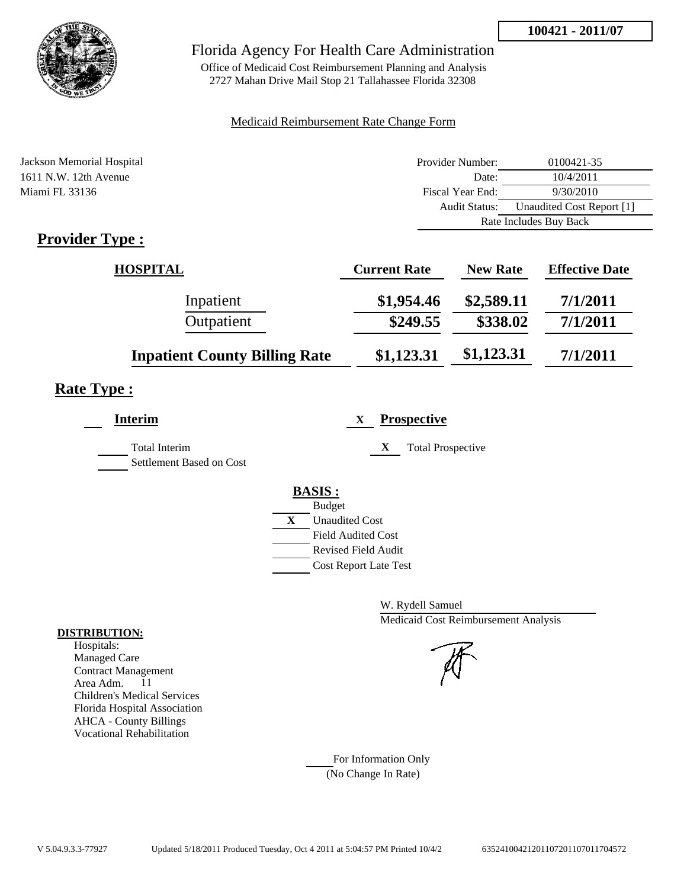

## Florida Agency For Health Care Administration

Office of Medicaid Cost Reimbursement Planning and Analysis 2727 Mahan Drive Mail Stop 21 Tallahassee Florida 32308

### Medicaid Reimbursement Rate Change Form

| Jackson Memorial Hospital | Provider Number: | 0100421-35                |
|---------------------------|------------------|---------------------------|
| 1611 N.W. 12th Avenue     | Date:            | 10/4/2011                 |
| Miami FL 33136            | Fiscal Year End: | 9/30/2010                 |
|                           | Audit Status:    | Unaudited Cost Report [1] |
|                           |                  | Rate Includes Buy Back    |
| $\mathbf n$ $\mathbf n$   |                  |                           |

## **Provider Type :**

| <b>HOSPITAL</b>                      | <b>Current Rate</b> | <b>New Rate</b> | <b>Effective Date</b> |
|--------------------------------------|---------------------|-----------------|-----------------------|
| Inpatient                            | \$1,954.46          | \$2,589.11      | 7/1/2011              |
| Outpatient                           | \$249.55            | \$338.02        | 7/1/2011              |
| <b>Inpatient County Billing Rate</b> | \$1,123.31          | \$1,123.31      | 7/1/2011              |

# **Rate Type :**

| <b>Prospective</b><br>X        |
|--------------------------------|
| X<br><b>Total Prospective</b>  |
|                                |
| <b>BASIS:</b><br><b>Budget</b> |
| X<br><b>Unaudited Cost</b>     |
| <b>Field Audited Cost</b>      |
| <b>Revised Field Audit</b>     |
| <b>Cost Report Late Test</b>   |
|                                |

W. Rydell Samuel Medicaid Cost Reimbursement Analysis

For Information Only (No Change In Rate)

#### **DISTRIBUTION:**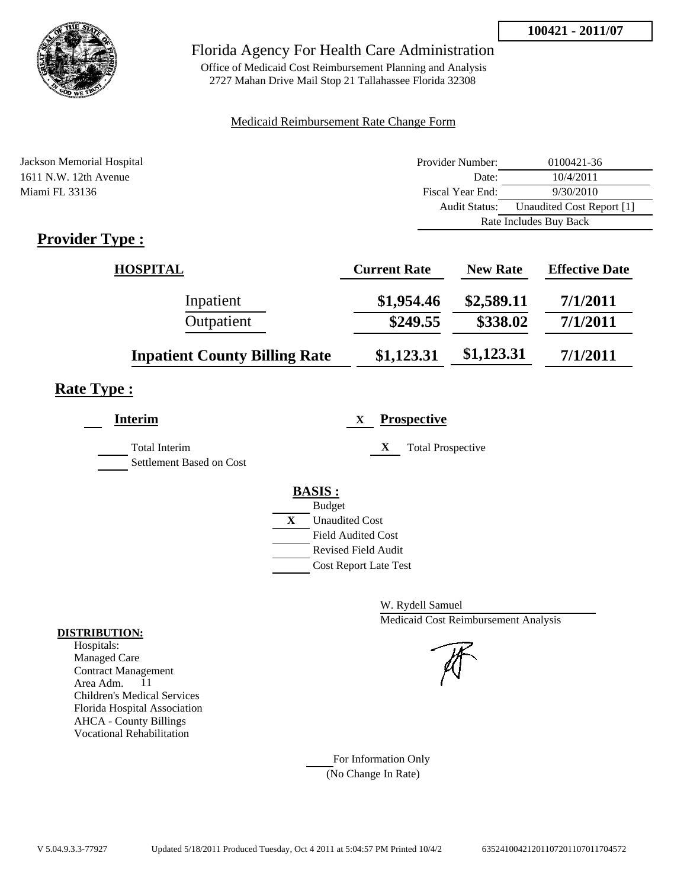

## Florida Agency For Health Care Administration

Office of Medicaid Cost Reimbursement Planning and Analysis 2727 Mahan Drive Mail Stop 21 Tallahassee Florida 32308

### Medicaid Reimbursement Rate Change Form

| Jackson Memorial Hospital | Provider Number: | 0100421-36                |
|---------------------------|------------------|---------------------------|
| 1611 N.W. 12th Avenue     | Date:            | 10/4/2011                 |
| Miami FL 33136            | Fiscal Year End: | 9/30/2010                 |
|                           | Audit Status:    | Unaudited Cost Report [1] |
|                           |                  | Rate Includes Buy Back    |
| $\cdot$ 1<br>m<br>T.      |                  |                           |

## **Provider Type :**

| <b>HOSPITAL</b>                      | <b>Current Rate</b> | <b>New Rate</b> | <b>Effective Date</b> |
|--------------------------------------|---------------------|-----------------|-----------------------|
| Inpatient                            | \$1,954.46          | \$2,589.11      | 7/1/2011              |
| Outpatient                           | \$249.55            | \$338.02        | 7/1/2011              |
| <b>Inpatient County Billing Rate</b> | \$1,123.31          | \$1,123.31      | 7/1/2011              |

# **Rate Type :**

| <b>Interim</b>           | <b>Prospective</b><br>X       |
|--------------------------|-------------------------------|
| <b>Total Interim</b>     | X<br><b>Total Prospective</b> |
| Settlement Based on Cost |                               |
|                          | <b>BASIS:</b>                 |
|                          | <b>Budget</b>                 |
|                          | X<br><b>Unaudited Cost</b>    |
|                          | <b>Field Audited Cost</b>     |
|                          | <b>Revised Field Audit</b>    |
|                          | <b>Cost Report Late Test</b>  |

W. Rydell Samuel Medicaid Cost Reimbursement Analysis

For Information Only (No Change In Rate)

#### **DISTRIBUTION:**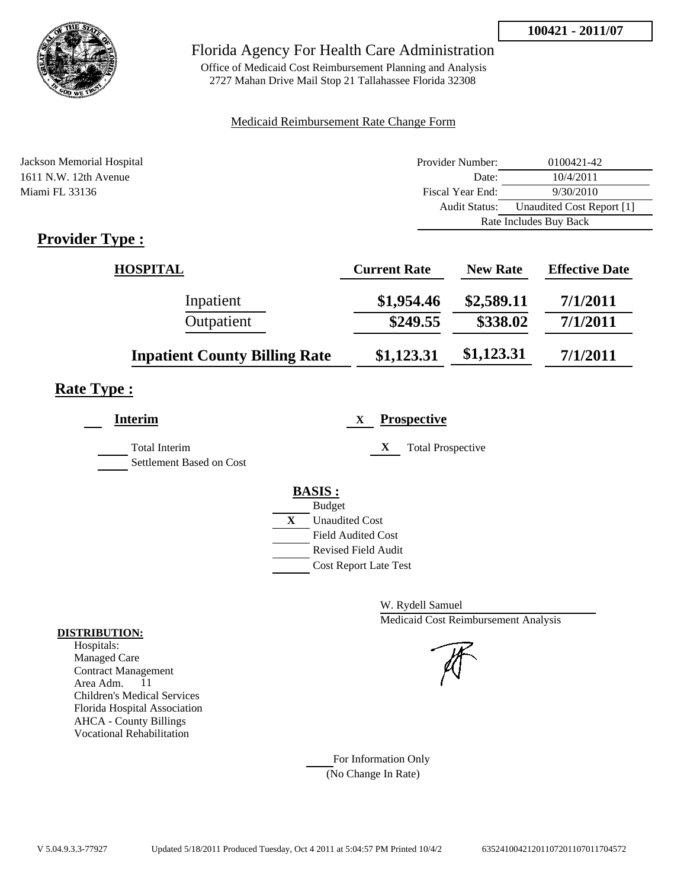

## Florida Agency For Health Care Administration

Office of Medicaid Cost Reimbursement Planning and Analysis 2727 Mahan Drive Mail Stop 21 Tallahassee Florida 32308

### Medicaid Reimbursement Rate Change Form

| Jackson Memorial Hospital  | Provider Number: | 0100421-42                |
|----------------------------|------------------|---------------------------|
| 1611 N.W. 12th Avenue      | Date:            | 10/4/2011                 |
| Miami FL 33136             | Fiscal Year End: | 9/30/2010                 |
|                            | Audit Status:    | Unaudited Cost Report [1] |
|                            |                  | Rate Includes Buy Back    |
| $\cdot$ $\cdot$<br>m<br>T. |                  |                           |

## **Provider Type :**

| <b>HOSPITAL</b>                      | <b>Current Rate</b> | <b>New Rate</b> | <b>Effective Date</b> |
|--------------------------------------|---------------------|-----------------|-----------------------|
| Inpatient                            | \$1,954.46          | \$2,589.11      | 7/1/2011              |
| Outpatient                           | \$249.55            | \$338.02        | 7/1/2011              |
| <b>Inpatient County Billing Rate</b> | \$1,123.31          | \$1,123.31      | 7/1/2011              |

# **Rate Type :**

| <b>Prospective</b><br>X        |
|--------------------------------|
| X<br><b>Total Prospective</b>  |
|                                |
| <b>BASIS:</b><br><b>Budget</b> |
| X<br><b>Unaudited Cost</b>     |
| <b>Field Audited Cost</b>      |
| <b>Revised Field Audit</b>     |
| <b>Cost Report Late Test</b>   |
|                                |

W. Rydell Samuel Medicaid Cost Reimbursement Analysis

For Information Only (No Change In Rate)

#### **DISTRIBUTION:**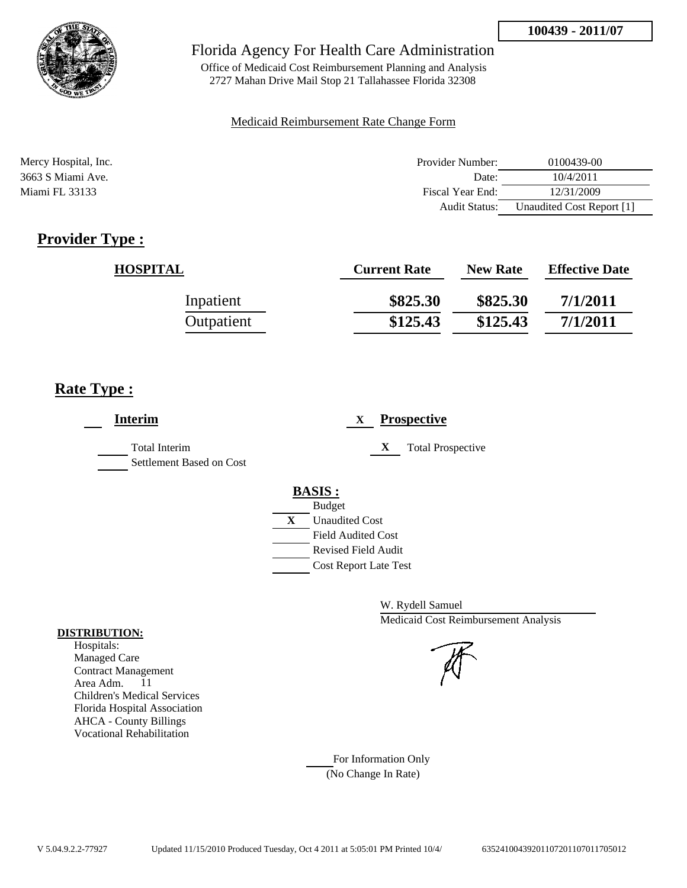

Office of Medicaid Cost Reimbursement Planning and Analysis 2727 Mahan Drive Mail Stop 21 Tallahassee Florida 32308

#### Medicaid Reimbursement Rate Change Form

| Mercy Hospital, Inc. | Provider Number:     | 0100439-00                |
|----------------------|----------------------|---------------------------|
| 3663 S Miami Ave.    | Date:                | 10/4/2011                 |
| Miami FL 33133       | Fiscal Year End:     | 12/31/2009                |
|                      | <b>Audit Status:</b> | Unaudited Cost Report [1] |

# **Provider Type :**

| <b>HOSPITAL</b> | <b>Current Rate</b> | <b>New Rate</b> | <b>Effective Date</b> |
|-----------------|---------------------|-----------------|-----------------------|
| Inpatient       | \$825.30            | \$825.30        | 7/1/2011              |
| Outpatient      | \$125.43            | \$125.43        | 7/1/2011              |

## **Rate Type :**

| <b>Interim</b>                            | <b>Prospective</b><br>X.                                                                                                                         |
|-------------------------------------------|--------------------------------------------------------------------------------------------------------------------------------------------------|
| Total Interim<br>Settlement Based on Cost | X<br><b>Total Prospective</b>                                                                                                                    |
|                                           | <b>BASIS:</b><br><b>Budget</b><br>X<br><b>Unaudited Cost</b><br><b>Field Audited Cost</b><br>Revised Field Audit<br><b>Cost Report Late Test</b> |

W. Rydell Samuel Medicaid Cost Reimbursement Analysis

For Information Only (No Change In Rate)

#### **DISTRIBUTION:**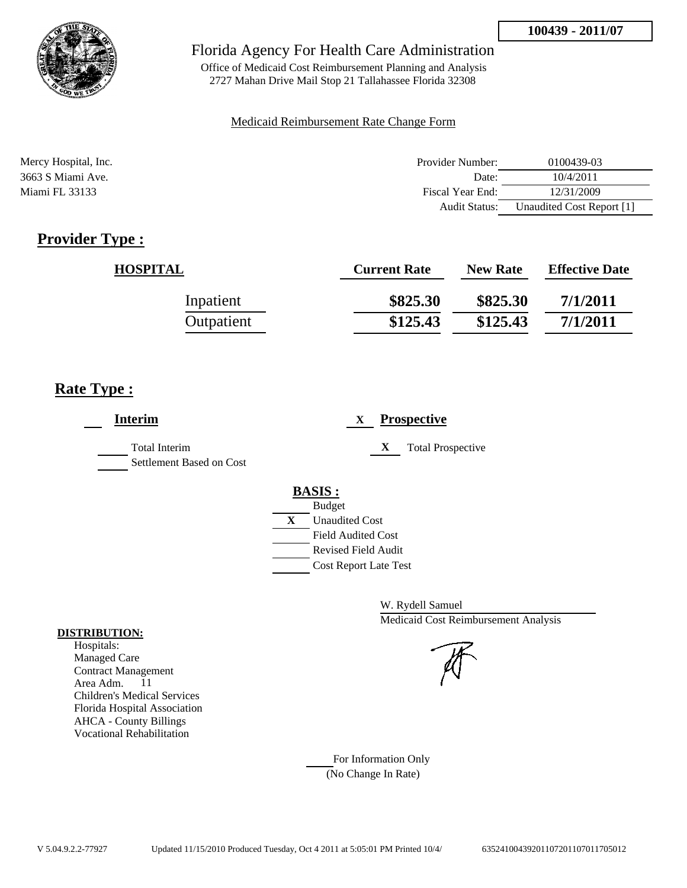

Office of Medicaid Cost Reimbursement Planning and Analysis 2727 Mahan Drive Mail Stop 21 Tallahassee Florida 32308

#### Medicaid Reimbursement Rate Change Form

| Mercy Hospital, Inc. | Provider Number:     | 0100439-03                |
|----------------------|----------------------|---------------------------|
| 3663 S Miami Ave.    | Date:                | 10/4/2011                 |
| Miami FL 33133       | Fiscal Year End:     | 12/31/2009                |
|                      | <b>Audit Status:</b> | Unaudited Cost Report [1] |

# **Provider Type :**

| <b>HOSPITAL</b> | <b>Current Rate</b> | <b>New Rate</b> | <b>Effective Date</b> |
|-----------------|---------------------|-----------------|-----------------------|
| Inpatient       | \$825.30            | \$825.30        | 7/1/2011              |
| Outpatient      | \$125.43            | \$125.43        | 7/1/2011              |

## **Rate Type :**

| <b>Interim</b>                            | <b>Prospective</b><br>X                                                                                                                          |
|-------------------------------------------|--------------------------------------------------------------------------------------------------------------------------------------------------|
| Total Interim<br>Settlement Based on Cost | X<br><b>Total Prospective</b>                                                                                                                    |
|                                           | <b>BASIS:</b><br><b>Budget</b><br>X<br><b>Unaudited Cost</b><br><b>Field Audited Cost</b><br>Revised Field Audit<br><b>Cost Report Late Test</b> |

W. Rydell Samuel Medicaid Cost Reimbursement Analysis

For Information Only (No Change In Rate)

#### **DISTRIBUTION:**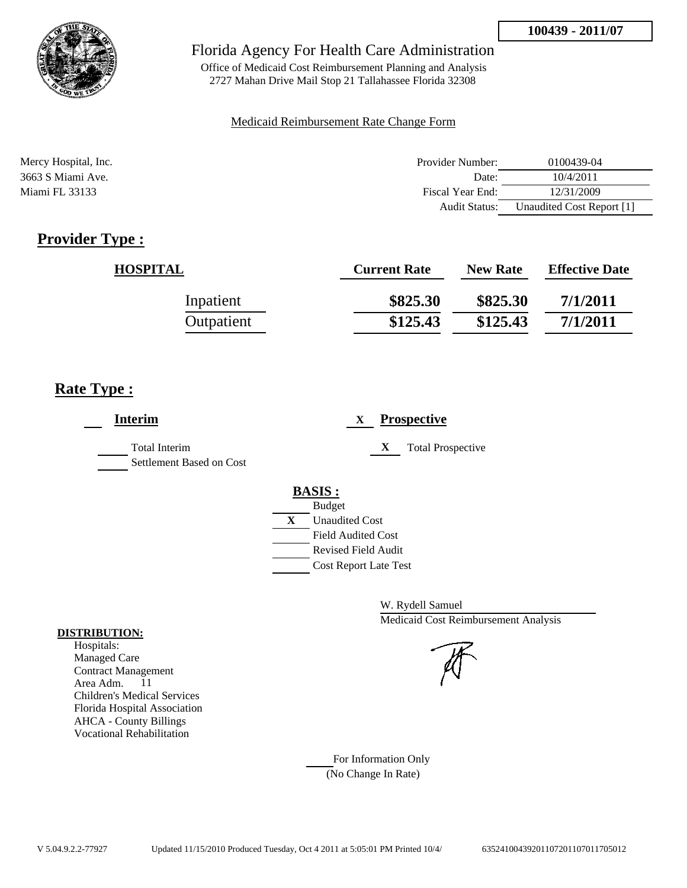

Office of Medicaid Cost Reimbursement Planning and Analysis 2727 Mahan Drive Mail Stop 21 Tallahassee Florida 32308

#### Medicaid Reimbursement Rate Change Form

| Mercy Hospital, Inc. | Provider Number:     | 0100439-04                |
|----------------------|----------------------|---------------------------|
| 3663 S Miami Ave.    | Date:                | 10/4/2011                 |
| Miami FL 33133       | Fiscal Year End:     | 12/31/2009                |
|                      | <b>Audit Status:</b> | Unaudited Cost Report [1] |

# **Provider Type :**

| <b>HOSPITAL</b> | <b>Current Rate</b> | <b>New Rate</b> | <b>Effective Date</b> |
|-----------------|---------------------|-----------------|-----------------------|
| Inpatient       | \$825.30            | \$825.30        | 7/1/2011              |
| Outpatient      | \$125.43            | \$125.43        | 7/1/2011              |

## **Rate Type :**

| <b>Interim</b>                            | <b>Prospective</b><br>X                                                                                                                          |
|-------------------------------------------|--------------------------------------------------------------------------------------------------------------------------------------------------|
| Total Interim<br>Settlement Based on Cost | X<br><b>Total Prospective</b>                                                                                                                    |
|                                           | <b>BASIS:</b><br><b>Budget</b><br>X<br><b>Unaudited Cost</b><br><b>Field Audited Cost</b><br>Revised Field Audit<br><b>Cost Report Late Test</b> |

W. Rydell Samuel Medicaid Cost Reimbursement Analysis

For Information Only (No Change In Rate)

#### **DISTRIBUTION:**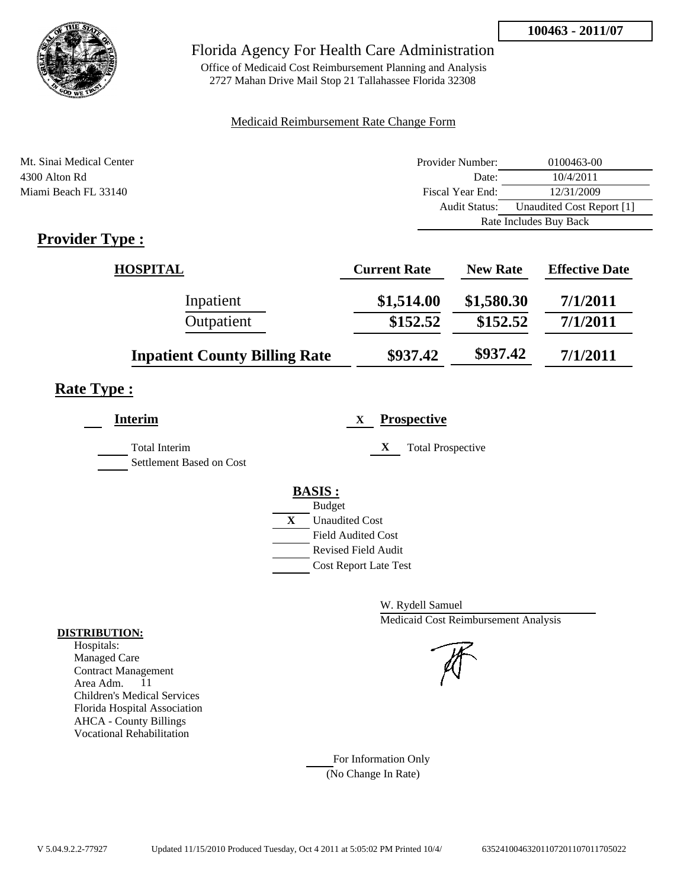

Office of Medicaid Cost Reimbursement Planning and Analysis 2727 Mahan Drive Mail Stop 21 Tallahassee Florida 32308

### Medicaid Reimbursement Rate Change Form

| Mt. Sinai Medical Center | Provider Number: | 0100463-00                |  |
|--------------------------|------------------|---------------------------|--|
| 4300 Alton Rd            | Date:            | 10/4/2011                 |  |
| Miami Beach FL 33140     | Fiscal Year End: | 12/31/2009                |  |
|                          | Audit Status:    | Unaudited Cost Report [1] |  |
|                          |                  | Rate Includes Buy Back    |  |

# **Provider Type :**

| <b>HOSPITAL</b>                      | <b>Current Rate</b> | <b>New Rate</b> | <b>Effective Date</b> |
|--------------------------------------|---------------------|-----------------|-----------------------|
| Inpatient                            | \$1,514.00          | \$1,580.30      | 7/1/2011              |
| Outpatient                           | \$152.52            | \$152.52        | 7/1/2011              |
| <b>Inpatient County Billing Rate</b> | \$937.42            | \$937.42        | 7/1/2011              |

# **Rate Type :**

| <b>Interim</b>                                   | <b>Prospective</b><br>X       |
|--------------------------------------------------|-------------------------------|
| <b>Total Interim</b><br>Settlement Based on Cost | X<br><b>Total Prospective</b> |
|                                                  | <b>BASIS:</b>                 |
|                                                  | <b>Budget</b>                 |
|                                                  | X<br><b>Unaudited Cost</b>    |
|                                                  | <b>Field Audited Cost</b>     |
|                                                  | <b>Revised Field Audit</b>    |
|                                                  | <b>Cost Report Late Test</b>  |
|                                                  |                               |

W. Rydell Samuel Medicaid Cost Reimbursement Analysis

For Information Only (No Change In Rate)

#### **DISTRIBUTION:**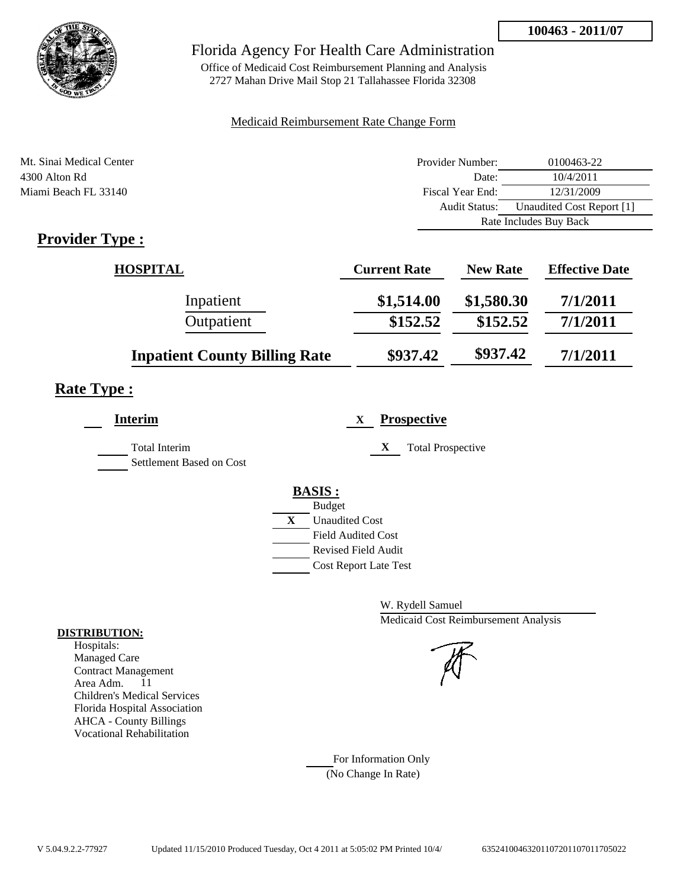

Office of Medicaid Cost Reimbursement Planning and Analysis 2727 Mahan Drive Mail Stop 21 Tallahassee Florida 32308

### Medicaid Reimbursement Rate Change Form

| Mt. Sinai Medical Center | Provider Number:     | 0100463-22                |
|--------------------------|----------------------|---------------------------|
| 4300 Alton Rd            | Date:                | 10/4/2011                 |
| Miami Beach FL 33140     | Fiscal Year End:     | 12/31/2009                |
|                          | <b>Audit Status:</b> | Unaudited Cost Report [1] |
|                          |                      | Rate Includes Buy Back    |

# **Provider Type :**

| <b>HOSPITAL</b>                      | <b>Current Rate</b> | <b>New Rate</b> | <b>Effective Date</b> |
|--------------------------------------|---------------------|-----------------|-----------------------|
| Inpatient                            | \$1,514.00          | \$1,580.30      | 7/1/2011              |
| Outpatient                           | \$152.52            | \$152.52        | 7/1/2011              |
| <b>Inpatient County Billing Rate</b> | \$937.42            | \$937.42        | 7/1/2011              |

# **Rate Type :**

| <b>Interim</b>                                   | <b>Prospective</b><br>X       |
|--------------------------------------------------|-------------------------------|
| <b>Total Interim</b><br>Settlement Based on Cost | X<br><b>Total Prospective</b> |
|                                                  | <b>BASIS:</b>                 |
|                                                  | <b>Budget</b>                 |
|                                                  | X<br><b>Unaudited Cost</b>    |
|                                                  | <b>Field Audited Cost</b>     |
|                                                  | <b>Revised Field Audit</b>    |
|                                                  | <b>Cost Report Late Test</b>  |
|                                                  |                               |

W. Rydell Samuel Medicaid Cost Reimbursement Analysis

For Information Only (No Change In Rate)

#### **DISTRIBUTION:**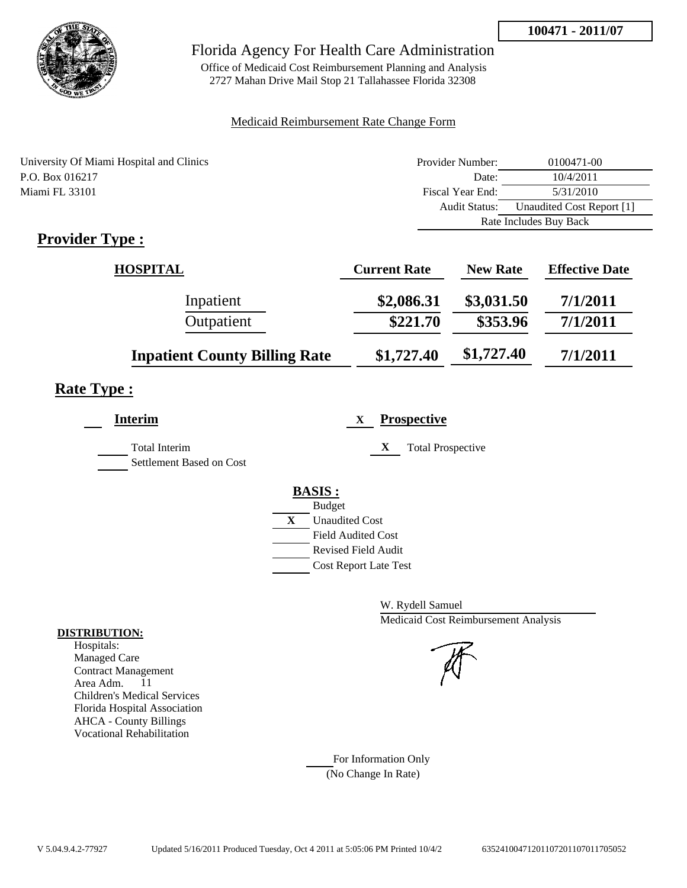

Office of Medicaid Cost Reimbursement Planning and Analysis 2727 Mahan Drive Mail Stop 21 Tallahassee Florida 32308

### Medicaid Reimbursement Rate Change Form

| University Of Miami Hospital and Clinics | Provider Number: | 0100471-00                |
|------------------------------------------|------------------|---------------------------|
| P.O. Box 016217                          | Date:            | 10/4/2011                 |
| Miami FL 33101                           | Fiscal Year End: | 5/31/2010                 |
|                                          | Audit Status:    | Unaudited Cost Report [1] |
|                                          |                  | Rate Includes Buy Back    |
| $\mathbf{n}$ . The set of $\mathbf{n}$   |                  |                           |

## **Provider Type :**

| <b>HOSPITAL</b>                      | <b>Current Rate</b> | <b>New Rate</b> | <b>Effective Date</b> |
|--------------------------------------|---------------------|-----------------|-----------------------|
| Inpatient                            | \$2,086.31          | \$3,031.50      | 7/1/2011              |
| Outpatient                           | \$221.70            | \$353.96        | 7/1/2011              |
| <b>Inpatient County Billing Rate</b> | \$1,727.40          | \$1,727.40      | 7/1/2011              |

## **Rate Type :**

| <b>Prospective</b><br>X               |
|---------------------------------------|
| X<br><b>Total Prospective</b>         |
| <b>BASIS:</b>                         |
| <b>Budget</b>                         |
| $\mathbf{X}$<br><b>Unaudited Cost</b> |
| Field Audited Cost                    |
| Revised Field Audit                   |
| <b>Cost Report Late Test</b>          |
|                                       |

W. Rydell Samuel Medicaid Cost Reimbursement Analysis

For Information Only (No Change In Rate)

#### **DISTRIBUTION:**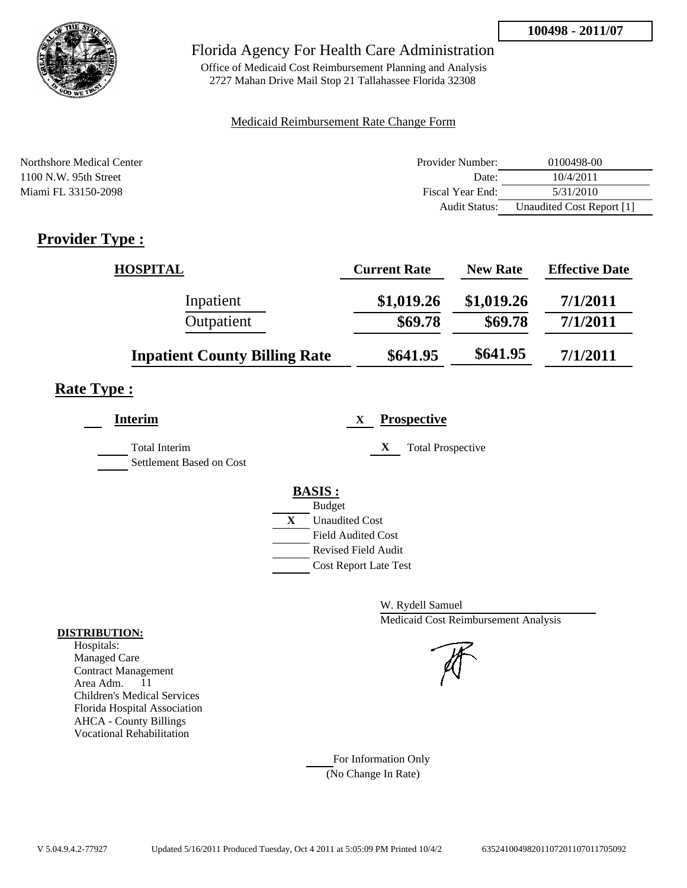

Office of Medicaid Cost Reimbursement Planning and Analysis 2727 Mahan Drive Mail Stop 21 Tallahassee Florida 32308

### Medicaid Reimbursement Rate Change Form

| Northshore Medical Center | Provider Number: | 0100498-00                |
|---------------------------|------------------|---------------------------|
| $1100$ N.W. 95th Street   | Date:            | 10/4/2011                 |
| Miami FL 33150-2098       | Fiscal Year End: | 5/31/2010                 |
|                           | Audit Status:    | Unaudited Cost Report [1] |

# **Provider Type :**

| <b>HOSPITAL</b>                      | <b>Current Rate</b> | <b>New Rate</b> | <b>Effective Date</b> |
|--------------------------------------|---------------------|-----------------|-----------------------|
| Inpatient                            | \$1,019.26          | \$1,019.26      | 7/1/2011              |
| Outpatient                           | \$69.78             | \$69.78         | 7/1/2011              |
| <b>Inpatient County Billing Rate</b> | \$641.95            | \$641.95        | 7/1/2011              |

## **Rate Type :**

| <b>Interim</b>                                   | <b>Prospective</b><br>X                                                                                                                   |
|--------------------------------------------------|-------------------------------------------------------------------------------------------------------------------------------------------|
| <b>Total Interim</b><br>Settlement Based on Cost | <b>Total Prospective</b><br>$\mathbf X$                                                                                                   |
|                                                  | <b>BASIS:</b><br><b>Budget</b><br>X<br><b>Unaudited Cost</b><br>Field Audited Cost<br>Revised Field Audit<br><b>Cost Report Late Test</b> |

W. Rydell Samuel Medicaid Cost Reimbursement Analysis

For Information Only (No Change In Rate)

#### **DISTRIBUTION:**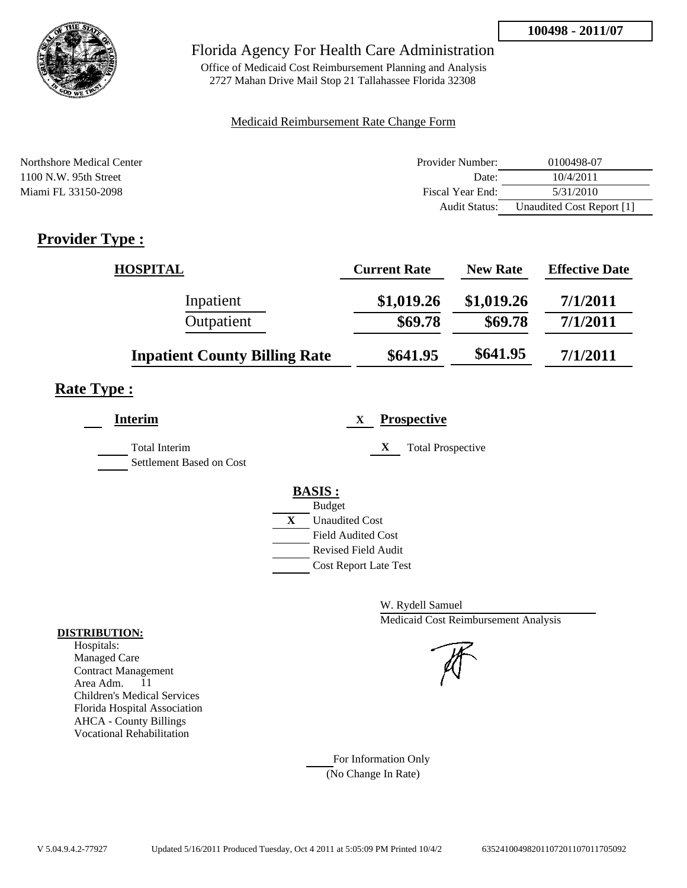

Office of Medicaid Cost Reimbursement Planning and Analysis 2727 Mahan Drive Mail Stop 21 Tallahassee Florida 32308

### Medicaid Reimbursement Rate Change Form

| Northshore Medical Center | Provider Number: | 0100498-07                |
|---------------------------|------------------|---------------------------|
| $1100$ N.W. 95th Street   | Date:            | 10/4/2011                 |
| Miami FL 33150-2098       | Fiscal Year End: | 5/31/2010                 |
|                           | Audit Status:    | Unaudited Cost Report [1] |

# **Provider Type :**

| <b>HOSPITAL</b>                      | <b>Current Rate</b> | <b>New Rate</b> | <b>Effective Date</b> |
|--------------------------------------|---------------------|-----------------|-----------------------|
| Inpatient                            | \$1,019.26          | \$1,019.26      | 7/1/2011              |
| Outpatient                           | \$69.78             | \$69.78         | 7/1/2011              |
| <b>Inpatient County Billing Rate</b> | \$641.95            | \$641.95        | 7/1/2011              |

## **Rate Type :**

| <b>Interim</b>                                   | <b>Prospective</b><br>X                                                                                          |
|--------------------------------------------------|------------------------------------------------------------------------------------------------------------------|
| <b>Total Interim</b><br>Settlement Based on Cost | <b>Total Prospective</b><br>X                                                                                    |
|                                                  | <b>BASIS:</b><br><b>Budget</b><br>X<br><b>Unaudited Cost</b><br><b>Field Audited Cost</b><br>Revised Field Audit |
|                                                  | <b>Cost Report Late Test</b>                                                                                     |

W. Rydell Samuel Medicaid Cost Reimbursement Analysis

For Information Only (No Change In Rate)

#### **DISTRIBUTION:**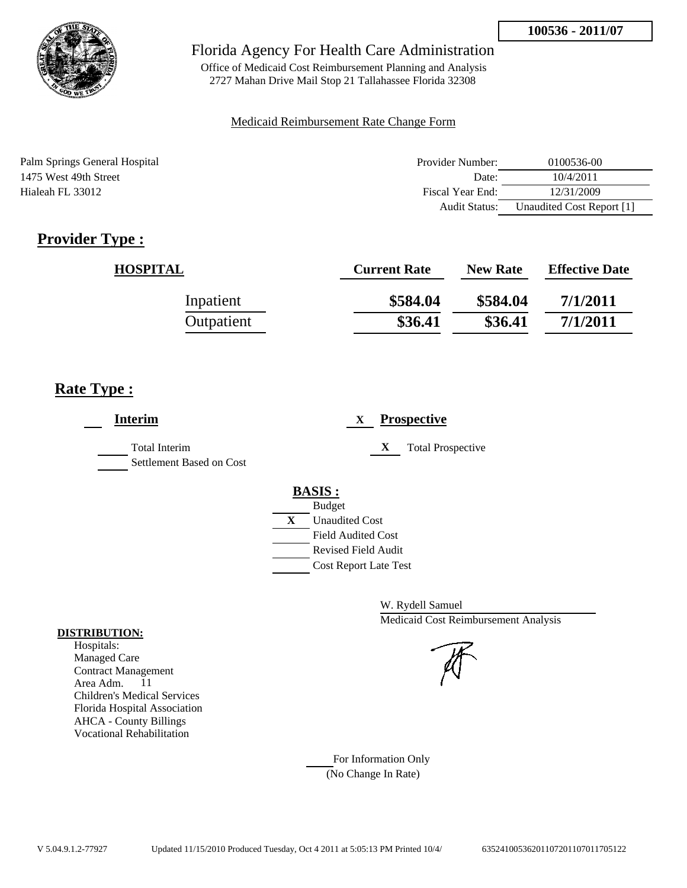

Office of Medicaid Cost Reimbursement Planning and Analysis 2727 Mahan Drive Mail Stop 21 Tallahassee Florida 32308

### Medicaid Reimbursement Rate Change Form

| Palm Springs General Hospital | Provider Number: | 0100536-00                |
|-------------------------------|------------------|---------------------------|
| 1475 West 49th Street         | Date:            | 10/4/2011                 |
| Hialeah FL 33012              | Fiscal Year End: | 12/31/2009                |
|                               | Audit Status:    | Unaudited Cost Report [1] |

# **Provider Type :**

| <b>HOSPITAL</b> | <b>Current Rate</b> | <b>New Rate</b> | <b>Effective Date</b> |
|-----------------|---------------------|-----------------|-----------------------|
| Inpatient       | \$584.04            | \$584.04        | 7/1/2011              |
| Outpatient      | \$36.41             | \$36.41         | 7/1/2011              |

## **Rate Type :**

| <b>Interim</b>                            | <b>Prospective</b><br>X                                                                                                                                 |
|-------------------------------------------|---------------------------------------------------------------------------------------------------------------------------------------------------------|
| Total Interim<br>Settlement Based on Cost | X<br><b>Total Prospective</b>                                                                                                                           |
|                                           | <b>BASIS:</b><br><b>Budget</b><br>X<br><b>Unaudited Cost</b><br><b>Field Audited Cost</b><br><b>Revised Field Audit</b><br><b>Cost Report Late Test</b> |

W. Rydell Samuel Medicaid Cost Reimbursement Analysis

For Information Only (No Change In Rate)

#### **DISTRIBUTION:**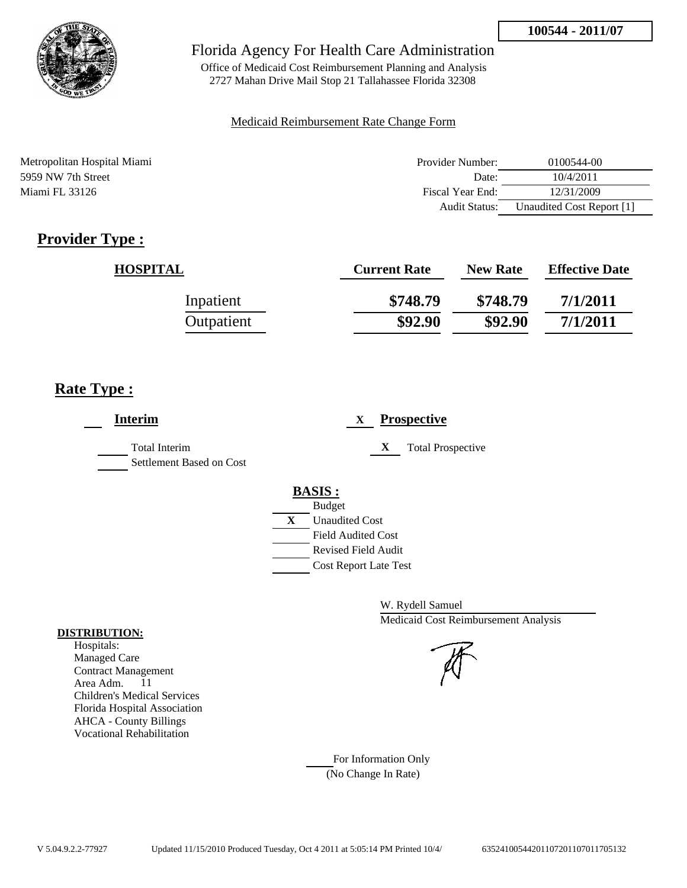

Office of Medicaid Cost Reimbursement Planning and Analysis 2727 Mahan Drive Mail Stop 21 Tallahassee Florida 32308

### Medicaid Reimbursement Rate Change Form

| Metropolitan Hospital Miami | Provider Number:     | 0100544-00                |
|-----------------------------|----------------------|---------------------------|
| 5959 NW 7th Street          | Date:                | 10/4/2011                 |
| Miami FL 33126              | Fiscal Year End:     | 12/31/2009                |
|                             | <b>Audit Status:</b> | Unaudited Cost Report [1] |

# **Provider Type :**

| <b>HOSPITAL</b> | <b>Current Rate</b> | <b>New Rate</b> | <b>Effective Date</b> |
|-----------------|---------------------|-----------------|-----------------------|
| Inpatient       | \$748.79            | \$748.79        | 7/1/2011              |
| Outpatient      | \$92.90             | \$92.90         | 7/1/2011              |

## **Rate Type :**

| <b>Interim</b>                                   | <b>Prospective</b><br>X                                                                                                                                 |
|--------------------------------------------------|---------------------------------------------------------------------------------------------------------------------------------------------------------|
| <b>Total Interim</b><br>Settlement Based on Cost | X<br><b>Total Prospective</b>                                                                                                                           |
|                                                  | <b>BASIS:</b><br><b>Budget</b><br>X<br><b>Unaudited Cost</b><br><b>Field Audited Cost</b><br><b>Revised Field Audit</b><br><b>Cost Report Late Test</b> |

W. Rydell Samuel Medicaid Cost Reimbursement Analysis

For Information Only (No Change In Rate)

#### **DISTRIBUTION:**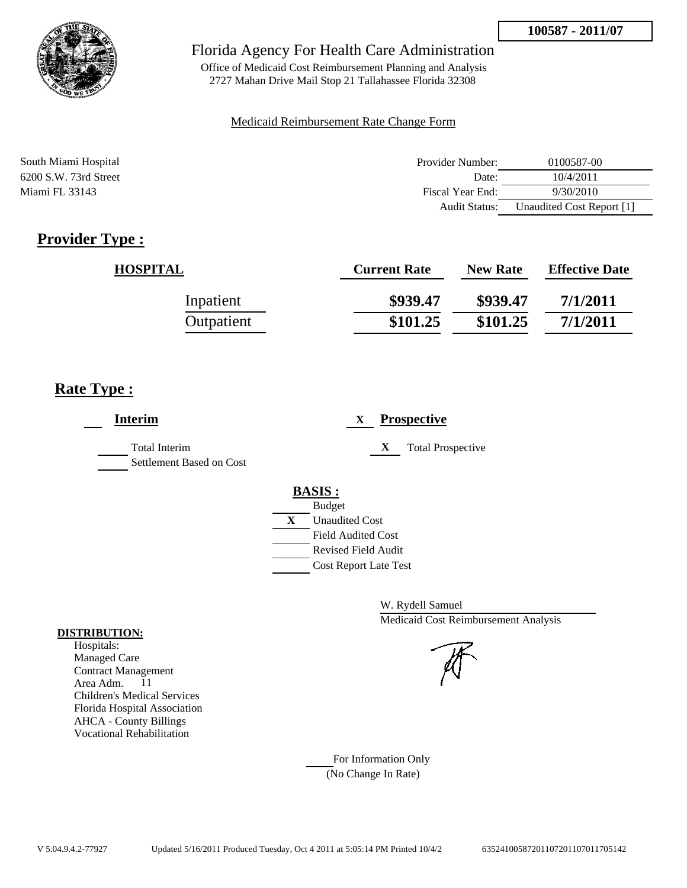

Office of Medicaid Cost Reimbursement Planning and Analysis 2727 Mahan Drive Mail Stop 21 Tallahassee Florida 32308

### Medicaid Reimbursement Rate Change Form

| South Miami Hospital    | Provider Number:     | 0100587-00                |
|-------------------------|----------------------|---------------------------|
| $6200$ S.W. 73rd Street | Date:                | 10/4/2011                 |
| Miami FL 33143          | Fiscal Year End:     | 9/30/2010                 |
|                         | <b>Audit Status:</b> | Unaudited Cost Report [1] |

# **Provider Type :**

| <b>HOSPITAL</b> | <b>Current Rate</b> | <b>New Rate</b> | <b>Effective Date</b> |
|-----------------|---------------------|-----------------|-----------------------|
| Inpatient       | \$939.47            | \$939.47        | 7/1/2011              |
| Outpatient      | \$101.25            | \$101.25        | 7/1/2011              |

## **Rate Type :**

| <b>Interim</b>                            | <b>Prospective</b><br>X       |
|-------------------------------------------|-------------------------------|
| Total Interim<br>Settlement Based on Cost | X<br><b>Total Prospective</b> |
|                                           | <b>BASIS:</b>                 |
|                                           | <b>Budget</b>                 |
|                                           | X<br><b>Unaudited Cost</b>    |
|                                           | <b>Field Audited Cost</b>     |
|                                           | <b>Revised Field Audit</b>    |
|                                           | <b>Cost Report Late Test</b>  |
|                                           |                               |

W. Rydell Samuel Medicaid Cost Reimbursement Analysis



For Information Only (No Change In Rate)

#### **DISTRIBUTION:**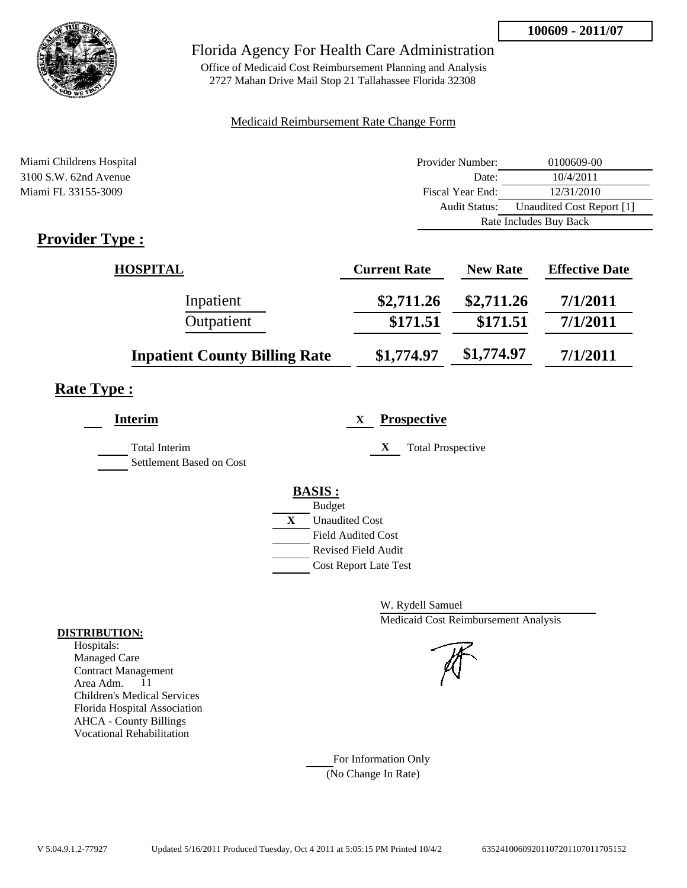

Office of Medicaid Cost Reimbursement Planning and Analysis 2727 Mahan Drive Mail Stop 21 Tallahassee Florida 32308

### Medicaid Reimbursement Rate Change Form

| Miami Childrens Hospital                               | Provider Number: | 0100609-00                |
|--------------------------------------------------------|------------------|---------------------------|
| $3100$ S.W. 62nd Avenue                                | Date:            | 10/4/2011                 |
| Miami FL 33155-3009                                    | Fiscal Year End: | 12/31/2010                |
|                                                        | Audit Status:    | Unaudited Cost Report [1] |
|                                                        |                  | Rate Includes Buy Back    |
| $\mathbf{D}_{\text{max}}$ of $\mathbf{D}_{\text{max}}$ |                  |                           |

## **Provider Type :**

| <b>HOSPITAL</b>                      | <b>Current Rate</b> | <b>New Rate</b> | <b>Effective Date</b> |
|--------------------------------------|---------------------|-----------------|-----------------------|
| Inpatient                            | \$2,711.26          | \$2,711.26      | 7/1/2011              |
| Outpatient                           | \$171.51            | \$171.51        | 7/1/2011              |
| <b>Inpatient County Billing Rate</b> | \$1,774.97          | \$1,774.97      | 7/1/2011              |

# **Rate Type :**

| Interim                                          | <b>Prospective</b><br>X                     |
|--------------------------------------------------|---------------------------------------------|
| <b>Total Interim</b><br>Settlement Based on Cost | X<br><b>Total Prospective</b>               |
|                                                  | <b>BASIS:</b>                               |
|                                                  | <b>Budget</b><br>X<br><b>Unaudited Cost</b> |
|                                                  | <b>Field Audited Cost</b>                   |
|                                                  | <b>Revised Field Audit</b>                  |
|                                                  | <b>Cost Report Late Test</b>                |

W. Rydell Samuel Medicaid Cost Reimbursement Analysis

For Information Only (No Change In Rate)

#### **DISTRIBUTION:**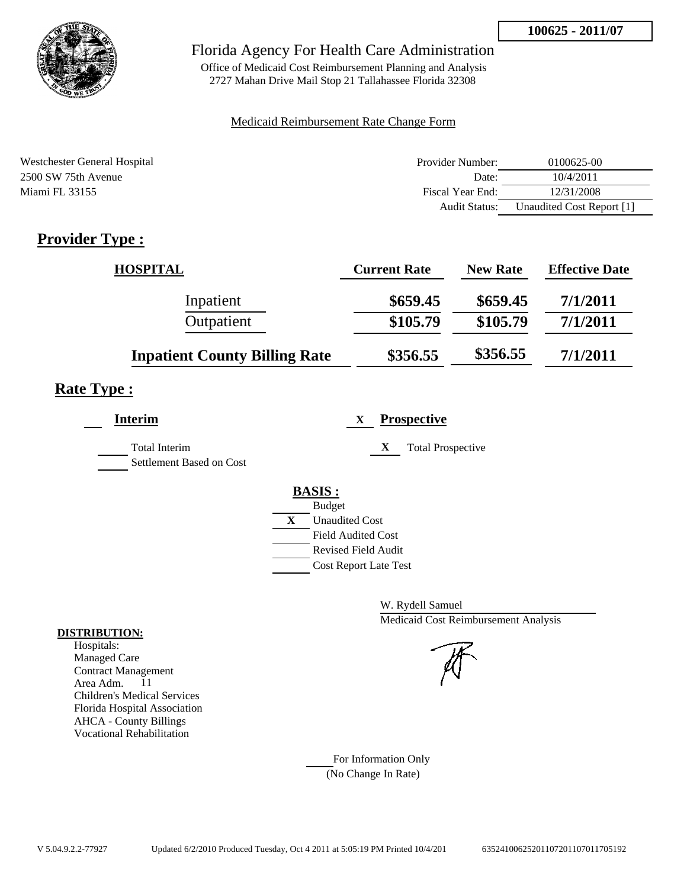

Office of Medicaid Cost Reimbursement Planning and Analysis 2727 Mahan Drive Mail Stop 21 Tallahassee Florida 32308

### Medicaid Reimbursement Rate Change Form

| Westchester General Hospital | Provider Number:     | 0100625-00                |
|------------------------------|----------------------|---------------------------|
| 2500 SW 75th Avenue          | Date:                | 10/4/2011                 |
| Miami FL 33155               | Fiscal Year End:     | 12/31/2008                |
|                              | <b>Audit Status:</b> | Unaudited Cost Report [1] |

# **Provider Type :**

| <b>HOSPITAL</b>                      | <b>Current Rate</b> | <b>New Rate</b> | <b>Effective Date</b> |
|--------------------------------------|---------------------|-----------------|-----------------------|
| Inpatient                            | \$659.45            | \$659.45        | 7/1/2011              |
| Outpatient                           | \$105.79            | \$105.79        | 7/1/2011              |
| <b>Inpatient County Billing Rate</b> | \$356.55            | \$356.55        | 7/1/2011              |

## **Rate Type :**

| <b>Interim</b>                            | <b>Prospective</b><br>X                                 |
|-------------------------------------------|---------------------------------------------------------|
| Total Interim<br>Settlement Based on Cost | <b>Total Prospective</b><br>X                           |
|                                           | <b>BASIS:</b><br><b>Budget</b>                          |
|                                           | X<br><b>Unaudited Cost</b><br><b>Field Audited Cost</b> |
|                                           | Revised Field Audit                                     |
|                                           | <b>Cost Report Late Test</b>                            |

W. Rydell Samuel Medicaid Cost Reimbursement Analysis

For Information Only (No Change In Rate)

#### **DISTRIBUTION:**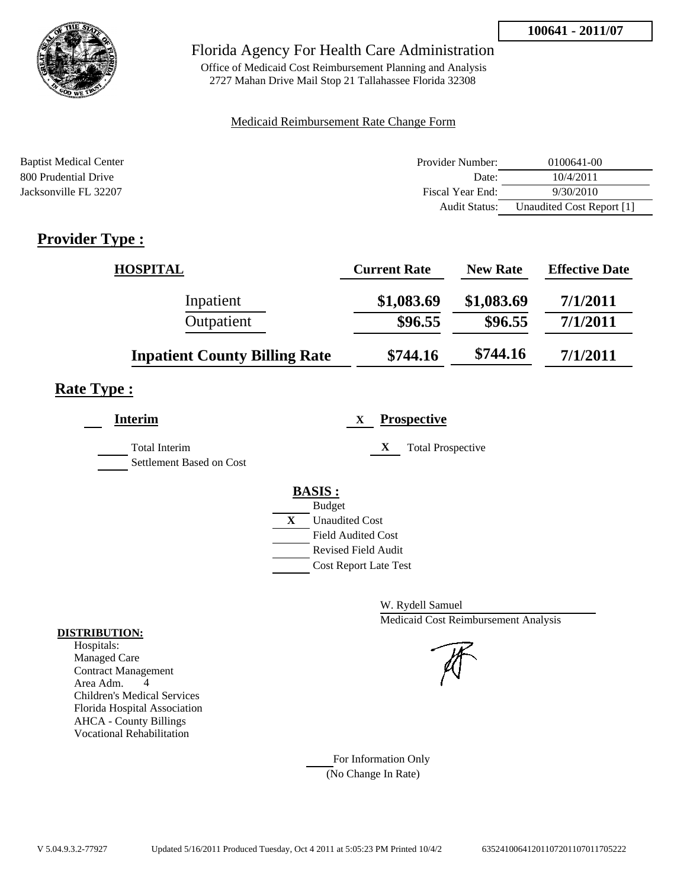

Office of Medicaid Cost Reimbursement Planning and Analysis 2727 Mahan Drive Mail Stop 21 Tallahassee Florida 32308

### Medicaid Reimbursement Rate Change Form

| <b>Baptist Medical Center</b> | Provider Number:     | 0100641-00                |
|-------------------------------|----------------------|---------------------------|
| 800 Prudential Drive          | Date:                | 10/4/2011                 |
| Jacksonville FL 32207         | Fiscal Year End:     | 9/30/2010                 |
|                               | <b>Audit Status:</b> | Unaudited Cost Report [1] |

# **Provider Type :**

| <b>HOSPITAL</b>                      | <b>Current Rate</b> | <b>New Rate</b> | <b>Effective Date</b> |
|--------------------------------------|---------------------|-----------------|-----------------------|
| Inpatient                            | \$1,083.69          | \$1,083.69      | 7/1/2011              |
| Outpatient                           | \$96.55             | \$96.55         | 7/1/2011              |
| <b>Inpatient County Billing Rate</b> | \$744.16            | \$744.16        | 7/1/2011              |

## **Rate Type :**

| X<br><b>Total Prospective</b>                                                                                                                           |
|---------------------------------------------------------------------------------------------------------------------------------------------------------|
| <b>BASIS:</b><br><b>Budget</b><br>X<br><b>Unaudited Cost</b><br><b>Field Audited Cost</b><br><b>Revised Field Audit</b><br><b>Cost Report Late Test</b> |
|                                                                                                                                                         |

W. Rydell Samuel Medicaid Cost Reimbursement Analysis

For Information Only (No Change In Rate)

#### **DISTRIBUTION:**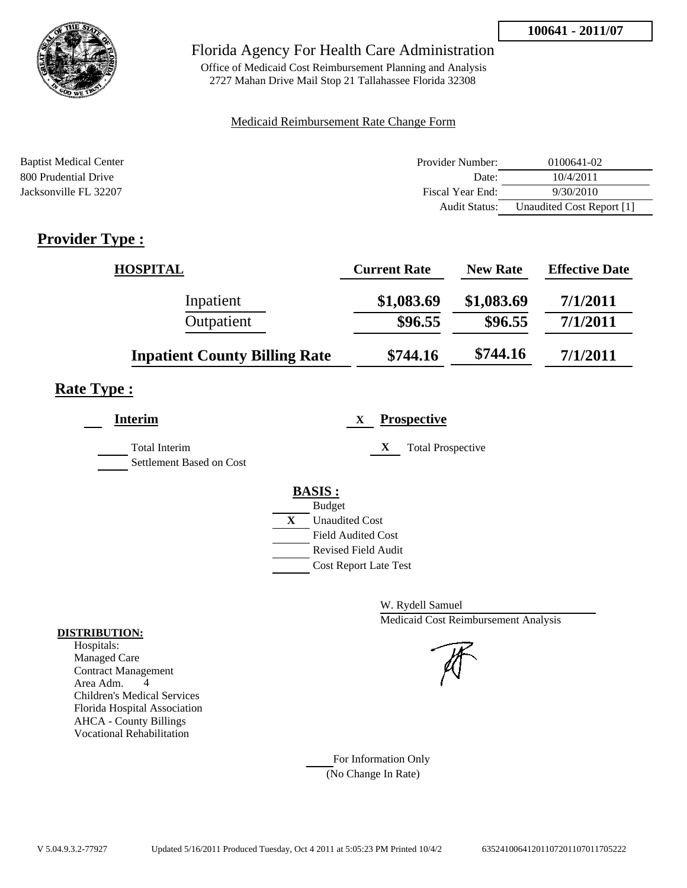

Office of Medicaid Cost Reimbursement Planning and Analysis 2727 Mahan Drive Mail Stop 21 Tallahassee Florida 32308

### Medicaid Reimbursement Rate Change Form

| <b>Baptist Medical Center</b> | Provider Number: | 0100641-02                |
|-------------------------------|------------------|---------------------------|
| 800 Prudential Drive          | Date:            | 10/4/2011                 |
| Jacksonville FL 32207         | Fiscal Year End: | 9/30/2010                 |
|                               | Audit Status:    | Unaudited Cost Report [1] |

# **Provider Type :**

| <b>HOSPITAL</b>                      | <b>Current Rate</b> | <b>New Rate</b> | <b>Effective Date</b> |
|--------------------------------------|---------------------|-----------------|-----------------------|
| Inpatient                            | \$1,083.69          | \$1,083.69      | 7/1/2011              |
| Outpatient                           | \$96.55             | \$96.55         | 7/1/2011              |
| <b>Inpatient County Billing Rate</b> | \$744.16            | \$744.16        | 7/1/2011              |

## **Rate Type :**

| <b>Interim</b>                            | <b>Prospective</b><br>X                                                                   |
|-------------------------------------------|-------------------------------------------------------------------------------------------|
| Total Interim<br>Settlement Based on Cost | <b>Total Prospective</b><br>$\mathbf X$                                                   |
|                                           | <b>BASIS:</b><br><b>Budget</b><br>X<br><b>Unaudited Cost</b><br><b>Field Audited Cost</b> |
|                                           | <b>Revised Field Audit</b><br><b>Cost Report Late Test</b>                                |

W. Rydell Samuel Medicaid Cost Reimbursement Analysis

For Information Only (No Change In Rate)

#### **DISTRIBUTION:**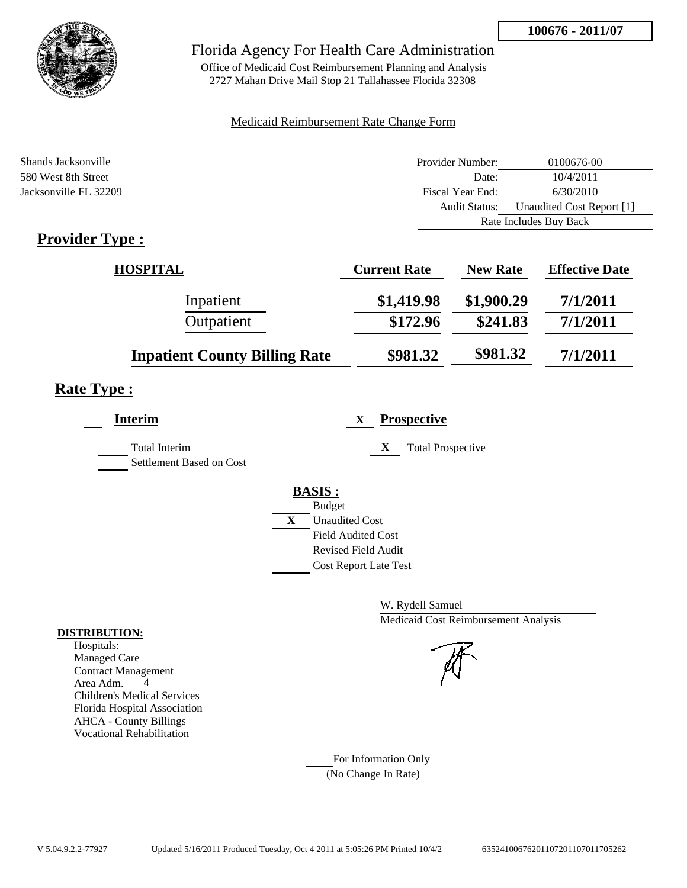

## Florida Agency For Health Care Administration

Office of Medicaid Cost Reimbursement Planning and Analysis 2727 Mahan Drive Mail Stop 21 Tallahassee Florida 32308

### Medicaid Reimbursement Rate Change Form

| Shands Jacksonville   | Provider Number: | 0100676-00                |
|-----------------------|------------------|---------------------------|
| 580 West 8th Street   | Date:            | 10/4/2011                 |
| Jacksonville FL 32209 | Fiscal Year End: | 6/30/2010                 |
|                       | Audit Status:    | Unaudited Cost Report [1] |
|                       |                  | Rate Includes Buy Back    |
| $Dnon:dom Tmax$       |                  |                           |

# **Provider Type :**

| <b>HOSPITAL</b>                      | <b>Current Rate</b> | <b>New Rate</b> | <b>Effective Date</b> |
|--------------------------------------|---------------------|-----------------|-----------------------|
| Inpatient                            | \$1,419.98          | \$1,900.29      | 7/1/2011              |
| Outpatient                           | \$172.96            | \$241.83        | 7/1/2011              |
| <b>Inpatient County Billing Rate</b> | \$981.32            | \$981.32        | 7/1/2011              |

# **Rate Type :**

| <b>Interim</b>                                   | <b>Prospective</b><br>X                                                                                                                                 |
|--------------------------------------------------|---------------------------------------------------------------------------------------------------------------------------------------------------------|
| <b>Total Interim</b><br>Settlement Based on Cost | X<br><b>Total Prospective</b>                                                                                                                           |
|                                                  | <b>BASIS:</b><br><b>Budget</b><br>X<br><b>Unaudited Cost</b><br><b>Field Audited Cost</b><br><b>Revised Field Audit</b><br><b>Cost Report Late Test</b> |

W. Rydell Samuel Medicaid Cost Reimbursement Analysis

For Information Only (No Change In Rate)

#### **DISTRIBUTION:**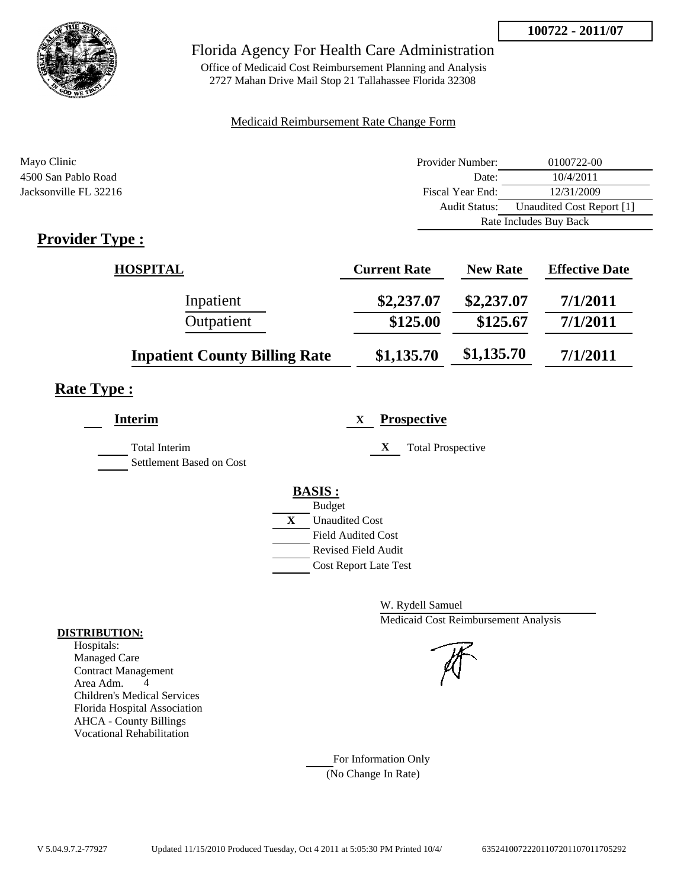

## Florida Agency For Health Care Administration

Office of Medicaid Cost Reimbursement Planning and Analysis 2727 Mahan Drive Mail Stop 21 Tallahassee Florida 32308

### Medicaid Reimbursement Rate Change Form

| Mayo Clinic           | Provider Number:     | 0100722-00                |
|-----------------------|----------------------|---------------------------|
| 4500 San Pablo Road   | Date:                | 10/4/2011                 |
| Jacksonville FL 32216 | Fiscal Year End:     | 12/31/2009                |
|                       | <b>Audit Status:</b> | Unaudited Cost Report [1] |
|                       |                      | Rate Includes Buy Back    |
| <b>Provider Type</b>  |                      |                           |

# **Provider Type :**

| <b>HOSPITAL</b>                      | <b>Current Rate</b> | <b>New Rate</b> | <b>Effective Date</b> |
|--------------------------------------|---------------------|-----------------|-----------------------|
| Inpatient                            | \$2,237.07          | \$2,237.07      | 7/1/2011              |
| Outpatient                           | \$125.00            | \$125.67        | 7/1/2011              |
| <b>Inpatient County Billing Rate</b> | \$1,135.70          | \$1,135.70      | 7/1/2011              |

# **Rate Type :**

| <b>Interim</b>                            | <b>Prospective</b><br>X       |
|-------------------------------------------|-------------------------------|
| Total Interim<br>Settlement Based on Cost | X<br><b>Total Prospective</b> |
|                                           | <b>BASIS:</b>                 |
|                                           | <b>Budget</b>                 |
|                                           | X<br><b>Unaudited Cost</b>    |
|                                           | <b>Field Audited Cost</b>     |
|                                           | <b>Revised Field Audit</b>    |
|                                           | <b>Cost Report Late Test</b>  |
|                                           |                               |

W. Rydell Samuel Medicaid Cost Reimbursement Analysis

For Information Only (No Change In Rate)

#### **DISTRIBUTION:**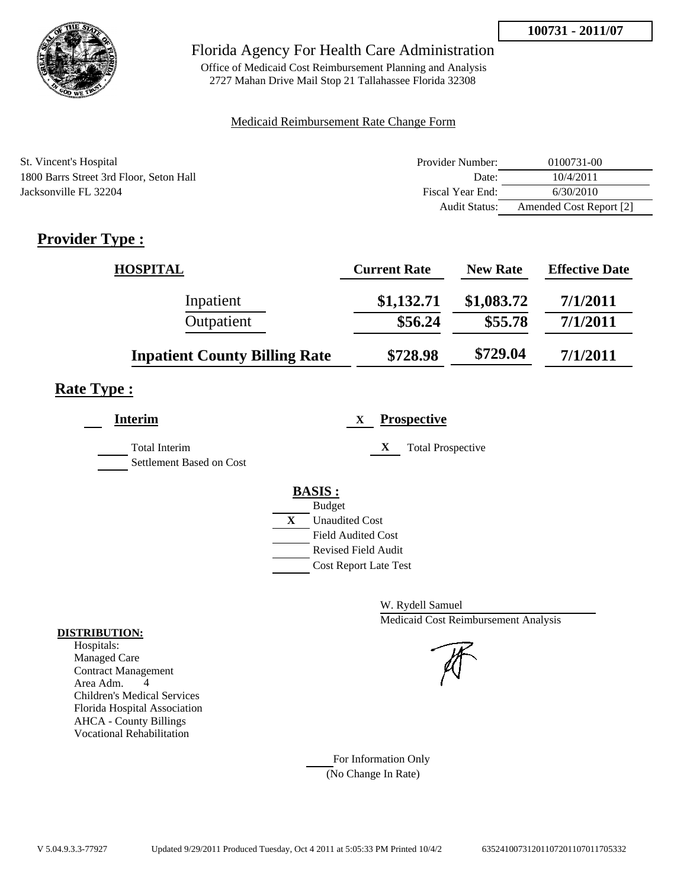

Office of Medicaid Cost Reimbursement Planning and Analysis 2727 Mahan Drive Mail Stop 21 Tallahassee Florida 32308

### Medicaid Reimbursement Rate Change Form

| St. Vincent's Hospital                  | Provider Number: | 0100731-00              |
|-----------------------------------------|------------------|-------------------------|
| 1800 Barrs Street 3rd Floor, Seton Hall | Date:            | 10/4/2011               |
| Jacksonville FL 32204                   | Fiscal Year End: | 6/30/2010               |
|                                         | Audit Status:    | Amended Cost Report [2] |

# **Provider Type :**

| <b>HOSPITAL</b>                      | <b>Current Rate</b> | <b>New Rate</b> | <b>Effective Date</b> |
|--------------------------------------|---------------------|-----------------|-----------------------|
| Inpatient                            | \$1,132.71          | \$1,083.72      | 7/1/2011              |
| Outpatient                           | \$56.24             | \$55.78         | 7/1/2011              |
| <b>Inpatient County Billing Rate</b> | \$728.98            | \$729.04        | 7/1/2011              |

## **Rate Type :**

| <b>Interim</b>                            | <b>Prospective</b><br>X               |
|-------------------------------------------|---------------------------------------|
| Total Interim<br>Settlement Based on Cost | X<br><b>Total Prospective</b>         |
|                                           | <b>BASIS:</b>                         |
|                                           | <b>Budget</b>                         |
|                                           | $\mathbf{X}$<br><b>Unaudited Cost</b> |
|                                           | <b>Field Audited Cost</b>             |
|                                           | <b>Revised Field Audit</b>            |
|                                           | <b>Cost Report Late Test</b>          |
|                                           |                                       |

W. Rydell Samuel Medicaid Cost Reimbursement Analysis

For Information Only (No Change In Rate)

#### **DISTRIBUTION:**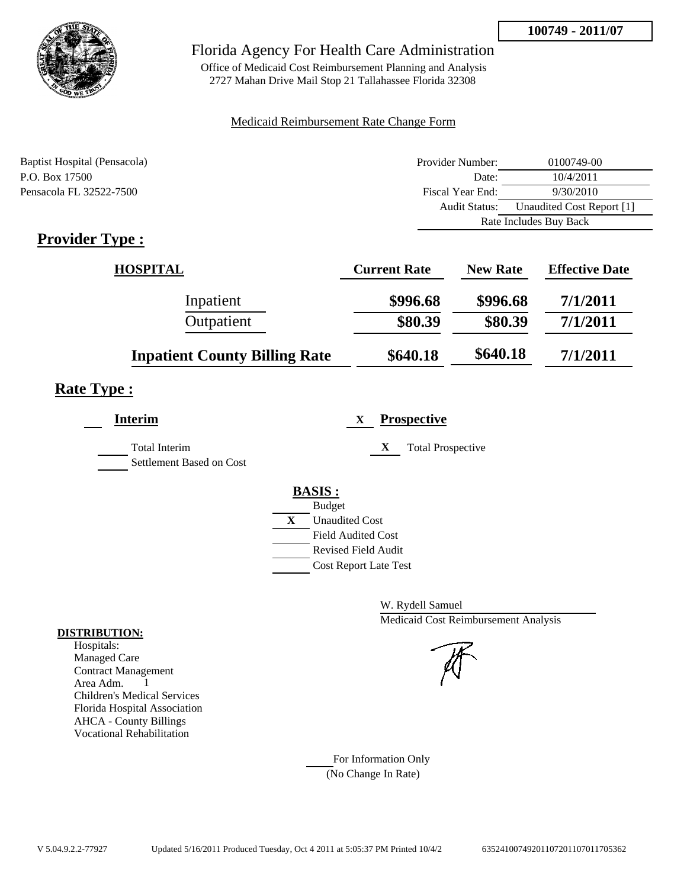

Office of Medicaid Cost Reimbursement Planning and Analysis 2727 Mahan Drive Mail Stop 21 Tallahassee Florida 32308

### Medicaid Reimbursement Rate Change Form

| Baptist Hospital (Pensacola) | Provider Number:     | 0100749-00                |
|------------------------------|----------------------|---------------------------|
| P.O. Box 17500               | Date:                | 10/4/2011                 |
| Pensacola FL 32522-7500      | Fiscal Year End:     | 9/30/2010                 |
|                              | <b>Audit Status:</b> | Unaudited Cost Report [1] |
|                              |                      | Rate Includes Buy Back    |

# **Provider Type :**

| <b>HOSPITAL</b>                      | <b>Current Rate</b> | <b>New Rate</b> | <b>Effective Date</b> |
|--------------------------------------|---------------------|-----------------|-----------------------|
| Inpatient                            | \$996.68            | \$996.68        | 7/1/2011              |
| Outpatient                           | \$80.39             | \$80.39         | 7/1/2011              |
| <b>Inpatient County Billing Rate</b> | \$640.18            | \$640.18        | 7/1/2011              |

# **Rate Type :**

| <b>Interim</b>                            | <b>Prospective</b><br>X       |
|-------------------------------------------|-------------------------------|
| Total Interim<br>Settlement Based on Cost | X<br><b>Total Prospective</b> |
|                                           | <b>BASIS:</b>                 |
|                                           | <b>Budget</b>                 |
|                                           | X<br><b>Unaudited Cost</b>    |
|                                           | <b>Field Audited Cost</b>     |
|                                           | Revised Field Audit           |
|                                           | <b>Cost Report Late Test</b>  |
|                                           |                               |

W. Rydell Samuel Medicaid Cost Reimbursement Analysis

For Information Only (No Change In Rate)

#### **DISTRIBUTION:**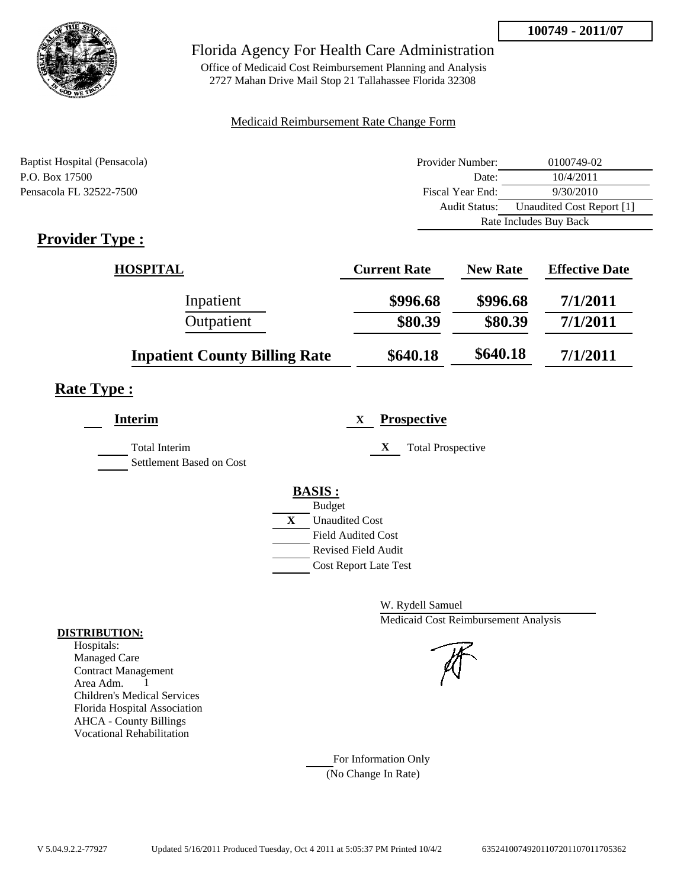

Office of Medicaid Cost Reimbursement Planning and Analysis 2727 Mahan Drive Mail Stop 21 Tallahassee Florida 32308

### Medicaid Reimbursement Rate Change Form

| Baptist Hospital (Pensacola) | Provider Number:     | 0100749-02                |  |
|------------------------------|----------------------|---------------------------|--|
| P.O. Box 17500               | Date:                | 10/4/2011                 |  |
| Pensacola FL 32522-7500      | Fiscal Year End:     | 9/30/2010                 |  |
|                              | <b>Audit Status:</b> | Unaudited Cost Report [1] |  |
|                              |                      | Rate Includes Buy Back    |  |

# **Provider Type :**

| <b>HOSPITAL</b>                      | <b>Current Rate</b> | <b>New Rate</b> | <b>Effective Date</b> |
|--------------------------------------|---------------------|-----------------|-----------------------|
| Inpatient                            | \$996.68            | \$996.68        | 7/1/2011              |
| Outpatient                           | \$80.39             | \$80.39         | 7/1/2011              |
| <b>Inpatient County Billing Rate</b> | \$640.18            | \$640.18        | 7/1/2011              |

# **Rate Type :**

| <b>Interim</b>                            | <b>Prospective</b><br>X       |
|-------------------------------------------|-------------------------------|
| Total Interim<br>Settlement Based on Cost | X<br><b>Total Prospective</b> |
|                                           | <b>BASIS:</b>                 |
|                                           | <b>Budget</b>                 |
|                                           | X<br><b>Unaudited Cost</b>    |
|                                           | <b>Field Audited Cost</b>     |
|                                           | Revised Field Audit           |
|                                           | <b>Cost Report Late Test</b>  |
|                                           |                               |

W. Rydell Samuel Medicaid Cost Reimbursement Analysis

### For Information Only (No Change In Rate)

**DISTRIBUTION:**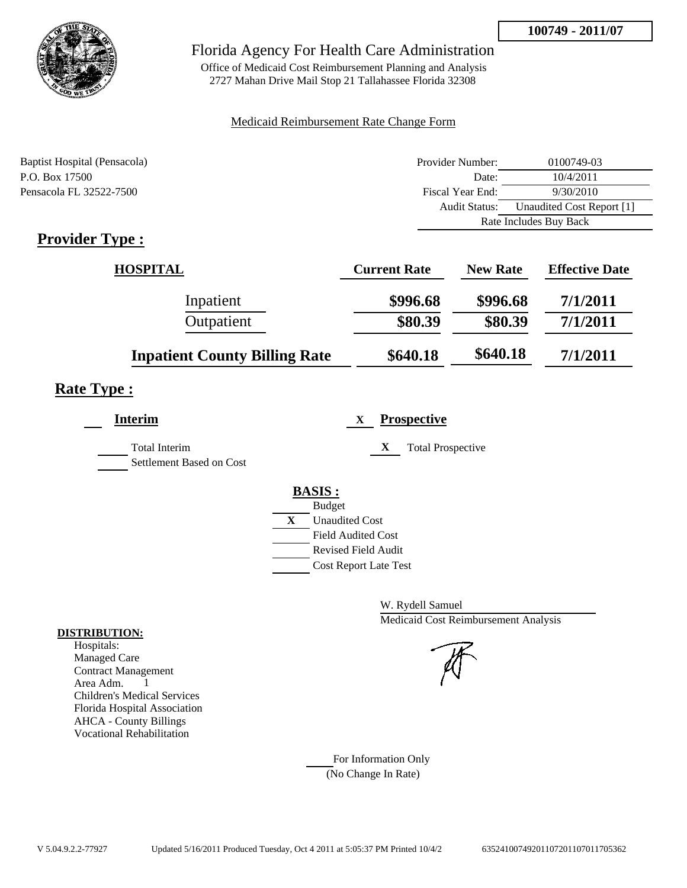

Office of Medicaid Cost Reimbursement Planning and Analysis 2727 Mahan Drive Mail Stop 21 Tallahassee Florida 32308

### Medicaid Reimbursement Rate Change Form

| Baptist Hospital (Pensacola) | Provider Number: | 0100749-03                |
|------------------------------|------------------|---------------------------|
| P.O. Box 17500               | Date:            | 10/4/2011                 |
| Pensacola FL 32522-7500      | Fiscal Year End: | 9/30/2010                 |
|                              | Audit Status:    | Unaudited Cost Report [1] |
|                              |                  | Rate Includes Buy Back    |

# **Provider Type :**

| <b>HOSPITAL</b>                      | <b>Current Rate</b> | <b>New Rate</b> | <b>Effective Date</b> |
|--------------------------------------|---------------------|-----------------|-----------------------|
| Inpatient                            | \$996.68            | \$996.68        | 7/1/2011              |
| Outpatient                           | \$80.39             | \$80.39         | 7/1/2011              |
| <b>Inpatient County Billing Rate</b> | \$640.18            | \$640.18        | 7/1/2011              |

# **Rate Type :**

| <b>Interim</b>                            | <b>Prospective</b><br>X       |
|-------------------------------------------|-------------------------------|
| Total Interim<br>Settlement Based on Cost | X<br><b>Total Prospective</b> |
|                                           | <b>BASIS:</b>                 |
|                                           | <b>Budget</b>                 |
|                                           | X<br><b>Unaudited Cost</b>    |
|                                           | <b>Field Audited Cost</b>     |
|                                           | Revised Field Audit           |
|                                           | <b>Cost Report Late Test</b>  |
|                                           |                               |

W. Rydell Samuel Medicaid Cost Reimbursement Analysis

For Information Only (No Change In Rate)

#### **DISTRIBUTION:**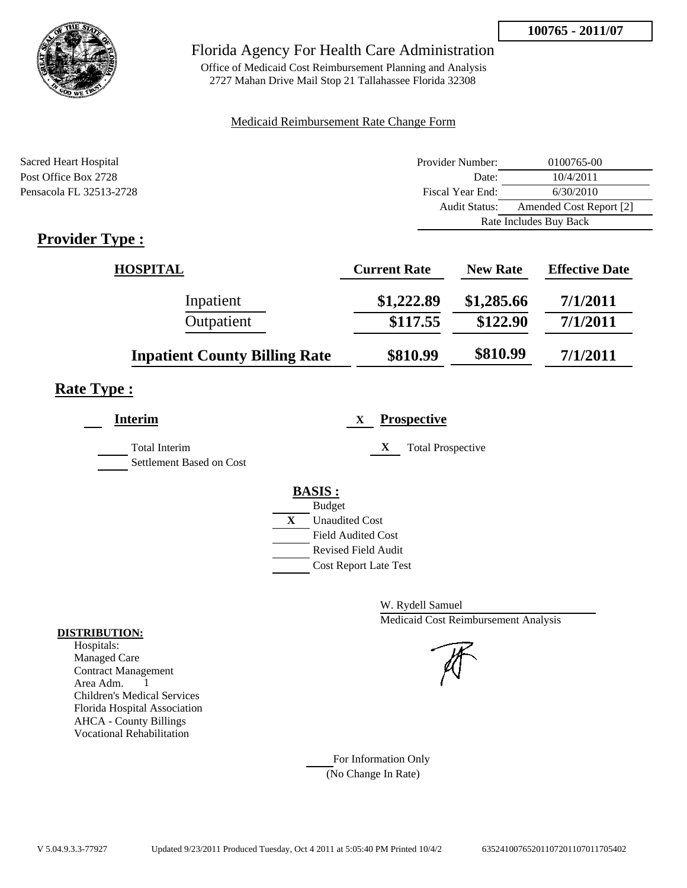

## Florida Agency For Health Care Administration

Office of Medicaid Cost Reimbursement Planning and Analysis 2727 Mahan Drive Mail Stop 21 Tallahassee Florida 32308

### Medicaid Reimbursement Rate Change Form

| Sacred Heart Hospital   | Provider Number:     | 0100765-00              |
|-------------------------|----------------------|-------------------------|
| Post Office Box 2728    | Date:                | 10/4/2011               |
| Pensacola FL 32513-2728 | Fiscal Year End:     | 6/30/2010               |
|                         | <b>Audit Status:</b> | Amended Cost Report [2] |
|                         |                      | Rate Includes Buy Back  |
| $Dnon:dom Tmax$         |                      |                         |

# **Provider Type :**

| <b>HOSPITAL</b>                      | <b>Current Rate</b> | <b>New Rate</b> | <b>Effective Date</b> |
|--------------------------------------|---------------------|-----------------|-----------------------|
| Inpatient                            | \$1,222.89          | \$1,285.66      | 7/1/2011              |
| Outpatient                           | \$117.55            | \$122.90        | 7/1/2011              |
| <b>Inpatient County Billing Rate</b> | \$810.99            | \$810.99        | 7/1/2011              |

# **Rate Type :**

| <b>Interim</b>                                   | <b>Prospective</b><br>$\mathbf{X}$ |
|--------------------------------------------------|------------------------------------|
| <b>Total Interim</b><br>Settlement Based on Cost | X<br><b>Total Prospective</b>      |
|                                                  | <b>BASIS:</b>                      |
|                                                  | <b>Budget</b>                      |
|                                                  | X<br><b>Unaudited Cost</b>         |
|                                                  | <b>Field Audited Cost</b>          |
|                                                  | Revised Field Audit                |
|                                                  | <b>Cost Report Late Test</b>       |

W. Rydell Samuel Medicaid Cost Reimbursement Analysis

For Information Only (No Change In Rate)

#### **DISTRIBUTION:**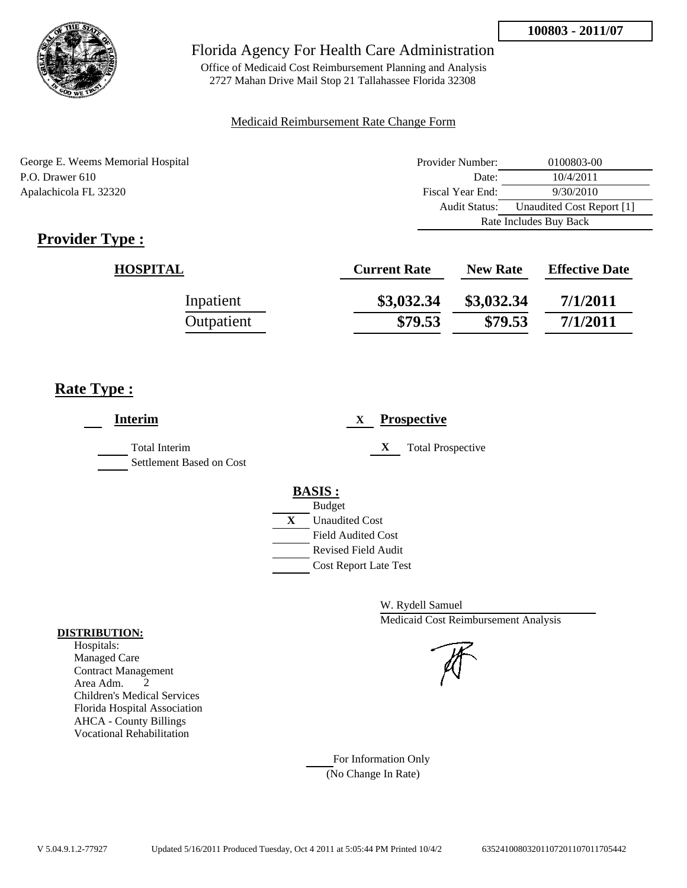

Office of Medicaid Cost Reimbursement Planning and Analysis 2727 Mahan Drive Mail Stop 21 Tallahassee Florida 32308

#### Medicaid Reimbursement Rate Change Form

George E. Weems Memorial Hospital P.O. Drawer 610 Apalachicola FL 32320

| Provider Number:       | 0100803-00                |
|------------------------|---------------------------|
| Date:                  | 10/4/2011                 |
| Fiscal Year End:       | 9/30/2010                 |
| Audit Status:          | Unaudited Cost Report [1] |
| Rate Includes Buy Back |                           |

# **Provider Type :**

| <b>HOSPITAL</b> | <b>Current Rate</b> | <b>New Rate</b> | <b>Effective Date</b> |
|-----------------|---------------------|-----------------|-----------------------|
| Inpatient       | \$3,032.34          | \$3,032.34      | 7/1/2011              |
| Outpatient      | \$79.53             | \$79.53         | 7/1/2011              |

## **Rate Type :**

| <b>Interim</b>                            | <b>Prospective</b><br>$\mathbf{X}$                                                                                                               |
|-------------------------------------------|--------------------------------------------------------------------------------------------------------------------------------------------------|
| Total Interim<br>Settlement Based on Cost | X<br><b>Total Prospective</b>                                                                                                                    |
|                                           | <b>BASIS:</b><br><b>Budget</b><br>X<br><b>Unaudited Cost</b><br><b>Field Audited Cost</b><br>Revised Field Audit<br><b>Cost Report Late Test</b> |

W. Rydell Samuel Medicaid Cost Reimbursement Analysis

For Information Only (No Change In Rate)

#### **DISTRIBUTION:**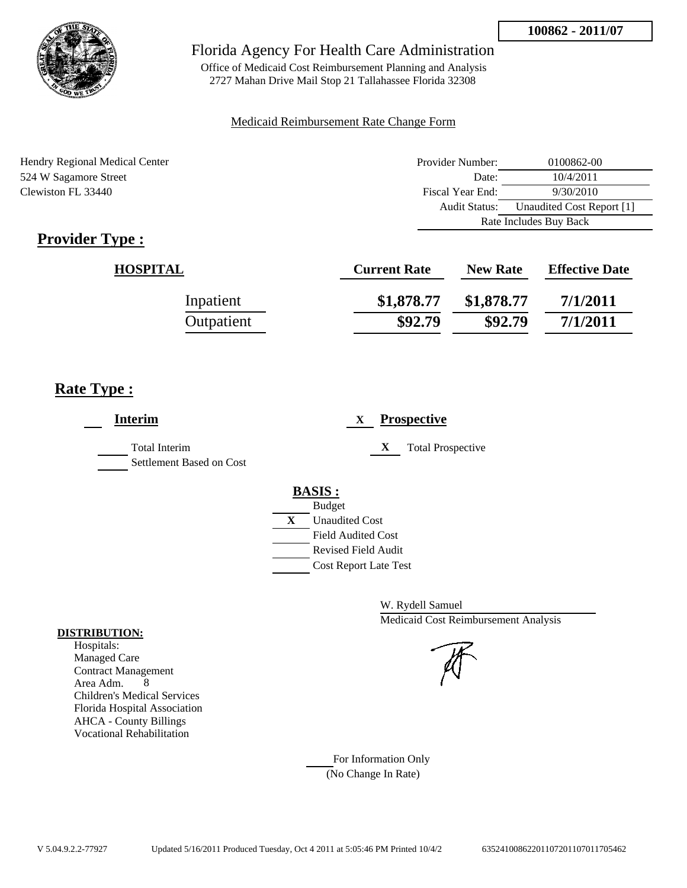

Office of Medicaid Cost Reimbursement Planning and Analysis 2727 Mahan Drive Mail Stop 21 Tallahassee Florida 32308

#### Medicaid Reimbursement Rate Change Form

Hendry Regional Medical Center 524 W Sagamore Street Clewiston FL 33440

| Provider Number:       | 0100862-00                |
|------------------------|---------------------------|
| Date:                  | 10/4/2011                 |
| Fiscal Year End:       | 9/30/2010                 |
| Audit Status:          | Unaudited Cost Report [1] |
| Rate Includes Buy Back |                           |

# **Provider Type :**

| <b>HOSPITAL</b> | <b>Current Rate</b> | <b>New Rate</b> | <b>Effective Date</b> |
|-----------------|---------------------|-----------------|-----------------------|
| Inpatient       | \$1,878.77          | \$1,878.77      | 7/1/2011              |
| Outpatient      | \$92.79             | \$92.79         | 7/1/2011              |

## **Rate Type :**

| <b>Interim</b>                                   | <b>Prospective</b><br>$\mathbf{X}$                                                      |
|--------------------------------------------------|-----------------------------------------------------------------------------------------|
| <b>Total Interim</b><br>Settlement Based on Cost | X<br><b>Total Prospective</b>                                                           |
|                                                  | <b>BASIS:</b><br><b>Budget</b><br>$\mathbf{X}$<br><b>Unaudited Cost</b>                 |
|                                                  | <b>Field Audited Cost</b><br><b>Revised Field Audit</b><br><b>Cost Report Late Test</b> |

W. Rydell Samuel Medicaid Cost Reimbursement Analysis

For Information Only (No Change In Rate)

#### **DISTRIBUTION:**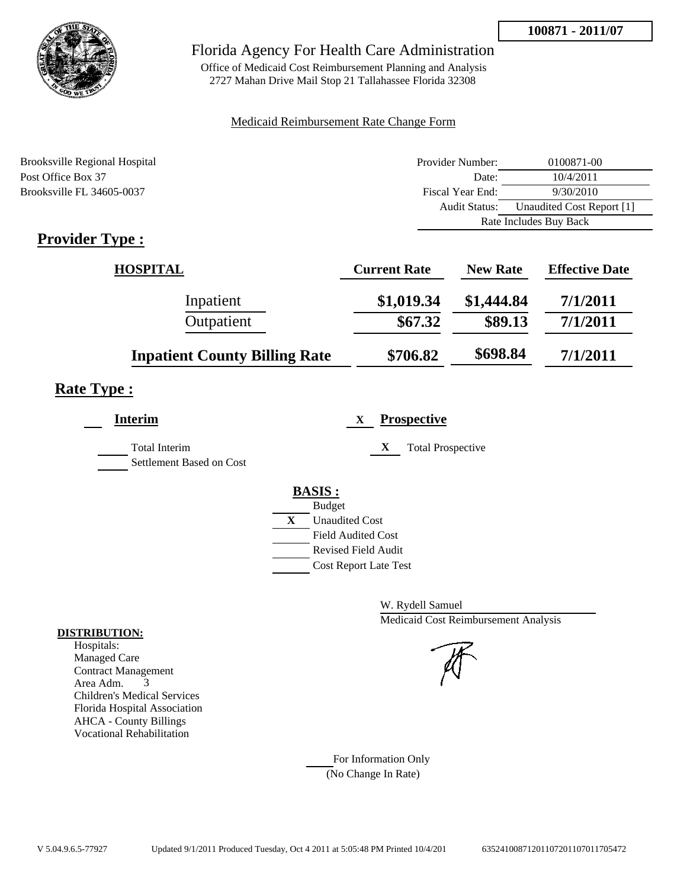

Office of Medicaid Cost Reimbursement Planning and Analysis 2727 Mahan Drive Mail Stop 21 Tallahassee Florida 32308

### Medicaid Reimbursement Rate Change Form

| Brooksville Regional Hospital | Provider Number: | 0100871-00                |
|-------------------------------|------------------|---------------------------|
| Post Office Box 37            | Date:            | 10/4/2011                 |
| Brooksville FL 34605-0037     | Fiscal Year End: | 9/30/2010                 |
|                               | Audit Status:    | Unaudited Cost Report [1] |
|                               |                  | Rate Includes Buy Back    |

# **Provider Type :**

| HOSPITAL                             | <b>Current Rate</b> | <b>New Rate</b> | <b>Effective Date</b> |
|--------------------------------------|---------------------|-----------------|-----------------------|
| Inpatient                            | \$1,019.34          | \$1,444.84      | 7/1/2011              |
| Outpatient                           | \$67.32             | \$89.13         | 7/1/2011              |
| <b>Inpatient County Billing Rate</b> | \$706.82            | \$698.84        | 7/1/2011              |

# **Rate Type :**

| <b>Interim</b>                                   | <b>Prospective</b><br>X       |
|--------------------------------------------------|-------------------------------|
| <b>Total Interim</b><br>Settlement Based on Cost | X<br><b>Total Prospective</b> |
|                                                  | <b>BASIS:</b>                 |
|                                                  | <b>Budget</b>                 |
|                                                  | X<br><b>Unaudited Cost</b>    |
|                                                  | <b>Field Audited Cost</b>     |
|                                                  | <b>Revised Field Audit</b>    |
|                                                  | <b>Cost Report Late Test</b>  |
|                                                  |                               |

W. Rydell Samuel Medicaid Cost Reimbursement Analysis

For Information Only (No Change In Rate)

#### **DISTRIBUTION:**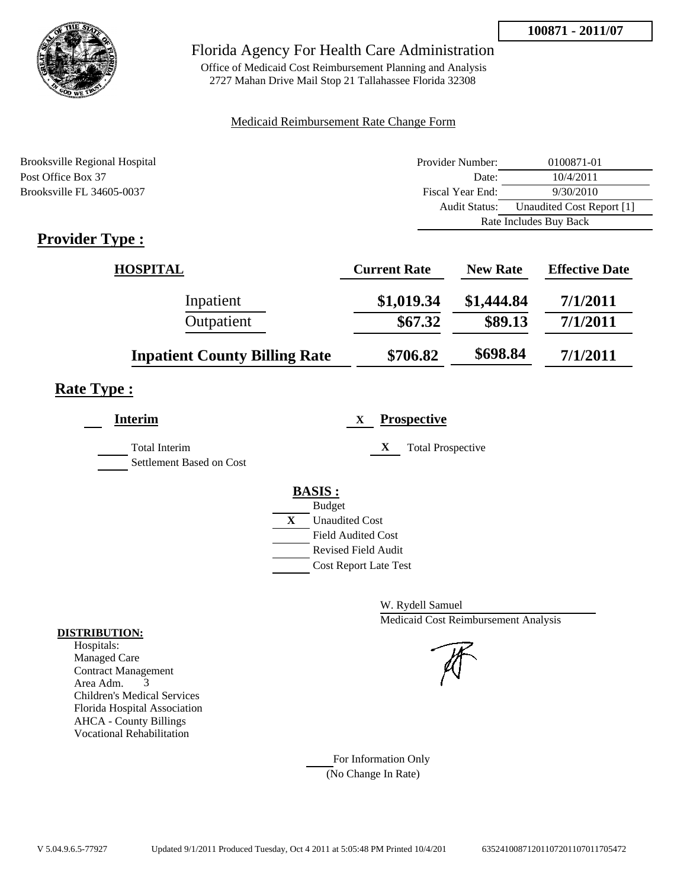

Office of Medicaid Cost Reimbursement Planning and Analysis 2727 Mahan Drive Mail Stop 21 Tallahassee Florida 32308

#### Medicaid Reimbursement Rate Change Form

| Brooksville Regional Hospital | Provider Number:     | 0100871-01                |
|-------------------------------|----------------------|---------------------------|
| Post Office Box 37            | Date:                | 10/4/2011                 |
| Brooksville FL 34605-0037     | Fiscal Year End:     | 9/30/2010                 |
|                               | <b>Audit Status:</b> | Unaudited Cost Report [1] |
|                               |                      | Rate Includes Buy Back    |

# **Provider Type :**

| HOSPITAL                             | <b>Current Rate</b> | <b>New Rate</b> | <b>Effective Date</b> |
|--------------------------------------|---------------------|-----------------|-----------------------|
| Inpatient                            | \$1,019.34          | \$1,444.84      | 7/1/2011              |
| Outpatient                           | \$67.32             | \$89.13         | 7/1/2011              |
| <b>Inpatient County Billing Rate</b> | \$706.82            | \$698.84        | 7/1/2011              |

## **Rate Type :**

| <b>Interim</b>                                   | <b>Prospective</b><br>X       |
|--------------------------------------------------|-------------------------------|
| <b>Total Interim</b><br>Settlement Based on Cost | X<br><b>Total Prospective</b> |
|                                                  | <b>BASIS:</b>                 |
|                                                  | <b>Budget</b>                 |
|                                                  | X<br><b>Unaudited Cost</b>    |
|                                                  | <b>Field Audited Cost</b>     |
|                                                  | <b>Revised Field Audit</b>    |
|                                                  | <b>Cost Report Late Test</b>  |
|                                                  |                               |

W. Rydell Samuel Medicaid Cost Reimbursement Analysis

For Information Only (No Change In Rate)

#### **DISTRIBUTION:**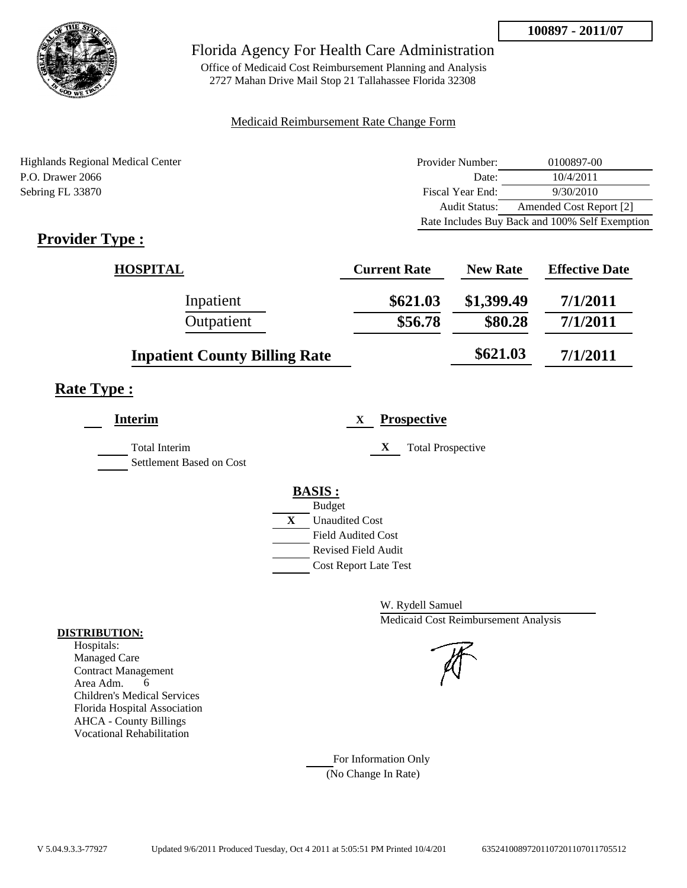

Office of Medicaid Cost Reimbursement Planning and Analysis 2727 Mahan Drive Mail Stop 21 Tallahassee Florida 32308

#### Medicaid Reimbursement Rate Change Form

Highlands Regional Medical Center P.O. Drawer 2066 Sebring FL 33870

| Provider Number: | 0100897-00                                     |
|------------------|------------------------------------------------|
| Date:            | 10/4/2011                                      |
| Fiscal Year End: | 9/30/2010                                      |
| Audit Status:    | Amended Cost Report [2]                        |
|                  | Rate Includes Buy Back and 100% Self Exemption |

# **Provider Type :**

| <b>HOSPITAL</b>                      | <b>Current Rate</b> | <b>New Rate</b> | <b>Effective Date</b> |
|--------------------------------------|---------------------|-----------------|-----------------------|
| Inpatient                            | \$621.03            | \$1,399.49      | 7/1/2011              |
| Outpatient                           | \$56.78             | \$80.28         | 7/1/2011              |
| <b>Inpatient County Billing Rate</b> |                     | \$621.03\$      | 7/1/2011              |

## **Rate Type :**

| <b>Interim</b>                                   |   | <b>Prospective</b><br>X       |
|--------------------------------------------------|---|-------------------------------|
| <b>Total Interim</b><br>Settlement Based on Cost |   | X<br><b>Total Prospective</b> |
|                                                  |   | <b>BASIS:</b>                 |
|                                                  |   | <b>Budget</b>                 |
|                                                  | X | <b>Unaudited Cost</b>         |
|                                                  |   | <b>Field Audited Cost</b>     |
|                                                  |   | Revised Field Audit           |
|                                                  |   | <b>Cost Report Late Test</b>  |
|                                                  |   |                               |

W. Rydell Samuel Medicaid Cost Reimbursement Analysis

For Information Only (No Change In Rate)

#### **DISTRIBUTION:**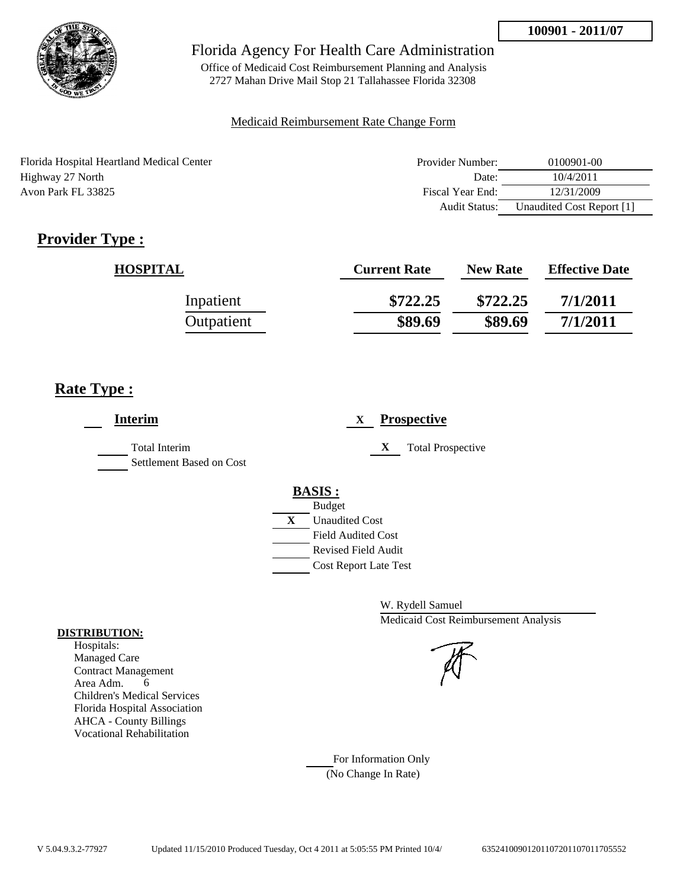

Office of Medicaid Cost Reimbursement Planning and Analysis 2727 Mahan Drive Mail Stop 21 Tallahassee Florida 32308

#### Medicaid Reimbursement Rate Change Form

| Florida Hospital Heartland Medical Center | Provider Number: | 0100901-00                |
|-------------------------------------------|------------------|---------------------------|
| Highway 27 North                          | Date:            | 10/4/2011                 |
| Avon Park FL 33825                        | Fiscal Year End: | 12/31/2009                |
|                                           | Audit Status:    | Unaudited Cost Report [1] |

# **Provider Type :**

| <b>HOSPITAL</b> | <b>Current Rate</b> | <b>New Rate</b> | <b>Effective Date</b> |
|-----------------|---------------------|-----------------|-----------------------|
| Inpatient       | \$722.25            | \$722.25        | 7/1/2011              |
| Outpatient      | \$89.69             | \$89.69         | 7/1/2011              |

## **Rate Type :**

| <b>Interim</b>                            | <b>Prospective</b><br>X                                                                                                                                 |
|-------------------------------------------|---------------------------------------------------------------------------------------------------------------------------------------------------------|
| Total Interim<br>Settlement Based on Cost | X<br><b>Total Prospective</b>                                                                                                                           |
|                                           | <b>BASIS:</b><br><b>Budget</b><br>X<br><b>Unaudited Cost</b><br><b>Field Audited Cost</b><br><b>Revised Field Audit</b><br><b>Cost Report Late Test</b> |

W. Rydell Samuel Medicaid Cost Reimbursement Analysis

For Information Only (No Change In Rate)

#### **DISTRIBUTION:**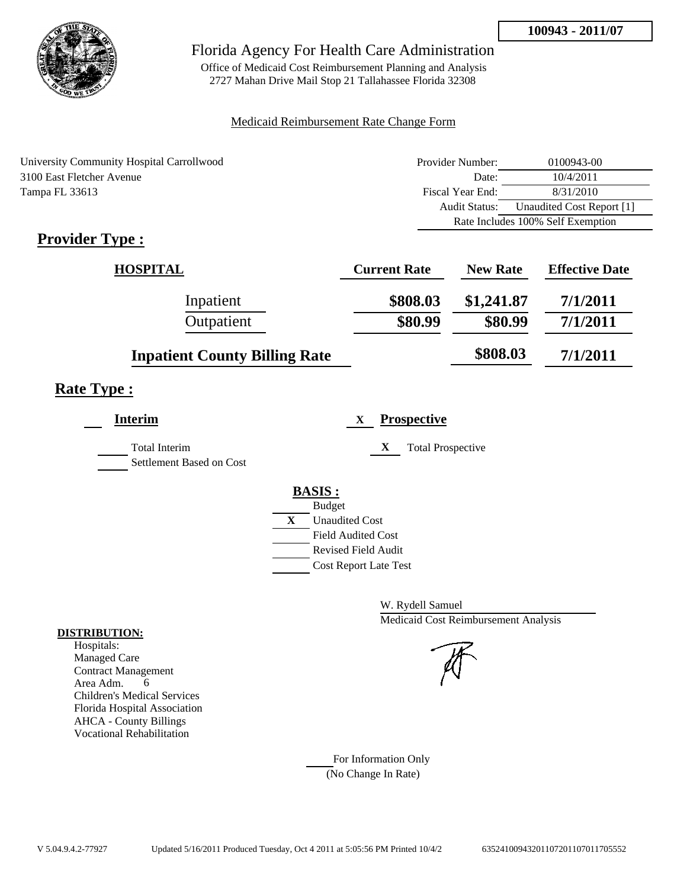

Office of Medicaid Cost Reimbursement Planning and Analysis 2727 Mahan Drive Mail Stop 21 Tallahassee Florida 32308

### Medicaid Reimbursement Rate Change Form

| University Community Hospital Carrollwood | Provider Number:     | 0100943-00                        |
|-------------------------------------------|----------------------|-----------------------------------|
| 3100 East Fletcher Avenue                 | Date:                | 10/4/2011                         |
| Tampa FL 33613                            | Fiscal Year End:     | 8/31/2010                         |
|                                           | <b>Audit Status:</b> | Unaudited Cost Report [1]         |
|                                           |                      | Rate Includes 100% Self Exemption |
| $\cdot$ $\cdot$<br>$\mathbf{r}$           |                      |                                   |

# **Provider Type :**

| <b>HOSPITAL</b>                      | <b>Current Rate</b> | <b>New Rate</b> | <b>Effective Date</b> |
|--------------------------------------|---------------------|-----------------|-----------------------|
| Inpatient                            | \$808.03            | \$1,241.87      | 7/1/2011              |
| Outpatient                           | \$80.99             | \$80.99         | 7/1/2011              |
| <b>Inpatient County Billing Rate</b> |                     | \$808.03        | 7/1/2011              |

## **Rate Type :**

| <b>Interim</b>                                   | <b>Prospective</b><br>X       |
|--------------------------------------------------|-------------------------------|
| <b>Total Interim</b><br>Settlement Based on Cost | X<br><b>Total Prospective</b> |
|                                                  | <b>BASIS:</b>                 |
|                                                  | <b>Budget</b>                 |
|                                                  | X<br><b>Unaudited Cost</b>    |
|                                                  | <b>Field Audited Cost</b>     |
|                                                  | Revised Field Audit           |
|                                                  | <b>Cost Report Late Test</b>  |

W. Rydell Samuel Medicaid Cost Reimbursement Analysis

For Information Only (No Change In Rate)

#### **DISTRIBUTION:**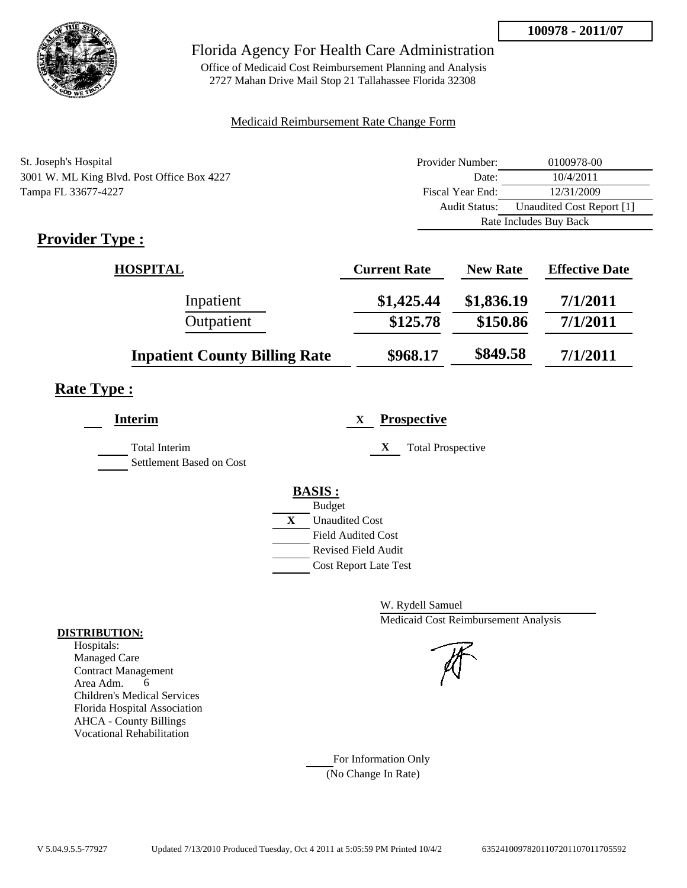

Office of Medicaid Cost Reimbursement Planning and Analysis 2727 Mahan Drive Mail Stop 21 Tallahassee Florida 32308

#### Medicaid Reimbursement Rate Change Form

| St. Joseph's Hospital                      | Provider Number:     | 0100978-00                |
|--------------------------------------------|----------------------|---------------------------|
| 3001 W. ML King Blvd. Post Office Box 4227 | Date:                | 10/4/2011                 |
| Tampa FL 33677-4227                        | Fiscal Year End:     | 12/31/2009                |
|                                            | <b>Audit Status:</b> | Unaudited Cost Report [1] |
|                                            |                      | Rate Includes Buy Back    |

# **Provider Type :**

| <b>HOSPITAL</b>                      | <b>Current Rate</b> | <b>New Rate</b> | <b>Effective Date</b> |
|--------------------------------------|---------------------|-----------------|-----------------------|
| Inpatient                            | \$1,425.44          | \$1,836.19      | 7/1/2011              |
| Outpatient                           | \$125.78            | \$150.86        | 7/1/2011              |
| <b>Inpatient County Billing Rate</b> | \$968.17            | \$849.58        | 7/1/2011              |

# **Rate Type :**

| <b>Prospective</b><br>X               |
|---------------------------------------|
| X<br><b>Total Prospective</b>         |
| <b>BASIS:</b>                         |
| <b>Budget</b>                         |
| $\mathbf{X}$<br><b>Unaudited Cost</b> |
| <b>Field Audited Cost</b>             |
| Revised Field Audit                   |
| <b>Cost Report Late Test</b>          |
|                                       |

W. Rydell Samuel Medicaid Cost Reimbursement Analysis

For Information Only (No Change In Rate)

#### **DISTRIBUTION:**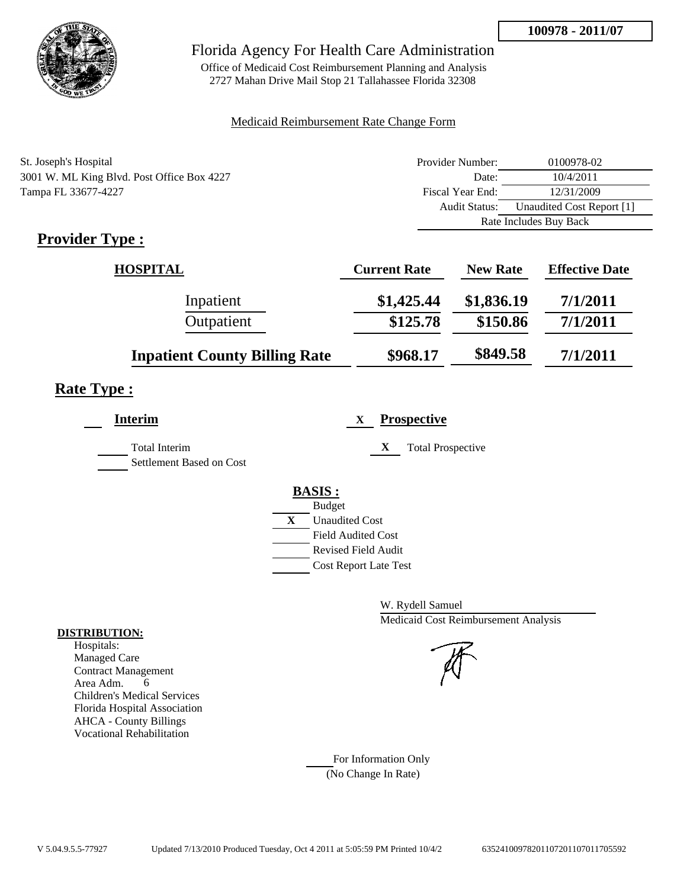

Office of Medicaid Cost Reimbursement Planning and Analysis 2727 Mahan Drive Mail Stop 21 Tallahassee Florida 32308

#### Medicaid Reimbursement Rate Change Form

| St. Joseph's Hospital                      | Provider Number:     | 0100978-02                |
|--------------------------------------------|----------------------|---------------------------|
| 3001 W. ML King Blvd. Post Office Box 4227 | Date:                | 10/4/2011                 |
| Tampa FL 33677-4227                        | Fiscal Year End:     | 12/31/2009                |
|                                            | <b>Audit Status:</b> | Unaudited Cost Report [1] |
|                                            |                      | Rate Includes Buy Back    |
|                                            |                      |                           |

# **Provider Type :**

| <b>HOSPITAL</b>                      | <b>Current Rate</b> | <b>New Rate</b> | <b>Effective Date</b> |
|--------------------------------------|---------------------|-----------------|-----------------------|
| Inpatient                            | \$1,425.44          | \$1,836.19      | 7/1/2011              |
| Outpatient                           | \$125.78            | \$150.86        | 7/1/2011              |
| <b>Inpatient County Billing Rate</b> | \$968.17            | \$849.58        | 7/1/2011              |

# **Rate Type :**

| <b>Interim</b>                                   | <b>Prospective</b><br>$\mathbf{X}$    |
|--------------------------------------------------|---------------------------------------|
| <b>Total Interim</b><br>Settlement Based on Cost | X<br><b>Total Prospective</b>         |
|                                                  | <b>BASIS:</b>                         |
|                                                  | <b>Budget</b>                         |
|                                                  | $\mathbf{X}$<br><b>Unaudited Cost</b> |
|                                                  | <b>Field Audited Cost</b>             |
|                                                  | <b>Revised Field Audit</b>            |
|                                                  | <b>Cost Report Late Test</b>          |
|                                                  |                                       |

W. Rydell Samuel Medicaid Cost Reimbursement Analysis

For Information Only (No Change In Rate)

#### **DISTRIBUTION:**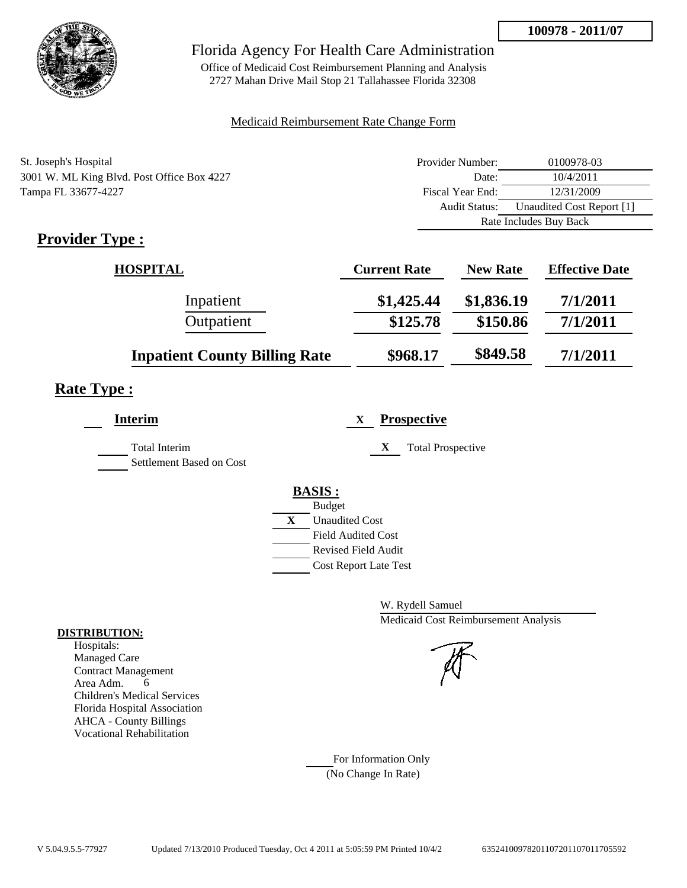

Office of Medicaid Cost Reimbursement Planning and Analysis 2727 Mahan Drive Mail Stop 21 Tallahassee Florida 32308

#### Medicaid Reimbursement Rate Change Form

| St. Joseph's Hospital                      | Provider Number:     | 0100978-03                |
|--------------------------------------------|----------------------|---------------------------|
| 3001 W. ML King Blvd. Post Office Box 4227 | Date:                | 10/4/2011                 |
| Tampa FL 33677-4227                        | Fiscal Year End:     | 12/31/2009                |
|                                            | <b>Audit Status:</b> | Unaudited Cost Report [1] |
|                                            |                      | Rate Includes Buy Back    |

# **Provider Type :**

| <b>HOSPITAL</b>                      | <b>Current Rate</b> | <b>New Rate</b> | <b>Effective Date</b> |
|--------------------------------------|---------------------|-----------------|-----------------------|
| Inpatient                            | \$1,425.44          | \$1,836.19      | 7/1/2011              |
| Outpatient                           | \$125.78            | \$150.86        | 7/1/2011              |
| <b>Inpatient County Billing Rate</b> | \$968.17            | \$849.58        | 7/1/2011              |

# **Rate Type :**

| <b>Prospective</b><br>X               |
|---------------------------------------|
| X<br><b>Total Prospective</b>         |
| <b>BASIS:</b>                         |
| <b>Budget</b>                         |
| $\mathbf{X}$<br><b>Unaudited Cost</b> |
| <b>Field Audited Cost</b>             |
| Revised Field Audit                   |
| <b>Cost Report Late Test</b>          |
|                                       |

W. Rydell Samuel Medicaid Cost Reimbursement Analysis

For Information Only (No Change In Rate)

#### **DISTRIBUTION:**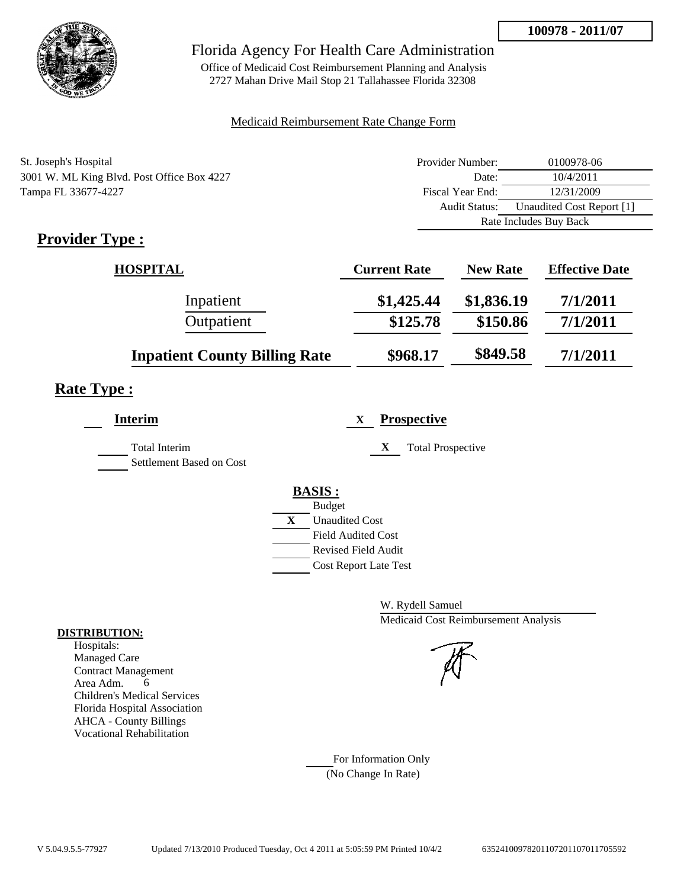

Office of Medicaid Cost Reimbursement Planning and Analysis 2727 Mahan Drive Mail Stop 21 Tallahassee Florida 32308

#### Medicaid Reimbursement Rate Change Form

| St. Joseph's Hospital                      | Provider Number: | 0100978-06                |
|--------------------------------------------|------------------|---------------------------|
| 3001 W. ML King Blvd. Post Office Box 4227 | Date:            | 10/4/2011                 |
| Tampa FL 33677-4227                        | Fiscal Year End: | 12/31/2009                |
|                                            | Audit Status:    | Unaudited Cost Report [1] |
|                                            |                  | Rate Includes Buy Back    |

# **Provider Type :**

| <b>HOSPITAL</b>                      | <b>Current Rate</b> | <b>New Rate</b> | <b>Effective Date</b> |
|--------------------------------------|---------------------|-----------------|-----------------------|
| Inpatient                            | \$1,425.44          | \$1,836.19      | 7/1/2011              |
| Outpatient                           | \$125.78            | \$150.86        | 7/1/2011              |
| <b>Inpatient County Billing Rate</b> | \$968.17            | \$849.58        | 7/1/2011              |

## **Rate Type :**

| <b>Prospective</b><br>X               |
|---------------------------------------|
| X<br><b>Total Prospective</b>         |
| <b>BASIS:</b>                         |
| <b>Budget</b>                         |
| $\mathbf{X}$<br><b>Unaudited Cost</b> |
| <b>Field Audited Cost</b>             |
| Revised Field Audit                   |
| <b>Cost Report Late Test</b>          |
|                                       |

W. Rydell Samuel Medicaid Cost Reimbursement Analysis

For Information Only (No Change In Rate)

#### **DISTRIBUTION:**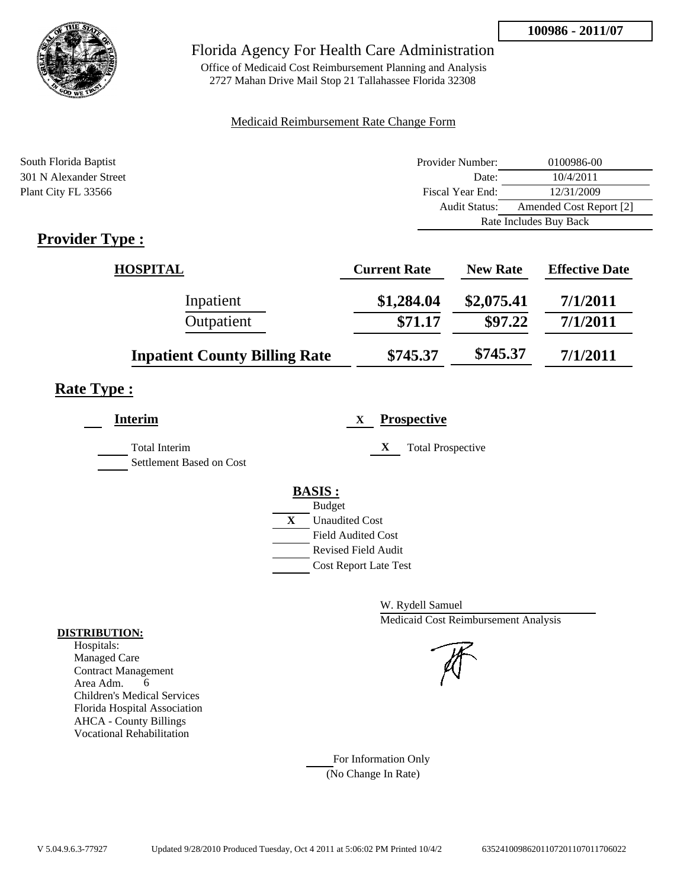

Office of Medicaid Cost Reimbursement Planning and Analysis 2727 Mahan Drive Mail Stop 21 Tallahassee Florida 32308

#### Medicaid Reimbursement Rate Change Form

| South Florida Baptist  | Provider Number:     | 0100986-00              |
|------------------------|----------------------|-------------------------|
| 301 N Alexander Street | Date:                | 10/4/2011               |
| Plant City FL 33566    | Fiscal Year End:     | 12/31/2009              |
|                        | <b>Audit Status:</b> | Amended Cost Report [2] |
|                        |                      | Rate Includes Buy Back  |
| <b>Provider Type</b> . |                      |                         |

# **Provider Type :**

| <b>HOSPITAL</b>                      | <b>Current Rate</b> | <b>New Rate</b> | <b>Effective Date</b> |
|--------------------------------------|---------------------|-----------------|-----------------------|
| Inpatient                            | \$1,284.04          | \$2,075.41      | 7/1/2011              |
| Outpatient                           | \$71.17             | \$97.22         | 7/1/2011              |
| <b>Inpatient County Billing Rate</b> | \$745.37            | \$745.37        | 7/1/2011              |

# **Rate Type :**

| Interim                                          | <b>Prospective</b><br>X       |
|--------------------------------------------------|-------------------------------|
| <b>Total Interim</b><br>Settlement Based on Cost | X<br><b>Total Prospective</b> |
|                                                  | <b>BASIS:</b>                 |
|                                                  | <b>Budget</b>                 |
|                                                  | X<br><b>Unaudited Cost</b>    |
|                                                  | <b>Field Audited Cost</b>     |
|                                                  | <b>Revised Field Audit</b>    |
|                                                  | <b>Cost Report Late Test</b>  |
|                                                  |                               |

W. Rydell Samuel Medicaid Cost Reimbursement Analysis

For Information Only (No Change In Rate)

#### **DISTRIBUTION:**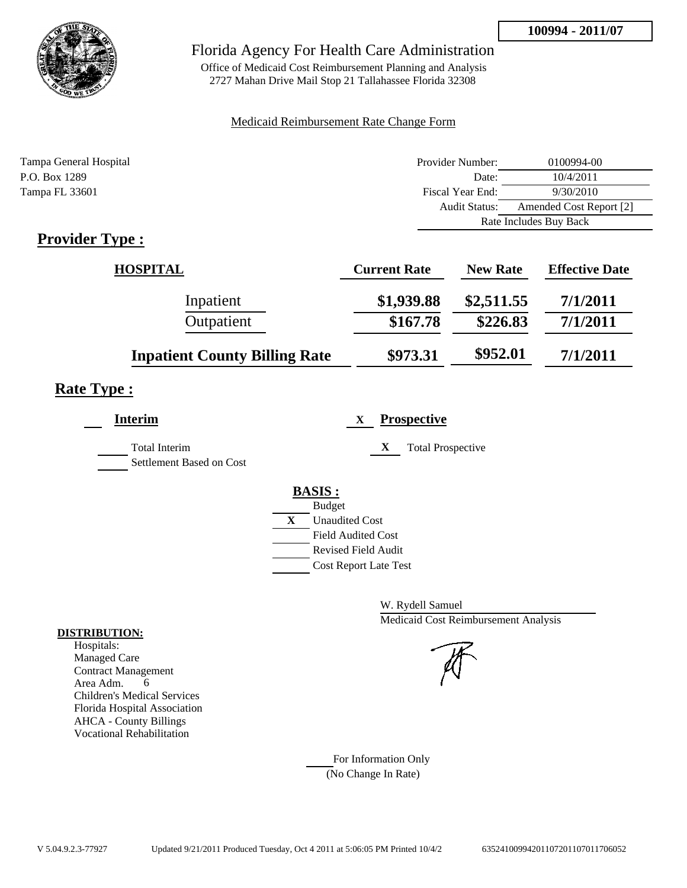

Office of Medicaid Cost Reimbursement Planning and Analysis 2727 Mahan Drive Mail Stop 21 Tallahassee Florida 32308

#### Medicaid Reimbursement Rate Change Form

| Tampa General Hospital | Provider Number:     | 0100994-00              |
|------------------------|----------------------|-------------------------|
| P.O. Box 1289          | Date:                | 10/4/2011               |
| Tampa FL 33601         | Fiscal Year End:     | 9/30/2010               |
|                        | <b>Audit Status:</b> | Amended Cost Report [2] |
|                        |                      | Rate Includes Buy Back  |
|                        |                      |                         |

## **Provider Type :**

| <b>HOSPITAL</b>                      | <b>Current Rate</b> | <b>New Rate</b> | <b>Effective Date</b> |
|--------------------------------------|---------------------|-----------------|-----------------------|
| Inpatient                            | \$1,939.88          | \$2,511.55      | 7/1/2011              |
| Outpatient                           | \$167.78            | \$226.83        | 7/1/2011              |
| <b>Inpatient County Billing Rate</b> | \$973.31            | \$952.01        | 7/1/2011              |

# **Rate Type :**

| <b>Interim</b>                            | <b>Prospective</b><br>X       |
|-------------------------------------------|-------------------------------|
| Total Interim<br>Settlement Based on Cost | X<br><b>Total Prospective</b> |
|                                           | <b>BASIS:</b>                 |
|                                           | <b>Budget</b>                 |
|                                           | X<br><b>Unaudited Cost</b>    |
|                                           | <b>Field Audited Cost</b>     |
|                                           | <b>Revised Field Audit</b>    |
|                                           | <b>Cost Report Late Test</b>  |
|                                           |                               |

W. Rydell Samuel Medicaid Cost Reimbursement Analysis

For Information Only (No Change In Rate)

#### **DISTRIBUTION:**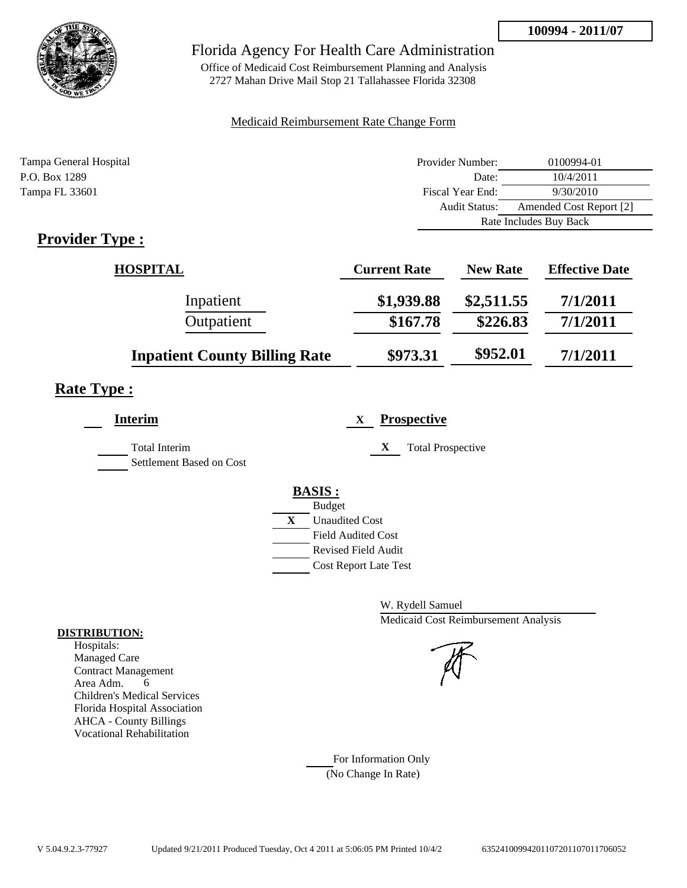

Office of Medicaid Cost Reimbursement Planning and Analysis 2727 Mahan Drive Mail Stop 21 Tallahassee Florida 32308

### Medicaid Reimbursement Rate Change Form

| Tampa General Hospital | Provider Number:     | 0100994-01              |
|------------------------|----------------------|-------------------------|
| P.O. Box 1289          | Date:                | 10/4/2011               |
| Tampa FL 33601         | Fiscal Year End:     | 9/30/2010               |
|                        | <b>Audit Status:</b> | Amended Cost Report [2] |
|                        |                      | Rate Includes Buy Back  |
|                        |                      |                         |

## **Provider Type :**

| <b>HOSPITAL</b>                      | <b>Current Rate</b> | <b>New Rate</b> | <b>Effective Date</b> |
|--------------------------------------|---------------------|-----------------|-----------------------|
| Inpatient                            | \$1,939.88          | \$2,511.55      | 7/1/2011              |
| Outpatient                           | \$167.78            | \$226.83        | 7/1/2011              |
| <b>Inpatient County Billing Rate</b> | \$973.31            | \$952.01        | 7/1/2011              |

# **Rate Type :**

| <b>Interim</b>                            | <b>Prospective</b><br>X.      |
|-------------------------------------------|-------------------------------|
| Total Interim<br>Settlement Based on Cost | X<br><b>Total Prospective</b> |
|                                           | <b>BASIS:</b>                 |
|                                           | <b>Budget</b>                 |
|                                           | X<br><b>Unaudited Cost</b>    |
|                                           | <b>Field Audited Cost</b>     |
|                                           | <b>Revised Field Audit</b>    |
|                                           | <b>Cost Report Late Test</b>  |
|                                           |                               |

W. Rydell Samuel Medicaid Cost Reimbursement Analysis

For Information Only (No Change In Rate)

#### **DISTRIBUTION:**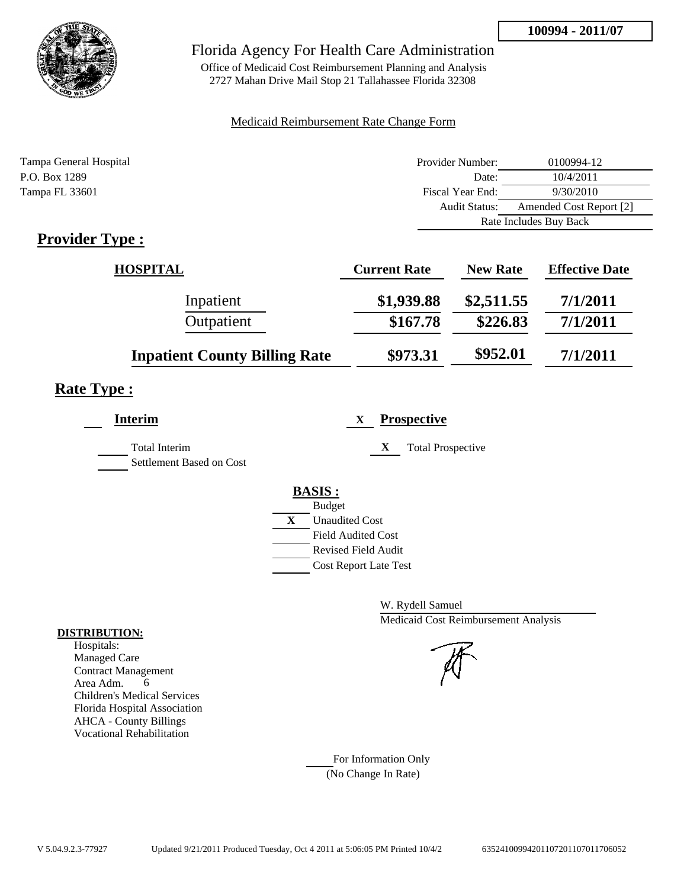

Office of Medicaid Cost Reimbursement Planning and Analysis 2727 Mahan Drive Mail Stop 21 Tallahassee Florida 32308

#### Medicaid Reimbursement Rate Change Form

| Tampa General Hospital | Provider Number:     | 0100994-12              |
|------------------------|----------------------|-------------------------|
| P.O. Box 1289          | Date:                | 10/4/2011               |
| Tampa FL 33601         | Fiscal Year End:     | 9/30/2010               |
|                        | <b>Audit Status:</b> | Amended Cost Report [2] |
|                        |                      | Rate Includes Buy Back  |
|                        |                      |                         |

## **Provider Type :**

| <b>HOSPITAL</b>                      | <b>Current Rate</b> | <b>New Rate</b> | <b>Effective Date</b> |
|--------------------------------------|---------------------|-----------------|-----------------------|
| Inpatient                            | \$1,939.88          | \$2,511.55      | 7/1/2011              |
| Outpatient                           | \$167.78            | \$226.83        | 7/1/2011              |
| <b>Inpatient County Billing Rate</b> | \$973.31            | \$952.01        | 7/1/2011              |

# **Rate Type :**

| <b>Interim</b>                            | <b>Prospective</b><br>X       |
|-------------------------------------------|-------------------------------|
| Total Interim<br>Settlement Based on Cost | X<br><b>Total Prospective</b> |
|                                           | <b>BASIS:</b>                 |
|                                           | <b>Budget</b>                 |
|                                           | X<br><b>Unaudited Cost</b>    |
|                                           | <b>Field Audited Cost</b>     |
|                                           | <b>Revised Field Audit</b>    |
|                                           | <b>Cost Report Late Test</b>  |
|                                           |                               |

W. Rydell Samuel Medicaid Cost Reimbursement Analysis

For Information Only (No Change In Rate)

#### **DISTRIBUTION:**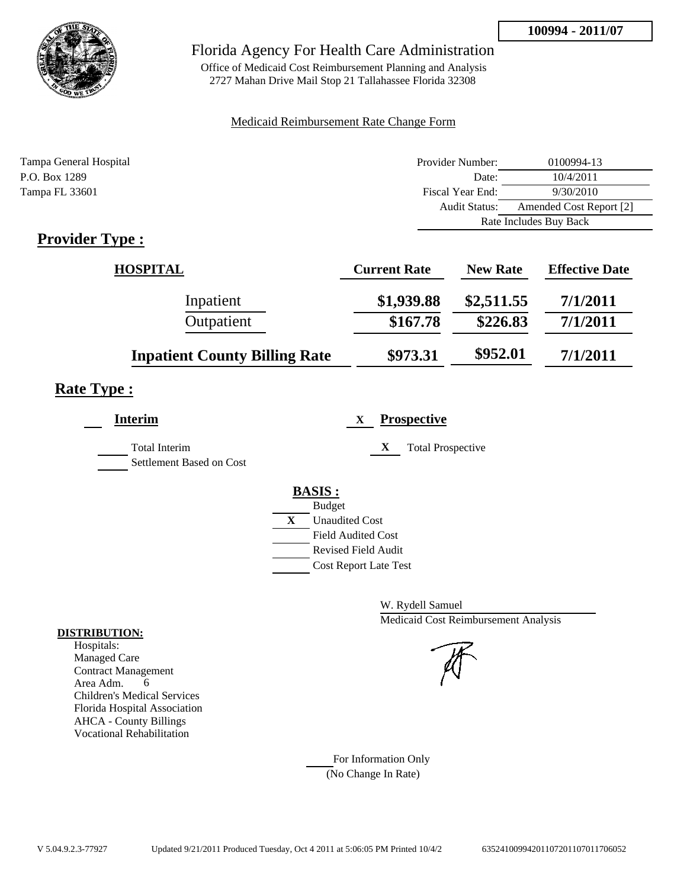

Office of Medicaid Cost Reimbursement Planning and Analysis 2727 Mahan Drive Mail Stop 21 Tallahassee Florida 32308

#### Medicaid Reimbursement Rate Change Form

| Tampa General Hospital | Provider Number:     | 0100994-13              |
|------------------------|----------------------|-------------------------|
| P.O. Box 1289          | Date:                | 10/4/2011               |
| Tampa FL 33601         | Fiscal Year End:     | 9/30/2010               |
|                        | <b>Audit Status:</b> | Amended Cost Report [2] |
|                        |                      | Rate Includes Buy Back  |
|                        |                      |                         |

## **Provider Type :**

| <b>HOSPITAL</b>                      | <b>Current Rate</b> | <b>New Rate</b> | <b>Effective Date</b> |
|--------------------------------------|---------------------|-----------------|-----------------------|
| Inpatient                            | \$1,939.88          | \$2,511.55      | 7/1/2011              |
| Outpatient                           | \$167.78            | \$226.83        | 7/1/2011              |
| <b>Inpatient County Billing Rate</b> | \$973.31            | \$952.01        | 7/1/2011              |

# **Rate Type :**

| <b>Interim</b>                            | <b>Prospective</b><br>X       |
|-------------------------------------------|-------------------------------|
| Total Interim<br>Settlement Based on Cost | X<br><b>Total Prospective</b> |
|                                           | <b>BASIS:</b>                 |
|                                           | <b>Budget</b>                 |
|                                           | X<br><b>Unaudited Cost</b>    |
|                                           | <b>Field Audited Cost</b>     |
|                                           | <b>Revised Field Audit</b>    |
|                                           | <b>Cost Report Late Test</b>  |
|                                           |                               |

W. Rydell Samuel Medicaid Cost Reimbursement Analysis

For Information Only (No Change In Rate)

#### **DISTRIBUTION:**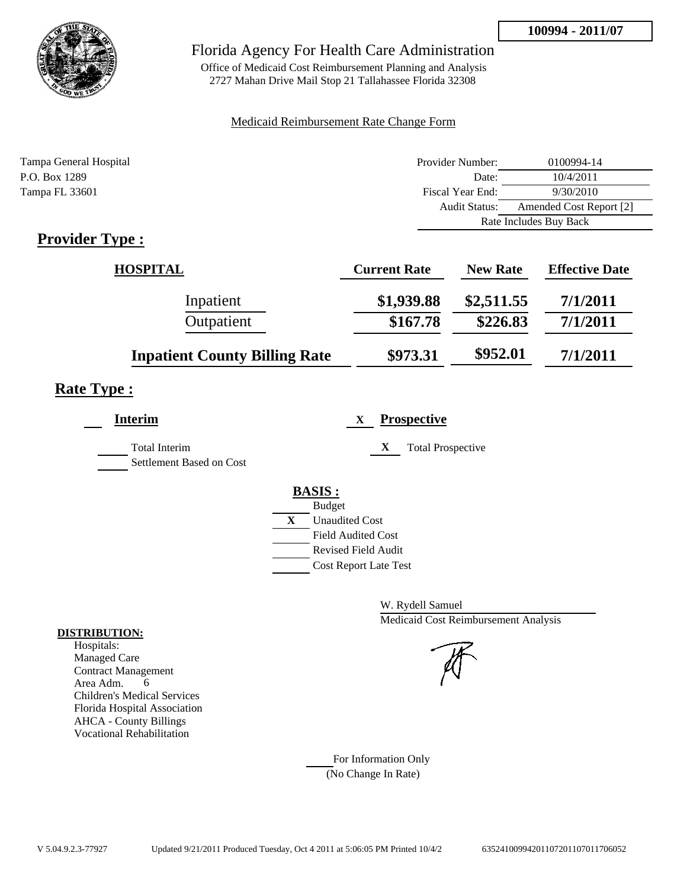

Office of Medicaid Cost Reimbursement Planning and Analysis 2727 Mahan Drive Mail Stop 21 Tallahassee Florida 32308

### Medicaid Reimbursement Rate Change Form

| Tampa General Hospital | Provider Number:     | 0100994-14              |
|------------------------|----------------------|-------------------------|
| P.O. Box 1289          | Date:                | 10/4/2011               |
| Tampa FL 33601         | Fiscal Year End:     | 9/30/2010               |
|                        | <b>Audit Status:</b> | Amended Cost Report [2] |
|                        |                      | Rate Includes Buy Back  |
|                        |                      |                         |

## **Provider Type :**

| <b>HOSPITAL</b>                      | <b>Current Rate</b> | <b>New Rate</b> | <b>Effective Date</b> |
|--------------------------------------|---------------------|-----------------|-----------------------|
| Inpatient                            | \$1,939.88          | \$2,511.55      | 7/1/2011              |
| Outpatient                           | \$167.78            | \$226.83        | 7/1/2011              |
| <b>Inpatient County Billing Rate</b> | \$973.31            | \$952.01        | 7/1/2011              |

# **Rate Type :**

| <b>Interim</b>                            | <b>Prospective</b><br>X       |
|-------------------------------------------|-------------------------------|
| Total Interim<br>Settlement Based on Cost | X<br><b>Total Prospective</b> |
|                                           | <b>BASIS:</b>                 |
|                                           | <b>Budget</b>                 |
|                                           | X<br><b>Unaudited Cost</b>    |
|                                           | <b>Field Audited Cost</b>     |
|                                           | <b>Revised Field Audit</b>    |
|                                           | <b>Cost Report Late Test</b>  |
|                                           |                               |

W. Rydell Samuel Medicaid Cost Reimbursement Analysis

For Information Only (No Change In Rate)

#### **DISTRIBUTION:**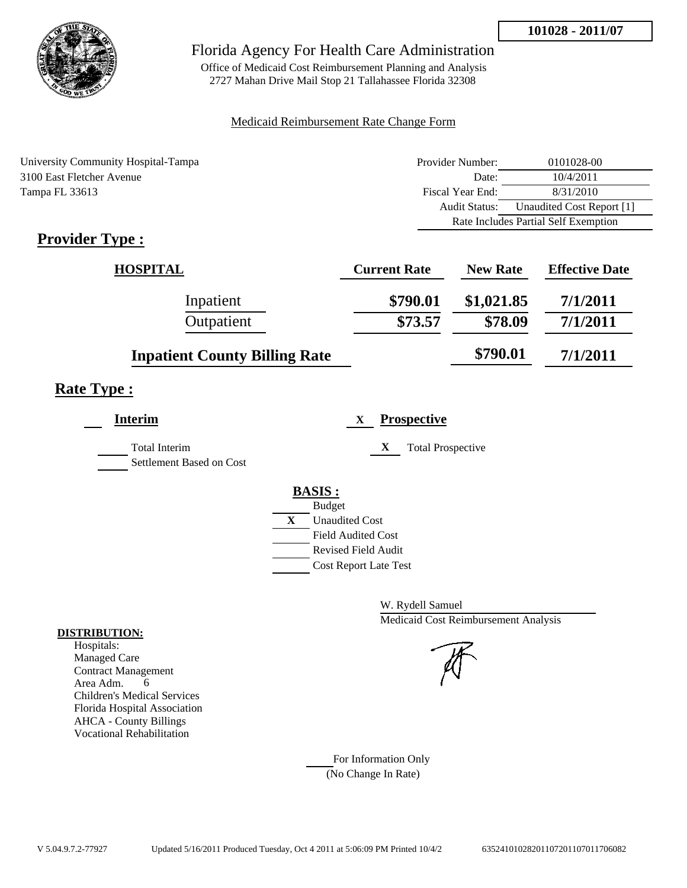

Office of Medicaid Cost Reimbursement Planning and Analysis 2727 Mahan Drive Mail Stop 21 Tallahassee Florida 32308

#### Medicaid Reimbursement Rate Change Form

| University Community Hospital-Tampa | Provider Number:     | 0101028-00                           |
|-------------------------------------|----------------------|--------------------------------------|
| 3100 East Fletcher Avenue           | Date:                | 10/4/2011                            |
| Tampa FL 33613                      | Fiscal Year End:     | 8/31/2010                            |
|                                     | <b>Audit Status:</b> | Unaudited Cost Report [1]            |
|                                     |                      | Rate Includes Partial Self Exemption |

# **Provider Type :**

| <b>HOSPITAL</b>                      | <b>Current Rate</b> | <b>New Rate</b> | <b>Effective Date</b> |
|--------------------------------------|---------------------|-----------------|-----------------------|
| Inpatient                            | \$790.01            | \$1,021.85      | 7/1/2011              |
| Outpatient                           | \$73.57             | \$78.09         | 7/1/2011              |
| <b>Inpatient County Billing Rate</b> |                     | \$790.01        | 7/1/2011              |

# **Rate Type :**

| <b>Interim</b>                                   | <b>Prospective</b><br>X       |
|--------------------------------------------------|-------------------------------|
| <b>Total Interim</b><br>Settlement Based on Cost | X<br><b>Total Prospective</b> |
|                                                  | <b>BASIS:</b>                 |
|                                                  | <b>Budget</b>                 |
|                                                  | X<br><b>Unaudited Cost</b>    |
|                                                  | <b>Field Audited Cost</b>     |
|                                                  | <b>Revised Field Audit</b>    |
|                                                  | <b>Cost Report Late Test</b>  |
|                                                  |                               |

W. Rydell Samuel Medicaid Cost Reimbursement Analysis

For Information Only (No Change In Rate)

#### **DISTRIBUTION:**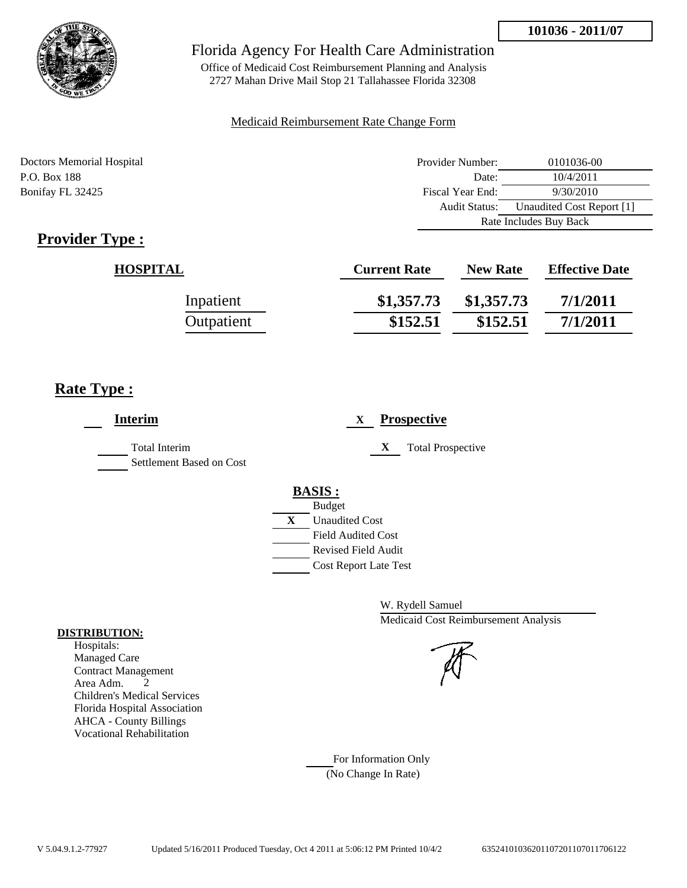

Office of Medicaid Cost Reimbursement Planning and Analysis 2727 Mahan Drive Mail Stop 21 Tallahassee Florida 32308

#### Medicaid Reimbursement Rate Change Form

Doctors Memorial Hospital Provider Number: 0101036-00 P.O. Box 188 10/4/2011 Bonifay FL 32425 Fiscal Year End: 9/30/2010 Audit Status: Unaudited Cost Report [1] Rate Includes Buy Back

# **Provider Type :**

| <b>HOSPITAL</b> | <b>Current Rate</b> | <b>New Rate</b> | <b>Effective Date</b> |
|-----------------|---------------------|-----------------|-----------------------|
| Inpatient       | \$1,357.73          | \$1,357.73      | 7/1/2011              |
| Outpatient      | \$152.51            | \$152.51        | 7/1/2011              |

## **Rate Type :**

| <b>Interim</b>                                   | <b>Prospective</b><br>X                                                                                                                                 |
|--------------------------------------------------|---------------------------------------------------------------------------------------------------------------------------------------------------------|
| <b>Total Interim</b><br>Settlement Based on Cost | X<br><b>Total Prospective</b>                                                                                                                           |
|                                                  | <b>BASIS:</b><br><b>Budget</b><br>X<br><b>Unaudited Cost</b><br><b>Field Audited Cost</b><br><b>Revised Field Audit</b><br><b>Cost Report Late Test</b> |

W. Rydell Samuel Medicaid Cost Reimbursement Analysis

For Information Only (No Change In Rate)

#### **DISTRIBUTION:**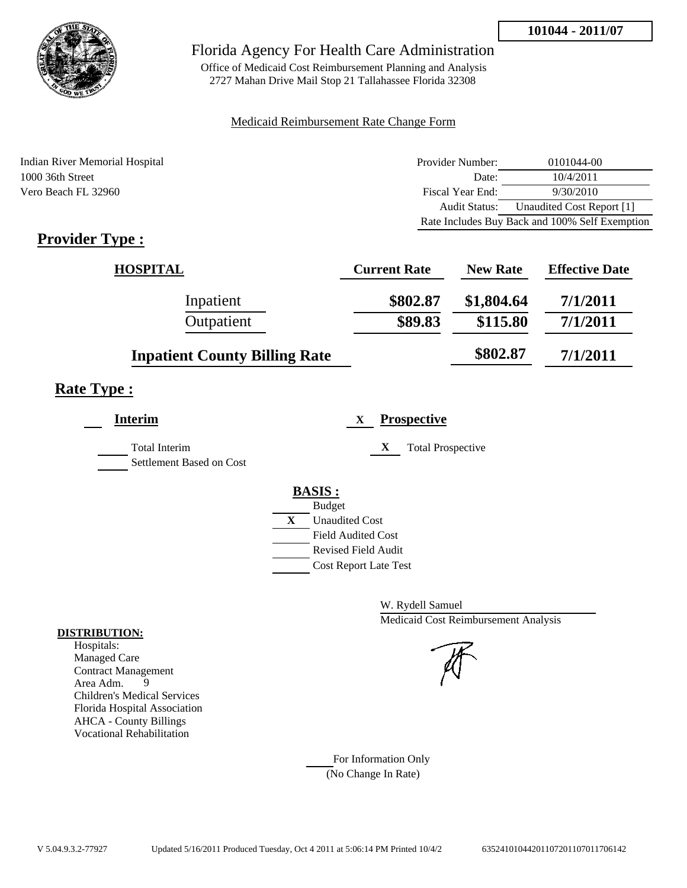

Office of Medicaid Cost Reimbursement Planning and Analysis 2727 Mahan Drive Mail Stop 21 Tallahassee Florida 32308

#### Medicaid Reimbursement Rate Change Form

Indian River Memorial Hospital 1000 36th Street Vero Beach FL 32960

| Provider Number: | 0101044-00                                     |
|------------------|------------------------------------------------|
| Date:            | 10/4/2011                                      |
| Fiscal Year End: | 9/30/2010                                      |
| Audit Status:    | Unaudited Cost Report [1]                      |
|                  | Rate Includes Buy Back and 100% Self Exemption |

# **Provider Type :**

| <b>HOSPITAL</b>                      | <b>Current Rate</b> | <b>New Rate</b> | <b>Effective Date</b> |
|--------------------------------------|---------------------|-----------------|-----------------------|
| Inpatient                            | \$802.87            | \$1,804.64      | 7/1/2011              |
| Outpatient                           | \$89.83             | \$115.80        | 7/1/2011              |
| <b>Inpatient County Billing Rate</b> |                     | \$802.87        | 7/1/2011              |

## **Rate Type :**

| <b>Interim</b>           | <b>Prospective</b><br>X       |  |
|--------------------------|-------------------------------|--|
| <b>Total Interim</b>     | X<br><b>Total Prospective</b> |  |
| Settlement Based on Cost |                               |  |
|                          | <b>BASIS:</b>                 |  |
|                          | <b>Budget</b>                 |  |
|                          | X<br><b>Unaudited Cost</b>    |  |
|                          | <b>Field Audited Cost</b>     |  |
|                          | Revised Field Audit           |  |
|                          | <b>Cost Report Late Test</b>  |  |
|                          |                               |  |

W. Rydell Samuel Medicaid Cost Reimbursement Analysis

For Information Only (No Change In Rate)

#### **DISTRIBUTION:**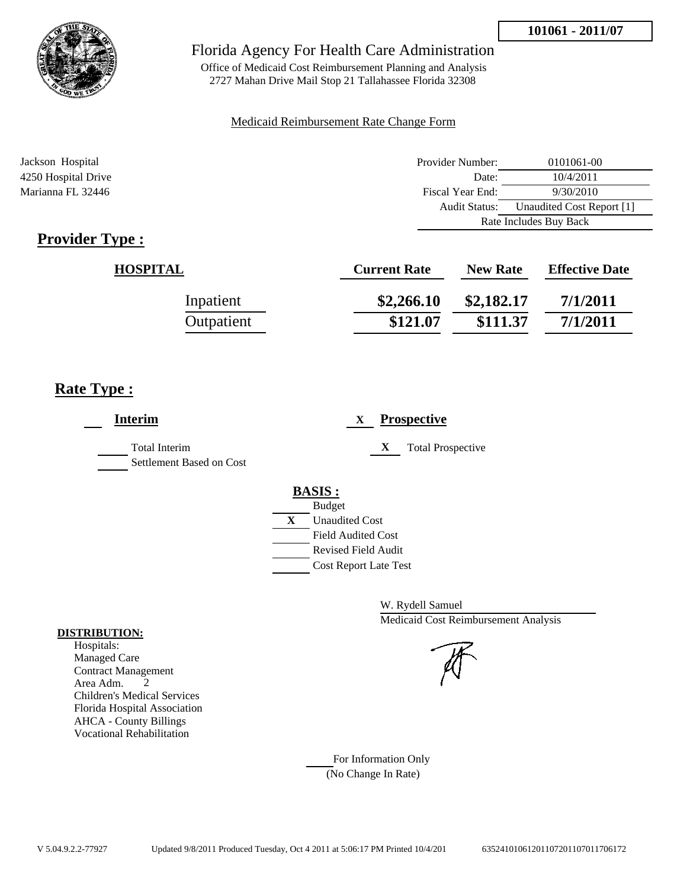

Office of Medicaid Cost Reimbursement Planning and Analysis 2727 Mahan Drive Mail Stop 21 Tallahassee Florida 32308

#### Medicaid Reimbursement Rate Change Form

| Jackson Hospital    | Provider Number:     | 0101061-00                |  |
|---------------------|----------------------|---------------------------|--|
| 4250 Hospital Drive | Date:                | 10/4/2011                 |  |
| Marianna FL 32446   | Fiscal Year End:     | 9/30/2010                 |  |
|                     | <b>Audit Status:</b> | Unaudited Cost Report [1] |  |
|                     |                      | Rate Includes Buy Back    |  |

# **Provider Type :**

| <b>HOSPITAL</b> | <b>Current Rate</b> | <b>New Rate</b> | <b>Effective Date</b> |
|-----------------|---------------------|-----------------|-----------------------|
| Inpatient       | \$2,266.10          | \$2,182.17      | 7/1/2011              |
| Outpatient      | \$121.07            | \$111.37        | 7/1/2011              |

## **Rate Type :**

| <b>Interim</b>                                   | <b>Prospective</b><br>X                                                                                                                                 |
|--------------------------------------------------|---------------------------------------------------------------------------------------------------------------------------------------------------------|
| <b>Total Interim</b><br>Settlement Based on Cost | <b>Total Prospective</b><br>$\mathbf{x}$                                                                                                                |
|                                                  | <b>BASIS:</b><br><b>Budget</b><br>X<br><b>Unaudited Cost</b><br><b>Field Audited Cost</b><br><b>Revised Field Audit</b><br><b>Cost Report Late Test</b> |

W. Rydell Samuel Medicaid Cost Reimbursement Analysis

For Information Only (No Change In Rate)

#### **DISTRIBUTION:**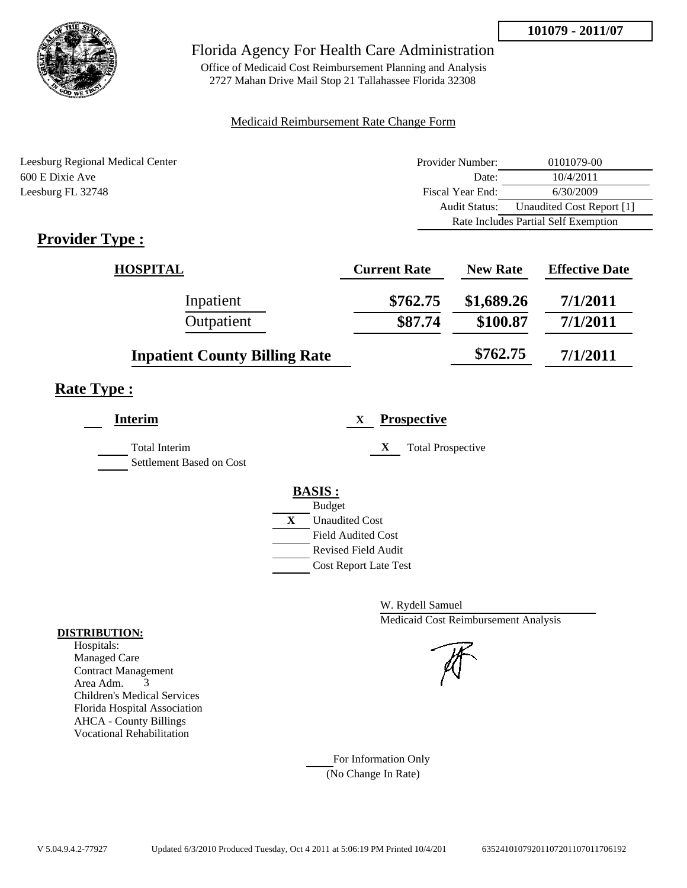

Office of Medicaid Cost Reimbursement Planning and Analysis 2727 Mahan Drive Mail Stop 21 Tallahassee Florida 32308

#### Medicaid Reimbursement Rate Change Form

| Leesburg Regional Medical Center | Provider Number: | 0101079-00                           |  |
|----------------------------------|------------------|--------------------------------------|--|
| 600 E Dixie Ave                  | Date:            | 10/4/2011                            |  |
| Leesburg FL 32748                | Fiscal Year End: | 6/30/2009                            |  |
|                                  | Audit Status:    | Unaudited Cost Report [1]            |  |
|                                  |                  | Rate Includes Partial Self Exemption |  |

# **Provider Type :**

| <b>HOSPITAL</b>                      | <b>Current Rate</b> | <b>New Rate</b> | <b>Effective Date</b> |
|--------------------------------------|---------------------|-----------------|-----------------------|
| Inpatient                            | \$762.75            | \$1,689.26      | 7/1/2011              |
| Outpatient                           | \$87.74             | \$100.87        | 7/1/2011              |
| <b>Inpatient County Billing Rate</b> |                     | \$762.75        | 7/1/2011              |

## **Rate Type :**

| <b>Interim</b>                                   | <b>Prospective</b><br>X               |
|--------------------------------------------------|---------------------------------------|
| <b>Total Interim</b><br>Settlement Based on Cost | X<br><b>Total Prospective</b>         |
|                                                  | <b>BASIS:</b>                         |
|                                                  | <b>Budget</b>                         |
|                                                  | $\mathbf{X}$<br><b>Unaudited Cost</b> |
|                                                  | <b>Field Audited Cost</b>             |
|                                                  | <b>Revised Field Audit</b>            |
|                                                  | <b>Cost Report Late Test</b>          |
|                                                  |                                       |
|                                                  |                                       |

W. Rydell Samuel Medicaid Cost Reimbursement Analysis

For Information Only (No Change In Rate)

#### **DISTRIBUTION:**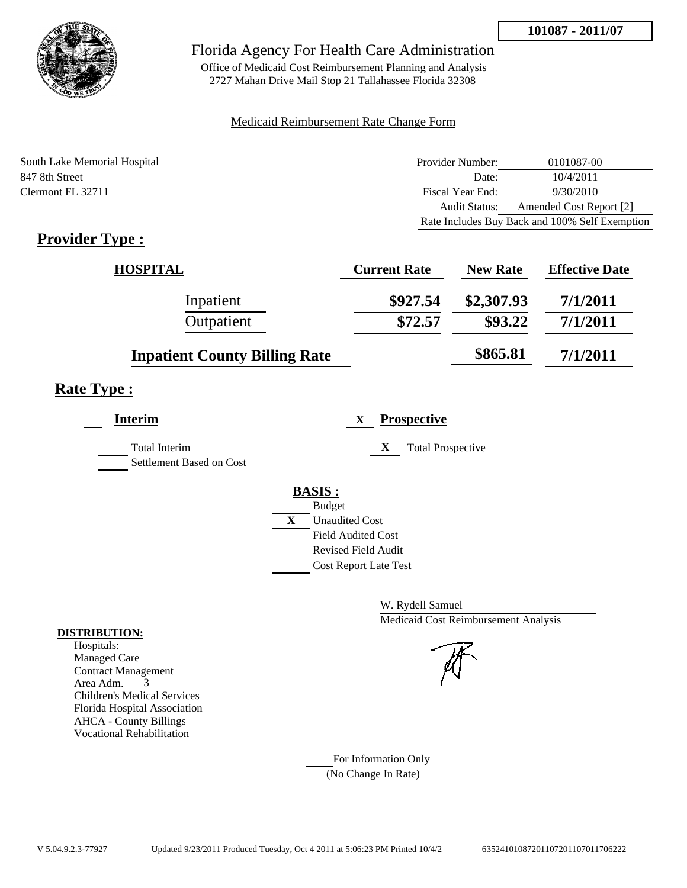

Office of Medicaid Cost Reimbursement Planning and Analysis 2727 Mahan Drive Mail Stop 21 Tallahassee Florida 32308

#### Medicaid Reimbursement Rate Change Form

| South Lake Memorial Hospital | Provider Number: | 0101087-00                                     |
|------------------------------|------------------|------------------------------------------------|
| 847 8th Street               | Date:            | 10/4/2011                                      |
| Clermont FL 32711            | Fiscal Year End: | 9/30/2010                                      |
|                              | Audit Status:    | Amended Cost Report [2]                        |
|                              |                  | Rate Includes Buy Back and 100% Self Exemption |

# **Provider Type :**

| <b>HOSPITAL</b>                      | <b>Current Rate</b> | <b>New Rate</b> | <b>Effective Date</b> |
|--------------------------------------|---------------------|-----------------|-----------------------|
| Inpatient                            | \$927.54            | \$2,307.93      | 7/1/2011              |
| Outpatient                           | \$72.57             | \$93.22         | 7/1/2011              |
| <b>Inpatient County Billing Rate</b> |                     | \$865.81        | 7/1/2011              |

# **Rate Type :**

| <b>Interim</b>                                   |   | <b>Prospective</b><br>X       |
|--------------------------------------------------|---|-------------------------------|
| <b>Total Interim</b><br>Settlement Based on Cost |   | X<br><b>Total Prospective</b> |
|                                                  |   | <b>BASIS:</b>                 |
|                                                  |   | <b>Budget</b>                 |
|                                                  | X | <b>Unaudited Cost</b>         |
|                                                  |   | <b>Field Audited Cost</b>     |
|                                                  |   | <b>Revised Field Audit</b>    |
|                                                  |   | <b>Cost Report Late Test</b>  |
|                                                  |   |                               |

W. Rydell Samuel Medicaid Cost Reimbursement Analysis

For Information Only (No Change In Rate)

#### **DISTRIBUTION:**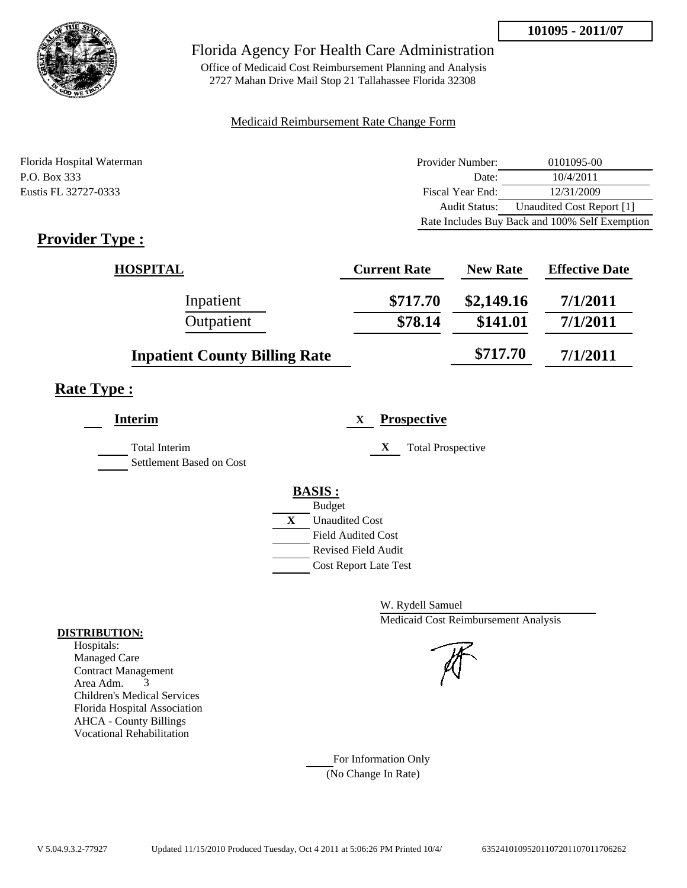

Office of Medicaid Cost Reimbursement Planning and Analysis 2727 Mahan Drive Mail Stop 21 Tallahassee Florida 32308

#### Medicaid Reimbursement Rate Change Form

| Florida Hospital Waterman | Provider Number: | 0101095-00                                     |
|---------------------------|------------------|------------------------------------------------|
| P.O. Box 333              | Date:            | 10/4/2011                                      |
| Eustis FL 32727-0333      | Fiscal Year End: | 12/31/2009                                     |
|                           | Audit Status:    | Unaudited Cost Report [1]                      |
|                           |                  | Rate Includes Buy Back and 100% Self Exemption |

# **Provider Type :**

| <b>HOSPITAL</b>                      | <b>Current Rate</b> | <b>New Rate</b> | <b>Effective Date</b> |
|--------------------------------------|---------------------|-----------------|-----------------------|
| Inpatient                            | \$717.70            | \$2,149.16      | 7/1/2011              |
| Outpatient                           | \$78.14             | \$141.01        | 7/1/2011              |
| <b>Inpatient County Billing Rate</b> |                     | \$717.70        | 7/1/2011              |

## **Rate Type :**

| <b>Interim</b>                                   | <b>Prospective</b><br>X       |
|--------------------------------------------------|-------------------------------|
| <b>Total Interim</b><br>Settlement Based on Cost | X<br><b>Total Prospective</b> |
|                                                  | <b>BASIS:</b>                 |
|                                                  | <b>Budget</b>                 |
|                                                  | X<br><b>Unaudited Cost</b>    |
|                                                  | <b>Field Audited Cost</b>     |
|                                                  | <b>Revised Field Audit</b>    |
|                                                  | <b>Cost Report Late Test</b>  |
|                                                  |                               |

W. Rydell Samuel Medicaid Cost Reimbursement Analysis

For Information Only (No Change In Rate)

#### **DISTRIBUTION:**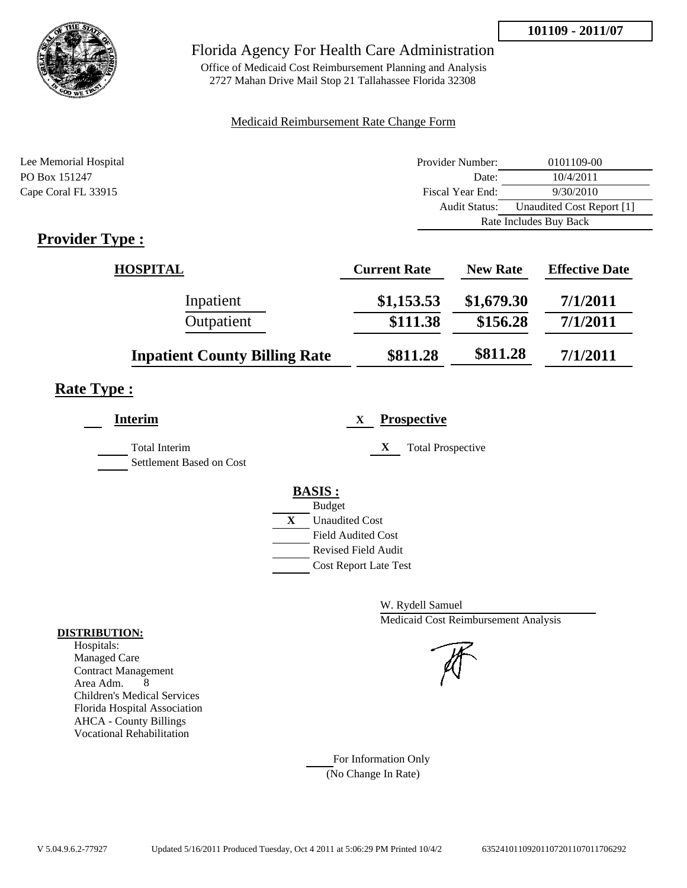

## Florida Agency For Health Care Administration

Office of Medicaid Cost Reimbursement Planning and Analysis 2727 Mahan Drive Mail Stop 21 Tallahassee Florida 32308

#### Medicaid Reimbursement Rate Change Form

| Lee Memorial Hospital                     | Provider Number:     | 0101109-00                |  |
|-------------------------------------------|----------------------|---------------------------|--|
| PO Box 151247                             | Date:                | 10/4/2011                 |  |
| Cape Coral FL 33915                       | Fiscal Year End:     | 9/30/2010                 |  |
|                                           | <b>Audit Status:</b> | Unaudited Cost Report [1] |  |
|                                           |                      | Rate Includes Buy Back    |  |
| $\sim$ $\sim$<br>$\overline{\phantom{a}}$ |                      |                           |  |

## **Provider Type :**

| <b>HOSPITAL</b>                      | <b>Current Rate</b> | <b>New Rate</b> | <b>Effective Date</b> |
|--------------------------------------|---------------------|-----------------|-----------------------|
| Inpatient                            | \$1,153.53          | \$1,679.30      | 7/1/2011              |
| Outpatient                           | \$111.38            | \$156.28        | 7/1/2011              |
| <b>Inpatient County Billing Rate</b> | \$811.28            | \$811.28        | 7/1/2011              |

# **Rate Type :**

| <b>Prospective</b><br>X       |
|-------------------------------|
| X<br><b>Total Prospective</b> |
| <b>BASIS:</b>                 |
| <b>Budget</b>                 |
| X<br><b>Unaudited Cost</b>    |
| <b>Field Audited Cost</b>     |
| <b>Revised Field Audit</b>    |
| <b>Cost Report Late Test</b>  |
|                               |

W. Rydell Samuel Medicaid Cost Reimbursement Analysis

For Information Only (No Change In Rate)

#### **DISTRIBUTION:**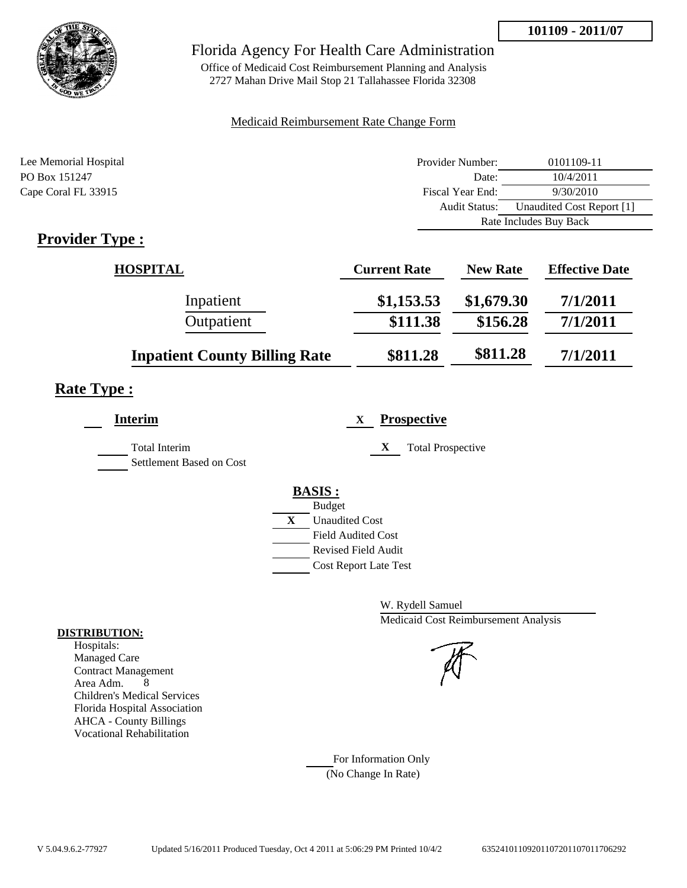

## Florida Agency For Health Care Administration

Office of Medicaid Cost Reimbursement Planning and Analysis 2727 Mahan Drive Mail Stop 21 Tallahassee Florida 32308

#### Medicaid Reimbursement Rate Change Form

| Lee Memorial Hospital                                 | Provider Number:     | 0101109-11                |  |
|-------------------------------------------------------|----------------------|---------------------------|--|
| PO Box 151247                                         | Date:                | 10/4/2011                 |  |
| Cape Coral FL 33915                                   | Fiscal Year End:     | 9/30/2010                 |  |
|                                                       | <b>Audit Status:</b> | Unaudited Cost Report [1] |  |
|                                                       |                      | Rate Includes Buy Back    |  |
| $\bullet$ $\bullet$<br>--<br>$\overline{\phantom{a}}$ |                      |                           |  |

# **Provider Type :**

| <b>HOSPITAL</b>                      | <b>Current Rate</b> | <b>New Rate</b> | <b>Effective Date</b> |
|--------------------------------------|---------------------|-----------------|-----------------------|
| Inpatient                            | \$1,153.53          | \$1,679.30      | 7/1/2011              |
| Outpatient                           | \$111.38            | \$156.28        | 7/1/2011              |
| <b>Inpatient County Billing Rate</b> | \$811.28            | \$811.28        | 7/1/2011              |

## **Rate Type :**

| <b>Interim</b>                            | <b>Prospective</b><br>X       |
|-------------------------------------------|-------------------------------|
| Total Interim<br>Settlement Based on Cost | X<br><b>Total Prospective</b> |
|                                           | <b>BASIS:</b>                 |
|                                           | <b>Budget</b>                 |
|                                           | X<br><b>Unaudited Cost</b>    |
|                                           | <b>Field Audited Cost</b>     |
|                                           | Revised Field Audit           |
|                                           | <b>Cost Report Late Test</b>  |
|                                           |                               |

W. Rydell Samuel Medicaid Cost Reimbursement Analysis

For Information Only (No Change In Rate)

#### **DISTRIBUTION:**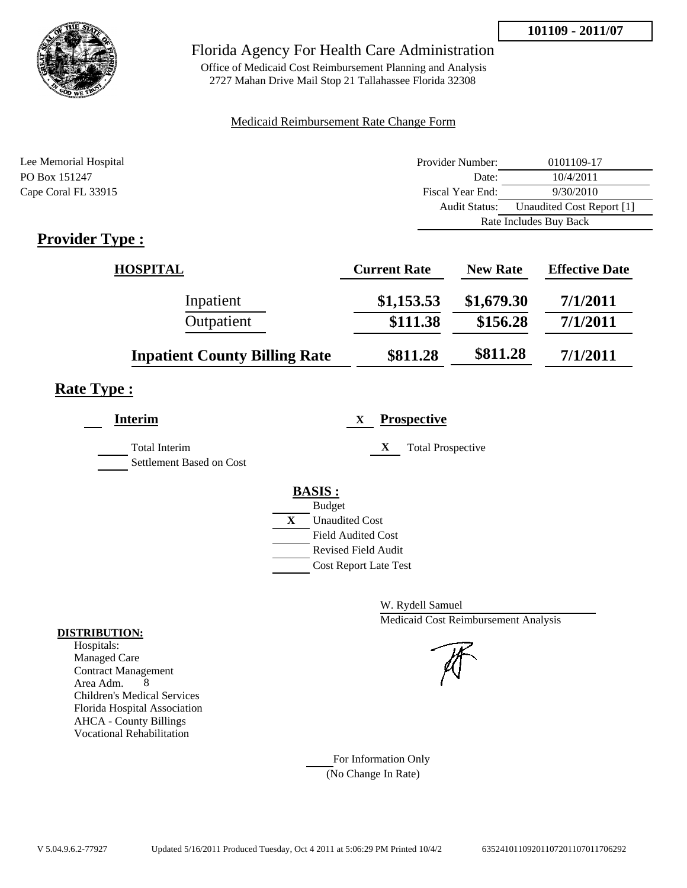

## Florida Agency For Health Care Administration

Office of Medicaid Cost Reimbursement Planning and Analysis 2727 Mahan Drive Mail Stop 21 Tallahassee Florida 32308

#### Medicaid Reimbursement Rate Change Form

| Lee Memorial Hospital | Provider Number:     | 0101109-17                |  |
|-----------------------|----------------------|---------------------------|--|
| PO Box 151247         | Date:                | 10/4/2011                 |  |
| Cape Coral FL 33915   | Fiscal Year End:     | 9/30/2010                 |  |
|                       | <b>Audit Status:</b> | Unaudited Cost Report [1] |  |
|                       |                      | Rate Includes Buy Back    |  |
| $\sim$<br>$\sim$      |                      |                           |  |

## **Provider Type :**

| <b>HOSPITAL</b>                      | <b>Current Rate</b> | <b>New Rate</b> | <b>Effective Date</b> |
|--------------------------------------|---------------------|-----------------|-----------------------|
| Inpatient                            | \$1,153.53          | \$1,679.30      | 7/1/2011              |
| Outpatient                           | \$111.38            | \$156.28        | 7/1/2011              |
| <b>Inpatient County Billing Rate</b> | \$811.28            | \$811.28        | 7/1/2011              |

# **Rate Type :**

| <b>Interim</b>                                   | <b>Prospective</b><br>X       |
|--------------------------------------------------|-------------------------------|
| <b>Total Interim</b><br>Settlement Based on Cost | X<br><b>Total Prospective</b> |
|                                                  | <b>BASIS:</b>                 |
|                                                  | <b>Budget</b>                 |
|                                                  | X<br><b>Unaudited Cost</b>    |
|                                                  | <b>Field Audited Cost</b>     |
|                                                  | <b>Revised Field Audit</b>    |
|                                                  | <b>Cost Report Late Test</b>  |
|                                                  |                               |

W. Rydell Samuel Medicaid Cost Reimbursement Analysis

For Information Only (No Change In Rate)

#### **DISTRIBUTION:**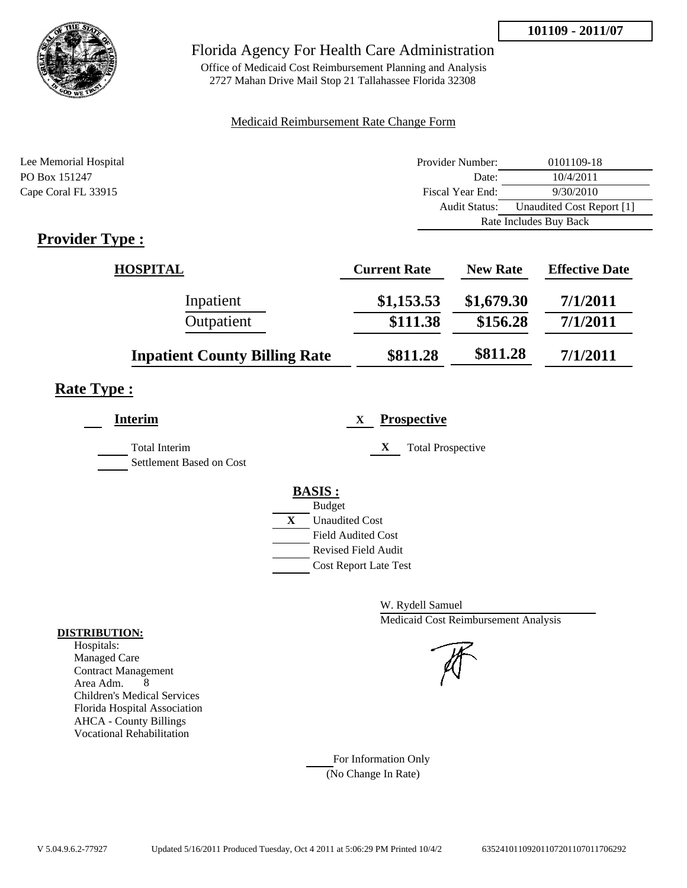

## Florida Agency For Health Care Administration

Office of Medicaid Cost Reimbursement Planning and Analysis 2727 Mahan Drive Mail Stop 21 Tallahassee Florida 32308

#### Medicaid Reimbursement Rate Change Form

| Lee Memorial Hospital                     | Provider Number:     | 0101109-18                |  |
|-------------------------------------------|----------------------|---------------------------|--|
| PO Box 151247                             | Date:                | 10/4/2011                 |  |
| Cape Coral FL 33915                       | Fiscal Year End:     | 9/30/2010                 |  |
|                                           | <b>Audit Status:</b> | Unaudited Cost Report [1] |  |
|                                           |                      | Rate Includes Buy Back    |  |
| $\sim$ $\sim$<br>$\overline{\phantom{a}}$ |                      |                           |  |

## **Provider Type :**

| <b>HOSPITAL</b>                      | <b>Current Rate</b> | <b>New Rate</b> | <b>Effective Date</b> |
|--------------------------------------|---------------------|-----------------|-----------------------|
| Inpatient                            | \$1,153.53          | \$1,679.30      | 7/1/2011              |
| Outpatient                           | \$111.38            | \$156.28        | 7/1/2011              |
| <b>Inpatient County Billing Rate</b> | \$811.28            | \$811.28        | 7/1/2011              |

# **Rate Type :**

| <b>Interim</b>                            | <b>Prospective</b><br>X       |
|-------------------------------------------|-------------------------------|
| Total Interim<br>Settlement Based on Cost | X<br><b>Total Prospective</b> |
|                                           | <b>BASIS:</b>                 |
|                                           | <b>Budget</b>                 |
|                                           | X<br><b>Unaudited Cost</b>    |
|                                           | <b>Field Audited Cost</b>     |
|                                           | <b>Revised Field Audit</b>    |
|                                           | <b>Cost Report Late Test</b>  |
|                                           |                               |

W. Rydell Samuel Medicaid Cost Reimbursement Analysis

For Information Only (No Change In Rate)

#### **DISTRIBUTION:**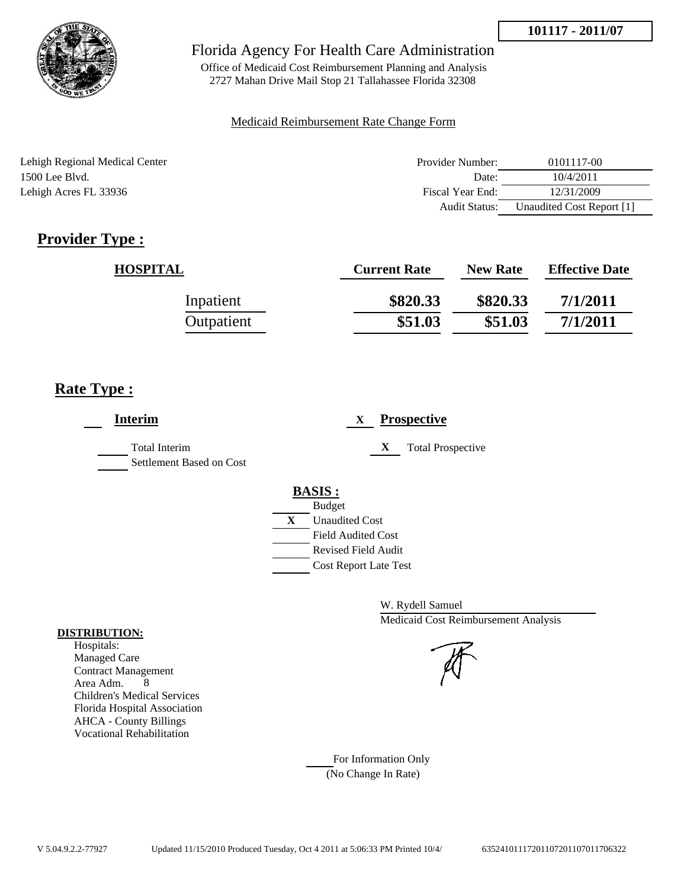

Office of Medicaid Cost Reimbursement Planning and Analysis 2727 Mahan Drive Mail Stop 21 Tallahassee Florida 32308

### Medicaid Reimbursement Rate Change Form

| Lehigh Regional Medical Center | Provider Number: | 0101117-00                |
|--------------------------------|------------------|---------------------------|
| $1500$ Lee Blyd.               | Date:            | 10/4/2011                 |
| Lehigh Acres FL 33936          | Fiscal Year End: | 12/31/2009                |
|                                | Audit Status:    | Unaudited Cost Report [1] |

# **Provider Type :**

| <b>HOSPITAL</b> | <b>Current Rate</b> | <b>New Rate</b> | <b>Effective Date</b> |
|-----------------|---------------------|-----------------|-----------------------|
| Inpatient       | \$820.33            | \$820.33        | 7/1/2011              |
| Outpatient      | \$51.03             | \$51.03         | 7/1/2011              |

## **Rate Type :**

| <b>Interim</b>                                   | <b>Prospective</b><br>X       |
|--------------------------------------------------|-------------------------------|
| <b>Total Interim</b><br>Settlement Based on Cost | X<br><b>Total Prospective</b> |
|                                                  | <b>BASIS:</b>                 |
|                                                  | <b>Budget</b>                 |
|                                                  | X<br><b>Unaudited Cost</b>    |
|                                                  | <b>Field Audited Cost</b>     |
|                                                  | <b>Revised Field Audit</b>    |
|                                                  | <b>Cost Report Late Test</b>  |
|                                                  |                               |

W. Rydell Samuel Medicaid Cost Reimbursement Analysis

For Information Only (No Change In Rate)

#### **DISTRIBUTION:**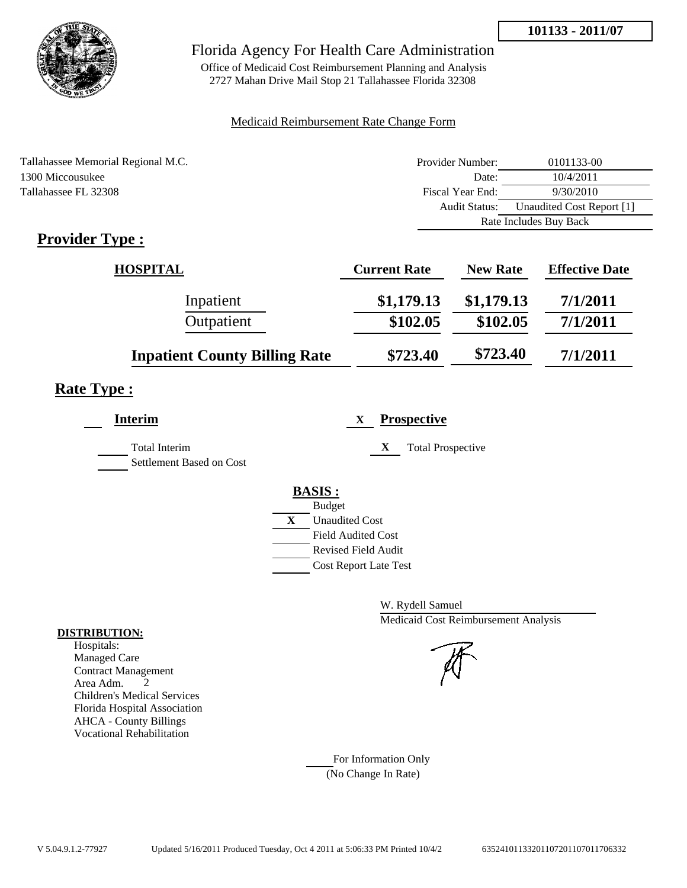

## Florida Agency For Health Care Administration

Office of Medicaid Cost Reimbursement Planning and Analysis 2727 Mahan Drive Mail Stop 21 Tallahassee Florida 32308

#### Medicaid Reimbursement Rate Change Form

| Tallahassee Memorial Regional M.C. | Provider Number:     | 0101133-00                |  |
|------------------------------------|----------------------|---------------------------|--|
| 1300 Miccousukee                   | Date:                | 10/4/2011                 |  |
| Tallahassee FL 32308               | Fiscal Year End:     | 9/30/2010                 |  |
|                                    | <b>Audit Status:</b> | Unaudited Cost Report [1] |  |
|                                    |                      | Rate Includes Buy Back    |  |
|                                    |                      |                           |  |

# **Provider Type :**

| <b>HOSPITAL</b>                      | <b>Current Rate</b> | <b>New Rate</b> | <b>Effective Date</b> |
|--------------------------------------|---------------------|-----------------|-----------------------|
| Inpatient                            | \$1,179.13          | \$1,179.13      | 7/1/2011              |
| Outpatient                           | \$102.05            | \$102.05        | 7/1/2011              |
| <b>Inpatient County Billing Rate</b> | \$723.40            | \$723.40        | 7/1/2011              |

# **Rate Type :**

| Interim                                          | <b>Prospective</b><br>X       |
|--------------------------------------------------|-------------------------------|
| <b>Total Interim</b><br>Settlement Based on Cost | X<br><b>Total Prospective</b> |
|                                                  | <b>BASIS:</b>                 |
|                                                  | <b>Budget</b>                 |
|                                                  | X<br><b>Unaudited Cost</b>    |
|                                                  | <b>Field Audited Cost</b>     |
|                                                  | Revised Field Audit           |
|                                                  | <b>Cost Report Late Test</b>  |

W. Rydell Samuel Medicaid Cost Reimbursement Analysis

For Information Only (No Change In Rate)

#### **DISTRIBUTION:**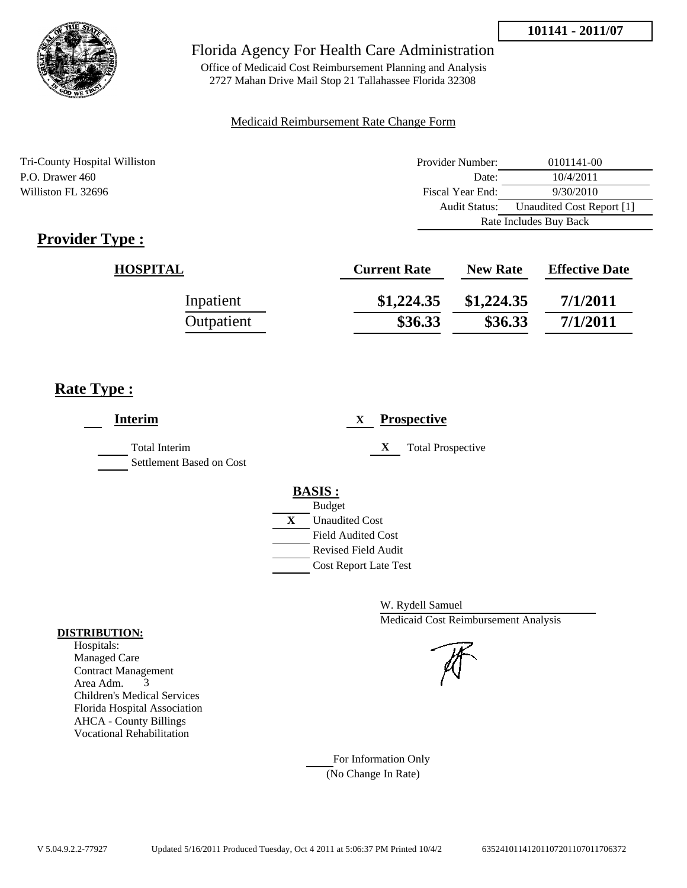

## Florida Agency For Health Care Administration

Office of Medicaid Cost Reimbursement Planning and Analysis 2727 Mahan Drive Mail Stop 21 Tallahassee Florida 32308

#### Medicaid Reimbursement Rate Change Form

Tri-County Hospital Williston Provider Number: 0101141-00 P.O. Drawer 460 Date: 10/4/2011 Williston FL 32696 Fiscal Year End: 9/30/2010 Audit Status: Unaudited Cost Report [1] Rate Includes Buy Back

# **Provider Type :**

| <b>HOSPITAL</b> | <b>Current Rate</b> | <b>New Rate</b> | <b>Effective Date</b> |
|-----------------|---------------------|-----------------|-----------------------|
| Inpatient       | \$1,224.35          | \$1,224.35      | 7/1/2011              |
| Outpatient      | \$36.33             | \$36.33         | 7/1/2011              |

## **Rate Type :**

| <b>Interim</b>                                   | <b>Prospective</b><br>X                                                                                                                                     |
|--------------------------------------------------|-------------------------------------------------------------------------------------------------------------------------------------------------------------|
| <b>Total Interim</b><br>Settlement Based on Cost | X<br><b>Total Prospective</b>                                                                                                                               |
|                                                  | <b>BASIS:</b><br><b>Budget</b><br>$\mathbf{X}$<br><b>Unaudited Cost</b><br><b>Field Audited Cost</b><br>Revised Field Audit<br><b>Cost Report Late Test</b> |

W. Rydell Samuel Medicaid Cost Reimbursement Analysis

For Information Only (No Change In Rate)

#### **DISTRIBUTION:**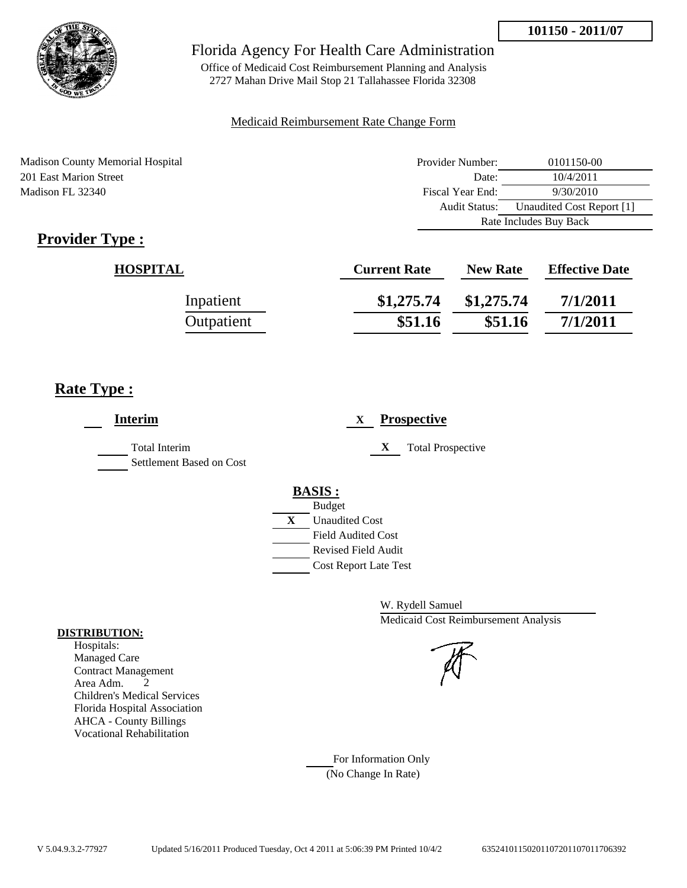

Office of Medicaid Cost Reimbursement Planning and Analysis 2727 Mahan Drive Mail Stop 21 Tallahassee Florida 32308

#### Medicaid Reimbursement Rate Change Form

Madison County Memorial Hospital 201 East Marion Street Madison FL 32340

| Provider Number:       | 0101150-00                |  |
|------------------------|---------------------------|--|
| Date:                  | 10/4/2011                 |  |
| Fiscal Year End:       | 9/30/2010                 |  |
| <b>Audit Status:</b>   | Unaudited Cost Report [1] |  |
| Rate Includes Buy Back |                           |  |

# **Provider Type :**

| <b>HOSPITAL</b> | <b>Current Rate</b> | <b>New Rate</b> | <b>Effective Date</b> |
|-----------------|---------------------|-----------------|-----------------------|
| Inpatient       | \$1,275.74          | \$1,275.74      | 7/1/2011              |
| Outpatient      | \$51.16             | \$51.16         | 7/1/2011              |

## **Rate Type :**

| <b>Interim</b>                            | <b>Prospective</b><br>X                                                                                                                                     |
|-------------------------------------------|-------------------------------------------------------------------------------------------------------------------------------------------------------------|
| Total Interim<br>Settlement Based on Cost | X<br><b>Total Prospective</b>                                                                                                                               |
|                                           | <b>BASIS:</b><br><b>Budget</b><br>$\mathbf{X}$<br><b>Unaudited Cost</b><br><b>Field Audited Cost</b><br>Revised Field Audit<br><b>Cost Report Late Test</b> |

W. Rydell Samuel Medicaid Cost Reimbursement Analysis

For Information Only (No Change In Rate)

#### **DISTRIBUTION:**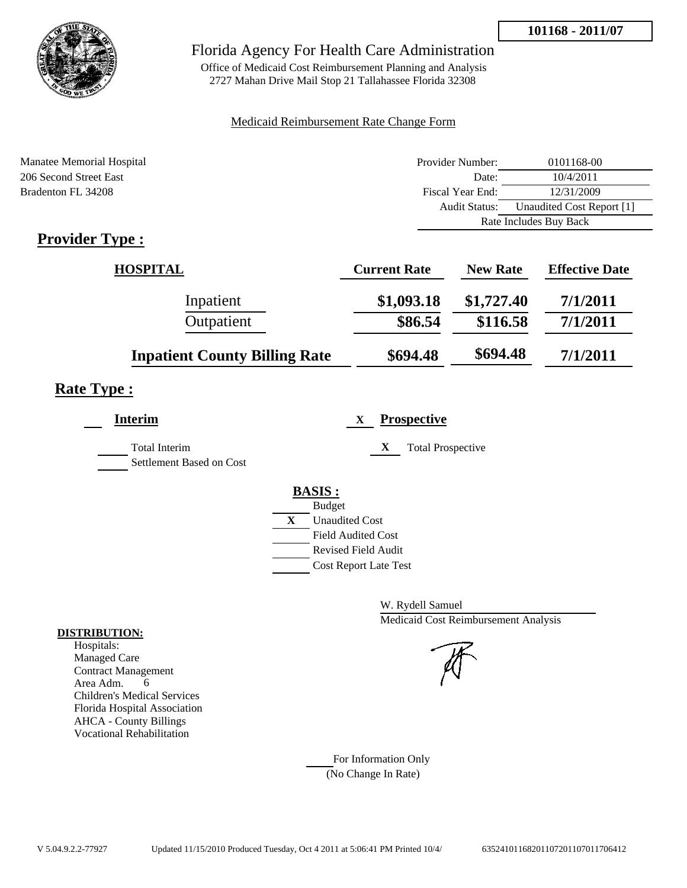

## Florida Agency For Health Care Administration

Office of Medicaid Cost Reimbursement Planning and Analysis 2727 Mahan Drive Mail Stop 21 Tallahassee Florida 32308

#### Medicaid Reimbursement Rate Change Form

| Manatee Memorial Hospital | Provider Number:     | 0101168-00                |
|---------------------------|----------------------|---------------------------|
| 206 Second Street East    | Date:                | 10/4/2011                 |
| Bradenton FL 34208        | Fiscal Year End:     | 12/31/2009                |
|                           | <b>Audit Status:</b> | Unaudited Cost Report [1] |
|                           |                      | Rate Includes Buy Back    |
| $Providen Tryn \cdot$     |                      |                           |

# **Provider Type :**

| <b>HOSPITAL</b>                      | <b>Current Rate</b> | <b>New Rate</b> | <b>Effective Date</b> |
|--------------------------------------|---------------------|-----------------|-----------------------|
| Inpatient                            | \$1,093.18          | \$1,727.40      | 7/1/2011              |
| Outpatient                           | \$86.54             | \$116.58        | 7/1/2011              |
| <b>Inpatient County Billing Rate</b> | \$694.48            | \$694.48        | 7/1/2011              |

# **Rate Type :**

| <b>Interim</b>                                   | <b>Prospective</b><br>X               |
|--------------------------------------------------|---------------------------------------|
| <b>Total Interim</b><br>Settlement Based on Cost | X<br><b>Total Prospective</b>         |
|                                                  | <b>BASIS:</b>                         |
|                                                  | <b>Budget</b>                         |
|                                                  | $\mathbf{X}$<br><b>Unaudited Cost</b> |
|                                                  | <b>Field Audited Cost</b>             |
|                                                  | Revised Field Audit                   |
|                                                  | <b>Cost Report Late Test</b>          |
|                                                  |                                       |

W. Rydell Samuel Medicaid Cost Reimbursement Analysis

For Information Only (No Change In Rate)

#### **DISTRIBUTION:**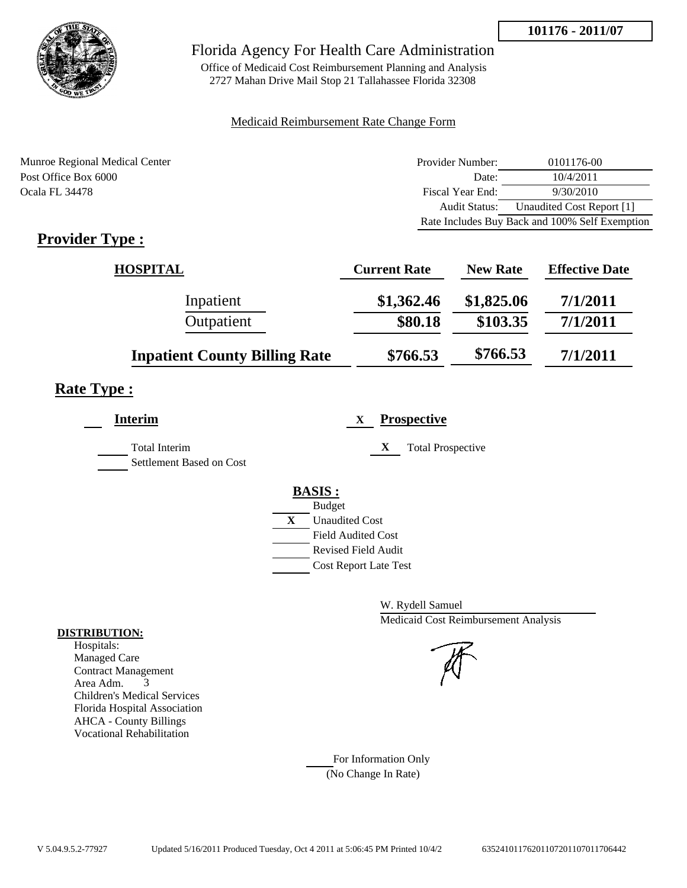

Office of Medicaid Cost Reimbursement Planning and Analysis 2727 Mahan Drive Mail Stop 21 Tallahassee Florida 32308

#### Medicaid Reimbursement Rate Change Form

Munroe Regional Medical Center Post Office Box 6000 Ocala FL 34478

| Provider Number: | 0101176-00                                     |
|------------------|------------------------------------------------|
| Date:            | 10/4/2011                                      |
| Fiscal Year End: | 9/30/2010                                      |
| Audit Status:    | Unaudited Cost Report [1]                      |
|                  | Rate Includes Buy Back and 100% Self Exemption |

# **Provider Type :**

| <b>HOSPITAL</b>                      | <b>Current Rate</b> | <b>New Rate</b> | <b>Effective Date</b> |
|--------------------------------------|---------------------|-----------------|-----------------------|
| Inpatient                            | \$1,362.46          | \$1,825.06      | 7/1/2011              |
| Outpatient                           | \$80.18             | \$103.35        | 7/1/2011              |
| <b>Inpatient County Billing Rate</b> | \$766.53            | \$766.53        | 7/1/2011              |

## **Rate Type :**

| <b>Interim</b>                                   | <b>Prospective</b><br>X               |
|--------------------------------------------------|---------------------------------------|
| <b>Total Interim</b><br>Settlement Based on Cost | X<br><b>Total Prospective</b>         |
|                                                  | <b>BASIS:</b>                         |
|                                                  | <b>Budget</b>                         |
|                                                  | $\mathbf{X}$<br><b>Unaudited Cost</b> |
|                                                  | <b>Field Audited Cost</b>             |
|                                                  | <b>Revised Field Audit</b>            |
|                                                  | <b>Cost Report Late Test</b>          |
|                                                  |                                       |

W. Rydell Samuel Medicaid Cost Reimbursement Analysis

For Information Only (No Change In Rate)

#### **DISTRIBUTION:**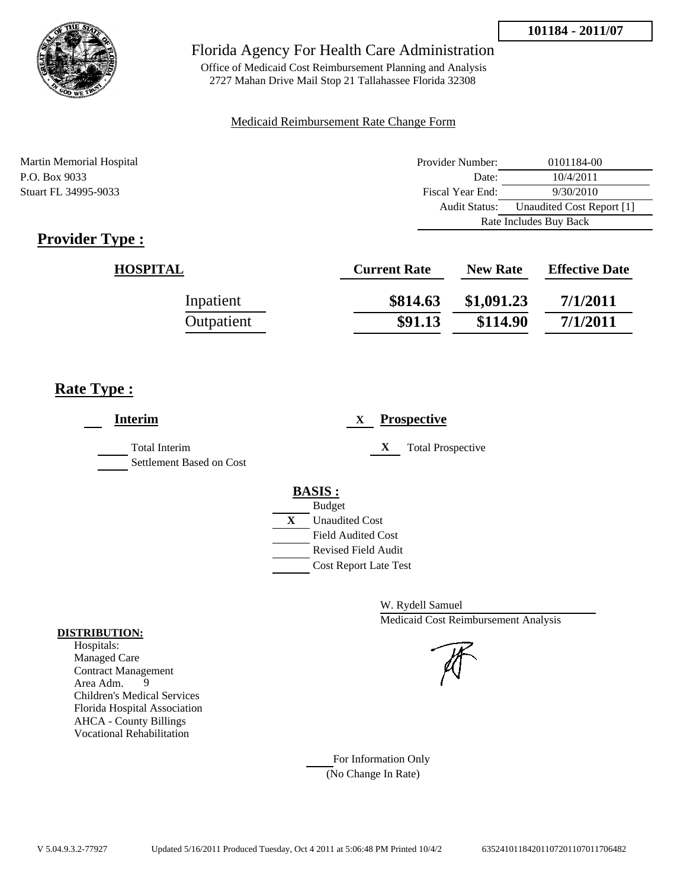

Office of Medicaid Cost Reimbursement Planning and Analysis 2727 Mahan Drive Mail Stop 21 Tallahassee Florida 32308

#### Medicaid Reimbursement Rate Change Form

Martin Memorial Hospital Provider Number: 0101184-00 P.O. Box 9033 Date: 10/4/2011 Stuart FL 34995-9033 Fiscal Year End: 9/30/2010 Audit Status: Unaudited Cost Report [1] Rate Includes Buy Back

# **Provider Type :**

| <b>HOSPITAL</b> | <b>Current Rate</b> | <b>New Rate</b> | <b>Effective Date</b> |
|-----------------|---------------------|-----------------|-----------------------|
| Inpatient       | \$814.63            | \$1,091.23      | 7/1/2011              |
| Outpatient      | \$91.13             | \$114.90        | 7/1/2011              |

## **Rate Type :**

| <b>Interim</b>                                   | <b>Prospective</b><br>$\mathbf{X}$                                                                                                                      |
|--------------------------------------------------|---------------------------------------------------------------------------------------------------------------------------------------------------------|
| <b>Total Interim</b><br>Settlement Based on Cost | X<br><b>Total Prospective</b>                                                                                                                           |
|                                                  | <b>BASIS:</b><br><b>Budget</b><br>X<br><b>Unaudited Cost</b><br><b>Field Audited Cost</b><br><b>Revised Field Audit</b><br><b>Cost Report Late Test</b> |

W. Rydell Samuel Medicaid Cost Reimbursement Analysis

For Information Only (No Change In Rate)

#### **DISTRIBUTION:**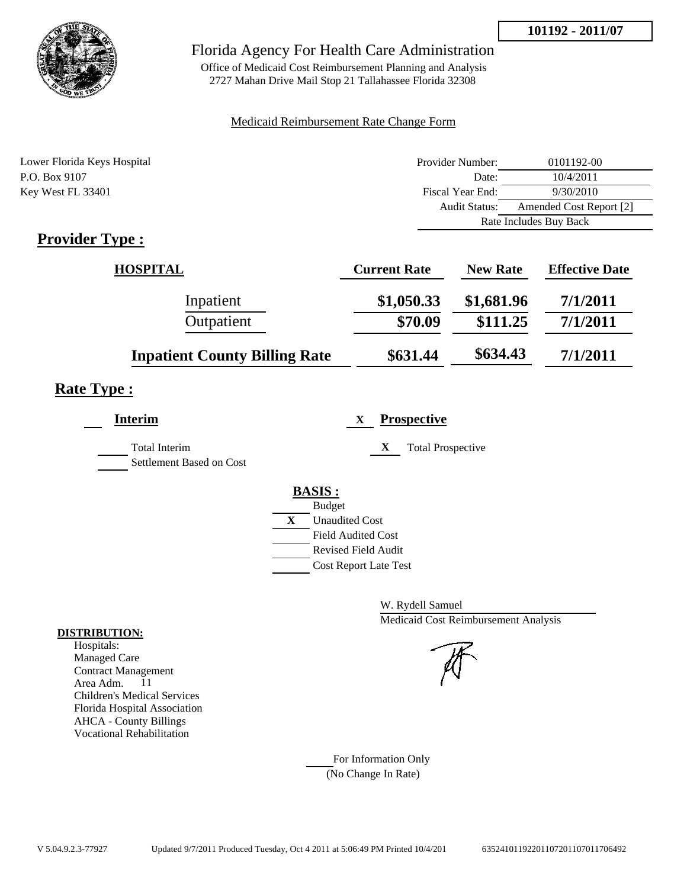

## Florida Agency For Health Care Administration

Office of Medicaid Cost Reimbursement Planning and Analysis 2727 Mahan Drive Mail Stop 21 Tallahassee Florida 32308

#### Medicaid Reimbursement Rate Change Form

| Lower Florida Keys Hospital | Provider Number:     | 0101192-00              |  |
|-----------------------------|----------------------|-------------------------|--|
| P.O. Box 9107               | Date:                | 10/4/2011               |  |
| Key West FL 33401           | Fiscal Year End:     | 9/30/2010               |  |
|                             | <b>Audit Status:</b> | Amended Cost Report [2] |  |
|                             |                      | Rate Includes Buy Back  |  |

# **Provider Type :**

| <b>HOSPITAL</b>                      | <b>Current Rate</b> | <b>New Rate</b> | <b>Effective Date</b> |
|--------------------------------------|---------------------|-----------------|-----------------------|
| Inpatient                            | \$1,050.33          | \$1,681.96      | 7/1/2011              |
| Outpatient                           | \$70.09             | \$111.25        | 7/1/2011              |
| <b>Inpatient County Billing Rate</b> | \$631.44            | \$634.43        | 7/1/2011              |

## **Rate Type :**

| <b>Interim</b>                                   | <b>Prospective</b><br>X       |
|--------------------------------------------------|-------------------------------|
| <b>Total Interim</b><br>Settlement Based on Cost | X<br><b>Total Prospective</b> |
|                                                  | <b>BASIS:</b>                 |
|                                                  | <b>Budget</b>                 |
|                                                  | X<br><b>Unaudited Cost</b>    |
|                                                  | <b>Field Audited Cost</b>     |
|                                                  | <b>Revised Field Audit</b>    |
|                                                  | <b>Cost Report Late Test</b>  |
|                                                  |                               |

W. Rydell Samuel Medicaid Cost Reimbursement Analysis

For Information Only (No Change In Rate)

#### **DISTRIBUTION:**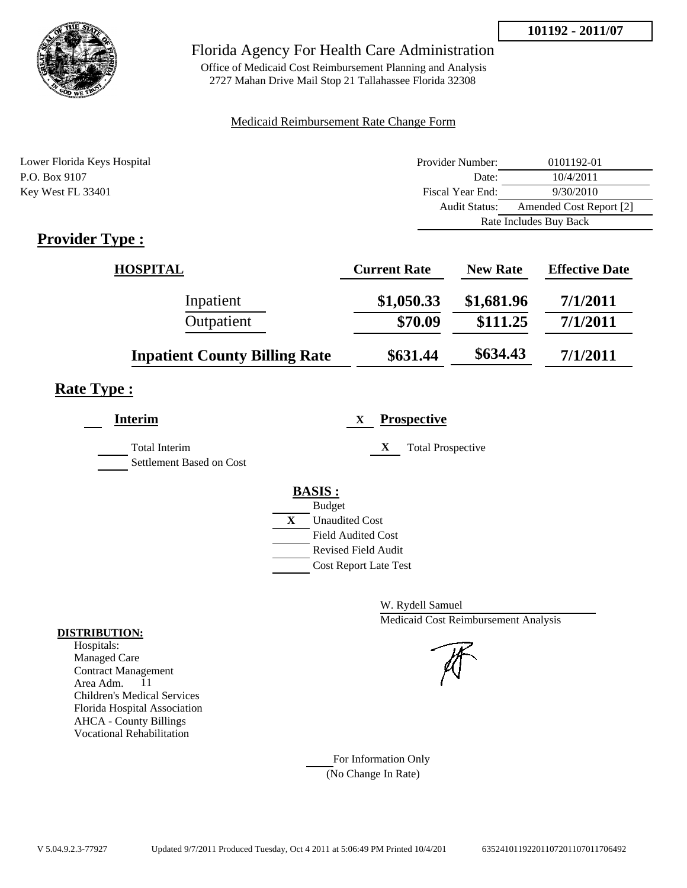

## Florida Agency For Health Care Administration

Office of Medicaid Cost Reimbursement Planning and Analysis 2727 Mahan Drive Mail Stop 21 Tallahassee Florida 32308

#### Medicaid Reimbursement Rate Change Form

| Lower Florida Keys Hospital | Provider Number: | 0101192-01              |  |
|-----------------------------|------------------|-------------------------|--|
| P.O. Box 9107               | Date:            | 10/4/2011               |  |
| Key West FL 33401           | Fiscal Year End: | 9/30/2010               |  |
|                             | Audit Status:    | Amended Cost Report [2] |  |
|                             |                  | Rate Includes Buy Back  |  |

# **Provider Type :**

| <b>HOSPITAL</b>                      | <b>Current Rate</b> | <b>New Rate</b> | <b>Effective Date</b> |
|--------------------------------------|---------------------|-----------------|-----------------------|
| Inpatient                            | \$1,050.33          | \$1,681.96      | 7/1/2011              |
| Outpatient                           | \$70.09             | \$111.25        | 7/1/2011              |
| <b>Inpatient County Billing Rate</b> | \$631.44            | \$634.43        | 7/1/2011              |

# **Rate Type :**

| <b>Interim</b>           | <b>Prospective</b><br>X       |
|--------------------------|-------------------------------|
| <b>Total Interim</b>     | X<br><b>Total Prospective</b> |
| Settlement Based on Cost |                               |
|                          | <b>BASIS:</b>                 |
|                          | <b>Budget</b>                 |
|                          | X<br><b>Unaudited Cost</b>    |
|                          | <b>Field Audited Cost</b>     |
|                          | <b>Revised Field Audit</b>    |
|                          | <b>Cost Report Late Test</b>  |

W. Rydell Samuel Medicaid Cost Reimbursement Analysis

### For Information Only (No Change In Rate)

**DISTRIBUTION:**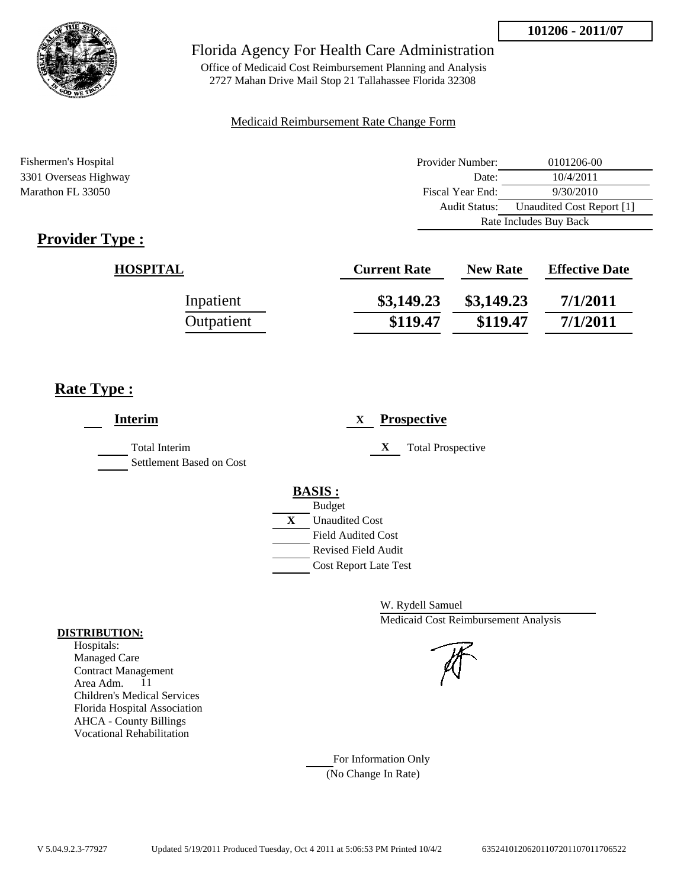

Office of Medicaid Cost Reimbursement Planning and Analysis 2727 Mahan Drive Mail Stop 21 Tallahassee Florida 32308

#### Medicaid Reimbursement Rate Change Form

Fishermen's Hospital **Provider Number:** 0101206-00 3301 Overseas Highway Date: 10/4/2011 Marathon FL 33050 Fiscal Year End: 9/30/2010 Audit Status: Unaudited Cost Report [1] Rate Includes Buy Back

# **Provider Type :**

| <b>HOSPITAL</b> | <b>Current Rate</b> | <b>New Rate</b> | <b>Effective Date</b> |
|-----------------|---------------------|-----------------|-----------------------|
| Inpatient       | \$3,149.23          | \$3,149.23      | 7/1/2011              |
| Outpatient      | \$119.47            | \$119.47        | 7/1/2011              |

## **Rate Type :**

| <b>Interim</b>                                   | <b>Prospective</b><br>X                                    |
|--------------------------------------------------|------------------------------------------------------------|
| <b>Total Interim</b><br>Settlement Based on Cost | X<br><b>Total Prospective</b>                              |
|                                                  | <b>BASIS:</b><br><b>Budget</b>                             |
|                                                  | X<br><b>Unaudited Cost</b><br><b>Field Audited Cost</b>    |
|                                                  | <b>Revised Field Audit</b><br><b>Cost Report Late Test</b> |

W. Rydell Samuel Medicaid Cost Reimbursement Analysis

For Information Only (No Change In Rate)

#### **DISTRIBUTION:**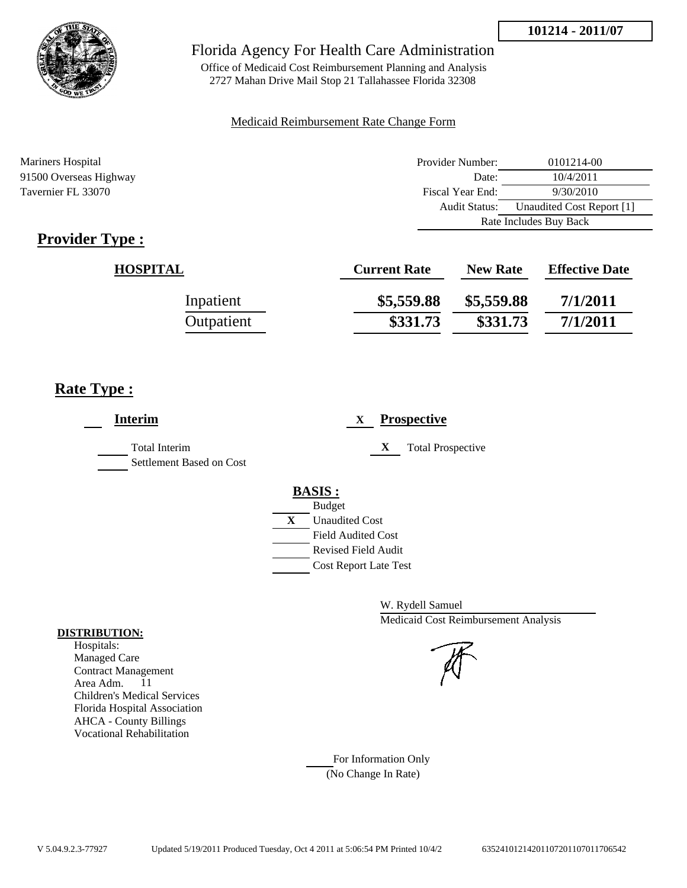



Office of Medicaid Cost Reimbursement Planning and Analysis 2727 Mahan Drive Mail Stop 21 Tallahassee Florida 32308

#### Medicaid Reimbursement Rate Change Form

Mariners Hospital **Provider Number:** 0101214-00 91500 Overseas Highway Date: 10/4/2011 Tavernier FL 33070 Fiscal Year End: 9/30/2010 Audit Status: Unaudited Cost Report [1] Rate Includes Buy Back

# **Provider Type :**

| <b>HOSPITAL</b> | <b>Current Rate</b> | <b>New Rate</b> | <b>Effective Date</b> |
|-----------------|---------------------|-----------------|-----------------------|
| Inpatient       | \$5,559.88          | \$5,559.88      | 7/1/2011              |
| Outpatient      | \$331.73            | \$331.73        | 7/1/2011              |

## **Rate Type :**

| <b>Interim</b>                                   | <b>Prospective</b><br>$\mathbf{X}$                                                                                                                          |
|--------------------------------------------------|-------------------------------------------------------------------------------------------------------------------------------------------------------------|
| <b>Total Interim</b><br>Settlement Based on Cost | X<br><b>Total Prospective</b>                                                                                                                               |
|                                                  | <b>BASIS:</b><br><b>Budget</b><br>$\mathbf{X}$<br><b>Unaudited Cost</b><br><b>Field Audited Cost</b><br>Revised Field Audit<br><b>Cost Report Late Test</b> |

W. Rydell Samuel Medicaid Cost Reimbursement Analysis

For Information Only (No Change In Rate)

#### **DISTRIBUTION:**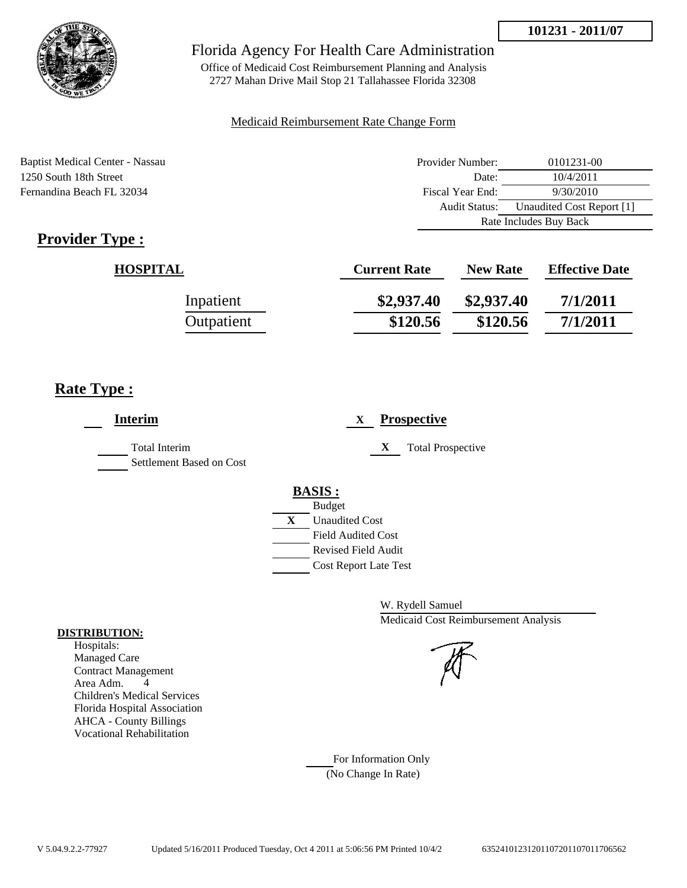

Office of Medicaid Cost Reimbursement Planning and Analysis 2727 Mahan Drive Mail Stop 21 Tallahassee Florida 32308

#### Medicaid Reimbursement Rate Change Form

Baptist Medical Center - Nassau 1250 South 18th Street Fernandina Beach FL 32034

| Provider Number:       | 0101231-00                |
|------------------------|---------------------------|
| Date:                  | 10/4/2011                 |
| Fiscal Year End:       | 9/30/2010                 |
| Audit Status:          | Unaudited Cost Report [1] |
| Rate Includes Buy Back |                           |

# **Provider Type :**

| <b>HOSPITAL</b> | <b>Current Rate</b> | <b>New Rate</b> | <b>Effective Date</b> |
|-----------------|---------------------|-----------------|-----------------------|
| Inpatient       | \$2,937.40          | \$2,937.40      | 7/1/2011              |
| Outpatient      | \$120.56            | \$120.56        | 7/1/2011              |

## **Rate Type :**

| <b>Interim</b>                                   | <b>Prospective</b><br>X                                                                                                   |
|--------------------------------------------------|---------------------------------------------------------------------------------------------------------------------------|
| <b>Total Interim</b><br>Settlement Based on Cost | X<br><b>Total Prospective</b>                                                                                             |
|                                                  | <b>BASIS:</b><br><b>Budget</b>                                                                                            |
|                                                  | $\mathbf{X}$<br><b>Unaudited Cost</b><br><b>Field Audited Cost</b><br>Revised Field Audit<br><b>Cost Report Late Test</b> |

W. Rydell Samuel Medicaid Cost Reimbursement Analysis

#### **DISTRIBUTION:** Hospitals:

Managed Care Contract Management Area Adm. 4 Children's Medical Services Florida Hospital Association AHCA - County Billings Vocational Rehabilitation

> For Information Only (No Change In Rate)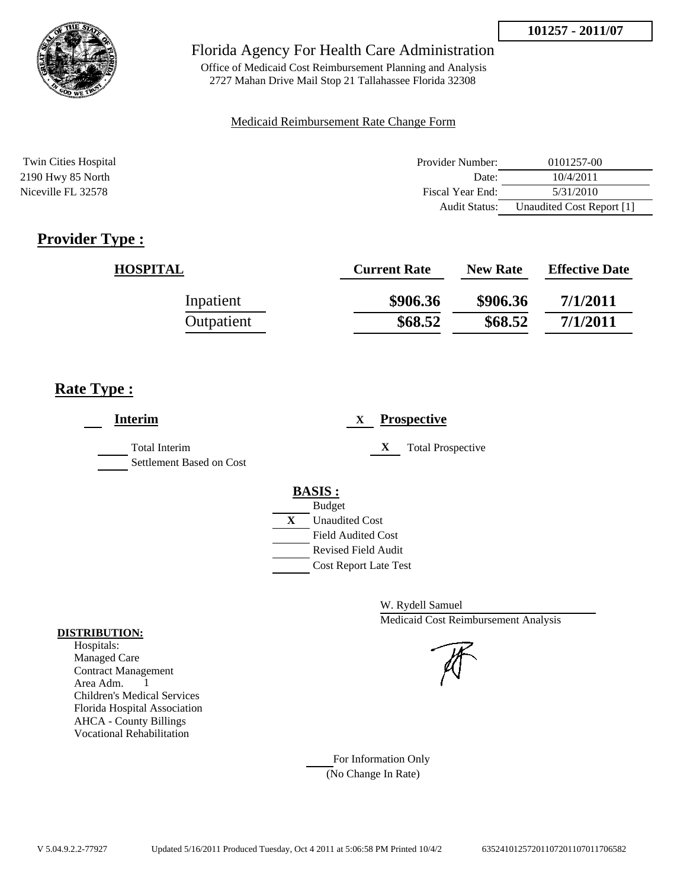

Office of Medicaid Cost Reimbursement Planning and Analysis 2727 Mahan Drive Mail Stop 21 Tallahassee Florida 32308

#### Medicaid Reimbursement Rate Change Form

| <b>Twin Cities Hospital</b> | Provider Number:     | 0101257-00                |
|-----------------------------|----------------------|---------------------------|
| 2190 Hwy 85 North           | Date:                | 10/4/2011                 |
| Niceville FL 32578          | Fiscal Year End:     | 5/31/2010                 |
|                             | <b>Audit Status:</b> | Unaudited Cost Report [1] |

# **Provider Type :**

| <b>HOSPITAL</b> | <b>Current Rate</b> | <b>New Rate</b> | <b>Effective Date</b> |
|-----------------|---------------------|-----------------|-----------------------|
| Inpatient       | \$906.36            | \$906.36        | 7/1/2011              |
| Outpatient      | \$68.52             | \$68.52         | 7/1/2011              |

# **Rate Type :**

| <b>Interim</b>                                   | <b>Prospective</b><br>X                                                                                                                          |
|--------------------------------------------------|--------------------------------------------------------------------------------------------------------------------------------------------------|
| <b>Total Interim</b><br>Settlement Based on Cost | X<br><b>Total Prospective</b>                                                                                                                    |
|                                                  | <b>BASIS:</b><br><b>Budget</b><br>X<br><b>Unaudited Cost</b><br><b>Field Audited Cost</b><br>Revised Field Audit<br><b>Cost Report Late Test</b> |

W. Rydell Samuel Medicaid Cost Reimbursement Analysis



### For Information Only (No Change In Rate)

**DISTRIBUTION:**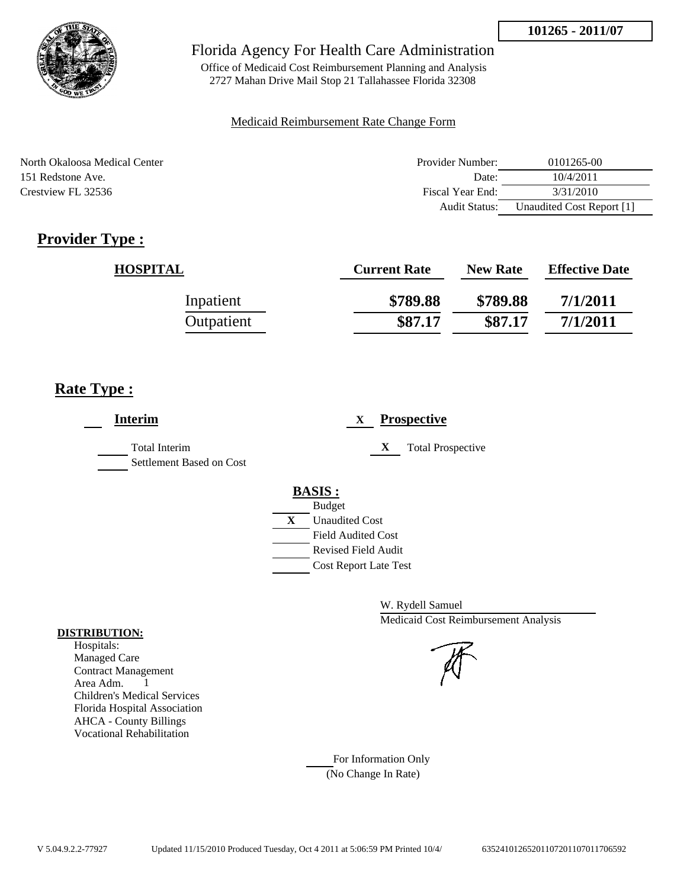

Office of Medicaid Cost Reimbursement Planning and Analysis 2727 Mahan Drive Mail Stop 21 Tallahassee Florida 32308

### Medicaid Reimbursement Rate Change Form

| North Okaloosa Medical Center | Provider Number:     | 0101265-00                |
|-------------------------------|----------------------|---------------------------|
| 151 Redstone Ave.             | Date:                | 10/4/2011                 |
| Crestview FL 32536            | Fiscal Year End:     | 3/31/2010                 |
|                               | <b>Audit Status:</b> | Unaudited Cost Report [1] |

# **Provider Type :**

| <b>HOSPITAL</b> | <b>Current Rate</b> | <b>New Rate</b> | <b>Effective Date</b> |
|-----------------|---------------------|-----------------|-----------------------|
| Inpatient       | \$789.88            | \$789.88        | 7/1/2011              |
| Outpatient      | \$87.17             | \$87.17         | 7/1/2011              |

# **Rate Type :**

| <b>Interim</b>                                   | <b>Prospective</b><br>X       |
|--------------------------------------------------|-------------------------------|
| <b>Total Interim</b><br>Settlement Based on Cost | X<br><b>Total Prospective</b> |
|                                                  | <b>BASIS:</b>                 |
|                                                  | <b>Budget</b>                 |
|                                                  | X<br><b>Unaudited Cost</b>    |
|                                                  | <b>Field Audited Cost</b>     |
|                                                  | Revised Field Audit           |
|                                                  | <b>Cost Report Late Test</b>  |
|                                                  |                               |

W. Rydell Samuel Medicaid Cost Reimbursement Analysis

For Information Only (No Change In Rate)

#### **DISTRIBUTION:**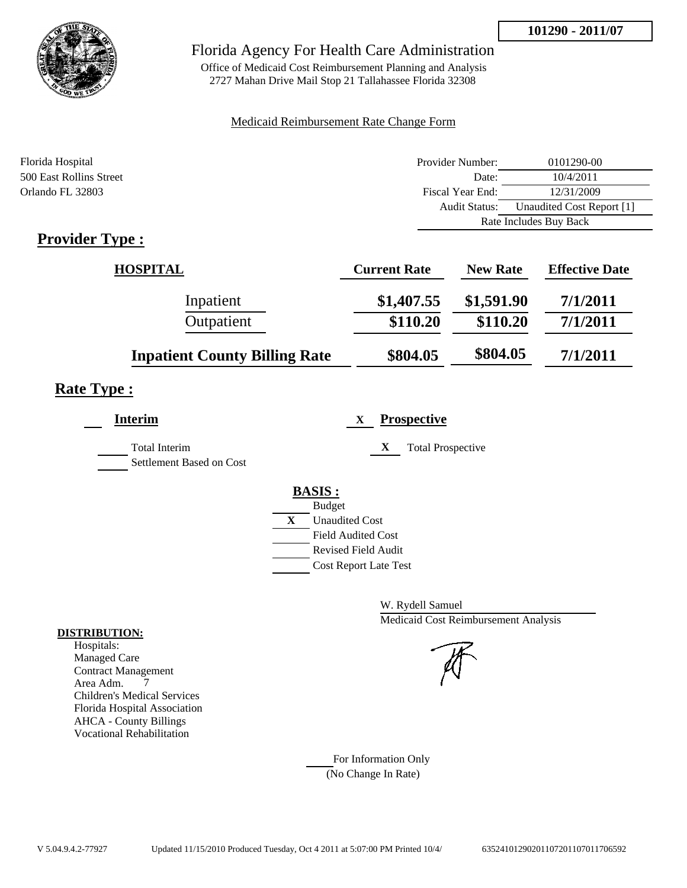

## Florida Agency For Health Care Administration

Office of Medicaid Cost Reimbursement Planning and Analysis 2727 Mahan Drive Mail Stop 21 Tallahassee Florida 32308

### Medicaid Reimbursement Rate Change Form

| Florida Hospital        | Provider Number: | 0101290-00                |
|-------------------------|------------------|---------------------------|
| 500 East Rollins Street | Date:            | 10/4/2011                 |
| Orlando FL 32803        | Fiscal Year End: | 12/31/2009                |
|                         | Audit Status:    | Unaudited Cost Report [1] |
|                         |                  | Rate Includes Buy Back    |
| Provider Type .         |                  |                           |

# **Provider Type :**

| <b>HOSPITAL</b>                      | <b>Current Rate</b> | <b>New Rate</b> | <b>Effective Date</b> |
|--------------------------------------|---------------------|-----------------|-----------------------|
| Inpatient                            | \$1,407.55          | \$1,591.90      | 7/1/2011              |
| Outpatient                           | \$110.20            | \$110.20        | 7/1/2011              |
| <b>Inpatient County Billing Rate</b> | \$804.05            | \$804.05        | 7/1/2011              |

# **Rate Type :**

| <b>Interim</b>                                   | <b>Prospective</b><br>X       |
|--------------------------------------------------|-------------------------------|
| <b>Total Interim</b><br>Settlement Based on Cost | X<br><b>Total Prospective</b> |
|                                                  | <b>BASIS:</b>                 |
|                                                  | <b>Budget</b>                 |
|                                                  | X<br><b>Unaudited Cost</b>    |
|                                                  | <b>Field Audited Cost</b>     |
|                                                  | <b>Revised Field Audit</b>    |
|                                                  | <b>Cost Report Late Test</b>  |
|                                                  |                               |

W. Rydell Samuel Medicaid Cost Reimbursement Analysis

For Information Only (No Change In Rate)

#### **DISTRIBUTION:**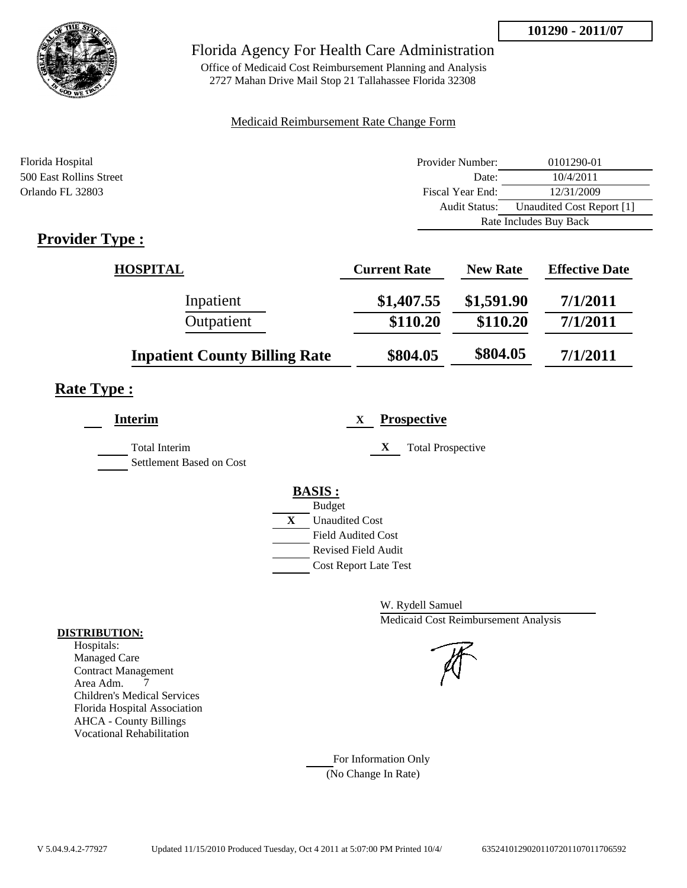

## Florida Agency For Health Care Administration

Office of Medicaid Cost Reimbursement Planning and Analysis 2727 Mahan Drive Mail Stop 21 Tallahassee Florida 32308

### Medicaid Reimbursement Rate Change Form

| Florida Hospital        | Provider Number:     | 0101290-01                |
|-------------------------|----------------------|---------------------------|
| 500 East Rollins Street | Date:                | 10/4/2011                 |
| Orlando FL 32803        | Fiscal Year End:     | 12/31/2009                |
|                         | <b>Audit Status:</b> | Unaudited Cost Report [1] |
|                         |                      | Rate Includes Buy Back    |
| <b>Provider Type :</b>  |                      |                           |

# **Provider Type :**

| <b>HOSPITAL</b>                      | <b>Current Rate</b> | <b>New Rate</b> | <b>Effective Date</b> |
|--------------------------------------|---------------------|-----------------|-----------------------|
| Inpatient                            | \$1,407.55          | \$1,591.90      | 7/1/2011              |
| Outpatient                           | \$110.20            | \$110.20        | 7/1/2011              |
| <b>Inpatient County Billing Rate</b> | \$804.05            | \$804.05        | 7/1/2011              |

# **Rate Type :**

| <b>Interim</b>                                   | <b>Prospective</b><br>X       |
|--------------------------------------------------|-------------------------------|
| <b>Total Interim</b><br>Settlement Based on Cost | X<br><b>Total Prospective</b> |
|                                                  | <b>BASIS:</b>                 |
|                                                  | <b>Budget</b>                 |
|                                                  | X<br><b>Unaudited Cost</b>    |
|                                                  | <b>Field Audited Cost</b>     |
|                                                  | <b>Revised Field Audit</b>    |
|                                                  | <b>Cost Report Late Test</b>  |
|                                                  |                               |

W. Rydell Samuel Medicaid Cost Reimbursement Analysis

For Information Only (No Change In Rate)

#### **DISTRIBUTION:**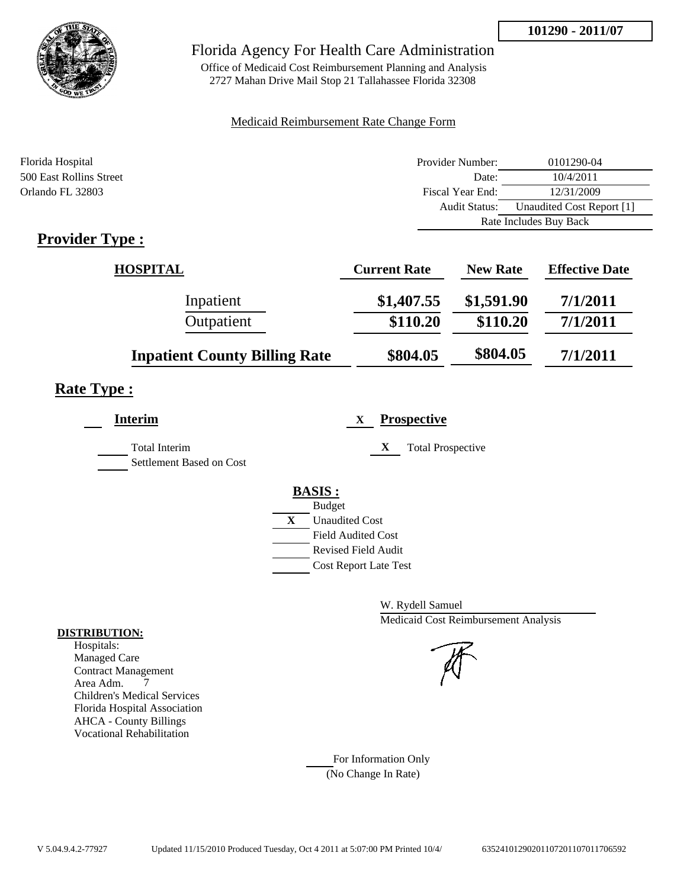

## Florida Agency For Health Care Administration

Office of Medicaid Cost Reimbursement Planning and Analysis 2727 Mahan Drive Mail Stop 21 Tallahassee Florida 32308

### Medicaid Reimbursement Rate Change Form

| Florida Hospital        | Provider Number: | 0101290-04                |
|-------------------------|------------------|---------------------------|
| 500 East Rollins Street | Date:            | 10/4/2011                 |
| Orlando FL 32803        | Fiscal Year End: | 12/31/2009                |
|                         | Audit Status:    | Unaudited Cost Report [1] |
|                         |                  | Rate Includes Buy Back    |
| <b>Provider Type</b> .  |                  |                           |

# **Provider Type :**

| <b>HOSPITAL</b>                      | <b>Current Rate</b> | <b>New Rate</b> | <b>Effective Date</b> |
|--------------------------------------|---------------------|-----------------|-----------------------|
| Inpatient                            | \$1,407.55          | \$1,591.90      | 7/1/2011              |
| Outpatient                           | \$110.20            | \$110.20        | 7/1/2011              |
| <b>Inpatient County Billing Rate</b> | \$804.05            | \$804.05        | 7/1/2011              |

# **Rate Type :**

| Interim                                          | <b>Prospective</b><br>X       |
|--------------------------------------------------|-------------------------------|
| <b>Total Interim</b><br>Settlement Based on Cost | X<br><b>Total Prospective</b> |
|                                                  | <b>BASIS:</b>                 |
|                                                  | <b>Budget</b>                 |
|                                                  | X<br><b>Unaudited Cost</b>    |
|                                                  | <b>Field Audited Cost</b>     |
|                                                  | Revised Field Audit           |
|                                                  | <b>Cost Report Late Test</b>  |
|                                                  |                               |

W. Rydell Samuel Medicaid Cost Reimbursement Analysis

For Information Only (No Change In Rate)

#### **DISTRIBUTION:**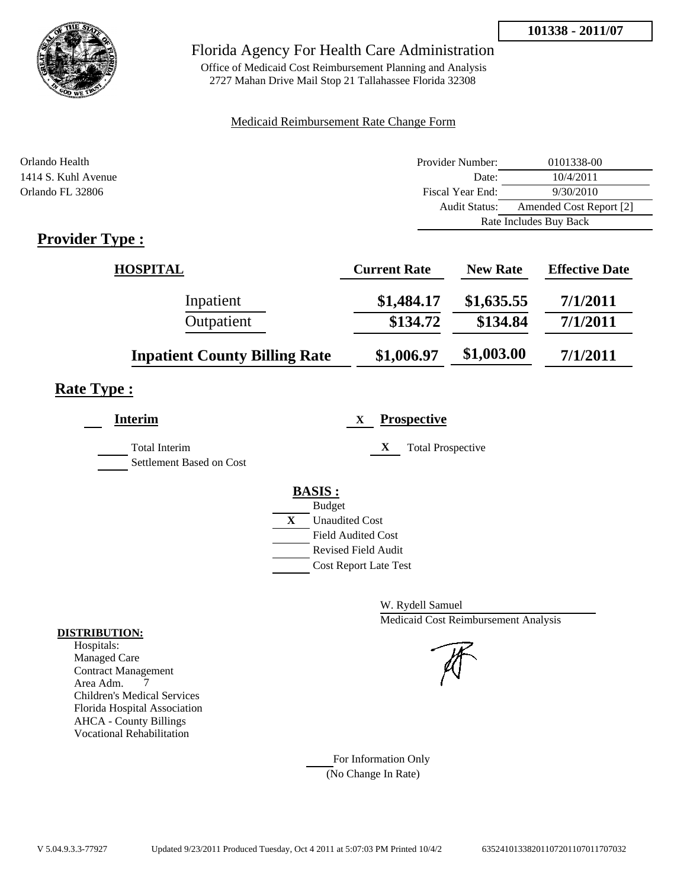

## Florida Agency For Health Care Administration

Office of Medicaid Cost Reimbursement Planning and Analysis 2727 Mahan Drive Mail Stop 21 Tallahassee Florida 32308

### Medicaid Reimbursement Rate Change Form

| Orlando Health         | Provider Number:     | 0101338-00              |
|------------------------|----------------------|-------------------------|
| 1414 S. Kuhl Avenue    | Date:                | 10/4/2011               |
| Orlando FL 32806       | Fiscal Year End:     | 9/30/2010               |
|                        | <b>Audit Status:</b> | Amended Cost Report [2] |
|                        |                      | Rate Includes Buy Back  |
| <b>Provider Type :</b> |                      |                         |

| <b>HOSPITAL</b>                      | <b>Current Rate</b> | <b>New Rate</b> | <b>Effective Date</b> |
|--------------------------------------|---------------------|-----------------|-----------------------|
| Inpatient                            | \$1,484.17          | \$1,635.55      | 7/1/2011              |
| Outpatient                           | \$134.72            | \$134.84        | 7/1/2011              |
| <b>Inpatient County Billing Rate</b> | \$1,006.97          | \$1,003.00      | 7/1/2011              |

# **Rate Type :**

| Interim                                          | <b>Prospective</b><br>X       |
|--------------------------------------------------|-------------------------------|
| <b>Total Interim</b><br>Settlement Based on Cost | X<br><b>Total Prospective</b> |
|                                                  | <b>BASIS:</b>                 |
|                                                  | <b>Budget</b>                 |
|                                                  | X<br><b>Unaudited Cost</b>    |
|                                                  | <b>Field Audited Cost</b>     |
|                                                  | Revised Field Audit           |
|                                                  | <b>Cost Report Late Test</b>  |
|                                                  |                               |

W. Rydell Samuel Medicaid Cost Reimbursement Analysis

For Information Only (No Change In Rate)

#### **DISTRIBUTION:**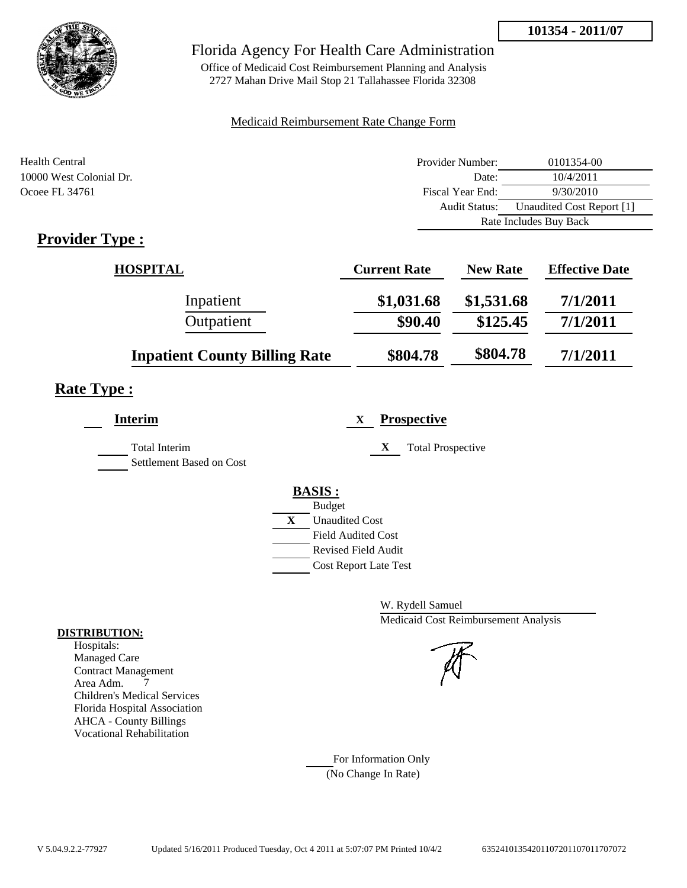

## Florida Agency For Health Care Administration

Office of Medicaid Cost Reimbursement Planning and Analysis 2727 Mahan Drive Mail Stop 21 Tallahassee Florida 32308

### Medicaid Reimbursement Rate Change Form

| Health Central          | Provider Number:     | 0101354-00                |
|-------------------------|----------------------|---------------------------|
| 10000 West Colonial Dr. | Date:                | 10/4/2011                 |
| Ocoee FL 34761          | Fiscal Year End:     | 9/30/2010                 |
|                         | <b>Audit Status:</b> | Unaudited Cost Report [1] |
|                         |                      | Rate Includes Buy Back    |
| Provider Type .         |                      |                           |

# **Provider Type :**

| <b>HOSPITAL</b>                      | <b>Current Rate</b> | <b>New Rate</b> | <b>Effective Date</b> |
|--------------------------------------|---------------------|-----------------|-----------------------|
| Inpatient                            | \$1,031.68          | \$1,531.68      | 7/1/2011              |
| Outpatient                           | \$90.40             | \$125.45        | 7/1/2011              |
| <b>Inpatient County Billing Rate</b> | \$804.78            | \$804.78        | 7/1/2011              |

# **Rate Type :**

| <b>Interim</b>           | <b>Prospective</b><br>X               |
|--------------------------|---------------------------------------|
| <b>Total Interim</b>     | X<br><b>Total Prospective</b>         |
| Settlement Based on Cost |                                       |
|                          | <b>BASIS:</b>                         |
|                          | <b>Budget</b>                         |
|                          | $\mathbf{X}$<br><b>Unaudited Cost</b> |
|                          | <b>Field Audited Cost</b>             |
|                          | <b>Revised Field Audit</b>            |
|                          | <b>Cost Report Late Test</b>          |

W. Rydell Samuel Medicaid Cost Reimbursement Analysis

For Information Only (No Change In Rate)

#### **DISTRIBUTION:**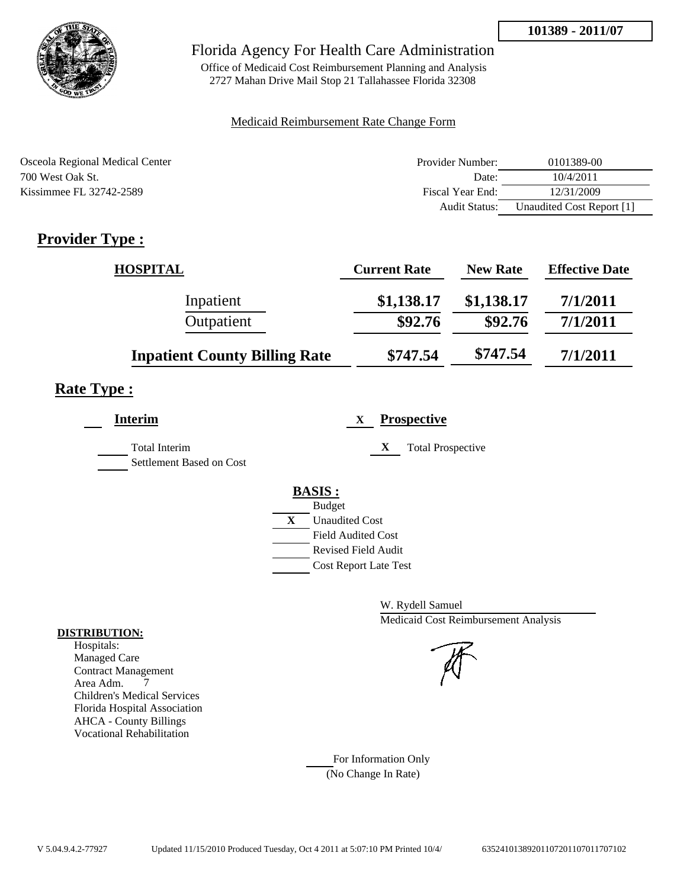

Office of Medicaid Cost Reimbursement Planning and Analysis 2727 Mahan Drive Mail Stop 21 Tallahassee Florida 32308

### Medicaid Reimbursement Rate Change Form

| Osceola Regional Medical Center | Provider Number:     | 0101389-00                |
|---------------------------------|----------------------|---------------------------|
| 700 West Oak St.                | Date:                | 10/4/2011                 |
| Kissimmee FL 32742-2589         | Fiscal Year End:     | 12/31/2009                |
|                                 | <b>Audit Status:</b> | Unaudited Cost Report [1] |

# **Provider Type :**

| <b>HOSPITAL</b>                      | <b>Current Rate</b> | <b>New Rate</b> | <b>Effective Date</b> |
|--------------------------------------|---------------------|-----------------|-----------------------|
| Inpatient                            | \$1,138.17          | \$1,138.17      | 7/1/2011              |
| Outpatient                           | \$92.76             | \$92.76         | 7/1/2011              |
| <b>Inpatient County Billing Rate</b> | \$747.54            | \$747.54        | 7/1/2011              |

# **Rate Type :**

| <b>Interim</b>                            | <b>Prospective</b><br>X                          |
|-------------------------------------------|--------------------------------------------------|
| Total Interim<br>Settlement Based on Cost | <b>Total Prospective</b><br>X                    |
|                                           | <b>BASIS:</b><br><b>Budget</b>                   |
|                                           | X<br><b>Unaudited Cost</b>                       |
|                                           | <b>Field Audited Cost</b><br>Revised Field Audit |
|                                           | <b>Cost Report Late Test</b>                     |

W. Rydell Samuel Medicaid Cost Reimbursement Analysis

For Information Only (No Change In Rate)

#### **DISTRIBUTION:**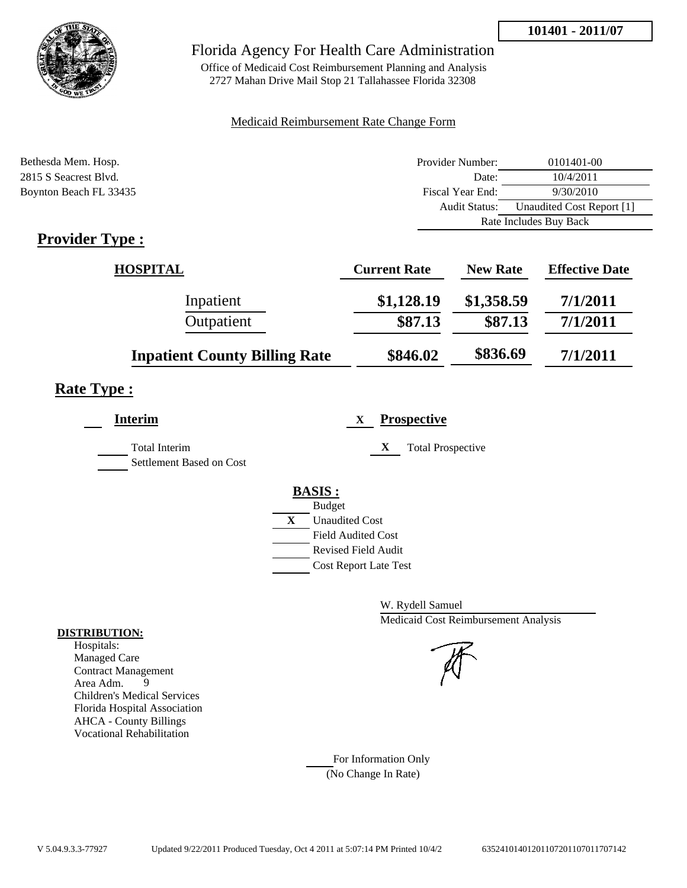

## Florida Agency For Health Care Administration

Office of Medicaid Cost Reimbursement Planning and Analysis 2727 Mahan Drive Mail Stop 21 Tallahassee Florida 32308

#### Medicaid Reimbursement Rate Change Form

| Bethesda Mem. Hosp.                                       | Provider Number:     | 0101401-00                |  |
|-----------------------------------------------------------|----------------------|---------------------------|--|
| 2815 S Seacrest Blvd.                                     | Date:                | 10/4/2011                 |  |
| Boynton Beach FL 33435                                    | Fiscal Year End:     | 9/30/2010                 |  |
|                                                           | <b>Audit Status:</b> | Unaudited Cost Report [1] |  |
|                                                           |                      | Rate Includes Buy Back    |  |
| $\mathbf{D}_{\text{model}}$ , $\mathbf{D}_{\text{model}}$ |                      |                           |  |

# **Provider Type :**

| <b>HOSPITAL</b>                      | <b>Current Rate</b> | <b>New Rate</b> | <b>Effective Date</b> |
|--------------------------------------|---------------------|-----------------|-----------------------|
| Inpatient                            | \$1,128.19          | \$1,358.59      | 7/1/2011              |
| Outpatient                           | \$87.13             | \$87.13         | 7/1/2011              |
| <b>Inpatient County Billing Rate</b> | \$846.02            | \$836.69        | 7/1/2011              |

# **Rate Type :**

| <b>Interim</b>                                   | <b>Prospective</b><br>X       |
|--------------------------------------------------|-------------------------------|
| <b>Total Interim</b><br>Settlement Based on Cost | X<br><b>Total Prospective</b> |
|                                                  | <b>BASIS:</b>                 |
|                                                  | <b>Budget</b>                 |
|                                                  | X<br><b>Unaudited Cost</b>    |
|                                                  | <b>Field Audited Cost</b>     |
|                                                  | <b>Revised Field Audit</b>    |
|                                                  | <b>Cost Report Late Test</b>  |
|                                                  |                               |

W. Rydell Samuel Medicaid Cost Reimbursement Analysis

For Information Only (No Change In Rate)

#### **DISTRIBUTION:**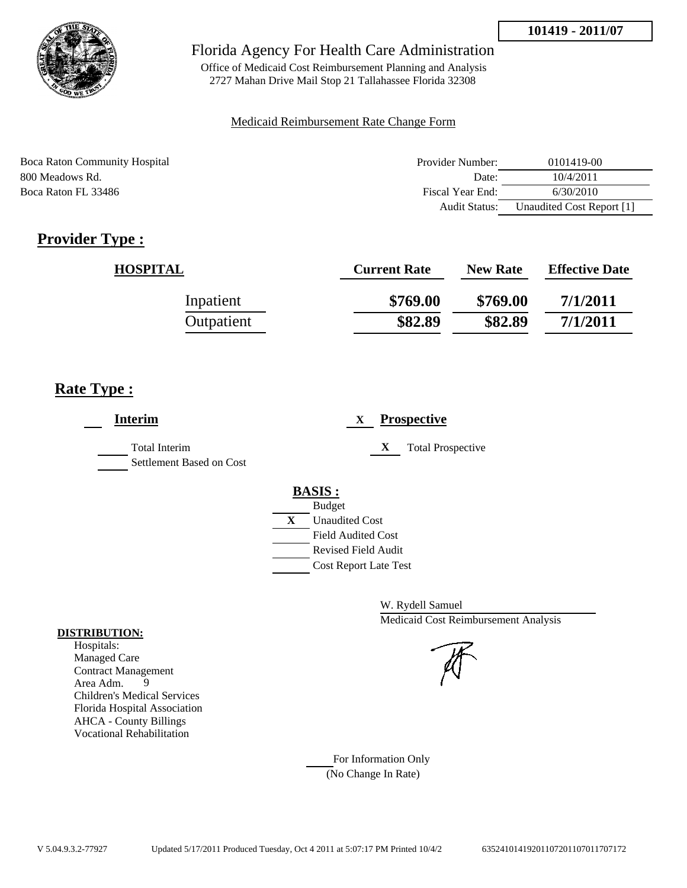

Office of Medicaid Cost Reimbursement Planning and Analysis 2727 Mahan Drive Mail Stop 21 Tallahassee Florida 32308

### Medicaid Reimbursement Rate Change Form

| Boca Raton Community Hospital | Provider Number: | 0101419-00                |
|-------------------------------|------------------|---------------------------|
| 800 Meadows Rd.               | Date:            | 10/4/2011                 |
| Boca Raton FL 33486           | Fiscal Year End: | 6/30/2010                 |
|                               | Audit Status:    | Unaudited Cost Report [1] |

# **Provider Type :**

| <b>HOSPITAL</b> | <b>Current Rate</b> | <b>New Rate</b> | <b>Effective Date</b> |
|-----------------|---------------------|-----------------|-----------------------|
| Inpatient       | \$769.00            | \$769.00        | 7/1/2011              |
| Outpatient      | \$82.89             | \$82.89         | 7/1/2011              |

# **Rate Type :**

| <b>Interim</b>                            | <b>Prospective</b><br>X       |
|-------------------------------------------|-------------------------------|
| Total Interim<br>Settlement Based on Cost | X<br><b>Total Prospective</b> |
|                                           | <b>BASIS:</b>                 |
|                                           | <b>Budget</b>                 |
|                                           | X<br><b>Unaudited Cost</b>    |
|                                           | <b>Field Audited Cost</b>     |
|                                           | <b>Revised Field Audit</b>    |
|                                           | <b>Cost Report Late Test</b>  |

W. Rydell Samuel Medicaid Cost Reimbursement Analysis

For Information Only (No Change In Rate)

#### **DISTRIBUTION:**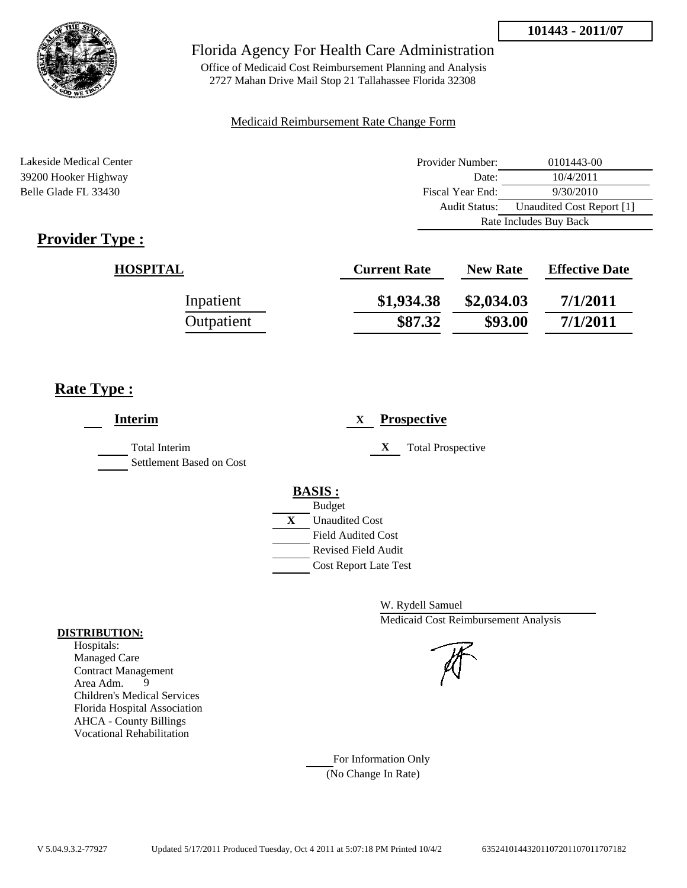



Office of Medicaid Cost Reimbursement Planning and Analysis 2727 Mahan Drive Mail Stop 21 Tallahassee Florida 32308

#### Medicaid Reimbursement Rate Change Form

Lakeside Medical Center **Provider Number:** 0101443-00 39200 Hooker Highway Date: 10/4/2011 Belle Glade FL 33430 Fiscal Year End: 9/30/2010 Audit Status: Unaudited Cost Report [1] Rate Includes Buy Back

# **Provider Type :**

| <b>HOSPITAL</b> | <b>Current Rate</b> | <b>New Rate</b> | <b>Effective Date</b> |
|-----------------|---------------------|-----------------|-----------------------|
| Inpatient       | \$1,934.38          | \$2,034.03      | 7/1/2011              |
| Outpatient      | \$87.32             | \$93.00         | 7/1/2011              |

## **Rate Type :**

| <b>Interim</b>                                   | <b>Prospective</b><br>$\mathbf{X}$                                                                                                                      |
|--------------------------------------------------|---------------------------------------------------------------------------------------------------------------------------------------------------------|
| <b>Total Interim</b><br>Settlement Based on Cost | X<br><b>Total Prospective</b>                                                                                                                           |
|                                                  | <b>BASIS:</b><br><b>Budget</b><br>X<br><b>Unaudited Cost</b><br><b>Field Audited Cost</b><br><b>Revised Field Audit</b><br><b>Cost Report Late Test</b> |

W. Rydell Samuel Medicaid Cost Reimbursement Analysis

For Information Only (No Change In Rate)

#### **DISTRIBUTION:**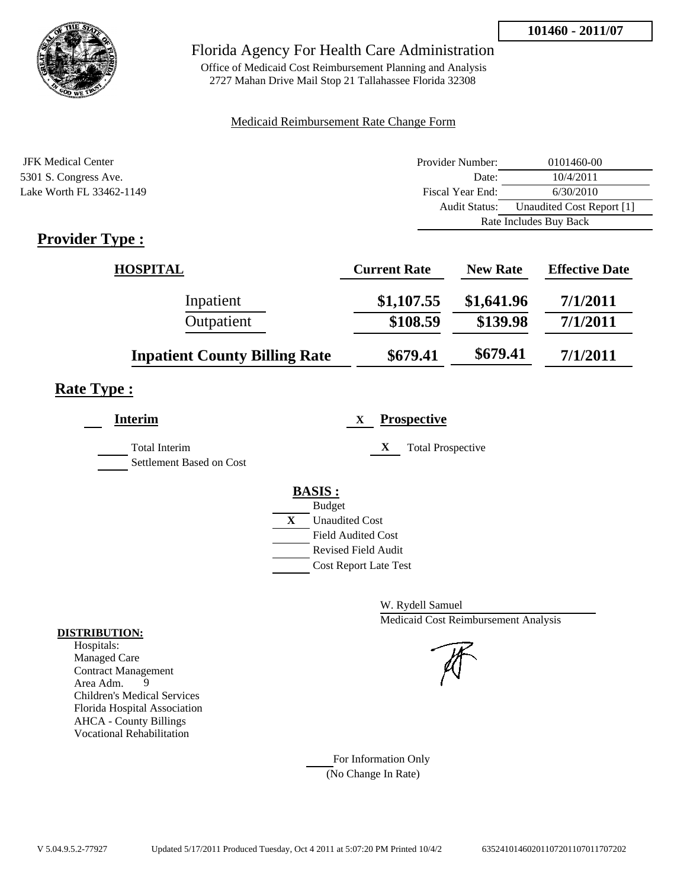

## Florida Agency For Health Care Administration

Office of Medicaid Cost Reimbursement Planning and Analysis 2727 Mahan Drive Mail Stop 21 Tallahassee Florida 32308

### Medicaid Reimbursement Rate Change Form

| JFK Medical Center       | Provider Number: | 0101460-00                |  |
|--------------------------|------------------|---------------------------|--|
| 5301 S. Congress Ave.    | Date:            | 10/4/2011                 |  |
| Lake Worth FL 33462-1149 | Fiscal Year End: | 6/30/2010                 |  |
|                          | Audit Status:    | Unaudited Cost Report [1] |  |
|                          |                  | Rate Includes Buy Back    |  |

# **Provider Type :**

| <b>HOSPITAL</b>                      | <b>Current Rate</b> | <b>New Rate</b> | <b>Effective Date</b> |
|--------------------------------------|---------------------|-----------------|-----------------------|
| Inpatient                            | \$1,107.55          | \$1,641.96      | 7/1/2011              |
| Outpatient                           | \$108.59            | \$139.98        | 7/1/2011              |
| <b>Inpatient County Billing Rate</b> | \$679.41            | \$679.41        | 7/1/2011              |

# **Rate Type :**

| <b>Interim</b>                            |   | <b>Prospective</b><br>X       |
|-------------------------------------------|---|-------------------------------|
| Total Interim<br>Settlement Based on Cost |   | X<br><b>Total Prospective</b> |
|                                           |   | <b>BASIS:</b>                 |
|                                           |   | <b>Budget</b>                 |
|                                           | X | <b>Unaudited Cost</b>         |
|                                           |   | <b>Field Audited Cost</b>     |
|                                           |   | <b>Revised Field Audit</b>    |
|                                           |   | <b>Cost Report Late Test</b>  |
|                                           |   |                               |

W. Rydell Samuel Medicaid Cost Reimbursement Analysis

For Information Only (No Change In Rate)

#### **DISTRIBUTION:**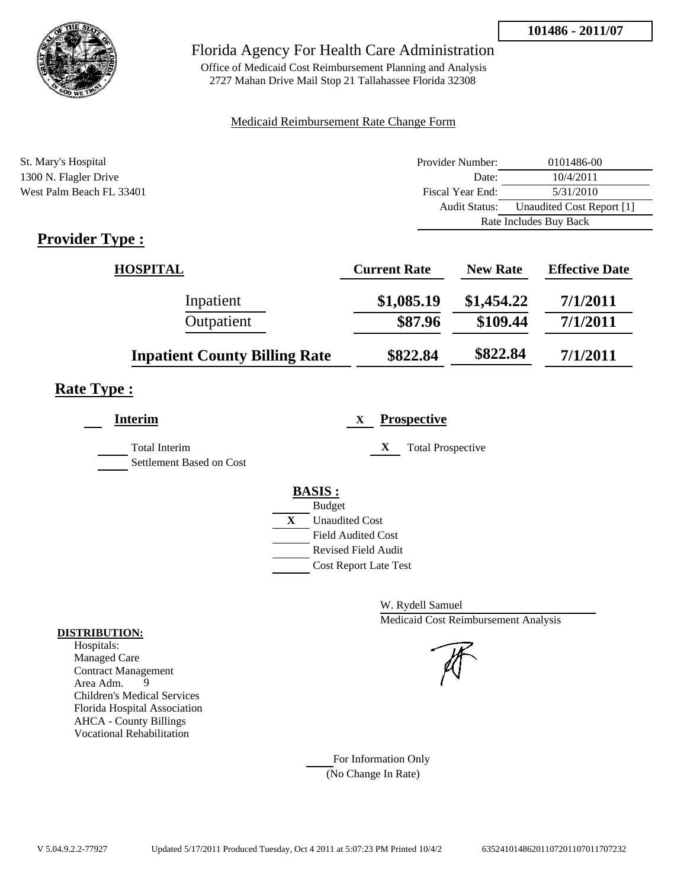

Office of Medicaid Cost Reimbursement Planning and Analysis 2727 Mahan Drive Mail Stop 21 Tallahassee Florida 32308

### Medicaid Reimbursement Rate Change Form

| St. Mary's Hospital      | Provider Number:     | 0101486-00                |  |
|--------------------------|----------------------|---------------------------|--|
| 1300 N. Flagler Drive    | Date:                | 10/4/2011                 |  |
| West Palm Beach FL 33401 | Fiscal Year End:     | 5/31/2010                 |  |
|                          | <b>Audit Status:</b> | Unaudited Cost Report [1] |  |
|                          |                      | Rate Includes Buy Back    |  |
|                          |                      |                           |  |

# **Provider Type :**

| <b>HOSPITAL</b>                      | <b>Current Rate</b> | <b>New Rate</b> | <b>Effective Date</b> |
|--------------------------------------|---------------------|-----------------|-----------------------|
| Inpatient                            | \$1,085.19          | \$1,454.22      | 7/1/2011              |
| Outpatient                           | \$87.96             | \$109.44        | 7/1/2011              |
| <b>Inpatient County Billing Rate</b> | \$822.84            | \$822.84        | 7/1/2011              |

# **Rate Type :**

| <b>Interim</b>                            | <b>Prospective</b><br>X                                                          |
|-------------------------------------------|----------------------------------------------------------------------------------|
| Total Interim<br>Settlement Based on Cost | X<br><b>Total Prospective</b>                                                    |
|                                           | <b>BASIS:</b><br><b>Budget</b><br>X<br><b>Unaudited Cost</b>                     |
|                                           | <b>Field Audited Cost</b><br>Revised Field Audit<br><b>Cost Report Late Test</b> |

W. Rydell Samuel Medicaid Cost Reimbursement Analysis

For Information Only (No Change In Rate)

#### **DISTRIBUTION:**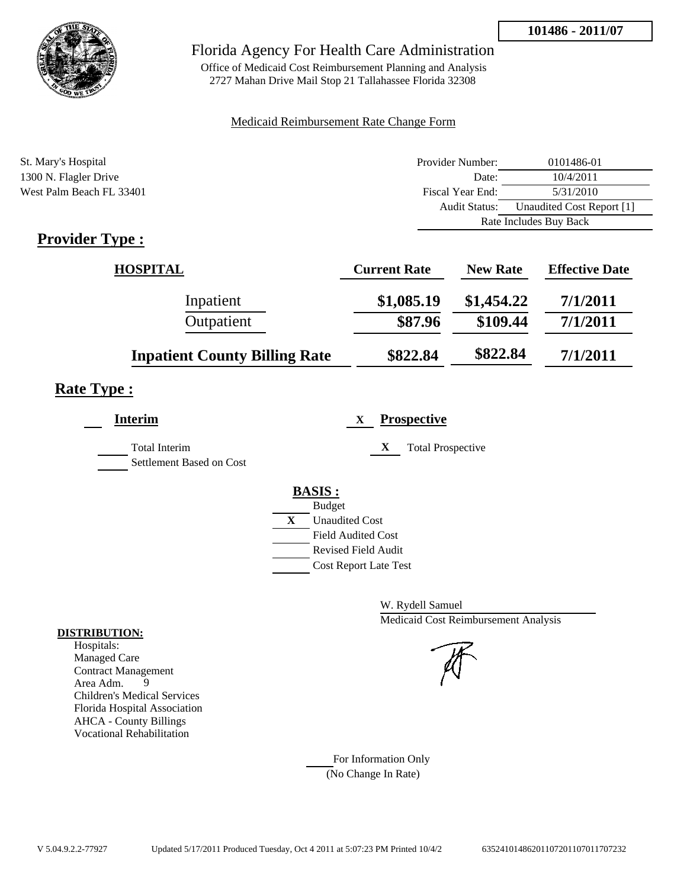

Office of Medicaid Cost Reimbursement Planning and Analysis 2727 Mahan Drive Mail Stop 21 Tallahassee Florida 32308

### Medicaid Reimbursement Rate Change Form

| St. Mary's Hospital      | Provider Number:     | 0101486-01                |  |
|--------------------------|----------------------|---------------------------|--|
| 1300 N. Flagler Drive    | Date:                | 10/4/2011                 |  |
| West Palm Beach FL 33401 | Fiscal Year End:     | 5/31/2010                 |  |
|                          | <b>Audit Status:</b> | Unaudited Cost Report [1] |  |
|                          |                      | Rate Includes Buy Back    |  |
|                          |                      |                           |  |

# **Provider Type :**

| <b>HOSPITAL</b>                      | <b>Current Rate</b> | <b>New Rate</b> | <b>Effective Date</b> |
|--------------------------------------|---------------------|-----------------|-----------------------|
| Inpatient                            | \$1,085.19          | \$1,454.22      | 7/1/2011              |
| Outpatient                           | \$87.96             | \$109.44        | 7/1/2011              |
| <b>Inpatient County Billing Rate</b> | \$822.84            | \$822.84        | 7/1/2011              |

# **Rate Type :**

| <b>Interim</b>                            | <b>Prospective</b><br>X                                |
|-------------------------------------------|--------------------------------------------------------|
| Total Interim<br>Settlement Based on Cost | X<br><b>Total Prospective</b>                          |
|                                           | <b>BASIS:</b>                                          |
|                                           | <b>Budget</b><br>$\mathbf{X}$<br><b>Unaudited Cost</b> |
|                                           | <b>Field Audited Cost</b><br>Revised Field Audit       |
|                                           | <b>Cost Report Late Test</b>                           |

W. Rydell Samuel Medicaid Cost Reimbursement Analysis

For Information Only (No Change In Rate)

#### **DISTRIBUTION:**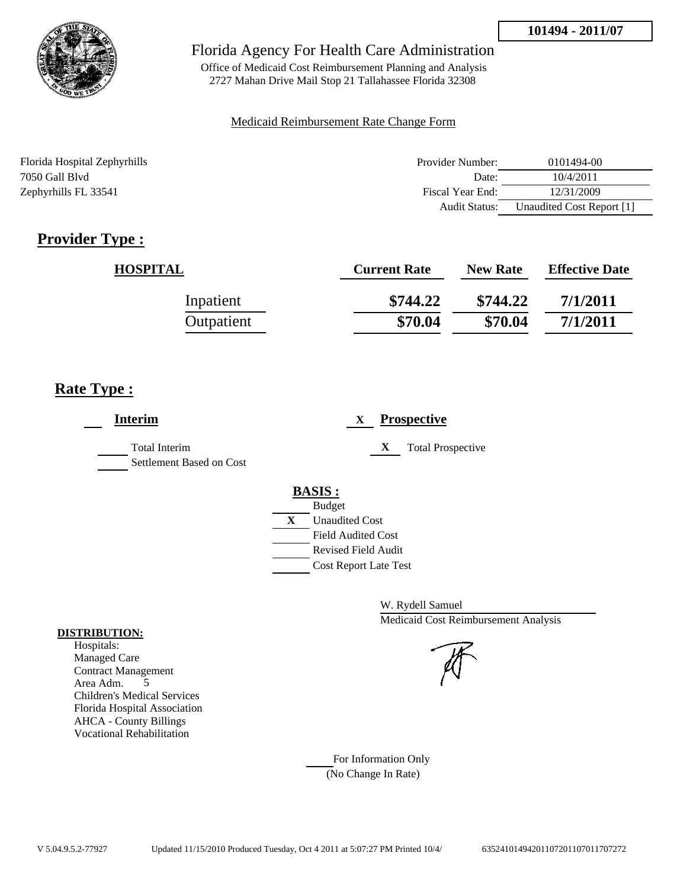

Office of Medicaid Cost Reimbursement Planning and Analysis 2727 Mahan Drive Mail Stop 21 Tallahassee Florida 32308

### Medicaid Reimbursement Rate Change Form

| Florida Hospital Zephyrhills | Provider Number:     | 0101494-00                |
|------------------------------|----------------------|---------------------------|
| 7050 Gall Blyd               | Date:                | 10/4/2011                 |
| Zephyrhills FL 33541         | Fiscal Year End:     | 12/31/2009                |
|                              | <b>Audit Status:</b> | Unaudited Cost Report [1] |

# **Provider Type :**

| <b>HOSPITAL</b> | <b>Current Rate</b> | <b>New Rate</b> | <b>Effective Date</b> |
|-----------------|---------------------|-----------------|-----------------------|
| Inpatient       | \$744.22            | \$744.22        | 7/1/2011              |
| Outpatient      | \$70.04             | \$70.04         | 7/1/2011              |

# **Rate Type :**

| <b>Interim</b>                            | <b>Prospective</b><br>X       |
|-------------------------------------------|-------------------------------|
| Total Interim<br>Settlement Based on Cost | X<br><b>Total Prospective</b> |
|                                           | <b>BASIS:</b>                 |
|                                           | <b>Budget</b>                 |
|                                           | X<br><b>Unaudited Cost</b>    |
|                                           | <b>Field Audited Cost</b>     |
|                                           | <b>Revised Field Audit</b>    |
|                                           | <b>Cost Report Late Test</b>  |
|                                           |                               |

W. Rydell Samuel Medicaid Cost Reimbursement Analysis

For Information Only (No Change In Rate)

#### **DISTRIBUTION:**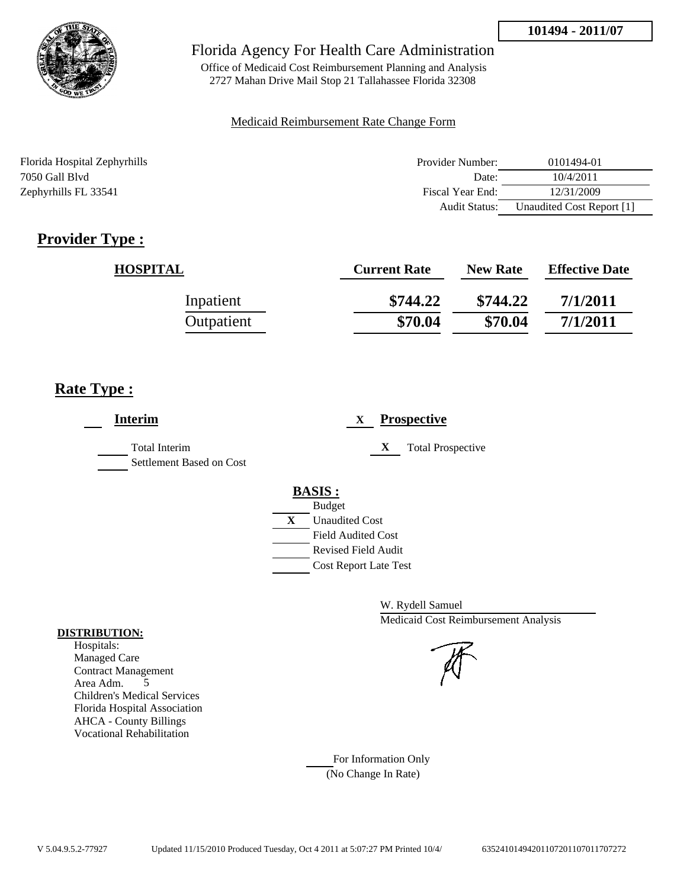

Office of Medicaid Cost Reimbursement Planning and Analysis 2727 Mahan Drive Mail Stop 21 Tallahassee Florida 32308

### Medicaid Reimbursement Rate Change Form

| Florida Hospital Zephyrhills | Provider Number: | 0101494-01                |
|------------------------------|------------------|---------------------------|
| 7050 Gall Blyd               | Date:            | 10/4/2011                 |
| Zephyrhills FL 33541         | Fiscal Year End: | 12/31/2009                |
|                              | Audit Status:    | Unaudited Cost Report [1] |

# **Provider Type :**

| <b>HOSPITAL</b> | <b>Current Rate</b> | <b>New Rate</b> | <b>Effective Date</b> |
|-----------------|---------------------|-----------------|-----------------------|
| Inpatient       | \$744.22            | \$744.22        | 7/1/2011              |
| Outpatient      | \$70.04             | \$70.04         | 7/1/2011              |

# **Rate Type :**

| <b>Interim</b>                            | <b>Prospective</b><br>X       |
|-------------------------------------------|-------------------------------|
| Total Interim<br>Settlement Based on Cost | X<br><b>Total Prospective</b> |
|                                           | <b>BASIS:</b>                 |
|                                           | <b>Budget</b>                 |
|                                           | X<br><b>Unaudited Cost</b>    |
|                                           | <b>Field Audited Cost</b>     |
|                                           | <b>Revised Field Audit</b>    |
|                                           | <b>Cost Report Late Test</b>  |
|                                           |                               |

W. Rydell Samuel Medicaid Cost Reimbursement Analysis

For Information Only (No Change In Rate)

#### **DISTRIBUTION:**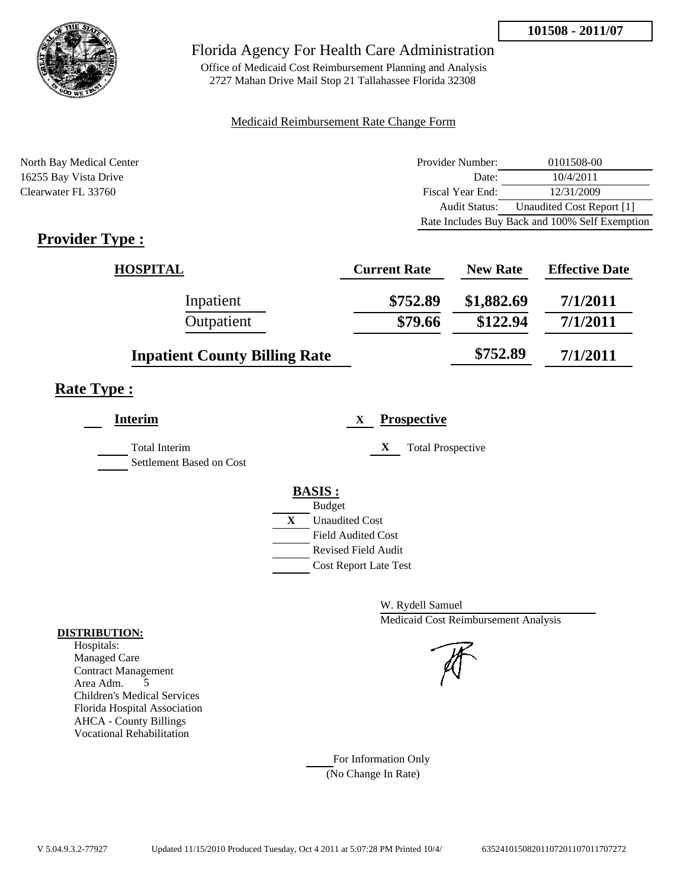

Office of Medicaid Cost Reimbursement Planning and Analysis 2727 Mahan Drive Mail Stop 21 Tallahassee Florida 32308

### Medicaid Reimbursement Rate Change Form

| North Bay Medical Center | Provider Number: | 0101508-00                                     |
|--------------------------|------------------|------------------------------------------------|
| 16255 Bay Vista Drive    | Date:            | 10/4/2011                                      |
| Clearwater FL 33760      | Fiscal Year End: | 12/31/2009                                     |
|                          | Audit Status:    | Unaudited Cost Report [1]                      |
|                          |                  | Rate Includes Buy Back and 100% Self Exemption |

# **Provider Type :**

| <b>HOSPITAL</b>                      | <b>Current Rate</b> | <b>New Rate</b> | <b>Effective Date</b> |
|--------------------------------------|---------------------|-----------------|-----------------------|
| Inpatient                            | \$752.89            | \$1,882.69      | 7/1/2011              |
| Outpatient                           | \$79.66             | \$122.94        | 7/1/2011              |
| <b>Inpatient County Billing Rate</b> |                     | \$752.89        | 7/1/2011              |

# **Rate Type :**

| Interim                                          | <b>Prospective</b><br>X       |
|--------------------------------------------------|-------------------------------|
| <b>Total Interim</b><br>Settlement Based on Cost | X<br><b>Total Prospective</b> |
|                                                  | <b>BASIS:</b>                 |
|                                                  | <b>Budget</b>                 |
|                                                  | X<br><b>Unaudited Cost</b>    |
|                                                  | <b>Field Audited Cost</b>     |
|                                                  | Revised Field Audit           |
|                                                  | <b>Cost Report Late Test</b>  |
|                                                  |                               |

W. Rydell Samuel Medicaid Cost Reimbursement Analysis

For Information Only (No Change In Rate)

#### **DISTRIBUTION:**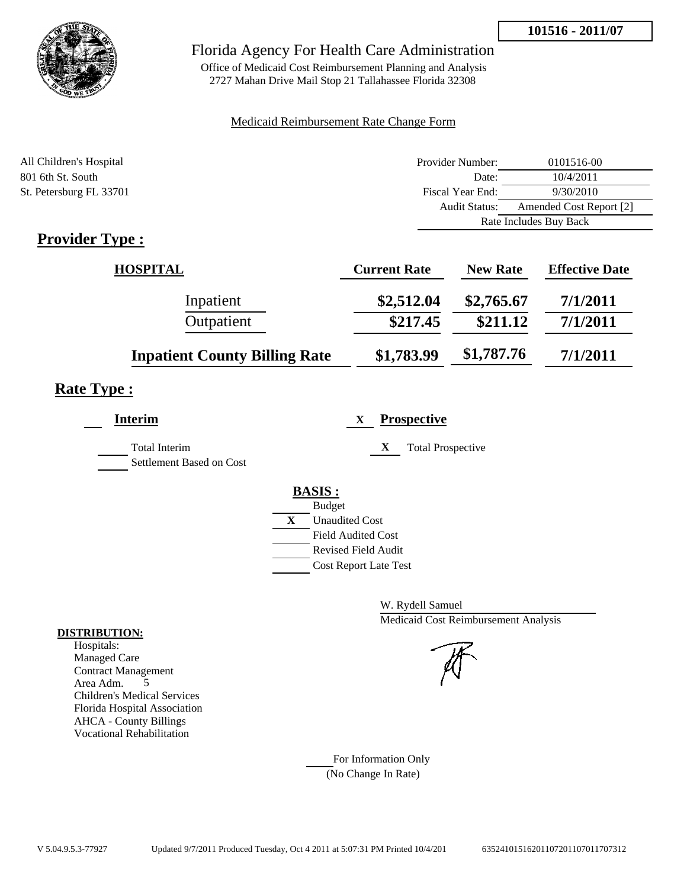

## Florida Agency For Health Care Administration

Office of Medicaid Cost Reimbursement Planning and Analysis 2727 Mahan Drive Mail Stop 21 Tallahassee Florida 32308

### Medicaid Reimbursement Rate Change Form

| All Children's Hospital | Provider Number:     | 0101516-00              |
|-------------------------|----------------------|-------------------------|
| 801 6th St. South       | Date:                | 10/4/2011               |
| St. Petersburg FL 33701 | Fiscal Year End:     | 9/30/2010               |
|                         | <b>Audit Status:</b> | Amended Cost Report [2] |
|                         |                      | Rate Includes Buy Back  |
| T.<br>m                 |                      |                         |

# **Provider Type :**

| HOSPITAL                             | <b>Current Rate</b> | <b>New Rate</b> | <b>Effective Date</b> |
|--------------------------------------|---------------------|-----------------|-----------------------|
| Inpatient                            | \$2,512.04          | \$2,765.67      | 7/1/2011              |
| Outpatient                           | \$217.45            | \$211.12        | 7/1/2011              |
| <b>Inpatient County Billing Rate</b> | \$1,783.99          | \$1,787.76      | 7/1/2011              |

# **Rate Type :**

| <b>Interim</b>                                   | <b>Prospective</b><br>X               |
|--------------------------------------------------|---------------------------------------|
| <b>Total Interim</b><br>Settlement Based on Cost | X<br><b>Total Prospective</b>         |
|                                                  | <b>BASIS:</b>                         |
|                                                  | <b>Budget</b>                         |
|                                                  | $\mathbf{X}$<br><b>Unaudited Cost</b> |
|                                                  | <b>Field Audited Cost</b>             |
|                                                  | Revised Field Audit                   |
|                                                  | <b>Cost Report Late Test</b>          |
|                                                  |                                       |

W. Rydell Samuel Medicaid Cost Reimbursement Analysis

For Information Only (No Change In Rate)

#### **DISTRIBUTION:**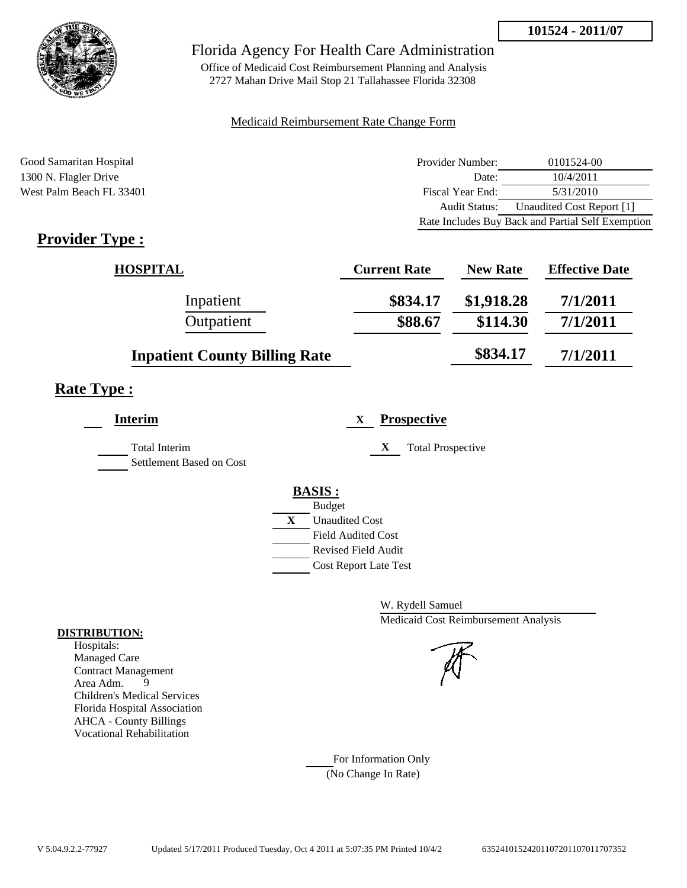

Office of Medicaid Cost Reimbursement Planning and Analysis 2727 Mahan Drive Mail Stop 21 Tallahassee Florida 32308

### Medicaid Reimbursement Rate Change Form

Good Samaritan Hospital **Provider Number:** 0101524-00 1300 N. Flagler Drive Date: 10/4/2011 West Palm Beach FL 33401 Fiscal Year End: 5/31/2010 Audit Status: Unaudited Cost Report [1] Rate Includes Buy Back and Partial Self Exemption

# **Provider Type :**

| <b>HOSPITAL</b>                      | <b>Current Rate</b> | <b>New Rate</b> | <b>Effective Date</b> |
|--------------------------------------|---------------------|-----------------|-----------------------|
| Inpatient                            | \$834.17            | \$1,918.28      | 7/1/2011              |
| Outpatient                           | \$88.67             | \$114.30        | 7/1/2011              |
| <b>Inpatient County Billing Rate</b> |                     | \$834.17        | 7/1/2011              |

# **Rate Type :**

| <b>Interim</b>           |   | <b>Prospective</b><br>X       |
|--------------------------|---|-------------------------------|
| <b>Total Interim</b>     |   | X<br><b>Total Prospective</b> |
| Settlement Based on Cost |   |                               |
|                          |   | <b>BASIS:</b>                 |
|                          |   | <b>Budget</b>                 |
|                          | X | <b>Unaudited Cost</b>         |
|                          |   | <b>Field Audited Cost</b>     |
|                          |   | <b>Revised Field Audit</b>    |
|                          |   | <b>Cost Report Late Test</b>  |
|                          |   |                               |

W. Rydell Samuel Medicaid Cost Reimbursement Analysis

For Information Only (No Change In Rate)

#### **DISTRIBUTION:**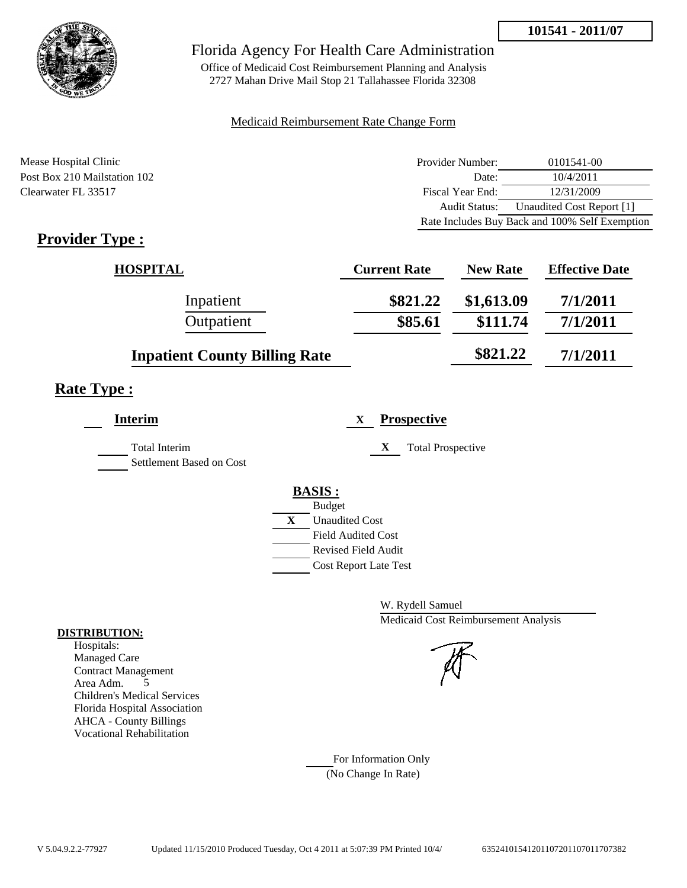

Office of Medicaid Cost Reimbursement Planning and Analysis 2727 Mahan Drive Mail Stop 21 Tallahassee Florida 32308

### Medicaid Reimbursement Rate Change Form

Mease Hospital Clinic **Provider Number:** 0101541-00 Post Box 210 Mailstation 102 Date: 10/4/2011 Clearwater FL 33517 Fiscal Year End: 12/31/2009 Audit Status: Unaudited Cost Report [1] Rate Includes Buy Back and 100% Self Exemption

# **Provider Type :**

| <b>HOSPITAL</b>                      | <b>Current Rate</b> | <b>New Rate</b> | <b>Effective Date</b> |
|--------------------------------------|---------------------|-----------------|-----------------------|
| Inpatient                            | \$821.22            | \$1,613.09      | 7/1/2011              |
| Outpatient                           | \$85.61             | \$111.74        | 7/1/2011              |
| <b>Inpatient County Billing Rate</b> |                     | \$821.22        | 7/1/2011              |

# **Rate Type :**

| <b>Interim</b>                                   | <b>Prospective</b><br>X       |
|--------------------------------------------------|-------------------------------|
| <b>Total Interim</b><br>Settlement Based on Cost | X<br><b>Total Prospective</b> |
|                                                  | <b>BASIS:</b>                 |
|                                                  | <b>Budget</b>                 |
|                                                  | X<br><b>Unaudited Cost</b>    |
|                                                  | <b>Field Audited Cost</b>     |
|                                                  | Revised Field Audit           |
|                                                  | <b>Cost Report Late Test</b>  |
|                                                  |                               |

W. Rydell Samuel Medicaid Cost Reimbursement Analysis

For Information Only (No Change In Rate)

#### **DISTRIBUTION:**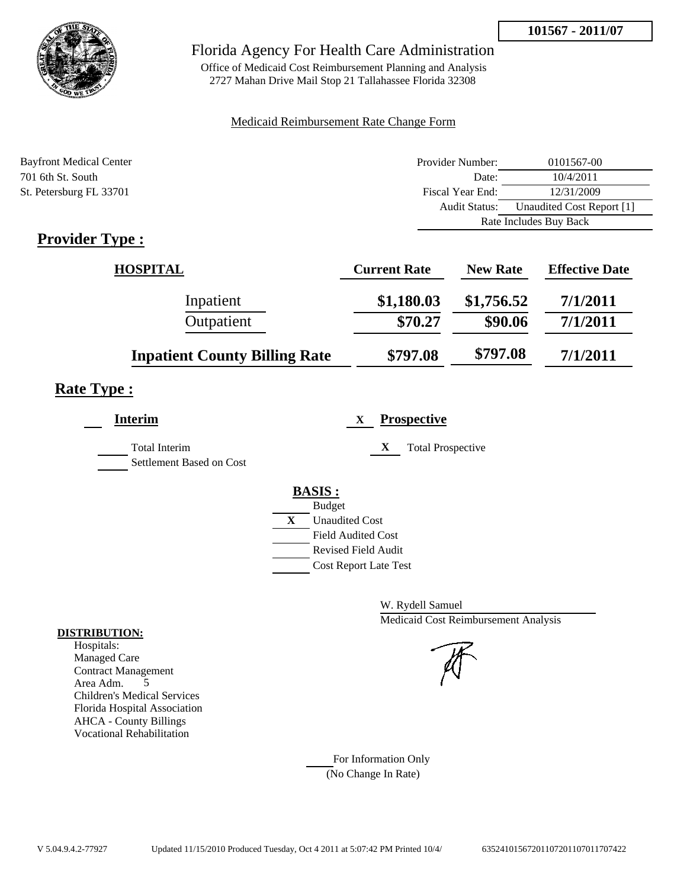

## Florida Agency For Health Care Administration

Office of Medicaid Cost Reimbursement Planning and Analysis 2727 Mahan Drive Mail Stop 21 Tallahassee Florida 32308

### Medicaid Reimbursement Rate Change Form

| <b>Bayfront Medical Center</b> | Provider Number:     | 0101567-00                |
|--------------------------------|----------------------|---------------------------|
| 701 6th St. South              | Date:                | 10/4/2011                 |
| St. Petersburg FL 33701        | Fiscal Year End:     | 12/31/2009                |
|                                | <b>Audit Status:</b> | Unaudited Cost Report [1] |
|                                |                      | Rate Includes Buy Back    |

# **Provider Type :**

| <b>HOSPITAL</b>                      | <b>Current Rate</b> | <b>New Rate</b> | <b>Effective Date</b> |
|--------------------------------------|---------------------|-----------------|-----------------------|
| Inpatient                            | \$1,180.03          | \$1,756.52      | 7/1/2011              |
| Outpatient                           | \$70.27             | \$90.06         | 7/1/2011              |
| <b>Inpatient County Billing Rate</b> | \$797.08            | \$797.08        | 7/1/2011              |

# **Rate Type :**

| <b>Interim</b>                                   | <b>Prospective</b><br>X       |
|--------------------------------------------------|-------------------------------|
| <b>Total Interim</b><br>Settlement Based on Cost | X<br><b>Total Prospective</b> |
|                                                  | <b>BASIS:</b>                 |
|                                                  | <b>Budget</b>                 |
|                                                  | X<br><b>Unaudited Cost</b>    |
|                                                  | <b>Field Audited Cost</b>     |
|                                                  | <b>Revised Field Audit</b>    |
|                                                  | <b>Cost Report Late Test</b>  |
|                                                  |                               |

W. Rydell Samuel Medicaid Cost Reimbursement Analysis

For Information Only (No Change In Rate)

#### **DISTRIBUTION:**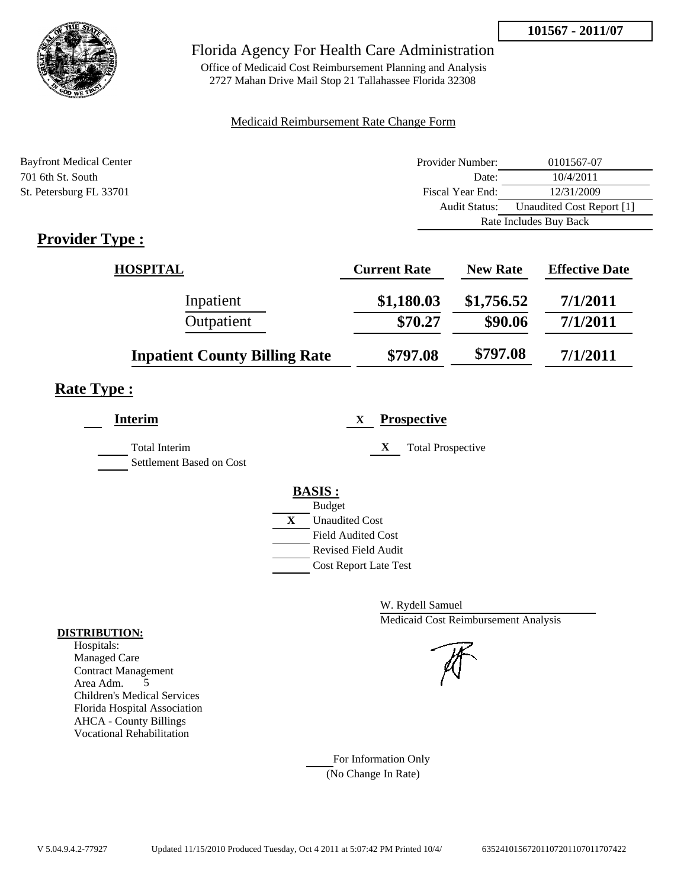

## Florida Agency For Health Care Administration

Office of Medicaid Cost Reimbursement Planning and Analysis 2727 Mahan Drive Mail Stop 21 Tallahassee Florida 32308

### Medicaid Reimbursement Rate Change Form

| <b>Bayfront Medical Center</b> | Provider Number:     | 0101567-07                |
|--------------------------------|----------------------|---------------------------|
| 701 6th St. South              | Date:                | 10/4/2011                 |
| St. Petersburg FL 33701        | Fiscal Year End:     | 12/31/2009                |
|                                | <b>Audit Status:</b> | Unaudited Cost Report [1] |
|                                |                      | Rate Includes Buy Back    |
|                                |                      |                           |

# **Provider Type :**

| <b>HOSPITAL</b>                      | <b>Current Rate</b> | <b>New Rate</b> | <b>Effective Date</b> |
|--------------------------------------|---------------------|-----------------|-----------------------|
| Inpatient                            | \$1,180.03          | \$1,756.52      | 7/1/2011              |
| Outpatient                           | \$70.27             | \$90.06         | 7/1/2011              |
| <b>Inpatient County Billing Rate</b> | \$797.08            | \$797.08        | 7/1/2011              |

# **Rate Type :**

| <b>Interim</b>                                   | <b>Prospective</b><br>X       |
|--------------------------------------------------|-------------------------------|
| <b>Total Interim</b><br>Settlement Based on Cost | X<br><b>Total Prospective</b> |
|                                                  | <b>BASIS:</b>                 |
|                                                  | <b>Budget</b>                 |
|                                                  | X<br><b>Unaudited Cost</b>    |
|                                                  | <b>Field Audited Cost</b>     |
|                                                  | <b>Revised Field Audit</b>    |
|                                                  | <b>Cost Report Late Test</b>  |
|                                                  |                               |

W. Rydell Samuel Medicaid Cost Reimbursement Analysis

For Information Only (No Change In Rate)

#### **DISTRIBUTION:**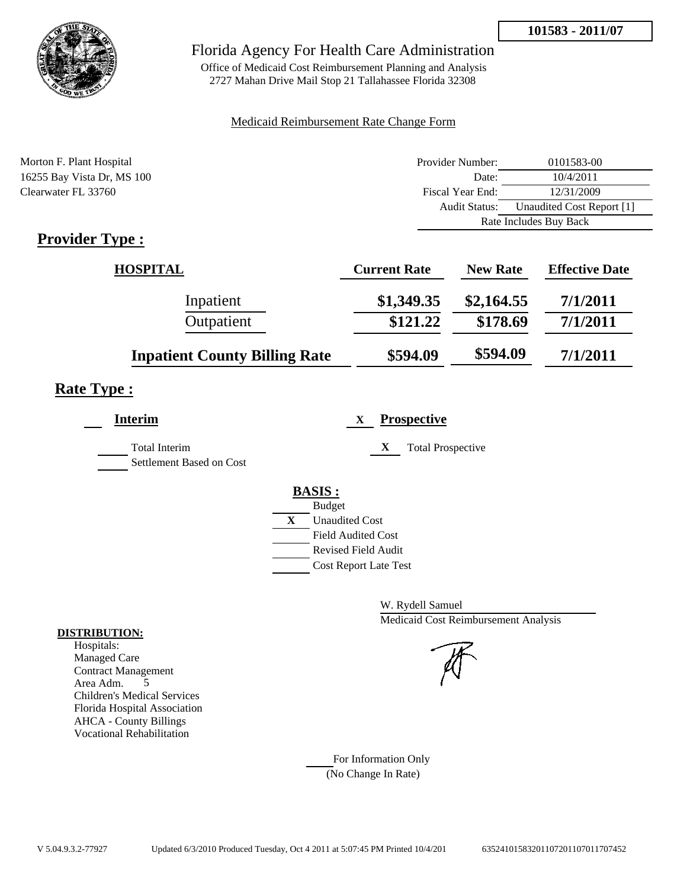

## Florida Agency For Health Care Administration

Office of Medicaid Cost Reimbursement Planning and Analysis 2727 Mahan Drive Mail Stop 21 Tallahassee Florida 32308

### Medicaid Reimbursement Rate Change Form

| Morton F. Plant Hospital    | Provider Number:     | 0101583-00                |
|-----------------------------|----------------------|---------------------------|
| 16255 Bay Vista Dr, MS 100  | Date:                | 10/4/2011                 |
| Clearwater FL 33760         | Fiscal Year End:     | 12/31/2009                |
|                             | <b>Audit Status:</b> | Unaudited Cost Report [1] |
|                             |                      | Rate Includes Buy Back    |
| $\mathbf{D}_{\text{model}}$ |                      |                           |

# **Provider Type :**

| <b>HOSPITAL</b>                      | <b>Current Rate</b> | <b>New Rate</b> | <b>Effective Date</b> |
|--------------------------------------|---------------------|-----------------|-----------------------|
| Inpatient                            | \$1,349.35          | \$2,164.55      | 7/1/2011              |
| Outpatient                           | \$121.22            | \$178.69        | 7/1/2011              |
| <b>Inpatient County Billing Rate</b> | \$594.09            | \$594.09        | 7/1/2011              |

# **Rate Type :**

| <b>Interim</b>                                   | <b>Prospective</b><br>X               |
|--------------------------------------------------|---------------------------------------|
| <b>Total Interim</b><br>Settlement Based on Cost | X<br><b>Total Prospective</b>         |
|                                                  | <b>BASIS:</b>                         |
|                                                  | <b>Budget</b>                         |
|                                                  | $\mathbf{X}$<br><b>Unaudited Cost</b> |
|                                                  | <b>Field Audited Cost</b>             |
|                                                  | <b>Revised Field Audit</b>            |
|                                                  | <b>Cost Report Late Test</b>          |
|                                                  |                                       |

W. Rydell Samuel Medicaid Cost Reimbursement Analysis

For Information Only (No Change In Rate)

#### **DISTRIBUTION:**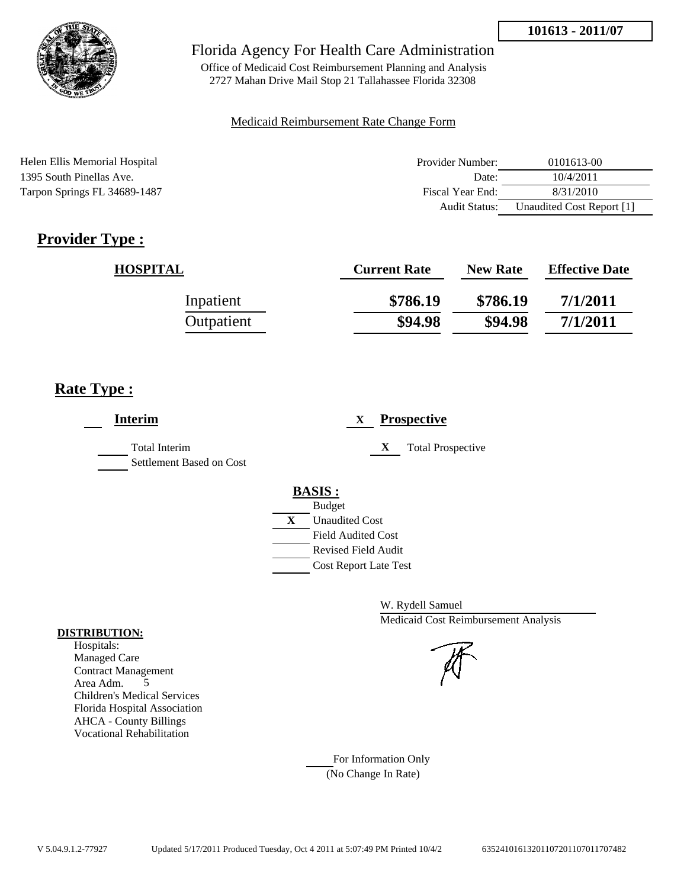

Office of Medicaid Cost Reimbursement Planning and Analysis 2727 Mahan Drive Mail Stop 21 Tallahassee Florida 32308

#### Medicaid Reimbursement Rate Change Form

| Helen Ellis Memorial Hospital | Provider Number:     | 0101613-00                |
|-------------------------------|----------------------|---------------------------|
| 1395 South Pinellas Ave.      | Date:                | 10/4/2011                 |
| Tarpon Springs FL 34689-1487  | Fiscal Year End:     | 8/31/2010                 |
|                               | <b>Audit Status:</b> | Unaudited Cost Report [1] |

# **Provider Type :**

| <b>HOSPITAL</b> | <b>Current Rate</b> | <b>New Rate</b> | <b>Effective Date</b> |
|-----------------|---------------------|-----------------|-----------------------|
| Inpatient       | \$786.19            | \$786.19        | 7/1/2011              |
| Outpatient      | \$94.98             | \$94.98         | 7/1/2011              |

# **Rate Type :**

| <b>Interim</b>                                   | <b>Prospective</b><br>X       |
|--------------------------------------------------|-------------------------------|
| <b>Total Interim</b><br>Settlement Based on Cost | <b>Total Prospective</b><br>X |
|                                                  | <b>BASIS:</b>                 |
|                                                  | <b>Budget</b>                 |
|                                                  | X<br><b>Unaudited Cost</b>    |
|                                                  | <b>Field Audited Cost</b>     |
|                                                  | <b>Revised Field Audit</b>    |
|                                                  | <b>Cost Report Late Test</b>  |
|                                                  |                               |

W. Rydell Samuel Medicaid Cost Reimbursement Analysis

For Information Only (No Change In Rate)

#### **DISTRIBUTION:**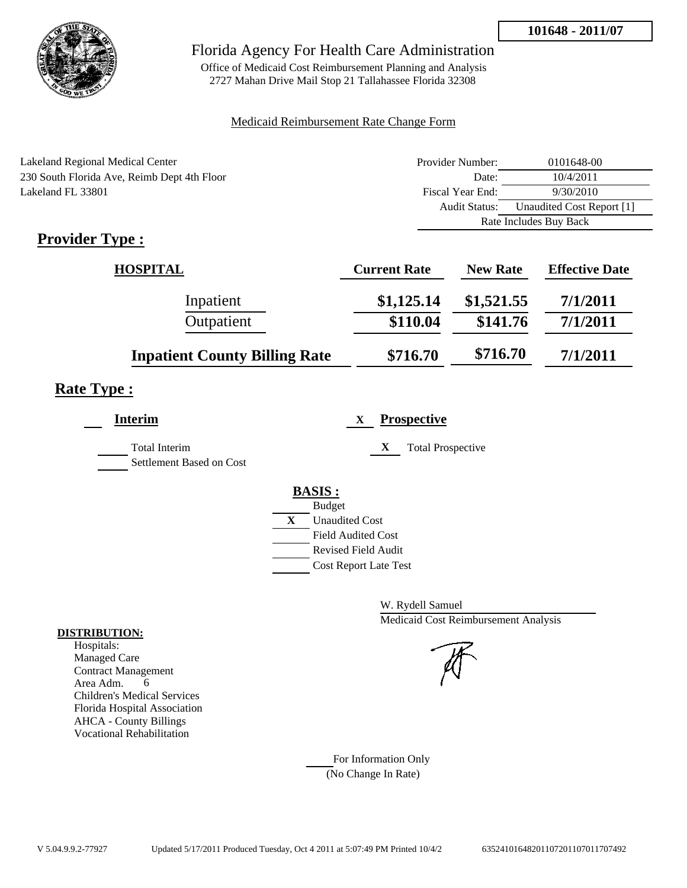

Office of Medicaid Cost Reimbursement Planning and Analysis 2727 Mahan Drive Mail Stop 21 Tallahassee Florida 32308

### Medicaid Reimbursement Rate Change Form

| Lakeland Regional Medical Center            | Provider Number: | 0101648-00                |
|---------------------------------------------|------------------|---------------------------|
| 230 South Florida Ave, Reimb Dept 4th Floor | Date:            | 10/4/2011                 |
| Lakeland FL 33801                           | Fiscal Year End: | 9/30/2010                 |
|                                             | Audit Status:    | Unaudited Cost Report [1] |
|                                             |                  | Rate Includes Buy Back    |
| $\cdot$ $\cdot$<br>$\blacksquare$<br>m      |                  |                           |

# **Provider Type :**

| <b>HOSPITAL</b>                      | <b>Current Rate</b> | <b>New Rate</b> | <b>Effective Date</b> |
|--------------------------------------|---------------------|-----------------|-----------------------|
| Inpatient                            | \$1,125.14          | \$1,521.55      | 7/1/2011              |
| Outpatient                           | \$110.04            | \$141.76        | 7/1/2011              |
| <b>Inpatient County Billing Rate</b> | \$716.70            | \$716.70        | 7/1/2011              |

# **Rate Type :**

| <b>Interim</b>                                   | <b>Prospective</b><br>X       |
|--------------------------------------------------|-------------------------------|
| <b>Total Interim</b><br>Settlement Based on Cost | X<br><b>Total Prospective</b> |
|                                                  | <b>BASIS:</b>                 |
|                                                  | <b>Budget</b>                 |
|                                                  | X<br><b>Unaudited Cost</b>    |
|                                                  | <b>Field Audited Cost</b>     |
|                                                  | <b>Revised Field Audit</b>    |
|                                                  | <b>Cost Report Late Test</b>  |
|                                                  |                               |

W. Rydell Samuel Medicaid Cost Reimbursement Analysis

For Information Only (No Change In Rate)

#### **DISTRIBUTION:**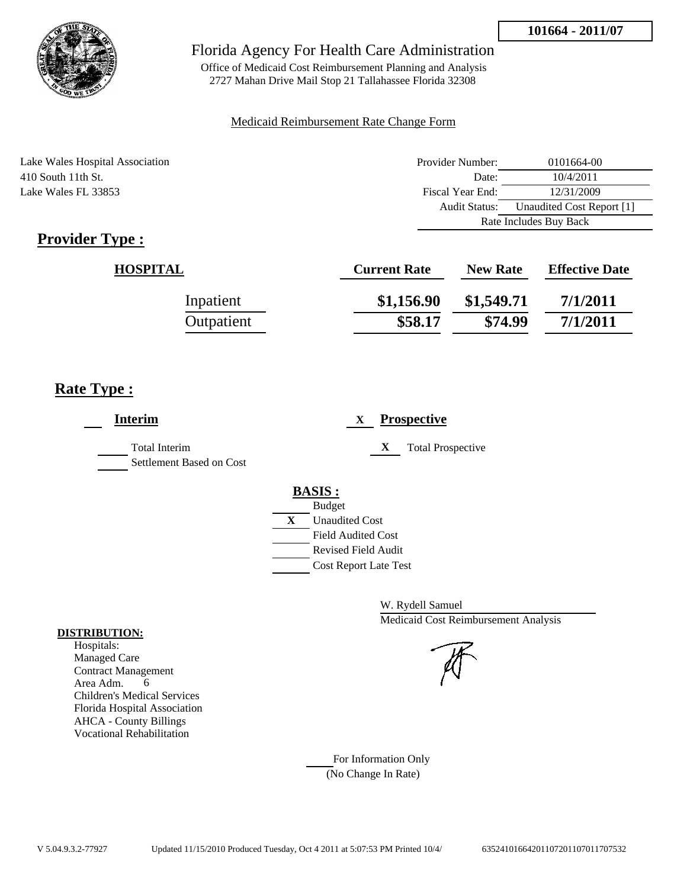

Office of Medicaid Cost Reimbursement Planning and Analysis 2727 Mahan Drive Mail Stop 21 Tallahassee Florida 32308

#### Medicaid Reimbursement Rate Change Form

Lake Wales Hospital Association 410 South 11th St. Lake Wales FL 33853

| Provider Number:       | 0101664-00                |
|------------------------|---------------------------|
| Date:                  | 10/4/2011                 |
| Fiscal Year End:       | 12/31/2009                |
| <b>Audit Status:</b>   | Unaudited Cost Report [1] |
| Rate Includes Buy Back |                           |

# **Provider Type :**

| <b>HOSPITAL</b> | <b>Current Rate</b> | <b>New Rate</b> | <b>Effective Date</b> |
|-----------------|---------------------|-----------------|-----------------------|
| Inpatient       | \$1,156.90          | \$1,549.71      | 7/1/2011              |
| Outpatient      | \$58.17             | \$74.99         | 7/1/2011              |

# **Rate Type :**

| <b>Interim</b>                                   | <b>Prospective</b><br>$\mathbf{X}$                                                                                      |
|--------------------------------------------------|-------------------------------------------------------------------------------------------------------------------------|
| <b>Total Interim</b><br>Settlement Based on Cost | X<br><b>Total Prospective</b>                                                                                           |
|                                                  | <b>BASIS:</b><br><b>Budget</b><br>X<br><b>Unaudited Cost</b><br><b>Field Audited Cost</b><br><b>Revised Field Audit</b> |
|                                                  | <b>Cost Report Late Test</b>                                                                                            |

W. Rydell Samuel Medicaid Cost Reimbursement Analysis



For Information Only (No Change In Rate)

#### **DISTRIBUTION:**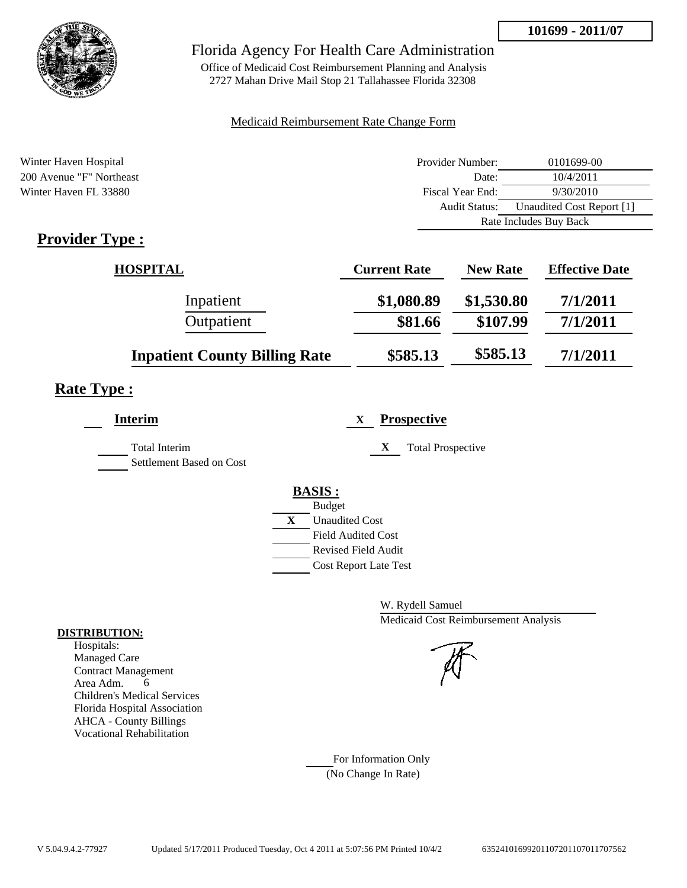

Office of Medicaid Cost Reimbursement Planning and Analysis 2727 Mahan Drive Mail Stop 21 Tallahassee Florida 32308

### Medicaid Reimbursement Rate Change Form

| Winter Haven Hospital    | Provider Number:     | 0101699-00                |
|--------------------------|----------------------|---------------------------|
| 200 Avenue "F" Northeast | Date:                | 10/4/2011                 |
| Winter Haven FL 33880    | Fiscal Year End:     | 9/30/2010                 |
|                          | <b>Audit Status:</b> | Unaudited Cost Report [1] |
|                          |                      | Rate Includes Buy Back    |
| $Pravidar Tvna$          |                      |                           |

# **Provider Type :**

| <b>HOSPITAL</b>                      | <b>Current Rate</b> | <b>New Rate</b> | <b>Effective Date</b> |
|--------------------------------------|---------------------|-----------------|-----------------------|
| Inpatient                            | \$1,080.89          | \$1,530.80      | 7/1/2011              |
| Outpatient                           | \$81.66             | \$107.99        | 7/1/2011              |
| <b>Inpatient County Billing Rate</b> | \$585.13            | \$585.13        | 7/1/2011              |

# **Rate Type :**

| <b>Interim</b>                                   | <b>Prospective</b><br>X       |
|--------------------------------------------------|-------------------------------|
| <b>Total Interim</b><br>Settlement Based on Cost | X<br><b>Total Prospective</b> |
|                                                  | <b>BASIS:</b>                 |
|                                                  | <b>Budget</b>                 |
|                                                  | X<br><b>Unaudited Cost</b>    |
|                                                  | <b>Field Audited Cost</b>     |
|                                                  | <b>Revised Field Audit</b>    |
|                                                  | <b>Cost Report Late Test</b>  |
|                                                  |                               |

W. Rydell Samuel Medicaid Cost Reimbursement Analysis

### For Information Only (No Change In Rate)

#### **DISTRIBUTION:**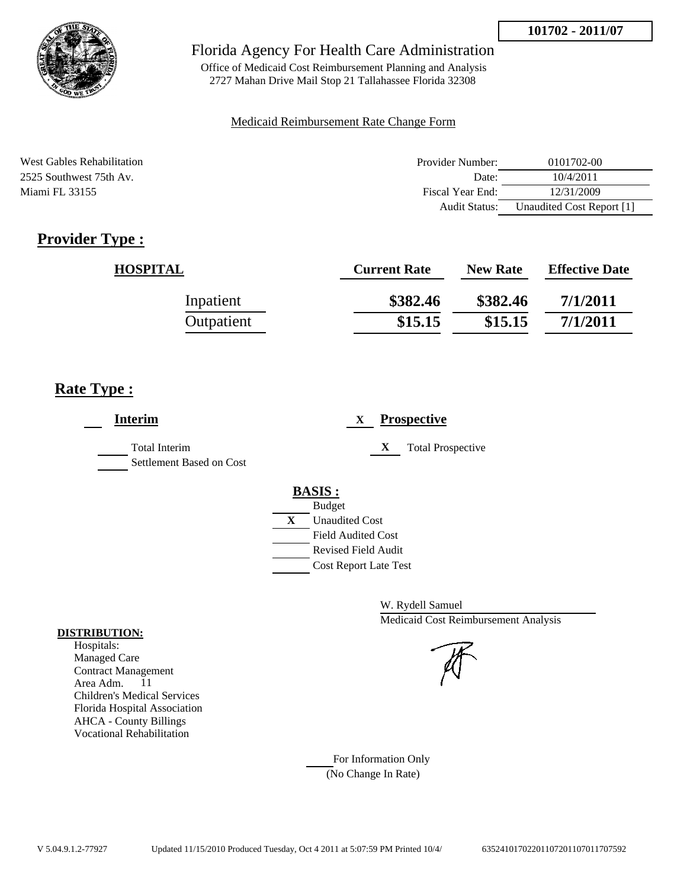

Office of Medicaid Cost Reimbursement Planning and Analysis 2727 Mahan Drive Mail Stop 21 Tallahassee Florida 32308

### Medicaid Reimbursement Rate Change Form

| West Gables Rehabilitation | Provider Number: | 0101702-00                |
|----------------------------|------------------|---------------------------|
| 2525 Southwest 75th Av.    | Date:            | 10/4/2011                 |
| Miami FL 33155             | Fiscal Year End: | 12/31/2009                |
|                            | Audit Status:    | Unaudited Cost Report [1] |

# **Provider Type :**

| <b>HOSPITAL</b> | <b>Current Rate</b> | <b>New Rate</b> | <b>Effective Date</b> |
|-----------------|---------------------|-----------------|-----------------------|
| Inpatient       | \$382.46            | \$382.46        | 7/1/2011              |
| Outpatient      | \$15.15             | \$15.15         | 7/1/2011              |

# **Rate Type :**

| <b>Interim</b>                            | <b>Prospective</b><br>X                                                                   |
|-------------------------------------------|-------------------------------------------------------------------------------------------|
| Total Interim<br>Settlement Based on Cost | X<br><b>Total Prospective</b>                                                             |
|                                           | <b>BASIS:</b><br><b>Budget</b><br>X<br><b>Unaudited Cost</b><br><b>Field Audited Cost</b> |
|                                           | Revised Field Audit<br><b>Cost Report Late Test</b>                                       |

W. Rydell Samuel Medicaid Cost Reimbursement Analysis

For Information Only (No Change In Rate)

#### **DISTRIBUTION:**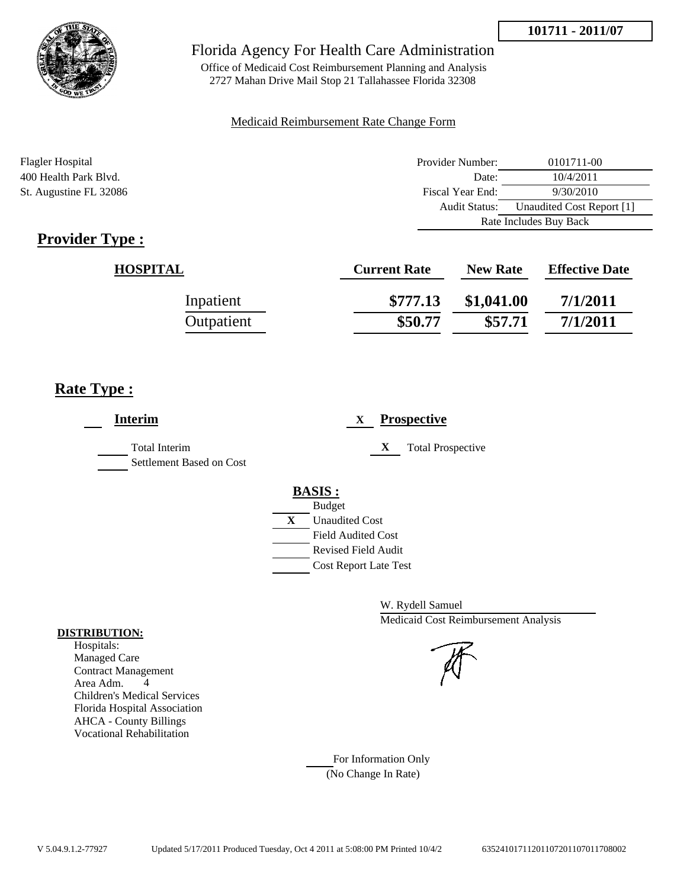



Office of Medicaid Cost Reimbursement Planning and Analysis 2727 Mahan Drive Mail Stop 21 Tallahassee Florida 32308

### Medicaid Reimbursement Rate Change Form

| Flagler Hospital       | Provider Number:     | 0101711-00                |  |
|------------------------|----------------------|---------------------------|--|
| 400 Health Park Blvd.  | Date:                | 10/4/2011                 |  |
| St. Augustine FL 32086 | Fiscal Year End:     | 9/30/2010                 |  |
|                        | <b>Audit Status:</b> | Unaudited Cost Report [1] |  |
|                        |                      | Rate Includes Buy Back    |  |

# **Provider Type :**

| <b>HOSPITAL</b> | <b>Current Rate</b> | <b>New Rate</b> | <b>Effective Date</b> |
|-----------------|---------------------|-----------------|-----------------------|
| Inpatient       | \$777.13            | \$1,041.00      | 7/1/2011              |
| Outpatient      | \$50.77             | \$57.71         | 7/1/2011              |

# **Rate Type :**

| <b>Interim</b>                                   | <b>Prospective</b><br>X       |
|--------------------------------------------------|-------------------------------|
| <b>Total Interim</b><br>Settlement Based on Cost | <b>Total Prospective</b><br>X |
|                                                  | <b>BASIS:</b>                 |
|                                                  | <b>Budget</b>                 |
|                                                  | X<br><b>Unaudited Cost</b>    |
|                                                  | <b>Field Audited Cost</b>     |
|                                                  | <b>Revised Field Audit</b>    |
|                                                  | <b>Cost Report Late Test</b>  |
|                                                  |                               |

W. Rydell Samuel Medicaid Cost Reimbursement Analysis

### For Information Only (No Change In Rate)

**DISTRIBUTION:**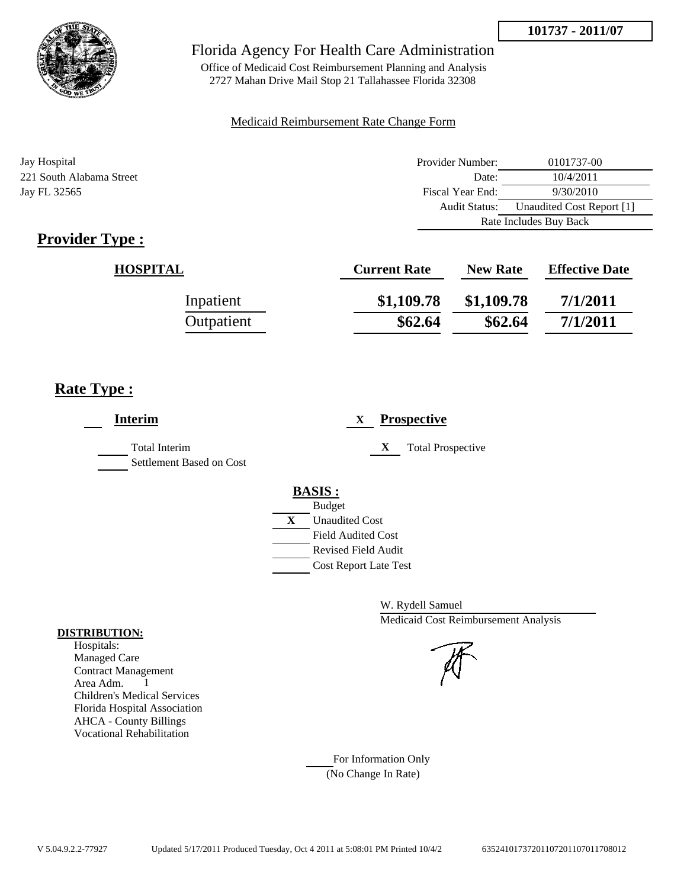

Audit Status: Unaudited Cost Report [1]

Rate Includes Buy Back



## Florida Agency For Health Care Administration

Office of Medicaid Cost Reimbursement Planning and Analysis 2727 Mahan Drive Mail Stop 21 Tallahassee Florida 32308

#### Medicaid Reimbursement Rate Change Form

Jay Hospital Provider Number: 0101737-00 221 South Alabama Street Date: 10/4/2011 Jay FL 32565 Fiscal Year End: 9/30/2010

# **Provider Type :**

| <b>HOSPITAL</b> | <b>Current Rate</b> | <b>New Rate</b> | <b>Effective Date</b> |
|-----------------|---------------------|-----------------|-----------------------|
| Inpatient       | \$1,109.78          | \$1,109.78      | 7/1/2011              |
| Outpatient      | \$62.64             | \$62.64         | 7/1/2011              |

## **Rate Type :**

| <b>Interim</b>                                   | <b>Prospective</b><br>X       |
|--------------------------------------------------|-------------------------------|
| <b>Total Interim</b><br>Settlement Based on Cost | X<br><b>Total Prospective</b> |
|                                                  | <b>BASIS:</b>                 |
|                                                  | <b>Budget</b>                 |
|                                                  | X<br><b>Unaudited Cost</b>    |
|                                                  | <b>Field Audited Cost</b>     |
|                                                  | Revised Field Audit           |
|                                                  | <b>Cost Report Late Test</b>  |
|                                                  |                               |

W. Rydell Samuel Medicaid Cost Reimbursement Analysis

For Information Only (No Change In Rate)

#### **DISTRIBUTION:**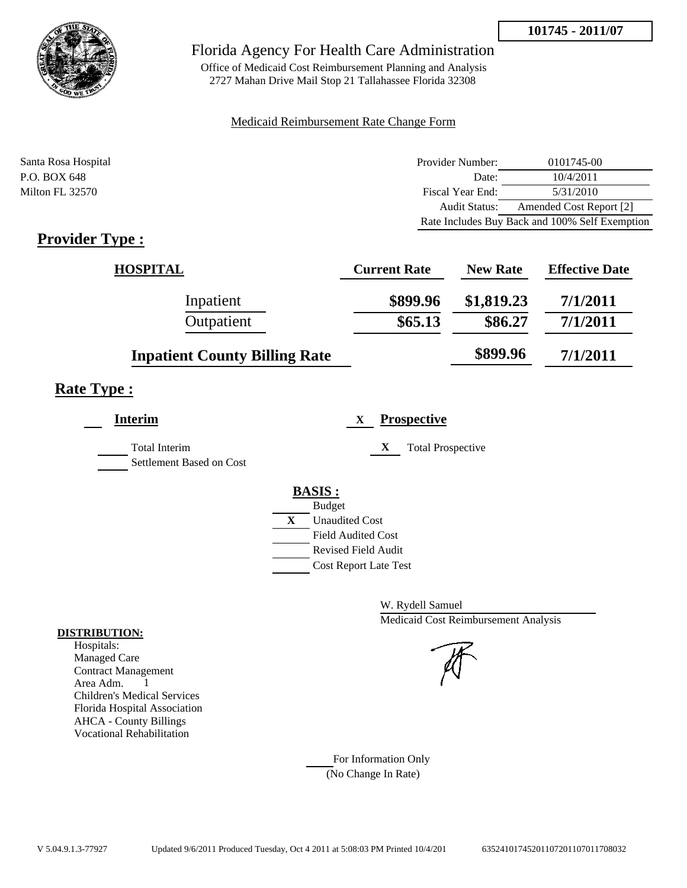

Office of Medicaid Cost Reimbursement Planning and Analysis 2727 Mahan Drive Mail Stop 21 Tallahassee Florida 32308

### Medicaid Reimbursement Rate Change Form

| Santa Rosa Hospital | Provider Number: | 0101745-00                                     |
|---------------------|------------------|------------------------------------------------|
| P.O. BOX 648        | Date:            | 10/4/2011                                      |
| Milton FL 32570     | Fiscal Year End: | 5/31/2010                                      |
|                     | Audit Status:    | Amended Cost Report [2]                        |
|                     |                  | Rate Includes Buy Back and 100% Self Exemption |

# **Provider Type :**

| <b>HOSPITAL</b>                      | <b>Current Rate</b> | <b>New Rate</b> | <b>Effective Date</b> |
|--------------------------------------|---------------------|-----------------|-----------------------|
| Inpatient                            | \$899.96            | \$1,819.23      | 7/1/2011              |
| Outpatient                           | \$65.13             | \$86.27         | 7/1/2011              |
| <b>Inpatient County Billing Rate</b> |                     | \$899.96        | 7/1/2011              |

# **Rate Type :**

|   | <b>Prospective</b>            |
|---|-------------------------------|
|   | X<br><b>Total Prospective</b> |
|   | <b>BASIS:</b>                 |
|   | <b>Budget</b>                 |
| X | <b>Unaudited Cost</b>         |
|   | <b>Field Audited Cost</b>     |
|   | <b>Revised Field Audit</b>    |
|   | <b>Cost Report Late Test</b>  |
|   |                               |

W. Rydell Samuel Medicaid Cost Reimbursement Analysis

For Information Only (No Change In Rate)

#### **DISTRIBUTION:**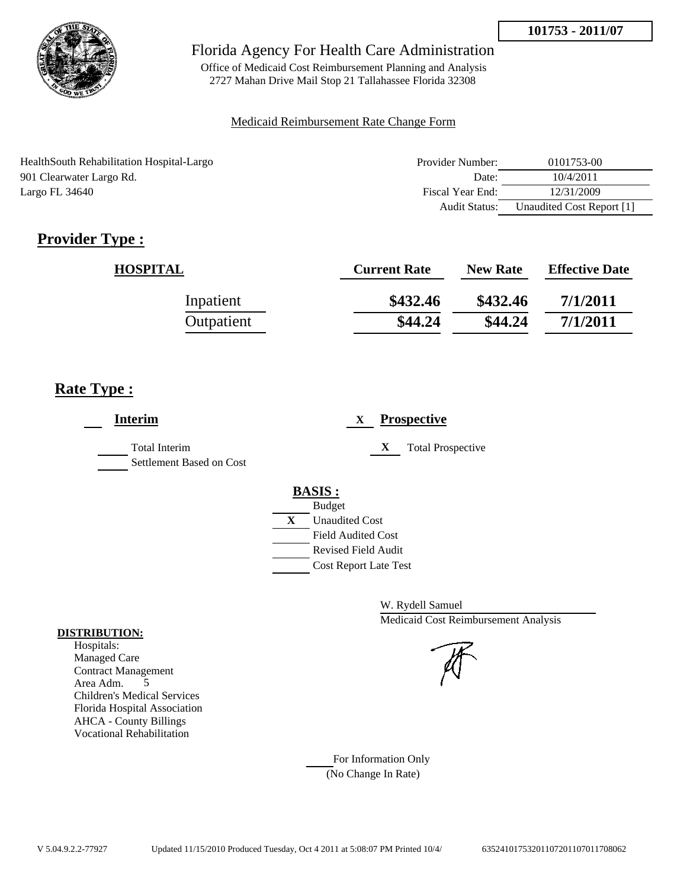

Office of Medicaid Cost Reimbursement Planning and Analysis 2727 Mahan Drive Mail Stop 21 Tallahassee Florida 32308

### Medicaid Reimbursement Rate Change Form

| HealthSouth Rehabilitation Hospital-Largo | Provider Number:     | 0101753-00                |
|-------------------------------------------|----------------------|---------------------------|
| 901 Clearwater Largo Rd.                  | Date:                | 10/4/2011                 |
| Largo FL 34640                            | Fiscal Year End:     | 12/31/2009                |
|                                           | <b>Audit Status:</b> | Unaudited Cost Report [1] |

# **Provider Type :**

| <b>HOSPITAL</b> | <b>Current Rate</b> | <b>New Rate</b> | <b>Effective Date</b> |
|-----------------|---------------------|-----------------|-----------------------|
| Inpatient       | \$432.46            | \$432.46        | 7/1/2011              |
| Outpatient      | \$44.24             | \$44.24         | 7/1/2011              |

# **Rate Type :**

| <b>Interim</b>                                   | <b>Prospective</b><br>X       |
|--------------------------------------------------|-------------------------------|
| <b>Total Interim</b><br>Settlement Based on Cost | X<br><b>Total Prospective</b> |
|                                                  | <b>BASIS:</b>                 |
|                                                  | <b>Budget</b>                 |
|                                                  | X<br><b>Unaudited Cost</b>    |
|                                                  | <b>Field Audited Cost</b>     |
|                                                  | <b>Revised Field Audit</b>    |
|                                                  | <b>Cost Report Late Test</b>  |

W. Rydell Samuel Medicaid Cost Reimbursement Analysis

For Information Only (No Change In Rate)

#### **DISTRIBUTION:**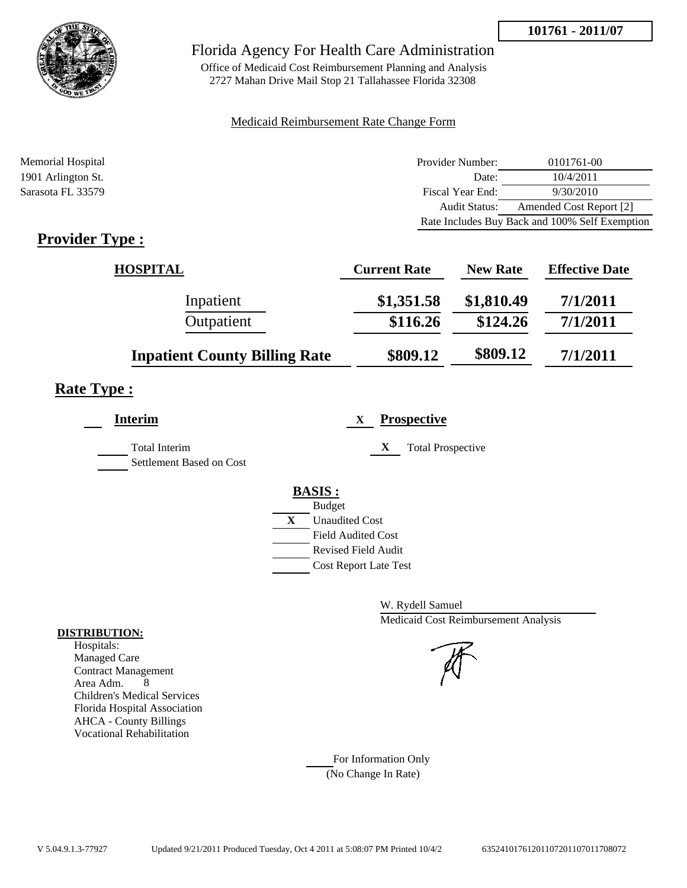

Office of Medicaid Cost Reimbursement Planning and Analysis 2727 Mahan Drive Mail Stop 21 Tallahassee Florida 32308

### Medicaid Reimbursement Rate Change Form

| Memorial Hospital  | Provider Number: | 0101761-00                                     |
|--------------------|------------------|------------------------------------------------|
| 1901 Arlington St. | Date:            | 10/4/2011                                      |
| Sarasota FL 33579  | Fiscal Year End: | 9/30/2010                                      |
|                    | Audit Status:    | Amended Cost Report [2]                        |
|                    |                  | Rate Includes Buy Back and 100% Self Exemption |

# **Provider Type :**

| <b>HOSPITAL</b>                      | <b>Current Rate</b> | <b>New Rate</b> | <b>Effective Date</b> |
|--------------------------------------|---------------------|-----------------|-----------------------|
| Inpatient                            | \$1,351.58          | \$1,810.49      | 7/1/2011              |
| Outpatient                           | \$116.26            | \$124.26        | 7/1/2011              |
| <b>Inpatient County Billing Rate</b> | \$809.12            | \$809.12        | 7/1/2011              |

# **Rate Type :**

| <b>Interim</b>                                   | <b>Prospective</b><br>X       |
|--------------------------------------------------|-------------------------------|
| <b>Total Interim</b><br>Settlement Based on Cost | X<br><b>Total Prospective</b> |
|                                                  | <b>BASIS:</b>                 |
|                                                  | <b>Budget</b>                 |
|                                                  | X<br><b>Unaudited Cost</b>    |
|                                                  | <b>Field Audited Cost</b>     |
|                                                  | Revised Field Audit           |
|                                                  | <b>Cost Report Late Test</b>  |
|                                                  |                               |

W. Rydell Samuel Medicaid Cost Reimbursement Analysis

For Information Only (No Change In Rate)

#### **DISTRIBUTION:**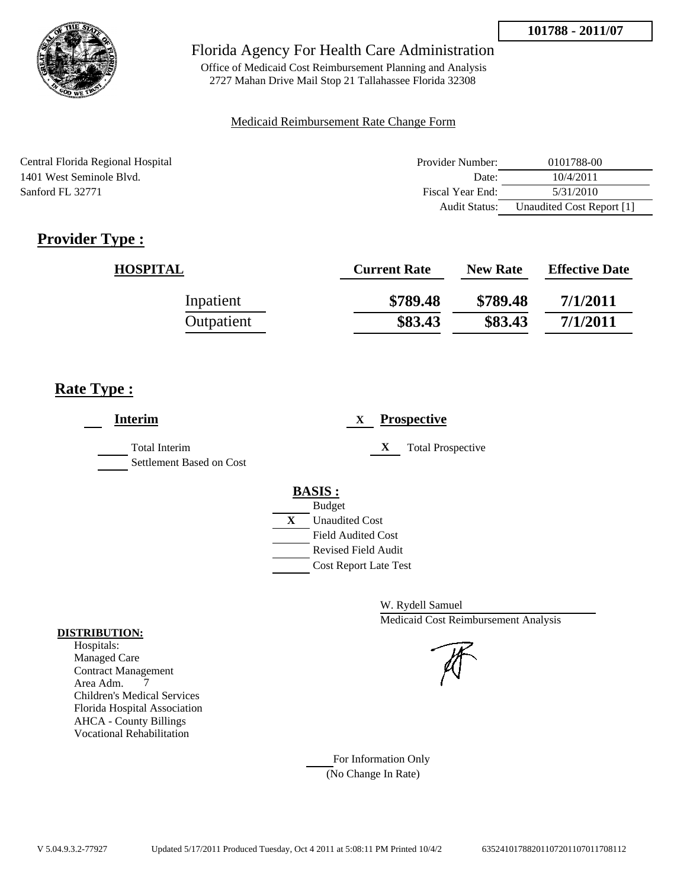

Office of Medicaid Cost Reimbursement Planning and Analysis 2727 Mahan Drive Mail Stop 21 Tallahassee Florida 32308

#### Medicaid Reimbursement Rate Change Form

Central Florida Regional Hospital 1401 West Seminole Blvd. Sanford FL 32771

| Provider Number: | 0101788-00                |
|------------------|---------------------------|
| Date:            | 10/4/2011                 |
| Fiscal Year End: | 5/31/2010                 |
| Audit Status:    | Unaudited Cost Report [1] |

# **Provider Type :**

| <b>HOSPITAL</b> | <b>Current Rate</b> | <b>New Rate</b> | <b>Effective Date</b> |
|-----------------|---------------------|-----------------|-----------------------|
| Inpatient       | \$789.48            | \$789.48        | 7/1/2011              |
| Outpatient      | \$83.43             | \$83.43         | 7/1/2011              |

# **Rate Type :**

| <b>Interim</b>                                   | <b>Prospective</b><br>X       |
|--------------------------------------------------|-------------------------------|
| <b>Total Interim</b><br>Settlement Based on Cost | X<br><b>Total Prospective</b> |
|                                                  | <b>BASIS:</b>                 |
|                                                  | <b>Budget</b>                 |
|                                                  | X<br><b>Unaudited Cost</b>    |
|                                                  | <b>Field Audited Cost</b>     |
|                                                  | <b>Revised Field Audit</b>    |
|                                                  | <b>Cost Report Late Test</b>  |
|                                                  |                               |

W. Rydell Samuel Medicaid Cost Reimbursement Analysis

For Information Only (No Change In Rate)

#### **DISTRIBUTION:**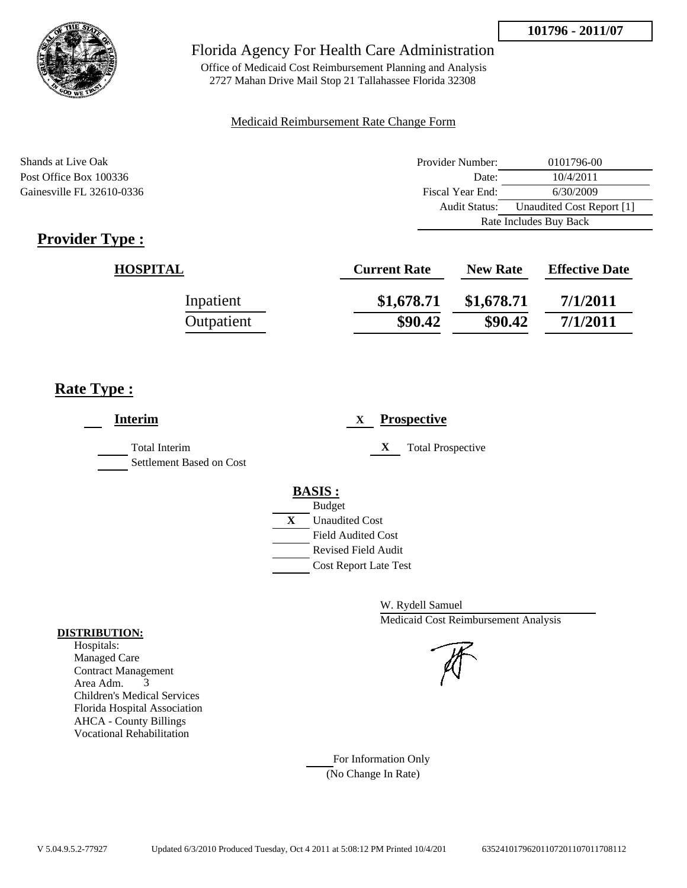



Office of Medicaid Cost Reimbursement Planning and Analysis 2727 Mahan Drive Mail Stop 21 Tallahassee Florida 32308

#### Medicaid Reimbursement Rate Change Form

Shands at Live Oak **Provider Number:** 0101796-00 Post Office Box 100336 Date: 10/4/2011 Gainesville FL 32610-0336 Fiscal Year End: 6/30/2009 Audit Status: Unaudited Cost Report [1] Rate Includes Buy Back

# **Provider Type :**

| <b>HOSPITAL</b> | <b>Current Rate</b> | <b>New Rate</b> | <b>Effective Date</b> |
|-----------------|---------------------|-----------------|-----------------------|
| Inpatient       | \$1,678.71          | \$1,678.71      | 7/1/2011              |
| Outpatient      | \$90.42             | \$90.42         | 7/1/2011              |

# **Rate Type :**

| <b>Interim</b>                                   | <b>Prospective</b><br>$\mathbf{X}$                                                                                                                      |
|--------------------------------------------------|---------------------------------------------------------------------------------------------------------------------------------------------------------|
| <b>Total Interim</b><br>Settlement Based on Cost | <b>Total Prospective</b><br>X                                                                                                                           |
|                                                  | <b>BASIS:</b><br><b>Budget</b><br>X<br><b>Unaudited Cost</b><br><b>Field Audited Cost</b><br><b>Revised Field Audit</b><br><b>Cost Report Late Test</b> |

W. Rydell Samuel Medicaid Cost Reimbursement Analysis

### For Information Only (No Change In Rate)

#### **DISTRIBUTION:**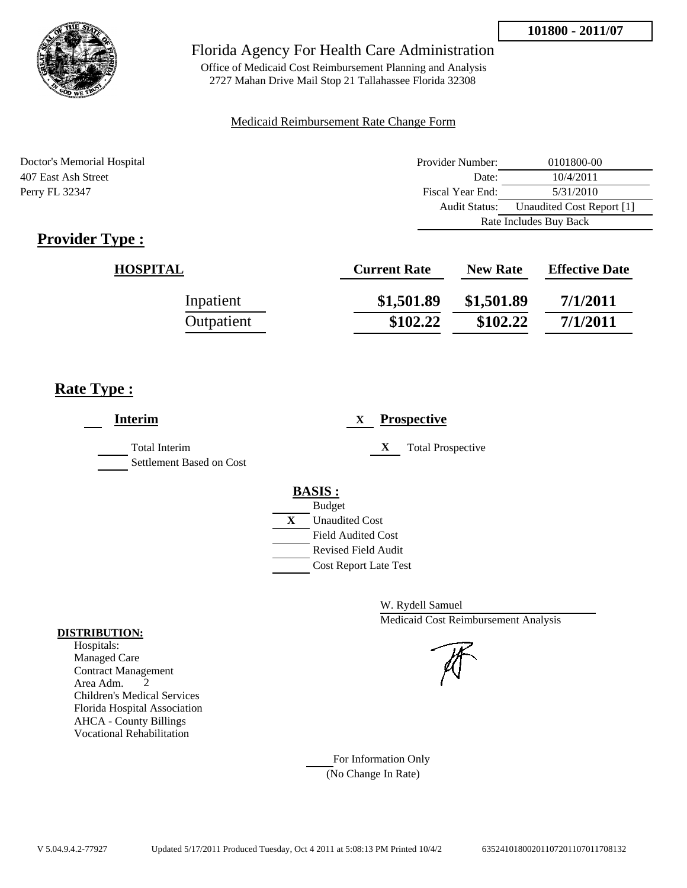

Office of Medicaid Cost Reimbursement Planning and Analysis 2727 Mahan Drive Mail Stop 21 Tallahassee Florida 32308

### Medicaid Reimbursement Rate Change Form

Doctor's Memorial Hospital 407 East Ash Street Perry FL 32347

| Provider Number:       | 0101800-00                |
|------------------------|---------------------------|
| Date:                  | 10/4/2011                 |
| Fiscal Year End:       | 5/31/2010                 |
| Audit Status:          | Unaudited Cost Report [1] |
| Rate Includes Buy Back |                           |

# **Provider Type :**

| <b>HOSPITAL</b> | <b>Current Rate</b> | <b>New Rate</b> | <b>Effective Date</b> |
|-----------------|---------------------|-----------------|-----------------------|
| Inpatient       | \$1,501.89          | \$1,501.89      | 7/1/2011              |
| Outpatient      | \$102.22            | \$102.22        | 7/1/2011              |

# **Rate Type :**

| <b>Interim</b>                                   | <b>Prospective</b><br>X                                                                                                                                 |
|--------------------------------------------------|---------------------------------------------------------------------------------------------------------------------------------------------------------|
| <b>Total Interim</b><br>Settlement Based on Cost | X<br><b>Total Prospective</b>                                                                                                                           |
|                                                  | <b>BASIS:</b><br><b>Budget</b><br>X<br><b>Unaudited Cost</b><br><b>Field Audited Cost</b><br><b>Revised Field Audit</b><br><b>Cost Report Late Test</b> |

W. Rydell Samuel Medicaid Cost Reimbursement Analysis

For Information Only (No Change In Rate)

#### **DISTRIBUTION:**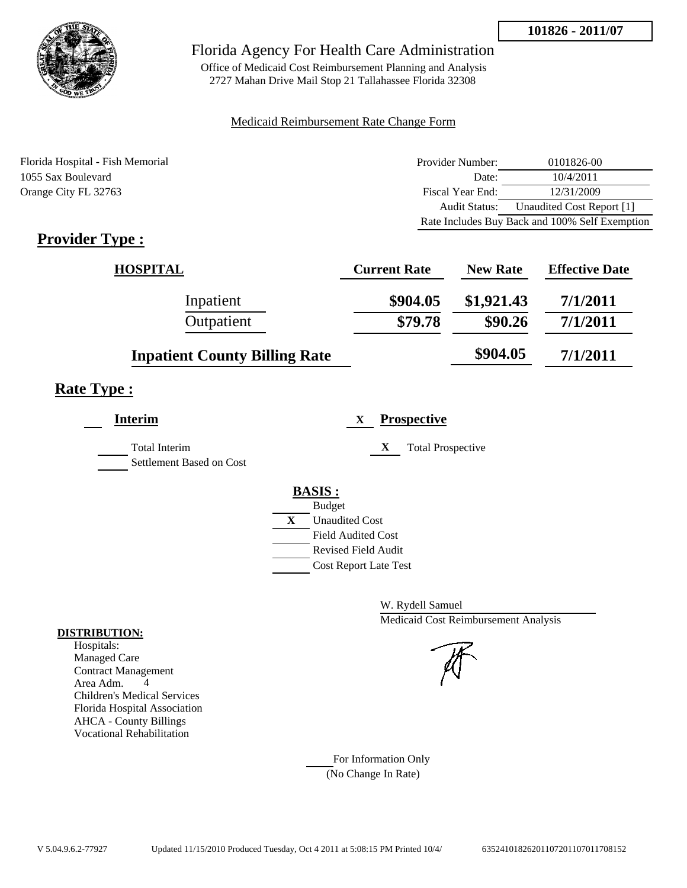

Office of Medicaid Cost Reimbursement Planning and Analysis 2727 Mahan Drive Mail Stop 21 Tallahassee Florida 32308

#### Medicaid Reimbursement Rate Change Form

Florida Hospital - Fish Memorial 1055 Sax Boulevard Orange City FL 32763

| Provider Number: | 0101826-00                                     |
|------------------|------------------------------------------------|
| Date:            | 10/4/2011                                      |
| Fiscal Year End: | 12/31/2009                                     |
| Audit Status:    | Unaudited Cost Report [1]                      |
|                  | Rate Includes Buy Back and 100% Self Exemption |

# **Provider Type :**

| <b>HOSPITAL</b>                      | <b>Current Rate</b> | <b>New Rate</b> | <b>Effective Date</b> |
|--------------------------------------|---------------------|-----------------|-----------------------|
| Inpatient                            | \$904.05            | \$1,921.43      | 7/1/2011              |
| Outpatient                           | \$79.78             | \$90.26         | 7/1/2011              |
| <b>Inpatient County Billing Rate</b> |                     | \$904.05        | 7/1/2011              |

# **Rate Type :**

| <b>Interim</b>                            |   | <b>Prospective</b><br>X       |
|-------------------------------------------|---|-------------------------------|
| Total Interim<br>Settlement Based on Cost |   | X<br><b>Total Prospective</b> |
|                                           |   | <b>BASIS:</b>                 |
|                                           |   | <b>Budget</b>                 |
|                                           | X | <b>Unaudited Cost</b>         |
|                                           |   | <b>Field Audited Cost</b>     |
|                                           |   | Revised Field Audit           |
|                                           |   | <b>Cost Report Late Test</b>  |
|                                           |   |                               |

W. Rydell Samuel Medicaid Cost Reimbursement Analysis

For Information Only (No Change In Rate)

#### **DISTRIBUTION:**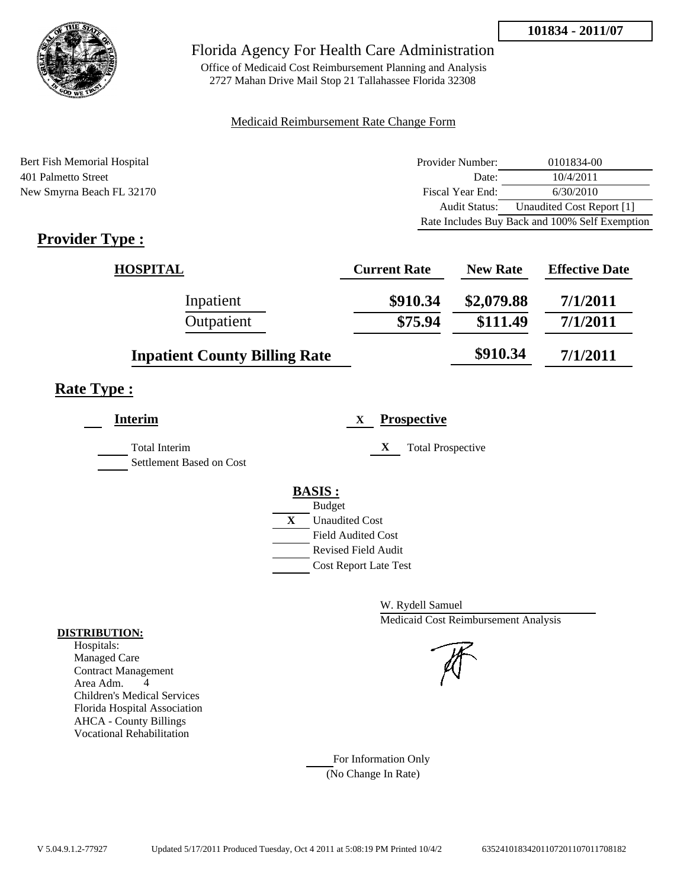

Office of Medicaid Cost Reimbursement Planning and Analysis 2727 Mahan Drive Mail Stop 21 Tallahassee Florida 32308

#### Medicaid Reimbursement Rate Change Form

Bert Fish Memorial Hospital 401 Palmetto Street New Smyrna Beach FL 32170

| Provider Number: | 0101834-00                                     |
|------------------|------------------------------------------------|
| Date:            | 10/4/2011                                      |
| Fiscal Year End: | 6/30/2010                                      |
| Audit Status:    | Unaudited Cost Report [1]                      |
|                  | Rate Includes Buy Back and 100% Self Exemption |

# **Provider Type :**

| <b>HOSPITAL</b>                      | <b>Current Rate</b> | <b>New Rate</b> | <b>Effective Date</b> |
|--------------------------------------|---------------------|-----------------|-----------------------|
| Inpatient                            | \$910.34            | \$2,079.88      | 7/1/2011              |
| Outpatient                           | \$75.94             | \$111.49        | 7/1/2011              |
| <b>Inpatient County Billing Rate</b> |                     | \$910.34        | 7/1/2011              |

# **Rate Type :**

L,

| <b>Interim</b>                                   | <b>Prospective</b><br>X               |  |
|--------------------------------------------------|---------------------------------------|--|
| <b>Total Interim</b><br>Settlement Based on Cost | X<br><b>Total Prospective</b>         |  |
|                                                  | <b>BASIS:</b>                         |  |
|                                                  | <b>Budget</b>                         |  |
|                                                  | $\mathbf{X}$<br><b>Unaudited Cost</b> |  |
|                                                  | <b>Field Audited Cost</b>             |  |
|                                                  | Revised Field Audit                   |  |
|                                                  | <b>Cost Report Late Test</b>          |  |
|                                                  |                                       |  |

W. Rydell Samuel Medicaid Cost Reimbursement Analysis

For Information Only (No Change In Rate)

#### **DISTRIBUTION:**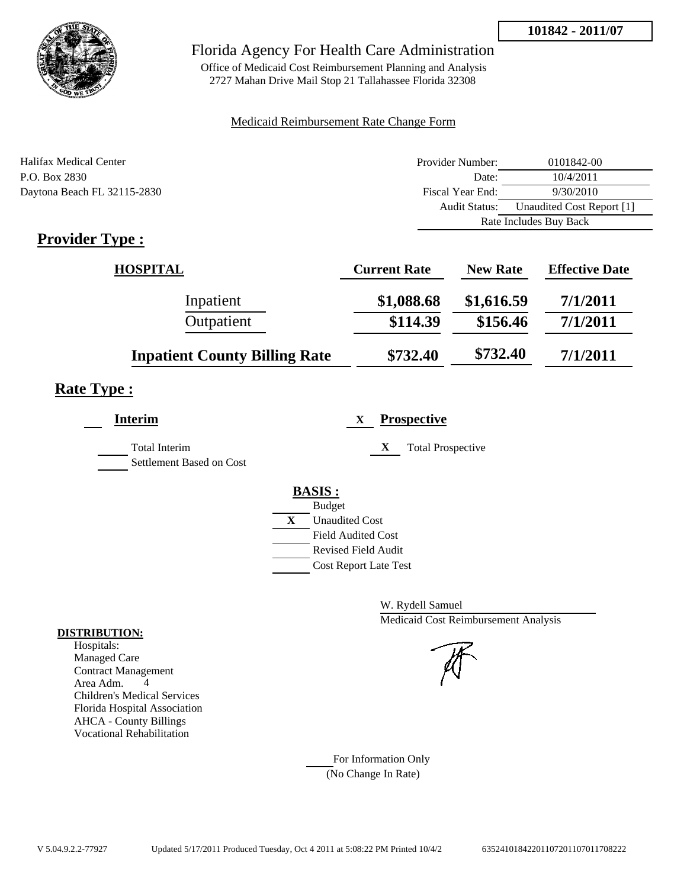**101842 - 2011/07**



## Florida Agency For Health Care Administration

Office of Medicaid Cost Reimbursement Planning and Analysis 2727 Mahan Drive Mail Stop 21 Tallahassee Florida 32308

#### Medicaid Reimbursement Rate Change Form

| Halifax Medical Center      | Provider Number:     | 0101842-00                |
|-----------------------------|----------------------|---------------------------|
| P.O. Box 2830               | Date:                | 10/4/2011                 |
| Daytona Beach FL 32115-2830 | Fiscal Year End:     | 9/30/2010                 |
|                             | <b>Audit Status:</b> | Unaudited Cost Report [1] |
|                             |                      | Rate Includes Buy Back    |

# **Provider Type :**

| <b>HOSPITAL</b>                      | <b>Current Rate</b> | <b>New Rate</b> | <b>Effective Date</b> |
|--------------------------------------|---------------------|-----------------|-----------------------|
| Inpatient                            | \$1,088.68          | \$1,616.59      | 7/1/2011              |
| Outpatient                           | \$114.39            | \$156.46        | 7/1/2011              |
| <b>Inpatient County Billing Rate</b> | \$732.40            | \$732.40        | 7/1/2011              |

# **Rate Type :**

| <b>Interim</b>                                   | <b>Prospective</b><br>X                     |
|--------------------------------------------------|---------------------------------------------|
| <b>Total Interim</b><br>Settlement Based on Cost | X<br><b>Total Prospective</b>               |
|                                                  | <b>BASIS:</b>                               |
|                                                  | <b>Budget</b><br>X<br><b>Unaudited Cost</b> |
|                                                  | <b>Field Audited Cost</b>                   |
|                                                  | <b>Revised Field Audit</b>                  |
|                                                  | <b>Cost Report Late Test</b>                |
|                                                  |                                             |

W. Rydell Samuel Medicaid Cost Reimbursement Analysis

For Information Only (No Change In Rate)

#### **DISTRIBUTION:**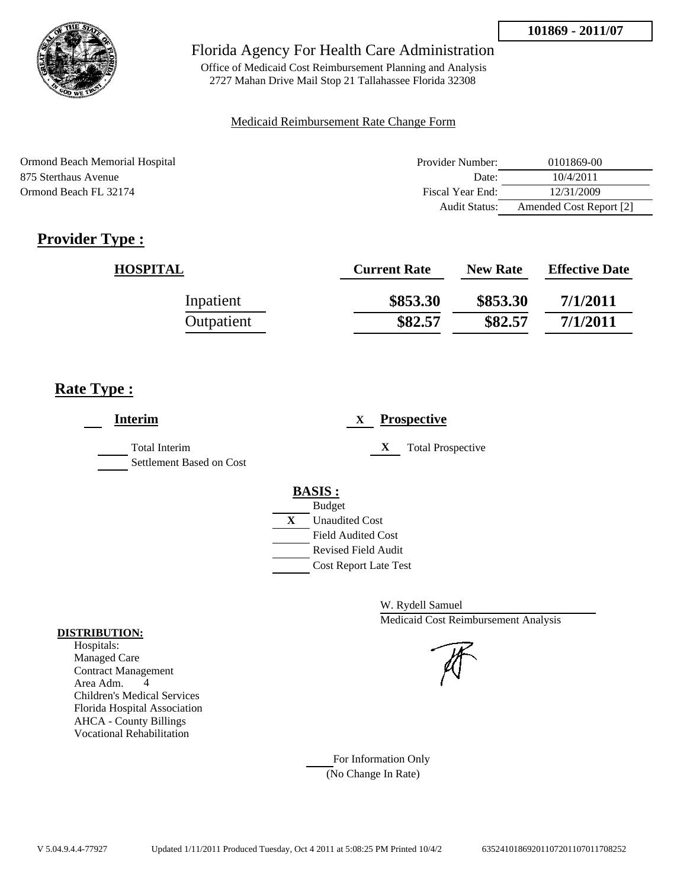

Office of Medicaid Cost Reimbursement Planning and Analysis 2727 Mahan Drive Mail Stop 21 Tallahassee Florida 32308

### Medicaid Reimbursement Rate Change Form

| Ormond Beach Memorial Hospital | Provider Number: | 0101869-00              |
|--------------------------------|------------------|-------------------------|
| 875 Sterthaus Avenue           | Date:            | 10/4/2011               |
| Ormond Beach FL 32174          | Fiscal Year End: | 12/31/2009              |
|                                | Audit Status:    | Amended Cost Report [2] |

# **Provider Type :**

| <b>HOSPITAL</b> | <b>Current Rate</b> | <b>New Rate</b> | <b>Effective Date</b> |
|-----------------|---------------------|-----------------|-----------------------|
| Inpatient       | \$853.30            | \$853.30        | 7/1/2011              |
| Outpatient      | \$82.57             | \$82.57         | 7/1/2011              |

# **Rate Type :**

| <b>Interim</b>                                   | <b>Prospective</b><br>X               |
|--------------------------------------------------|---------------------------------------|
| <b>Total Interim</b><br>Settlement Based on Cost | X<br><b>Total Prospective</b>         |
|                                                  | <b>BASIS:</b>                         |
|                                                  | <b>Budget</b>                         |
|                                                  | $\mathbf{X}$<br><b>Unaudited Cost</b> |
|                                                  | <b>Field Audited Cost</b>             |
|                                                  | <b>Revised Field Audit</b>            |
|                                                  | Cost Report Late Test                 |
|                                                  |                                       |

W. Rydell Samuel Medicaid Cost Reimbursement Analysis

For Information Only (No Change In Rate)

#### **DISTRIBUTION:**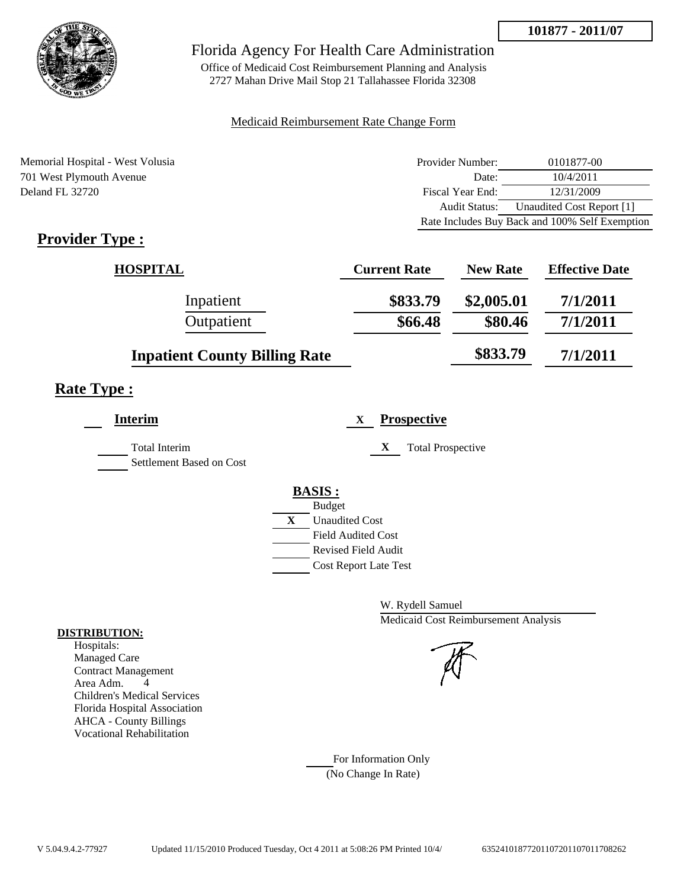

Office of Medicaid Cost Reimbursement Planning and Analysis 2727 Mahan Drive Mail Stop 21 Tallahassee Florida 32308

#### Medicaid Reimbursement Rate Change Form

Memorial Hospital - West Volusia 701 West Plymouth Avenue Deland FL 32720

| Provider Number: | 0101877-00                                     |
|------------------|------------------------------------------------|
| Date:            | 10/4/2011                                      |
| Fiscal Year End: | 12/31/2009                                     |
| Audit Status:    | Unaudited Cost Report [1]                      |
|                  | Rate Includes Buy Back and 100% Self Exemption |

# **Provider Type :**

| <b>HOSPITAL</b>                      | <b>Current Rate</b> | <b>New Rate</b> | <b>Effective Date</b> |
|--------------------------------------|---------------------|-----------------|-----------------------|
| Inpatient                            | \$833.79            | \$2,005.01      | 7/1/2011              |
| Outpatient                           | \$66.48             | \$80.46         | 7/1/2011              |
| <b>Inpatient County Billing Rate</b> |                     | \$833.79        | 7/1/2011              |

## **Rate Type :**

| <b>Interim</b>                                   | <b>Prospective</b><br>X       |
|--------------------------------------------------|-------------------------------|
| <b>Total Interim</b><br>Settlement Based on Cost | X<br><b>Total Prospective</b> |
|                                                  | <b>BASIS:</b>                 |
|                                                  | <b>Budget</b>                 |
|                                                  | X<br><b>Unaudited Cost</b>    |
|                                                  | <b>Field Audited Cost</b>     |
|                                                  | Revised Field Audit           |
|                                                  | <b>Cost Report Late Test</b>  |

W. Rydell Samuel Medicaid Cost Reimbursement Analysis

For Information Only (No Change In Rate)

#### **DISTRIBUTION:**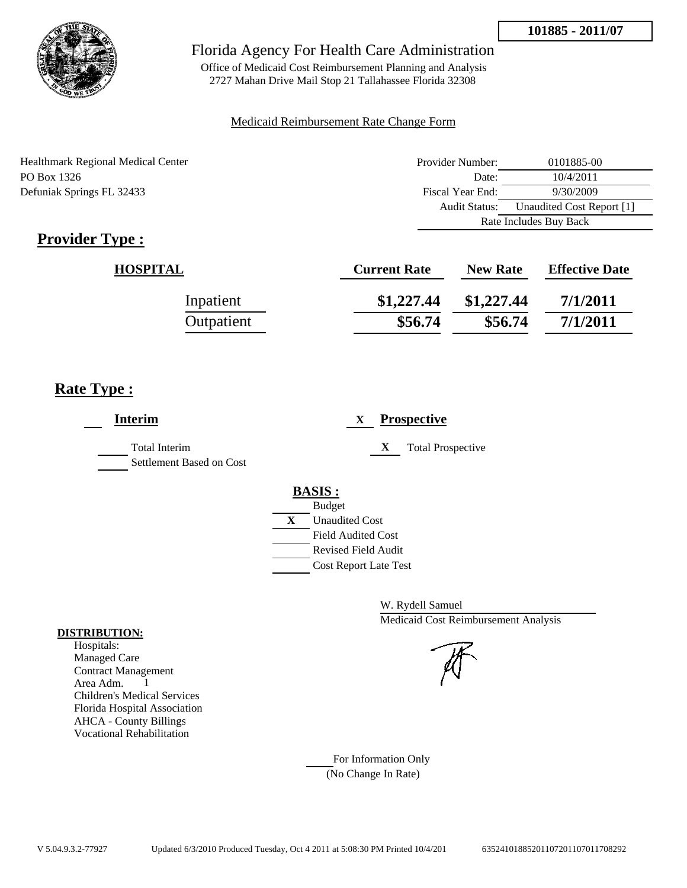

Office of Medicaid Cost Reimbursement Planning and Analysis 2727 Mahan Drive Mail Stop 21 Tallahassee Florida 32308

### Medicaid Reimbursement Rate Change Form

| Healthmark Regional Medical Center | Provider Number: | 0101885-00                |
|------------------------------------|------------------|---------------------------|
| PO Box 1326                        | Date:            | 10/4/2011                 |
| Defuniak Springs FL 32433          | Fiscal Year End: | 9/30/2009                 |
|                                    | Audit Status:    | Unaudited Cost Report [1] |
|                                    |                  | Rate Includes Buy Back    |

# **Provider Type :**

| <b>HOSPITAL</b> | <b>Current Rate</b> | <b>New Rate</b> | <b>Effective Date</b> |
|-----------------|---------------------|-----------------|-----------------------|
| Inpatient       | \$1,227.44          | \$1,227.44      | 7/1/2011              |
| Outpatient      | \$56.74             | \$56.74         | 7/1/2011              |

# **Rate Type :**

| <b>Interim</b>                                   | <b>Prospective</b><br>X       |
|--------------------------------------------------|-------------------------------|
| <b>Total Interim</b><br>Settlement Based on Cost | X<br><b>Total Prospective</b> |
|                                                  | <b>BASIS:</b>                 |
|                                                  | <b>Budget</b>                 |
|                                                  | X<br><b>Unaudited Cost</b>    |
|                                                  | <b>Field Audited Cost</b>     |
|                                                  | <b>Revised Field Audit</b>    |
|                                                  | <b>Cost Report Late Test</b>  |
|                                                  |                               |

W. Rydell Samuel Medicaid Cost Reimbursement Analysis

### For Information Only (No Change In Rate)

**DISTRIBUTION:**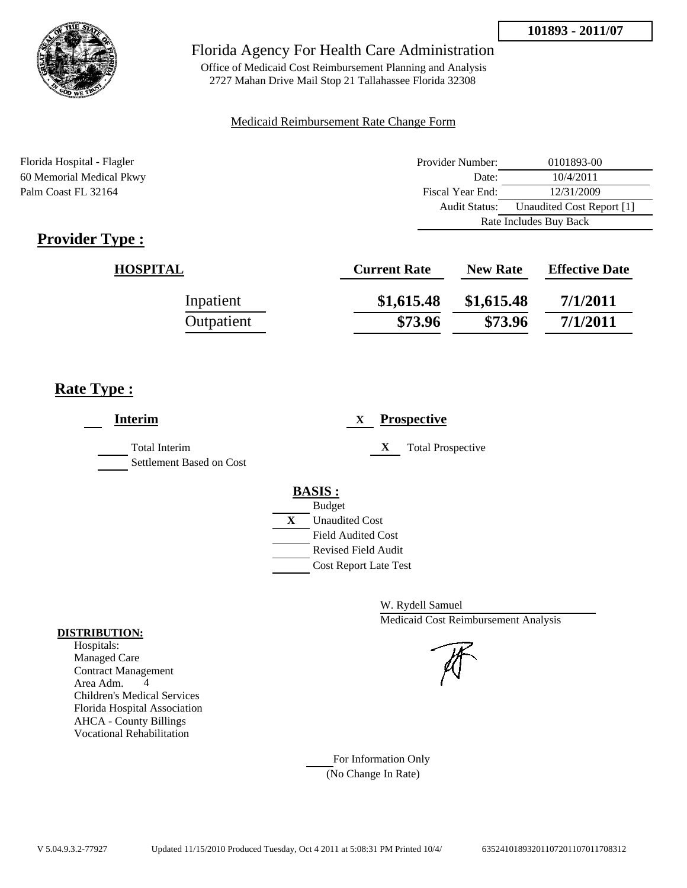Audit Status: Unaudited Cost Report [1]

Rate Includes Buy Back



## Florida Agency For Health Care Administration

Office of Medicaid Cost Reimbursement Planning and Analysis 2727 Mahan Drive Mail Stop 21 Tallahassee Florida 32308

### Medicaid Reimbursement Rate Change Form

Florida Hospital - Flagler Provider Number: 0101893-00 60 Memorial Medical Pkwy Date: 10/4/2011 Palm Coast FL 32164 Fiscal Year End: 12/31/2009

|--|

| <b>HOSPITAL</b> | <b>Current Rate</b> | <b>New Rate</b> | <b>Effective Date</b> |
|-----------------|---------------------|-----------------|-----------------------|
| Inpatient       | \$1,615.48          | \$1,615.48      | 7/1/2011              |
| Outpatient      | \$73.96             | \$73.96         | 7/1/2011              |

## **Rate Type :**

| <b>Interim</b>                                   | <b>Prospective</b><br>$\mathbf{X}$                                                                                                                      |
|--------------------------------------------------|---------------------------------------------------------------------------------------------------------------------------------------------------------|
| <b>Total Interim</b><br>Settlement Based on Cost | <b>Total Prospective</b><br>X                                                                                                                           |
|                                                  | <b>BASIS:</b><br><b>Budget</b><br>X<br><b>Unaudited Cost</b><br><b>Field Audited Cost</b><br><b>Revised Field Audit</b><br><b>Cost Report Late Test</b> |

W. Rydell Samuel Medicaid Cost Reimbursement Analysis

For Information Only (No Change In Rate)

#### **DISTRIBUTION:**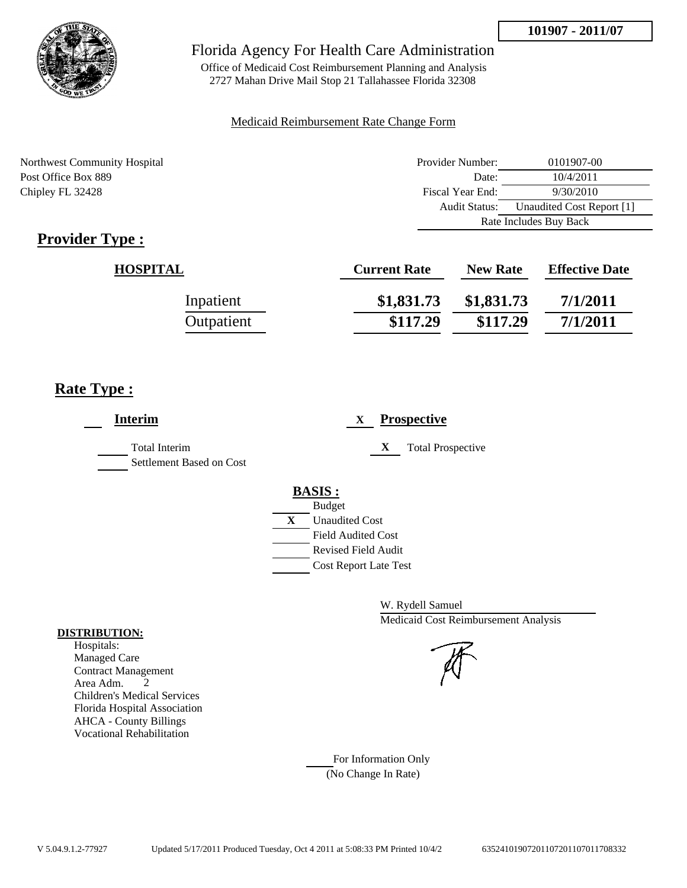

Office of Medicaid Cost Reimbursement Planning and Analysis 2727 Mahan Drive Mail Stop 21 Tallahassee Florida 32308

#### Medicaid Reimbursement Rate Change Form

Northwest Community Hospital Post Office Box 889 Chipley FL 32428

| Provider Number: | 0101907-00                |
|------------------|---------------------------|
| Date:            | 10/4/2011                 |
| Fiscal Year End: | 9/30/2010                 |
| Audit Status:    | Unaudited Cost Report [1] |
|                  | Rate Includes Buy Back    |

# **Provider Type :**

| <b>HOSPITAL</b> | <b>Current Rate</b> | <b>New Rate</b> | <b>Effective Date</b> |
|-----------------|---------------------|-----------------|-----------------------|
| Inpatient       | \$1,831.73          | \$1,831.73      | 7/1/2011              |
| Outpatient      | \$117.29            | \$117.29        | 7/1/2011              |

# **Rate Type :**

| <b>Prospective</b><br>X                                                                                                                                 |
|---------------------------------------------------------------------------------------------------------------------------------------------------------|
| X<br><b>Total Prospective</b>                                                                                                                           |
| <b>BASIS:</b><br><b>Budget</b><br>X<br><b>Unaudited Cost</b><br><b>Field Audited Cost</b><br><b>Revised Field Audit</b><br><b>Cost Report Late Test</b> |
|                                                                                                                                                         |

W. Rydell Samuel Medicaid Cost Reimbursement Analysis

For Information Only (No Change In Rate)

#### **DISTRIBUTION:**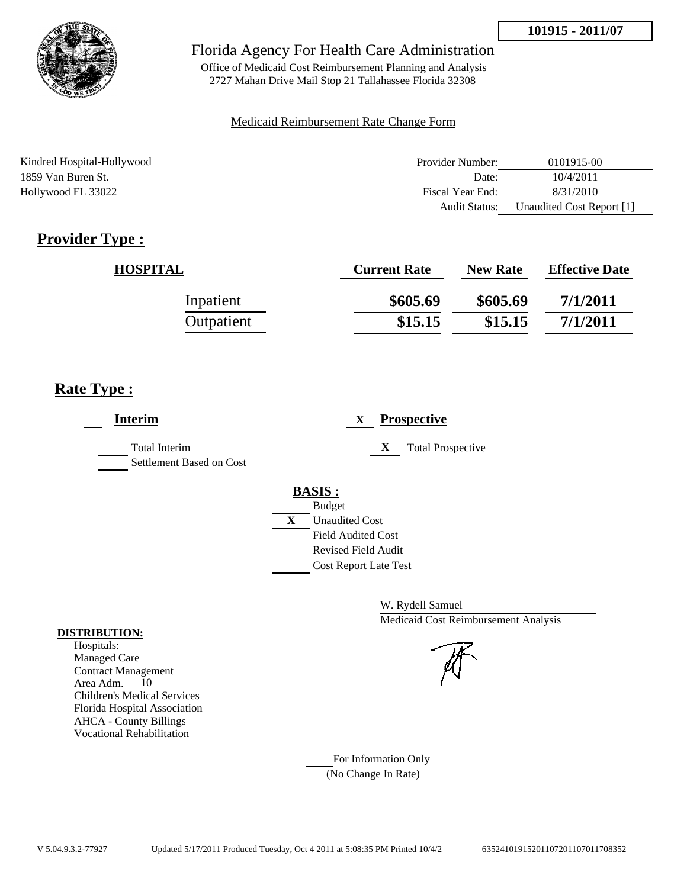

Office of Medicaid Cost Reimbursement Planning and Analysis 2727 Mahan Drive Mail Stop 21 Tallahassee Florida 32308

### Medicaid Reimbursement Rate Change Form

| Kindred Hospital-Hollywood | Provider Number:     | 0101915-00                |
|----------------------------|----------------------|---------------------------|
| 1859 Van Buren St.         | Date:                | 10/4/2011                 |
| Hollywood FL 33022         | Fiscal Year End:     | 8/31/2010                 |
|                            | <b>Audit Status:</b> | Unaudited Cost Report [1] |

# **Provider Type :**

| <b>HOSPITAL</b> | <b>Current Rate</b> | <b>New Rate</b> | <b>Effective Date</b> |
|-----------------|---------------------|-----------------|-----------------------|
| Inpatient       | \$605.69            | \$605.69        | 7/1/2011              |
| Outpatient      | \$15.15             | \$15.15         | 7/1/2011              |

# **Rate Type :**

| <b>Interim</b>                                   | <b>Prospective</b><br>X               |
|--------------------------------------------------|---------------------------------------|
| <b>Total Interim</b><br>Settlement Based on Cost | X<br><b>Total Prospective</b>         |
|                                                  | <b>BASIS:</b>                         |
|                                                  | <b>Budget</b>                         |
|                                                  | $\mathbf{X}$<br><b>Unaudited Cost</b> |
|                                                  | <b>Field Audited Cost</b>             |
|                                                  | Revised Field Audit                   |
|                                                  | <b>Cost Report Late Test</b>          |
|                                                  |                                       |

W. Rydell Samuel Medicaid Cost Reimbursement Analysis

For Information Only (No Change In Rate)

#### **DISTRIBUTION:**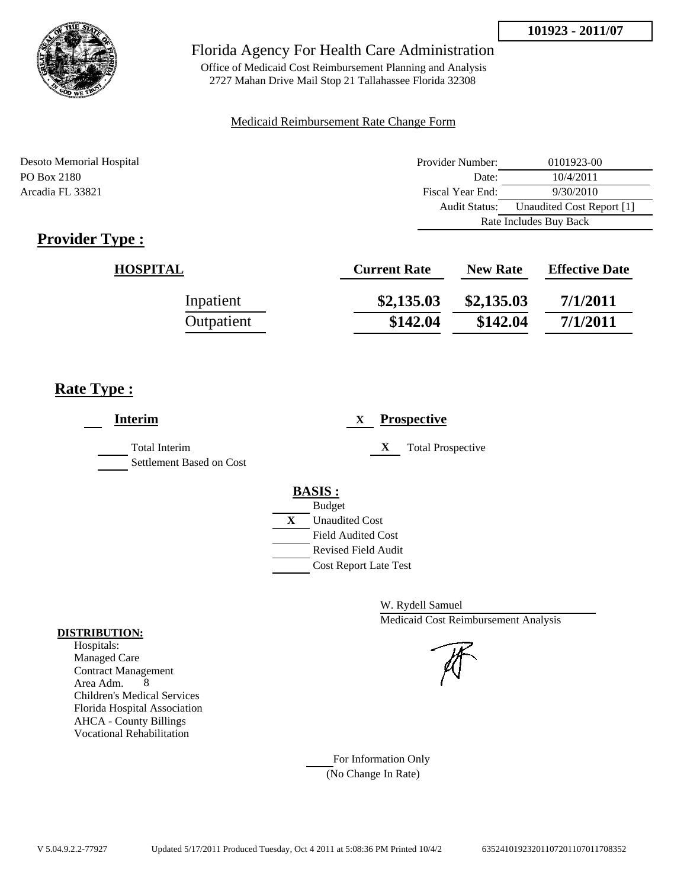

Office of Medicaid Cost Reimbursement Planning and Analysis 2727 Mahan Drive Mail Stop 21 Tallahassee Florida 32308

#### Medicaid Reimbursement Rate Change Form

Desoto Memorial Hospital Provider Number: 0101923-00 PO Box 2180 10/4/2011 Arcadia FL 33821 Fiscal Year End: 9/30/2010 Audit Status: Unaudited Cost Report [1] Rate Includes Buy Back

# **Provider Type :**

| <b>HOSPITAL</b> | <b>Current Rate</b> | <b>New Rate</b> | <b>Effective Date</b> |
|-----------------|---------------------|-----------------|-----------------------|
| Inpatient       | \$2,135.03          | \$2,135.03      | 7/1/2011              |
| Outpatient      | \$142.04            | \$142.04        | 7/1/2011              |

# **Rate Type :**

| <b>Interim</b>                                   | <b>Prospective</b><br>$\mathbf{X}$                                                                                                                      |
|--------------------------------------------------|---------------------------------------------------------------------------------------------------------------------------------------------------------|
| <b>Total Interim</b><br>Settlement Based on Cost | <b>Total Prospective</b><br>X                                                                                                                           |
|                                                  | <b>BASIS:</b><br><b>Budget</b><br>X<br><b>Unaudited Cost</b><br><b>Field Audited Cost</b><br><b>Revised Field Audit</b><br><b>Cost Report Late Test</b> |

W. Rydell Samuel Medicaid Cost Reimbursement Analysis

For Information Only (No Change In Rate)

#### **DISTRIBUTION:**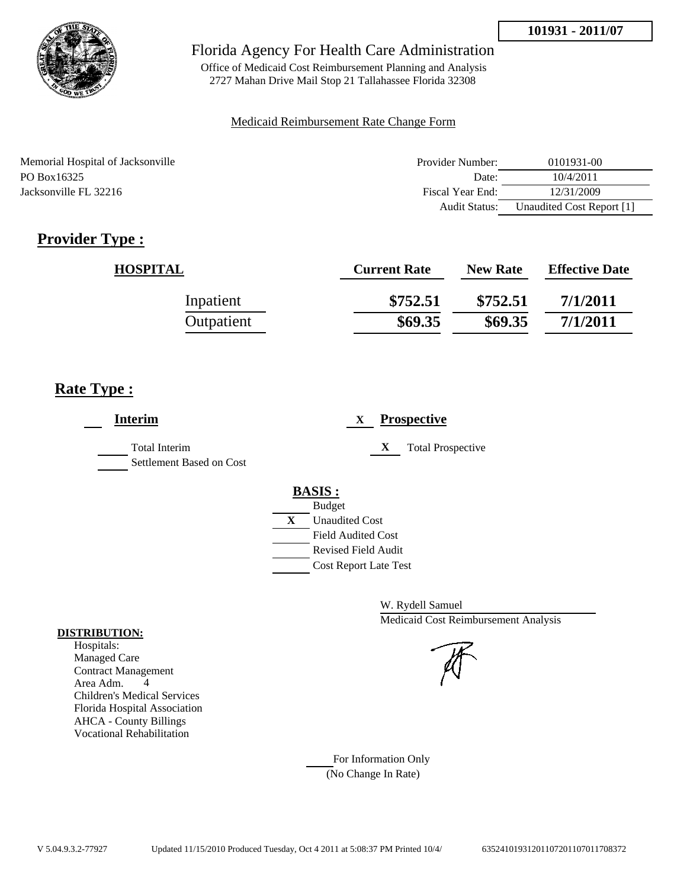

Office of Medicaid Cost Reimbursement Planning and Analysis 2727 Mahan Drive Mail Stop 21 Tallahassee Florida 32308

### Medicaid Reimbursement Rate Change Form

| Memorial Hospital of Jacksonville | Provider Number:     | 0101931-00                |
|-----------------------------------|----------------------|---------------------------|
| PO Box16325                       | Date:                | 10/4/2011                 |
| Jacksonville FL 32216             | Fiscal Year End:     | 12/31/2009                |
|                                   | <b>Audit Status:</b> | Unaudited Cost Report [1] |

# **Provider Type :**

| <b>HOSPITAL</b> | <b>Current Rate</b> | <b>New Rate</b> | <b>Effective Date</b> |
|-----------------|---------------------|-----------------|-----------------------|
| Inpatient       | \$752.51            | \$752.51        | 7/1/2011              |
| Outpatient      | \$69.35             | \$69.35         | 7/1/2011              |

# **Rate Type :**

| <b>Interim</b>                            | <b>Prospective</b><br>X                                                                 |
|-------------------------------------------|-----------------------------------------------------------------------------------------|
| Total Interim<br>Settlement Based on Cost | X<br><b>Total Prospective</b>                                                           |
|                                           | <b>BASIS:</b><br><b>Budget</b><br>$\mathbf{X}$<br><b>Unaudited Cost</b>                 |
|                                           | <b>Field Audited Cost</b><br><b>Revised Field Audit</b><br><b>Cost Report Late Test</b> |

W. Rydell Samuel Medicaid Cost Reimbursement Analysis

#### **DISTRIBUTION:** Hospitals:

Managed Care Contract Management Area Adm. 4 Children's Medical Services Florida Hospital Association AHCA - County Billings Vocational Rehabilitation

> For Information Only (No Change In Rate)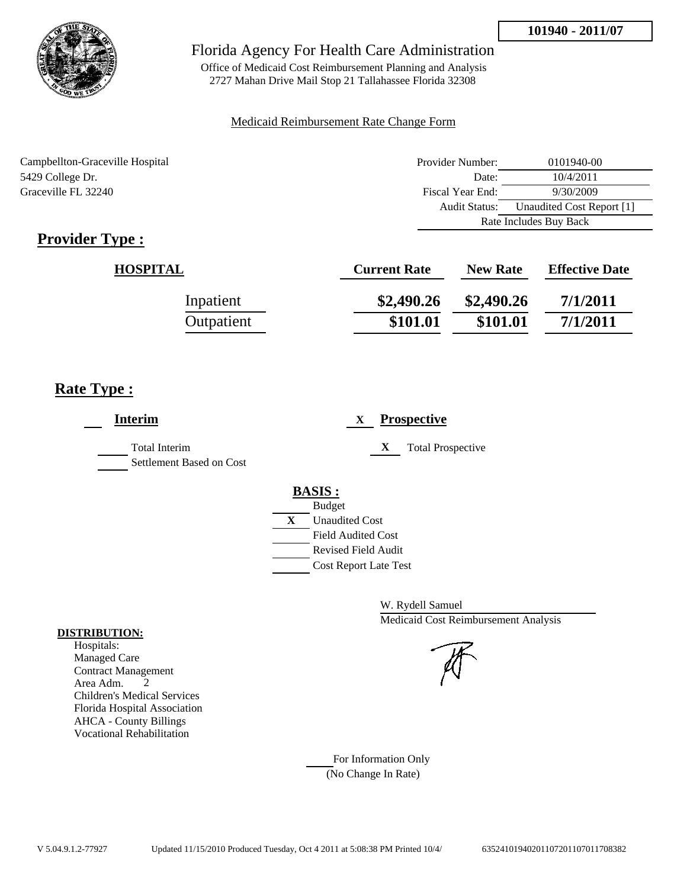

Office of Medicaid Cost Reimbursement Planning and Analysis 2727 Mahan Drive Mail Stop 21 Tallahassee Florida 32308

#### Medicaid Reimbursement Rate Change Form

Campbellton-Graceville Hospital 5429 College Dr. Graceville FL 32240

| Provider Number: | 0101940-00                |
|------------------|---------------------------|
| Date:            | 10/4/2011                 |
| Fiscal Year End: | 9/30/2009                 |
| Audit Status:    | Unaudited Cost Report [1] |
|                  | Rate Includes Buy Back    |

# **Provider Type :**

| <b>HOSPITAL</b> | <b>Current Rate</b> | <b>New Rate</b> | <b>Effective Date</b> |
|-----------------|---------------------|-----------------|-----------------------|
| Inpatient       | \$2,490.26          | \$2,490.26      | 7/1/2011              |
| Outpatient      | \$101.01            | \$101.01        | 7/1/2011              |

# **Rate Type :**

| <b>Interim</b>                                   | <b>Prospective</b><br>X                                                                                                                                 |
|--------------------------------------------------|---------------------------------------------------------------------------------------------------------------------------------------------------------|
| <b>Total Interim</b><br>Settlement Based on Cost | X<br><b>Total Prospective</b>                                                                                                                           |
|                                                  | <b>BASIS:</b><br><b>Budget</b><br>X<br><b>Unaudited Cost</b><br><b>Field Audited Cost</b><br><b>Revised Field Audit</b><br><b>Cost Report Late Test</b> |

W. Rydell Samuel Medicaid Cost Reimbursement Analysis

For Information Only (No Change In Rate)

#### **DISTRIBUTION:**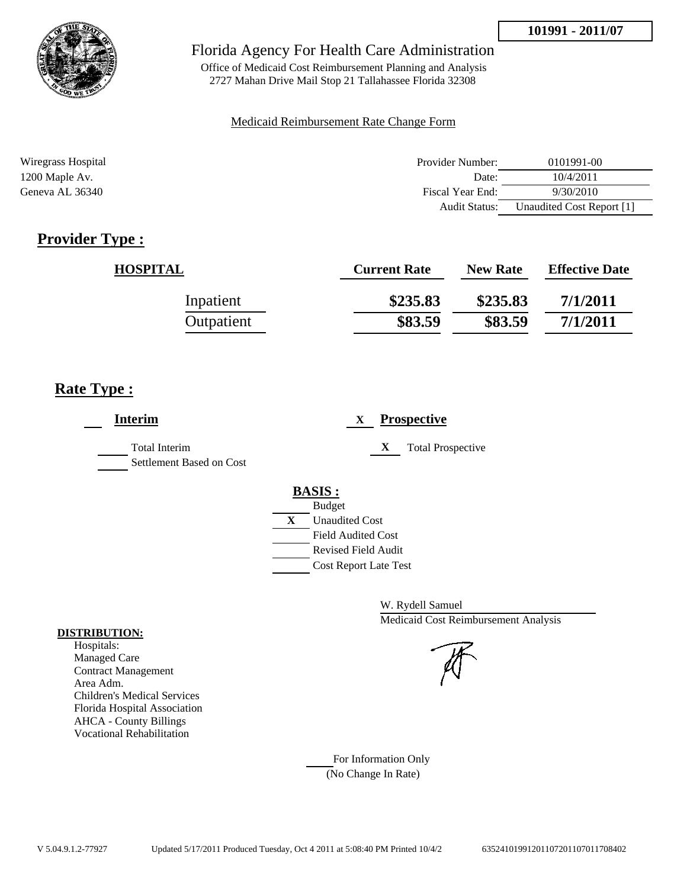

Office of Medicaid Cost Reimbursement Planning and Analysis 2727 Mahan Drive Mail Stop 21 Tallahassee Florida 32308

#### Medicaid Reimbursement Rate Change Form

| Wiregrass Hospital | Provider Number:     | 0101991-00                |
|--------------------|----------------------|---------------------------|
| 1200 Maple Av.     | Date:                | 10/4/2011                 |
| Geneva AL 36340    | Fiscal Year End:     | 9/30/2010                 |
|                    | <b>Audit Status:</b> | Unaudited Cost Report [1] |

# **Provider Type :**

| <b>HOSPITAL</b> | <b>Current Rate</b> | <b>New Rate</b> | <b>Effective Date</b> |
|-----------------|---------------------|-----------------|-----------------------|
| Inpatient       | \$235.83            | \$235.83        | 7/1/2011              |
| Outpatient      | \$83.59             | \$83.59         | 7/1/2011              |

# **Rate Type :**

| <b>Interim</b>                            | <b>Prospective</b><br>X                                                                             |
|-------------------------------------------|-----------------------------------------------------------------------------------------------------|
| Total Interim<br>Settlement Based on Cost | X<br><b>Total Prospective</b>                                                                       |
|                                           | <b>BASIS:</b><br><b>Budget</b><br>$\mathbf X$<br><b>Unaudited Cost</b><br><b>Field Audited Cost</b> |
|                                           | <b>Revised Field Audit</b><br><b>Cost Report Late Test</b>                                          |

W. Rydell Samuel Medicaid Cost Reimbursement Analysis

For Information Only (No Change In Rate)

#### **DISTRIBUTION:**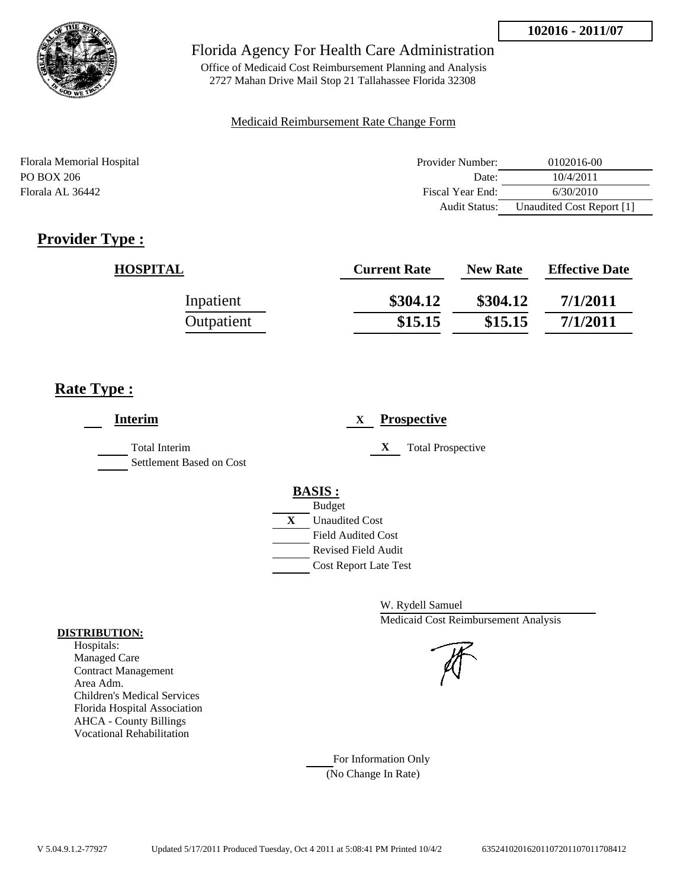

Office of Medicaid Cost Reimbursement Planning and Analysis 2727 Mahan Drive Mail Stop 21 Tallahassee Florida 32308

### Medicaid Reimbursement Rate Change Form

| Florala Memorial Hospital | Provider Number:     | 0102016-00                |
|---------------------------|----------------------|---------------------------|
| PO BOX 206                | Date:                | 10/4/2011                 |
| Florala AL 36442          | Fiscal Year End:     | 6/30/2010                 |
|                           | <b>Audit Status:</b> | Unaudited Cost Report [1] |

# **Provider Type :**

| <b>HOSPITAL</b> | <b>Current Rate</b> | <b>New Rate</b> | <b>Effective Date</b> |
|-----------------|---------------------|-----------------|-----------------------|
| Inpatient       | \$304.12            | \$304.12        | 7/1/2011              |
| Outpatient      | \$15.15             | \$15.15         | 7/1/2011              |

# **Rate Type :**

j.

| <b>Interim</b>                                   | <b>Prospective</b><br>X                                                               |
|--------------------------------------------------|---------------------------------------------------------------------------------------|
| <b>Total Interim</b><br>Settlement Based on Cost | X<br><b>Total Prospective</b>                                                         |
|                                                  | <b>BASIS:</b><br><b>Budget</b>                                                        |
|                                                  | X<br><b>Unaudited Cost</b><br><b>Field Audited Cost</b><br><b>Revised Field Audit</b> |
|                                                  | <b>Cost Report Late Test</b>                                                          |

W. Rydell Samuel Medicaid Cost Reimbursement Analysis

For Information Only (No Change In Rate)

#### **DISTRIBUTION:**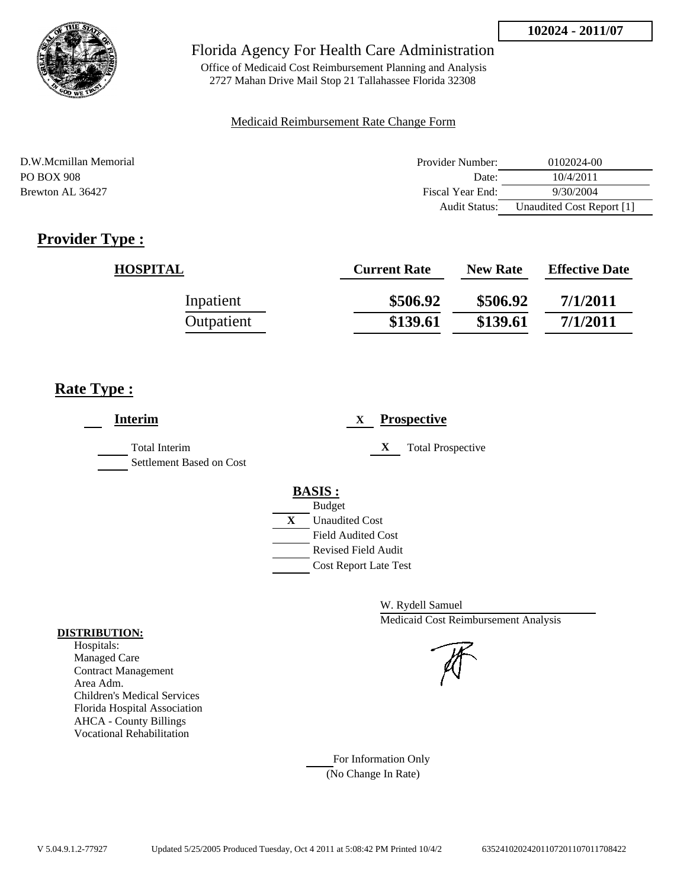

Office of Medicaid Cost Reimbursement Planning and Analysis 2727 Mahan Drive Mail Stop 21 Tallahassee Florida 32308

### Medicaid Reimbursement Rate Change Form

| D.W.Mcmillan Memorial | Provider Number:     | 0102024-00                |
|-----------------------|----------------------|---------------------------|
| PO BOX 908            | Date:                | 10/4/2011                 |
| Brewton AL 36427      | Fiscal Year End:     | 9/30/2004                 |
|                       | <b>Audit Status:</b> | Unaudited Cost Report [1] |

# **Provider Type :**

| <b>HOSPITAL</b> | <b>Current Rate</b> | <b>New Rate</b> | <b>Effective Date</b> |
|-----------------|---------------------|-----------------|-----------------------|
| Inpatient       | \$506.92            | \$506.92        | 7/1/2011              |
| Outpatient      | \$139.61            | \$139.61        | 7/1/2011              |

# **Rate Type :**

| <b>Interim</b>                            | <b>Prospective</b><br>X       |
|-------------------------------------------|-------------------------------|
| Total Interim<br>Settlement Based on Cost | <b>Total Prospective</b><br>X |
|                                           | <b>BASIS:</b>                 |
|                                           | <b>Budget</b>                 |
|                                           | X<br><b>Unaudited Cost</b>    |
|                                           | <b>Field Audited Cost</b>     |
|                                           | Revised Field Audit           |
|                                           | <b>Cost Report Late Test</b>  |

W. Rydell Samuel Medicaid Cost Reimbursement Analysis

## For Information Only (No Change In Rate)

**DISTRIBUTION:**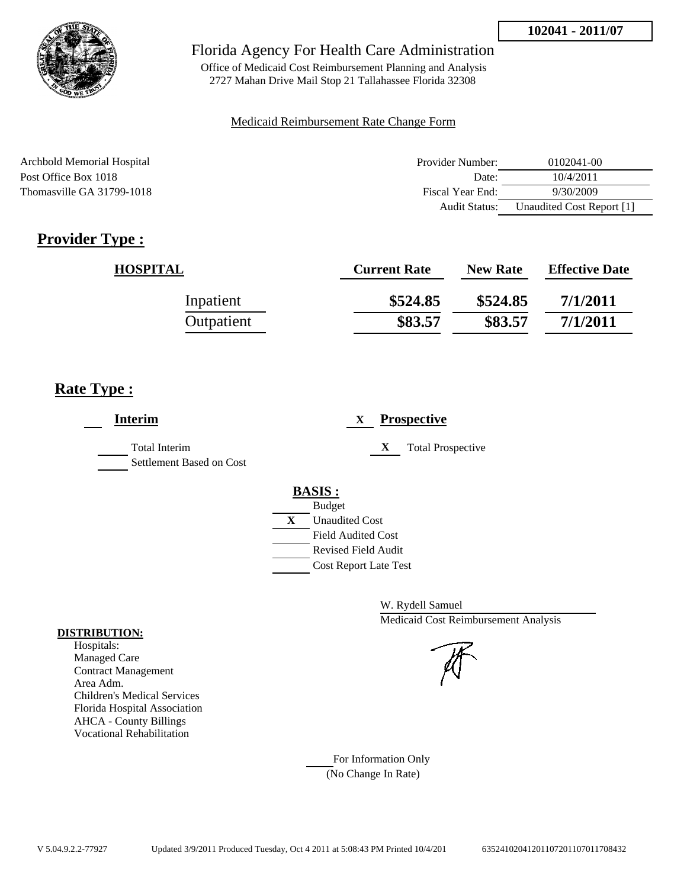

Office of Medicaid Cost Reimbursement Planning and Analysis 2727 Mahan Drive Mail Stop 21 Tallahassee Florida 32308

#### Medicaid Reimbursement Rate Change Form

| Archbold Memorial Hospital | Provider Number: | 0102041-00                |
|----------------------------|------------------|---------------------------|
| Post Office Box 1018       | Date:            | 10/4/2011                 |
| Thomasville GA 31799-1018  | Fiscal Year End: | 9/30/2009                 |
|                            | Audit Status:    | Unaudited Cost Report [1] |

# **Provider Type :**

| <b>HOSPITAL</b> | <b>Current Rate</b> | <b>New Rate</b> | <b>Effective Date</b> |
|-----------------|---------------------|-----------------|-----------------------|
| Inpatient       | \$524.85            | \$524.85        | 7/1/2011              |
| Outpatient      | \$83.57             | \$83.57         | 7/1/2011              |

# **Rate Type :**

| <b>Interim</b>                                   | <b>Prospective</b><br>X       |
|--------------------------------------------------|-------------------------------|
| <b>Total Interim</b><br>Settlement Based on Cost | X<br><b>Total Prospective</b> |
|                                                  | <b>BASIS:</b>                 |
|                                                  | <b>Budget</b>                 |
|                                                  | X<br><b>Unaudited Cost</b>    |
|                                                  | <b>Field Audited Cost</b>     |
|                                                  | <b>Revised Field Audit</b>    |
|                                                  | <b>Cost Report Late Test</b>  |
|                                                  |                               |

W. Rydell Samuel Medicaid Cost Reimbursement Analysis

For Information Only (No Change In Rate)

#### **DISTRIBUTION:**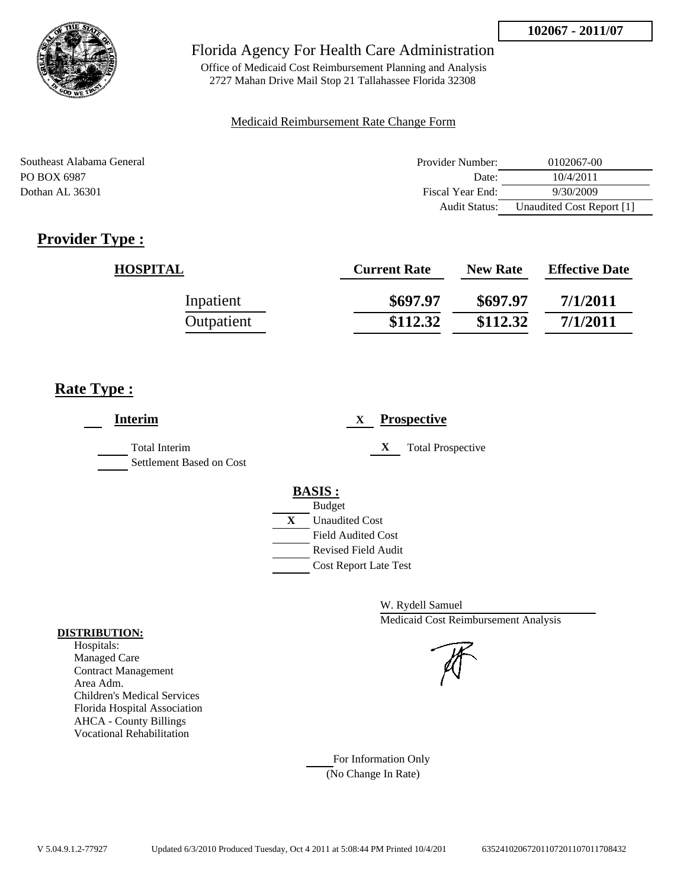

Office of Medicaid Cost Reimbursement Planning and Analysis 2727 Mahan Drive Mail Stop 21 Tallahassee Florida 32308

### Medicaid Reimbursement Rate Change Form

| Southeast Alabama General | Provider Number: | 0102067-00                |
|---------------------------|------------------|---------------------------|
| PO BOX 6987               | Date:            | 10/4/2011                 |
| Dothan AL 36301           | Fiscal Year End: | 9/30/2009                 |
|                           | Audit Status:    | Unaudited Cost Report [1] |

# **Provider Type :**

| <b>HOSPITAL</b> | <b>Current Rate</b> | <b>New Rate</b> | <b>Effective Date</b> |
|-----------------|---------------------|-----------------|-----------------------|
| Inpatient       | \$697.97            | \$697.97        | 7/1/2011              |
| Outpatient      | \$112.32            | \$112.32        | 7/1/2011              |

# **Rate Type :**

| <b>Interim</b>                                   | <b>Prospective</b><br>X       |
|--------------------------------------------------|-------------------------------|
| <b>Total Interim</b><br>Settlement Based on Cost | X<br><b>Total Prospective</b> |
|                                                  | <b>BASIS:</b>                 |
|                                                  | <b>Budget</b>                 |
|                                                  | X<br><b>Unaudited Cost</b>    |
|                                                  | <b>Field Audited Cost</b>     |
|                                                  | <b>Revised Field Audit</b>    |
|                                                  | <b>Cost Report Late Test</b>  |
|                                                  |                               |

W. Rydell Samuel Medicaid Cost Reimbursement Analysis

#### Hospitals: Managed Care

**DISTRIBUTION:**

Contract Management Area Adm. Children's Medical Services Florida Hospital Association AHCA - County Billings Vocational Rehabilitation

> For Information Only (No Change In Rate)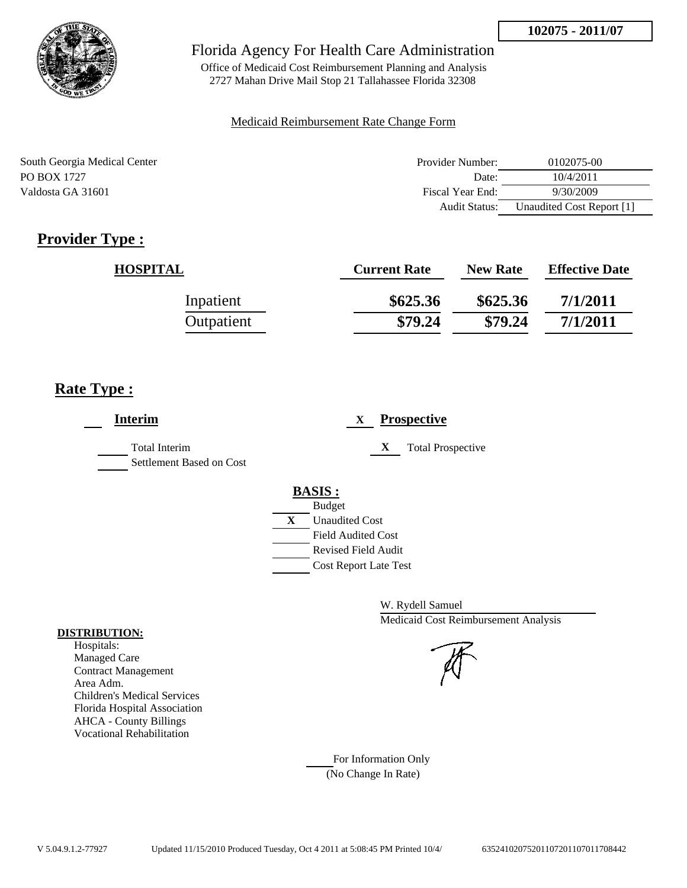

Office of Medicaid Cost Reimbursement Planning and Analysis 2727 Mahan Drive Mail Stop 21 Tallahassee Florida 32308

### Medicaid Reimbursement Rate Change Form

| South Georgia Medical Center | Provider Number: | 0102075-00                |
|------------------------------|------------------|---------------------------|
| PO BOX 1727                  | Date:            | 10/4/2011                 |
| Valdosta GA 31601            | Fiscal Year End: | 9/30/2009                 |
|                              | Audit Status:    | Unaudited Cost Report [1] |

# **Provider Type :**

| <b>HOSPITAL</b> | <b>Current Rate</b> | <b>New Rate</b> | <b>Effective Date</b> |
|-----------------|---------------------|-----------------|-----------------------|
| Inpatient       | \$625.36            | \$625.36        | 7/1/2011              |
| Outpatient      | \$79.24             | \$79.24         | 7/1/2011              |

# **Rate Type :**

| <b>Interim</b>                                   | <b>Prospective</b><br>X               |
|--------------------------------------------------|---------------------------------------|
| <b>Total Interim</b><br>Settlement Based on Cost | X<br><b>Total Prospective</b>         |
|                                                  | <b>BASIS:</b>                         |
|                                                  | <b>Budget</b>                         |
|                                                  | $\mathbf{X}$<br><b>Unaudited Cost</b> |
|                                                  | <b>Field Audited Cost</b>             |
|                                                  | <b>Revised Field Audit</b>            |
|                                                  | Cost Report Late Test                 |
|                                                  |                                       |

W. Rydell Samuel Medicaid Cost Reimbursement Analysis

# Managed Care

**DISTRIBUTION:** Hospitals:

> Contract Management Area Adm. Children's Medical Services Florida Hospital Association AHCA - County Billings Vocational Rehabilitation

> > For Information Only (No Change In Rate)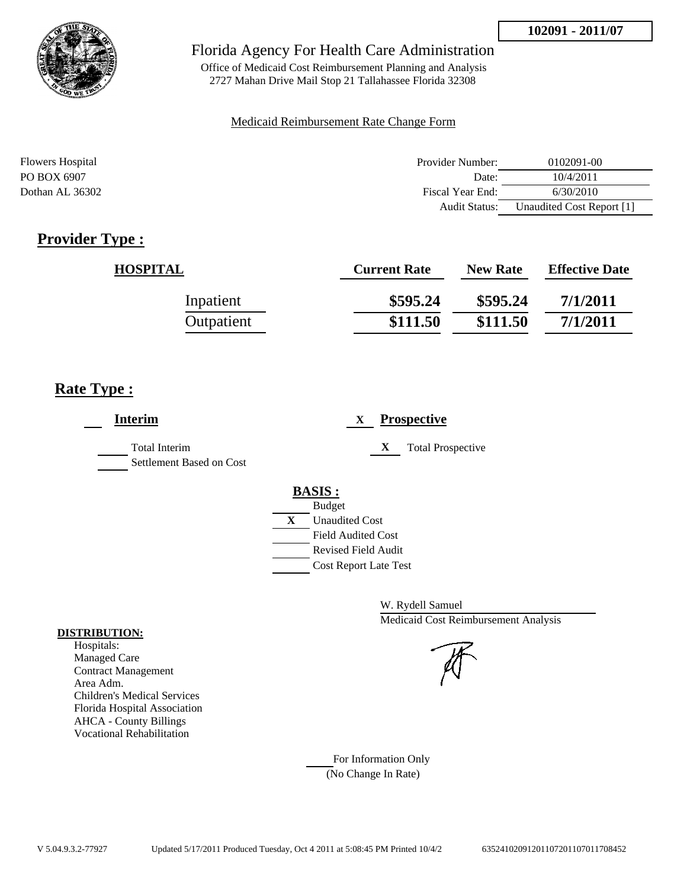

Office of Medicaid Cost Reimbursement Planning and Analysis 2727 Mahan Drive Mail Stop 21 Tallahassee Florida 32308

#### Medicaid Reimbursement Rate Change Form

| <b>Flowers Hospital</b> | Provider Number:     | 0102091-00                |
|-------------------------|----------------------|---------------------------|
| PO BOX 6907             | Date:                | 10/4/2011                 |
| Dothan AL 36302         | Fiscal Year End:     | 6/30/2010                 |
|                         | <b>Audit Status:</b> | Unaudited Cost Report [1] |

# **Provider Type :**

| <b>HOSPITAL</b> | <b>Current Rate</b> | <b>New Rate</b> | <b>Effective Date</b> |
|-----------------|---------------------|-----------------|-----------------------|
| Inpatient       | \$595.24            | \$595.24        | 7/1/2011              |
| Outpatient      | \$111.50            | \$111.50        | 7/1/2011              |

# **Rate Type :**

| <b>Interim</b>                            | <b>Prospective</b><br>X                                                                                                                                 |
|-------------------------------------------|---------------------------------------------------------------------------------------------------------------------------------------------------------|
| Total Interim<br>Settlement Based on Cost | X<br><b>Total Prospective</b>                                                                                                                           |
|                                           | <b>BASIS:</b><br><b>Budget</b><br>X<br><b>Unaudited Cost</b><br><b>Field Audited Cost</b><br><b>Revised Field Audit</b><br><b>Cost Report Late Test</b> |

W. Rydell Samuel Medicaid Cost Reimbursement Analysis

For Information Only (No Change In Rate)

#### **DISTRIBUTION:**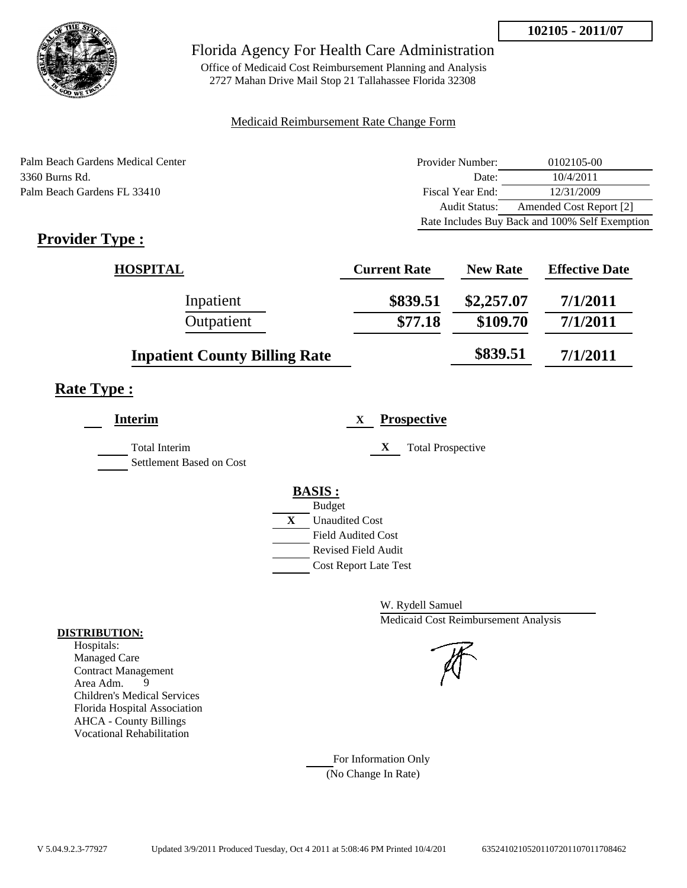

Office of Medicaid Cost Reimbursement Planning and Analysis 2727 Mahan Drive Mail Stop 21 Tallahassee Florida 32308

#### Medicaid Reimbursement Rate Change Form

Palm Beach Gardens Medical Center 3360 Burns Rd. Palm Beach Gardens FL 33410

| Provider Number: | 0102105-00                                     |
|------------------|------------------------------------------------|
| Date:            | 10/4/2011                                      |
| Fiscal Year End: | 12/31/2009                                     |
| Audit Status:    | Amended Cost Report [2]                        |
|                  | Rate Includes Buy Back and 100% Self Exemption |

# **Provider Type :**

| <b>HOSPITAL</b>                      | <b>Current Rate</b> | <b>New Rate</b> | <b>Effective Date</b> |
|--------------------------------------|---------------------|-----------------|-----------------------|
| Inpatient                            | \$839.51            | \$2,257.07      | 7/1/2011              |
| Outpatient                           | \$77.18             | \$109.70        | 7/1/2011              |
| <b>Inpatient County Billing Rate</b> |                     | \$839.51        | 7/1/2011              |

# **Rate Type :**

| <b>Interim</b>                                   | <b>Prospective</b>            |
|--------------------------------------------------|-------------------------------|
| <b>Total Interim</b><br>Settlement Based on Cost | X<br><b>Total Prospective</b> |
|                                                  | <b>BASIS:</b>                 |
|                                                  | <b>Budget</b>                 |
|                                                  | X<br><b>Unaudited Cost</b>    |
|                                                  | <b>Field Audited Cost</b>     |
|                                                  | Revised Field Audit           |
|                                                  | <b>Cost Report Late Test</b>  |
|                                                  |                               |

W. Rydell Samuel Medicaid Cost Reimbursement Analysis

For Information Only (No Change In Rate)

#### **DISTRIBUTION:**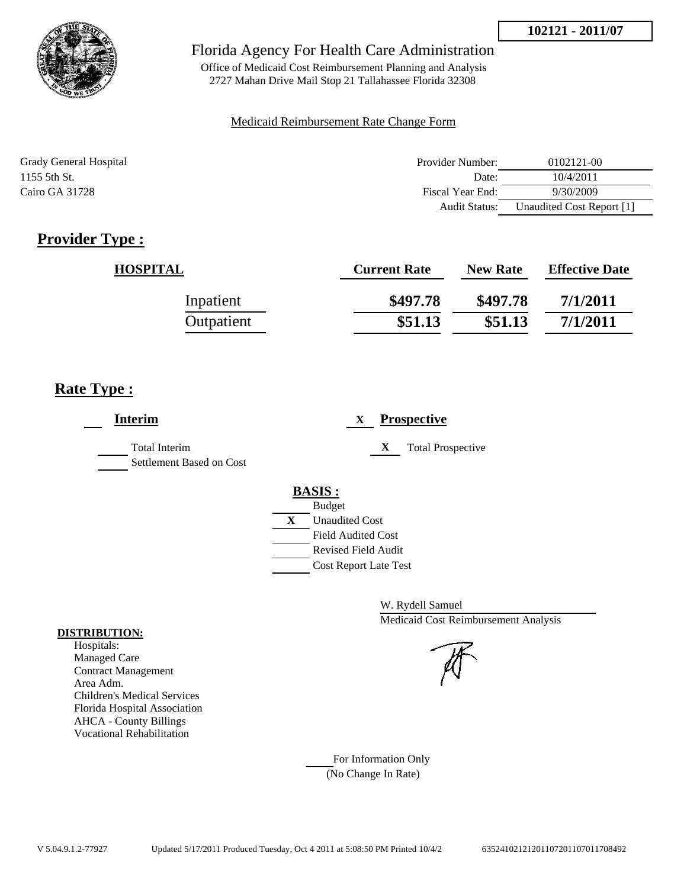

Office of Medicaid Cost Reimbursement Planning and Analysis 2727 Mahan Drive Mail Stop 21 Tallahassee Florida 32308

### Medicaid Reimbursement Rate Change Form

| Grady General Hospital | Provider Number:     | 0102121-00                |
|------------------------|----------------------|---------------------------|
| 1155 5th St.           | Date:                | 10/4/2011                 |
| Cairo GA 31728         | Fiscal Year End:     | 9/30/2009                 |
|                        | <b>Audit Status:</b> | Unaudited Cost Report [1] |

# **Provider Type :**

| <b>HOSPITAL</b> | <b>Current Rate</b> | <b>New Rate</b> | <b>Effective Date</b> |
|-----------------|---------------------|-----------------|-----------------------|
| Inpatient       | \$497.78            | \$497.78        | 7/1/2011              |
| Outpatient      | \$51.13             | \$51.13         | 7/1/2011              |

# **Rate Type :**

| <b>Interim</b>                            | <b>Prospective</b><br>X       |
|-------------------------------------------|-------------------------------|
| Total Interim<br>Settlement Based on Cost | X<br><b>Total Prospective</b> |
|                                           | <b>BASIS:</b>                 |
|                                           | <b>Budget</b>                 |
|                                           | X<br><b>Unaudited Cost</b>    |
|                                           | <b>Field Audited Cost</b>     |
|                                           | <b>Revised Field Audit</b>    |
|                                           | <b>Cost Report Late Test</b>  |
|                                           |                               |

W. Rydell Samuel Medicaid Cost Reimbursement Analysis

## For Information Only (No Change In Rate)

**DISTRIBUTION:**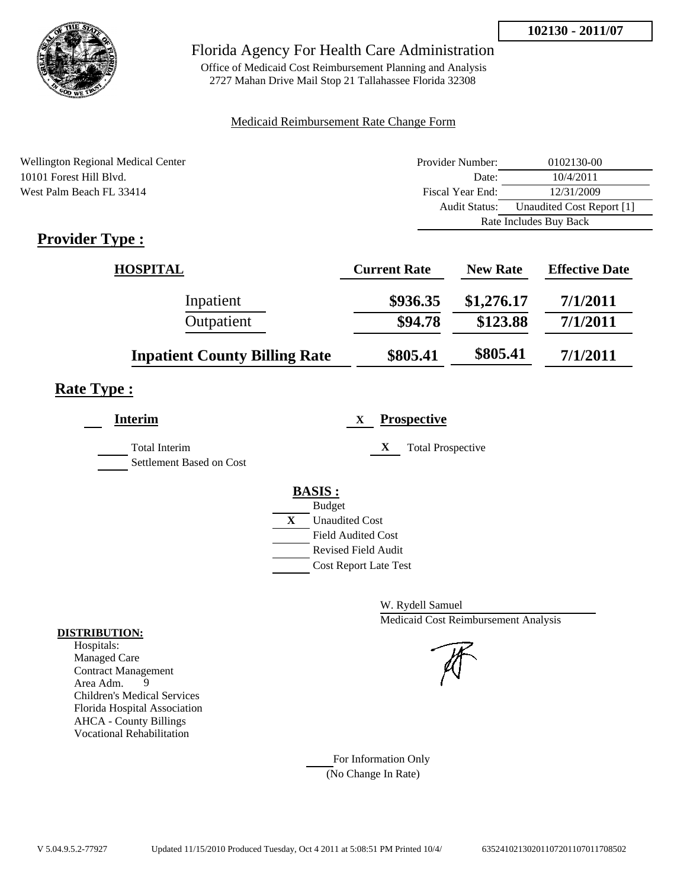

Office of Medicaid Cost Reimbursement Planning and Analysis 2727 Mahan Drive Mail Stop 21 Tallahassee Florida 32308

### Medicaid Reimbursement Rate Change Form

| Wellington Regional Medical Center | Provider Number:     | 0102130-00                |  |
|------------------------------------|----------------------|---------------------------|--|
| 10101 Forest Hill Blyd.            | Date:                | 10/4/2011                 |  |
| West Palm Beach FL 33414           | Fiscal Year End:     | 12/31/2009                |  |
|                                    | <b>Audit Status:</b> | Unaudited Cost Report [1] |  |
|                                    |                      | Rate Includes Buy Back    |  |
| T.<br>m                            |                      |                           |  |

# **Provider Type :**

| <b>HOSPITAL</b>                      | <b>Current Rate</b> | <b>New Rate</b> | <b>Effective Date</b> |
|--------------------------------------|---------------------|-----------------|-----------------------|
| Inpatient                            | \$936.35            | \$1,276.17      | 7/1/2011              |
| Outpatient                           | \$94.78             | \$123.88        | 7/1/2011              |
| <b>Inpatient County Billing Rate</b> | \$805.41            | \$805.41        | 7/1/2011              |

# **Rate Type :**

| <b>Interim</b>                            | <b>Prospective</b><br>X               |
|-------------------------------------------|---------------------------------------|
| Total Interim<br>Settlement Based on Cost | X<br><b>Total Prospective</b>         |
|                                           | <b>BASIS:</b>                         |
|                                           | <b>Budget</b>                         |
|                                           | $\mathbf{X}$<br><b>Unaudited Cost</b> |
|                                           | <b>Field Audited Cost</b>             |
|                                           | <b>Revised Field Audit</b>            |
|                                           | <b>Cost Report Late Test</b>          |
|                                           |                                       |

W. Rydell Samuel Medicaid Cost Reimbursement Analysis

For Information Only (No Change In Rate)

#### **DISTRIBUTION:**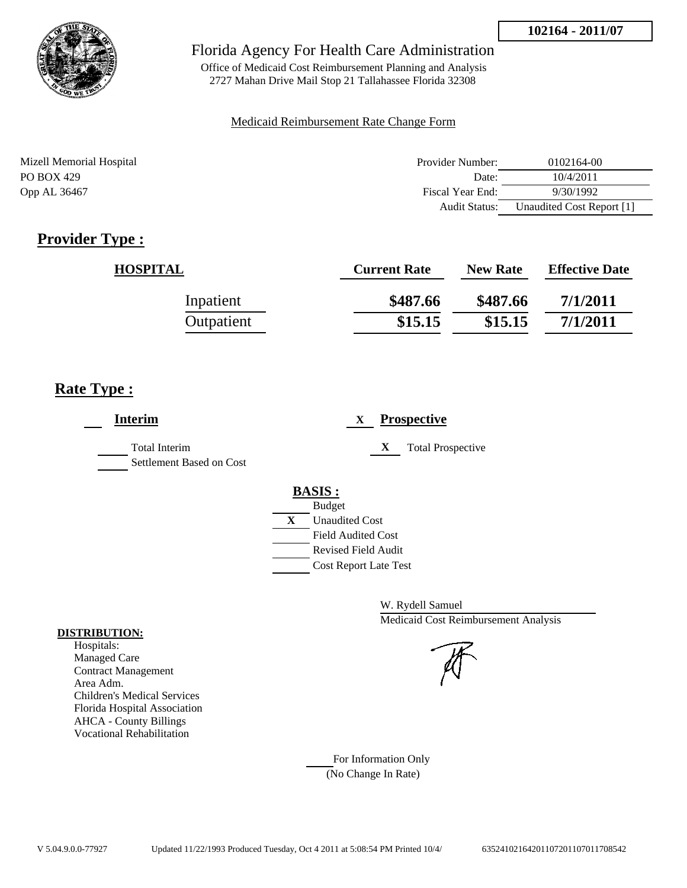

Office of Medicaid Cost Reimbursement Planning and Analysis 2727 Mahan Drive Mail Stop 21 Tallahassee Florida 32308

### Medicaid Reimbursement Rate Change Form

| Mizell Memorial Hospital | Provider Number:     | 0102164-00                |
|--------------------------|----------------------|---------------------------|
| PO BOX 429               | Date:                | 10/4/2011                 |
| Opp AL 36467             | Fiscal Year End:     | 9/30/1992                 |
|                          | <b>Audit Status:</b> | Unaudited Cost Report [1] |

# **Provider Type :**

| <b>HOSPITAL</b> | <b>Current Rate</b> | <b>New Rate</b> | <b>Effective Date</b> |
|-----------------|---------------------|-----------------|-----------------------|
| Inpatient       | \$487.66            | \$487.66        | 7/1/2011              |
| Outpatient      | \$15.15             | \$15.15         | 7/1/2011              |

# **Rate Type :**

| <b>Interim</b>                                   | <b>Prospective</b><br>X       |
|--------------------------------------------------|-------------------------------|
| <b>Total Interim</b><br>Settlement Based on Cost | X<br><b>Total Prospective</b> |
|                                                  | <b>BASIS:</b>                 |
|                                                  | <b>Budget</b>                 |
|                                                  | X<br><b>Unaudited Cost</b>    |
|                                                  | <b>Field Audited Cost</b>     |
|                                                  | Revised Field Audit           |
|                                                  | <b>Cost Report Late Test</b>  |
|                                                  |                               |

W. Rydell Samuel Medicaid Cost Reimbursement Analysis

For Information Only (No Change In Rate)

#### **DISTRIBUTION:**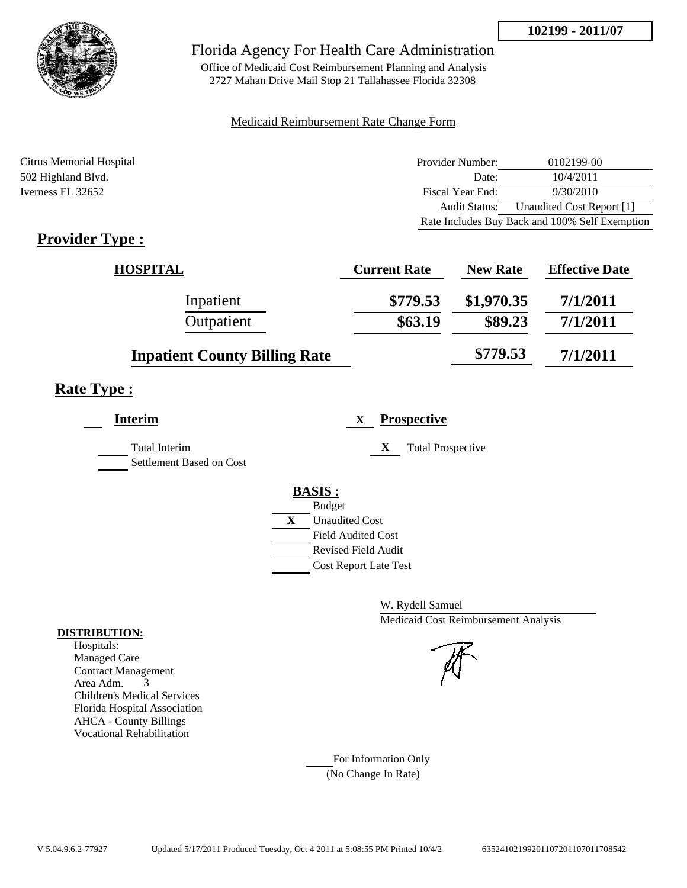

Office of Medicaid Cost Reimbursement Planning and Analysis 2727 Mahan Drive Mail Stop 21 Tallahassee Florida 32308

### Medicaid Reimbursement Rate Change Form

| Citrus Memorial Hospital | Provider Number: | 0102199-00                                     |
|--------------------------|------------------|------------------------------------------------|
| 502 Highland Blvd.       | Date:            | 10/4/2011                                      |
| Iverness FL 32652        | Fiscal Year End: | 9/30/2010                                      |
|                          | Audit Status:    | Unaudited Cost Report [1]                      |
|                          |                  | Rate Includes Buy Back and 100% Self Exemption |

# **Provider Type :**

| <b>HOSPITAL</b>                      | <b>Current Rate</b> | <b>New Rate</b> | <b>Effective Date</b> |
|--------------------------------------|---------------------|-----------------|-----------------------|
| Inpatient                            | \$779.53            | \$1,970.35      | 7/1/2011              |
| Outpatient                           | \$63.19             | \$89.23         | 7/1/2011              |
| <b>Inpatient County Billing Rate</b> |                     | \$779.53        | 7/1/2011              |

# **Rate Type :**

| Interim                                          | <b>Prospective</b><br>X       |
|--------------------------------------------------|-------------------------------|
| <b>Total Interim</b><br>Settlement Based on Cost | X<br><b>Total Prospective</b> |
|                                                  | <b>BASIS:</b>                 |
|                                                  | <b>Budget</b>                 |
|                                                  | X<br><b>Unaudited Cost</b>    |
|                                                  | <b>Field Audited Cost</b>     |
|                                                  | <b>Revised Field Audit</b>    |
|                                                  | <b>Cost Report Late Test</b>  |

W. Rydell Samuel Medicaid Cost Reimbursement Analysis

For Information Only (No Change In Rate)

#### **DISTRIBUTION:**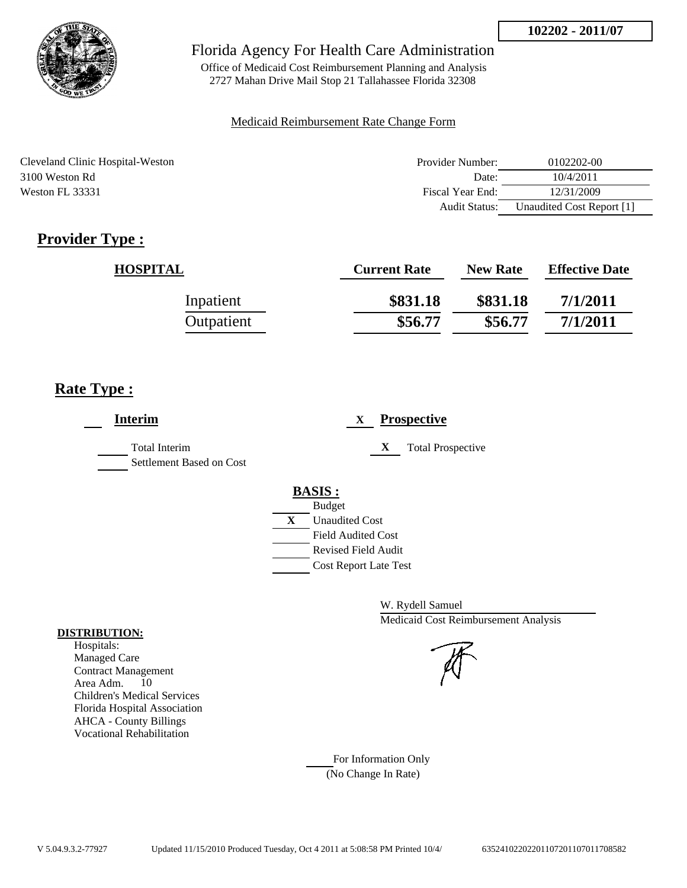

Office of Medicaid Cost Reimbursement Planning and Analysis 2727 Mahan Drive Mail Stop 21 Tallahassee Florida 32308

#### Medicaid Reimbursement Rate Change Form

Cleveland Clinic Hospital-Weston 3100 Weston Rd Weston FL 33331

| Provider Number: | 0102202-00                |
|------------------|---------------------------|
| Date:            | 10/4/2011                 |
| Fiscal Year End: | 12/31/2009                |
| Audit Status:    | Unaudited Cost Report [1] |

# **Provider Type :**

| <b>HOSPITAL</b> | <b>Current Rate</b> | <b>New Rate</b> | <b>Effective Date</b> |
|-----------------|---------------------|-----------------|-----------------------|
| Inpatient       | \$831.18            | \$831.18        | 7/1/2011              |
| Outpatient      | \$56.77             | \$56.77         | 7/1/2011              |

# **Rate Type :**

| <b>Interim</b>                            | <b>Prospective</b><br>X       |
|-------------------------------------------|-------------------------------|
| Total Interim<br>Settlement Based on Cost | X<br><b>Total Prospective</b> |
|                                           | <b>BASIS:</b>                 |
|                                           | <b>Budget</b>                 |
|                                           | X<br><b>Unaudited Cost</b>    |
|                                           | <b>Field Audited Cost</b>     |
|                                           | <b>Revised Field Audit</b>    |
|                                           | <b>Cost Report Late Test</b>  |
|                                           |                               |

W. Rydell Samuel Medicaid Cost Reimbursement Analysis

For Information Only (No Change In Rate)

#### **DISTRIBUTION:**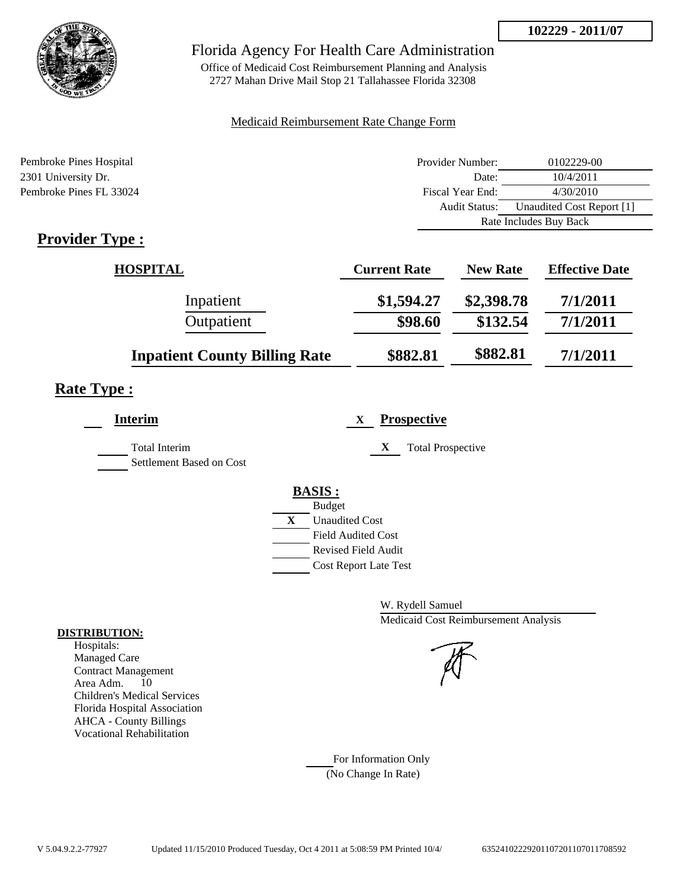

Office of Medicaid Cost Reimbursement Planning and Analysis 2727 Mahan Drive Mail Stop 21 Tallahassee Florida 32308

### Medicaid Reimbursement Rate Change Form

| Pembroke Pines Hospital | Provider Number:     | 0102229-00                |  |
|-------------------------|----------------------|---------------------------|--|
| 2301 University Dr.     | Date:                | 10/4/2011                 |  |
| Pembroke Pines FL 33024 | Fiscal Year End:     | 4/30/2010                 |  |
|                         | <b>Audit Status:</b> | Unaudited Cost Report [1] |  |
|                         |                      | Rate Includes Buy Back    |  |

# **Provider Type :**

| <b>HOSPITAL</b>                      | <b>Current Rate</b> | <b>New Rate</b> | <b>Effective Date</b> |
|--------------------------------------|---------------------|-----------------|-----------------------|
| Inpatient                            | \$1,594.27          | \$2,398.78      | 7/1/2011              |
| Outpatient                           | \$98.60             | \$132.54        | 7/1/2011              |
| <b>Inpatient County Billing Rate</b> | \$882.81            | \$882.81        | 7/1/2011              |

# **Rate Type :**

| <b>Interim</b>                                   | <b>Prospective</b><br>X                                                                                                                                 |
|--------------------------------------------------|---------------------------------------------------------------------------------------------------------------------------------------------------------|
| <b>Total Interim</b><br>Settlement Based on Cost | X<br><b>Total Prospective</b>                                                                                                                           |
|                                                  | <b>BASIS:</b><br><b>Budget</b><br>X<br><b>Unaudited Cost</b><br><b>Field Audited Cost</b><br><b>Revised Field Audit</b><br><b>Cost Report Late Test</b> |

W. Rydell Samuel Medicaid Cost Reimbursement Analysis

For Information Only (No Change In Rate)

#### **DISTRIBUTION:**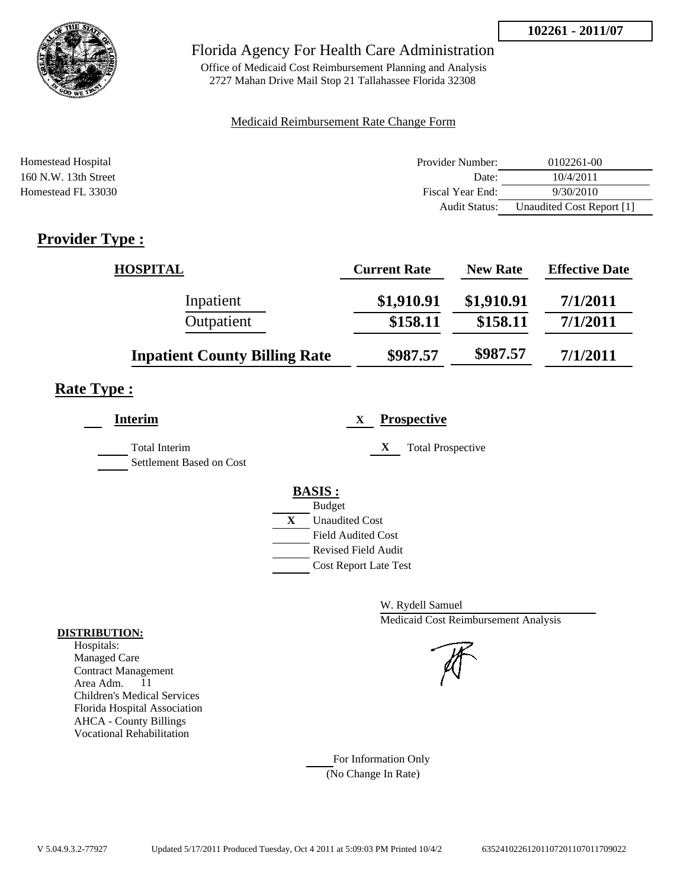

Office of Medicaid Cost Reimbursement Planning and Analysis 2727 Mahan Drive Mail Stop 21 Tallahassee Florida 32308

### Medicaid Reimbursement Rate Change Form

| Homestead Hospital     | Provider Number:     | $0102261 - 00$            |
|------------------------|----------------------|---------------------------|
| $160$ N.W. 13th Street | Date:                | 10/4/2011                 |
| Homestead FL 33030     | Fiscal Year End:     | 9/30/2010                 |
|                        | <b>Audit Status:</b> | Unaudited Cost Report [1] |

# **Provider Type :**

| <b>HOSPITAL</b>                      | <b>Current Rate</b> | <b>New Rate</b> | <b>Effective Date</b> |
|--------------------------------------|---------------------|-----------------|-----------------------|
| Inpatient                            | \$1,910.91          | \$1,910.91      | 7/1/2011              |
| Outpatient                           | \$158.11            | \$158.11        | 7/1/2011              |
| <b>Inpatient County Billing Rate</b> | \$987.57            | \$987.57        | 7/1/2011              |

# **Rate Type :**

| <b>Interim</b>                            | <b>Prospective</b><br>X               |
|-------------------------------------------|---------------------------------------|
| Total Interim<br>Settlement Based on Cost | <b>Total Prospective</b><br>X         |
|                                           | <b>BASIS:</b>                         |
|                                           | <b>Budget</b>                         |
|                                           | $\mathbf{X}$<br><b>Unaudited Cost</b> |
|                                           | <b>Field Audited Cost</b>             |
|                                           | Revised Field Audit                   |
|                                           | <b>Cost Report Late Test</b>          |
|                                           |                                       |

W. Rydell Samuel Medicaid Cost Reimbursement Analysis

For Information Only (No Change In Rate)

#### **DISTRIBUTION:**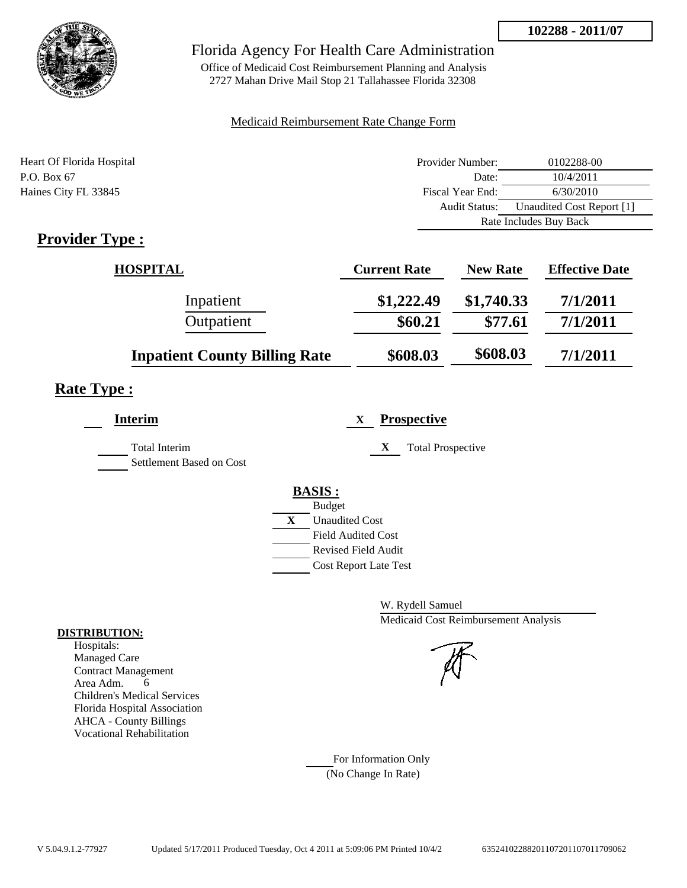

Office of Medicaid Cost Reimbursement Planning and Analysis 2727 Mahan Drive Mail Stop 21 Tallahassee Florida 32308

### Medicaid Reimbursement Rate Change Form

| Heart Of Florida Hospital | Provider Number:     | 0102288-00                |  |
|---------------------------|----------------------|---------------------------|--|
| P.O. Box 67               | Date:                | 10/4/2011                 |  |
| Haines City FL 33845      | Fiscal Year End:     | 6/30/2010                 |  |
|                           | <b>Audit Status:</b> | Unaudited Cost Report [1] |  |
|                           |                      | Rate Includes Buy Back    |  |

# **Provider Type :**

| <b>HOSPITAL</b>                      | <b>Current Rate</b> | <b>New Rate</b> | <b>Effective Date</b> |
|--------------------------------------|---------------------|-----------------|-----------------------|
| Inpatient                            | \$1,222.49          | \$1,740.33      | 7/1/2011              |
| Outpatient                           | \$60.21             | \$77.61         | 7/1/2011              |
| <b>Inpatient County Billing Rate</b> | \$608.03            | \$608.03        | 7/1/2011              |

# **Rate Type :**

| <b>Interim</b>                            | <b>Prospective</b><br>X               |
|-------------------------------------------|---------------------------------------|
| Total Interim<br>Settlement Based on Cost | X<br><b>Total Prospective</b>         |
|                                           | <b>BASIS:</b>                         |
|                                           | <b>Budget</b>                         |
|                                           | $\mathbf{X}$<br><b>Unaudited Cost</b> |
|                                           | <b>Field Audited Cost</b>             |
|                                           | Revised Field Audit                   |
|                                           | <b>Cost Report Late Test</b>          |
|                                           |                                       |

W. Rydell Samuel Medicaid Cost Reimbursement Analysis

For Information Only (No Change In Rate)

#### **DISTRIBUTION:**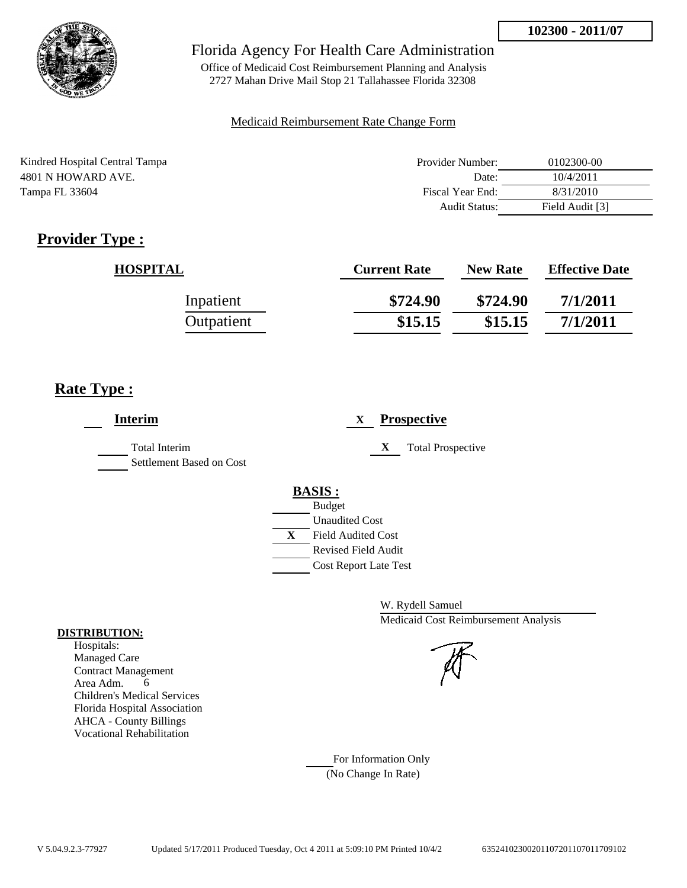

Office of Medicaid Cost Reimbursement Planning and Analysis 2727 Mahan Drive Mail Stop 21 Tallahassee Florida 32308

#### Medicaid Reimbursement Rate Change Form

| Kindred Hospital Central Tampa | Provider Number: | 0102300-00      |
|--------------------------------|------------------|-----------------|
| 4801 N HOWARD AVE.             | Date:            | 10/4/2011       |
| Tampa FL 33604                 | Fiscal Year End: | 8/31/2010       |
|                                | Audit Status:    | Field Audit [3] |

# **Provider Type :**

| <b>HOSPITAL</b> | <b>Current Rate</b> | <b>New Rate</b> | <b>Effective Date</b> |
|-----------------|---------------------|-----------------|-----------------------|
| Inpatient       | \$724.90            | \$724.90        | 7/1/2011              |
| Outpatient      | \$15.15             | \$15.15         | 7/1/2011              |

# **Rate Type :**

 $\overline{a}$ 

| <b>Interim</b>                            | <b>Prospective</b><br>X                                                                                                                                 |
|-------------------------------------------|---------------------------------------------------------------------------------------------------------------------------------------------------------|
| Total Interim<br>Settlement Based on Cost | X<br><b>Total Prospective</b>                                                                                                                           |
|                                           | <b>BASIS:</b><br><b>Budget</b><br><b>Unaudited Cost</b><br>X<br><b>Field Audited Cost</b><br><b>Revised Field Audit</b><br><b>Cost Report Late Test</b> |

W. Rydell Samuel Medicaid Cost Reimbursement Analysis

For Information Only (No Change In Rate)

#### **DISTRIBUTION:**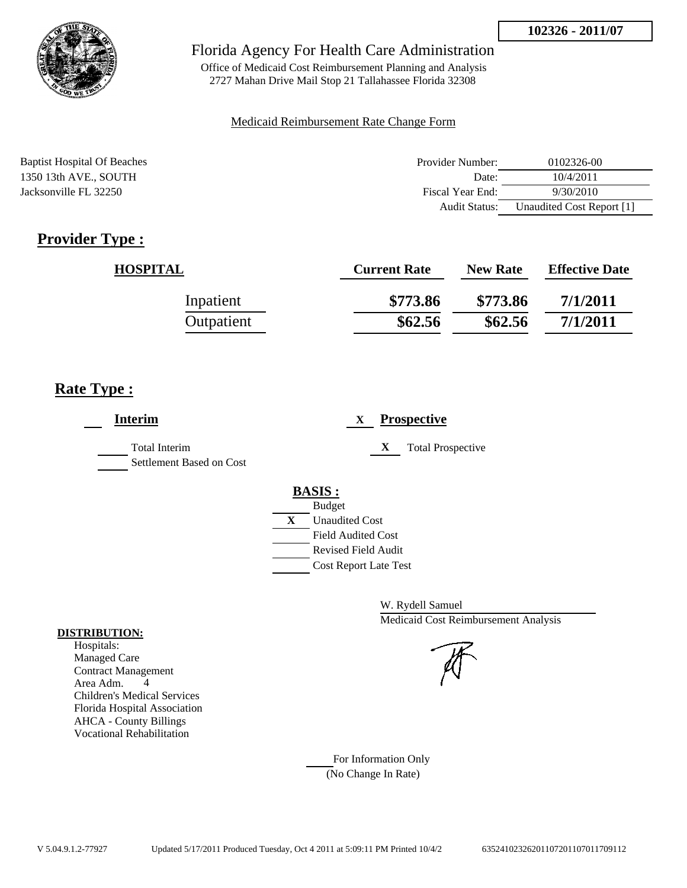

Office of Medicaid Cost Reimbursement Planning and Analysis 2727 Mahan Drive Mail Stop 21 Tallahassee Florida 32308

#### Medicaid Reimbursement Rate Change Form

| <b>Baptist Hospital Of Beaches</b> | Provider Number:     | 0102326-00                |
|------------------------------------|----------------------|---------------------------|
| 1350 13th AVE., SOUTH              | Date:                | 10/4/2011                 |
| Jacksonville FL 32250              | Fiscal Year End:     | 9/30/2010                 |
|                                    | <b>Audit Status:</b> | Unaudited Cost Report [1] |

# **Provider Type :**

| <b>HOSPITAL</b> | <b>Current Rate</b> | <b>New Rate</b> | <b>Effective Date</b> |
|-----------------|---------------------|-----------------|-----------------------|
| Inpatient       | \$773.86            | \$773.86        | 7/1/2011              |
| Outpatient      | \$62.56             | \$62.56         | 7/1/2011              |

## **Rate Type :**

| <b>Interim</b>                                   | <b>Prospective</b><br>X       |
|--------------------------------------------------|-------------------------------|
| <b>Total Interim</b><br>Settlement Based on Cost | X<br><b>Total Prospective</b> |
|                                                  | <b>BASIS:</b>                 |
|                                                  | <b>Budget</b>                 |
|                                                  | X<br><b>Unaudited Cost</b>    |
|                                                  | <b>Field Audited Cost</b>     |
|                                                  | Revised Field Audit           |
|                                                  | <b>Cost Report Late Test</b>  |
|                                                  |                               |

W. Rydell Samuel Medicaid Cost Reimbursement Analysis

For Information Only (No Change In Rate)

#### **DISTRIBUTION:**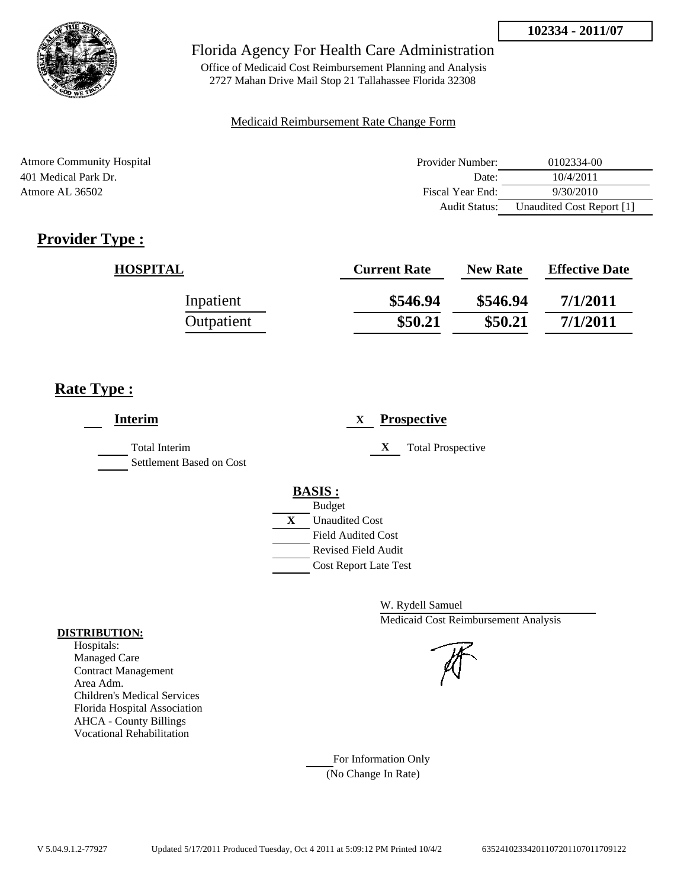

Office of Medicaid Cost Reimbursement Planning and Analysis 2727 Mahan Drive Mail Stop 21 Tallahassee Florida 32308

### Medicaid Reimbursement Rate Change Form

| <b>Atmore Community Hospital</b> | Provider Number:     | 0102334-00                |
|----------------------------------|----------------------|---------------------------|
| 401 Medical Park Dr.             | Date:                | 10/4/2011                 |
| Atmore AL 36502                  | Fiscal Year End:     | 9/30/2010                 |
|                                  | <b>Audit Status:</b> | Unaudited Cost Report [1] |

# **Provider Type :**

| <b>HOSPITAL</b> | <b>Current Rate</b> | <b>New Rate</b> | <b>Effective Date</b> |
|-----------------|---------------------|-----------------|-----------------------|
| Inpatient       | \$546.94            | \$546.94        | 7/1/2011              |
| Outpatient      | \$50.21             | \$50.21         | 7/1/2011              |

# **Rate Type :**

| <b>Interim</b>                            | <b>Prospective</b><br>X                                                                                                                          |
|-------------------------------------------|--------------------------------------------------------------------------------------------------------------------------------------------------|
| Total Interim<br>Settlement Based on Cost | X<br><b>Total Prospective</b>                                                                                                                    |
|                                           | <b>BASIS:</b><br><b>Budget</b><br>X<br><b>Unaudited Cost</b><br><b>Field Audited Cost</b><br>Revised Field Audit<br><b>Cost Report Late Test</b> |

W. Rydell Samuel Medicaid Cost Reimbursement Analysis

For Information Only (No Change In Rate)

#### **DISTRIBUTION:**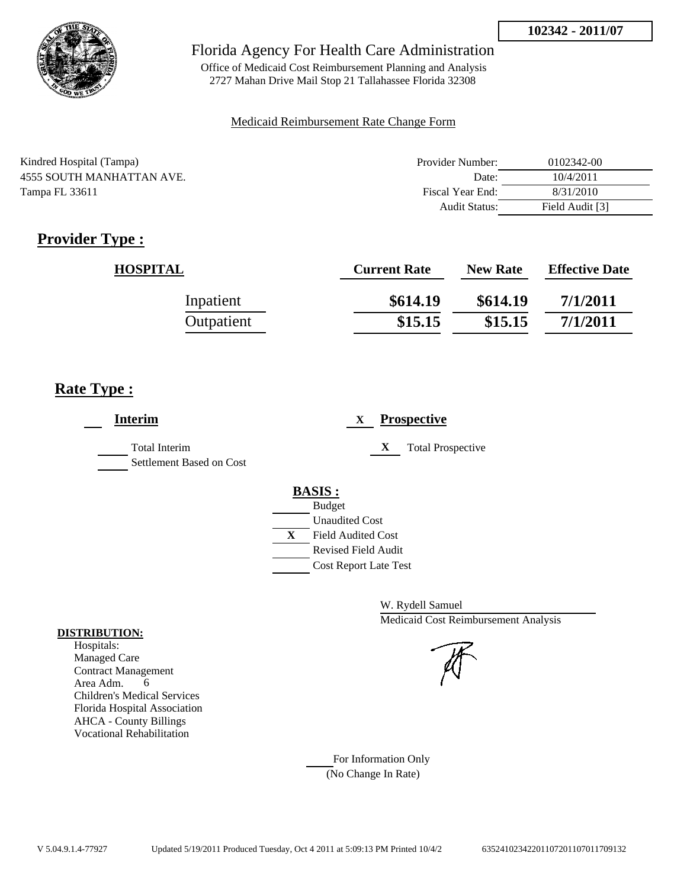

Office of Medicaid Cost Reimbursement Planning and Analysis 2727 Mahan Drive Mail Stop 21 Tallahassee Florida 32308

### Medicaid Reimbursement Rate Change Form

| Kindred Hospital (Tampa)  | Provider Number:     | 0102342-00      |
|---------------------------|----------------------|-----------------|
| 4555 SOUTH MANHATTAN AVE. | Date:                | 10/4/2011       |
| Tampa FL 33611            | Fiscal Year End:     | 8/31/2010       |
|                           | <b>Audit Status:</b> | Field Audit [3] |

# **Provider Type :**

| <b>HOSPITAL</b> | <b>Current Rate</b> | <b>New Rate</b> | <b>Effective Date</b> |
|-----------------|---------------------|-----------------|-----------------------|
| Inpatient       | \$614.19            | \$614.19        | 7/1/2011              |
| Outpatient      | \$15.15             | \$15.15         | 7/1/2011              |

# **Rate Type :**

| <b>Interim</b>                                   | <b>Prospective</b><br>X                                                                                                                          |
|--------------------------------------------------|--------------------------------------------------------------------------------------------------------------------------------------------------|
| <b>Total Interim</b><br>Settlement Based on Cost | X<br><b>Total Prospective</b>                                                                                                                    |
|                                                  | <b>BASIS:</b><br><b>Budget</b><br><b>Unaudited Cost</b><br>X<br><b>Field Audited Cost</b><br>Revised Field Audit<br><b>Cost Report Late Test</b> |

W. Rydell Samuel Medicaid Cost Reimbursement Analysis

For Information Only (No Change In Rate)

#### **DISTRIBUTION:**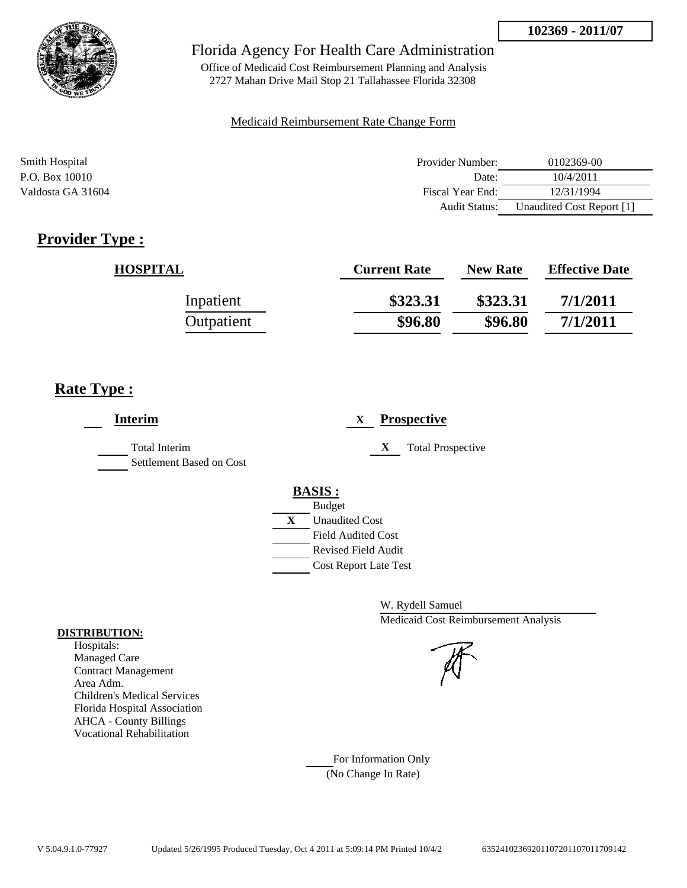

Office of Medicaid Cost Reimbursement Planning and Analysis 2727 Mahan Drive Mail Stop 21 Tallahassee Florida 32308

#### Medicaid Reimbursement Rate Change Form

| Smith Hospital    | Provider Number: | 0102369-00                |
|-------------------|------------------|---------------------------|
| P.O. Box 10010    | Date:            | 10/4/2011                 |
| Valdosta GA 31604 | Fiscal Year End: | 12/31/1994                |
|                   | Audit Status:    | Unaudited Cost Report [1] |

# **Provider Type :**

| <b>HOSPITAL</b> | <b>Current Rate</b> | <b>New Rate</b> | <b>Effective Date</b> |
|-----------------|---------------------|-----------------|-----------------------|
| Inpatient       | \$323.31            | \$323.31        | 7/1/2011              |
| Outpatient      | \$96.80             | \$96.80         | 7/1/2011              |

## **Rate Type :**

| <b>Interim</b>                            | <b>Prospective</b><br>X                 |
|-------------------------------------------|-----------------------------------------|
| Total Interim<br>Settlement Based on Cost | <b>Total Prospective</b><br>$\mathbf X$ |
|                                           | <b>BASIS:</b>                           |
|                                           | <b>Budget</b>                           |
|                                           | X<br><b>Unaudited Cost</b>              |
|                                           | <b>Field Audited Cost</b>               |
|                                           | <b>Revised Field Audit</b>              |
|                                           | <b>Cost Report Late Test</b>            |
|                                           |                                         |

W. Rydell Samuel Medicaid Cost Reimbursement Analysis

For Information Only (No Change In Rate)

#### **DISTRIBUTION:**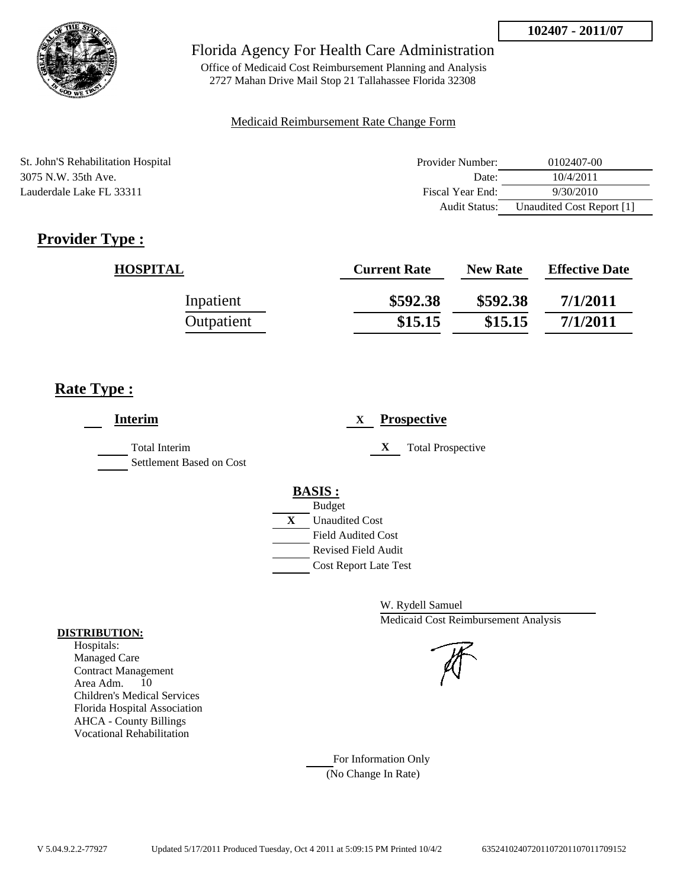

Office of Medicaid Cost Reimbursement Planning and Analysis 2727 Mahan Drive Mail Stop 21 Tallahassee Florida 32308

#### Medicaid Reimbursement Rate Change Form

St. John'S Rehabilitation Hospital 3075 N.W. 35th Ave. Lauderdale Lake FL 33311

| Provider Number: | 0102407-00                |
|------------------|---------------------------|
| Date:            | 10/4/2011                 |
| Fiscal Year End: | 9/30/2010                 |
| Audit Status:    | Unaudited Cost Report [1] |

# **Provider Type :**

| <b>HOSPITAL</b> | <b>Current Rate</b> | <b>New Rate</b> | <b>Effective Date</b> |
|-----------------|---------------------|-----------------|-----------------------|
| Inpatient       | \$592.38            | \$592.38        | 7/1/2011              |
| Outpatient      | \$15.15             | \$15.15         | 7/1/2011              |

# **Rate Type :**

| <b>Interim</b>                            | <b>Prospective</b><br>X                                                                                                                          |
|-------------------------------------------|--------------------------------------------------------------------------------------------------------------------------------------------------|
| Total Interim<br>Settlement Based on Cost | X<br><b>Total Prospective</b>                                                                                                                    |
|                                           | <b>BASIS:</b><br><b>Budget</b><br>X<br><b>Unaudited Cost</b><br><b>Field Audited Cost</b><br>Revised Field Audit<br><b>Cost Report Late Test</b> |

W. Rydell Samuel Medicaid Cost Reimbursement Analysis

For Information Only (No Change In Rate)

#### **DISTRIBUTION:**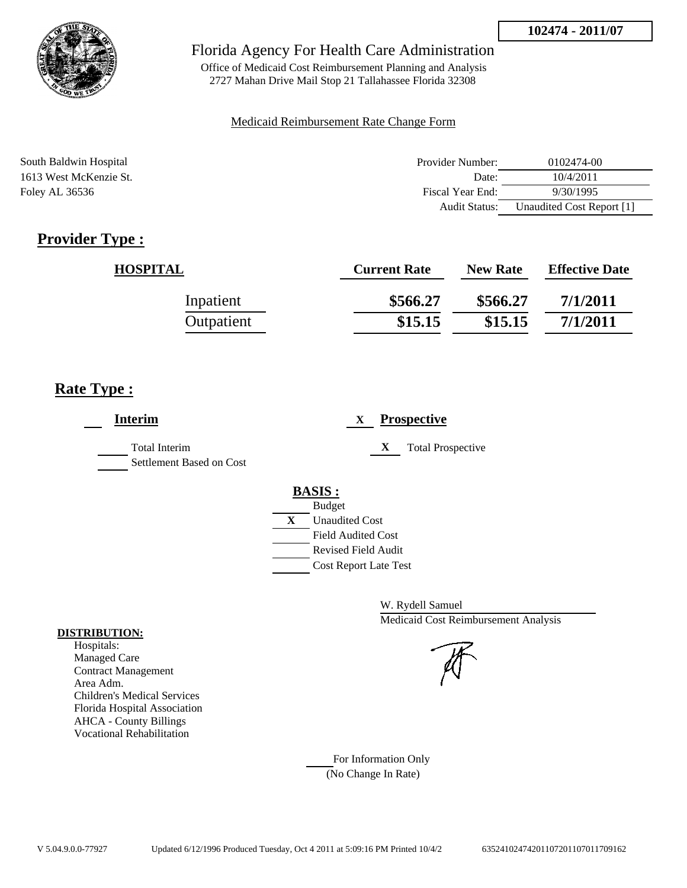

Office of Medicaid Cost Reimbursement Planning and Analysis 2727 Mahan Drive Mail Stop 21 Tallahassee Florida 32308

### Medicaid Reimbursement Rate Change Form

| South Baldwin Hospital | Provider Number: | 0102474-00                |
|------------------------|------------------|---------------------------|
| 1613 West McKenzie St. | Date:            | 10/4/2011                 |
| Foley AL 36536         | Fiscal Year End: | 9/30/1995                 |
|                        | Audit Status:    | Unaudited Cost Report [1] |

# **Provider Type :**

| <b>HOSPITAL</b> | <b>Current Rate</b> | <b>New Rate</b> | <b>Effective Date</b> |
|-----------------|---------------------|-----------------|-----------------------|
| Inpatient       | \$566.27            | \$566.27        | 7/1/2011              |
| Outpatient      | \$15.15             | \$15.15         | 7/1/2011              |

# **Rate Type :**

| <b>Interim</b>                                   | <b>Prospective</b><br>X       |
|--------------------------------------------------|-------------------------------|
| <b>Total Interim</b><br>Settlement Based on Cost | X<br><b>Total Prospective</b> |
|                                                  | <b>BASIS:</b>                 |
|                                                  | <b>Budget</b>                 |
|                                                  | X<br><b>Unaudited Cost</b>    |
|                                                  | <b>Field Audited Cost</b>     |
|                                                  | <b>Revised Field Audit</b>    |
|                                                  | <b>Cost Report Late Test</b>  |
|                                                  |                               |

W. Rydell Samuel Medicaid Cost Reimbursement Analysis



For Information Only (No Change In Rate)

#### **DISTRIBUTION:**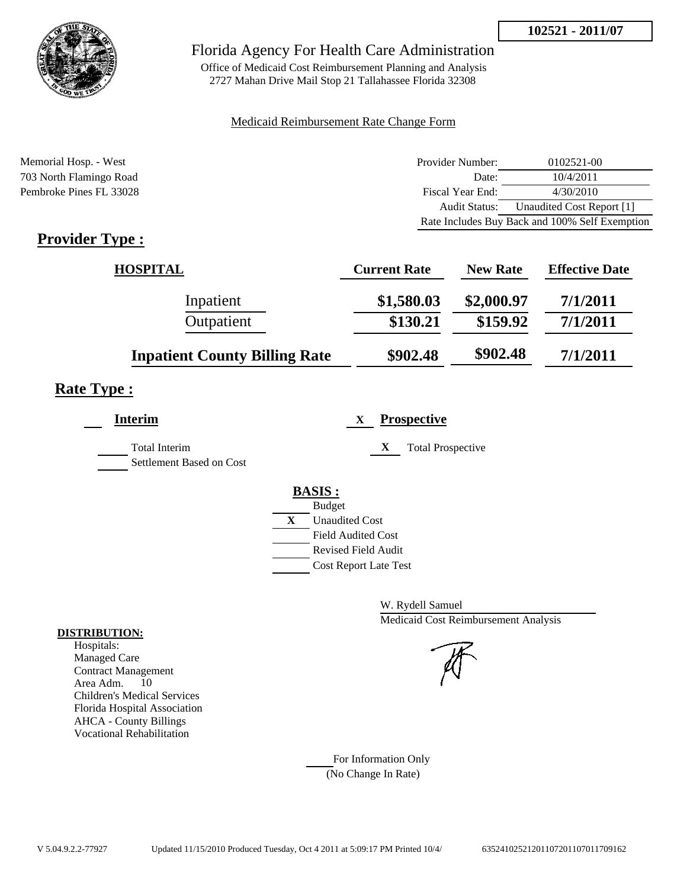

Office of Medicaid Cost Reimbursement Planning and Analysis 2727 Mahan Drive Mail Stop 21 Tallahassee Florida 32308

## Medicaid Reimbursement Rate Change Form

Memorial Hosp. - West **Provider Number:** 0102521-00 703 North Flamingo Road Date: 10/4/2011 Pembroke Pines FL 33028 Fiscal Year End: 4/30/2010 Audit Status: Unaudited Cost Report [1] Rate Includes Buy Back and 100% Self Exemption

# **Provider Type :**

| <b>HOSPITAL</b>                      | <b>Current Rate</b> | <b>New Rate</b> | <b>Effective Date</b> |
|--------------------------------------|---------------------|-----------------|-----------------------|
| Inpatient                            | \$1,580.03          | \$2,000.97      | 7/1/2011              |
| Outpatient                           | \$130.21            | \$159.92        | 7/1/2011              |
| <b>Inpatient County Billing Rate</b> | \$902.48            | \$902.48        | 7/1/2011              |

## **Rate Type :**

L,

| <b>Interim</b>                            | <b>Prospective</b><br>X       |
|-------------------------------------------|-------------------------------|
| Total Interim<br>Settlement Based on Cost | <b>Total Prospective</b><br>X |
|                                           | <b>BASIS:</b>                 |
|                                           | <b>Budget</b>                 |
|                                           | X<br><b>Unaudited Cost</b>    |
|                                           | <b>Field Audited Cost</b>     |
|                                           | Revised Field Audit           |
|                                           | <b>Cost Report Late Test</b>  |
|                                           |                               |

W. Rydell Samuel Medicaid Cost Reimbursement Analysis

For Information Only (No Change In Rate)

## **DISTRIBUTION:**

Hospitals: Managed Care Contract Management Area Adm. 10 Children's Medical Services Florida Hospital Association AHCA - County Billings Vocational Rehabilitation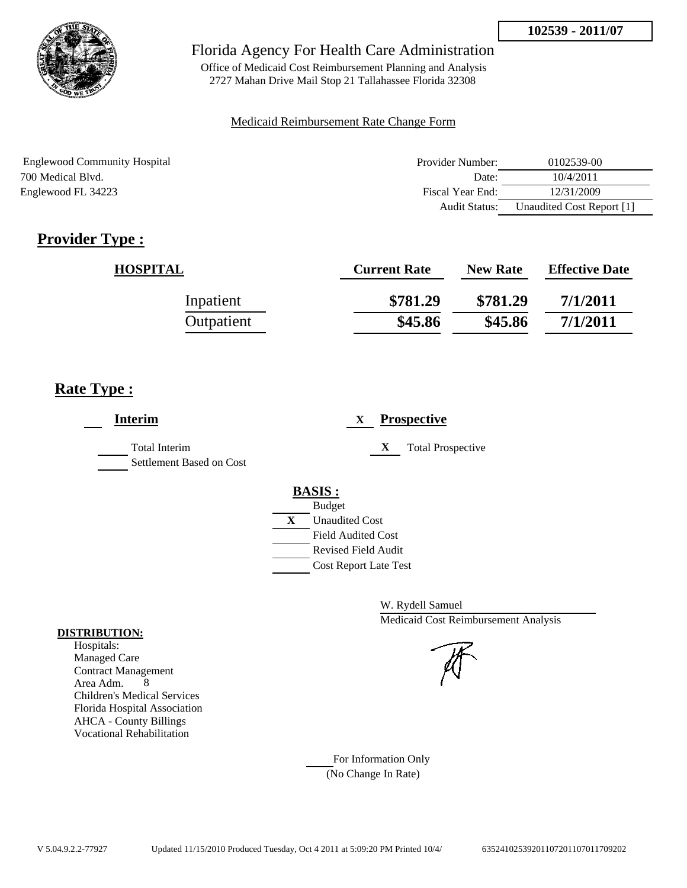

Office of Medicaid Cost Reimbursement Planning and Analysis 2727 Mahan Drive Mail Stop 21 Tallahassee Florida 32308

## Medicaid Reimbursement Rate Change Form

| <b>Englewood Community Hospital</b> | Provider Number:     | 0102539-00                |
|-------------------------------------|----------------------|---------------------------|
| 700 Medical Blyd.                   | Date:                | 10/4/2011                 |
| Englewood FL 34223                  | Fiscal Year End:     | 12/31/2009                |
|                                     | <b>Audit Status:</b> | Unaudited Cost Report [1] |

# **Provider Type :**

| <b>HOSPITAL</b> | <b>Current Rate</b> | <b>New Rate</b> | <b>Effective Date</b> |
|-----------------|---------------------|-----------------|-----------------------|
| Inpatient       | \$781.29            | \$781.29        | 7/1/2011              |
| Outpatient      | \$45.86             | \$45.86         | 7/1/2011              |

# **Rate Type :**

| <b>Interim</b>                                   | <b>Prospective</b><br>X                                                                                                                                 |
|--------------------------------------------------|---------------------------------------------------------------------------------------------------------------------------------------------------------|
| <b>Total Interim</b><br>Settlement Based on Cost | X<br><b>Total Prospective</b>                                                                                                                           |
|                                                  | <b>BASIS:</b><br><b>Budget</b><br>X<br><b>Unaudited Cost</b><br><b>Field Audited Cost</b><br><b>Revised Field Audit</b><br><b>Cost Report Late Test</b> |

W. Rydell Samuel Medicaid Cost Reimbursement Analysis

For Information Only (No Change In Rate)

## **DISTRIBUTION:**

Hospitals: Managed Care Contract Management Area Adm. 8 Children's Medical Services Florida Hospital Association AHCA - County Billings Vocational Rehabilitation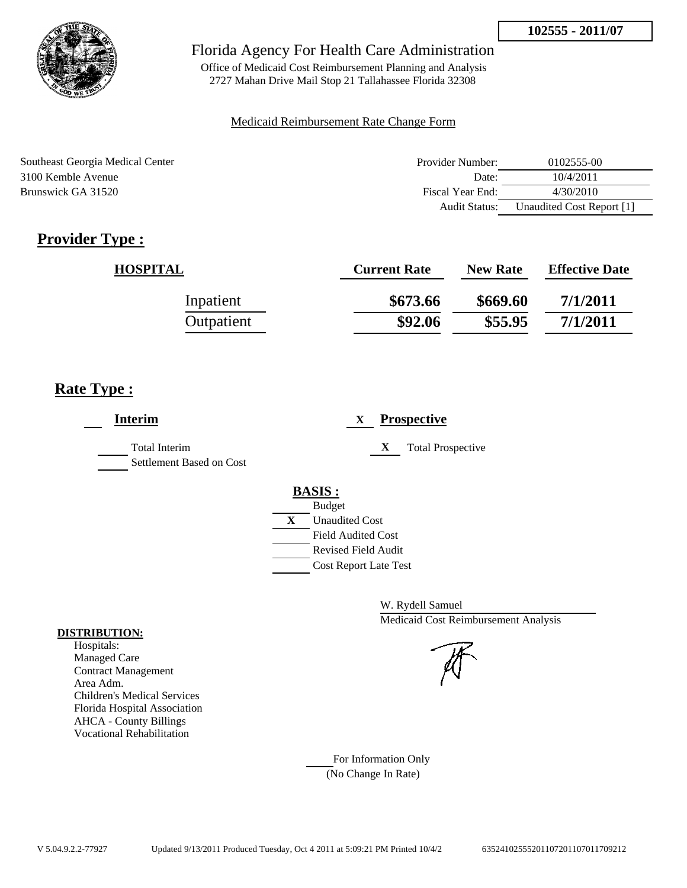

Office of Medicaid Cost Reimbursement Planning and Analysis 2727 Mahan Drive Mail Stop 21 Tallahassee Florida 32308

## Medicaid Reimbursement Rate Change Form

| Southeast Georgia Medical Center | Provider Number: | 0102555-00                |
|----------------------------------|------------------|---------------------------|
| 3100 Kemble Avenue               | Date:            | 10/4/2011                 |
| Brunswick GA 31520               | Fiscal Year End: | 4/30/2010                 |
|                                  | Audit Status:    | Unaudited Cost Report [1] |

# **Provider Type :**

| <b>HOSPITAL</b> | <b>Current Rate</b> | <b>New Rate</b> | <b>Effective Date</b> |
|-----------------|---------------------|-----------------|-----------------------|
| Inpatient       | \$673.66            | \$669.60        | 7/1/2011              |
| Outpatient      | \$92.06             | \$55.95         | 7/1/2011              |

# **Rate Type :**

| <b>Interim</b>                            | <b>Prospective</b><br>X       |
|-------------------------------------------|-------------------------------|
| Total Interim<br>Settlement Based on Cost | X<br><b>Total Prospective</b> |
|                                           | <b>BASIS:</b>                 |
|                                           | <b>Budget</b>                 |
|                                           | X<br><b>Unaudited Cost</b>    |
|                                           | <b>Field Audited Cost</b>     |
|                                           | <b>Revised Field Audit</b>    |
|                                           | <b>Cost Report Late Test</b>  |
|                                           |                               |

W. Rydell Samuel Medicaid Cost Reimbursement Analysis

For Information Only (No Change In Rate)

## **DISTRIBUTION:**

Hospitals: Managed Care Contract Management Area Adm. Children's Medical Services Florida Hospital Association AHCA - County Billings Vocational Rehabilitation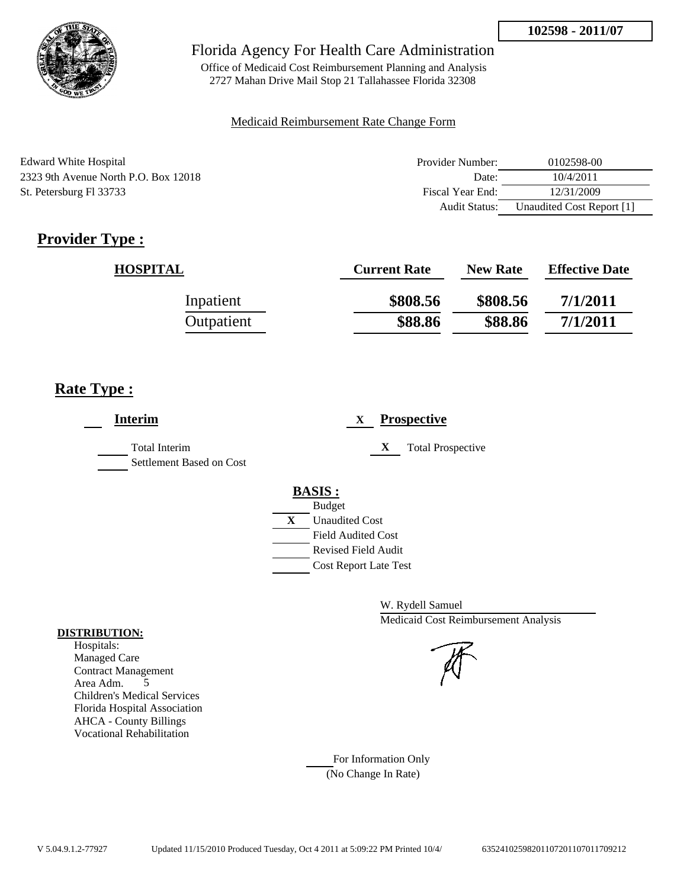

Office of Medicaid Cost Reimbursement Planning and Analysis 2727 Mahan Drive Mail Stop 21 Tallahassee Florida 32308

## Medicaid Reimbursement Rate Change Form

| Edward White Hospital                | Provider Number: | 0102598-00                |
|--------------------------------------|------------------|---------------------------|
| 2323 9th Avenue North P.O. Box 12018 | Date:            | 10/4/2011                 |
| St. Petersburg Fl 33733              | Fiscal Year End: | 12/31/2009                |
|                                      | Audit Status:    | Unaudited Cost Report [1] |

# **Provider Type :**

| <b>HOSPITAL</b> | <b>Current Rate</b> | <b>New Rate</b> | <b>Effective Date</b> |
|-----------------|---------------------|-----------------|-----------------------|
| Inpatient       | \$808.56            | \$808.56        | 7/1/2011              |
| Outpatient      | \$88.86             | \$88.86         | 7/1/2011              |

# **Rate Type :**

| <b>Interim</b>                            | <b>Prospective</b><br>X       |
|-------------------------------------------|-------------------------------|
| Total Interim<br>Settlement Based on Cost | X<br><b>Total Prospective</b> |
|                                           | <b>BASIS:</b>                 |
|                                           | <b>Budget</b>                 |
|                                           | X<br><b>Unaudited Cost</b>    |
|                                           | <b>Field Audited Cost</b>     |
|                                           | <b>Revised Field Audit</b>    |
|                                           | <b>Cost Report Late Test</b>  |
|                                           |                               |

W. Rydell Samuel Medicaid Cost Reimbursement Analysis

## For Information Only (No Change In Rate)

**DISTRIBUTION:**

Hospitals: Managed Care Contract Management Area Adm. 5 Children's Medical Services Florida Hospital Association AHCA - County Billings Vocational Rehabilitation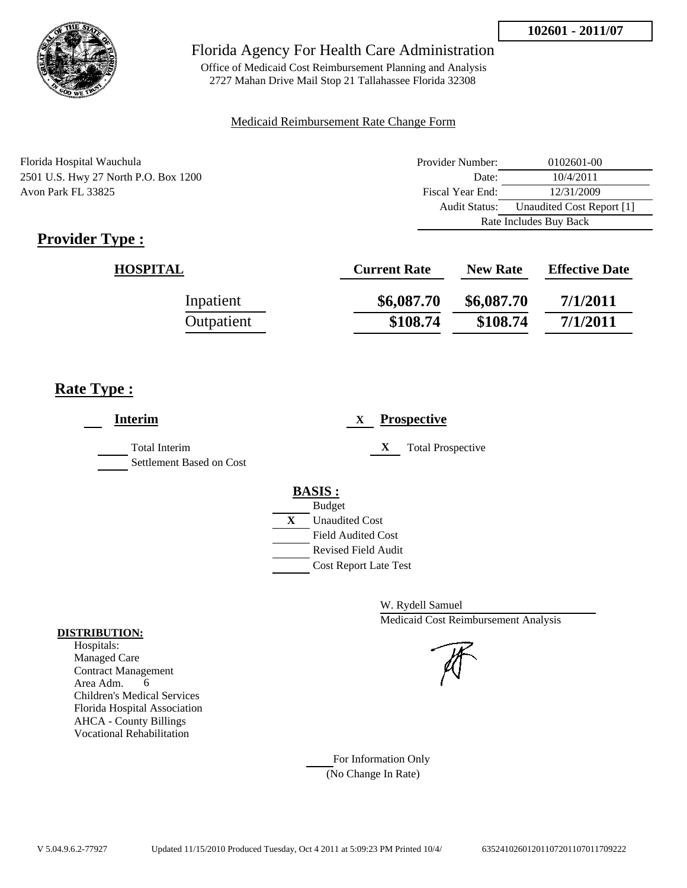

Office of Medicaid Cost Reimbursement Planning and Analysis 2727 Mahan Drive Mail Stop 21 Tallahassee Florida 32308

## Medicaid Reimbursement Rate Change Form

| Florida Hospital Wauchula            | Provider Number:       | 0102601-00                |
|--------------------------------------|------------------------|---------------------------|
| 2501 U.S. Hwy 27 North P.O. Box 1200 | Date:                  | 10/4/2011                 |
| Avon Park FL 33825                   | Fiscal Year End:       | 12/31/2009                |
|                                      | Audit Status:          | Unaudited Cost Report [1] |
|                                      | Rate Includes Buy Back |                           |

# **Provider Type :**

| <b>HOSPITAL</b> | <b>Current Rate</b> | <b>New Rate</b> | <b>Effective Date</b> |
|-----------------|---------------------|-----------------|-----------------------|
| Inpatient       | \$6,087.70          | \$6,087.70      | 7/1/2011              |
| Outpatient      | \$108.74            | \$108.74        | 7/1/2011              |

# **Rate Type :**

| <b>Interim</b>                                   | <b>Prospective</b><br>X                                                                                                                          |
|--------------------------------------------------|--------------------------------------------------------------------------------------------------------------------------------------------------|
| <b>Total Interim</b><br>Settlement Based on Cost | X<br><b>Total Prospective</b>                                                                                                                    |
|                                                  | <b>BASIS:</b><br><b>Budget</b><br>X<br><b>Unaudited Cost</b><br><b>Field Audited Cost</b><br>Revised Field Audit<br><b>Cost Report Late Test</b> |

W. Rydell Samuel Medicaid Cost Reimbursement Analysis

For Information Only (No Change In Rate)

## **DISTRIBUTION:**

Hospitals: Managed Care Contract Management Area Adm. 6 Children's Medical Services Florida Hospital Association AHCA - County Billings Vocational Rehabilitation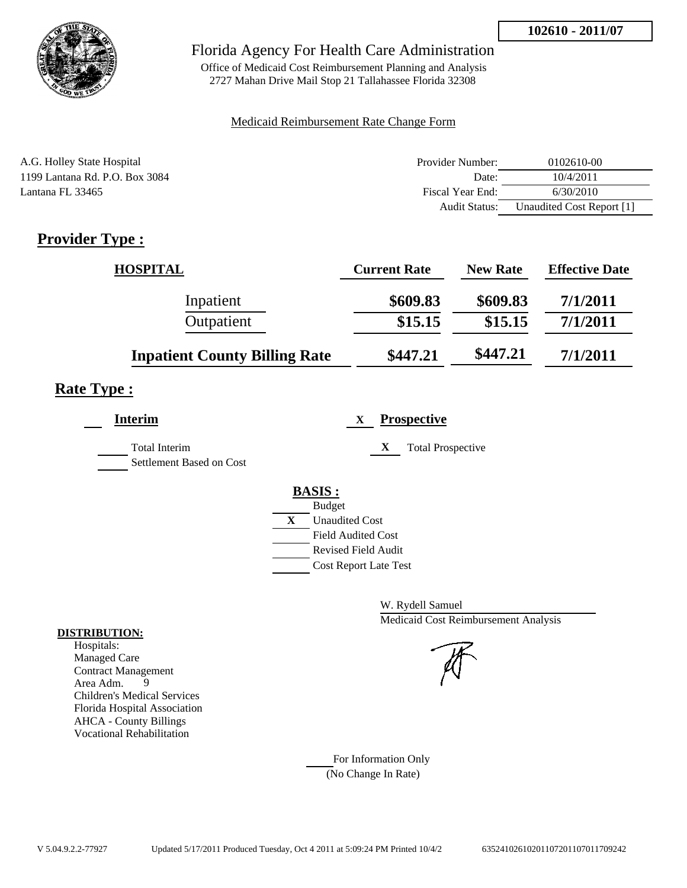

Office of Medicaid Cost Reimbursement Planning and Analysis 2727 Mahan Drive Mail Stop 21 Tallahassee Florida 32308

## Medicaid Reimbursement Rate Change Form

| A.G. Holley State Hospital     | Provider Number: | 0102610-00                |
|--------------------------------|------------------|---------------------------|
| 1199 Lantana Rd. P.O. Box 3084 | Date:            | 10/4/2011                 |
| Lantana FL 33465               | Fiscal Year End: | 6/30/2010                 |
|                                | Audit Status:    | Unaudited Cost Report [1] |

# **Provider Type :**

| <b>HOSPITAL</b>                      | <b>Current Rate</b> | <b>New Rate</b> | <b>Effective Date</b> |
|--------------------------------------|---------------------|-----------------|-----------------------|
| Inpatient                            | \$609.83            | \$609.83        | 7/1/2011              |
| Outpatient                           | \$15.15             | \$15.15         | 7/1/2011              |
| <b>Inpatient County Billing Rate</b> | \$447.21            | \$447.21        | 7/1/2011              |

# **Rate Type :**

| <b>Interim</b>                                   | <b>Prospective</b><br>$\mathbf{X}$                                                                                                                          |
|--------------------------------------------------|-------------------------------------------------------------------------------------------------------------------------------------------------------------|
| <b>Total Interim</b><br>Settlement Based on Cost | <b>Total Prospective</b><br>X                                                                                                                               |
|                                                  | <b>BASIS:</b><br><b>Budget</b><br>$\mathbf{X}$<br><b>Unaudited Cost</b><br><b>Field Audited Cost</b><br>Revised Field Audit<br><b>Cost Report Late Test</b> |

W. Rydell Samuel Medicaid Cost Reimbursement Analysis

## For Information Only (No Change In Rate)

**DISTRIBUTION:**

Hospitals: Managed Care Contract Management Area Adm. 9 Children's Medical Services Florida Hospital Association AHCA - County Billings Vocational Rehabilitation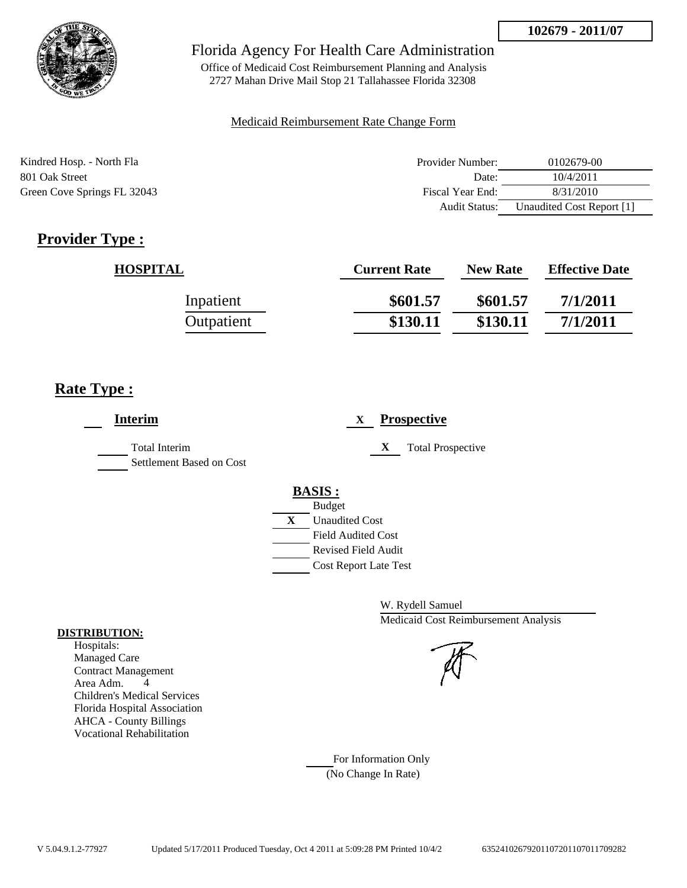

Office of Medicaid Cost Reimbursement Planning and Analysis 2727 Mahan Drive Mail Stop 21 Tallahassee Florida 32308

## Medicaid Reimbursement Rate Change Form

| Kindred Hosp. - North Fla   | Provider Number:     | 0102679-00                |
|-----------------------------|----------------------|---------------------------|
| 801 Oak Street              | Date:                | 10/4/2011                 |
| Green Cove Springs FL 32043 | Fiscal Year End:     | 8/31/2010                 |
|                             | <b>Audit Status:</b> | Unaudited Cost Report [1] |

# **Provider Type :**

| <b>HOSPITAL</b> | <b>Current Rate</b> | <b>New Rate</b> | <b>Effective Date</b> |
|-----------------|---------------------|-----------------|-----------------------|
| Inpatient       | \$601.57            | \$601.57        | 7/1/2011              |
| Outpatient      | \$130.11            | \$130.11        | 7/1/2011              |

# **Rate Type :**

| <b>Interim</b>                                   | <b>Prospective</b><br>$\mathbf{X}$ |
|--------------------------------------------------|------------------------------------|
| <b>Total Interim</b><br>Settlement Based on Cost | X<br><b>Total Prospective</b>      |
|                                                  | <b>BASIS:</b>                      |
|                                                  | <b>Budget</b>                      |
|                                                  | X<br><b>Unaudited Cost</b>         |
|                                                  | <b>Field Audited Cost</b>          |
|                                                  | <b>Revised Field Audit</b>         |
|                                                  | <b>Cost Report Late Test</b>       |

W. Rydell Samuel Medicaid Cost Reimbursement Analysis

For Information Only (No Change In Rate)

## **DISTRIBUTION:**

Hospitals: Managed Care Contract Management Area Adm. 4 Children's Medical Services Florida Hospital Association AHCA - County Billings Vocational Rehabilitation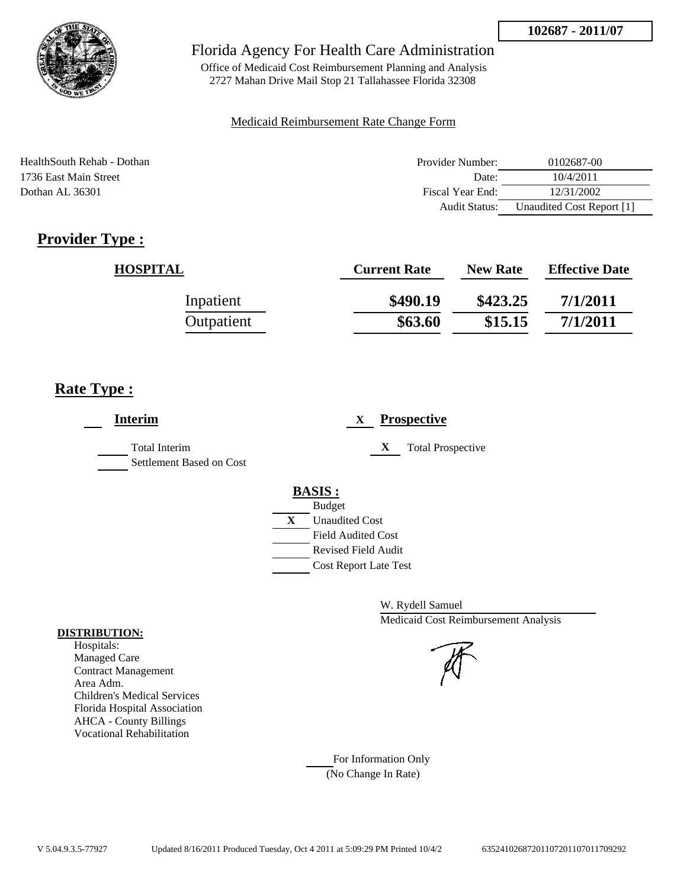

Office of Medicaid Cost Reimbursement Planning and Analysis 2727 Mahan Drive Mail Stop 21 Tallahassee Florida 32308

## Medicaid Reimbursement Rate Change Form

| HealthSouth Rehab - Dothan | Provider Number:     | 0102687-00                |
|----------------------------|----------------------|---------------------------|
| 1736 East Main Street      | Date:                | 10/4/2011                 |
| Dothan AL 36301            | Fiscal Year End:     | 12/31/2002                |
|                            | <b>Audit Status:</b> | Unaudited Cost Report [1] |

# **Provider Type :**

| <b>HOSPITAL</b> | <b>Current Rate</b> | <b>New Rate</b> | <b>Effective Date</b> |
|-----------------|---------------------|-----------------|-----------------------|
| Inpatient       | \$490.19            | \$423.25        | 7/1/2011              |
| Outpatient      | \$63.60             | \$15.15         | 7/1/2011              |

# **Rate Type :**

| <b>Interim</b>                                   | <b>Prospective</b><br>X                                                                                                                                 |
|--------------------------------------------------|---------------------------------------------------------------------------------------------------------------------------------------------------------|
| <b>Total Interim</b><br>Settlement Based on Cost | X<br><b>Total Prospective</b>                                                                                                                           |
|                                                  | <b>BASIS:</b><br><b>Budget</b><br>X<br><b>Unaudited Cost</b><br><b>Field Audited Cost</b><br><b>Revised Field Audit</b><br><b>Cost Report Late Test</b> |

W. Rydell Samuel Medicaid Cost Reimbursement Analysis

For Information Only (No Change In Rate)

## **DISTRIBUTION:**

Hospitals: Managed Care Contract Management Area Adm. Children's Medical Services Florida Hospital Association AHCA - County Billings Vocational Rehabilitation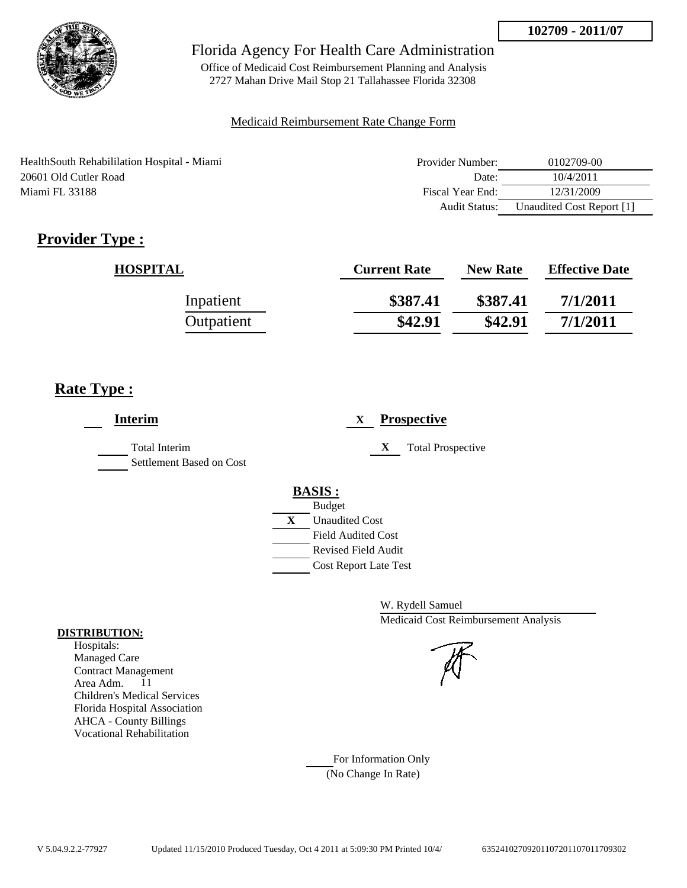

Office of Medicaid Cost Reimbursement Planning and Analysis 2727 Mahan Drive Mail Stop 21 Tallahassee Florida 32308

## Medicaid Reimbursement Rate Change Form

| Health South Rehabililation Hospital - Miami | Provider Number: | 0102709-00                |
|----------------------------------------------|------------------|---------------------------|
| 20601 Old Cutler Road                        | Date:            | 10/4/2011                 |
| Miami FL 33188                               | Fiscal Year End: | 12/31/2009                |
|                                              | Audit Status:    | Unaudited Cost Report [1] |

# **Provider Type :**

| <b>HOSPITAL</b> | <b>Current Rate</b> | <b>New Rate</b> | <b>Effective Date</b> |
|-----------------|---------------------|-----------------|-----------------------|
| Inpatient       | \$387.41            | \$387.41        | 7/1/2011              |
| Outpatient      | \$42.91             | \$42.91         | 7/1/2011              |

# **Rate Type :**

| <b>Interim</b>                            | <b>Prospective</b><br>X               |
|-------------------------------------------|---------------------------------------|
| Total Interim<br>Settlement Based on Cost | X<br><b>Total Prospective</b>         |
|                                           | <b>BASIS:</b>                         |
|                                           | <b>Budget</b>                         |
|                                           | $\mathbf{X}$<br><b>Unaudited Cost</b> |
|                                           | <b>Field Audited Cost</b>             |
|                                           | <b>Revised Field Audit</b>            |
|                                           | <b>Cost Report Late Test</b>          |
|                                           |                                       |

W. Rydell Samuel Medicaid Cost Reimbursement Analysis

For Information Only (No Change In Rate)

## **DISTRIBUTION:**

Hospitals: Managed Care Contract Management Area Adm. 11 Children's Medical Services Florida Hospital Association AHCA - County Billings Vocational Rehabilitation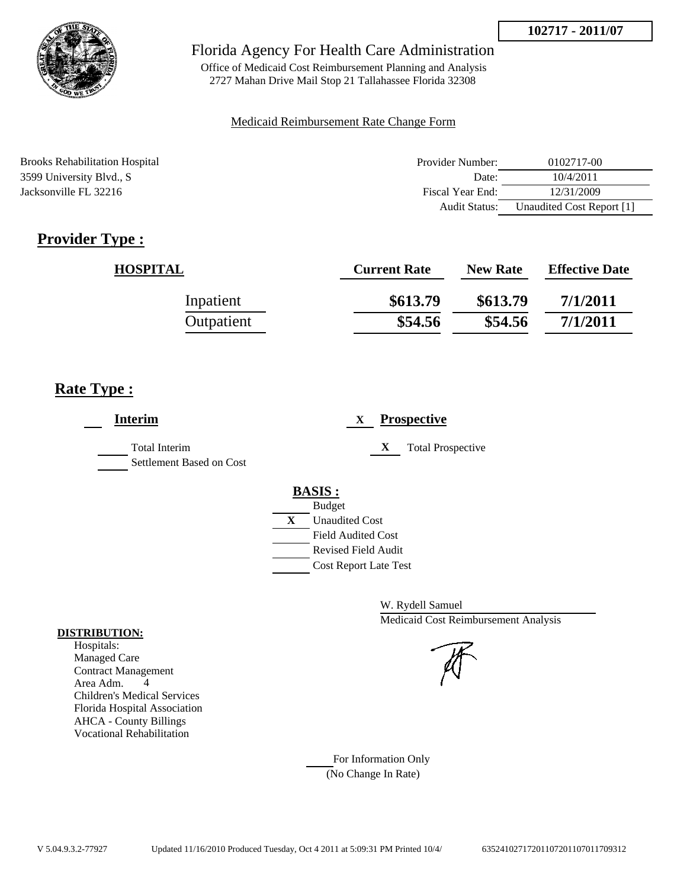

Office of Medicaid Cost Reimbursement Planning and Analysis 2727 Mahan Drive Mail Stop 21 Tallahassee Florida 32308

## Medicaid Reimbursement Rate Change Form

Brooks Rehabilitation Hospital **Provider Number:** 0102717-00 3599 University Blvd., S Date: 10/4/2011 Jacksonville FL 32216 Fiscal Year End: 12/31/2009 Audit Status: Unaudited Cost Report [1]

# **Provider Type :**

| <b>HOSPITAL</b> | <b>Current Rate</b> | <b>New Rate</b> | <b>Effective Date</b> |
|-----------------|---------------------|-----------------|-----------------------|
| Inpatient       | \$613.79            | \$613.79        | 7/1/2011              |
| Outpatient      | \$54.56             | \$54.56         | 7/1/2011              |

# **Rate Type :**

| <b>Interim</b>                                   | <b>Prospective</b><br>X                                                                                                                                 |
|--------------------------------------------------|---------------------------------------------------------------------------------------------------------------------------------------------------------|
| <b>Total Interim</b><br>Settlement Based on Cost | X<br><b>Total Prospective</b>                                                                                                                           |
|                                                  | <b>BASIS:</b><br><b>Budget</b><br>X<br><b>Unaudited Cost</b><br><b>Field Audited Cost</b><br><b>Revised Field Audit</b><br><b>Cost Report Late Test</b> |

W. Rydell Samuel Medicaid Cost Reimbursement Analysis

For Information Only (No Change In Rate)

## **DISTRIBUTION:**

Hospitals: Managed Care Contract Management Area Adm. 4 Children's Medical Services Florida Hospital Association AHCA - County Billings Vocational Rehabilitation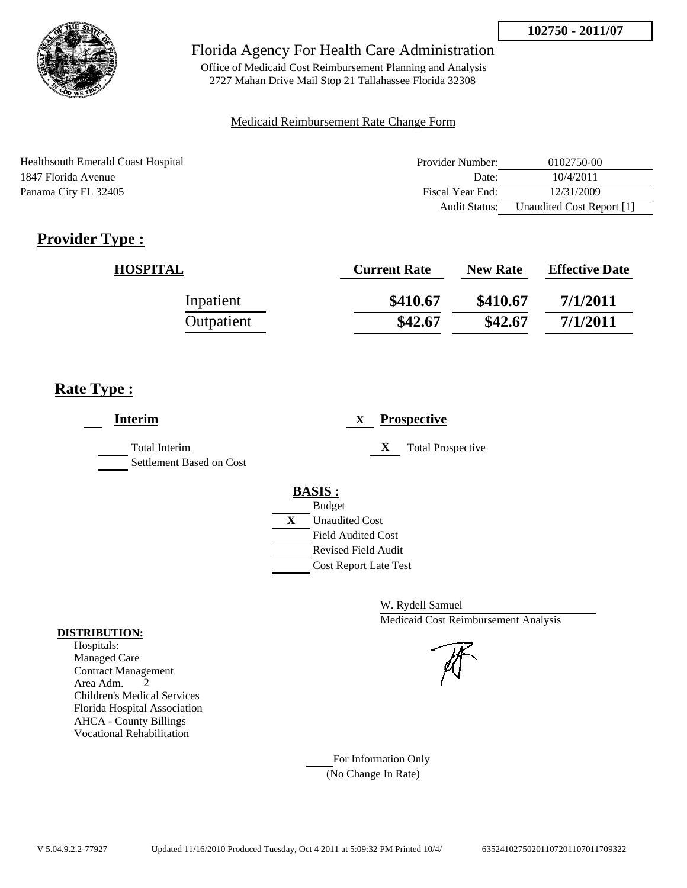

Office of Medicaid Cost Reimbursement Planning and Analysis 2727 Mahan Drive Mail Stop 21 Tallahassee Florida 32308

## Medicaid Reimbursement Rate Change Form

| Healthsouth Emerald Coast Hospital | Provider Number:     | 0102750-00                |
|------------------------------------|----------------------|---------------------------|
| 1847 Florida Avenue                | Date:                | 10/4/2011                 |
| Panama City FL 32405               | Fiscal Year End:     | 12/31/2009                |
|                                    | <b>Audit Status:</b> | Unaudited Cost Report [1] |

# **Provider Type :**

| <b>HOSPITAL</b> | <b>Current Rate</b> | <b>New Rate</b> | <b>Effective Date</b> |
|-----------------|---------------------|-----------------|-----------------------|
| Inpatient       | \$410.67            | \$410.67        | 7/1/2011              |
| Outpatient      | \$42.67             | \$42.67         | 7/1/2011              |

# **Rate Type :**

| <b>Interim</b>                                   |   |                              | X |   | <b>Prospective</b>       |
|--------------------------------------------------|---|------------------------------|---|---|--------------------------|
| <b>Total Interim</b><br>Settlement Based on Cost |   |                              |   | X | <b>Total Prospective</b> |
|                                                  |   | <b>BASIS:</b>                |   |   |                          |
|                                                  |   | <b>Budget</b>                |   |   |                          |
|                                                  | X | <b>Unaudited Cost</b>        |   |   |                          |
|                                                  |   | <b>Field Audited Cost</b>    |   |   |                          |
|                                                  |   | Revised Field Audit          |   |   |                          |
|                                                  |   | <b>Cost Report Late Test</b> |   |   |                          |
|                                                  |   |                              |   |   |                          |

W. Rydell Samuel Medicaid Cost Reimbursement Analysis

For Information Only (No Change In Rate)

## **DISTRIBUTION:**

Hospitals: Managed Care Contract Management Area Adm. 2 Children's Medical Services Florida Hospital Association AHCA - County Billings Vocational Rehabilitation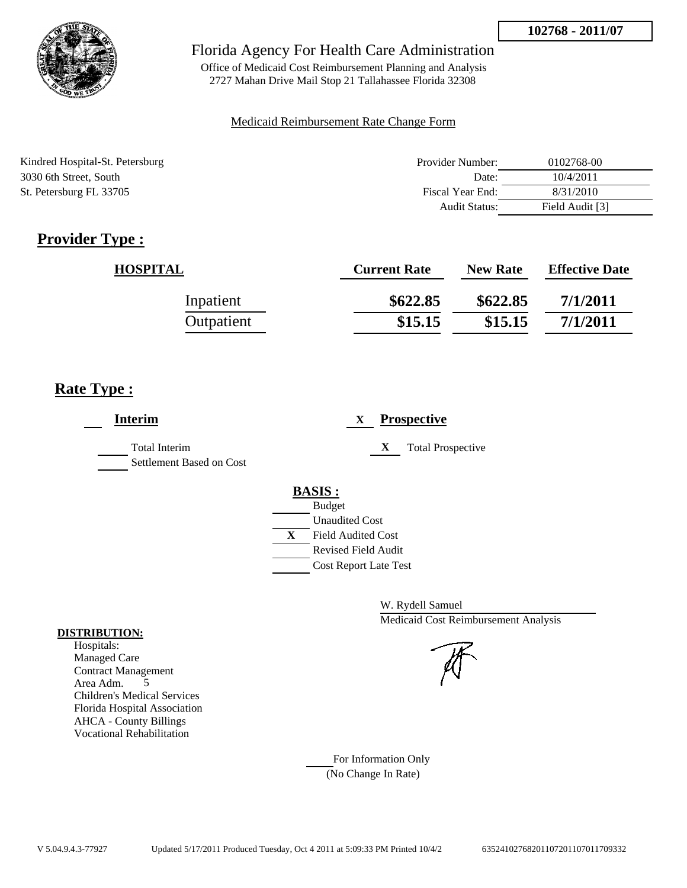

Office of Medicaid Cost Reimbursement Planning and Analysis 2727 Mahan Drive Mail Stop 21 Tallahassee Florida 32308

## Medicaid Reimbursement Rate Change Form

| Kindred Hospital-St. Petersburg | Provider Number: | 0102768-00      |
|---------------------------------|------------------|-----------------|
| 3030 6th Street, South          | Date:            | 10/4/2011       |
| St. Petersburg FL 33705         | Fiscal Year End: | 8/31/2010       |
|                                 | Audit Status:    | Field Audit [3] |

# **Provider Type :**

| <b>HOSPITAL</b> | <b>Current Rate</b> | <b>New Rate</b> | <b>Effective Date</b> |
|-----------------|---------------------|-----------------|-----------------------|
| Inpatient       | \$622.85            | \$622.85        | 7/1/2011              |
| Outpatient      | \$15.15             | \$15.15         | 7/1/2011              |

# **Rate Type :**

 $\overline{a}$ 

| <b>Interim</b>                            | <b>Prospective</b><br>X                                                                                                                          |
|-------------------------------------------|--------------------------------------------------------------------------------------------------------------------------------------------------|
| Total Interim<br>Settlement Based on Cost | X<br><b>Total Prospective</b>                                                                                                                    |
|                                           | <b>BASIS:</b><br><b>Budget</b><br><b>Unaudited Cost</b><br>X<br><b>Field Audited Cost</b><br>Revised Field Audit<br><b>Cost Report Late Test</b> |

W. Rydell Samuel Medicaid Cost Reimbursement Analysis

For Information Only (No Change In Rate)

## **DISTRIBUTION:**

Hospitals: Managed Care Contract Management Area Adm. 5 Children's Medical Services Florida Hospital Association AHCA - County Billings Vocational Rehabilitation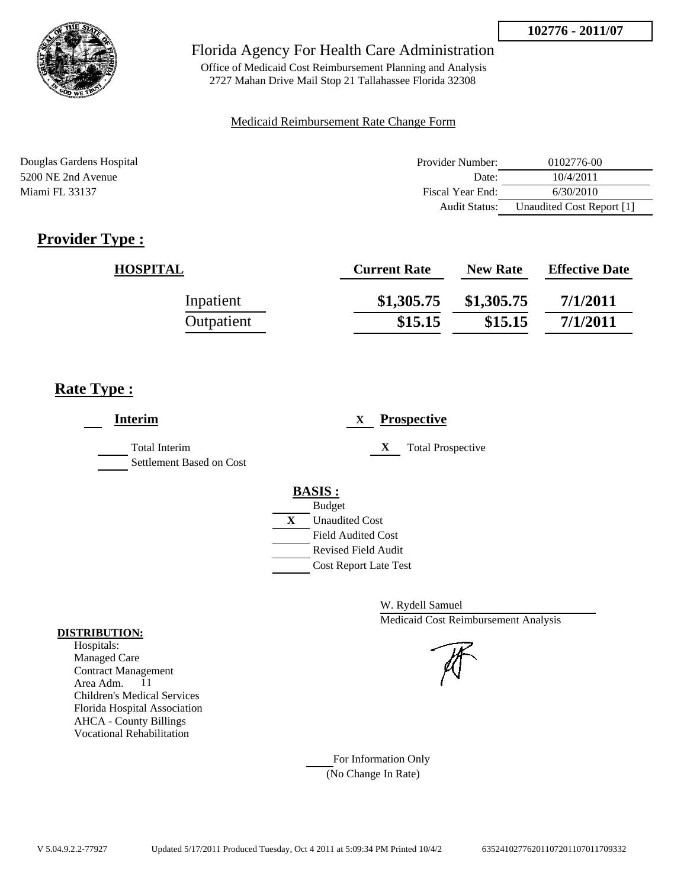

Office of Medicaid Cost Reimbursement Planning and Analysis 2727 Mahan Drive Mail Stop 21 Tallahassee Florida 32308

## Medicaid Reimbursement Rate Change Form

| Douglas Gardens Hospital | Provider Number:     | 0102776-00                |
|--------------------------|----------------------|---------------------------|
| 5200 NE 2nd Avenue       | Date:                | 10/4/2011                 |
| Miami FL 33137           | Fiscal Year End:     | 6/30/2010                 |
|                          | <b>Audit Status:</b> | Unaudited Cost Report [1] |

# **Provider Type :**

| <b>HOSPITAL</b> | <b>Current Rate</b> | <b>New Rate</b> | <b>Effective Date</b> |
|-----------------|---------------------|-----------------|-----------------------|
| Inpatient       | \$1,305.75          | \$1,305.75      | 7/1/2011              |
| Outpatient      | \$15.15             | \$15.15         | 7/1/2011              |

# **Rate Type :**

| <b>Interim</b>                                   | <b>Prospective</b><br>X                     |
|--------------------------------------------------|---------------------------------------------|
| <b>Total Interim</b><br>Settlement Based on Cost | <b>Total Prospective</b><br>X               |
|                                                  | <b>BASIS:</b>                               |
|                                                  | <b>Budget</b><br>X<br><b>Unaudited Cost</b> |
|                                                  | <b>Field Audited Cost</b>                   |
|                                                  | <b>Revised Field Audit</b>                  |
|                                                  | <b>Cost Report Late Test</b>                |

W. Rydell Samuel Medicaid Cost Reimbursement Analysis

For Information Only (No Change In Rate)

## **DISTRIBUTION:**

Hospitals: Managed Care Contract Management Area Adm. 11 Children's Medical Services Florida Hospital Association AHCA - County Billings Vocational Rehabilitation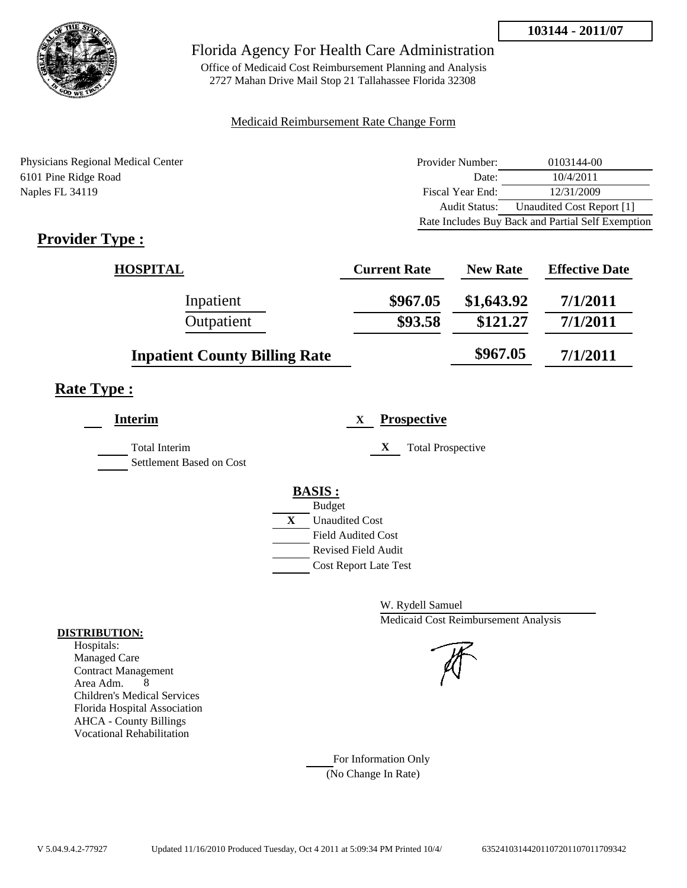

Office of Medicaid Cost Reimbursement Planning and Analysis 2727 Mahan Drive Mail Stop 21 Tallahassee Florida 32308

## Medicaid Reimbursement Rate Change Form

Physicians Regional Medical Center 6101 Pine Ridge Road Naples FL 34119

| Provider Number: | 0103144-00                                        |
|------------------|---------------------------------------------------|
| Date:            | 10/4/2011                                         |
| Fiscal Year End: | 12/31/2009                                        |
| Audit Status:    | Unaudited Cost Report [1]                         |
|                  | Rate Includes Buy Back and Partial Self Exemption |

# **Provider Type :**

| <b>HOSPITAL</b>                      | <b>Current Rate</b> | <b>New Rate</b> | <b>Effective Date</b> |
|--------------------------------------|---------------------|-----------------|-----------------------|
| Inpatient                            | \$967.05            | \$1,643.92      | 7/1/2011              |
| Outpatient                           | \$93.58             | \$121.27        | 7/1/2011              |
| <b>Inpatient County Billing Rate</b> |                     | \$967.05        | 7/1/2011              |

# **Rate Type :**

| <b>Interim</b>           |   | <b>Prospective</b><br>X       |
|--------------------------|---|-------------------------------|
| <b>Total Interim</b>     |   | X<br><b>Total Prospective</b> |
| Settlement Based on Cost |   |                               |
|                          |   | <b>BASIS:</b>                 |
|                          |   | <b>Budget</b>                 |
|                          | X | <b>Unaudited Cost</b>         |
|                          |   | <b>Field Audited Cost</b>     |
|                          |   | Revised Field Audit           |
|                          |   | <b>Cost Report Late Test</b>  |
|                          |   |                               |

W. Rydell Samuel Medicaid Cost Reimbursement Analysis



For Information Only (No Change In Rate)

## **DISTRIBUTION:**

Hospitals: Managed Care Contract Management Area Adm. 8 Children's Medical Services Florida Hospital Association AHCA - County Billings Vocational Rehabilitation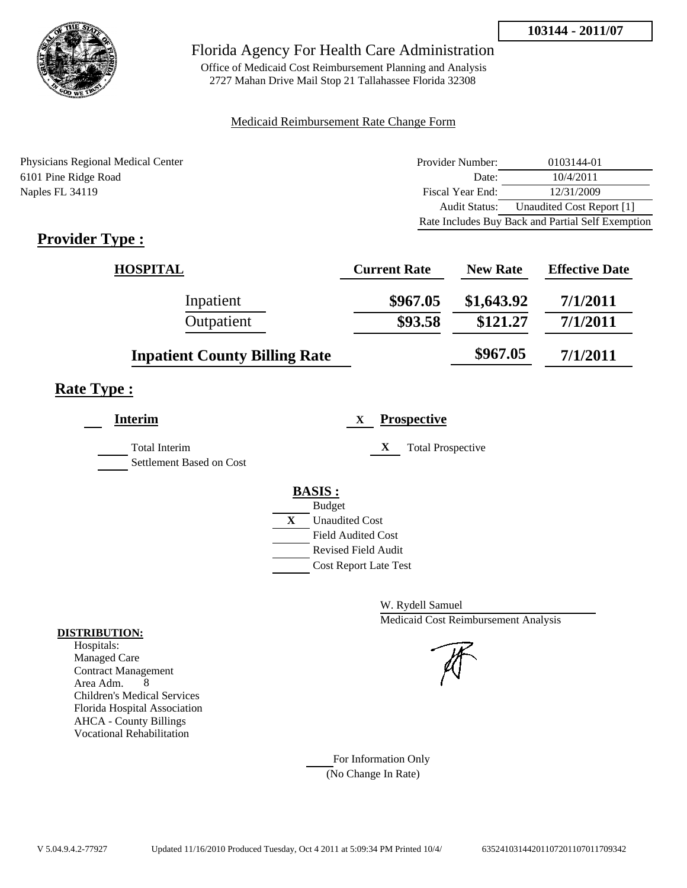

Office of Medicaid Cost Reimbursement Planning and Analysis 2727 Mahan Drive Mail Stop 21 Tallahassee Florida 32308

## Medicaid Reimbursement Rate Change Form

Physicians Regional Medical Center 6101 Pine Ridge Road Naples FL 34119

| Provider Number: | 0103144-01                                        |
|------------------|---------------------------------------------------|
| Date:            | 10/4/2011                                         |
| Fiscal Year End: | 12/31/2009                                        |
| Audit Status:    | Unaudited Cost Report [1]                         |
|                  | Rate Includes Buy Back and Partial Self Exemption |

# **Provider Type :**

| <b>HOSPITAL</b>                      | <b>Current Rate</b> | <b>New Rate</b> | <b>Effective Date</b> |
|--------------------------------------|---------------------|-----------------|-----------------------|
| Inpatient                            | \$967.05            | \$1,643.92      | 7/1/2011              |
| Outpatient                           | \$93.58             | \$121.27        | 7/1/2011              |
| <b>Inpatient County Billing Rate</b> |                     | \$967.05        | 7/1/2011              |

# **Rate Type :**

| <b>Interim</b>                                   |   | <b>Prospective</b><br>X       |
|--------------------------------------------------|---|-------------------------------|
| <b>Total Interim</b><br>Settlement Based on Cost |   | X<br><b>Total Prospective</b> |
|                                                  |   | <b>BASIS:</b>                 |
|                                                  |   | <b>Budget</b>                 |
|                                                  | X | <b>Unaudited Cost</b>         |
|                                                  |   | <b>Field Audited Cost</b>     |
|                                                  |   | <b>Revised Field Audit</b>    |
|                                                  |   | <b>Cost Report Late Test</b>  |
|                                                  |   |                               |

W. Rydell Samuel Medicaid Cost Reimbursement Analysis



For Information Only (No Change In Rate)

## **DISTRIBUTION:**

Hospitals: Managed Care Contract Management Area Adm. 8 Children's Medical Services Florida Hospital Association AHCA - County Billings Vocational Rehabilitation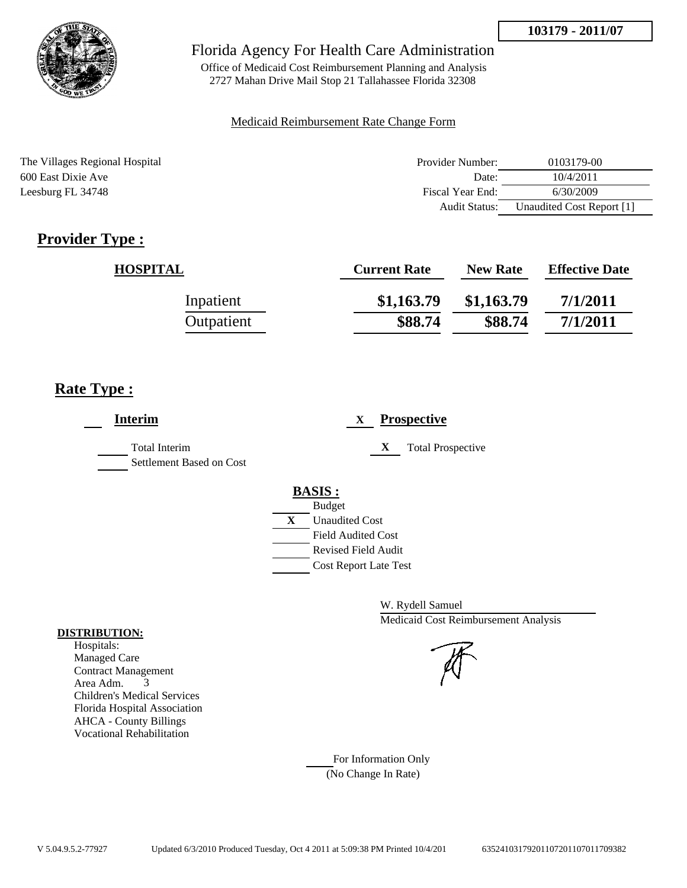

Office of Medicaid Cost Reimbursement Planning and Analysis 2727 Mahan Drive Mail Stop 21 Tallahassee Florida 32308

## Medicaid Reimbursement Rate Change Form

The Villages Regional Hospital **Provider Number:** 0103179-00 600 East Dixie Ave Date: 10/4/2011 Leesburg FL 34748 Fiscal Year End: 6/30/2009 Audit Status: Unaudited Cost Report [1]

# **Provider Type :**

| <b>HOSPITAL</b> | <b>Current Rate</b> | <b>New Rate</b> | <b>Effective Date</b> |
|-----------------|---------------------|-----------------|-----------------------|
| Inpatient       | \$1,163.79          | \$1,163.79      | 7/1/2011              |
| Outpatient      | \$88.74             | \$88.74         | 7/1/2011              |

# **Rate Type :**

| <b>Interim</b>                            | <b>Prospective</b><br>X                                                                                                                                 |
|-------------------------------------------|---------------------------------------------------------------------------------------------------------------------------------------------------------|
| Total Interim<br>Settlement Based on Cost | <b>Total Prospective</b><br>$\mathbf X$                                                                                                                 |
|                                           | <b>BASIS:</b><br><b>Budget</b><br>X<br><b>Unaudited Cost</b><br><b>Field Audited Cost</b><br><b>Revised Field Audit</b><br><b>Cost Report Late Test</b> |

W. Rydell Samuel Medicaid Cost Reimbursement Analysis

For Information Only (No Change In Rate)

## **DISTRIBUTION:**

Hospitals: Managed Care Contract Management Area Adm. 3 Children's Medical Services Florida Hospital Association AHCA - County Billings Vocational Rehabilitation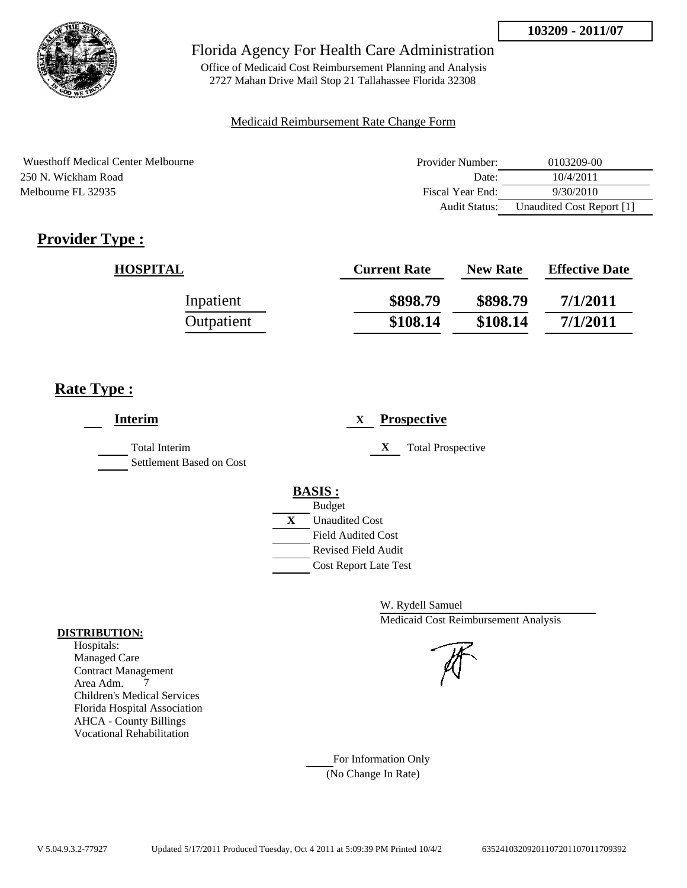

Office of Medicaid Cost Reimbursement Planning and Analysis 2727 Mahan Drive Mail Stop 21 Tallahassee Florida 32308

## Medicaid Reimbursement Rate Change Form

Wuesthoff Medical Center Melbourne 250 N. Wickham Road Melbourne FL 32935

| Provider Number: | 0103209-00                |
|------------------|---------------------------|
| Date:            | 10/4/2011                 |
| Fiscal Year End: | 9/30/2010                 |
| Audit Status:    | Unaudited Cost Report [1] |

# **Provider Type :**

| <b>HOSPITAL</b> | <b>Current Rate</b> | <b>New Rate</b> | <b>Effective Date</b> |
|-----------------|---------------------|-----------------|-----------------------|
| Inpatient       | \$898.79            | \$898.79        | 7/1/2011              |
| Outpatient      | \$108.14            | \$108.14        | 7/1/2011              |

# **Rate Type :**

| <b>Interim</b>                                   | <b>Prospective</b><br>X                                                                                                                          |
|--------------------------------------------------|--------------------------------------------------------------------------------------------------------------------------------------------------|
| <b>Total Interim</b><br>Settlement Based on Cost | X<br><b>Total Prospective</b>                                                                                                                    |
|                                                  | <b>BASIS:</b><br><b>Budget</b><br>X<br><b>Unaudited Cost</b><br><b>Field Audited Cost</b><br>Revised Field Audit<br><b>Cost Report Late Test</b> |

W. Rydell Samuel Medicaid Cost Reimbursement Analysis

For Information Only (No Change In Rate)

## **DISTRIBUTION:**

Hospitals: Managed Care Contract Management Area Adm. 7 Children's Medical Services Florida Hospital Association AHCA - County Billings Vocational Rehabilitation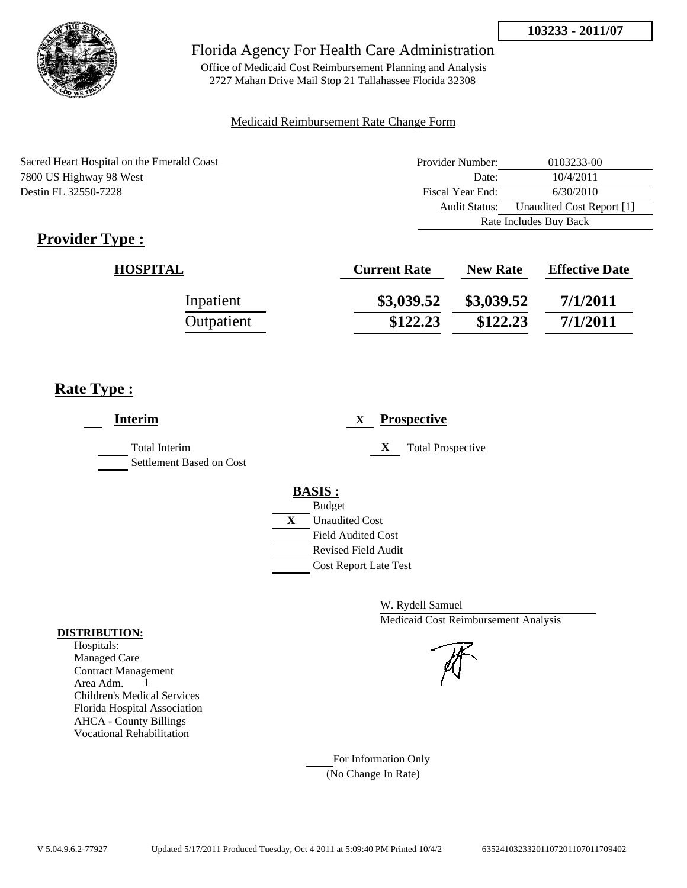

Office of Medicaid Cost Reimbursement Planning and Analysis 2727 Mahan Drive Mail Stop 21 Tallahassee Florida 32308

## Medicaid Reimbursement Rate Change Form

| Sacred Heart Hospital on the Emerald Coast | Provider Number:     | 0103233-00                |
|--------------------------------------------|----------------------|---------------------------|
| 7800 US Highway 98 West                    | Date:                | 10/4/2011                 |
| Destin FL 32550-7228                       | Fiscal Year End:     | 6/30/2010                 |
|                                            | <b>Audit Status:</b> | Unaudited Cost Report [1] |
|                                            |                      | Rate Includes Buy Back    |

# **Provider Type :**

| <b>HOSPITAL</b> | <b>Current Rate</b> | <b>New Rate</b> | <b>Effective Date</b> |
|-----------------|---------------------|-----------------|-----------------------|
| Inpatient       | \$3,039.52          | \$3,039.52      | 7/1/2011              |
| Outpatient      | \$122.23            | \$122.23        | 7/1/2011              |

# **Rate Type :**

| <b>Interim</b>                            | <b>Prospective</b><br>X                                                                                              |
|-------------------------------------------|----------------------------------------------------------------------------------------------------------------------|
| Total Interim<br>Settlement Based on Cost | X<br><b>Total Prospective</b>                                                                                        |
|                                           | <b>BASIS:</b><br><b>Budget</b><br>$\mathbf{X}$<br><b>Unaudited Cost</b><br>Field Audited Cost<br>Revised Field Audit |
|                                           | <b>Cost Report Late Test</b>                                                                                         |

W. Rydell Samuel Medicaid Cost Reimbursement Analysis

## For Information Only (No Change In Rate)

#### **DISTRIBUTION:**

Hospitals: Managed Care Contract Management Area Adm. 1 Children's Medical Services Florida Hospital Association AHCA - County Billings Vocational Rehabilitation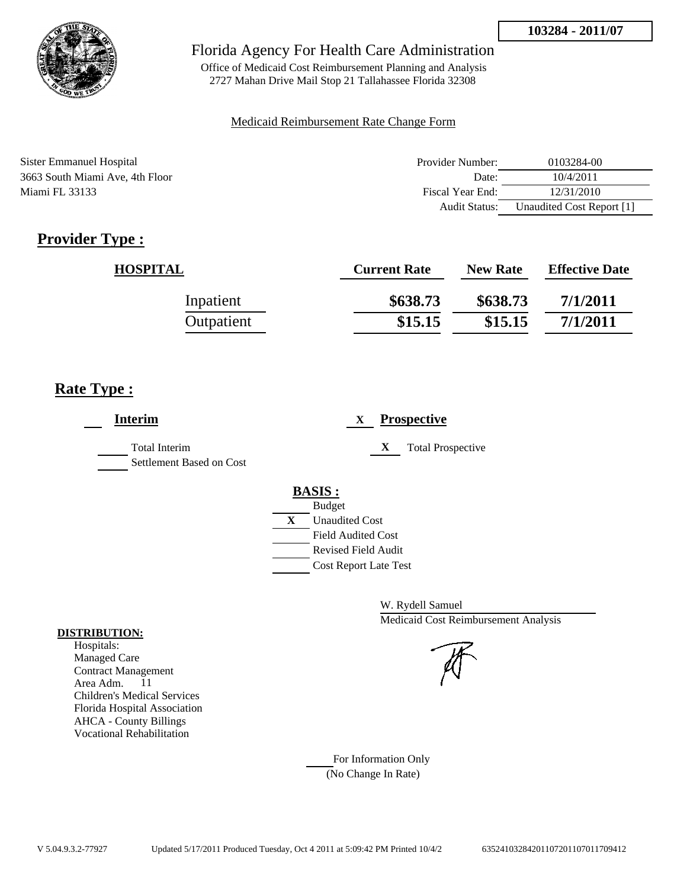

Office of Medicaid Cost Reimbursement Planning and Analysis 2727 Mahan Drive Mail Stop 21 Tallahassee Florida 32308

## Medicaid Reimbursement Rate Change Form

| Sister Emmanuel Hospital        | Provider Number: | 0103284-00                |
|---------------------------------|------------------|---------------------------|
| 3663 South Miami Ave, 4th Floor | Date:            | 10/4/2011                 |
| Miami FL 33133                  | Fiscal Year End: | 12/31/2010                |
|                                 | Audit Status:    | Unaudited Cost Report [1] |

# **Provider Type :**

| <b>HOSPITAL</b> | <b>Current Rate</b> | <b>New Rate</b> | <b>Effective Date</b> |
|-----------------|---------------------|-----------------|-----------------------|
| Inpatient       | \$638.73            | \$638.73        | 7/1/2011              |
| Outpatient      | \$15.15             | \$15.15         | 7/1/2011              |

# **Rate Type :**

| <b>Interim</b>                            | <b>Prospective</b><br>X       |
|-------------------------------------------|-------------------------------|
| Total Interim<br>Settlement Based on Cost | X<br><b>Total Prospective</b> |
|                                           | <b>BASIS:</b>                 |
|                                           | <b>Budget</b>                 |
|                                           | X<br><b>Unaudited Cost</b>    |
|                                           | <b>Field Audited Cost</b>     |
|                                           | <b>Revised Field Audit</b>    |
|                                           | <b>Cost Report Late Test</b>  |
|                                           |                               |

W. Rydell Samuel Medicaid Cost Reimbursement Analysis



For Information Only (No Change In Rate)

## **DISTRIBUTION:**

Hospitals: Managed Care Contract Management Area Adm. 11 Children's Medical Services Florida Hospital Association AHCA - County Billings Vocational Rehabilitation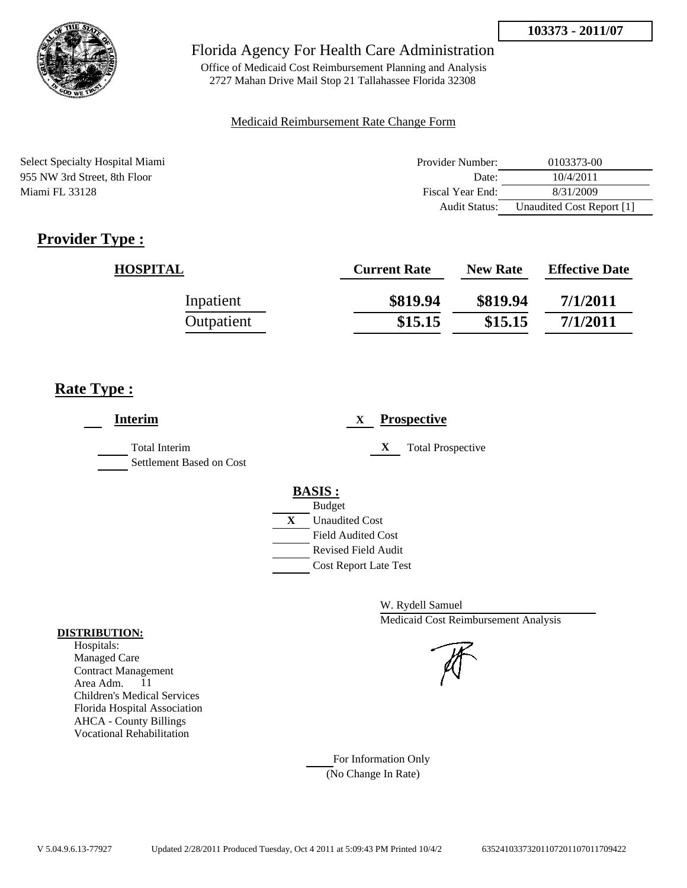

Office of Medicaid Cost Reimbursement Planning and Analysis 2727 Mahan Drive Mail Stop 21 Tallahassee Florida 32308

## Medicaid Reimbursement Rate Change Form

Select Specialty Hospital Miami 955 NW 3rd Street, 8th Floor Miami FL 33128

| Provider Number: | 0103373-00                |
|------------------|---------------------------|
| Date:            | 10/4/2011                 |
| Fiscal Year End: | 8/31/2009                 |
| Audit Status:    | Unaudited Cost Report [1] |

# **Provider Type :**

| <b>HOSPITAL</b> | <b>Current Rate</b> | <b>New Rate</b> | <b>Effective Date</b> |
|-----------------|---------------------|-----------------|-----------------------|
| Inpatient       | \$819.94            | \$819.94        | 7/1/2011              |
| Outpatient      | \$15.15             | \$15.15         | 7/1/2011              |

# **Rate Type :**

| <b>Interim</b>                            | <b>Prospective</b><br>X       |
|-------------------------------------------|-------------------------------|
| Total Interim<br>Settlement Based on Cost | X<br><b>Total Prospective</b> |
|                                           | <b>BASIS:</b>                 |
|                                           | <b>Budget</b>                 |
|                                           | X<br><b>Unaudited Cost</b>    |
|                                           | <b>Field Audited Cost</b>     |
|                                           | <b>Revised Field Audit</b>    |
|                                           | <b>Cost Report Late Test</b>  |
|                                           |                               |

W. Rydell Samuel Medicaid Cost Reimbursement Analysis



For Information Only (No Change In Rate)

## **DISTRIBUTION:**

Hospitals: Managed Care Contract Management Area Adm. 11 Children's Medical Services Florida Hospital Association AHCA - County Billings Vocational Rehabilitation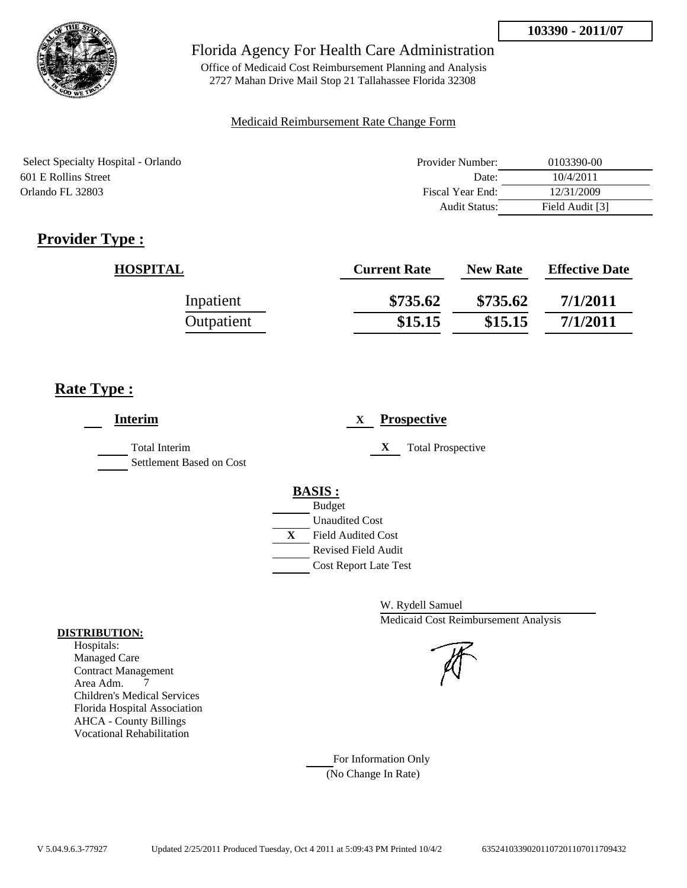

Office of Medicaid Cost Reimbursement Planning and Analysis 2727 Mahan Drive Mail Stop 21 Tallahassee Florida 32308

## Medicaid Reimbursement Rate Change Form

| Select Specialty Hospital - Orlando | Provider Number:     | 0103390-00      |
|-------------------------------------|----------------------|-----------------|
| 601 E Rollins Street                | Date:                | 10/4/2011       |
| Orlando FL 32803                    | Fiscal Year End:     | 12/31/2009      |
|                                     | <b>Audit Status:</b> | Field Audit [3] |

# **Provider Type :**

| <b>HOSPITAL</b> | <b>Current Rate</b> | <b>New Rate</b> | <b>Effective Date</b> |
|-----------------|---------------------|-----------------|-----------------------|
| Inpatient       | \$735.62            | \$735.62        | 7/1/2011              |
| Outpatient      | \$15.15             | \$15.15         | 7/1/2011              |

# **Rate Type :**

| <b>Interim</b>                            | <b>Prospective</b><br>X                                                                                                                                 |
|-------------------------------------------|---------------------------------------------------------------------------------------------------------------------------------------------------------|
| Total Interim<br>Settlement Based on Cost | X<br><b>Total Prospective</b>                                                                                                                           |
|                                           | <b>BASIS:</b><br><b>Budget</b><br><b>Unaudited Cost</b><br>X<br><b>Field Audited Cost</b><br><b>Revised Field Audit</b><br><b>Cost Report Late Test</b> |

W. Rydell Samuel Medicaid Cost Reimbursement Analysis

For Information Only (No Change In Rate)

## **DISTRIBUTION:**

Hospitals: Managed Care Contract Management Area Adm. 7 Children's Medical Services Florida Hospital Association AHCA - County Billings Vocational Rehabilitation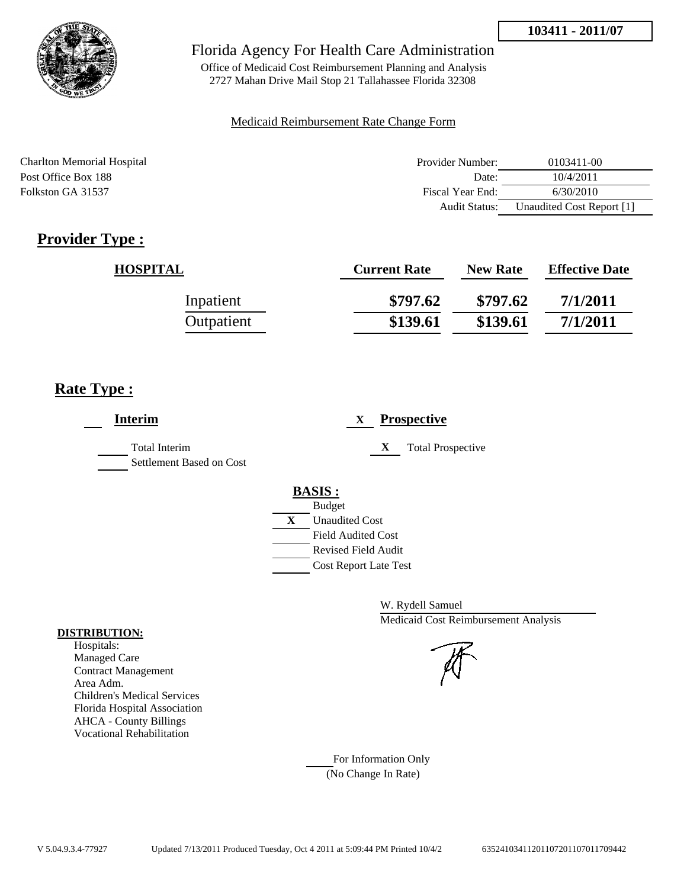

Office of Medicaid Cost Reimbursement Planning and Analysis 2727 Mahan Drive Mail Stop 21 Tallahassee Florida 32308

## Medicaid Reimbursement Rate Change Form

| Charlton Memorial Hospital | Provider Number:     | 0103411-00                |
|----------------------------|----------------------|---------------------------|
| Post Office Box 188        | Date:                | 10/4/2011                 |
| Folkston GA 31537          | Fiscal Year End:     | 6/30/2010                 |
|                            | <b>Audit Status:</b> | Unaudited Cost Report [1] |

# **Provider Type :**

| <b>HOSPITAL</b> | <b>Current Rate</b> | <b>New Rate</b> | <b>Effective Date</b> |
|-----------------|---------------------|-----------------|-----------------------|
| Inpatient       | \$797.62            | \$797.62        | 7/1/2011              |
| Outpatient      | \$139.61            | \$139.61        | 7/1/2011              |

# **Rate Type :**

| <b>Interim</b>                                   | <b>Prospective</b><br>X       |
|--------------------------------------------------|-------------------------------|
| <b>Total Interim</b><br>Settlement Based on Cost | X<br><b>Total Prospective</b> |
|                                                  | <b>BASIS:</b>                 |
|                                                  | <b>Budget</b>                 |
|                                                  | X<br><b>Unaudited Cost</b>    |
|                                                  | <b>Field Audited Cost</b>     |
|                                                  | Revised Field Audit           |
|                                                  | <b>Cost Report Late Test</b>  |
|                                                  |                               |

W. Rydell Samuel Medicaid Cost Reimbursement Analysis

For Information Only (No Change In Rate)

## **DISTRIBUTION:**

Hospitals: Managed Care Contract Management Area Adm. Children's Medical Services Florida Hospital Association AHCA - County Billings Vocational Rehabilitation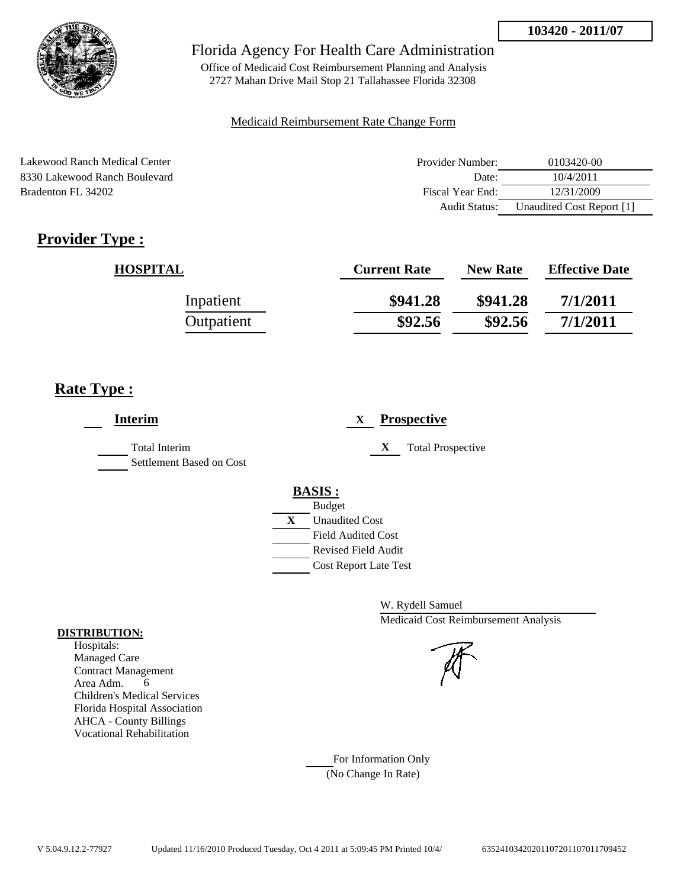

Office of Medicaid Cost Reimbursement Planning and Analysis 2727 Mahan Drive Mail Stop 21 Tallahassee Florida 32308

## Medicaid Reimbursement Rate Change Form

Lakewood Ranch Medical Center 8330 Lakewood Ranch Boulevard Bradenton FL 34202

| Provider Number: | 0103420-00                |
|------------------|---------------------------|
| Date:            | 10/4/2011                 |
| Fiscal Year End: | 12/31/2009                |
| Audit Status:    | Unaudited Cost Report [1] |

# **Provider Type :**

| <b>HOSPITAL</b> | <b>Current Rate</b> | <b>New Rate</b> | <b>Effective Date</b> |
|-----------------|---------------------|-----------------|-----------------------|
| Inpatient       | \$941.28            | \$941.28        | 7/1/2011              |
| Outpatient      | \$92.56             | \$92.56         | 7/1/2011              |

# **Rate Type :**

| <b>Interim</b>                                   | <b>Prospective</b><br>X                                                                                                                                 |
|--------------------------------------------------|---------------------------------------------------------------------------------------------------------------------------------------------------------|
| <b>Total Interim</b><br>Settlement Based on Cost | X<br><b>Total Prospective</b>                                                                                                                           |
|                                                  | <b>BASIS:</b><br><b>Budget</b><br>X<br><b>Unaudited Cost</b><br><b>Field Audited Cost</b><br><b>Revised Field Audit</b><br><b>Cost Report Late Test</b> |

W. Rydell Samuel Medicaid Cost Reimbursement Analysis

For Information Only (No Change In Rate)

## **DISTRIBUTION:**

Hospitals: Managed Care Contract Management Area Adm. 6 Children's Medical Services Florida Hospital Association AHCA - County Billings Vocational Rehabilitation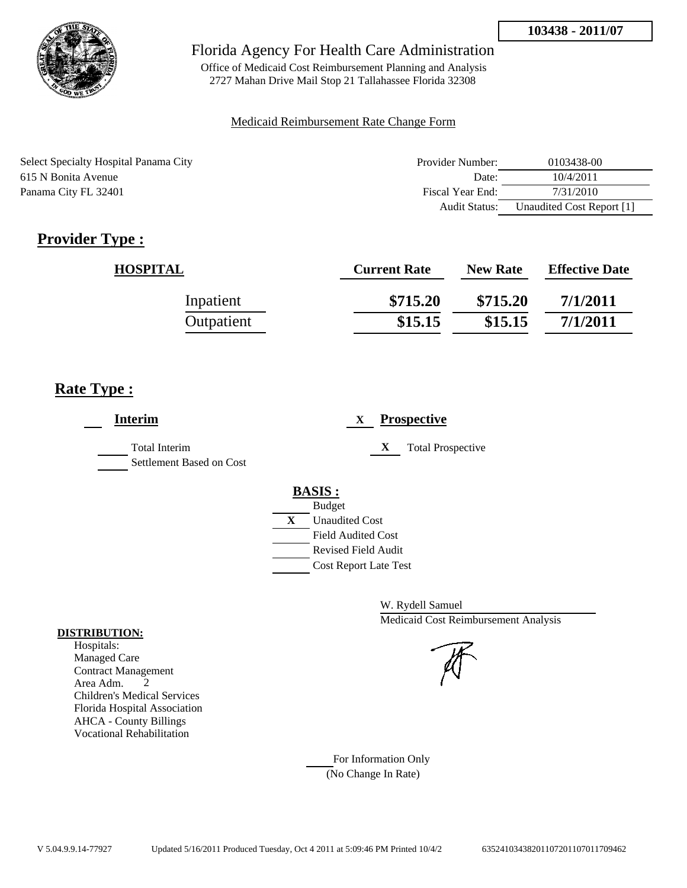

Office of Medicaid Cost Reimbursement Planning and Analysis 2727 Mahan Drive Mail Stop 21 Tallahassee Florida 32308

## Medicaid Reimbursement Rate Change Form

Select Specialty Hospital Panama City 615 N Bonita Avenue Panama City FL 32401

| Provider Number:     | 0103438-00                |
|----------------------|---------------------------|
| Date:                | 10/4/2011                 |
| Fiscal Year End:     | 7/31/2010                 |
| <b>Audit Status:</b> | Unaudited Cost Report [1] |

# **Provider Type :**

| <b>HOSPITAL</b> | <b>Current Rate</b> | <b>New Rate</b> | <b>Effective Date</b> |
|-----------------|---------------------|-----------------|-----------------------|
| Inpatient       | \$715.20            | \$715.20        | 7/1/2011              |
| Outpatient      | \$15.15             | \$15.15         | 7/1/2011              |

# **Rate Type :**

| <b>Interim</b>                                   | <b>Prospective</b><br>X                                                                                                                                 |
|--------------------------------------------------|---------------------------------------------------------------------------------------------------------------------------------------------------------|
| <b>Total Interim</b><br>Settlement Based on Cost | X<br><b>Total Prospective</b>                                                                                                                           |
|                                                  | <b>BASIS:</b><br><b>Budget</b><br>X<br><b>Unaudited Cost</b><br><b>Field Audited Cost</b><br><b>Revised Field Audit</b><br><b>Cost Report Late Test</b> |

W. Rydell Samuel Medicaid Cost Reimbursement Analysis

For Information Only (No Change In Rate)

## **DISTRIBUTION:**

Hospitals: Managed Care Contract Management Area Adm. 2 Children's Medical Services Florida Hospital Association AHCA - County Billings Vocational Rehabilitation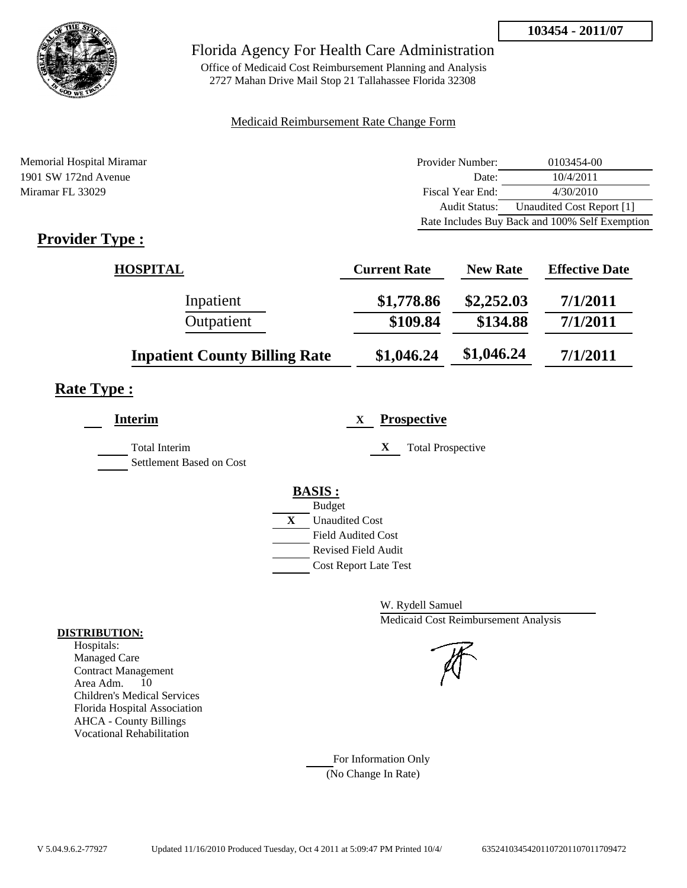

Office of Medicaid Cost Reimbursement Planning and Analysis 2727 Mahan Drive Mail Stop 21 Tallahassee Florida 32308

## Medicaid Reimbursement Rate Change Form

| Memorial Hospital Miramar | Provider Number:     | 0103454-00                                     |
|---------------------------|----------------------|------------------------------------------------|
| 1901 SW 172nd Avenue      | Date:                | 10/4/2011                                      |
| Miramar FL 33029          | Fiscal Year End:     | 4/30/2010                                      |
|                           | <b>Audit Status:</b> | Unaudited Cost Report [1]                      |
|                           |                      | Rate Includes Buy Back and 100% Self Exemption |

# **Provider Type :**

| <b>HOSPITAL</b>                      | <b>Current Rate</b> | <b>New Rate</b> | <b>Effective Date</b> |
|--------------------------------------|---------------------|-----------------|-----------------------|
| Inpatient                            | \$1,778.86          | \$2,252.03      | 7/1/2011              |
| Outpatient                           | \$109.84            | \$134.88        | 7/1/2011              |
| <b>Inpatient County Billing Rate</b> | \$1,046.24          | \$1,046.24      | 7/1/2011              |

# **Rate Type :**

L,

| <b>Interim</b>                                   | <b>Prospective</b><br>X                          |
|--------------------------------------------------|--------------------------------------------------|
| <b>Total Interim</b><br>Settlement Based on Cost | X<br><b>Total Prospective</b>                    |
|                                                  | <b>BASIS:</b>                                    |
|                                                  | <b>Budget</b><br>X<br><b>Unaudited Cost</b>      |
|                                                  | <b>Field Audited Cost</b><br>Revised Field Audit |
|                                                  | <b>Cost Report Late Test</b>                     |

W. Rydell Samuel Medicaid Cost Reimbursement Analysis

## For Information Only (No Change In Rate)

#### **DISTRIBUTION:**

Hospitals: Managed Care Contract Management Area Adm. 10 Children's Medical Services Florida Hospital Association AHCA - County Billings Vocational Rehabilitation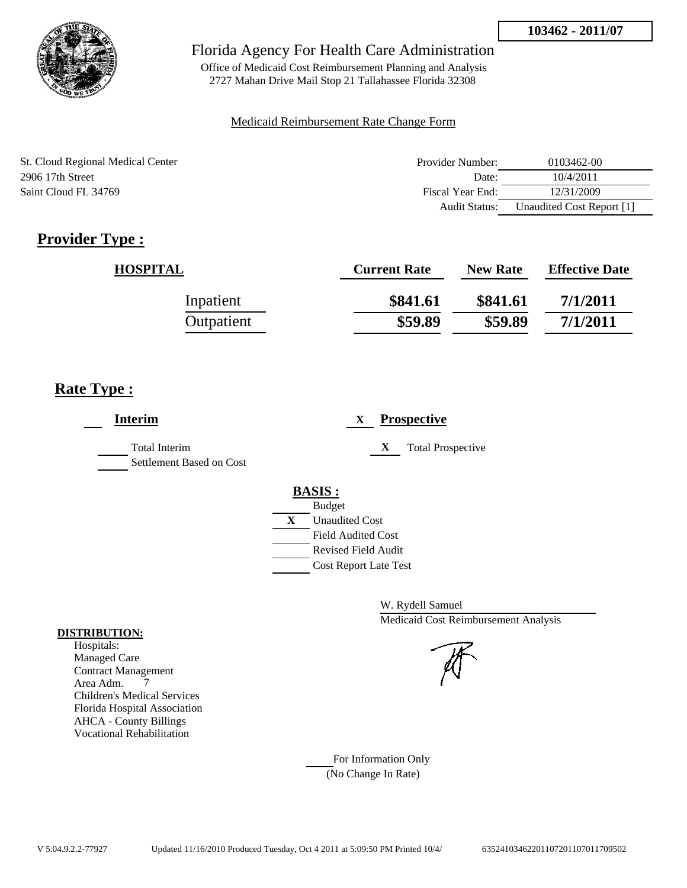

Office of Medicaid Cost Reimbursement Planning and Analysis 2727 Mahan Drive Mail Stop 21 Tallahassee Florida 32308

## Medicaid Reimbursement Rate Change Form

| St. Cloud Regional Medical Center | Provider Number:     | 0103462-00                |
|-----------------------------------|----------------------|---------------------------|
| 2906 17th Street                  | Date:                | 10/4/2011                 |
| Saint Cloud FL 34769              | Fiscal Year End:     | 12/31/2009                |
|                                   | <b>Audit Status:</b> | Unaudited Cost Report [1] |

# **Provider Type :**

| <b>HOSPITAL</b> | <b>Current Rate</b> | <b>New Rate</b> | <b>Effective Date</b> |
|-----------------|---------------------|-----------------|-----------------------|
| Inpatient       | \$841.61            | \$841.61        | 7/1/2011              |
| Outpatient      | \$59.89             | \$59.89         | 7/1/2011              |

# **Rate Type :**

| <b>Interim</b>                                   | <b>Prospective</b><br>X                                 |
|--------------------------------------------------|---------------------------------------------------------|
| <b>Total Interim</b><br>Settlement Based on Cost | <b>Total Prospective</b><br>X                           |
|                                                  | <b>BASIS:</b><br><b>Budget</b>                          |
|                                                  | X<br><b>Unaudited Cost</b>                              |
|                                                  | <b>Field Audited Cost</b><br><b>Revised Field Audit</b> |
|                                                  | <b>Cost Report Late Test</b>                            |

W. Rydell Samuel Medicaid Cost Reimbursement Analysis

For Information Only (No Change In Rate)

## **DISTRIBUTION:**

Hospitals: Managed Care Contract Management Area Adm. 7 Children's Medical Services Florida Hospital Association AHCA - County Billings Vocational Rehabilitation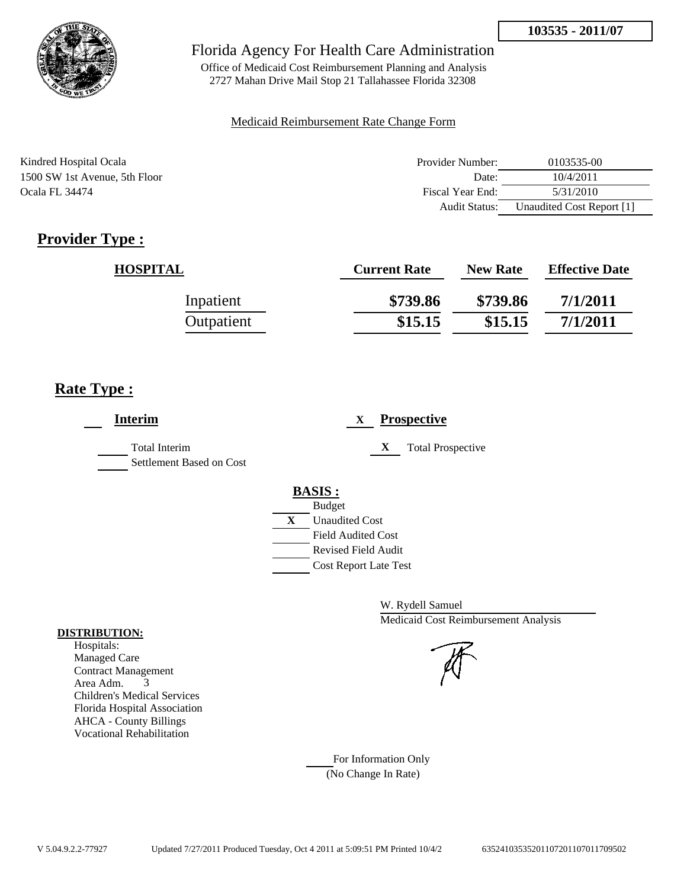

Office of Medicaid Cost Reimbursement Planning and Analysis 2727 Mahan Drive Mail Stop 21 Tallahassee Florida 32308

## Medicaid Reimbursement Rate Change Form

| Kindred Hospital Ocala        | Provider Number: | 0103535-00                |
|-------------------------------|------------------|---------------------------|
| 1500 SW 1st Avenue, 5th Floor | Date:            | 10/4/2011                 |
| <b>Ocala FL 34474</b>         | Fiscal Year End: | 5/31/2010                 |
|                               | Audit Status:    | Unaudited Cost Report [1] |

# **Provider Type :**

| <b>HOSPITAL</b> | <b>Current Rate</b> | <b>New Rate</b> | <b>Effective Date</b> |
|-----------------|---------------------|-----------------|-----------------------|
| Inpatient       | \$739.86            | \$739.86        | 7/1/2011              |
| Outpatient      | \$15.15             | \$15.15         | 7/1/2011              |

# **Rate Type :**

| <b>Interim</b>                                   | <b>Prospective</b><br>X       |
|--------------------------------------------------|-------------------------------|
| <b>Total Interim</b><br>Settlement Based on Cost | X<br><b>Total Prospective</b> |
|                                                  | <b>BASIS:</b>                 |
|                                                  | <b>Budget</b>                 |
|                                                  | X<br><b>Unaudited Cost</b>    |
|                                                  | <b>Field Audited Cost</b>     |
|                                                  | <b>Revised Field Audit</b>    |
|                                                  | <b>Cost Report Late Test</b>  |
|                                                  |                               |

W. Rydell Samuel Medicaid Cost Reimbursement Analysis

For Information Only (No Change In Rate)

## **DISTRIBUTION:**

Hospitals: Managed Care Contract Management Area Adm. 3 Children's Medical Services Florida Hospital Association AHCA - County Billings Vocational Rehabilitation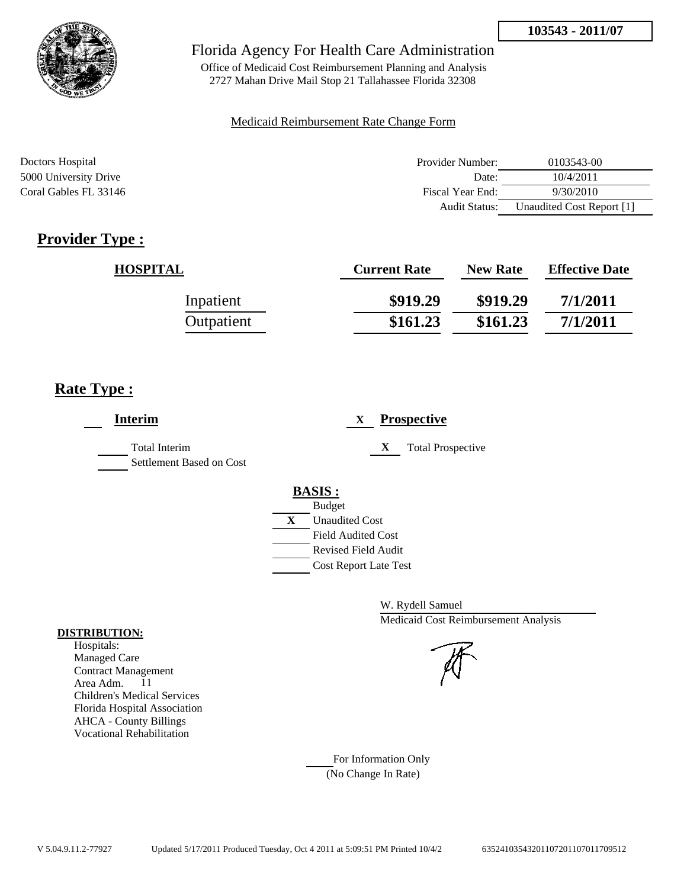

Office of Medicaid Cost Reimbursement Planning and Analysis 2727 Mahan Drive Mail Stop 21 Tallahassee Florida 32308

## Medicaid Reimbursement Rate Change Form

| Doctors Hospital      | Provider Number: | 0103543-00                |
|-----------------------|------------------|---------------------------|
| 5000 University Drive | Date:            | 10/4/2011                 |
| Coral Gables FL 33146 | Fiscal Year End: | 9/30/2010                 |
|                       | Audit Status:    | Unaudited Cost Report [1] |

# **Provider Type :**

| <b>HOSPITAL</b> | <b>Current Rate</b> | <b>New Rate</b> | <b>Effective Date</b> |
|-----------------|---------------------|-----------------|-----------------------|
| Inpatient       | \$919.29            | \$919.29        | 7/1/2011              |
| Outpatient      | \$161.23            | \$161.23        | 7/1/2011              |

# **Rate Type :**

| <b>Interim</b>                                   | <b>Prospective</b><br>X                                                                                                                          |
|--------------------------------------------------|--------------------------------------------------------------------------------------------------------------------------------------------------|
| <b>Total Interim</b><br>Settlement Based on Cost | X<br><b>Total Prospective</b>                                                                                                                    |
|                                                  | <b>BASIS:</b><br><b>Budget</b><br>X<br><b>Unaudited Cost</b><br><b>Field Audited Cost</b><br>Revised Field Audit<br><b>Cost Report Late Test</b> |

W. Rydell Samuel Medicaid Cost Reimbursement Analysis



# For Information Only

(No Change In Rate)

## **DISTRIBUTION:**

Hospitals: Managed Care Contract Management Area Adm. 11 Children's Medical Services Florida Hospital Association AHCA - County Billings Vocational Rehabilitation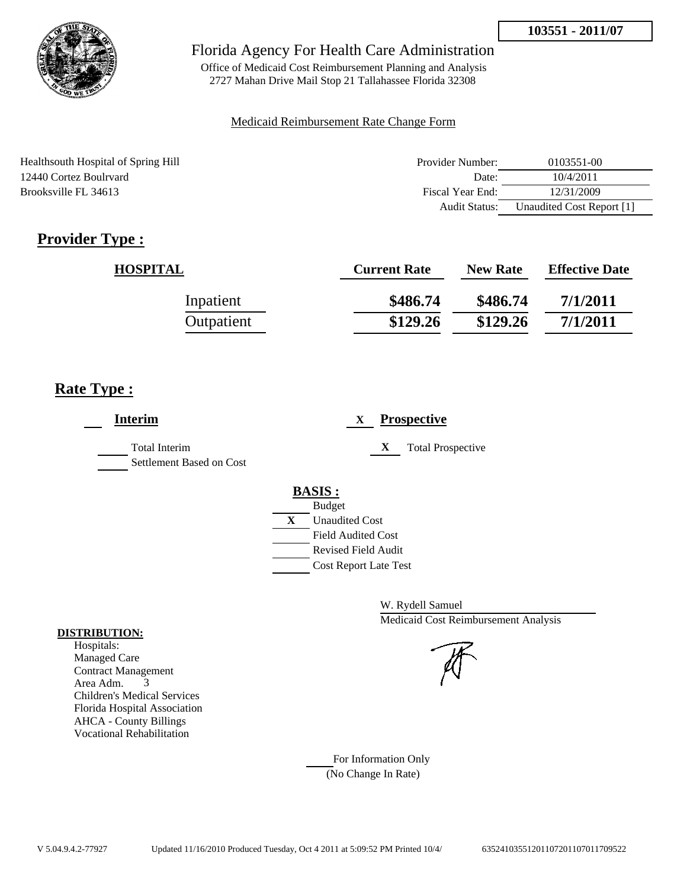

Office of Medicaid Cost Reimbursement Planning and Analysis 2727 Mahan Drive Mail Stop 21 Tallahassee Florida 32308

## Medicaid Reimbursement Rate Change Form

Healthsouth Hospital of Spring Hill 12440 Cortez Boulrvard Brooksville FL 34613

| Provider Number: | 0103551-00                |
|------------------|---------------------------|
| Date:            | 10/4/2011                 |
| Fiscal Year End: | 12/31/2009                |
| Audit Status:    | Unaudited Cost Report [1] |

# **Provider Type :**

| <b>HOSPITAL</b> | <b>Current Rate</b> | <b>New Rate</b> | <b>Effective Date</b> |
|-----------------|---------------------|-----------------|-----------------------|
| Inpatient       | \$486.74            | \$486.74        | 7/1/2011              |
| Outpatient      | \$129.26            | \$129.26        | 7/1/2011              |

# **Rate Type :**

| <b>Interim</b>                                   | <b>Prospective</b><br>X                                                                                                                                 |
|--------------------------------------------------|---------------------------------------------------------------------------------------------------------------------------------------------------------|
| <b>Total Interim</b><br>Settlement Based on Cost | X<br><b>Total Prospective</b>                                                                                                                           |
|                                                  | <b>BASIS:</b><br><b>Budget</b><br>X<br><b>Unaudited Cost</b><br><b>Field Audited Cost</b><br><b>Revised Field Audit</b><br><b>Cost Report Late Test</b> |

W. Rydell Samuel Medicaid Cost Reimbursement Analysis

For Information Only (No Change In Rate)

## **DISTRIBUTION:**

Hospitals: Managed Care Contract Management Area Adm. 3 Children's Medical Services Florida Hospital Association AHCA - County Billings Vocational Rehabilitation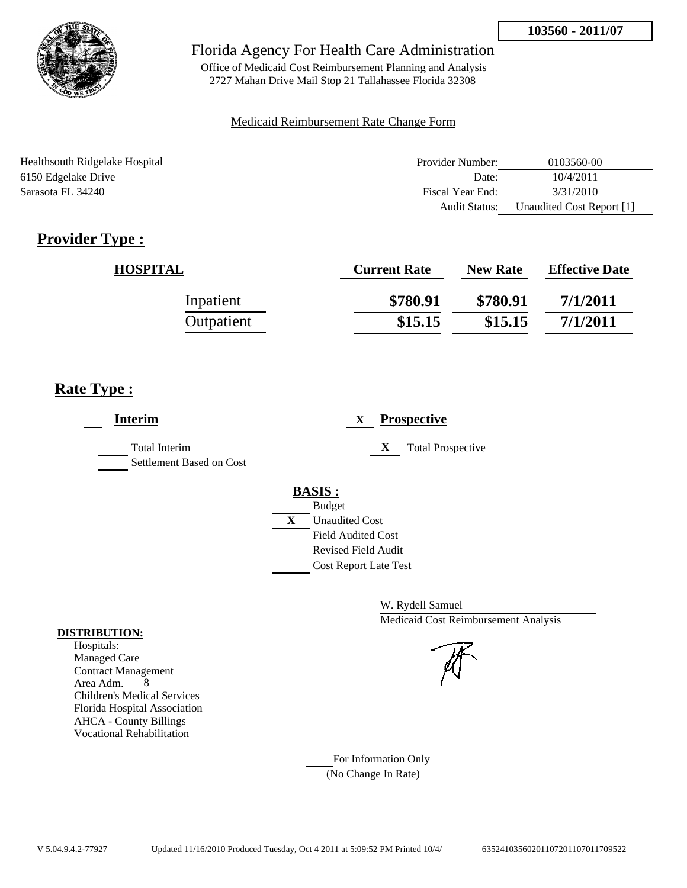

Office of Medicaid Cost Reimbursement Planning and Analysis 2727 Mahan Drive Mail Stop 21 Tallahassee Florida 32308

## Medicaid Reimbursement Rate Change Form

| Healthsouth Ridgelake Hospital | Provider Number: | 0103560-00                |
|--------------------------------|------------------|---------------------------|
| 6150 Edgelake Drive            | Date:            | 10/4/2011                 |
| Sarasota FL 34240              | Fiscal Year End: | 3/31/2010                 |
|                                | Audit Status:    | Unaudited Cost Report [1] |

# **Provider Type :**

| <b>HOSPITAL</b> | <b>Current Rate</b> | <b>New Rate</b> | <b>Effective Date</b> |
|-----------------|---------------------|-----------------|-----------------------|
| Inpatient       | \$780.91            | \$780.91        | 7/1/2011              |
| Outpatient      | \$15.15             | \$15.15         | 7/1/2011              |

# **Rate Type :**

| <b>Interim</b>                            | <b>Prospective</b><br>X       |
|-------------------------------------------|-------------------------------|
| Total Interim<br>Settlement Based on Cost | X<br><b>Total Prospective</b> |
|                                           | <b>BASIS:</b>                 |
|                                           | <b>Budget</b>                 |
|                                           | X<br><b>Unaudited Cost</b>    |
|                                           | <b>Field Audited Cost</b>     |
|                                           | <b>Revised Field Audit</b>    |
|                                           | <b>Cost Report Late Test</b>  |

W. Rydell Samuel Medicaid Cost Reimbursement Analysis

For Information Only (No Change In Rate)

## **DISTRIBUTION:**

Hospitals: Managed Care Contract Management Area Adm. 8 Children's Medical Services Florida Hospital Association AHCA - County Billings Vocational Rehabilitation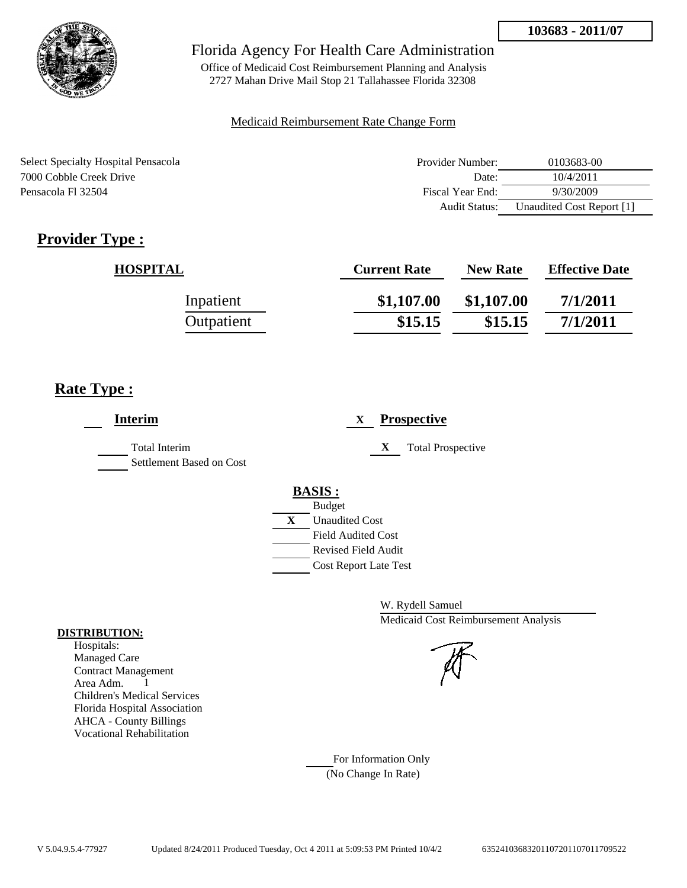

Office of Medicaid Cost Reimbursement Planning and Analysis 2727 Mahan Drive Mail Stop 21 Tallahassee Florida 32308

## Medicaid Reimbursement Rate Change Form

Select Specialty Hospital Pensacola 7000 Cobble Creek Drive Pensacola Fl 32504

| Provider Number:     | 0103683-00                |
|----------------------|---------------------------|
| Date:                | 10/4/2011                 |
| Fiscal Year End:     | 9/30/2009                 |
| <b>Audit Status:</b> | Unaudited Cost Report [1] |

# **Provider Type :**

| <b>HOSPITAL</b> | <b>Current Rate</b> | <b>New Rate</b> | <b>Effective Date</b> |
|-----------------|---------------------|-----------------|-----------------------|
| Inpatient       | \$1,107.00          | \$1,107.00      | 7/1/2011              |
| Outpatient      | \$15.15             | \$15.15         | 7/1/2011              |

# **Rate Type :**

| <b>Interim</b>                                   | <b>Prospective</b><br>$\mathbf{X}$ |
|--------------------------------------------------|------------------------------------|
| <b>Total Interim</b><br>Settlement Based on Cost | X<br><b>Total Prospective</b>      |
|                                                  | <b>BASIS:</b>                      |
|                                                  | <b>Budget</b>                      |
|                                                  | X<br><b>Unaudited Cost</b>         |
|                                                  | <b>Field Audited Cost</b>          |
|                                                  | <b>Revised Field Audit</b>         |
|                                                  | <b>Cost Report Late Test</b>       |

W. Rydell Samuel Medicaid Cost Reimbursement Analysis

For Information Only (No Change In Rate)

## **DISTRIBUTION:**

Hospitals: Managed Care Contract Management Area Adm. 1 Children's Medical Services Florida Hospital Association AHCA - County Billings Vocational Rehabilitation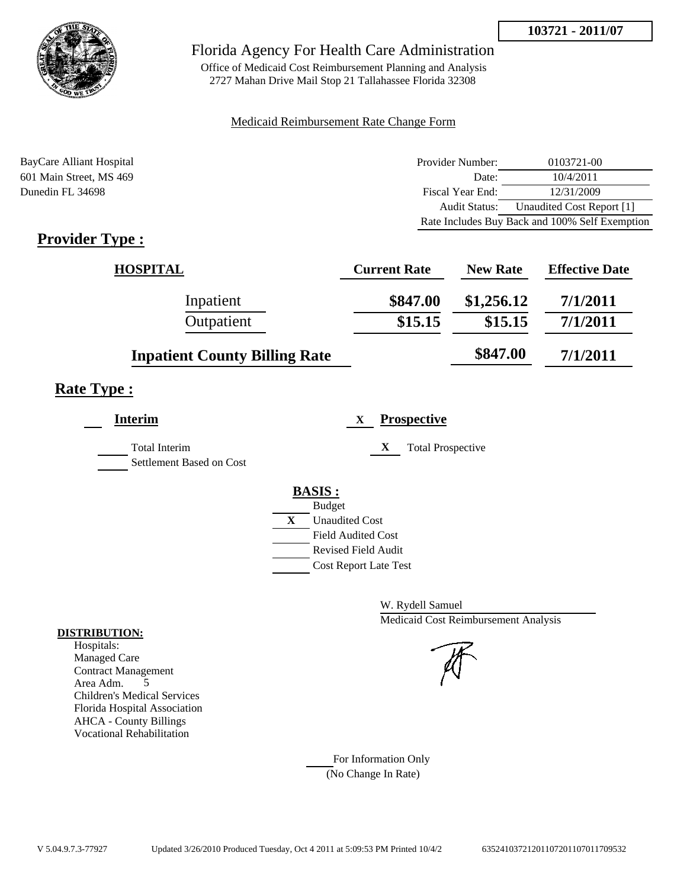

Office of Medicaid Cost Reimbursement Planning and Analysis 2727 Mahan Drive Mail Stop 21 Tallahassee Florida 32308

## Medicaid Reimbursement Rate Change Form

BayCare Alliant Hospital **Provider Number:** 0103721-00 601 Main Street, MS 469 Date: 10/4/2011 Dunedin FL 34698 Fiscal Year End: 12/31/2009 Audit Status: Unaudited Cost Report [1] Rate Includes Buy Back and 100% Self Exemption

# **Provider Type :**

| <b>HOSPITAL</b>                      | <b>Current Rate</b> | <b>New Rate</b> | <b>Effective Date</b> |
|--------------------------------------|---------------------|-----------------|-----------------------|
| Inpatient                            | \$847.00            | \$1,256.12      | 7/1/2011              |
| Outpatient                           | \$15.15             | \$15.15         | 7/1/2011              |
| <b>Inpatient County Billing Rate</b> |                     | \$847.00        | 7/1/2011              |

# **Rate Type :**

| <b>Interim</b>                                   |   | <b>Prospective</b><br>X       |
|--------------------------------------------------|---|-------------------------------|
| <b>Total Interim</b><br>Settlement Based on Cost |   | X<br><b>Total Prospective</b> |
|                                                  |   | <b>BASIS:</b>                 |
|                                                  |   | <b>Budget</b>                 |
|                                                  | X | <b>Unaudited Cost</b>         |
|                                                  |   | <b>Field Audited Cost</b>     |
|                                                  |   | <b>Revised Field Audit</b>    |
|                                                  |   | <b>Cost Report Late Test</b>  |
|                                                  |   |                               |

W. Rydell Samuel Medicaid Cost Reimbursement Analysis

For Information Only (No Change In Rate)

## **DISTRIBUTION:**

Hospitals: Managed Care Contract Management Area Adm. 5 Children's Medical Services Florida Hospital Association AHCA - County Billings Vocational Rehabilitation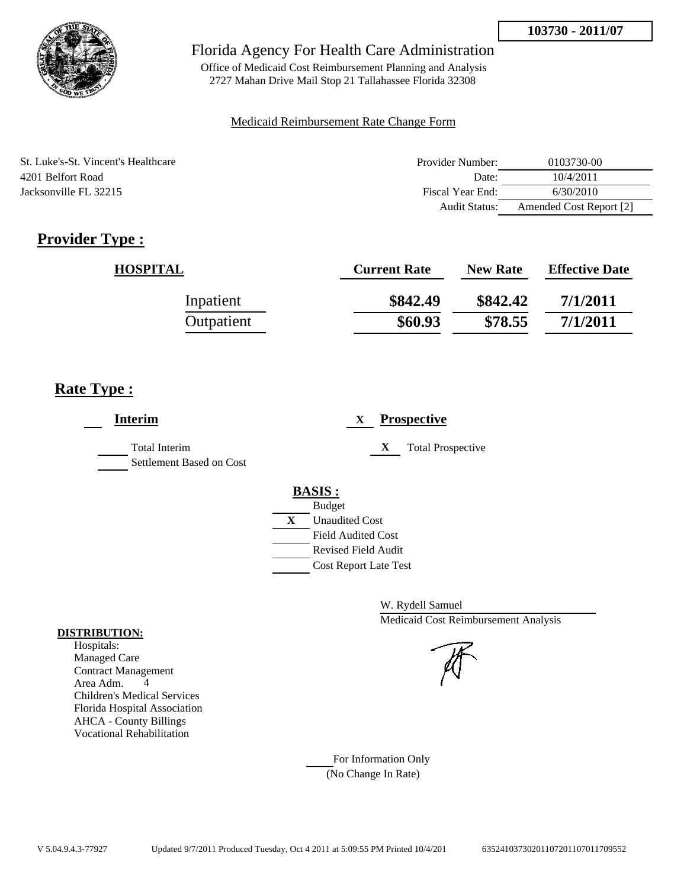

Office of Medicaid Cost Reimbursement Planning and Analysis 2727 Mahan Drive Mail Stop 21 Tallahassee Florida 32308

## Medicaid Reimbursement Rate Change Form

| St. Luke's-St. Vincent's Healthcare | Provider Number:     | 0103730-00              |
|-------------------------------------|----------------------|-------------------------|
| 4201 Belfort Road                   | Date:                | 10/4/2011               |
| Jacksonville FL 32215               | Fiscal Year End:     | 6/30/2010               |
|                                     | <b>Audit Status:</b> | Amended Cost Report [2] |

# **Provider Type :**

| <b>HOSPITAL</b> | <b>Current Rate</b> | <b>New Rate</b> | <b>Effective Date</b> |
|-----------------|---------------------|-----------------|-----------------------|
| Inpatient       | \$842.49            | \$842.42        | 7/1/2011              |
| Outpatient      | \$60.93             | \$78.55         | 7/1/2011              |

# **Rate Type :**

| <b>Interim</b>                                   | <b>Prospective</b><br>X                                                                                                                                 |
|--------------------------------------------------|---------------------------------------------------------------------------------------------------------------------------------------------------------|
| <b>Total Interim</b><br>Settlement Based on Cost | X<br><b>Total Prospective</b>                                                                                                                           |
|                                                  | <b>BASIS:</b><br><b>Budget</b><br>X<br><b>Unaudited Cost</b><br><b>Field Audited Cost</b><br><b>Revised Field Audit</b><br><b>Cost Report Late Test</b> |

W. Rydell Samuel Medicaid Cost Reimbursement Analysis

For Information Only (No Change In Rate)

## **DISTRIBUTION:**

Hospitals: Managed Care Contract Management Area Adm. 4 Children's Medical Services Florida Hospital Association AHCA - County Billings Vocational Rehabilitation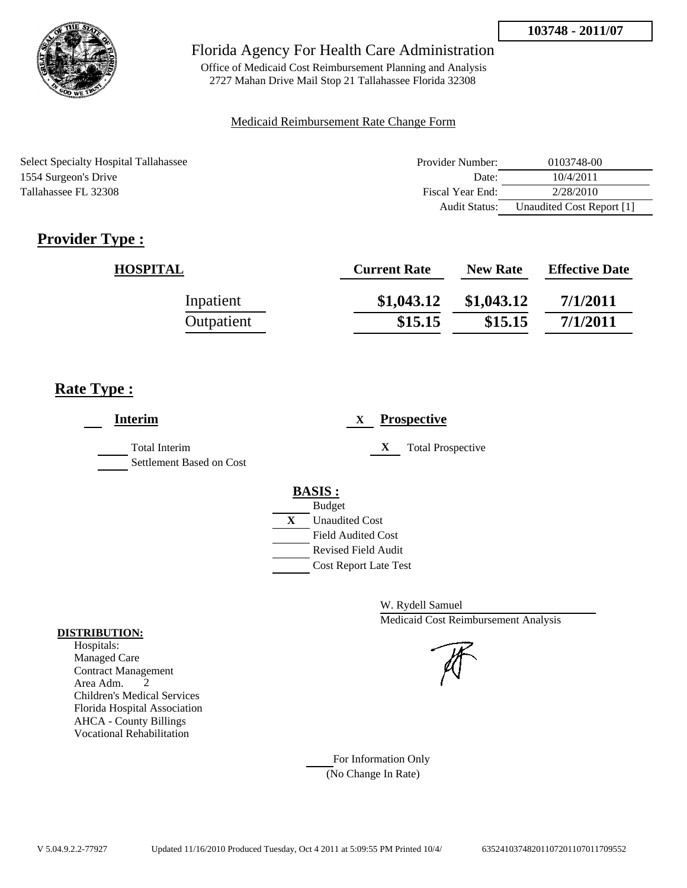

Office of Medicaid Cost Reimbursement Planning and Analysis 2727 Mahan Drive Mail Stop 21 Tallahassee Florida 32308

## Medicaid Reimbursement Rate Change Form

Select Specialty Hospital Tallahassee 1554 Surgeon's Drive Tallahassee FL 32308

| Provider Number:     | 0103748-00                |
|----------------------|---------------------------|
| Date:                | 10/4/2011                 |
| Fiscal Year End:     | 2/28/2010                 |
| <b>Audit Status:</b> | Unaudited Cost Report [1] |

# **Provider Type :**

| <b>HOSPITAL</b> | <b>Current Rate</b> | <b>New Rate</b> | <b>Effective Date</b> |
|-----------------|---------------------|-----------------|-----------------------|
| Inpatient       | \$1,043.12          | \$1,043.12      | 7/1/2011              |
| Outpatient      | \$15.15             | \$15.15         | 7/1/2011              |

# **Rate Type :**

| <b>Interim</b>                                   | <b>Prospective</b><br>X       |
|--------------------------------------------------|-------------------------------|
| <b>Total Interim</b><br>Settlement Based on Cost | <b>Total Prospective</b><br>X |
|                                                  | <b>BASIS:</b>                 |
|                                                  | <b>Budget</b>                 |
|                                                  | X<br><b>Unaudited Cost</b>    |
|                                                  | <b>Field Audited Cost</b>     |
|                                                  | <b>Revised Field Audit</b>    |
|                                                  | <b>Cost Report Late Test</b>  |
|                                                  |                               |

W. Rydell Samuel Medicaid Cost Reimbursement Analysis

For Information Only (No Change In Rate)

## **DISTRIBUTION:**

Hospitals: Managed Care Contract Management Area Adm. 2 Children's Medical Services Florida Hospital Association AHCA - County Billings Vocational Rehabilitation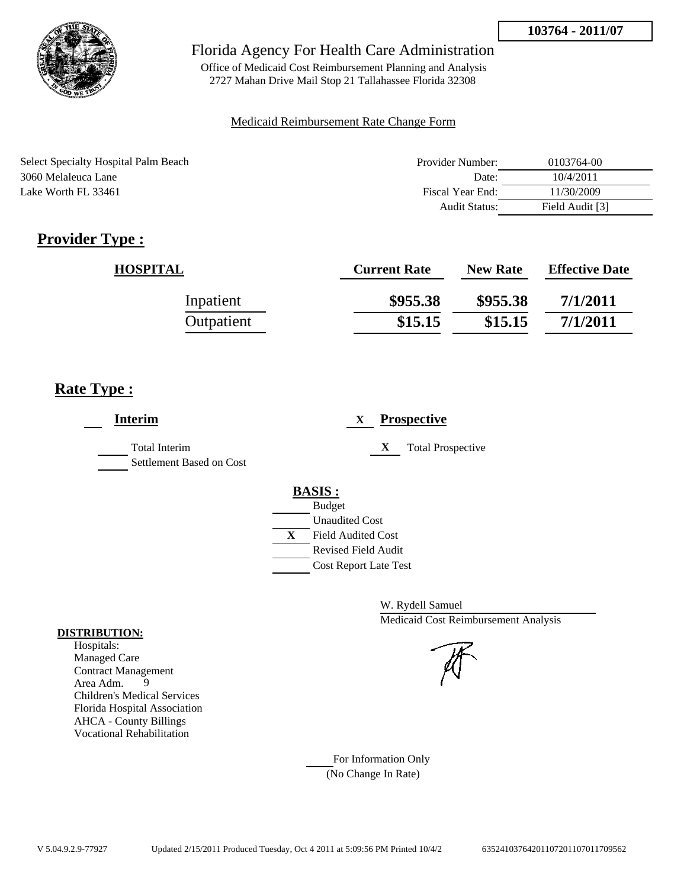

Office of Medicaid Cost Reimbursement Planning and Analysis 2727 Mahan Drive Mail Stop 21 Tallahassee Florida 32308

## Medicaid Reimbursement Rate Change Form

| Select Specialty Hospital Palm Beach | Provider Number:     | 0103764-00      |
|--------------------------------------|----------------------|-----------------|
| 3060 Melaleuca Lane                  | Date:                | 10/4/2011       |
| Lake Worth FL 33461                  | Fiscal Year End:     | 11/30/2009      |
|                                      | <b>Audit Status:</b> | Field Audit [3] |

# **Provider Type :**

| <b>HOSPITAL</b> | <b>Current Rate</b> | <b>New Rate</b> | <b>Effective Date</b> |
|-----------------|---------------------|-----------------|-----------------------|
| Inpatient       | \$955.38            | \$955.38        | 7/1/2011              |
| Outpatient      | \$15.15             | \$15.15         | 7/1/2011              |

# **Rate Type :**

j.

| <b>Interim</b>                                   | <b>Prospective</b><br>X                                                                                                                          |
|--------------------------------------------------|--------------------------------------------------------------------------------------------------------------------------------------------------|
| <b>Total Interim</b><br>Settlement Based on Cost | X<br><b>Total Prospective</b>                                                                                                                    |
|                                                  | <b>BASIS:</b><br><b>Budget</b><br><b>Unaudited Cost</b><br>X<br><b>Field Audited Cost</b><br>Revised Field Audit<br><b>Cost Report Late Test</b> |

W. Rydell Samuel Medicaid Cost Reimbursement Analysis



For Information Only (No Change In Rate)

## **DISTRIBUTION:**

Hospitals: Managed Care Contract Management Area Adm. 9 Children's Medical Services Florida Hospital Association AHCA - County Billings Vocational Rehabilitation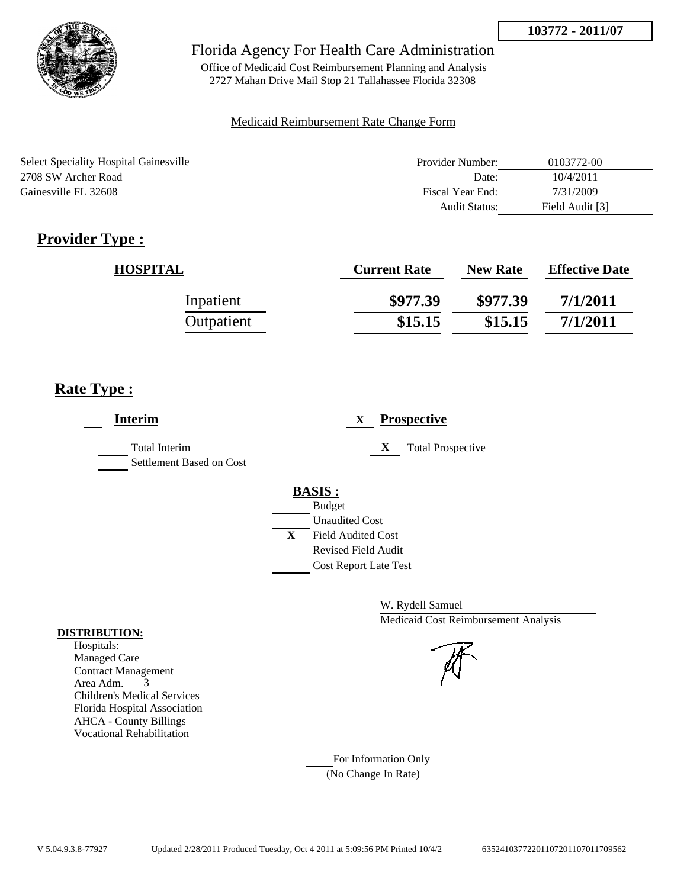

Office of Medicaid Cost Reimbursement Planning and Analysis 2727 Mahan Drive Mail Stop 21 Tallahassee Florida 32308

## Medicaid Reimbursement Rate Change Form

| <b>Select Speciality Hospital Gainesville</b> | Provider Number:     | 0103772-00      |
|-----------------------------------------------|----------------------|-----------------|
| 2708 SW Archer Road                           | Date:                | 10/4/2011       |
| Gainesville FL 32608                          | Fiscal Year End:     | 7/31/2009       |
|                                               | <b>Audit Status:</b> | Field Audit [3] |

# **Provider Type :**

| <b>HOSPITAL</b> | <b>Current Rate</b> | <b>New Rate</b> | <b>Effective Date</b> |
|-----------------|---------------------|-----------------|-----------------------|
| Inpatient       | \$977.39            | \$977.39        | 7/1/2011              |
| Outpatient      | \$15.15             | \$15.15         | 7/1/2011              |

# **Rate Type :**

 $\overline{a}$ 

| <b>Interim</b>                                   | <b>Prospective</b><br>X                                                                                                                          |
|--------------------------------------------------|--------------------------------------------------------------------------------------------------------------------------------------------------|
| <b>Total Interim</b><br>Settlement Based on Cost | X<br><b>Total Prospective</b>                                                                                                                    |
|                                                  | <b>BASIS:</b><br><b>Budget</b><br><b>Unaudited Cost</b><br>X<br><b>Field Audited Cost</b><br>Revised Field Audit<br><b>Cost Report Late Test</b> |

W. Rydell Samuel Medicaid Cost Reimbursement Analysis



For Information Only (No Change In Rate)

## **DISTRIBUTION:**

Hospitals: Managed Care Contract Management Area Adm. 3 Children's Medical Services Florida Hospital Association AHCA - County Billings Vocational Rehabilitation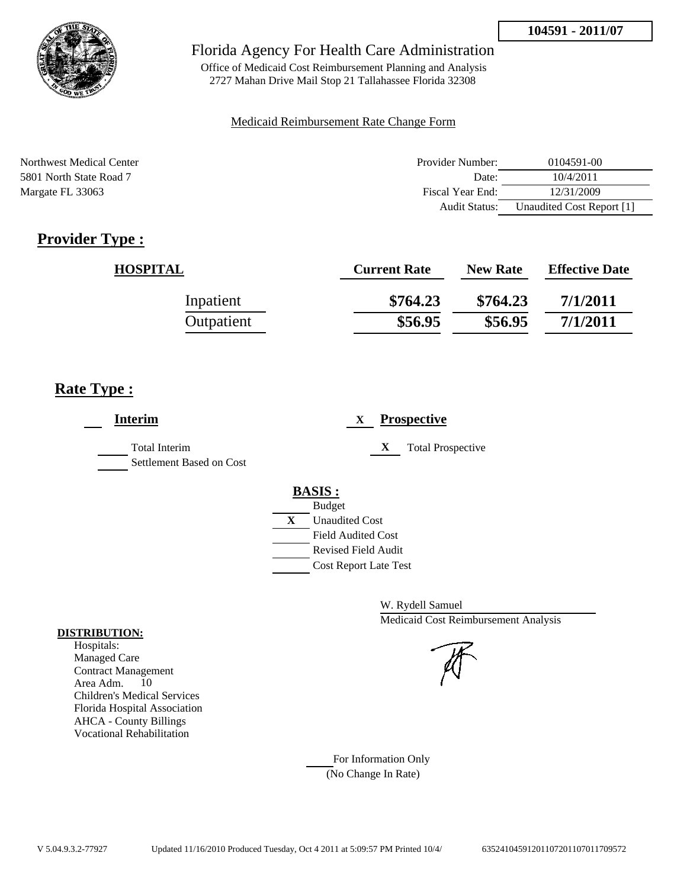

Office of Medicaid Cost Reimbursement Planning and Analysis 2727 Mahan Drive Mail Stop 21 Tallahassee Florida 32308

### Medicaid Reimbursement Rate Change Form

| Northwest Medical Center | Provider Number:     | 0104591-00                |
|--------------------------|----------------------|---------------------------|
| 5801 North State Road 7  | Date:                | 10/4/2011                 |
| Margate FL 33063         | Fiscal Year End:     | 12/31/2009                |
|                          | <b>Audit Status:</b> | Unaudited Cost Report [1] |

# **Provider Type :**

| <b>HOSPITAL</b> | <b>Current Rate</b> | <b>New Rate</b> | <b>Effective Date</b> |
|-----------------|---------------------|-----------------|-----------------------|
| Inpatient       | \$764.23            | \$764.23        | 7/1/2011              |
| Outpatient      | \$56.95             | \$56.95         | 7/1/2011              |

# **Rate Type :**

| <b>Interim</b>                                   | <b>Prospective</b><br>X                     |
|--------------------------------------------------|---------------------------------------------|
| <b>Total Interim</b><br>Settlement Based on Cost | X<br><b>Total Prospective</b>               |
|                                                  | <b>BASIS:</b>                               |
|                                                  | <b>Budget</b><br>X<br><b>Unaudited Cost</b> |
|                                                  | <b>Field Audited Cost</b>                   |
|                                                  | <b>Revised Field Audit</b>                  |
|                                                  | <b>Cost Report Late Test</b>                |

W. Rydell Samuel Medicaid Cost Reimbursement Analysis

For Information Only (No Change In Rate)

#### **DISTRIBUTION:**

Hospitals: Managed Care Contract Management Area Adm. 10 Children's Medical Services Florida Hospital Association AHCA - County Billings Vocational Rehabilitation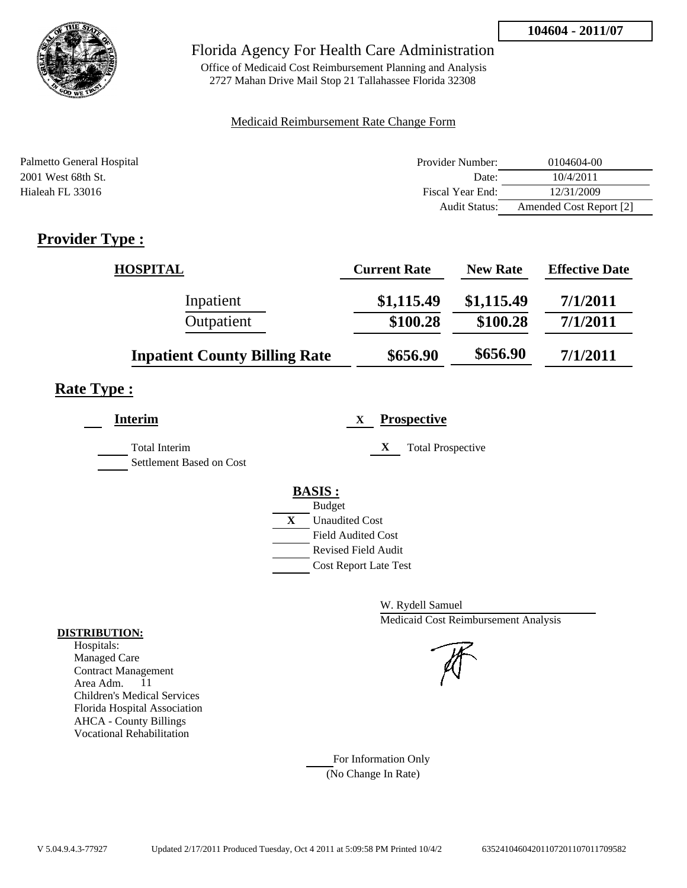

Office of Medicaid Cost Reimbursement Planning and Analysis 2727 Mahan Drive Mail Stop 21 Tallahassee Florida 32308

### Medicaid Reimbursement Rate Change Form

| Palmetto General Hospital | Provider Number:     | 0104604-00              |
|---------------------------|----------------------|-------------------------|
| 2001 West 68th St.        | Date:                | 10/4/2011               |
| Hialeah FL 33016          | Fiscal Year End:     | 12/31/2009              |
|                           | <b>Audit Status:</b> | Amended Cost Report [2] |

# **Provider Type :**

| <b>HOSPITAL</b>                      | <b>Current Rate</b> | <b>New Rate</b> | <b>Effective Date</b> |
|--------------------------------------|---------------------|-----------------|-----------------------|
| Inpatient                            | \$1,115.49          | \$1,115.49      | 7/1/2011              |
| Outpatient                           | \$100.28            | \$100.28        | 7/1/2011              |
| <b>Inpatient County Billing Rate</b> | \$656.90            | \$656.90        | 7/1/2011              |

# **Rate Type :**

| <b>Interim</b>                            | <b>Prospective</b><br>X       |
|-------------------------------------------|-------------------------------|
| Total Interim<br>Settlement Based on Cost | X<br><b>Total Prospective</b> |
|                                           | <b>BASIS:</b>                 |
|                                           | <b>Budget</b>                 |
|                                           | X<br><b>Unaudited Cost</b>    |
|                                           | <b>Field Audited Cost</b>     |
|                                           | <b>Revised Field Audit</b>    |
|                                           | <b>Cost Report Late Test</b>  |
|                                           |                               |

W. Rydell Samuel Medicaid Cost Reimbursement Analysis

For Information Only (No Change In Rate)

#### **DISTRIBUTION:**

Hospitals: Managed Care Contract Management Area Adm. 11 Children's Medical Services Florida Hospital Association AHCA - County Billings Vocational Rehabilitation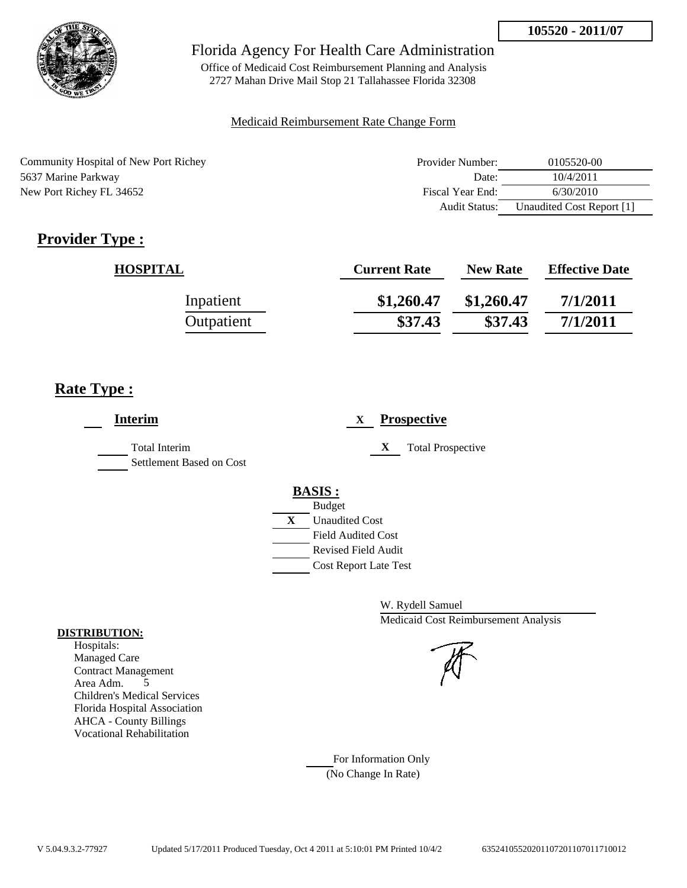

Office of Medicaid Cost Reimbursement Planning and Analysis 2727 Mahan Drive Mail Stop 21 Tallahassee Florida 32308

### Medicaid Reimbursement Rate Change Form

| Community Hospital of New Port Richey | Provider Number: | 0105520-00                |
|---------------------------------------|------------------|---------------------------|
| 5637 Marine Parkway                   | Date:            | 10/4/2011                 |
| New Port Richey FL 34652              | Fiscal Year End: | 6/30/2010                 |
|                                       | Audit Status:    | Unaudited Cost Report [1] |

# **Provider Type :**

| <b>HOSPITAL</b> | <b>Current Rate</b> | <b>New Rate</b> | <b>Effective Date</b> |
|-----------------|---------------------|-----------------|-----------------------|
| Inpatient       | \$1,260.47          | \$1,260.47      | 7/1/2011              |
| Outpatient      | \$37.43             | \$37.43         | 7/1/2011              |

# **Rate Type :**

| <b>Interim</b>                            | <b>Prospective</b><br>X                                                                                                                                 |
|-------------------------------------------|---------------------------------------------------------------------------------------------------------------------------------------------------------|
| Total Interim<br>Settlement Based on Cost | <b>Total Prospective</b><br>$\mathbf X$                                                                                                                 |
|                                           | <b>BASIS:</b><br><b>Budget</b><br>X<br><b>Unaudited Cost</b><br><b>Field Audited Cost</b><br><b>Revised Field Audit</b><br><b>Cost Report Late Test</b> |

W. Rydell Samuel Medicaid Cost Reimbursement Analysis



For Information Only (No Change In Rate)

#### **DISTRIBUTION:**

Hospitals: Managed Care Contract Management Area Adm. 5 Children's Medical Services Florida Hospital Association AHCA - County Billings Vocational Rehabilitation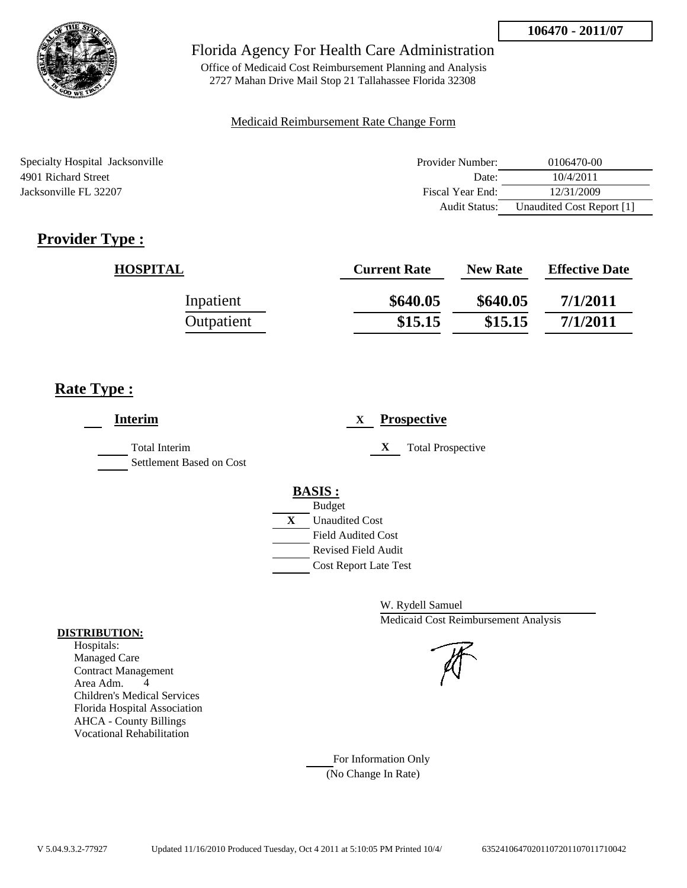

Office of Medicaid Cost Reimbursement Planning and Analysis 2727 Mahan Drive Mail Stop 21 Tallahassee Florida 32308

### Medicaid Reimbursement Rate Change Form

| Specialty Hospital Jacksonville | Provider Number: | 0106470-00                |
|---------------------------------|------------------|---------------------------|
| 4901 Richard Street             | Date:            | 10/4/2011                 |
| Jacksonville FL 32207           | Fiscal Year End: | 12/31/2009                |
|                                 | Audit Status:    | Unaudited Cost Report [1] |

# **Provider Type :**

| <b>HOSPITAL</b> | <b>Current Rate</b> | <b>New Rate</b> | <b>Effective Date</b> |
|-----------------|---------------------|-----------------|-----------------------|
| Inpatient       | \$640.05            | \$640.05        | 7/1/2011              |
| Outpatient      | \$15.15             | \$15.15         | 7/1/2011              |

# **Rate Type :**

| <b>Interim</b>                                   |   | $\mathbf{X}$                 |   | <b>Prospective</b>       |
|--------------------------------------------------|---|------------------------------|---|--------------------------|
| <b>Total Interim</b><br>Settlement Based on Cost |   |                              | X | <b>Total Prospective</b> |
|                                                  |   | <b>BASIS:</b>                |   |                          |
|                                                  |   | <b>Budget</b>                |   |                          |
|                                                  | X | <b>Unaudited Cost</b>        |   |                          |
|                                                  |   | <b>Field Audited Cost</b>    |   |                          |
|                                                  |   | <b>Revised Field Audit</b>   |   |                          |
|                                                  |   | <b>Cost Report Late Test</b> |   |                          |
|                                                  |   |                              |   |                          |

W. Rydell Samuel Medicaid Cost Reimbursement Analysis



For Information Only (No Change In Rate)

#### **DISTRIBUTION:**

Hospitals: Managed Care Contract Management Area Adm. 4 Children's Medical Services Florida Hospital Association AHCA - County Billings Vocational Rehabilitation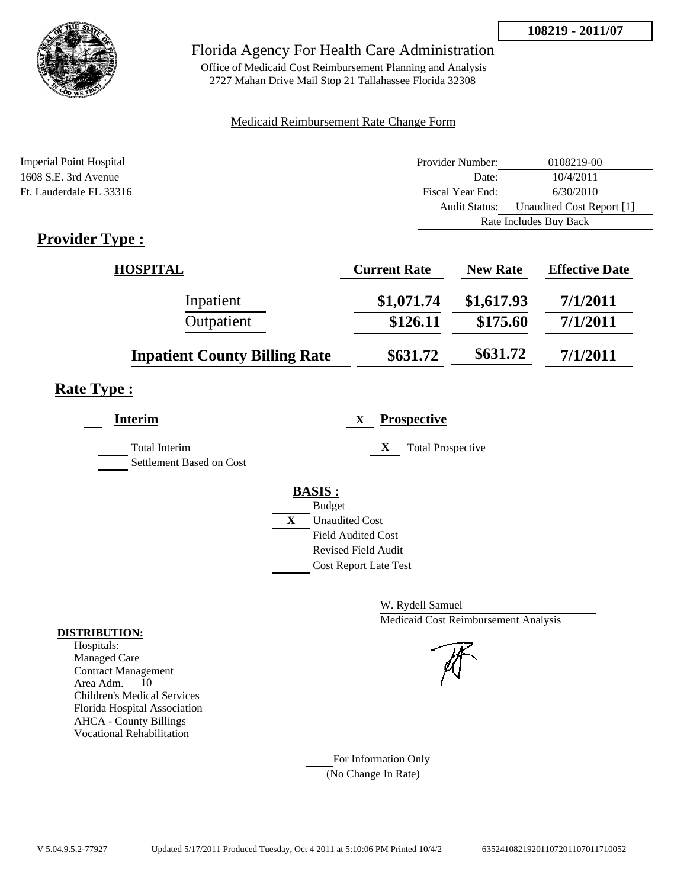

Office of Medicaid Cost Reimbursement Planning and Analysis 2727 Mahan Drive Mail Stop 21 Tallahassee Florida 32308

### Medicaid Reimbursement Rate Change Form

| <b>Imperial Point Hospital</b> | Provider Number:     | 0108219-00                |
|--------------------------------|----------------------|---------------------------|
| $1608$ S.E. 3rd Avenue         | Date:                | 10/4/2011                 |
| Ft. Lauderdale FL 33316        | Fiscal Year End:     | 6/30/2010                 |
|                                | <b>Audit Status:</b> | Unaudited Cost Report [1] |
|                                |                      | Rate Includes Buy Back    |
|                                |                      |                           |

# **Provider Type :**

| <b>HOSPITAL</b>                      | <b>Current Rate</b> | <b>New Rate</b> | <b>Effective Date</b> |
|--------------------------------------|---------------------|-----------------|-----------------------|
| Inpatient                            | \$1,071.74          | \$1,617.93      | 7/1/2011              |
| Outpatient                           | \$126.11            | \$175.60        | 7/1/2011              |
| <b>Inpatient County Billing Rate</b> | \$631.72            | \$631.72        | 7/1/2011              |

# **Rate Type :**

| <b>Interim</b>                                   | <b>Prospective</b><br>X        |
|--------------------------------------------------|--------------------------------|
| <b>Total Interim</b><br>Settlement Based on Cost | X<br><b>Total Prospective</b>  |
|                                                  | <b>BASIS:</b><br><b>Budget</b> |
|                                                  | X<br><b>Unaudited Cost</b>     |
|                                                  | <b>Field Audited Cost</b>      |
|                                                  | <b>Revised Field Audit</b>     |
|                                                  | <b>Cost Report Late Test</b>   |
|                                                  |                                |

W. Rydell Samuel Medicaid Cost Reimbursement Analysis

For Information Only (No Change In Rate)

#### **DISTRIBUTION:**

Hospitals: Managed Care Contract Management Area Adm. 10 Children's Medical Services Florida Hospital Association AHCA - County Billings Vocational Rehabilitation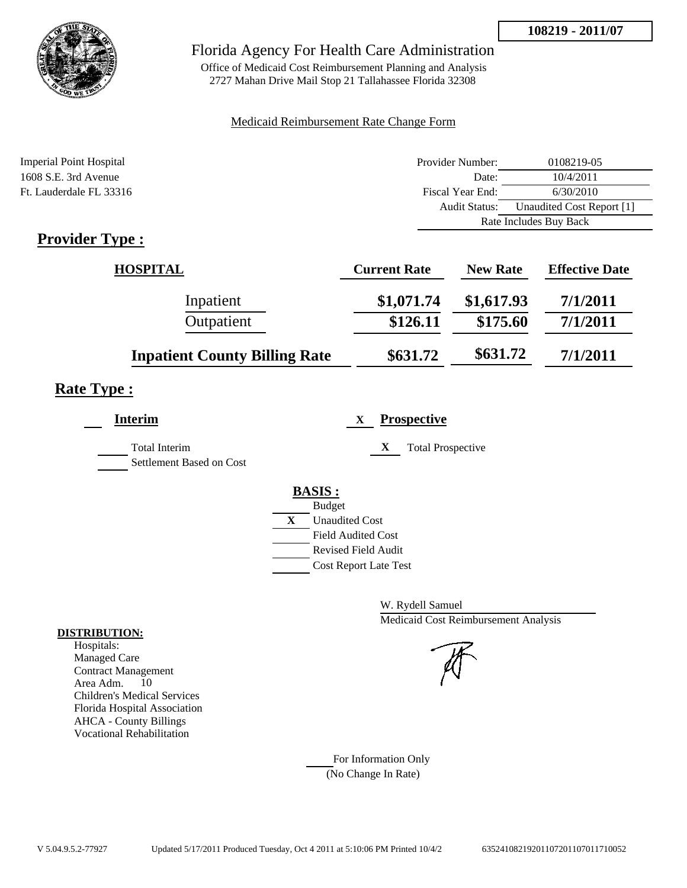

Office of Medicaid Cost Reimbursement Planning and Analysis 2727 Mahan Drive Mail Stop 21 Tallahassee Florida 32308

### Medicaid Reimbursement Rate Change Form

| <b>Imperial Point Hospital</b> | Provider Number:     | 0108219-05                |
|--------------------------------|----------------------|---------------------------|
| $1608$ S.E. 3rd Avenue         | Date:                | 10/4/2011                 |
| Ft. Lauderdale FL 33316        | Fiscal Year End:     | 6/30/2010                 |
|                                | <b>Audit Status:</b> | Unaudited Cost Report [1] |
|                                |                      | Rate Includes Buy Back    |
|                                |                      |                           |

# **Provider Type :**

| <b>HOSPITAL</b>                      | <b>Current Rate</b> | <b>New Rate</b> | <b>Effective Date</b> |
|--------------------------------------|---------------------|-----------------|-----------------------|
| Inpatient                            | \$1,071.74          | \$1,617.93      | 7/1/2011              |
| Outpatient                           | \$126.11            | \$175.60        | 7/1/2011              |
| <b>Inpatient County Billing Rate</b> | \$631.72            | \$631.72        | 7/1/2011              |

# **Rate Type :**

| Interim                                          | <b>Prospective</b><br>X        |
|--------------------------------------------------|--------------------------------|
| <b>Total Interim</b><br>Settlement Based on Cost | X<br><b>Total Prospective</b>  |
|                                                  | <b>BASIS:</b><br><b>Budget</b> |
|                                                  | X<br><b>Unaudited Cost</b>     |
|                                                  | <b>Field Audited Cost</b>      |
|                                                  | Revised Field Audit            |
|                                                  | <b>Cost Report Late Test</b>   |
|                                                  |                                |

W. Rydell Samuel Medicaid Cost Reimbursement Analysis

For Information Only (No Change In Rate)

#### **DISTRIBUTION:**

Hospitals: Managed Care Contract Management Area Adm. 10 Children's Medical Services Florida Hospital Association AHCA - County Billings Vocational Rehabilitation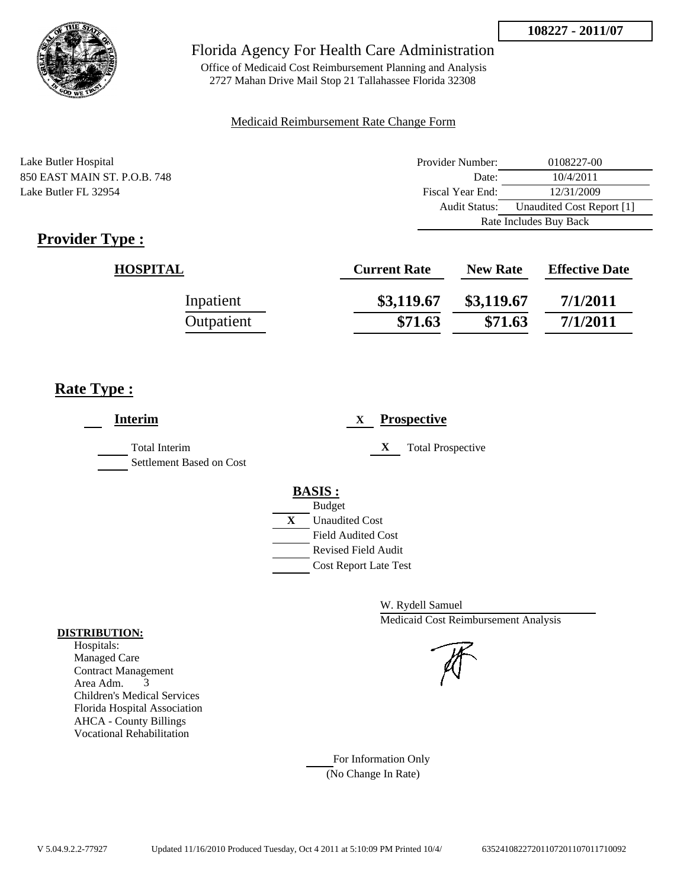

Office of Medicaid Cost Reimbursement Planning and Analysis 2727 Mahan Drive Mail Stop 21 Tallahassee Florida 32308

### Medicaid Reimbursement Rate Change Form

Lake Butler Hospital 850 EAST MAIN ST. P.O.B. 748 Lake Butler FL 32954

| Provider Number:       | 0108227-00                |
|------------------------|---------------------------|
| Date:                  | 10/4/2011                 |
| Fiscal Year End:       | 12/31/2009                |
| Audit Status:          | Unaudited Cost Report [1] |
| Rate Includes Buy Back |                           |

# **Provider Type :**

| <b>HOSPITAL</b> | <b>Current Rate</b> | <b>New Rate</b> | <b>Effective Date</b> |
|-----------------|---------------------|-----------------|-----------------------|
| Inpatient       | \$3,119.67          | \$3,119.67      | 7/1/2011              |
| Outpatient      | \$71.63             | \$71.63         | 7/1/2011              |

# **Rate Type :**

| <b>Interim</b>                                   |   | <b>Prospective</b><br>X                                                                                            |
|--------------------------------------------------|---|--------------------------------------------------------------------------------------------------------------------|
| <b>Total Interim</b><br>Settlement Based on Cost |   | X<br><b>Total Prospective</b>                                                                                      |
|                                                  | X | <b>BASIS:</b><br><b>Budget</b><br><b>Unaudited Cost</b><br><b>Field Audited Cost</b><br><b>Revised Field Audit</b> |
|                                                  |   | <b>Cost Report Late Test</b>                                                                                       |

W. Rydell Samuel Medicaid Cost Reimbursement Analysis

For Information Only (No Change In Rate)

#### **DISTRIBUTION:**

Hospitals: Managed Care Contract Management Area Adm. 3 Children's Medical Services Florida Hospital Association AHCA - County Billings Vocational Rehabilitation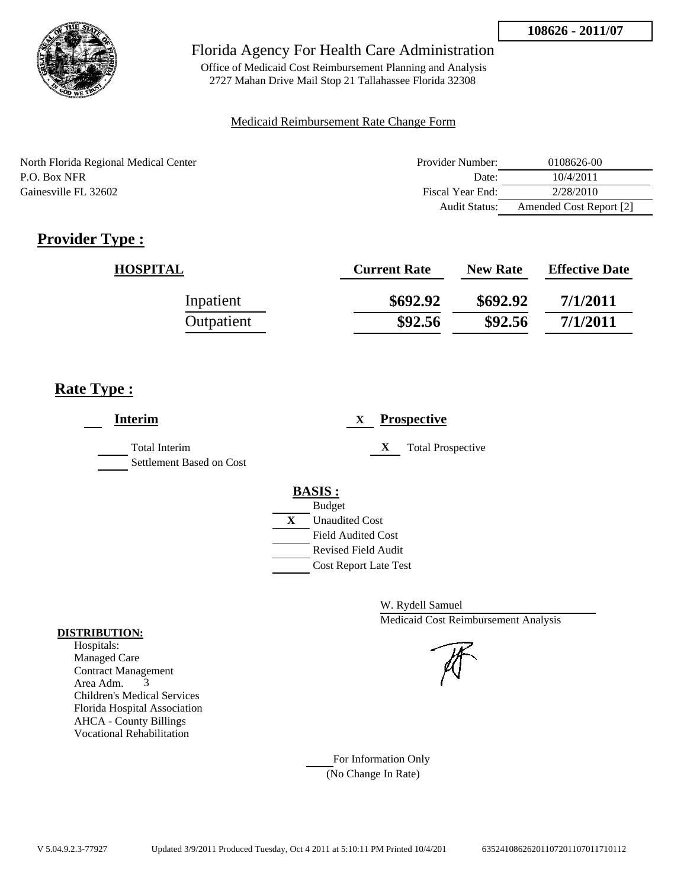

Office of Medicaid Cost Reimbursement Planning and Analysis 2727 Mahan Drive Mail Stop 21 Tallahassee Florida 32308

### Medicaid Reimbursement Rate Change Form

| North Florida Regional Medical Center | Provider Number:     | 0108626-00              |
|---------------------------------------|----------------------|-------------------------|
| P.O. Box NFR                          | Date:                | 10/4/2011               |
| Gainesville FL 32602                  | Fiscal Year End:     | 2/28/2010               |
|                                       | <b>Audit Status:</b> | Amended Cost Report [2] |

# **Provider Type :**

| <b>HOSPITAL</b> | <b>Current Rate</b> | <b>New Rate</b> | <b>Effective Date</b> |
|-----------------|---------------------|-----------------|-----------------------|
| Inpatient       | \$692.92            | \$692.92        | 7/1/2011              |
| Outpatient      | \$92.56             | \$92.56         | 7/1/2011              |

# **Rate Type :**

| <b>Interim</b>                                   | <b>Prospective</b><br>X.                                |
|--------------------------------------------------|---------------------------------------------------------|
| <b>Total Interim</b><br>Settlement Based on Cost | X<br><b>Total Prospective</b>                           |
|                                                  | <b>BASIS:</b><br><b>Budget</b>                          |
|                                                  | X<br><b>Unaudited Cost</b><br><b>Field Audited Cost</b> |
|                                                  | Revised Field Audit<br><b>Cost Report Late Test</b>     |

W. Rydell Samuel Medicaid Cost Reimbursement Analysis

For Information Only (No Change In Rate)

#### **DISTRIBUTION:**

Hospitals: Managed Care Contract Management Area Adm. 3 Children's Medical Services Florida Hospital Association AHCA - County Billings Vocational Rehabilitation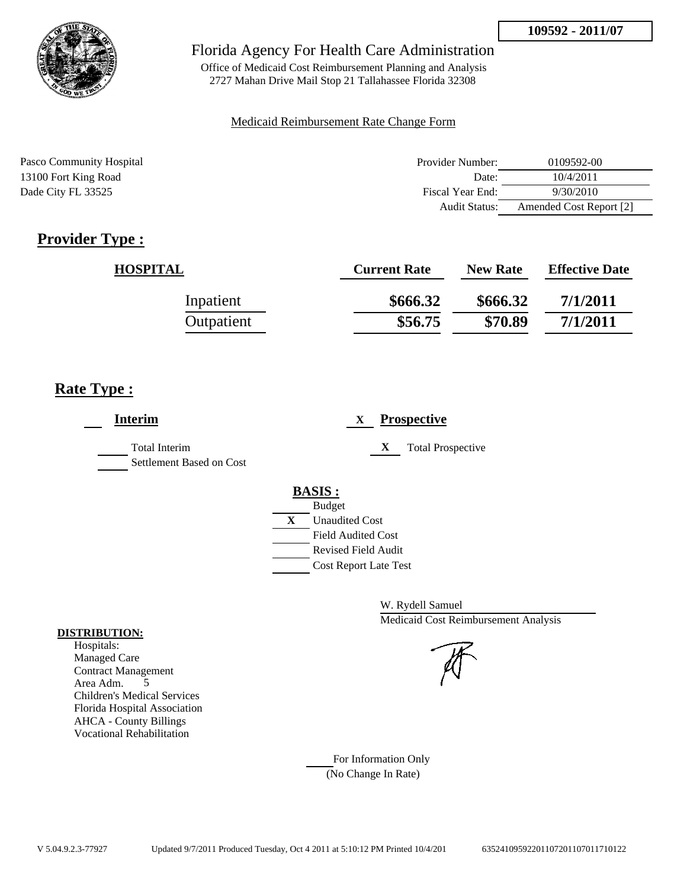

Office of Medicaid Cost Reimbursement Planning and Analysis 2727 Mahan Drive Mail Stop 21 Tallahassee Florida 32308

#### Medicaid Reimbursement Rate Change Form

| Pasco Community Hospital | Provider Number:     | 0109592-00              |
|--------------------------|----------------------|-------------------------|
| 13100 Fort King Road     | Date:                | 10/4/2011               |
| Dade City FL 33525       | Fiscal Year End:     | 9/30/2010               |
|                          | <b>Audit Status:</b> | Amended Cost Report [2] |

# **Provider Type :**

| <b>HOSPITAL</b> | <b>Current Rate</b> | <b>New Rate</b> | <b>Effective Date</b> |
|-----------------|---------------------|-----------------|-----------------------|
| Inpatient       | \$666.32            | \$666.32        | 7/1/2011              |
| Outpatient      | \$56.75             | \$70.89         | 7/1/2011              |

# **Rate Type :**

| <b>Interim</b>                            | <b>Prospective</b><br>X                                                                                                 |
|-------------------------------------------|-------------------------------------------------------------------------------------------------------------------------|
| Total Interim<br>Settlement Based on Cost | X<br><b>Total Prospective</b>                                                                                           |
|                                           | <b>BASIS:</b><br><b>Budget</b><br>X<br><b>Unaudited Cost</b><br><b>Field Audited Cost</b><br><b>Revised Field Audit</b> |
|                                           | <b>Cost Report Late Test</b>                                                                                            |

W. Rydell Samuel Medicaid Cost Reimbursement Analysis

For Information Only (No Change In Rate)

#### **DISTRIBUTION:**

Hospitals: Managed Care Contract Management Area Adm. 5 Children's Medical Services Florida Hospital Association AHCA - County Billings Vocational Rehabilitation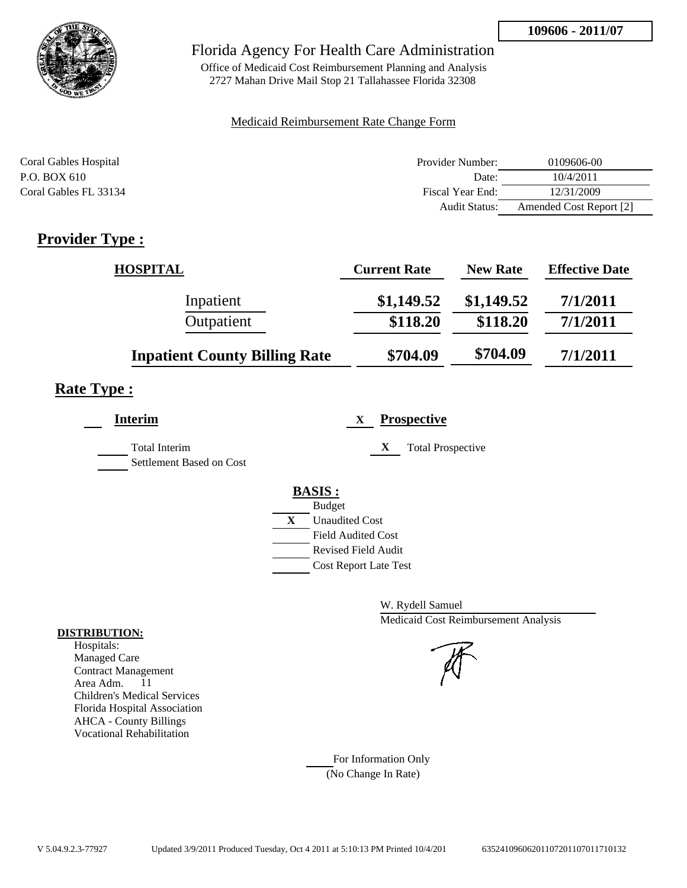

Office of Medicaid Cost Reimbursement Planning and Analysis 2727 Mahan Drive Mail Stop 21 Tallahassee Florida 32308

### Medicaid Reimbursement Rate Change Form

| Coral Gables Hospital | Provider Number:     | 0109606-00              |
|-----------------------|----------------------|-------------------------|
| P.O. BOX 610          | Date:                | 10/4/2011               |
| Coral Gables FL 33134 | Fiscal Year End:     | 12/31/2009              |
|                       | <b>Audit Status:</b> | Amended Cost Report [2] |

# **Provider Type :**

| <b>HOSPITAL</b>                      | <b>Current Rate</b> | <b>New Rate</b> | <b>Effective Date</b> |
|--------------------------------------|---------------------|-----------------|-----------------------|
| Inpatient                            | \$1,149.52          | \$1,149.52      | 7/1/2011              |
| Outpatient                           | \$118.20            | \$118.20        | 7/1/2011              |
| <b>Inpatient County Billing Rate</b> | \$704.09            | \$704.09        | 7/1/2011              |

# **Rate Type :**

| <b>Interim</b>                            | <b>Prospective</b><br>X                     |
|-------------------------------------------|---------------------------------------------|
| Total Interim<br>Settlement Based on Cost | X<br><b>Total Prospective</b>               |
|                                           | <b>BASIS:</b>                               |
|                                           | <b>Budget</b><br>X<br><b>Unaudited Cost</b> |
|                                           | <b>Field Audited Cost</b>                   |
|                                           | <b>Revised Field Audit</b>                  |
|                                           | <b>Cost Report Late Test</b>                |

W. Rydell Samuel Medicaid Cost Reimbursement Analysis

For Information Only (No Change In Rate)

#### **DISTRIBUTION:**

Hospitals: Managed Care Contract Management Area Adm. 11 Children's Medical Services Florida Hospital Association AHCA - County Billings Vocational Rehabilitation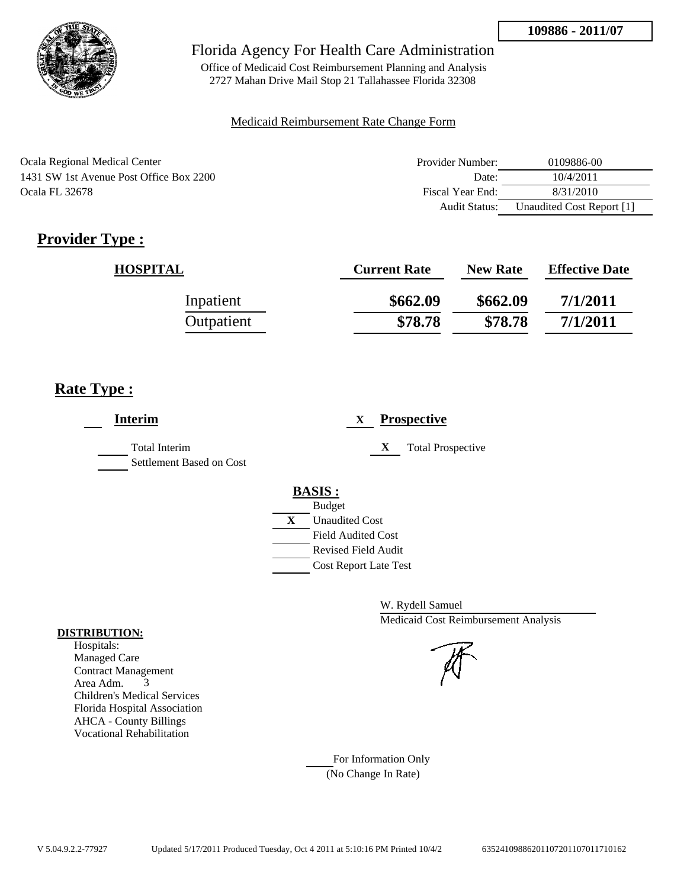

Office of Medicaid Cost Reimbursement Planning and Analysis 2727 Mahan Drive Mail Stop 21 Tallahassee Florida 32308

### Medicaid Reimbursement Rate Change Form

| Ocala Regional Medical Center           | Provider Number: | 0109886-00                |
|-----------------------------------------|------------------|---------------------------|
| 1431 SW 1st Avenue Post Office Box 2200 | Date:            | 10/4/2011                 |
| <b>Ocala FL 32678</b>                   | Fiscal Year End: | 8/31/2010                 |
|                                         | Audit Status:    | Unaudited Cost Report [1] |

# **Provider Type :**

| <b>HOSPITAL</b> | <b>Current Rate</b> | <b>New Rate</b> | <b>Effective Date</b> |
|-----------------|---------------------|-----------------|-----------------------|
| Inpatient       | \$662.09            | \$662.09        | 7/1/2011              |
| Outpatient      | \$78.78             | \$78.78         | 7/1/2011              |

# **Rate Type :**

| <b>Interim</b>                                   | <b>Prospective</b><br>X       |
|--------------------------------------------------|-------------------------------|
| <b>Total Interim</b><br>Settlement Based on Cost | X<br><b>Total Prospective</b> |
|                                                  | <b>BASIS:</b>                 |
|                                                  | <b>Budget</b>                 |
|                                                  | X<br><b>Unaudited Cost</b>    |
|                                                  | <b>Field Audited Cost</b>     |
|                                                  | <b>Revised Field Audit</b>    |
|                                                  | <b>Cost Report Late Test</b>  |

W. Rydell Samuel Medicaid Cost Reimbursement Analysis

For Information Only (No Change In Rate)

#### **DISTRIBUTION:**

Hospitals: Managed Care Contract Management Area Adm. 3 Children's Medical Services Florida Hospital Association AHCA - County Billings Vocational Rehabilitation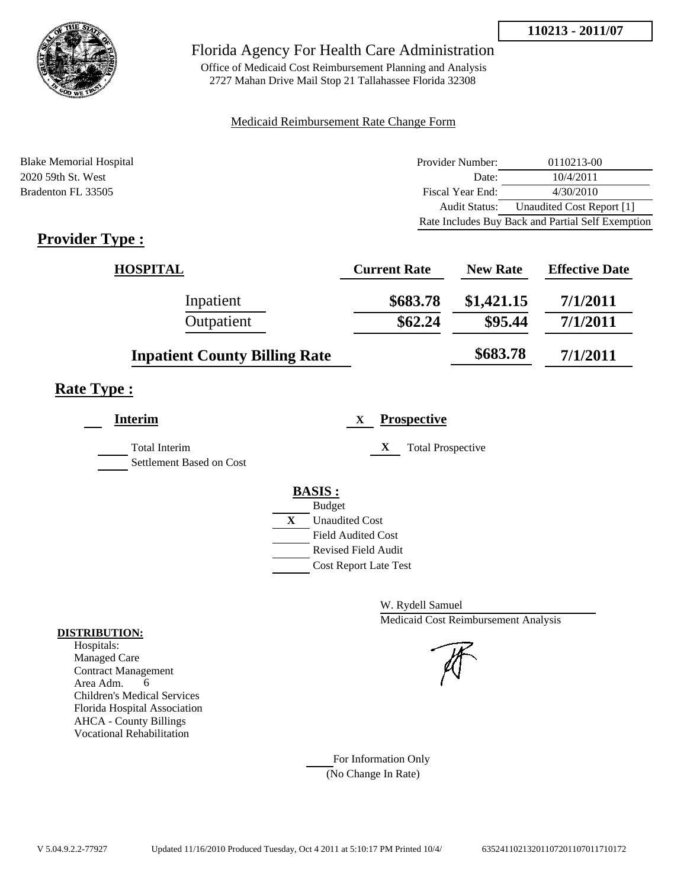

Office of Medicaid Cost Reimbursement Planning and Analysis 2727 Mahan Drive Mail Stop 21 Tallahassee Florida 32308

### Medicaid Reimbursement Rate Change Form

| <b>Blake Memorial Hospital</b> | Provider Number: | 0110213-00                                        |
|--------------------------------|------------------|---------------------------------------------------|
| 2020 59th St. West             | Date:            | 10/4/2011                                         |
| Bradenton FL 33505             | Fiscal Year End: | 4/30/2010                                         |
|                                | Audit Status:    | Unaudited Cost Report [1]                         |
|                                |                  | Rate Includes Buy Back and Partial Self Exemption |

# **Provider Type :**

| <b>HOSPITAL</b>                      | <b>Current Rate</b> | <b>New Rate</b> | <b>Effective Date</b> |
|--------------------------------------|---------------------|-----------------|-----------------------|
| Inpatient                            | \$683.78            | \$1,421.15      | 7/1/2011              |
| Outpatient                           | \$62.24             | \$95.44         | 7/1/2011              |
| <b>Inpatient County Billing Rate</b> |                     | \$683.78        | 7/1/2011              |

# **Rate Type :**

| <b>Interim</b>                                   | <b>Prospective</b><br>X       |
|--------------------------------------------------|-------------------------------|
| <b>Total Interim</b><br>Settlement Based on Cost | X<br><b>Total Prospective</b> |
|                                                  | <b>BASIS:</b>                 |
|                                                  | <b>Budget</b>                 |
|                                                  | X<br><b>Unaudited Cost</b>    |
|                                                  | <b>Field Audited Cost</b>     |
|                                                  | <b>Revised Field Audit</b>    |
|                                                  | <b>Cost Report Late Test</b>  |
|                                                  |                               |

W. Rydell Samuel Medicaid Cost Reimbursement Analysis



For Information Only (No Change In Rate)

#### **DISTRIBUTION:**

Hospitals: Managed Care Contract Management Area Adm. 6 Children's Medical Services Florida Hospital Association AHCA - County Billings Vocational Rehabilitation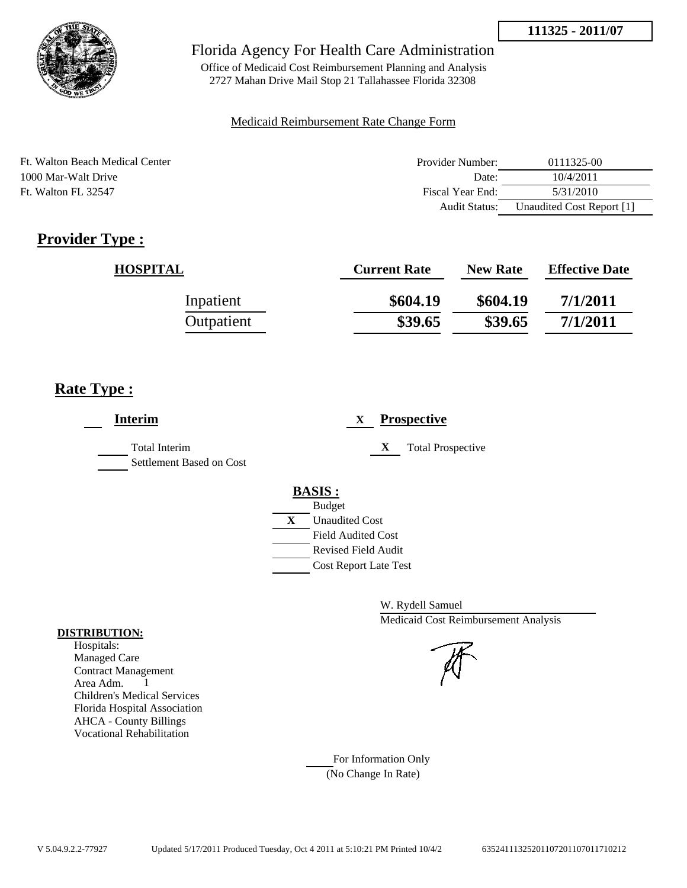

## Florida Agency For Health Care Administration

Office of Medicaid Cost Reimbursement Planning and Analysis 2727 Mahan Drive Mail Stop 21 Tallahassee Florida 32308

#### Medicaid Reimbursement Rate Change Form

| Ft. Walton Beach Medical Center | Provider Number:     | 0111325-00                |
|---------------------------------|----------------------|---------------------------|
| 1000 Mar-Walt Drive             | Date:                | 10/4/2011                 |
| Ft. Walton FL 32547             | Fiscal Year End:     | 5/31/2010                 |
|                                 | <b>Audit Status:</b> | Unaudited Cost Report [1] |

# **Provider Type :**

| <b>HOSPITAL</b> | <b>Current Rate</b> | <b>New Rate</b> | <b>Effective Date</b> |
|-----------------|---------------------|-----------------|-----------------------|
| Inpatient       | \$604.19            | \$604.19        | 7/1/2011              |
| Outpatient      | \$39.65             | \$39.65         | 7/1/2011              |

# **Rate Type :**

| <b>Prospective</b><br>X       |
|-------------------------------|
| X<br><b>Total Prospective</b> |
| <b>BASIS:</b>                 |
| <b>Budget</b>                 |
| X<br><b>Unaudited Cost</b>    |
| <b>Field Audited Cost</b>     |
| <b>Revised Field Audit</b>    |
| <b>Cost Report Late Test</b>  |
|                               |

W. Rydell Samuel Medicaid Cost Reimbursement Analysis



For Information Only (No Change In Rate)

#### **DISTRIBUTION:**

Hospitals: Managed Care Contract Management Area Adm. 1 Children's Medical Services Florida Hospital Association AHCA - County Billings Vocational Rehabilitation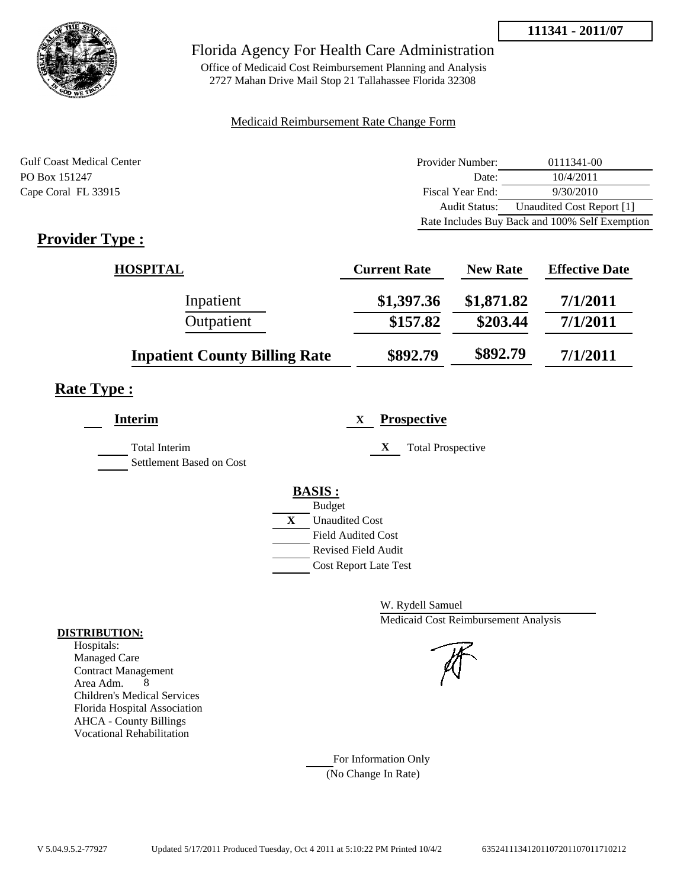

# Florida Agency For Health Care Administration

Office of Medicaid Cost Reimbursement Planning and Analysis 2727 Mahan Drive Mail Stop 21 Tallahassee Florida 32308

#### Medicaid Reimbursement Rate Change Form

| <b>Gulf Coast Medical Center</b> | Provider Number: | 0111341-00                                     |
|----------------------------------|------------------|------------------------------------------------|
| PO Box 151247                    | Date:            | 10/4/2011                                      |
| Cape Coral FL 33915              | Fiscal Year End: | 9/30/2010                                      |
|                                  | Audit Status:    | Unaudited Cost Report [1]                      |
|                                  |                  | Rate Includes Buy Back and 100% Self Exemption |

# **Provider Type :**

| <b>HOSPITAL</b>                      | <b>Current Rate</b> | <b>New Rate</b> | <b>Effective Date</b> |
|--------------------------------------|---------------------|-----------------|-----------------------|
| Inpatient                            | \$1,397.36          | \$1,871.82      | 7/1/2011              |
| Outpatient                           | \$157.82            | \$203.44        | 7/1/2011              |
| <b>Inpatient County Billing Rate</b> | \$892.79            | \$892.79        | 7/1/2011              |

# **Rate Type :**

| <b>Interim</b>                            | <b>Prospective</b><br>X       |
|-------------------------------------------|-------------------------------|
| Total Interim<br>Settlement Based on Cost | X<br><b>Total Prospective</b> |
|                                           | <b>BASIS:</b>                 |
|                                           | <b>Budget</b>                 |
|                                           | X<br><b>Unaudited Cost</b>    |
|                                           | <b>Field Audited Cost</b>     |
|                                           | <b>Revised Field Audit</b>    |
|                                           | <b>Cost Report Late Test</b>  |
|                                           |                               |

W. Rydell Samuel Medicaid Cost Reimbursement Analysis

For Information Only (No Change In Rate)

#### **DISTRIBUTION:**

Hospitals: Managed Care Contract Management Area Adm. 8 Children's Medical Services Florida Hospital Association AHCA - County Billings Vocational Rehabilitation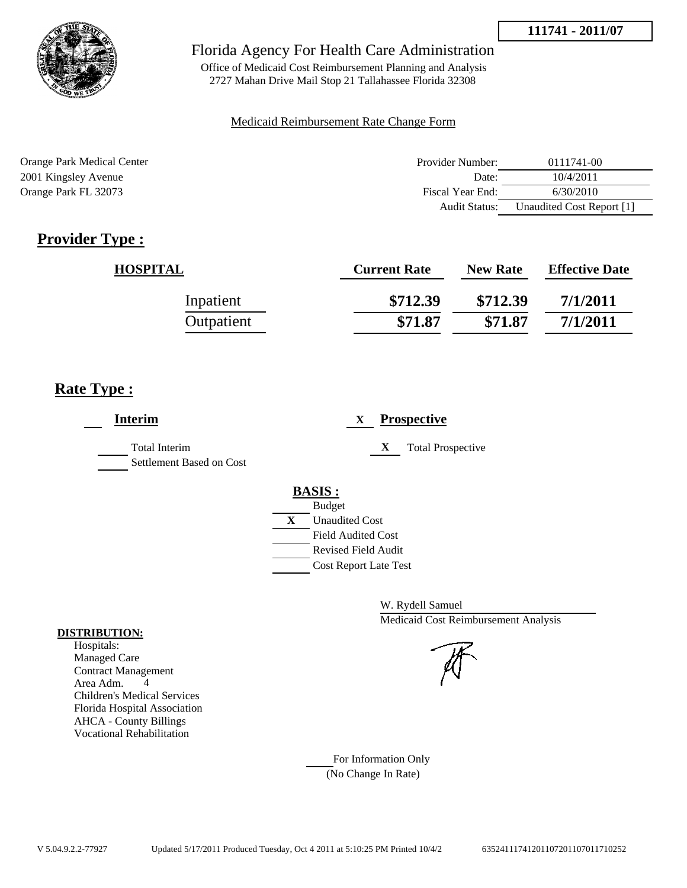

# Florida Agency For Health Care Administration

Office of Medicaid Cost Reimbursement Planning and Analysis 2727 Mahan Drive Mail Stop 21 Tallahassee Florida 32308

### Medicaid Reimbursement Rate Change Form

| Orange Park Medical Center | Provider Number:     | 0111741-00                |
|----------------------------|----------------------|---------------------------|
| 2001 Kingsley Avenue       | Date:                | 10/4/2011                 |
| Orange Park FL 32073       | Fiscal Year End:     | 6/30/2010                 |
|                            | <b>Audit Status:</b> | Unaudited Cost Report [1] |

# **Provider Type :**

| <b>HOSPITAL</b> | <b>Current Rate</b> | <b>New Rate</b> | <b>Effective Date</b> |
|-----------------|---------------------|-----------------|-----------------------|
| Inpatient       | \$712.39            | \$712.39        | 7/1/2011              |
| Outpatient      | \$71.87             | \$71.87         | 7/1/2011              |

# **Rate Type :**

| <b>Interim</b>                                   | <b>Prospective</b><br>X                                                                                                                                 |
|--------------------------------------------------|---------------------------------------------------------------------------------------------------------------------------------------------------------|
| <b>Total Interim</b><br>Settlement Based on Cost | X<br><b>Total Prospective</b>                                                                                                                           |
|                                                  | <b>BASIS:</b><br><b>Budget</b><br>X<br><b>Unaudited Cost</b><br><b>Field Audited Cost</b><br><b>Revised Field Audit</b><br><b>Cost Report Late Test</b> |

W. Rydell Samuel Medicaid Cost Reimbursement Analysis

#### **DISTRIBUTION:**

Hospitals: Managed Care Contract Management Area Adm. 4 Children's Medical Services Florida Hospital Association AHCA - County Billings Vocational Rehabilitation

> For Information Only (No Change In Rate)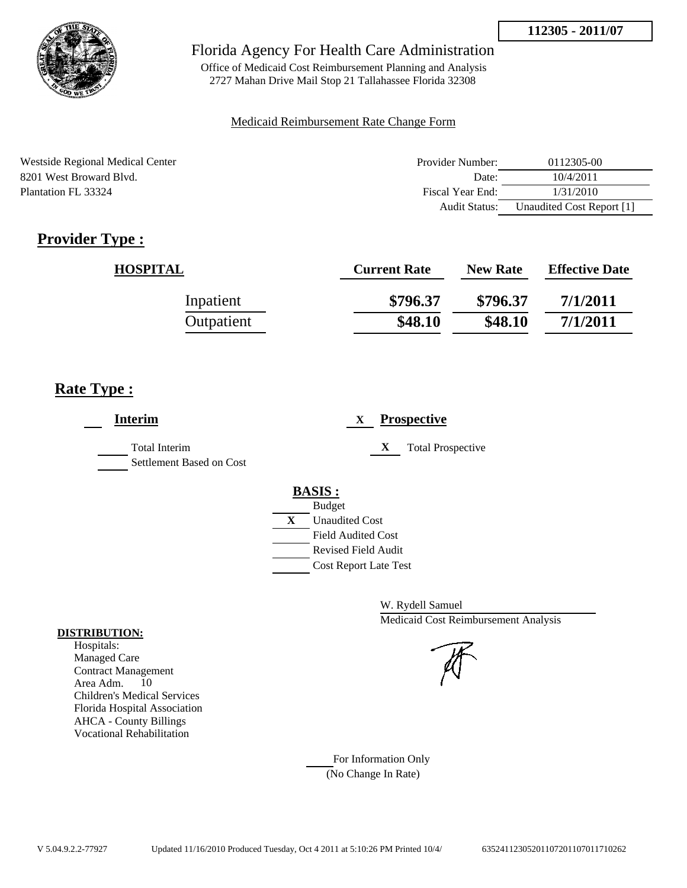

Office of Medicaid Cost Reimbursement Planning and Analysis 2727 Mahan Drive Mail Stop 21 Tallahassee Florida 32308

#### Medicaid Reimbursement Rate Change Form

Westside Regional Medical Center **Provider Number:** 0112305-00 8201 West Broward Blvd. Date: 10/4/2011 Plantation FL 33324 Fiscal Year End: 1/31/2010 Audit Status: Unaudited Cost Report [1]

# **Provider Type :**

| <b>HOSPITAL</b> | <b>Current Rate</b> | <b>New Rate</b> | <b>Effective Date</b> |
|-----------------|---------------------|-----------------|-----------------------|
| Inpatient       | \$796.37            | \$796.37        | 7/1/2011              |
| Outpatient      | \$48.10             | \$48.10         | 7/1/2011              |

# **Rate Type :**

| <b>Interim</b>                            | <b>Prospective</b><br>X       |
|-------------------------------------------|-------------------------------|
| Total Interim<br>Settlement Based on Cost | X<br><b>Total Prospective</b> |
|                                           | <b>BASIS:</b>                 |
|                                           | <b>Budget</b>                 |
|                                           | X<br><b>Unaudited Cost</b>    |
|                                           | <b>Field Audited Cost</b>     |
|                                           | <b>Revised Field Audit</b>    |
|                                           | <b>Cost Report Late Test</b>  |

W. Rydell Samuel Medicaid Cost Reimbursement Analysis

For Information Only (No Change In Rate)

#### **DISTRIBUTION:**

Hospitals: Managed Care Contract Management Area Adm. 10 Children's Medical Services Florida Hospital Association AHCA - County Billings Vocational Rehabilitation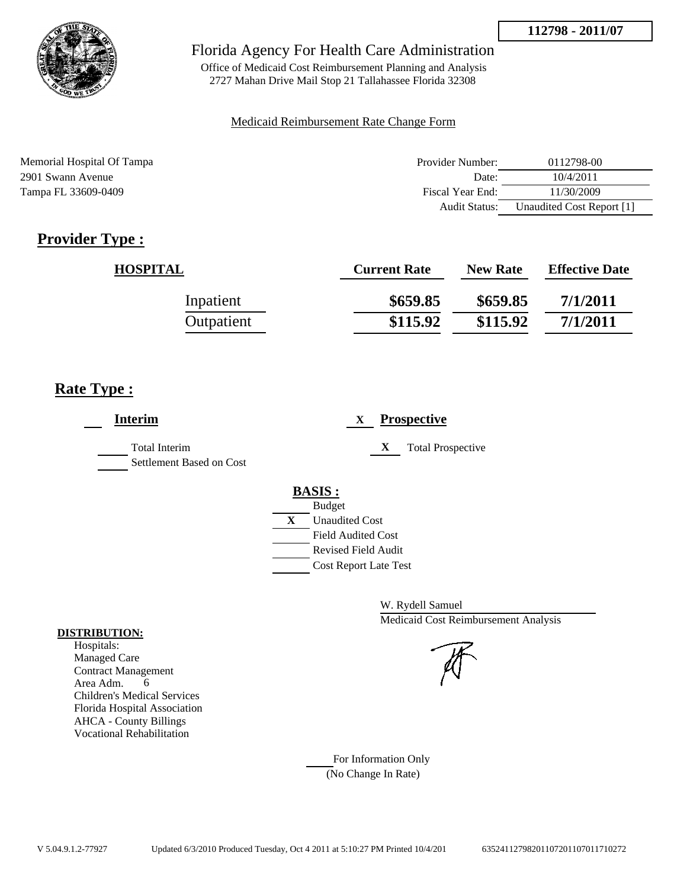

## Florida Agency For Health Care Administration

Office of Medicaid Cost Reimbursement Planning and Analysis 2727 Mahan Drive Mail Stop 21 Tallahassee Florida 32308

#### Medicaid Reimbursement Rate Change Form

Memorial Hospital Of Tampa **Provider Number:** 0112798-00 2901 Swann Avenue Date: 10/4/2011 Tampa FL 33609-0409 **Fiscal Year End:** 11/30/2009 **Fiscal Year End:** 11/30/2009 Audit Status: Unaudited Cost Report [1]

# **Provider Type :**

| <b>HOSPITAL</b> | <b>Current Rate</b> | <b>New Rate</b> | <b>Effective Date</b> |
|-----------------|---------------------|-----------------|-----------------------|
| Inpatient       | \$659.85            | \$659.85        | 7/1/2011              |
| Outpatient      | \$115.92            | \$115.92        | 7/1/2011              |

# **Rate Type :**

| <b>Interim</b>                                   | <b>Prospective</b><br>X                     |
|--------------------------------------------------|---------------------------------------------|
| <b>Total Interim</b><br>Settlement Based on Cost | <b>Total Prospective</b><br>X               |
|                                                  | <b>BASIS:</b>                               |
|                                                  | <b>Budget</b><br>X<br><b>Unaudited Cost</b> |
|                                                  | <b>Field Audited Cost</b>                   |
|                                                  | Revised Field Audit                         |
|                                                  | <b>Cost Report Late Test</b>                |

W. Rydell Samuel Medicaid Cost Reimbursement Analysis

For Information Only (No Change In Rate)

#### **DISTRIBUTION:**

Hospitals: Managed Care Contract Management Area Adm. 6 Children's Medical Services Florida Hospital Association AHCA - County Billings Vocational Rehabilitation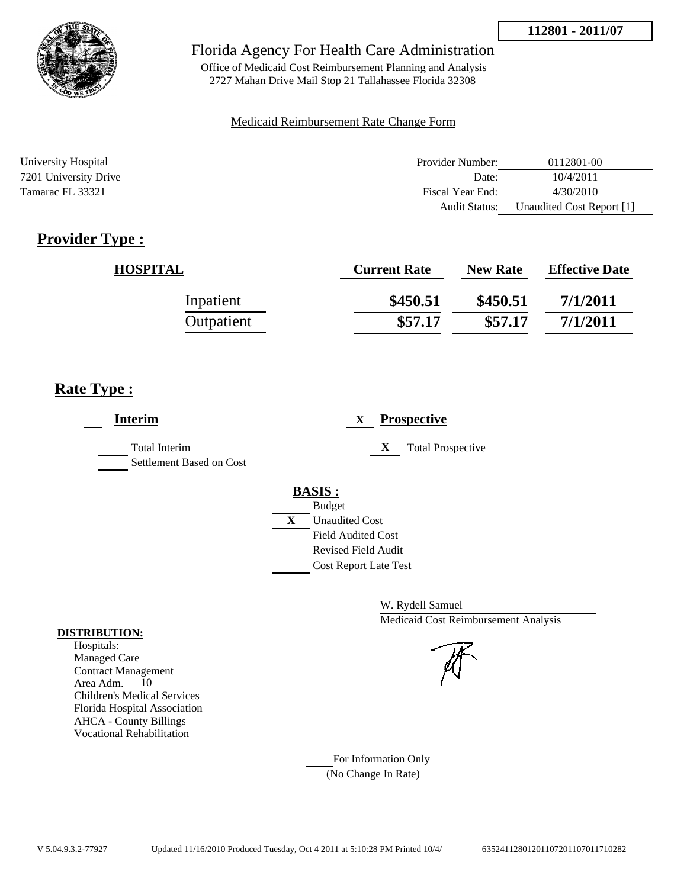

Office of Medicaid Cost Reimbursement Planning and Analysis 2727 Mahan Drive Mail Stop 21 Tallahassee Florida 32308

### Medicaid Reimbursement Rate Change Form

| University Hospital   | Provider Number:     | 0112801-00                |
|-----------------------|----------------------|---------------------------|
| 7201 University Drive | Date:                | 10/4/2011                 |
| Tamarac FL 33321      | Fiscal Year End:     | 4/30/2010                 |
|                       | <b>Audit Status:</b> | Unaudited Cost Report [1] |

# **Provider Type :**

| <b>HOSPITAL</b> | <b>Current Rate</b> | <b>New Rate</b> | <b>Effective Date</b> |
|-----------------|---------------------|-----------------|-----------------------|
| Inpatient       | \$450.51            | \$450.51        | 7/1/2011              |
| Outpatient      | \$57.17             | \$57.17         | 7/1/2011              |

# **Rate Type :**

| <b>Interim</b>                                   | <b>Prospective</b><br>X                     |
|--------------------------------------------------|---------------------------------------------|
| <b>Total Interim</b><br>Settlement Based on Cost | X<br><b>Total Prospective</b>               |
|                                                  | <b>BASIS:</b>                               |
|                                                  | <b>Budget</b><br>X<br><b>Unaudited Cost</b> |
|                                                  | <b>Field Audited Cost</b>                   |
|                                                  | <b>Revised Field Audit</b>                  |
|                                                  | <b>Cost Report Late Test</b>                |
|                                                  |                                             |

W. Rydell Samuel Medicaid Cost Reimbursement Analysis

For Information Only (No Change In Rate)

#### **DISTRIBUTION:**

Hospitals: Managed Care Contract Management Area Adm. 10 Children's Medical Services Florida Hospital Association AHCA - County Billings Vocational Rehabilitation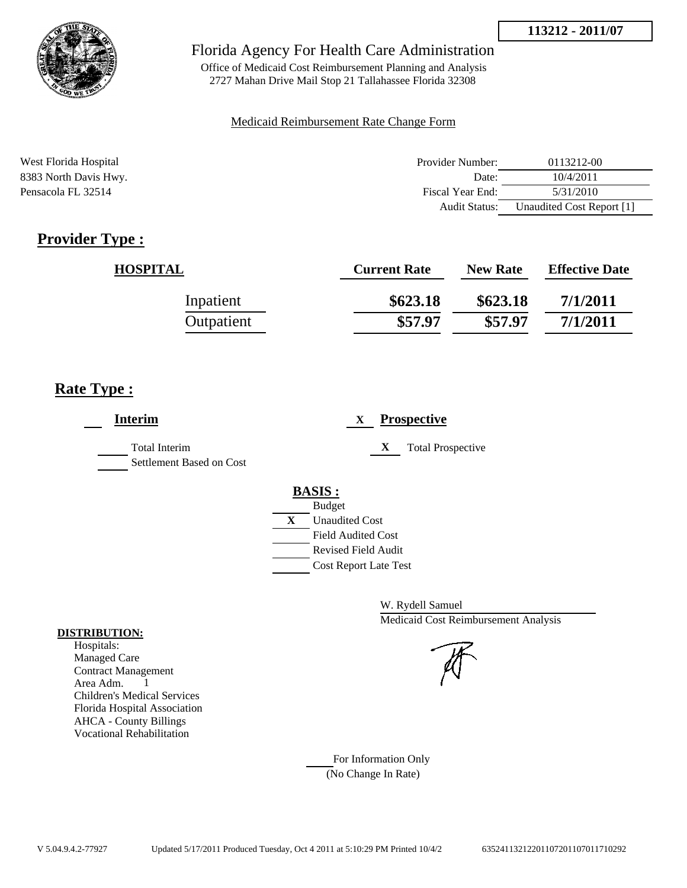

# Florida Agency For Health Care Administration

Office of Medicaid Cost Reimbursement Planning and Analysis 2727 Mahan Drive Mail Stop 21 Tallahassee Florida 32308

### Medicaid Reimbursement Rate Change Form

| West Florida Hospital | Provider Number: | 0113212-00                |
|-----------------------|------------------|---------------------------|
| 8383 North Davis Hwy. | Date:            | 10/4/2011                 |
| Pensacola FL 32514    | Fiscal Year End: | 5/31/2010                 |
|                       | Audit Status:    | Unaudited Cost Report [1] |

# **Provider Type :**

| <b>HOSPITAL</b> | <b>Current Rate</b> | <b>New Rate</b> | <b>Effective Date</b> |
|-----------------|---------------------|-----------------|-----------------------|
| Inpatient       | \$623.18            | \$623.18        | 7/1/2011              |
| Outpatient      | \$57.97             | \$57.97         | 7/1/2011              |

# **Rate Type :**

| <b>Interim</b>                                   | <b>Prospective</b><br>X                     |
|--------------------------------------------------|---------------------------------------------|
| <b>Total Interim</b><br>Settlement Based on Cost | X<br><b>Total Prospective</b>               |
|                                                  | <b>BASIS:</b>                               |
|                                                  | <b>Budget</b><br>X<br><b>Unaudited Cost</b> |
|                                                  | <b>Field Audited Cost</b>                   |
|                                                  | <b>Revised Field Audit</b>                  |
|                                                  | <b>Cost Report Late Test</b>                |

W. Rydell Samuel Medicaid Cost Reimbursement Analysis

For Information Only (No Change In Rate)

#### **DISTRIBUTION:**

Hospitals: Managed Care Contract Management Area Adm. 1 Children's Medical Services Florida Hospital Association AHCA - County Billings Vocational Rehabilitation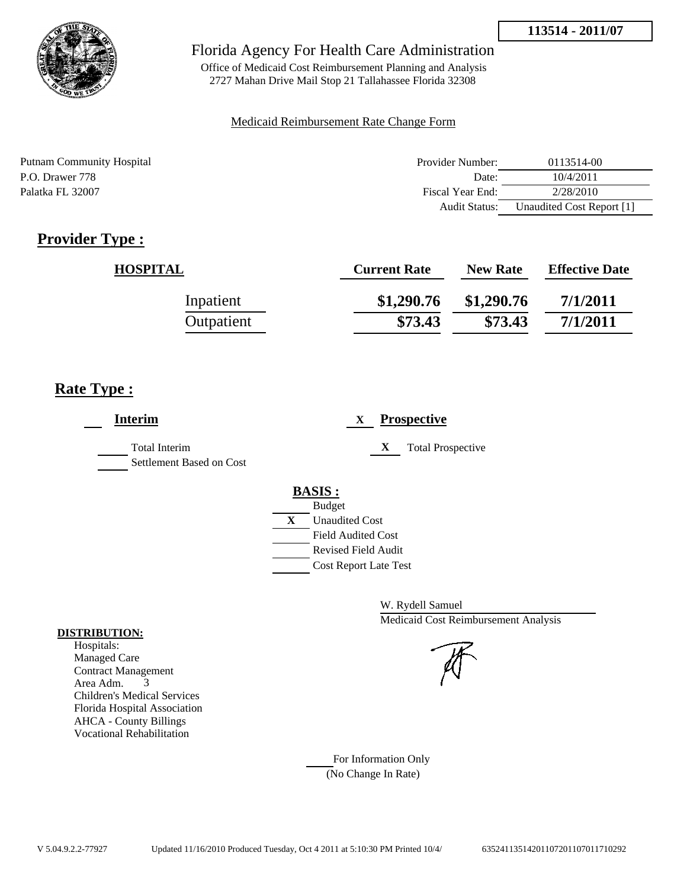

# Florida Agency For Health Care Administration

Office of Medicaid Cost Reimbursement Planning and Analysis 2727 Mahan Drive Mail Stop 21 Tallahassee Florida 32308

### Medicaid Reimbursement Rate Change Form

| Putnam Community Hospital | Provider Number:     | 0113514-00                |
|---------------------------|----------------------|---------------------------|
| P.O. Drawer 778           | Date:                | 10/4/2011                 |
| Palatka FL 32007          | Fiscal Year End:     | 2/28/2010                 |
|                           | <b>Audit Status:</b> | Unaudited Cost Report [1] |

# **Provider Type :**

| <b>HOSPITAL</b> | <b>Current Rate</b> | <b>New Rate</b> | <b>Effective Date</b> |
|-----------------|---------------------|-----------------|-----------------------|
| Inpatient       | \$1,290.76          | \$1,290.76      | 7/1/2011              |
| Outpatient      | \$73.43             | \$73.43         | 7/1/2011              |

# **Rate Type :**

| <b>Interim</b>                                   | <b>Prospective</b><br>X                     |
|--------------------------------------------------|---------------------------------------------|
| <b>Total Interim</b><br>Settlement Based on Cost | X<br><b>Total Prospective</b>               |
|                                                  | <b>BASIS:</b>                               |
|                                                  |                                             |
|                                                  | <b>Field Audited Cost</b>                   |
|                                                  | <b>Revised Field Audit</b>                  |
|                                                  | <b>Cost Report Late Test</b>                |
|                                                  | <b>Budget</b><br>X<br><b>Unaudited Cost</b> |

W. Rydell Samuel Medicaid Cost Reimbursement Analysis

For Information Only (No Change In Rate)

#### **DISTRIBUTION:**

Hospitals: Managed Care Contract Management Area Adm. 3 Children's Medical Services Florida Hospital Association AHCA - County Billings Vocational Rehabilitation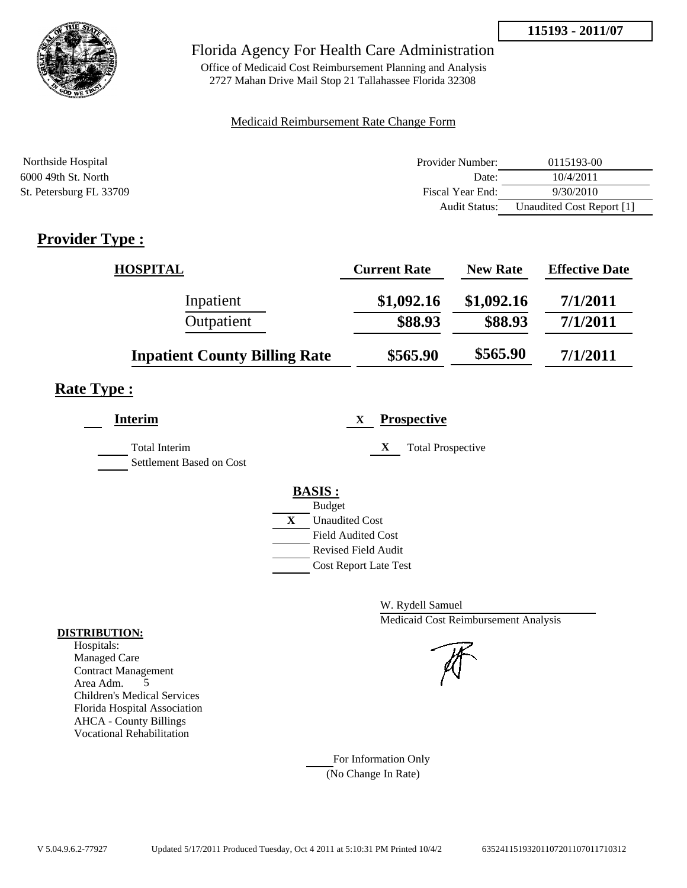

# Florida Agency For Health Care Administration

Office of Medicaid Cost Reimbursement Planning and Analysis 2727 Mahan Drive Mail Stop 21 Tallahassee Florida 32308

#### Medicaid Reimbursement Rate Change Form

| Northside Hospital      | Provider Number:     | 0115193-00                |
|-------------------------|----------------------|---------------------------|
| 6000 49th St. North     | Date:                | 10/4/2011                 |
| St. Petersburg FL 33709 | Fiscal Year End:     | 9/30/2010                 |
|                         | <b>Audit Status:</b> | Unaudited Cost Report [1] |

# **Provider Type :**

| <b>HOSPITAL</b>                      | <b>Current Rate</b> | <b>New Rate</b> | <b>Effective Date</b> |
|--------------------------------------|---------------------|-----------------|-----------------------|
| Inpatient                            | \$1,092.16          | \$1,092.16      | 7/1/2011              |
| Outpatient                           | \$88.93             | \$88.93         | 7/1/2011              |
| <b>Inpatient County Billing Rate</b> | \$565.90            | \$565.90        | 7/1/2011              |

# **Rate Type :**

| <b>Interim</b>                                   | <b>Prospective</b><br>X       |
|--------------------------------------------------|-------------------------------|
| <b>Total Interim</b><br>Settlement Based on Cost | X<br><b>Total Prospective</b> |
|                                                  | <b>BASIS:</b>                 |
|                                                  | <b>Budget</b>                 |
|                                                  | X<br><b>Unaudited Cost</b>    |
|                                                  | <b>Field Audited Cost</b>     |
|                                                  | <b>Revised Field Audit</b>    |
|                                                  | <b>Cost Report Late Test</b>  |
|                                                  |                               |

W. Rydell Samuel Medicaid Cost Reimbursement Analysis

For Information Only (No Change In Rate)

#### **DISTRIBUTION:**

Hospitals: Managed Care Contract Management Area Adm. 5 Children's Medical Services Florida Hospital Association AHCA - County Billings Vocational Rehabilitation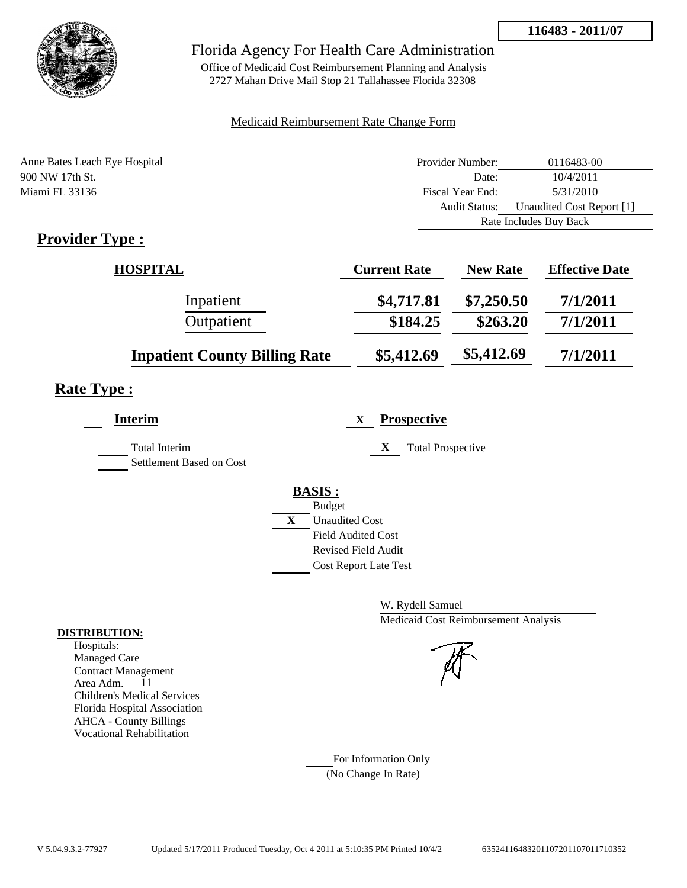

# Florida Agency For Health Care Administration

Office of Medicaid Cost Reimbursement Planning and Analysis 2727 Mahan Drive Mail Stop 21 Tallahassee Florida 32308

### Medicaid Reimbursement Rate Change Form

| Anne Bates Leach Eye Hospital | Provider Number:     | 0116483-00                |  |
|-------------------------------|----------------------|---------------------------|--|
| 900 NW 17th St.               | Date:                | 10/4/2011                 |  |
| Miami FL 33136                | Fiscal Year End:     | 5/31/2010                 |  |
|                               | <b>Audit Status:</b> | Unaudited Cost Report [1] |  |
|                               |                      | Rate Includes Buy Back    |  |
| $\sim$ $\sim$<br>__           |                      |                           |  |

# **Provider Type :**

| <b>HOSPITAL</b>                      | <b>Current Rate</b> | <b>New Rate</b> | <b>Effective Date</b> |
|--------------------------------------|---------------------|-----------------|-----------------------|
| Inpatient                            | \$4,717.81          | \$7,250.50      | 7/1/2011              |
| Outpatient                           | \$184.25            | \$263.20        | 7/1/2011              |
| <b>Inpatient County Billing Rate</b> | \$5,412.69          | \$5,412.69      | 7/1/2011              |

# **Rate Type :**

| <b>Interim</b>                            | <b>Prospective</b><br>X       |
|-------------------------------------------|-------------------------------|
| Total Interim<br>Settlement Based on Cost | X<br><b>Total Prospective</b> |
|                                           | <b>BASIS:</b>                 |
|                                           | <b>Budget</b>                 |
|                                           | X<br><b>Unaudited Cost</b>    |
|                                           | <b>Field Audited Cost</b>     |
|                                           | <b>Revised Field Audit</b>    |
|                                           | <b>Cost Report Late Test</b>  |
|                                           |                               |

W. Rydell Samuel Medicaid Cost Reimbursement Analysis

For Information Only (No Change In Rate)

#### **DISTRIBUTION:**

Hospitals: Managed Care Contract Management Area Adm. 11 Children's Medical Services Florida Hospital Association AHCA - County Billings Vocational Rehabilitation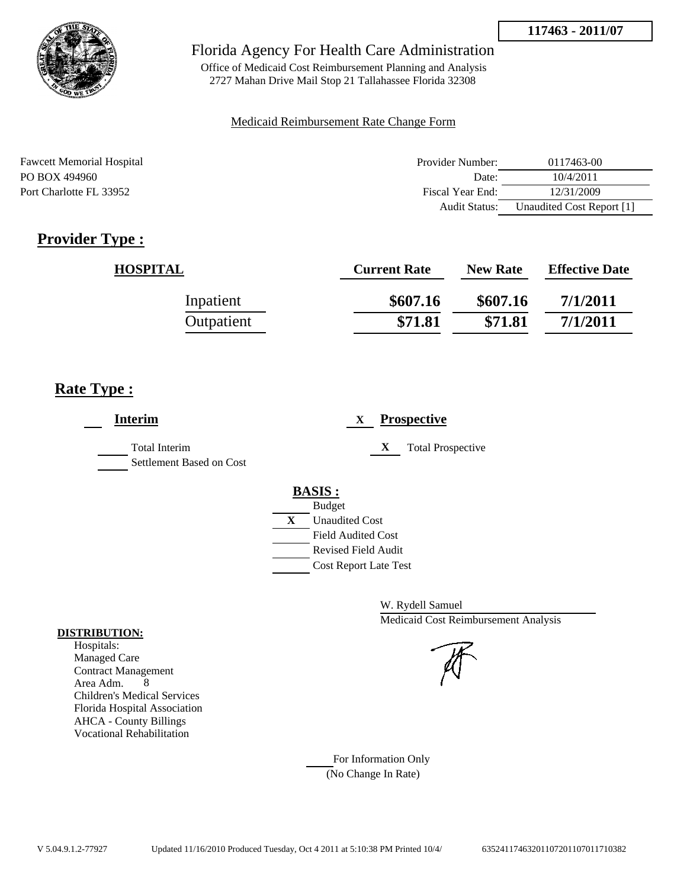

# Florida Agency For Health Care Administration

Office of Medicaid Cost Reimbursement Planning and Analysis 2727 Mahan Drive Mail Stop 21 Tallahassee Florida 32308

#### Medicaid Reimbursement Rate Change Form

| <b>Fawcett Memorial Hospital</b> | Provider Number: | 0117463-00                |
|----------------------------------|------------------|---------------------------|
| PO BOX 494960                    | Date:            | 10/4/2011                 |
| Port Charlotte FL 33952          | Fiscal Year End: | 12/31/2009                |
|                                  | Audit Status:    | Unaudited Cost Report [1] |

# **Provider Type :**

| HOSPITAL   | <b>Current Rate</b> | <b>New Rate</b> | <b>Effective Date</b> |
|------------|---------------------|-----------------|-----------------------|
| Inpatient  | \$607.16            | \$607.16        | 7/1/2011              |
| Outpatient | \$71.81             | \$71.81         | 7/1/2011              |

# **Rate Type :**

| <b>Interim</b>                                   | <b>Prospective</b><br>X       |
|--------------------------------------------------|-------------------------------|
| <b>Total Interim</b><br>Settlement Based on Cost | X<br><b>Total Prospective</b> |
|                                                  | <b>BASIS:</b>                 |
|                                                  | <b>Budget</b>                 |
|                                                  | X<br><b>Unaudited Cost</b>    |
|                                                  | <b>Field Audited Cost</b>     |
|                                                  | <b>Revised Field Audit</b>    |
|                                                  | <b>Cost Report Late Test</b>  |
|                                                  |                               |

W. Rydell Samuel Medicaid Cost Reimbursement Analysis

For Information Only (No Change In Rate)

#### **DISTRIBUTION:**

Hospitals: Managed Care Contract Management Area Adm. 8 Children's Medical Services Florida Hospital Association AHCA - County Billings Vocational Rehabilitation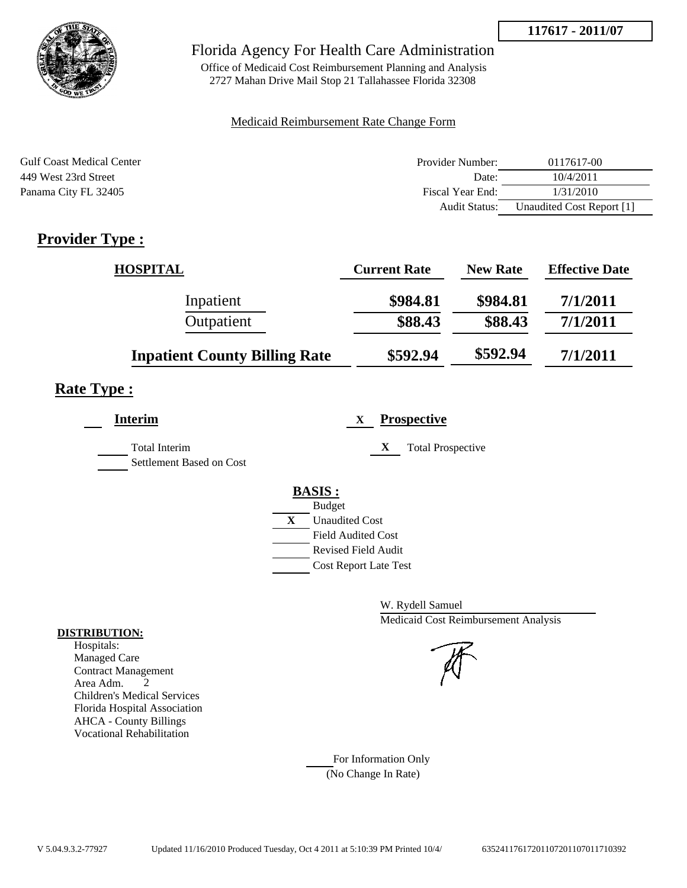

# Florida Agency For Health Care Administration

Office of Medicaid Cost Reimbursement Planning and Analysis 2727 Mahan Drive Mail Stop 21 Tallahassee Florida 32308

### Medicaid Reimbursement Rate Change Form

| <b>Gulf Coast Medical Center</b> | Provider Number: | 0117617-00                |
|----------------------------------|------------------|---------------------------|
| 449 West 23rd Street             | Date:            | 10/4/2011                 |
| Panama City FL 32405             | Fiscal Year End: | 1/31/2010                 |
|                                  | Audit Status:    | Unaudited Cost Report [1] |

# **Provider Type :**

| <b>HOSPITAL</b>                      | <b>Current Rate</b> | <b>New Rate</b> | <b>Effective Date</b> |
|--------------------------------------|---------------------|-----------------|-----------------------|
| Inpatient                            | \$984.81            | \$984.81        | 7/1/2011              |
| Outpatient                           | \$88.43             | \$88.43         | 7/1/2011              |
| <b>Inpatient County Billing Rate</b> | \$592.94            | \$592.94        | 7/1/2011              |

# **Rate Type :**

| <b>Interim</b>                            | <b>Prospective</b><br>X                                 |
|-------------------------------------------|---------------------------------------------------------|
| Total Interim<br>Settlement Based on Cost | <b>Total Prospective</b><br>X                           |
|                                           | <b>BASIS:</b><br><b>Budget</b>                          |
|                                           | X<br><b>Unaudited Cost</b><br><b>Field Audited Cost</b> |
|                                           | Revised Field Audit<br><b>Cost Report Late Test</b>     |

W. Rydell Samuel Medicaid Cost Reimbursement Analysis

For Information Only (No Change In Rate)

#### **DISTRIBUTION:**

Hospitals: Managed Care Contract Management Area Adm. 2 Children's Medical Services Florida Hospital Association AHCA - County Billings Vocational Rehabilitation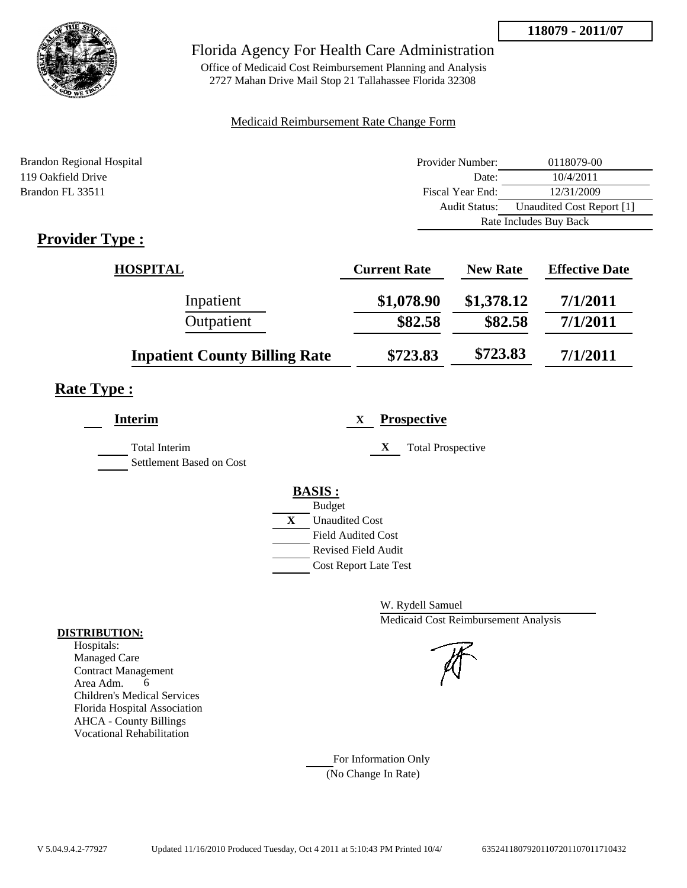

# Florida Agency For Health Care Administration

Office of Medicaid Cost Reimbursement Planning and Analysis 2727 Mahan Drive Mail Stop 21 Tallahassee Florida 32308

### Medicaid Reimbursement Rate Change Form

| <b>Brandon Regional Hospital</b> | Provider Number:     | 0118079-00                |  |
|----------------------------------|----------------------|---------------------------|--|
| 119 Oakfield Drive               | Date:                | 10/4/2011                 |  |
| Brandon FL 33511                 | Fiscal Year End:     | 12/31/2009                |  |
|                                  | <b>Audit Status:</b> | Unaudited Cost Report [1] |  |
|                                  |                      | Rate Includes Buy Back    |  |
|                                  |                      |                           |  |

# **Provider Type :**

| <b>HOSPITAL</b>                      | <b>Current Rate</b> | <b>New Rate</b> | <b>Effective Date</b> |
|--------------------------------------|---------------------|-----------------|-----------------------|
| Inpatient                            | \$1,078.90          | \$1,378.12      | 7/1/2011              |
| Outpatient                           | \$82.58             | \$82.58         | 7/1/2011              |
| <b>Inpatient County Billing Rate</b> | \$723.83            | \$723.83        | 7/1/2011              |

# **Rate Type :**

| <b>Interim</b>                                   | <b>Prospective</b><br>X       |
|--------------------------------------------------|-------------------------------|
| <b>Total Interim</b><br>Settlement Based on Cost | X<br><b>Total Prospective</b> |
|                                                  | <b>BASIS:</b>                 |
|                                                  | <b>Budget</b>                 |
|                                                  | X<br><b>Unaudited Cost</b>    |
|                                                  | <b>Field Audited Cost</b>     |
|                                                  | Revised Field Audit           |
|                                                  | <b>Cost Report Late Test</b>  |

W. Rydell Samuel Medicaid Cost Reimbursement Analysis



For Information Only (No Change In Rate)

#### **DISTRIBUTION:**

Hospitals: Managed Care Contract Management Area Adm. 6 Children's Medical Services Florida Hospital Association AHCA - County Billings Vocational Rehabilitation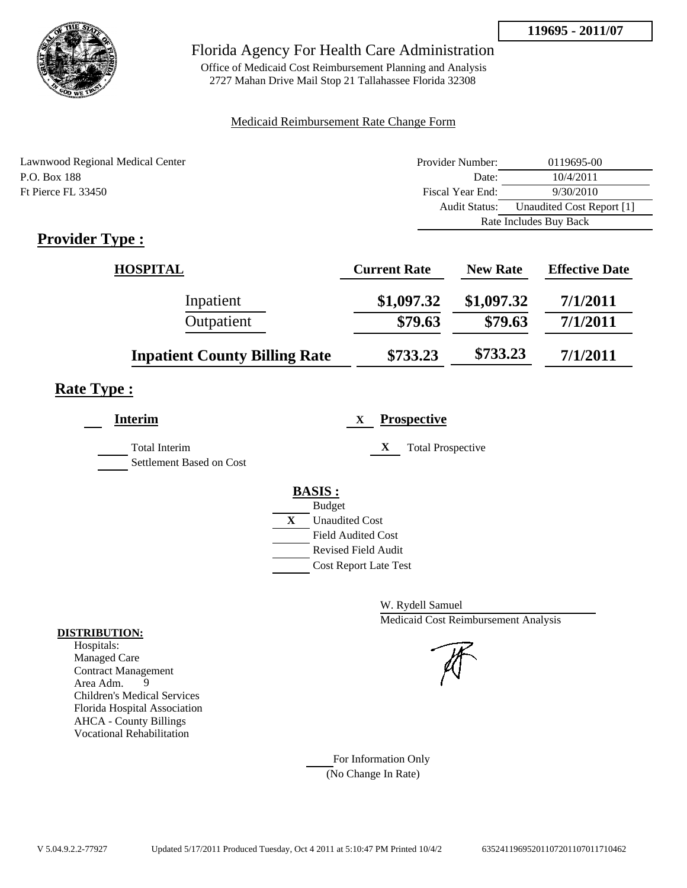

# Florida Agency For Health Care Administration

Office of Medicaid Cost Reimbursement Planning and Analysis 2727 Mahan Drive Mail Stop 21 Tallahassee Florida 32308

### Medicaid Reimbursement Rate Change Form

| Lawnwood Regional Medical Center | Provider Number: | 0119695-00                |  |
|----------------------------------|------------------|---------------------------|--|
| P.O. Box 188                     | Date:            | 10/4/2011                 |  |
| Ft Pierce FL 33450               | Fiscal Year End: | 9/30/2010                 |  |
|                                  | Audit Status:    | Unaudited Cost Report [1] |  |
|                                  |                  | Rate Includes Buy Back    |  |

# **Provider Type :**

| <b>HOSPITAL</b>                      | <b>Current Rate</b> | <b>New Rate</b> | <b>Effective Date</b> |
|--------------------------------------|---------------------|-----------------|-----------------------|
| Inpatient                            | \$1,097.32          | \$1,097.32      | 7/1/2011              |
| Outpatient                           | \$79.63             | \$79.63         | 7/1/2011              |
| <b>Inpatient County Billing Rate</b> | \$733.23            | \$733.23        | 7/1/2011              |

# **Rate Type :**

| <b>Interim</b>                            | <b>Prospective</b><br>X       |
|-------------------------------------------|-------------------------------|
| Total Interim<br>Settlement Based on Cost | X<br><b>Total Prospective</b> |
|                                           | <b>BASIS:</b>                 |
|                                           | <b>Budget</b>                 |
|                                           | X<br><b>Unaudited Cost</b>    |
|                                           | <b>Field Audited Cost</b>     |
|                                           | Revised Field Audit           |
|                                           | <b>Cost Report Late Test</b>  |
|                                           |                               |

W. Rydell Samuel Medicaid Cost Reimbursement Analysis

For Information Only (No Change In Rate)

#### **DISTRIBUTION:**

Hospitals: Managed Care Contract Management<br>Area Adm. 9 Area Adm. 9 Children's Medical Services Florida Hospital Association AHCA - County Billings Vocational Rehabilitation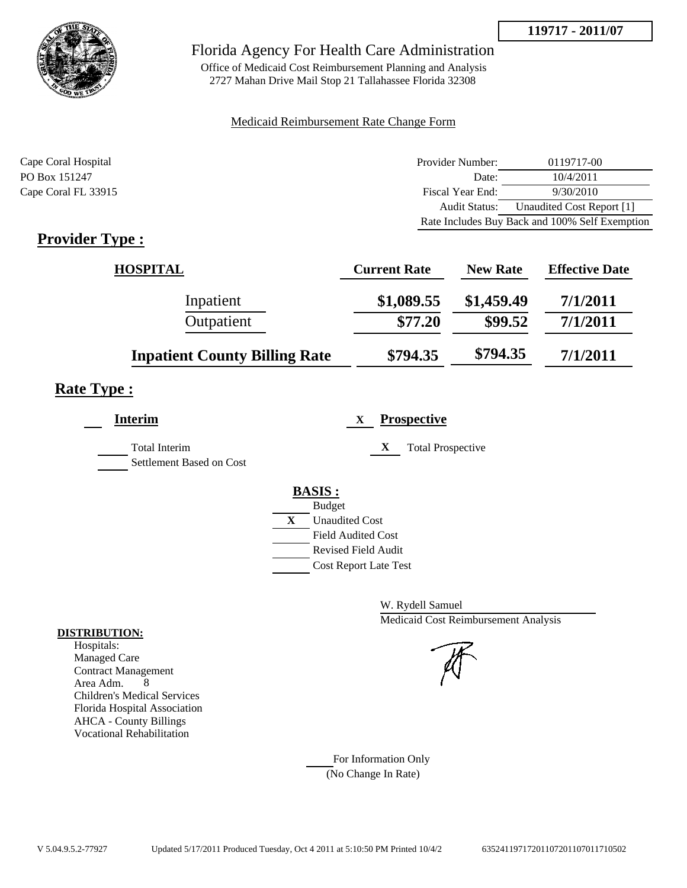

# Florida Agency For Health Care Administration

Office of Medicaid Cost Reimbursement Planning and Analysis 2727 Mahan Drive Mail Stop 21 Tallahassee Florida 32308

### Medicaid Reimbursement Rate Change Form

| Cape Coral Hospital | Provider Number: | 0119717-00                                     |
|---------------------|------------------|------------------------------------------------|
| PO Box 151247       | Date:            | 10/4/2011                                      |
| Cape Coral FL 33915 | Fiscal Year End: | 9/30/2010                                      |
|                     | Audit Status:    | Unaudited Cost Report [1]                      |
|                     |                  | Rate Includes Buy Back and 100% Self Exemption |

# **Provider Type :**

| <b>HOSPITAL</b>                      | <b>Current Rate</b> | <b>New Rate</b> | <b>Effective Date</b> |
|--------------------------------------|---------------------|-----------------|-----------------------|
| Inpatient                            | \$1,089.55          | \$1,459.49      | 7/1/2011              |
| Outpatient                           | \$77.20             | \$99.52         | 7/1/2011              |
| <b>Inpatient County Billing Rate</b> | \$794.35            | \$794.35        | 7/1/2011              |

# **Rate Type :**

| <b>Interim</b>                                   | <b>Prospective</b><br>X       |
|--------------------------------------------------|-------------------------------|
| <b>Total Interim</b><br>Settlement Based on Cost | X<br><b>Total Prospective</b> |
|                                                  | <b>BASIS:</b>                 |
|                                                  | <b>Budget</b>                 |
|                                                  | X<br><b>Unaudited Cost</b>    |
|                                                  | <b>Field Audited Cost</b>     |
|                                                  | <b>Revised Field Audit</b>    |
|                                                  | <b>Cost Report Late Test</b>  |
|                                                  |                               |

W. Rydell Samuel Medicaid Cost Reimbursement Analysis

For Information Only (No Change In Rate)

#### **DISTRIBUTION:**

Hospitals: Managed Care Contract Management Area Adm. 8 Children's Medical Services Florida Hospital Association AHCA - County Billings Vocational Rehabilitation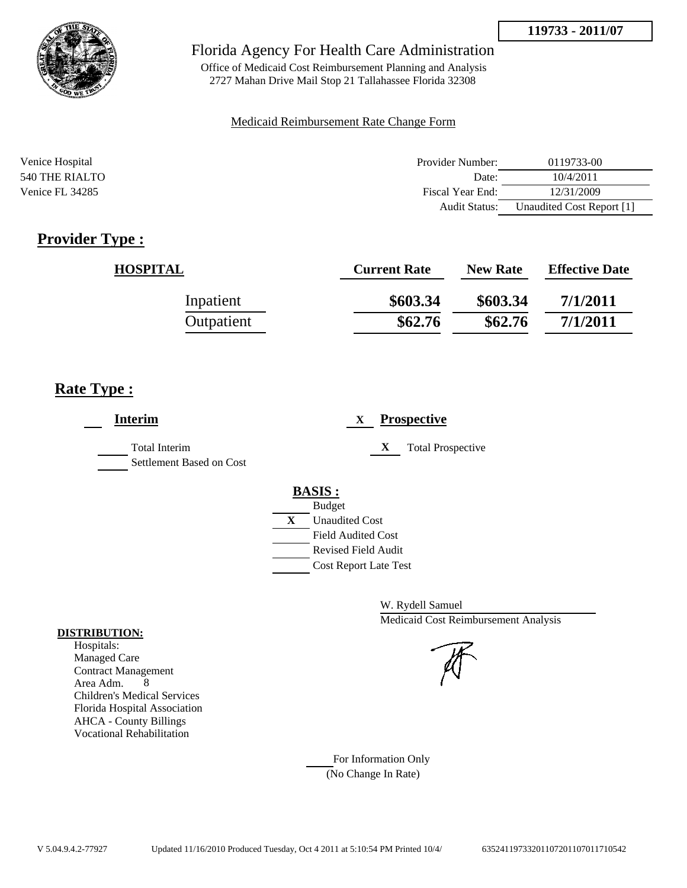

# Florida Agency For Health Care Administration

Office of Medicaid Cost Reimbursement Planning and Analysis 2727 Mahan Drive Mail Stop 21 Tallahassee Florida 32308

#### Medicaid Reimbursement Rate Change Form

| Venice Hospital | Provider Number:     | 0119733-00                |
|-----------------|----------------------|---------------------------|
| 540 THE RIALTO  | Date:                | 10/4/2011                 |
| Venice FL 34285 | Fiscal Year End:     | 12/31/2009                |
|                 | <b>Audit Status:</b> | Unaudited Cost Report [1] |

# **Provider Type :**

| <b>HOSPITAL</b> | <b>Current Rate</b> | <b>New Rate</b> | <b>Effective Date</b> |
|-----------------|---------------------|-----------------|-----------------------|
| Inpatient       | \$603.34            | \$603.34        | 7/1/2011              |
| Outpatient      | \$62.76             | \$62.76         | 7/1/2011              |

# **Rate Type :**

| <b>Interim</b>                                   | <b>Prospective</b><br>X                     |
|--------------------------------------------------|---------------------------------------------|
| <b>Total Interim</b><br>Settlement Based on Cost | X<br><b>Total Prospective</b>               |
|                                                  | <b>BASIS:</b>                               |
|                                                  | <b>Budget</b><br>X<br><b>Unaudited Cost</b> |
|                                                  | <b>Field Audited Cost</b>                   |
|                                                  | <b>Revised Field Audit</b>                  |
|                                                  | <b>Cost Report Late Test</b>                |

W. Rydell Samuel Medicaid Cost Reimbursement Analysis

For Information Only (No Change In Rate)

#### **DISTRIBUTION:**

Hospitals: Managed Care Contract Management Area Adm. 8 Children's Medical Services Florida Hospital Association AHCA - County Billings Vocational Rehabilitation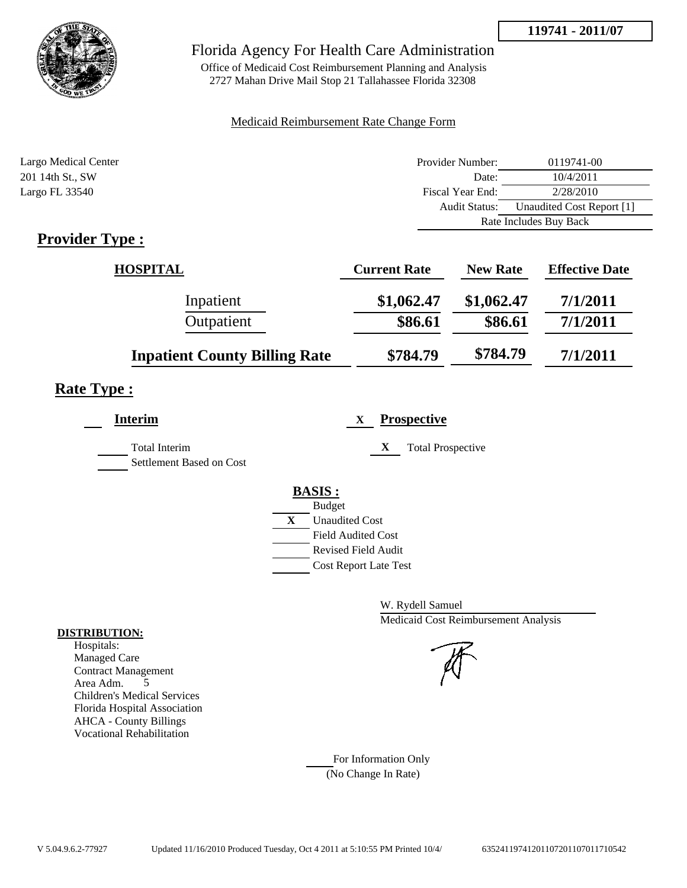

# Florida Agency For Health Care Administration

Office of Medicaid Cost Reimbursement Planning and Analysis 2727 Mahan Drive Mail Stop 21 Tallahassee Florida 32308

### Medicaid Reimbursement Rate Change Form

| Largo Medical Center                                                                                                                                                                                                                                                                                                                                                              | Provider Number:     | 0119741-00                |  |
|-----------------------------------------------------------------------------------------------------------------------------------------------------------------------------------------------------------------------------------------------------------------------------------------------------------------------------------------------------------------------------------|----------------------|---------------------------|--|
| 201 14th St., SW                                                                                                                                                                                                                                                                                                                                                                  | Date:                | 10/4/2011                 |  |
| Largo FL 33540                                                                                                                                                                                                                                                                                                                                                                    | Fiscal Year End:     | 2/28/2010                 |  |
|                                                                                                                                                                                                                                                                                                                                                                                   | <b>Audit Status:</b> | Unaudited Cost Report [1] |  |
|                                                                                                                                                                                                                                                                                                                                                                                   |                      | Rate Includes Buy Back    |  |
| $\mathbf{n}$ . $\mathbf{1}$ . $\mathbf{n}$ . $\mathbf{n}$ . $\mathbf{n}$ . $\mathbf{n}$ . $\mathbf{n}$ . $\mathbf{n}$ . $\mathbf{n}$ . $\mathbf{n}$ . $\mathbf{n}$ . $\mathbf{n}$ . $\mathbf{n}$ . $\mathbf{n}$ . $\mathbf{n}$ . $\mathbf{n}$ . $\mathbf{n}$ . $\mathbf{n}$ . $\mathbf{n}$ . $\mathbf{n}$ . $\mathbf{n}$ . $\mathbf{n}$ . $\mathbf{n}$ . $\mathbf{n}$ . $\mathbf$ |                      |                           |  |

# **Provider Type :**

| <b>HOSPITAL</b>                      | <b>Current Rate</b> | <b>New Rate</b> | <b>Effective Date</b> |
|--------------------------------------|---------------------|-----------------|-----------------------|
| Inpatient                            | \$1,062.47          | \$1,062.47      | 7/1/2011              |
| Outpatient                           | \$86.61             | \$86.61         | 7/1/2011              |
| <b>Inpatient County Billing Rate</b> | \$784.79            | \$784.79        | 7/1/2011              |

# **Rate Type :**

| <b>Interim</b>                                   | <b>Prospective</b><br>X       |  |
|--------------------------------------------------|-------------------------------|--|
| <b>Total Interim</b><br>Settlement Based on Cost | X<br><b>Total Prospective</b> |  |
|                                                  | <b>BASIS:</b>                 |  |
|                                                  | <b>Budget</b>                 |  |
|                                                  | X<br><b>Unaudited Cost</b>    |  |
|                                                  | <b>Field Audited Cost</b>     |  |
|                                                  | <b>Revised Field Audit</b>    |  |
|                                                  | <b>Cost Report Late Test</b>  |  |
|                                                  |                               |  |

W. Rydell Samuel Medicaid Cost Reimbursement Analysis

For Information Only (No Change In Rate)

#### **DISTRIBUTION:**

Hospitals: Managed Care Contract Management Area Adm. 5 Children's Medical Services Florida Hospital Association AHCA - County Billings Vocational Rehabilitation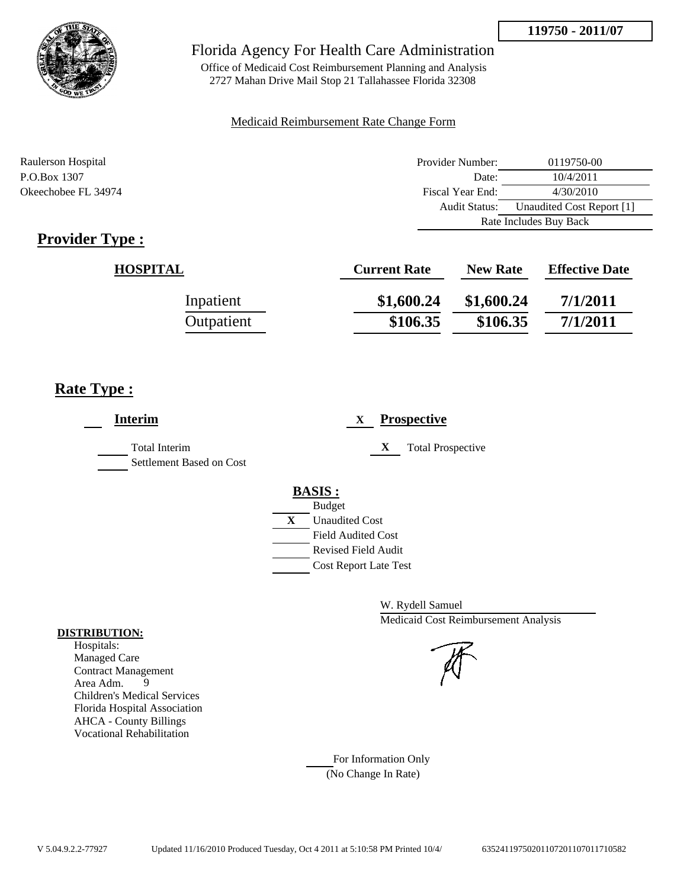

# Florida Agency For Health Care Administration

Office of Medicaid Cost Reimbursement Planning and Analysis 2727 Mahan Drive Mail Stop 21 Tallahassee Florida 32308

### Medicaid Reimbursement Rate Change Form

| Raulerson Hospital  | Provider Number:     | 0119750-00                |  |
|---------------------|----------------------|---------------------------|--|
| P.O.Box 1307        | Date:                | 10/4/2011                 |  |
| Okeechobee FL 34974 | Fiscal Year End:     | 4/30/2010                 |  |
|                     | <b>Audit Status:</b> | Unaudited Cost Report [1] |  |
|                     |                      | Rate Includes Buy Back    |  |

# **Provider Type :**

| <b>HOSPITAL</b> | <b>Current Rate</b> | <b>New Rate</b> | <b>Effective Date</b> |
|-----------------|---------------------|-----------------|-----------------------|
| Inpatient       | \$1,600.24          | \$1,600.24      | 7/1/2011              |
| Outpatient      | \$106.35            | \$106.35        | 7/1/2011              |

# **Rate Type :**

| <b>Interim</b>                            | <b>Prospective</b><br>X                                                                                                                                 |
|-------------------------------------------|---------------------------------------------------------------------------------------------------------------------------------------------------------|
| Total Interim<br>Settlement Based on Cost | X<br><b>Total Prospective</b>                                                                                                                           |
|                                           | <b>BASIS:</b><br><b>Budget</b><br>X<br><b>Unaudited Cost</b><br><b>Field Audited Cost</b><br><b>Revised Field Audit</b><br><b>Cost Report Late Test</b> |

W. Rydell Samuel Medicaid Cost Reimbursement Analysis

For Information Only (No Change In Rate)

#### **DISTRIBUTION:**

Hospitals: Managed Care Contract Management Area Adm. 9 Children's Medical Services Florida Hospital Association AHCA - County Billings Vocational Rehabilitation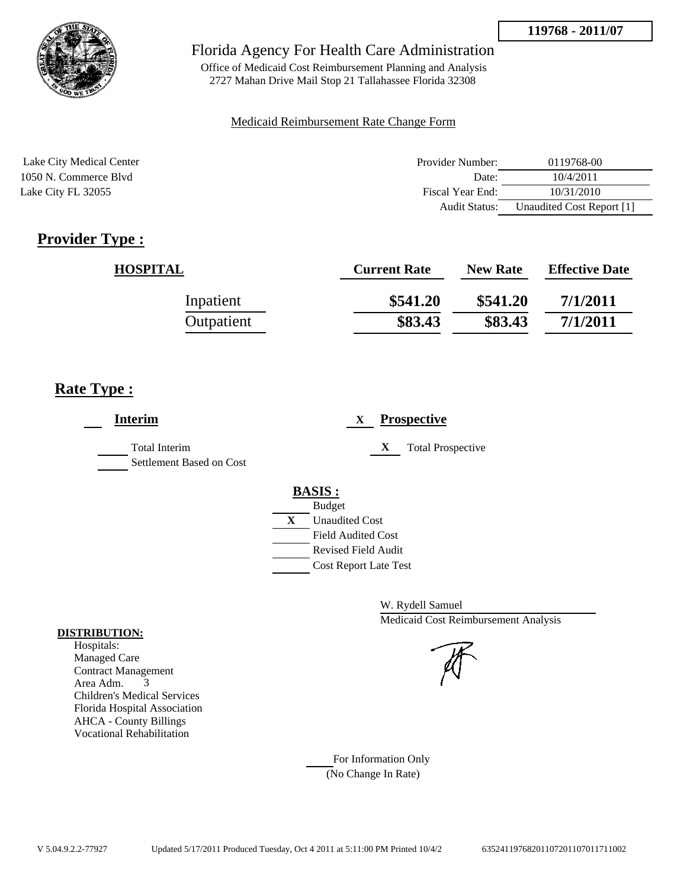

# Florida Agency For Health Care Administration

Office of Medicaid Cost Reimbursement Planning and Analysis 2727 Mahan Drive Mail Stop 21 Tallahassee Florida 32308

#### Medicaid Reimbursement Rate Change Form

| Lake City Medical Center | Provider Number: | 0119768-00                |
|--------------------------|------------------|---------------------------|
| 1050 N. Commerce Blyd    | Date:            | 10/4/2011                 |
| Lake City FL 32055       | Fiscal Year End: | 10/31/2010                |
|                          | Audit Status:    | Unaudited Cost Report [1] |

# **Provider Type :**

| <b>HOSPITAL</b> | <b>Current Rate</b> | <b>New Rate</b> | <b>Effective Date</b> |
|-----------------|---------------------|-----------------|-----------------------|
| Inpatient       | \$541.20            | \$541.20        | 7/1/2011              |
| Outpatient      | \$83.43             | \$83.43         | 7/1/2011              |

# **Rate Type :**

| <b>Interim</b>                                   | <b>Prospective</b><br>X       |  |
|--------------------------------------------------|-------------------------------|--|
| <b>Total Interim</b><br>Settlement Based on Cost | X<br><b>Total Prospective</b> |  |
|                                                  | <b>BASIS:</b>                 |  |
|                                                  | <b>Budget</b>                 |  |
|                                                  | X<br><b>Unaudited Cost</b>    |  |
|                                                  | <b>Field Audited Cost</b>     |  |
|                                                  | <b>Revised Field Audit</b>    |  |
|                                                  | <b>Cost Report Late Test</b>  |  |
|                                                  |                               |  |

W. Rydell Samuel Medicaid Cost Reimbursement Analysis

For Information Only (No Change In Rate)

#### **DISTRIBUTION:**

Hospitals: Managed Care Contract Management Area Adm. 3 Children's Medical Services Florida Hospital Association AHCA - County Billings Vocational Rehabilitation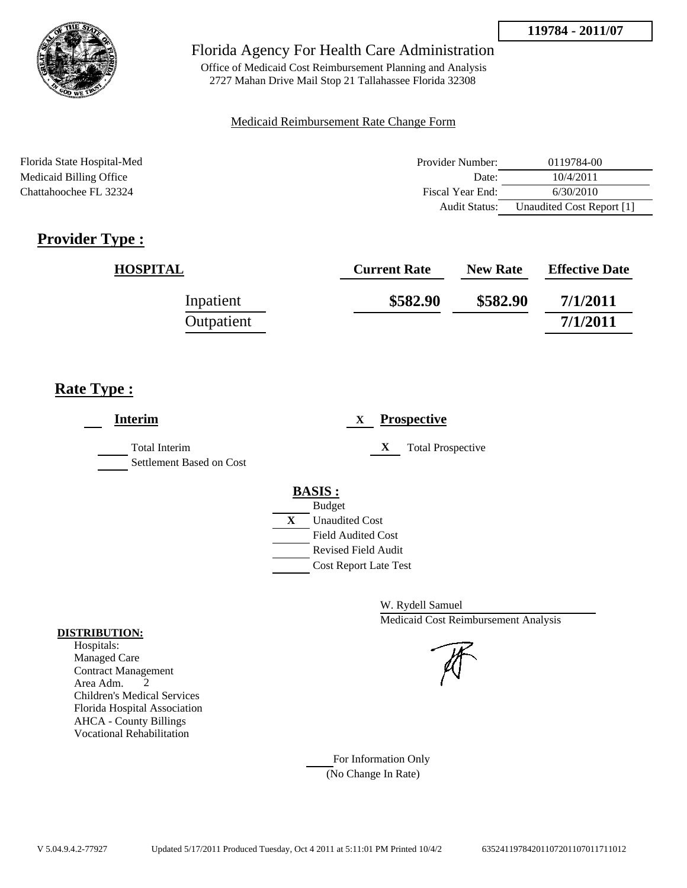

Office of Medicaid Cost Reimbursement Planning and Analysis 2727 Mahan Drive Mail Stop 21 Tallahassee Florida 32308

#### Medicaid Reimbursement Rate Change Form

| Florida State Hospital-Med | Provider Number: | 0119784-00                |
|----------------------------|------------------|---------------------------|
| Medicaid Billing Office    | Date:            | 10/4/2011                 |
| Chattahoochee FL 32324     | Fiscal Year End: | 6/30/2010                 |
|                            | Audit Status:    | Unaudited Cost Report [1] |

# **Provider Type :**

| <b>HOSPITAL</b> | <b>Current Rate</b> | <b>New Rate</b> | <b>Effective Date</b> |
|-----------------|---------------------|-----------------|-----------------------|
| Inpatient       | \$582.90            | \$582.90        | 7/1/2011              |
| Outpatient      |                     |                 | 7/1/2011              |

# **Rate Type :**

| <b>Interim</b>                                   | <b>Prospective</b>                                                                                                                                      |
|--------------------------------------------------|---------------------------------------------------------------------------------------------------------------------------------------------------------|
| <b>Total Interim</b><br>Settlement Based on Cost | X<br><b>Total Prospective</b>                                                                                                                           |
|                                                  | <b>BASIS:</b><br><b>Budget</b><br>X<br><b>Unaudited Cost</b><br><b>Field Audited Cost</b><br><b>Revised Field Audit</b><br><b>Cost Report Late Test</b> |

W. Rydell Samuel Medicaid Cost Reimbursement Analysis

For Information Only (No Change In Rate)

#### **DISTRIBUTION:**

Hospitals: Managed Care Contract Management Area Adm. 2 Children's Medical Services Florida Hospital Association AHCA - County Billings Vocational Rehabilitation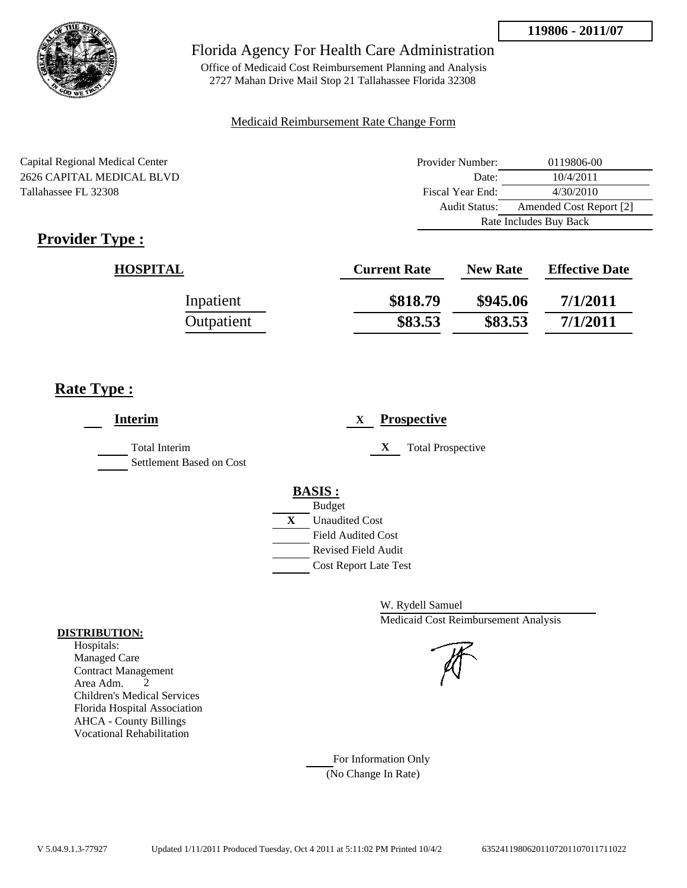

# Florida Agency For Health Care Administration

Office of Medicaid Cost Reimbursement Planning and Analysis 2727 Mahan Drive Mail Stop 21 Tallahassee Florida 32308

#### Medicaid Reimbursement Rate Change Form

Capital Regional Medical Center 2626 CAPITAL MEDICAL BLVD Tallahassee FL 32308

| Provider Number:       | 0119806-00              |  |
|------------------------|-------------------------|--|
| Date:                  | 10/4/2011               |  |
| Fiscal Year End:       | 4/30/2010               |  |
| Audit Status:          | Amended Cost Report [2] |  |
| Rate Includes Buy Back |                         |  |

# **Provider Type :**

| <b>HOSPITAL</b> | <b>Current Rate</b> | <b>New Rate</b> | <b>Effective Date</b> |
|-----------------|---------------------|-----------------|-----------------------|
| Inpatient       | \$818.79            | \$945.06        | 7/1/2011              |
| Outpatient      | \$83.53             | \$83.53         | 7/1/2011              |

# **Rate Type :**

| <b>Interim</b>                            | <b>Prospective</b><br>X                                                                                                                                     |
|-------------------------------------------|-------------------------------------------------------------------------------------------------------------------------------------------------------------|
| Total Interim<br>Settlement Based on Cost | X<br><b>Total Prospective</b>                                                                                                                               |
|                                           | <b>BASIS:</b><br><b>Budget</b><br>$\mathbf{X}$<br><b>Unaudited Cost</b><br><b>Field Audited Cost</b><br>Revised Field Audit<br><b>Cost Report Late Test</b> |

W. Rydell Samuel Medicaid Cost Reimbursement Analysis

# For Information Only (No Change In Rate)

**DISTRIBUTION:**

Hospitals: Managed Care Contract Management Area Adm. 2 Children's Medical Services Florida Hospital Association AHCA - County Billings Vocational Rehabilitation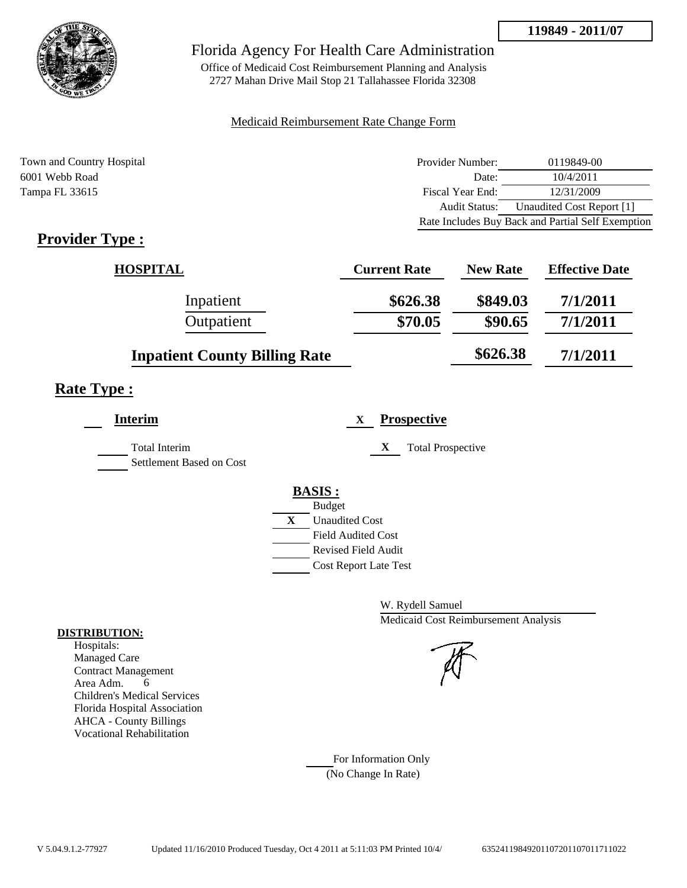

Office of Medicaid Cost Reimbursement Planning and Analysis 2727 Mahan Drive Mail Stop 21 Tallahassee Florida 32308

### Medicaid Reimbursement Rate Change Form

Town and Country Hospital **Provider Number:** 0119849-00 6001 Webb Road Date: 10/4/2011 Tampa FL 33615 Fiscal Year End: 12/31/2009 Audit Status: Unaudited Cost Report [1] Rate Includes Buy Back and Partial Self Exemption

# **Provider Type :**

| <b>HOSPITAL</b>                      | <b>Current Rate</b> | <b>New Rate</b> | <b>Effective Date</b> |
|--------------------------------------|---------------------|-----------------|-----------------------|
| Inpatient                            | \$626.38            | \$849.03        | 7/1/2011              |
| Outpatient                           | \$70.05             | \$90.65         | 7/1/2011              |
| <b>Inpatient County Billing Rate</b> |                     | \$626.38        | 7/1/2011              |

# **Rate Type :**

L,

| <b>Interim</b>                                   |               | X                            | <b>Prospective</b>            |
|--------------------------------------------------|---------------|------------------------------|-------------------------------|
| <b>Total Interim</b><br>Settlement Based on Cost |               |                              | X<br><b>Total Prospective</b> |
|                                                  | <b>BASIS:</b> |                              |                               |
|                                                  |               | <b>Budget</b>                |                               |
|                                                  | X             | <b>Unaudited Cost</b>        |                               |
|                                                  |               | Field Audited Cost           |                               |
|                                                  |               | Revised Field Audit          |                               |
|                                                  |               | <b>Cost Report Late Test</b> |                               |
|                                                  |               |                              |                               |

W. Rydell Samuel Medicaid Cost Reimbursement Analysis

For Information Only (No Change In Rate)

#### **DISTRIBUTION:**

Hospitals: Managed Care Contract Management Area Adm. 6 Children's Medical Services Florida Hospital Association AHCA - County Billings Vocational Rehabilitation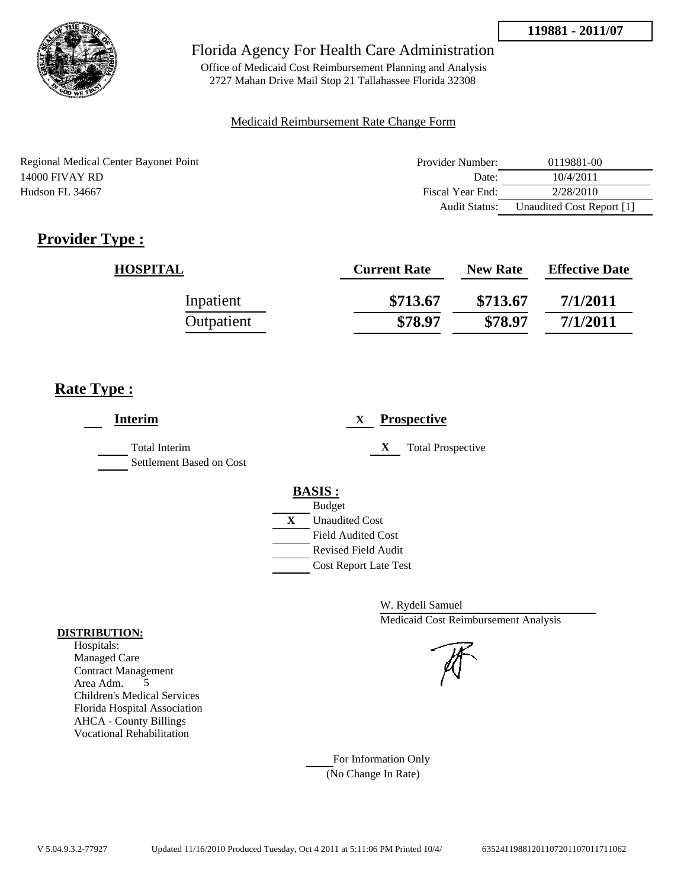

Office of Medicaid Cost Reimbursement Planning and Analysis 2727 Mahan Drive Mail Stop 21 Tallahassee Florida 32308

### Medicaid Reimbursement Rate Change Form

Regional Medical Center Bayonet Point 14000 FIVAY RD Hudson FL 34667

| Provider Number: | 0119881-00                |
|------------------|---------------------------|
| Date:            | 10/4/2011                 |
| Fiscal Year End: | 2/28/2010                 |
| Audit Status:    | Unaudited Cost Report [1] |

# **Provider Type :**

| <b>HOSPITAL</b> | <b>Current Rate</b> | <b>New Rate</b> | <b>Effective Date</b> |
|-----------------|---------------------|-----------------|-----------------------|
| Inpatient       | \$713.67            | \$713.67        | 7/1/2011              |
| Outpatient      | \$78.97             | \$78.97         | 7/1/2011              |

# **Rate Type :**

| <b>Interim</b>                                   | <b>Prospective</b><br>X       |
|--------------------------------------------------|-------------------------------|
| <b>Total Interim</b><br>Settlement Based on Cost | X<br><b>Total Prospective</b> |
|                                                  | <b>BASIS:</b>                 |
|                                                  | <b>Budget</b>                 |
|                                                  | X<br><b>Unaudited Cost</b>    |
|                                                  | <b>Field Audited Cost</b>     |
|                                                  | <b>Revised Field Audit</b>    |
|                                                  | <b>Cost Report Late Test</b>  |

W. Rydell Samuel Medicaid Cost Reimbursement Analysis

For Information Only (No Change In Rate)

#### **DISTRIBUTION:**

Hospitals: Managed Care Contract Management Area Adm. 5 Children's Medical Services Florida Hospital Association AHCA - County Billings Vocational Rehabilitation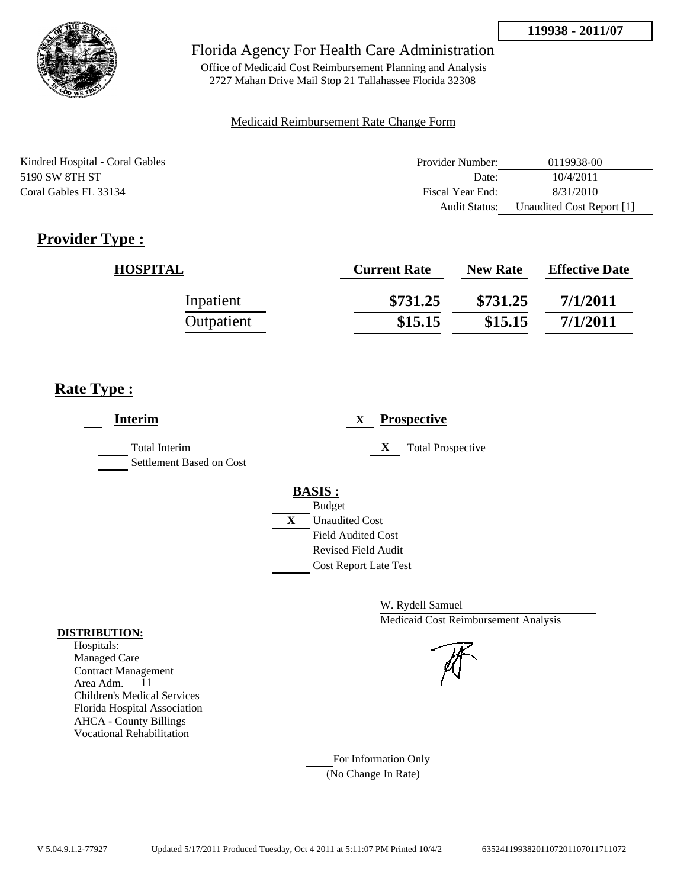

Office of Medicaid Cost Reimbursement Planning and Analysis 2727 Mahan Drive Mail Stop 21 Tallahassee Florida 32308

### Medicaid Reimbursement Rate Change Form

| Kindred Hospital - Coral Gables | Provider Number:     | 0119938-00                |
|---------------------------------|----------------------|---------------------------|
| 5190 SW 8TH ST                  | Date:                | 10/4/2011                 |
| Coral Gables FL 33134           | Fiscal Year End:     | 8/31/2010                 |
|                                 | <b>Audit Status:</b> | Unaudited Cost Report [1] |

# **Provider Type :**

| <b>HOSPITAL</b> | <b>Current Rate</b> | <b>New Rate</b> | <b>Effective Date</b> |
|-----------------|---------------------|-----------------|-----------------------|
| Inpatient       | \$731.25            | \$731.25        | 7/1/2011              |
| Outpatient      | \$15.15             | \$15.15         | 7/1/2011              |

# **Rate Type :**

| <b>Interim</b>                                   | <b>Prospective</b><br>X       |
|--------------------------------------------------|-------------------------------|
| <b>Total Interim</b><br>Settlement Based on Cost | X<br><b>Total Prospective</b> |
|                                                  | <b>BASIS:</b>                 |
|                                                  | <b>Budget</b>                 |
|                                                  | X<br><b>Unaudited Cost</b>    |
|                                                  | <b>Field Audited Cost</b>     |
|                                                  | Revised Field Audit           |
|                                                  | <b>Cost Report Late Test</b>  |
|                                                  |                               |

W. Rydell Samuel Medicaid Cost Reimbursement Analysis

For Information Only (No Change In Rate)

#### **DISTRIBUTION:**

Hospitals: Managed Care Contract Management Area Adm. 11 Children's Medical Services Florida Hospital Association AHCA - County Billings Vocational Rehabilitation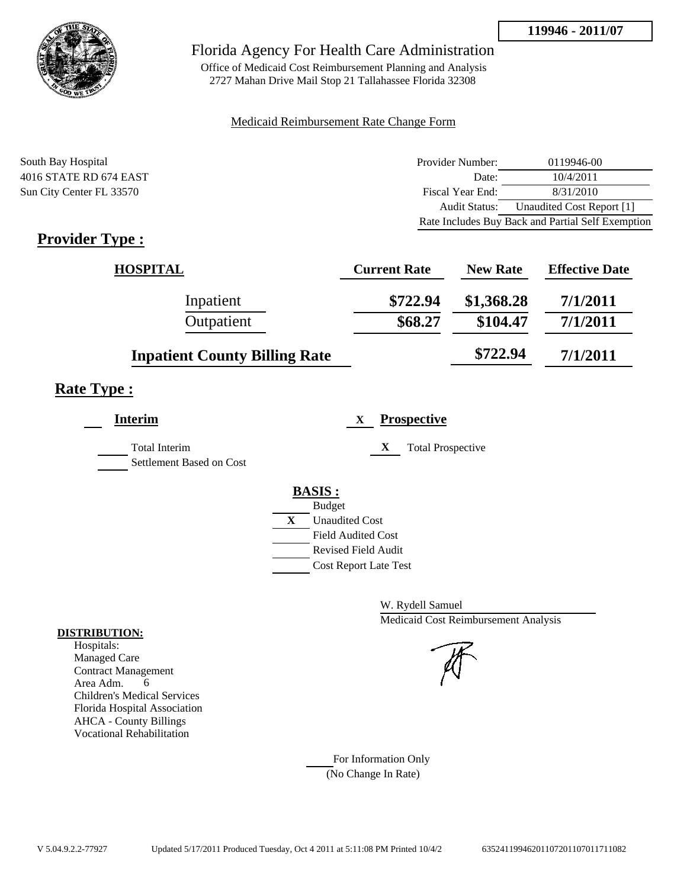

Office of Medicaid Cost Reimbursement Planning and Analysis 2727 Mahan Drive Mail Stop 21 Tallahassee Florida 32308

### Medicaid Reimbursement Rate Change Form

South Bay Hospital 4016 STATE RD 674 EAST Sun City Center FL 33570

| Provider Number:                                  | 0119946-00                |
|---------------------------------------------------|---------------------------|
| Date:                                             | 10/4/2011                 |
| Fiscal Year End:                                  | 8/31/2010                 |
| <b>Audit Status:</b>                              | Unaudited Cost Report [1] |
| Rate Includes Buy Back and Partial Self Exemption |                           |

# **Provider Type :**

| <b>HOSPITAL</b>                      | <b>Current Rate</b> | <b>New Rate</b> | <b>Effective Date</b> |
|--------------------------------------|---------------------|-----------------|-----------------------|
| Inpatient                            | \$722.94            | \$1,368.28      | 7/1/2011              |
| Outpatient                           | \$68.27             | \$104.47        | 7/1/2011              |
| <b>Inpatient County Billing Rate</b> |                     | \$722.94        | 7/1/2011              |

## **Rate Type :**

| <b>Interim</b>                                   | <b>Prospective</b><br>X       |
|--------------------------------------------------|-------------------------------|
| <b>Total Interim</b><br>Settlement Based on Cost | X<br><b>Total Prospective</b> |
|                                                  | <b>BASIS:</b>                 |
|                                                  | <b>Budget</b>                 |
|                                                  | X<br><b>Unaudited Cost</b>    |
|                                                  | <b>Field Audited Cost</b>     |
|                                                  | <b>Revised Field Audit</b>    |
|                                                  | <b>Cost Report Late Test</b>  |
|                                                  |                               |

W. Rydell Samuel Medicaid Cost Reimbursement Analysis

For Information Only (No Change In Rate)

#### **DISTRIBUTION:**

Hospitals: Managed Care Contract Management Area Adm. 6 Children's Medical Services Florida Hospital Association AHCA - County Billings Vocational Rehabilitation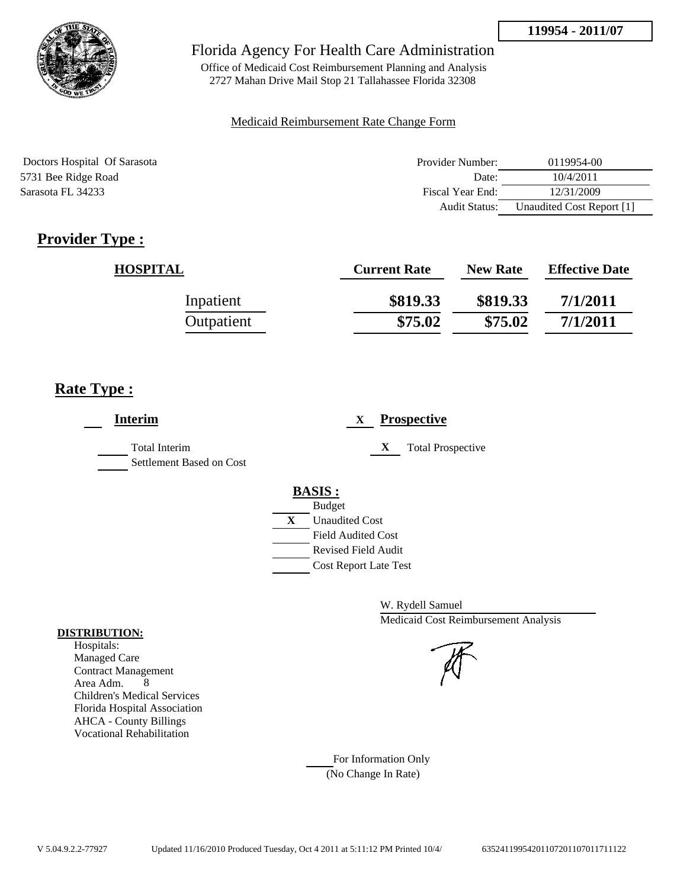

Office of Medicaid Cost Reimbursement Planning and Analysis 2727 Mahan Drive Mail Stop 21 Tallahassee Florida 32308

#### Medicaid Reimbursement Rate Change Form

| Doctors Hospital Of Sarasota | Provider Number:     | 0119954-00                |
|------------------------------|----------------------|---------------------------|
| 5731 Bee Ridge Road          | Date:                | 10/4/2011                 |
| Sarasota FL 34233            | Fiscal Year End:     | 12/31/2009                |
|                              | <b>Audit Status:</b> | Unaudited Cost Report [1] |

# **Provider Type :**

| <b>HOSPITAL</b> | <b>Current Rate</b> | <b>New Rate</b> | <b>Effective Date</b> |
|-----------------|---------------------|-----------------|-----------------------|
| Inpatient       | \$819.33            | \$819.33        | 7/1/2011              |
| Outpatient      | \$75.02             | \$75.02         | 7/1/2011              |

## **Rate Type :**

| <b>Interim</b>                            | <b>Prospective</b><br>X                 |
|-------------------------------------------|-----------------------------------------|
| Total Interim<br>Settlement Based on Cost | <b>Total Prospective</b><br>$\mathbf X$ |
|                                           | <b>BASIS:</b>                           |
|                                           | <b>Budget</b>                           |
|                                           | X<br><b>Unaudited Cost</b>              |
|                                           | <b>Field Audited Cost</b>               |
|                                           | <b>Revised Field Audit</b>              |
|                                           | <b>Cost Report Late Test</b>            |
|                                           |                                         |

W. Rydell Samuel Medicaid Cost Reimbursement Analysis

For Information Only (No Change In Rate)

#### **DISTRIBUTION:**

Hospitals: Managed Care Contract Management Area Adm. 8 Children's Medical Services Florida Hospital Association AHCA - County Billings Vocational Rehabilitation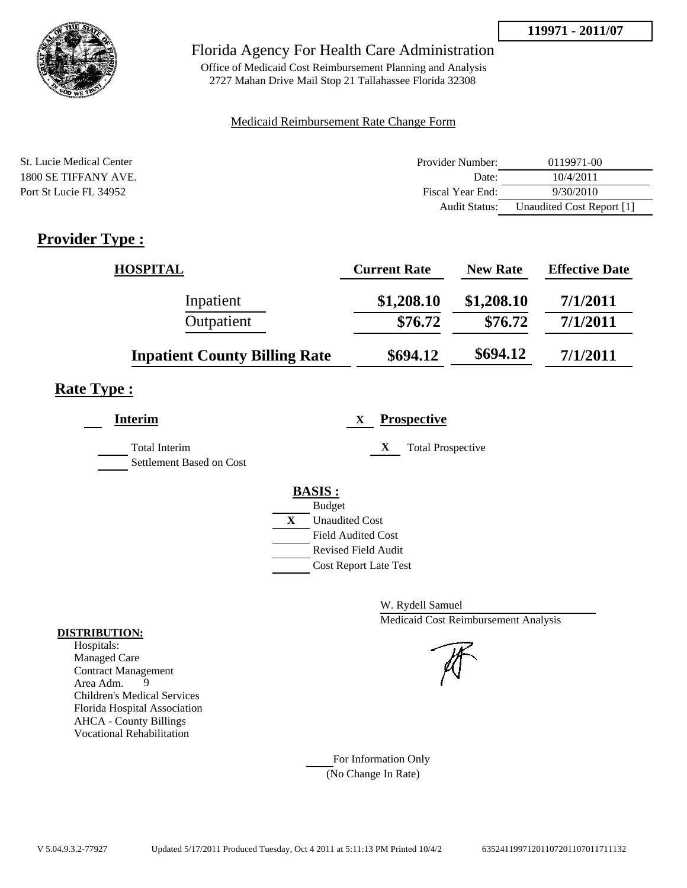

## Florida Agency For Health Care Administration

Office of Medicaid Cost Reimbursement Planning and Analysis 2727 Mahan Drive Mail Stop 21 Tallahassee Florida 32308

### Medicaid Reimbursement Rate Change Form

| St. Lucie Medical Center | Provider Number:     | 0119971-00                |
|--------------------------|----------------------|---------------------------|
| 1800 SE TIFFANY AVE.     | Date:                | 10/4/2011                 |
| Port St Lucie FL 34952   | Fiscal Year End:     | 9/30/2010                 |
|                          | <b>Audit Status:</b> | Unaudited Cost Report [1] |

# **Provider Type :**

| <b>HOSPITAL</b>                      | <b>Current Rate</b> | <b>New Rate</b> | <b>Effective Date</b> |
|--------------------------------------|---------------------|-----------------|-----------------------|
| Inpatient                            | \$1,208.10          | \$1,208.10      | 7/1/2011              |
| Outpatient                           | \$76.72             | \$76.72         | 7/1/2011              |
| <b>Inpatient County Billing Rate</b> | \$694.12            | \$694.12        | 7/1/2011              |

## **Rate Type :**

| Interim                                   | <b>Prospective</b><br>X                                                                                                                                 |
|-------------------------------------------|---------------------------------------------------------------------------------------------------------------------------------------------------------|
| Total Interim<br>Settlement Based on Cost | X<br><b>Total Prospective</b>                                                                                                                           |
|                                           | <b>BASIS:</b><br><b>Budget</b><br>X<br><b>Unaudited Cost</b><br><b>Field Audited Cost</b><br><b>Revised Field Audit</b><br><b>Cost Report Late Test</b> |

W. Rydell Samuel Medicaid Cost Reimbursement Analysis

For Information Only (No Change In Rate)

#### **DISTRIBUTION:**

Hospitals: Managed Care Contract Management<br>Area Adm. 9 Area Adm. 9 Children's Medical Services Florida Hospital Association AHCA - County Billings Vocational Rehabilitation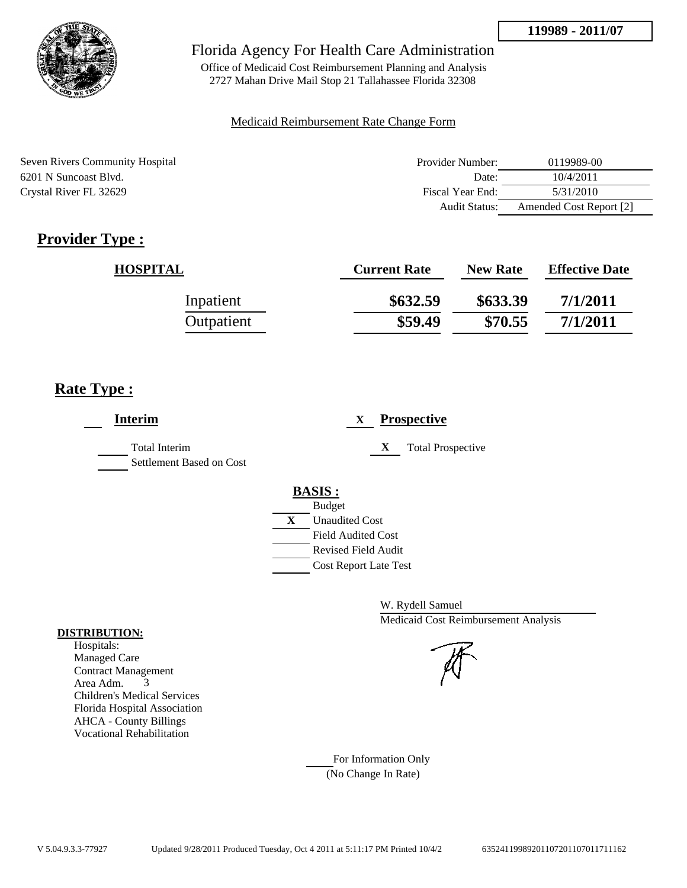

Office of Medicaid Cost Reimbursement Planning and Analysis 2727 Mahan Drive Mail Stop 21 Tallahassee Florida 32308

### Medicaid Reimbursement Rate Change Form

| Seven Rivers Community Hospital | Provider Number:     | 0119989-00              |
|---------------------------------|----------------------|-------------------------|
| 6201 N Suncoast Blvd.           | Date:                | 10/4/2011               |
| Crystal River FL 32629          | Fiscal Year End:     | 5/31/2010               |
|                                 | <b>Audit Status:</b> | Amended Cost Report [2] |

# **Provider Type :**

| <b>HOSPITAL</b> | <b>Current Rate</b> | <b>New Rate</b> | <b>Effective Date</b> |
|-----------------|---------------------|-----------------|-----------------------|
| Inpatient       | \$632.59            | \$633.39        | 7/1/2011              |
| Outpatient      | \$59.49             | \$70.55         | 7/1/2011              |

## **Rate Type :**

| <b>Interim</b>                                   | <b>Prospective</b><br>X                                                                                                                          |
|--------------------------------------------------|--------------------------------------------------------------------------------------------------------------------------------------------------|
| <b>Total Interim</b><br>Settlement Based on Cost | X<br><b>Total Prospective</b>                                                                                                                    |
|                                                  | <b>BASIS:</b><br><b>Budget</b><br>X<br><b>Unaudited Cost</b><br><b>Field Audited Cost</b><br>Revised Field Audit<br><b>Cost Report Late Test</b> |

W. Rydell Samuel Medicaid Cost Reimbursement Analysis

For Information Only (No Change In Rate)

#### **DISTRIBUTION:**

Hospitals: Managed Care Contract Management Area Adm. 3 Children's Medical Services Florida Hospital Association AHCA - County Billings Vocational Rehabilitation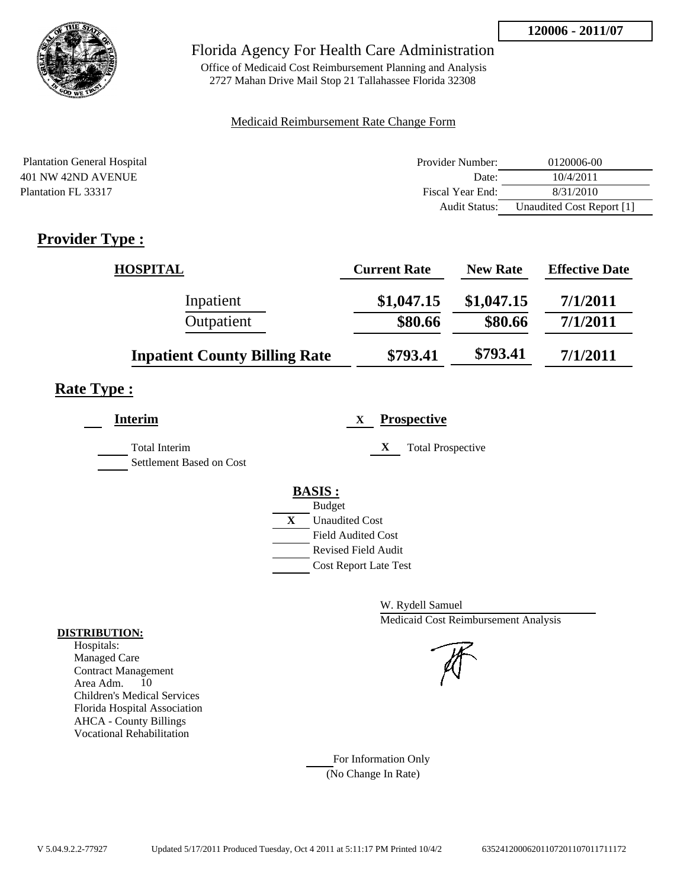

## Florida Agency For Health Care Administration

Office of Medicaid Cost Reimbursement Planning and Analysis 2727 Mahan Drive Mail Stop 21 Tallahassee Florida 32308

### Medicaid Reimbursement Rate Change Form

| <b>Plantation General Hospital</b> | Provider Number: | 0120006-00                |
|------------------------------------|------------------|---------------------------|
| 401 NW 42ND AVENUE                 | Date:            | 10/4/2011                 |
| Plantation FL 33317                | Fiscal Year End: | 8/31/2010                 |
|                                    | Audit Status:    | Unaudited Cost Report [1] |

# **Provider Type :**

| <b>HOSPITAL</b>                      | <b>Current Rate</b> | <b>New Rate</b> | <b>Effective Date</b> |
|--------------------------------------|---------------------|-----------------|-----------------------|
| Inpatient                            | \$1,047.15          | \$1,047.15      | 7/1/2011              |
| Outpatient                           | \$80.66             | \$80.66         | 7/1/2011              |
| <b>Inpatient County Billing Rate</b> | \$793.41            | \$793.41        | 7/1/2011              |

## **Rate Type :**

| <b>Interim</b>                            | <b>Prospective</b><br>X                                                                                                                          |
|-------------------------------------------|--------------------------------------------------------------------------------------------------------------------------------------------------|
| Total Interim<br>Settlement Based on Cost | X<br><b>Total Prospective</b>                                                                                                                    |
|                                           | <b>BASIS:</b><br><b>Budget</b><br>X<br><b>Unaudited Cost</b><br><b>Field Audited Cost</b><br>Revised Field Audit<br><b>Cost Report Late Test</b> |

W. Rydell Samuel Medicaid Cost Reimbursement Analysis

For Information Only (No Change In Rate)

#### **DISTRIBUTION:**

Hospitals: Managed Care Contract Management Area Adm. 10 Children's Medical Services Florida Hospital Association AHCA - County Billings Vocational Rehabilitation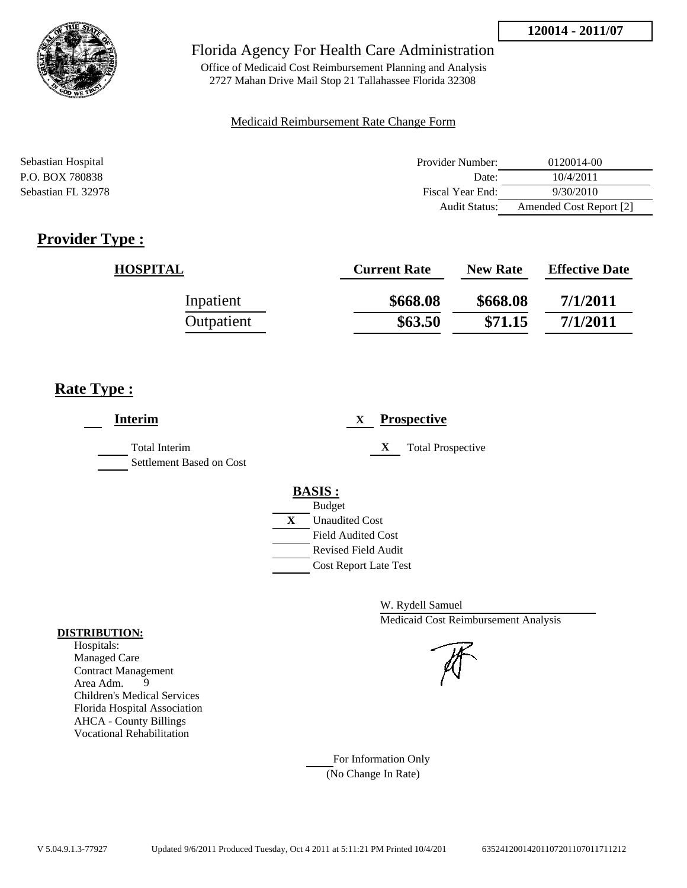

Office of Medicaid Cost Reimbursement Planning and Analysis 2727 Mahan Drive Mail Stop 21 Tallahassee Florida 32308

### Medicaid Reimbursement Rate Change Form

| Sebastian Hospital | Provider Number:     | 0120014-00              |
|--------------------|----------------------|-------------------------|
| P.O. BOX 780838    | Date:                | 10/4/2011               |
| Sebastian FL 32978 | Fiscal Year End:     | 9/30/2010               |
|                    | <b>Audit Status:</b> | Amended Cost Report [2] |

# **Provider Type :**

| <b>HOSPITAL</b> | <b>Current Rate</b> | <b>New Rate</b> | <b>Effective Date</b> |
|-----------------|---------------------|-----------------|-----------------------|
| Inpatient       | \$668.08            | \$668.08        | 7/1/2011              |
| Outpatient      | \$63.50             | \$71.15         | 7/1/2011              |

## **Rate Type :**

| <b>Interim</b>                                   | <b>Prospective</b><br>X                                                                                                                          |
|--------------------------------------------------|--------------------------------------------------------------------------------------------------------------------------------------------------|
| <b>Total Interim</b><br>Settlement Based on Cost | X<br><b>Total Prospective</b>                                                                                                                    |
|                                                  | <b>BASIS:</b><br><b>Budget</b><br>X<br><b>Unaudited Cost</b><br><b>Field Audited Cost</b><br>Revised Field Audit<br><b>Cost Report Late Test</b> |

W. Rydell Samuel Medicaid Cost Reimbursement Analysis



For Information Only (No Change In Rate)

#### **DISTRIBUTION:**

Hospitals: Managed Care Contract Management Area Adm. 9 Children's Medical Services Florida Hospital Association AHCA - County Billings Vocational Rehabilitation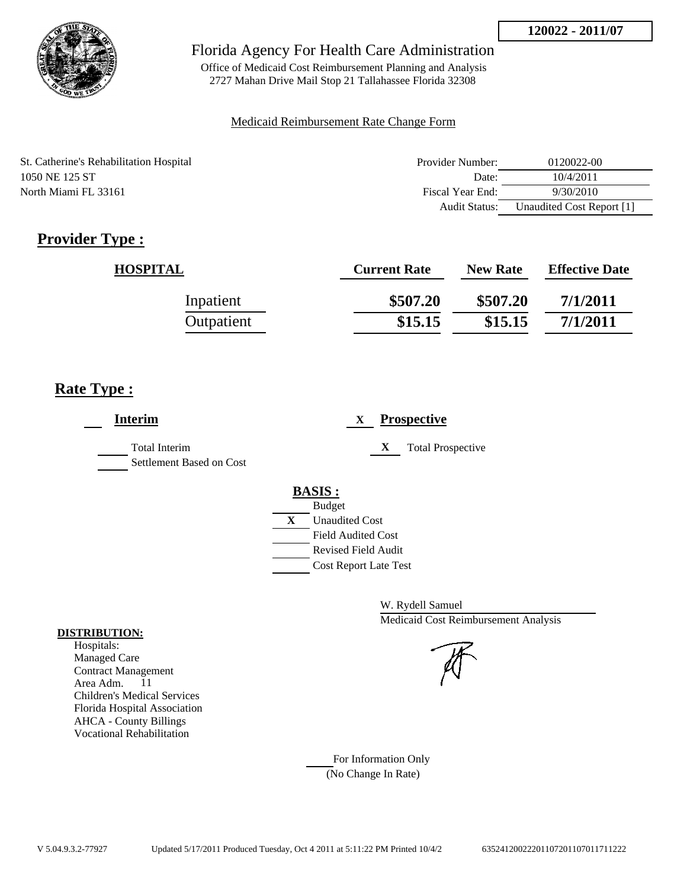

Office of Medicaid Cost Reimbursement Planning and Analysis 2727 Mahan Drive Mail Stop 21 Tallahassee Florida 32308

### Medicaid Reimbursement Rate Change Form

St. Catherine's Rehabilitation Hospital 1050 NE 125 ST North Miami FL 33161

| Provider Number: | 0120022-00                |
|------------------|---------------------------|
| Date:            | 10/4/2011                 |
| Fiscal Year End: | 9/30/2010                 |
| Audit Status:    | Unaudited Cost Report [1] |

# **Provider Type :**

| <b>HOSPITAL</b> | <b>Current Rate</b> | <b>New Rate</b> | <b>Effective Date</b> |
|-----------------|---------------------|-----------------|-----------------------|
| Inpatient       | \$507.20            | \$507.20        | 7/1/2011              |
| Outpatient      | \$15.15             | \$15.15         | 7/1/2011              |

## **Rate Type :**

| <b>Interim</b>                                   | <b>Prospective</b><br>X                                                                                                                                 |
|--------------------------------------------------|---------------------------------------------------------------------------------------------------------------------------------------------------------|
| <b>Total Interim</b><br>Settlement Based on Cost | X<br><b>Total Prospective</b>                                                                                                                           |
|                                                  | <b>BASIS:</b><br><b>Budget</b><br>X<br><b>Unaudited Cost</b><br><b>Field Audited Cost</b><br><b>Revised Field Audit</b><br><b>Cost Report Late Test</b> |

W. Rydell Samuel Medicaid Cost Reimbursement Analysis

For Information Only (No Change In Rate)

#### **DISTRIBUTION:**

Hospitals: Managed Care Contract Management Area Adm. 11 Children's Medical Services Florida Hospital Association AHCA - County Billings Vocational Rehabilitation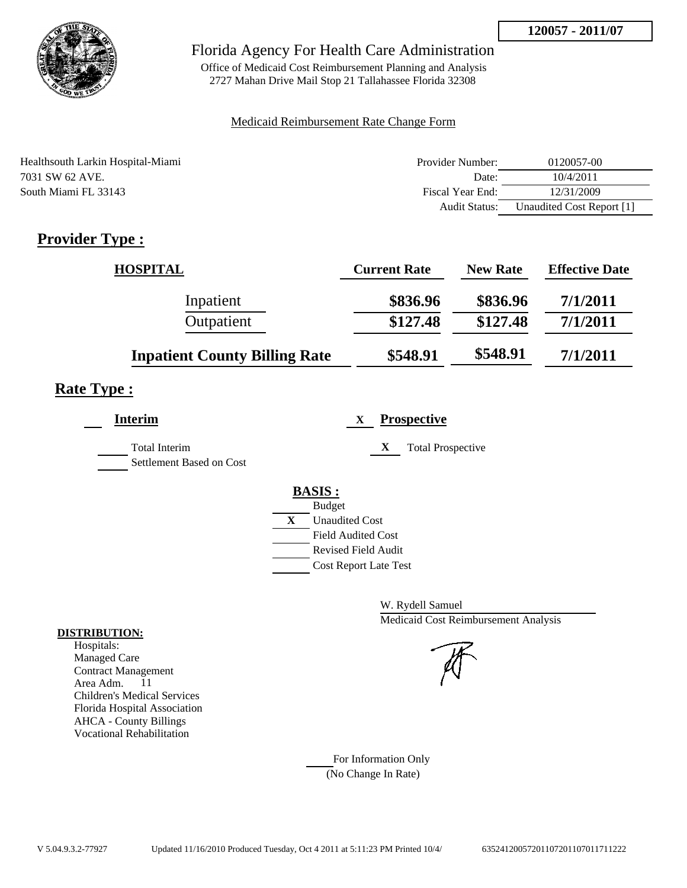

Office of Medicaid Cost Reimbursement Planning and Analysis 2727 Mahan Drive Mail Stop 21 Tallahassee Florida 32308

### Medicaid Reimbursement Rate Change Form

| Healthsouth Larkin Hospital-Miami | Provider Number:     | 0120057-00                |
|-----------------------------------|----------------------|---------------------------|
| 7031 SW 62 AVE.                   | Date:                | 10/4/2011                 |
| South Miami FL 33143              | Fiscal Year End:     | 12/31/2009                |
|                                   | <b>Audit Status:</b> | Unaudited Cost Report [1] |

# **Provider Type :**

| <b>HOSPITAL</b>                      | <b>Current Rate</b> | <b>New Rate</b> | <b>Effective Date</b> |
|--------------------------------------|---------------------|-----------------|-----------------------|
| Inpatient                            | \$836.96            | \$836.96        | 7/1/2011              |
| Outpatient                           | \$127.48            | \$127.48        | 7/1/2011              |
| <b>Inpatient County Billing Rate</b> | \$548.91            | \$548.91        | 7/1/2011              |

## **Rate Type :**

| <b>Interim</b>                            | <b>Prospective</b><br>X                                                                                                                                     |
|-------------------------------------------|-------------------------------------------------------------------------------------------------------------------------------------------------------------|
| Total Interim<br>Settlement Based on Cost | X<br><b>Total Prospective</b>                                                                                                                               |
|                                           | <b>BASIS:</b><br><b>Budget</b><br>$\mathbf{X}$<br><b>Unaudited Cost</b><br><b>Field Audited Cost</b><br>Revised Field Audit<br><b>Cost Report Late Test</b> |

W. Rydell Samuel Medicaid Cost Reimbursement Analysis

For Information Only (No Change In Rate)

#### **DISTRIBUTION:**

Hospitals: Managed Care Contract Management Area Adm. 11 Children's Medical Services Florida Hospital Association AHCA - County Billings Vocational Rehabilitation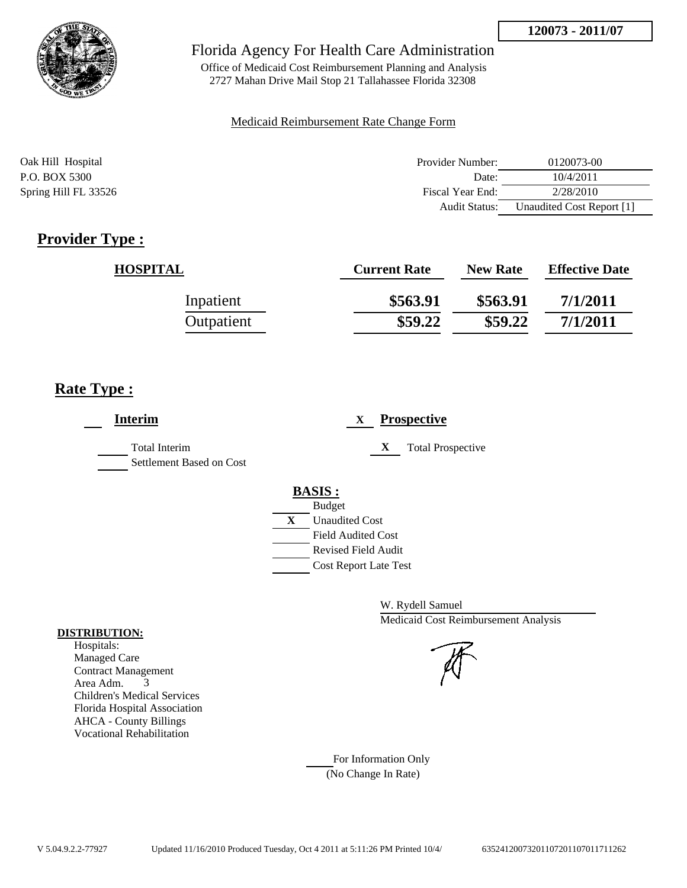

Office of Medicaid Cost Reimbursement Planning and Analysis 2727 Mahan Drive Mail Stop 21 Tallahassee Florida 32308

#### Medicaid Reimbursement Rate Change Form

| Oak Hill Hospital    | Provider Number:     | 0120073-00                |
|----------------------|----------------------|---------------------------|
| P.O. BOX 5300        | Date:                | 10/4/2011                 |
| Spring Hill FL 33526 | Fiscal Year End:     | 2/28/2010                 |
|                      | <b>Audit Status:</b> | Unaudited Cost Report [1] |

# **Provider Type :**

| <b>HOSPITAL</b> | <b>Current Rate</b> | <b>New Rate</b> | <b>Effective Date</b> |
|-----------------|---------------------|-----------------|-----------------------|
| Inpatient       | \$563.91            | \$563.91        | 7/1/2011              |
| Outpatient      | \$59.22             | \$59.22         | 7/1/2011              |

## **Rate Type :**

| <b>Interim</b>                                   | <b>Prospective</b><br>X       |
|--------------------------------------------------|-------------------------------|
| <b>Total Interim</b><br>Settlement Based on Cost | X<br><b>Total Prospective</b> |
|                                                  | <b>BASIS:</b>                 |
|                                                  | <b>Budget</b>                 |
|                                                  | X<br><b>Unaudited Cost</b>    |
|                                                  | <b>Field Audited Cost</b>     |
|                                                  | <b>Revised Field Audit</b>    |
|                                                  | <b>Cost Report Late Test</b>  |
|                                                  |                               |

W. Rydell Samuel Medicaid Cost Reimbursement Analysis

For Information Only (No Change In Rate)

#### **DISTRIBUTION:**

Hospitals: Managed Care Contract Management Area Adm. 3 Children's Medical Services Florida Hospital Association AHCA - County Billings Vocational Rehabilitation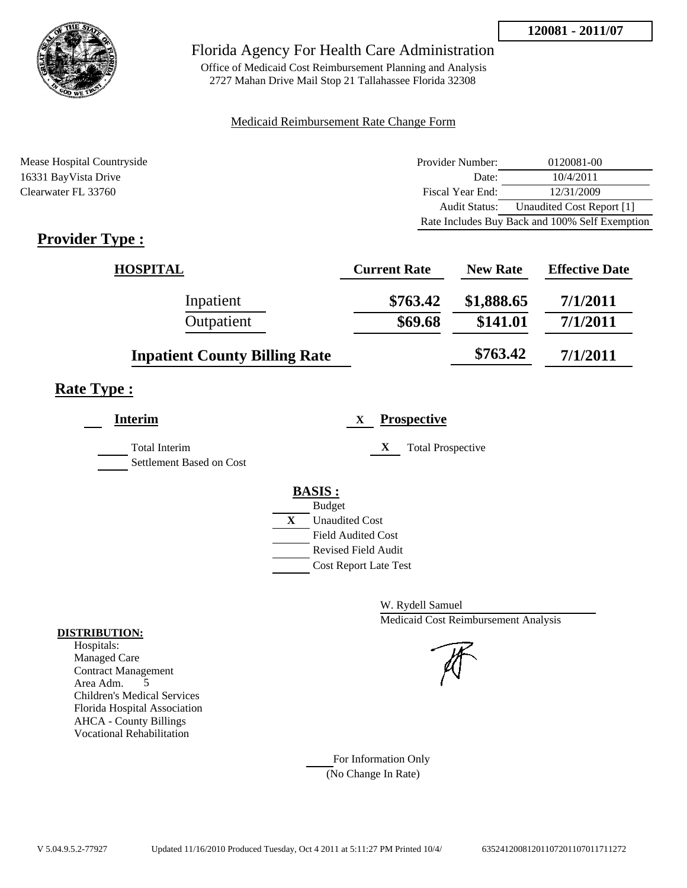

Office of Medicaid Cost Reimbursement Planning and Analysis 2727 Mahan Drive Mail Stop 21 Tallahassee Florida 32308

### Medicaid Reimbursement Rate Change Form

| Mease Hospital Countryside | Provider Number: | 0120081-00                                     |
|----------------------------|------------------|------------------------------------------------|
| 16331 BayVista Drive       | Date:            | 10/4/2011                                      |
| Clearwater FL 33760        | Fiscal Year End: | 12/31/2009                                     |
|                            | Audit Status:    | Unaudited Cost Report [1]                      |
|                            |                  | Rate Includes Buy Back and 100% Self Exemption |

# **Provider Type :**

| <b>HOSPITAL</b>                      | <b>Current Rate</b> | <b>New Rate</b> | <b>Effective Date</b> |
|--------------------------------------|---------------------|-----------------|-----------------------|
| Inpatient                            | \$763.42            | \$1,888.65      | 7/1/2011              |
| Outpatient                           | \$69.68             | \$141.01        | 7/1/2011              |
| <b>Inpatient County Billing Rate</b> |                     | \$763.42        | 7/1/2011              |

# **Rate Type :**

| Interim                                          | <b>Prospective</b><br>X       |
|--------------------------------------------------|-------------------------------|
| <b>Total Interim</b><br>Settlement Based on Cost | X<br><b>Total Prospective</b> |
|                                                  | <b>BASIS:</b>                 |
|                                                  | <b>Budget</b>                 |
|                                                  | X<br><b>Unaudited Cost</b>    |
|                                                  | <b>Field Audited Cost</b>     |
|                                                  | <b>Revised Field Audit</b>    |
|                                                  | <b>Cost Report Late Test</b>  |
|                                                  |                               |

W. Rydell Samuel Medicaid Cost Reimbursement Analysis

For Information Only (No Change In Rate)

#### **DISTRIBUTION:**

Hospitals: Managed Care Contract Management Area Adm. 5 Children's Medical Services Florida Hospital Association AHCA - County Billings Vocational Rehabilitation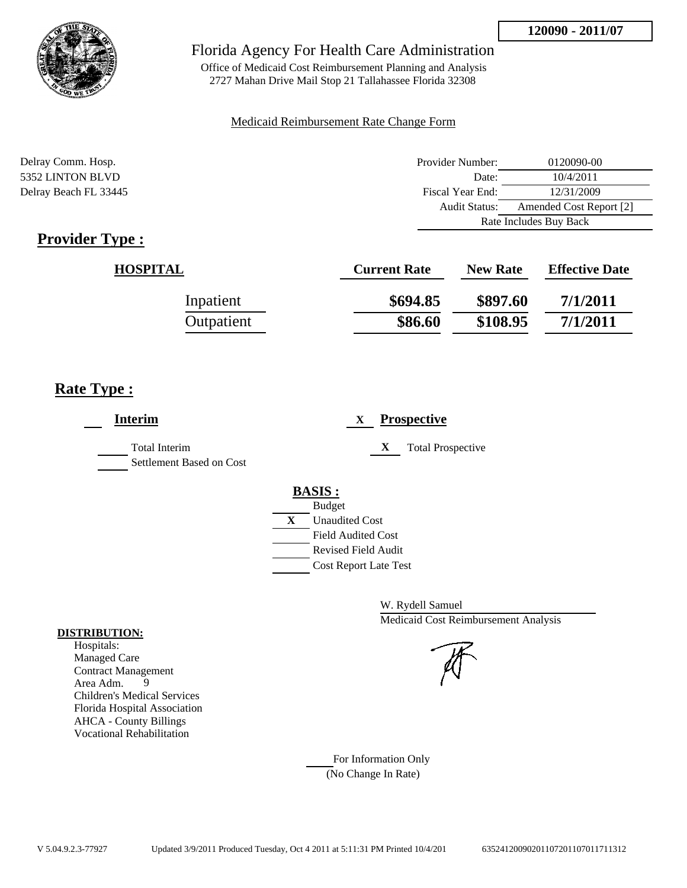

Office of Medicaid Cost Reimbursement Planning and Analysis 2727 Mahan Drive Mail Stop 21 Tallahassee Florida 32308

### Medicaid Reimbursement Rate Change Form

| Delray Comm. Hosp.    | Provider Number:     | 0120090-00              |
|-----------------------|----------------------|-------------------------|
| 5352 LINTON BLVD      | Date:                | 10/4/2011               |
| Delray Beach FL 33445 | Fiscal Year End:     | 12/31/2009              |
|                       | <b>Audit Status:</b> | Amended Cost Report [2] |
|                       |                      | Rate Includes Buy Back  |

# **Provider Type :**

| <b>HOSPITAL</b> | <b>Current Rate</b> | <b>New Rate</b> | <b>Effective Date</b> |
|-----------------|---------------------|-----------------|-----------------------|
| Inpatient       | \$694.85            | \$897.60        | 7/1/2011              |
| Outpatient      | \$86.60             | \$108.95        | 7/1/2011              |

## **Rate Type :**

| <b>Interim</b>                                   | <b>Prospective</b><br>X                                                                                                                           |
|--------------------------------------------------|---------------------------------------------------------------------------------------------------------------------------------------------------|
| <b>Total Interim</b><br>Settlement Based on Cost | X<br><b>Total Prospective</b>                                                                                                                     |
|                                                  | BASSIS:<br><b>Budget</b><br>X<br><b>Unaudited Cost</b><br><b>Field Audited Cost</b><br><b>Revised Field Audit</b><br><b>Cost Report Late Test</b> |

W. Rydell Samuel Medicaid Cost Reimbursement Analysis

For Information Only (No Change In Rate)

#### **DISTRIBUTION:**

Hospitals: Managed Care Contract Management Area Adm. 9 Children's Medical Services Florida Hospital Association AHCA - County Billings Vocational Rehabilitation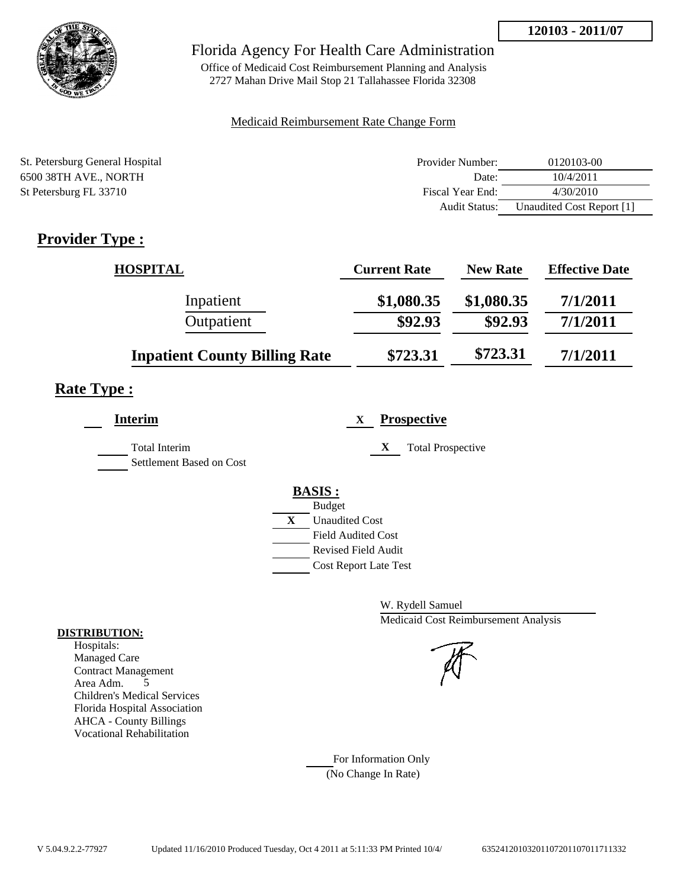

## Florida Agency For Health Care Administration

Office of Medicaid Cost Reimbursement Planning and Analysis 2727 Mahan Drive Mail Stop 21 Tallahassee Florida 32308

### Medicaid Reimbursement Rate Change Form

| St. Petersburg General Hospital | Provider Number:     | 0120103-00                |
|---------------------------------|----------------------|---------------------------|
| 6500 38TH AVE., NORTH           | Date:                | 10/4/2011                 |
| St Petersburg FL 33710          | Fiscal Year End:     | 4/30/2010                 |
|                                 | <b>Audit Status:</b> | Unaudited Cost Report [1] |

# **Provider Type :**

| <b>HOSPITAL</b>                      | <b>Current Rate</b> | <b>New Rate</b> | <b>Effective Date</b> |
|--------------------------------------|---------------------|-----------------|-----------------------|
| Inpatient                            | \$1,080.35          | \$1,080.35      | 7/1/2011              |
| Outpatient                           | \$92.93             | \$92.93         | 7/1/2011              |
| <b>Inpatient County Billing Rate</b> | \$723.31            | \$723.31        | 7/1/2011              |

## **Rate Type :**

| <b>Interim</b>                                   | <b>Prospective</b><br>X.                                                       |
|--------------------------------------------------|--------------------------------------------------------------------------------|
| <b>Total Interim</b><br>Settlement Based on Cost | <b>Total Prospective</b><br>X                                                  |
|                                                  | <b>BASIS:</b><br><b>Budget</b>                                                 |
|                                                  | X<br><b>Unaudited Cost</b><br><b>Field Audited Cost</b><br>Revised Field Audit |
|                                                  | <b>Cost Report Late Test</b>                                                   |

W. Rydell Samuel Medicaid Cost Reimbursement Analysis

For Information Only (No Change In Rate)

#### **DISTRIBUTION:**

Hospitals: Managed Care Contract Management Area Adm. 5 Children's Medical Services Florida Hospital Association AHCA - County Billings Vocational Rehabilitation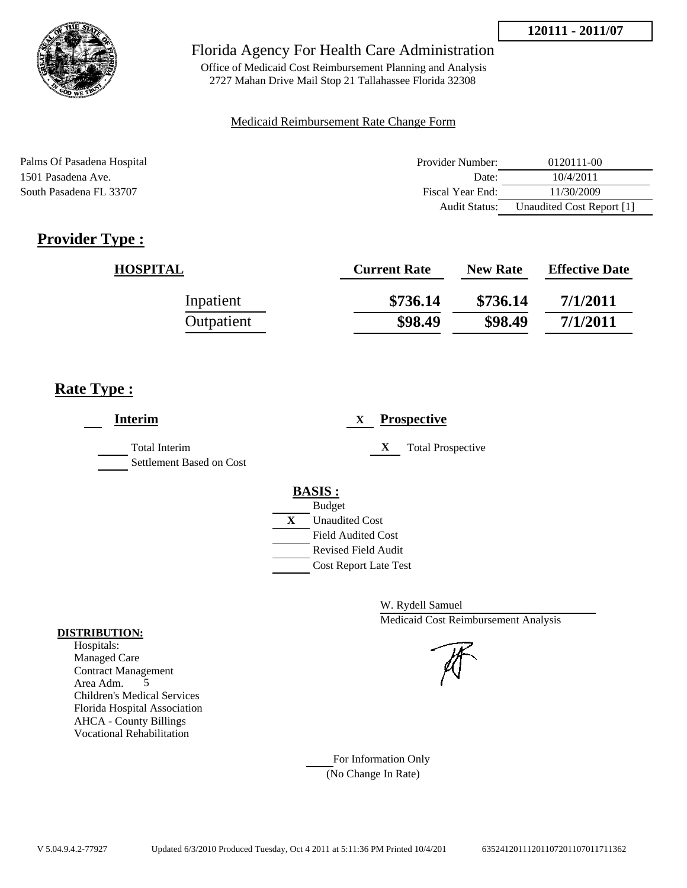

Office of Medicaid Cost Reimbursement Planning and Analysis 2727 Mahan Drive Mail Stop 21 Tallahassee Florida 32308

### Medicaid Reimbursement Rate Change Form

| Palms Of Pasadena Hospital | Provider Number:     | 0120111-00                |
|----------------------------|----------------------|---------------------------|
| 1501 Pasadena Ave.         | Date:                | 10/4/2011                 |
| South Pasadena FL 33707    | Fiscal Year End:     | 11/30/2009                |
|                            | <b>Audit Status:</b> | Unaudited Cost Report [1] |

# **Provider Type :**

| <b>HOSPITAL</b> | <b>Current Rate</b> | <b>New Rate</b> | <b>Effective Date</b> |
|-----------------|---------------------|-----------------|-----------------------|
| Inpatient       | \$736.14            | \$736.14        | 7/1/2011              |
| Outpatient      | \$98.49             | \$98.49         | 7/1/2011              |

## **Rate Type :**

| <b>Interim</b>                            | <b>Prospective</b><br>X                                                                 |
|-------------------------------------------|-----------------------------------------------------------------------------------------|
| Total Interim<br>Settlement Based on Cost | X<br><b>Total Prospective</b>                                                           |
|                                           | <b>BASIS:</b><br><b>Budget</b><br>$\mathbf{X}$<br><b>Unaudited Cost</b>                 |
|                                           | <b>Field Audited Cost</b><br><b>Revised Field Audit</b><br><b>Cost Report Late Test</b> |

W. Rydell Samuel Medicaid Cost Reimbursement Analysis

#### **DISTRIBUTION:**

Hospitals: Managed Care Contract Management Area Adm. 5 Children's Medical Services Florida Hospital Association AHCA - County Billings Vocational Rehabilitation

> For Information Only (No Change In Rate)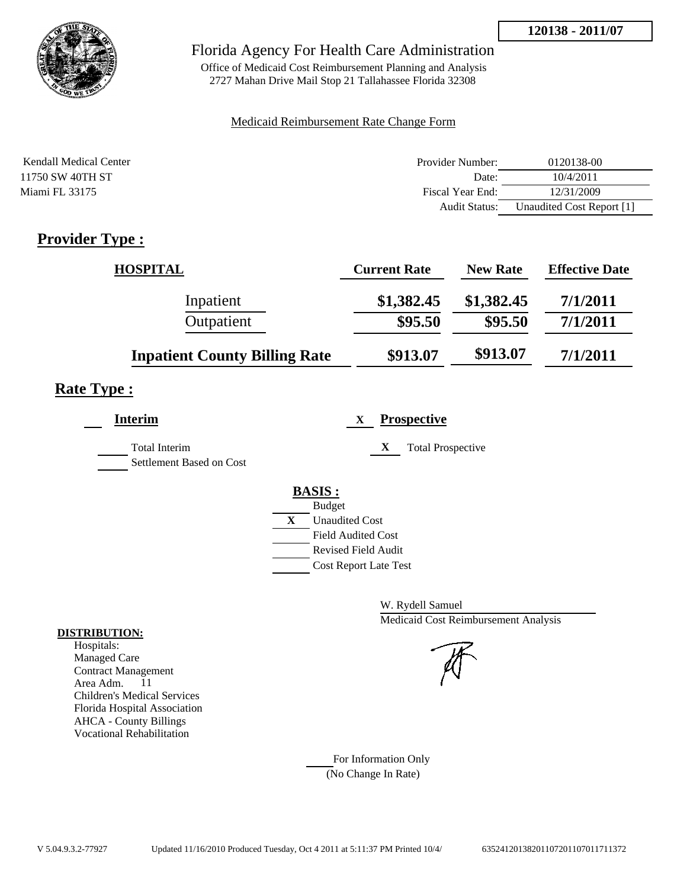

## Florida Agency For Health Care Administration

Office of Medicaid Cost Reimbursement Planning and Analysis 2727 Mahan Drive Mail Stop 21 Tallahassee Florida 32308

### Medicaid Reimbursement Rate Change Form

| Kendall Medical Center | Provider Number: | 0120138-00                |
|------------------------|------------------|---------------------------|
| 11750 SW 40TH ST       | Date:            | 10/4/2011                 |
| Miami FL 33175         | Fiscal Year End: | 12/31/2009                |
|                        | Audit Status:    | Unaudited Cost Report [1] |

# **Provider Type :**

| <b>HOSPITAL</b>                      | <b>Current Rate</b> | <b>New Rate</b> | <b>Effective Date</b> |
|--------------------------------------|---------------------|-----------------|-----------------------|
| Inpatient                            | \$1,382.45          | \$1,382.45      | 7/1/2011              |
| Outpatient                           | \$95.50             | \$95.50         | 7/1/2011              |
| <b>Inpatient County Billing Rate</b> | \$913.07            | \$913.07        | 7/1/2011              |

## **Rate Type :**

| X |                                                                                                           |
|---|-----------------------------------------------------------------------------------------------------------|
|   | <b>Total Prospective</b>                                                                                  |
|   |                                                                                                           |
|   | <b>Unaudited Cost</b><br><b>Field Audited Cost</b><br>Revised Field Audit<br><b>Cost Report Late Test</b> |

W. Rydell Samuel Medicaid Cost Reimbursement Analysis

For Information Only (No Change In Rate)

#### **DISTRIBUTION:**

Hospitals: Managed Care Contract Management Area Adm. 11 Children's Medical Services Florida Hospital Association AHCA - County Billings Vocational Rehabilitation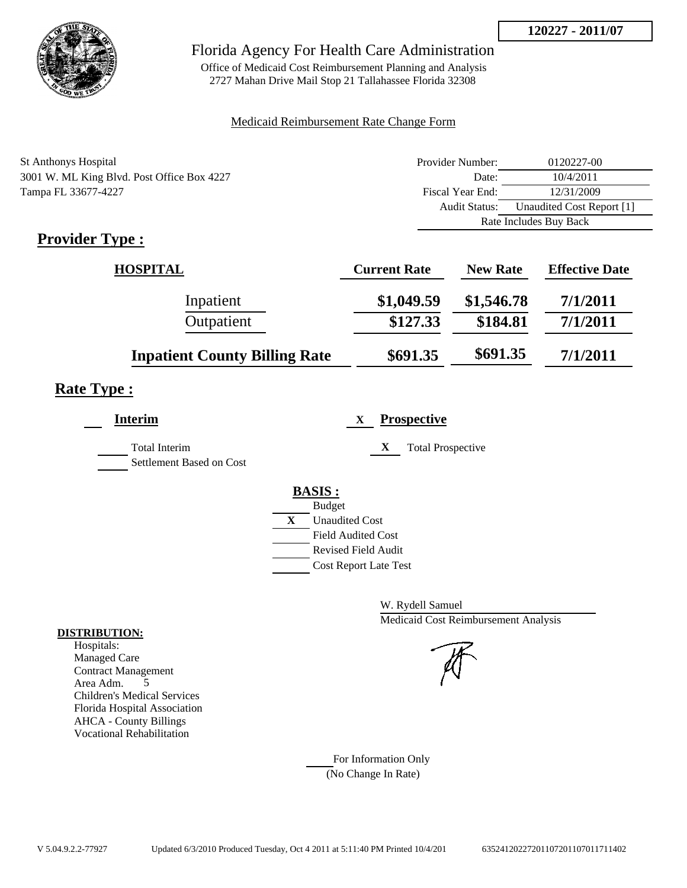

## Florida Agency For Health Care Administration

Office of Medicaid Cost Reimbursement Planning and Analysis 2727 Mahan Drive Mail Stop 21 Tallahassee Florida 32308

### Medicaid Reimbursement Rate Change Form

| <b>St Anthonys Hospital</b>                | Provider Number: | 0120227-00                |
|--------------------------------------------|------------------|---------------------------|
| 3001 W. ML King Blvd. Post Office Box 4227 | Date:            | 10/4/2011                 |
| Tampa FL 33677-4227                        | Fiscal Year End: | 12/31/2009                |
|                                            | Audit Status:    | Unaudited Cost Report [1] |
|                                            |                  | Rate Includes Buy Back    |

# **Provider Type :**

| <b>HOSPITAL</b>                      | <b>Current Rate</b> | <b>New Rate</b> | <b>Effective Date</b> |
|--------------------------------------|---------------------|-----------------|-----------------------|
| Inpatient                            | \$1,049.59          | \$1,546.78      | 7/1/2011              |
| Outpatient                           | \$127.33            | \$184.81        | 7/1/2011              |
| <b>Inpatient County Billing Rate</b> | \$691.35            | \$691.35        | 7/1/2011              |

# **Rate Type :**

| <b>Interim</b>                            | <b>Prospective</b><br>X       |
|-------------------------------------------|-------------------------------|
| Total Interim<br>Settlement Based on Cost | X<br><b>Total Prospective</b> |
|                                           | <b>BASIS:</b>                 |
|                                           | <b>Budget</b>                 |
|                                           | X<br><b>Unaudited Cost</b>    |
|                                           | <b>Field Audited Cost</b>     |
|                                           | <b>Revised Field Audit</b>    |
|                                           | <b>Cost Report Late Test</b>  |
|                                           |                               |

W. Rydell Samuel Medicaid Cost Reimbursement Analysis

For Information Only (No Change In Rate)

#### **DISTRIBUTION:**

Hospitals: Managed Care Contract Management Area Adm. 5 Children's Medical Services Florida Hospital Association AHCA - County Billings Vocational Rehabilitation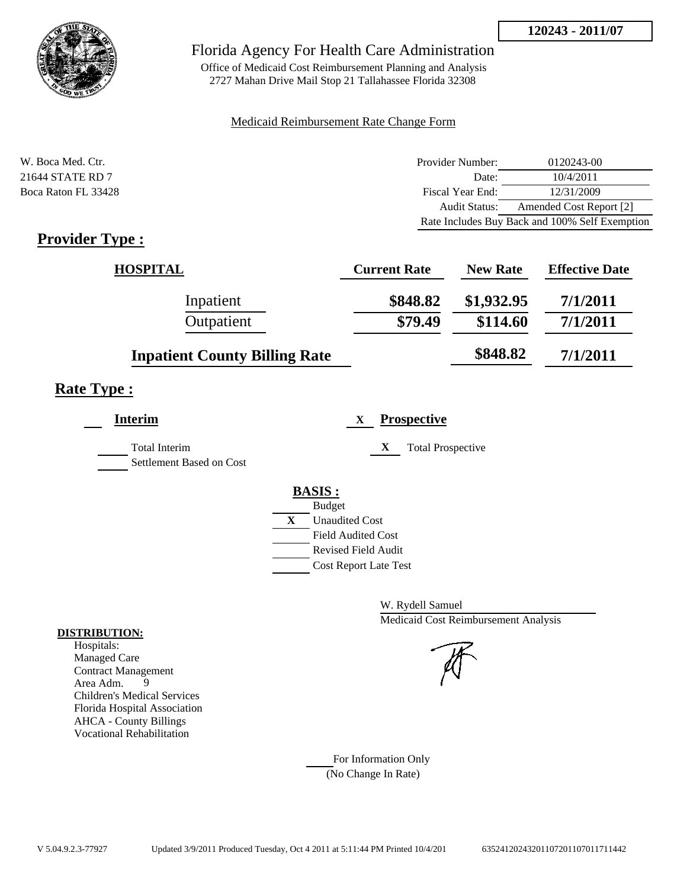

Office of Medicaid Cost Reimbursement Planning and Analysis 2727 Mahan Drive Mail Stop 21 Tallahassee Florida 32308

### Medicaid Reimbursement Rate Change Form

| W. Boca Med. Ctr.               | Provider Number: | 0120243-00                                     |
|---------------------------------|------------------|------------------------------------------------|
| 21644 STATE RD 7                | Date:            | 10/4/2011                                      |
| Boca Raton FL 33428             | Fiscal Year End: | 12/31/2009                                     |
|                                 | Audit Status:    | Amended Cost Report [2]                        |
|                                 |                  | Rate Includes Buy Back and 100% Self Exemption |
| $\cdots$<br>m<br>$\blacksquare$ |                  |                                                |

## **Provider Type :**

| <b>HOSPITAL</b>                      | <b>Current Rate</b> | <b>New Rate</b> | <b>Effective Date</b> |
|--------------------------------------|---------------------|-----------------|-----------------------|
| Inpatient                            | \$848.82            | \$1,932.95      | 7/1/2011              |
| Outpatient                           | \$79.49             | \$114.60        | 7/1/2011              |
| <b>Inpatient County Billing Rate</b> |                     | \$848.82        | 7/1/2011              |

# **Rate Type :**

| <b>Interim</b>                                   | <b>Prospective</b><br>X       |
|--------------------------------------------------|-------------------------------|
| <b>Total Interim</b><br>Settlement Based on Cost | X<br><b>Total Prospective</b> |
|                                                  | <b>BASIS:</b>                 |
|                                                  | <b>Budget</b>                 |
|                                                  | X<br><b>Unaudited Cost</b>    |
|                                                  | <b>Field Audited Cost</b>     |
|                                                  | <b>Revised Field Audit</b>    |
|                                                  | <b>Cost Report Late Test</b>  |
|                                                  |                               |

W. Rydell Samuel Medicaid Cost Reimbursement Analysis

For Information Only (No Change In Rate)

#### **DISTRIBUTION:**

Hospitals: Managed Care Contract Management Area Adm. 9 Children's Medical Services Florida Hospital Association AHCA - County Billings Vocational Rehabilitation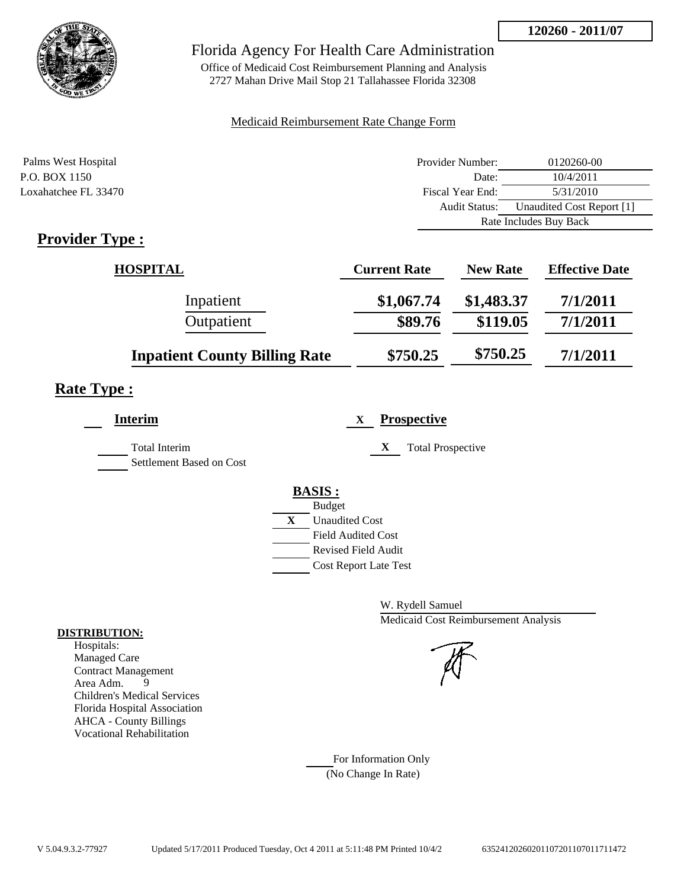

## Florida Agency For Health Care Administration

Office of Medicaid Cost Reimbursement Planning and Analysis 2727 Mahan Drive Mail Stop 21 Tallahassee Florida 32308

### Medicaid Reimbursement Rate Change Form

| Palms West Hospital                                   | Provider Number:     | 0120260-00                |  |
|-------------------------------------------------------|----------------------|---------------------------|--|
| P.O. BOX 1150                                         | Date:                | 10/4/2011                 |  |
| Loxahatchee FL 33470                                  | Fiscal Year End:     | 5/31/2010                 |  |
|                                                       | <b>Audit Status:</b> | Unaudited Cost Report [1] |  |
|                                                       |                      | Rate Includes Buy Back    |  |
| $\bullet$ $\bullet$<br>$\overline{\phantom{a}}$<br>-- |                      |                           |  |

# **Provider Type :**

| <b>HOSPITAL</b>                      | <b>Current Rate</b> | <b>New Rate</b> | <b>Effective Date</b> |
|--------------------------------------|---------------------|-----------------|-----------------------|
| Inpatient                            | \$1,067.74          | \$1,483.37      | 7/1/2011              |
| Outpatient                           | \$89.76             | \$119.05        | 7/1/2011              |
| <b>Inpatient County Billing Rate</b> | \$750.25            | \$750.25        | 7/1/2011              |

# **Rate Type :**

| <b>Interim</b>                            | <b>Prospective</b><br>X       |
|-------------------------------------------|-------------------------------|
| Total Interim<br>Settlement Based on Cost | X<br><b>Total Prospective</b> |
|                                           | <b>BASIS</b> :                |
|                                           | <b>Budget</b>                 |
|                                           | X<br><b>Unaudited Cost</b>    |
|                                           | <b>Field Audited Cost</b>     |
|                                           | Revised Field Audit           |
|                                           | <b>Cost Report Late Test</b>  |
|                                           |                               |

W. Rydell Samuel Medicaid Cost Reimbursement Analysis

For Information Only (No Change In Rate)

#### **DISTRIBUTION:**

Hospitals: Managed Care Contract Management<br>Area Adm. 9 Area Adm. 9 Children's Medical Services Florida Hospital Association AHCA - County Billings Vocational Rehabilitation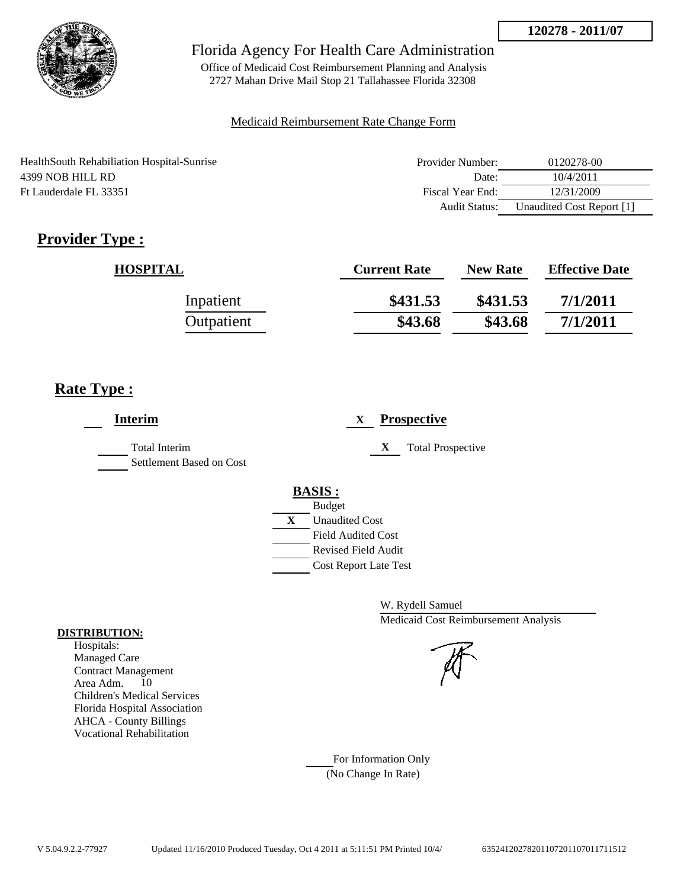

Office of Medicaid Cost Reimbursement Planning and Analysis 2727 Mahan Drive Mail Stop 21 Tallahassee Florida 32308

### Medicaid Reimbursement Rate Change Form

| Health South Rehabiliation Hospital-Sunrise | Provider Number: | 0120278-00                |
|---------------------------------------------|------------------|---------------------------|
| 4399 NOB HILL RD                            | Date:            | 10/4/2011                 |
| Ft Lauderdale FL 33351                      | Fiscal Year End: | 12/31/2009                |
|                                             | Audit Status:    | Unaudited Cost Report [1] |

# **Provider Type :**

| <b>HOSPITAL</b> | <b>Current Rate</b> | <b>New Rate</b> | <b>Effective Date</b> |
|-----------------|---------------------|-----------------|-----------------------|
| Inpatient       | \$431.53            | \$431.53        | 7/1/2011              |
| Outpatient      | \$43.68             | \$43.68         | 7/1/2011              |

## **Rate Type :**

| <b>Prospective</b><br>X       |
|-------------------------------|
| X<br><b>Total Prospective</b> |
| <b>BASIS:</b>                 |
| <b>Budget</b>                 |
| X<br><b>Unaudited Cost</b>    |
| <b>Field Audited Cost</b>     |
| <b>Revised Field Audit</b>    |
| <b>Cost Report Late Test</b>  |
|                               |

W. Rydell Samuel Medicaid Cost Reimbursement Analysis

For Information Only (No Change In Rate)

#### **DISTRIBUTION:**

Hospitals: Managed Care Contract Management Area Adm. 10 Children's Medical Services Florida Hospital Association AHCA - County Billings Vocational Rehabilitation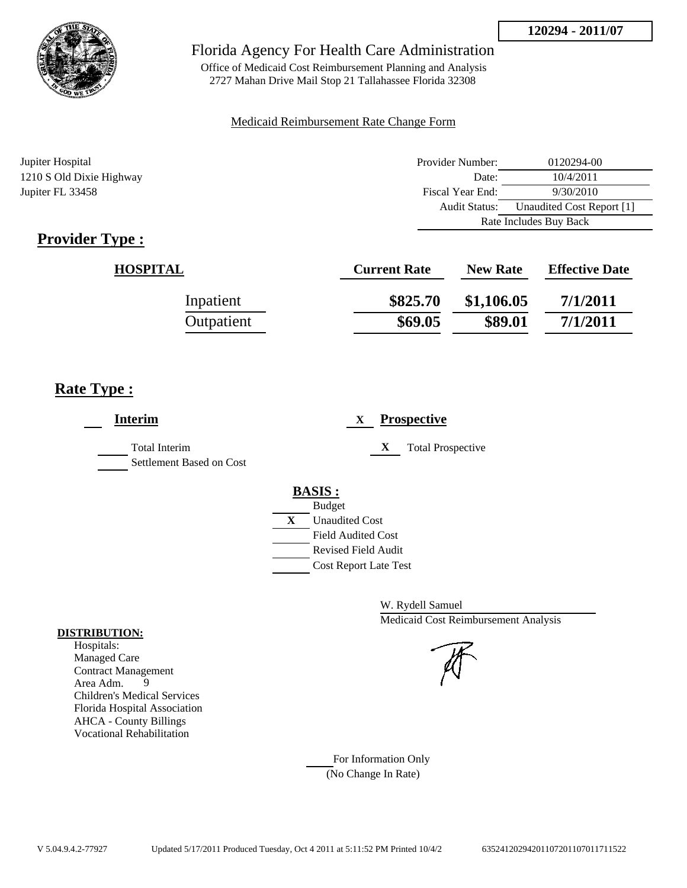

Office of Medicaid Cost Reimbursement Planning and Analysis 2727 Mahan Drive Mail Stop 21 Tallahassee Florida 32308

### Medicaid Reimbursement Rate Change Form

Jupiter Hospital Provider Number: 0120294-00 1210 S Old Dixie Highway Date: 10/4/2011 Jupiter FL 33458 Fiscal Year End: 9/30/2010 Audit Status: Unaudited Cost Report [1] Rate Includes Buy Back

# **Provider Type :**

| <b>HOSPITAL</b> | <b>Current Rate</b> | <b>New Rate</b> | <b>Effective Date</b> |
|-----------------|---------------------|-----------------|-----------------------|
| Inpatient       | \$825.70            | \$1,106.05      | 7/1/2011              |
| Outpatient      | \$69.05             | \$89.01         | 7/1/2011              |

## **Rate Type :**

| <b>Prospective</b><br>X                                                                                                                                 |
|---------------------------------------------------------------------------------------------------------------------------------------------------------|
| X<br><b>Total Prospective</b>                                                                                                                           |
| <b>BASIS:</b><br><b>Budget</b><br>X<br><b>Unaudited Cost</b><br><b>Field Audited Cost</b><br><b>Revised Field Audit</b><br><b>Cost Report Late Test</b> |
|                                                                                                                                                         |

W. Rydell Samuel Medicaid Cost Reimbursement Analysis

For Information Only (No Change In Rate)

#### **DISTRIBUTION:**

Hospitals: Managed Care Contract Management Area Adm. 9 Children's Medical Services Florida Hospital Association AHCA - County Billings Vocational Rehabilitation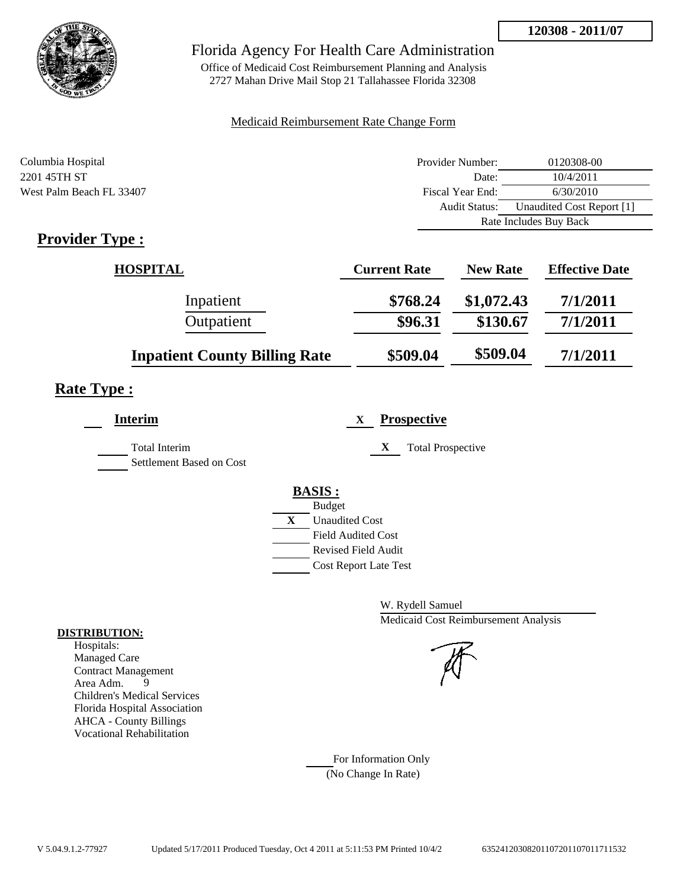

## Florida Agency For Health Care Administration

Office of Medicaid Cost Reimbursement Planning and Analysis 2727 Mahan Drive Mail Stop 21 Tallahassee Florida 32308

#### Medicaid Reimbursement Rate Change Form

| Columbia Hospital        | Provider Number: | 0120308-00                |  |
|--------------------------|------------------|---------------------------|--|
| 2201 45TH ST             | Date:            | 10/4/2011                 |  |
| West Palm Beach FL 33407 | Fiscal Year End: | 6/30/2010                 |  |
|                          | Audit Status:    | Unaudited Cost Report [1] |  |
|                          |                  | Rate Includes Buy Back    |  |

# **Provider Type :**

| <b>HOSPITAL</b>                      | <b>Current Rate</b> | <b>New Rate</b> | <b>Effective Date</b> |
|--------------------------------------|---------------------|-----------------|-----------------------|
| Inpatient                            | \$768.24            | \$1,072.43      | 7/1/2011              |
| Outpatient                           | \$96.31             | \$130.67        | 7/1/2011              |
| <b>Inpatient County Billing Rate</b> | \$509.04            | \$509.04        | 7/1/2011              |

# **Rate Type :**

| <b>Interim</b>                                   | <b>Prospective</b><br>X       |
|--------------------------------------------------|-------------------------------|
| <b>Total Interim</b><br>Settlement Based on Cost | X<br><b>Total Prospective</b> |
|                                                  |                               |
|                                                  | <b>BASIS:</b>                 |
|                                                  | <b>Budget</b>                 |
|                                                  | X<br><b>Unaudited Cost</b>    |
|                                                  | <b>Field Audited Cost</b>     |
|                                                  | <b>Revised Field Audit</b>    |
|                                                  | <b>Cost Report Late Test</b>  |

W. Rydell Samuel Medicaid Cost Reimbursement Analysis

For Information Only (No Change In Rate)

#### **DISTRIBUTION:**

Hospitals: Managed Care Contract Management Area Adm. 9 Children's Medical Services Florida Hospital Association AHCA - County Billings Vocational Rehabilitation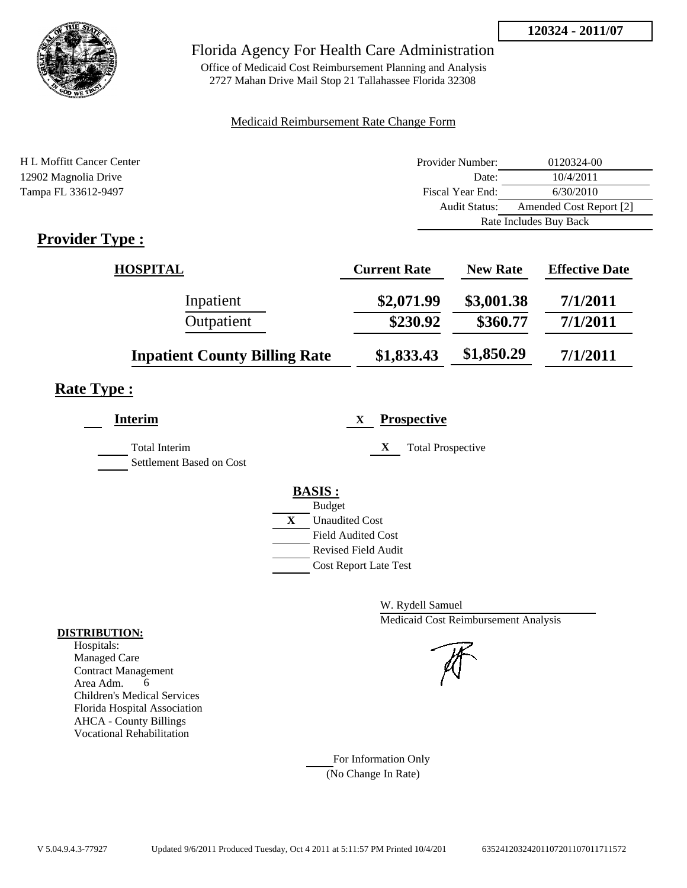

## Florida Agency For Health Care Administration

Office of Medicaid Cost Reimbursement Planning and Analysis 2727 Mahan Drive Mail Stop 21 Tallahassee Florida 32308

### Medicaid Reimbursement Rate Change Form

| H L Moffitt Cancer Center                                                                                                                                                                                                                                                                                                                                                         | Provider Number:     | 0120324-00              |  |
|-----------------------------------------------------------------------------------------------------------------------------------------------------------------------------------------------------------------------------------------------------------------------------------------------------------------------------------------------------------------------------------|----------------------|-------------------------|--|
| 12902 Magnolia Drive                                                                                                                                                                                                                                                                                                                                                              | Date:                | 10/4/2011               |  |
| Tampa FL 33612-9497                                                                                                                                                                                                                                                                                                                                                               | Fiscal Year End:     | 6/30/2010               |  |
|                                                                                                                                                                                                                                                                                                                                                                                   | <b>Audit Status:</b> | Amended Cost Report [2] |  |
|                                                                                                                                                                                                                                                                                                                                                                                   |                      | Rate Includes Buy Back  |  |
| $\mathbf{n}$ . $\mathbf{1}$ . $\mathbf{n}$ . $\mathbf{n}$ . $\mathbf{n}$ . $\mathbf{n}$ . $\mathbf{n}$ . $\mathbf{n}$ . $\mathbf{n}$ . $\mathbf{n}$ . $\mathbf{n}$ . $\mathbf{n}$ . $\mathbf{n}$ . $\mathbf{n}$ . $\mathbf{n}$ . $\mathbf{n}$ . $\mathbf{n}$ . $\mathbf{n}$ . $\mathbf{n}$ . $\mathbf{n}$ . $\mathbf{n}$ . $\mathbf{n}$ . $\mathbf{n}$ . $\mathbf{n}$ . $\mathbf$ |                      |                         |  |

## **Provider Type :**

| <b>HOSPITAL</b>                      | <b>Current Rate</b> | <b>New Rate</b> | <b>Effective Date</b> |
|--------------------------------------|---------------------|-----------------|-----------------------|
| Inpatient                            | \$2,071.99          | \$3,001.38      | 7/1/2011              |
| Outpatient                           | \$230.92            | \$360.77        | 7/1/2011              |
| <b>Inpatient County Billing Rate</b> | \$1,833.43          | \$1,850.29      | 7/1/2011              |

## **Rate Type :**

| <b>Interim</b>                                   | <b>Prospective</b><br>X        |
|--------------------------------------------------|--------------------------------|
| <b>Total Interim</b><br>Settlement Based on Cost | X<br><b>Total Prospective</b>  |
|                                                  | <b>BASIS:</b><br><b>Budget</b> |
|                                                  | X<br><b>Unaudited Cost</b>     |
|                                                  | <b>Field Audited Cost</b>      |
|                                                  | Revised Field Audit            |
|                                                  | <b>Cost Report Late Test</b>   |

W. Rydell Samuel Medicaid Cost Reimbursement Analysis

For Information Only (No Change In Rate)

#### **DISTRIBUTION:**

Hospitals: Managed Care Contract Management Area Adm. 6 Children's Medical Services Florida Hospital Association AHCA - County Billings Vocational Rehabilitation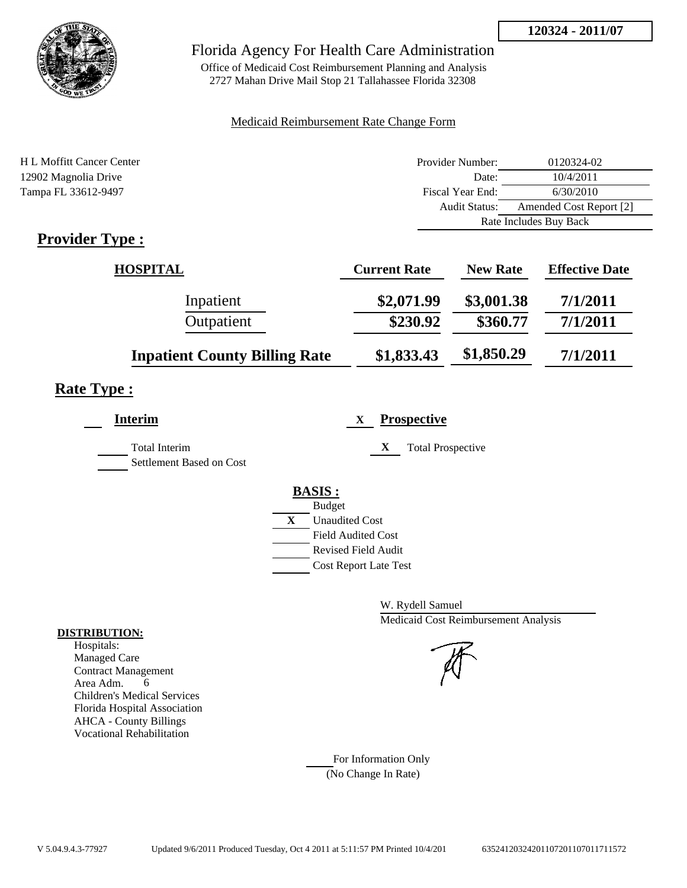

## Florida Agency For Health Care Administration

Office of Medicaid Cost Reimbursement Planning and Analysis 2727 Mahan Drive Mail Stop 21 Tallahassee Florida 32308

### Medicaid Reimbursement Rate Change Form

| H L Moffitt Cancer Center                             | Provider Number:     | 0120324-02              |  |
|-------------------------------------------------------|----------------------|-------------------------|--|
| 12902 Magnolia Drive                                  | Date:                | 10/4/2011               |  |
| Tampa FL 33612-9497                                   | Fiscal Year End:     | 6/30/2010               |  |
|                                                       | <b>Audit Status:</b> | Amended Cost Report [2] |  |
|                                                       |                      | Rate Includes Buy Back  |  |
| $\mathbf{D}_{\text{max}}$ , $\mathbf{D}_{\text{max}}$ |                      |                         |  |

## **Provider Type :**

| <b>HOSPITAL</b>                      | <b>Current Rate</b> | <b>New Rate</b> | <b>Effective Date</b> |
|--------------------------------------|---------------------|-----------------|-----------------------|
| Inpatient                            | \$2,071.99          | \$3,001.38      | 7/1/2011              |
| Outpatient                           | \$230.92            | \$360.77        | 7/1/2011              |
| <b>Inpatient County Billing Rate</b> | \$1,833.43          | \$1,850.29      | 7/1/2011              |

## **Rate Type :**

| <b>Interim</b>           | <b>Prospective</b><br>X       |
|--------------------------|-------------------------------|
| <b>Total Interim</b>     | X<br><b>Total Prospective</b> |
| Settlement Based on Cost |                               |
|                          | <b>BASIS:</b>                 |
|                          | <b>Budget</b>                 |
|                          | X<br><b>Unaudited Cost</b>    |
|                          | <b>Field Audited Cost</b>     |
|                          | Revised Field Audit           |
|                          | <b>Cost Report Late Test</b>  |

W. Rydell Samuel Medicaid Cost Reimbursement Analysis

For Information Only (No Change In Rate)

#### **DISTRIBUTION:**

Hospitals: Managed Care Contract Management Area Adm. 6 Children's Medical Services Florida Hospital Association AHCA - County Billings Vocational Rehabilitation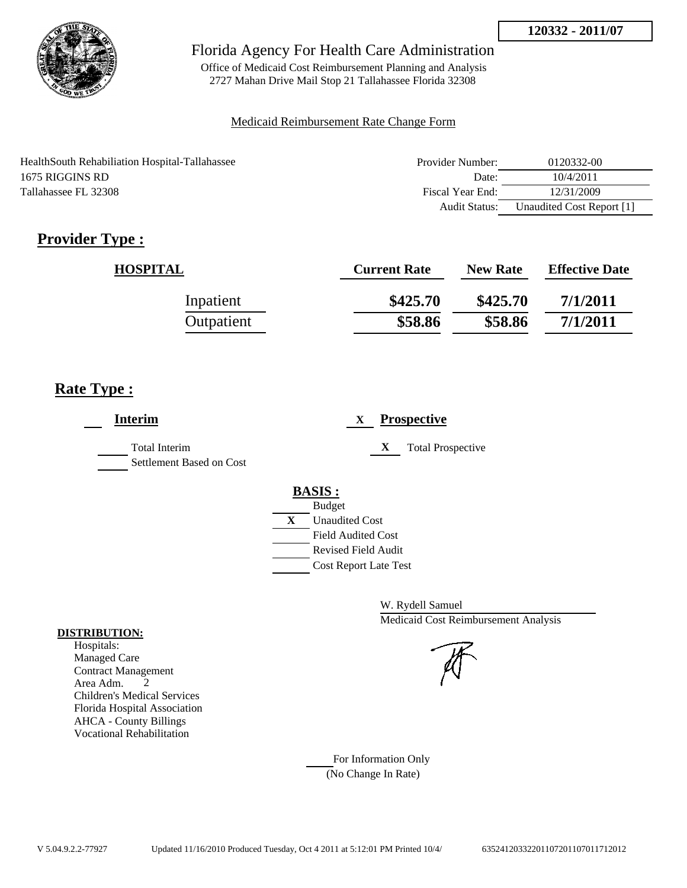

Office of Medicaid Cost Reimbursement Planning and Analysis 2727 Mahan Drive Mail Stop 21 Tallahassee Florida 32308

### Medicaid Reimbursement Rate Change Form

| HealthSouth Rehabiliation Hospital-Tallahassee | Provider Number: | 0120332-00                |
|------------------------------------------------|------------------|---------------------------|
| 1675 RIGGINS RD                                | Date:            | 10/4/2011                 |
| Tallahassee FL 32308                           | Fiscal Year End: | 12/31/2009                |
|                                                | Audit Status:    | Unaudited Cost Report [1] |

# **Provider Type :**

| <b>HOSPITAL</b> | <b>Current Rate</b> | <b>New Rate</b> | <b>Effective Date</b> |
|-----------------|---------------------|-----------------|-----------------------|
| Inpatient       | \$425.70            | \$425.70        | 7/1/2011              |
| Outpatient      | \$58.86             | \$58.86         | 7/1/2011              |

## **Rate Type :**

| <b>Interim</b>                            | <b>Prospective</b><br>X               |  |
|-------------------------------------------|---------------------------------------|--|
| Total Interim<br>Settlement Based on Cost | X<br><b>Total Prospective</b>         |  |
|                                           | <b>BASIS:</b>                         |  |
|                                           | <b>Budget</b>                         |  |
|                                           | $\mathbf{X}$<br><b>Unaudited Cost</b> |  |
|                                           | <b>Field Audited Cost</b>             |  |
|                                           | <b>Revised Field Audit</b>            |  |
|                                           | <b>Cost Report Late Test</b>          |  |
|                                           |                                       |  |

W. Rydell Samuel Medicaid Cost Reimbursement Analysis

For Information Only (No Change In Rate)

#### **DISTRIBUTION:**

Hospitals: Managed Care Contract Management Area Adm. 2 Children's Medical Services Florida Hospital Association AHCA - County Billings Vocational Rehabilitation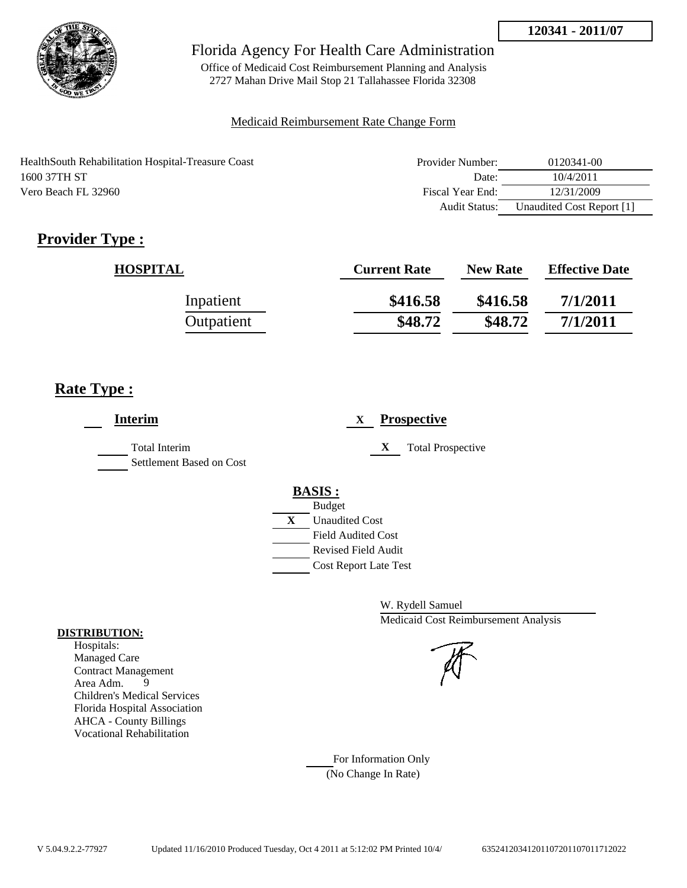

Office of Medicaid Cost Reimbursement Planning and Analysis 2727 Mahan Drive Mail Stop 21 Tallahassee Florida 32308

#### Medicaid Reimbursement Rate Change Form

| Health South Rehabilitation Hospital-Treasure Coast | Provider Number: | 0120341-00                |
|-----------------------------------------------------|------------------|---------------------------|
| 1600 37TH ST                                        | Date:            | 10/4/2011                 |
| Vero Beach FL 32960                                 | Fiscal Year End: | 12/31/2009                |
|                                                     | Audit Status:    | Unaudited Cost Report [1] |

# **Provider Type :**

| <b>HOSPITAL</b> | <b>Current Rate</b> | <b>New Rate</b> | <b>Effective Date</b> |
|-----------------|---------------------|-----------------|-----------------------|
| Inpatient       | \$416.58            | \$416.58        | 7/1/2011              |
| Outpatient      | \$48.72             | \$48.72         | 7/1/2011              |

## **Rate Type :**

| <b>Interim</b>                                   | <b>Prospective</b><br>X       |
|--------------------------------------------------|-------------------------------|
| <b>Total Interim</b><br>Settlement Based on Cost | X<br><b>Total Prospective</b> |
|                                                  | <b>BASIS:</b>                 |
|                                                  | <b>Budget</b>                 |
|                                                  | X<br><b>Unaudited Cost</b>    |
|                                                  | <b>Field Audited Cost</b>     |
|                                                  | <b>Revised Field Audit</b>    |
|                                                  | <b>Cost Report Late Test</b>  |

W. Rydell Samuel Medicaid Cost Reimbursement Analysis

For Information Only (No Change In Rate)

#### **DISTRIBUTION:**

Hospitals: Managed Care Contract Management Area Adm. 9 Children's Medical Services Florida Hospital Association AHCA - County Billings Vocational Rehabilitation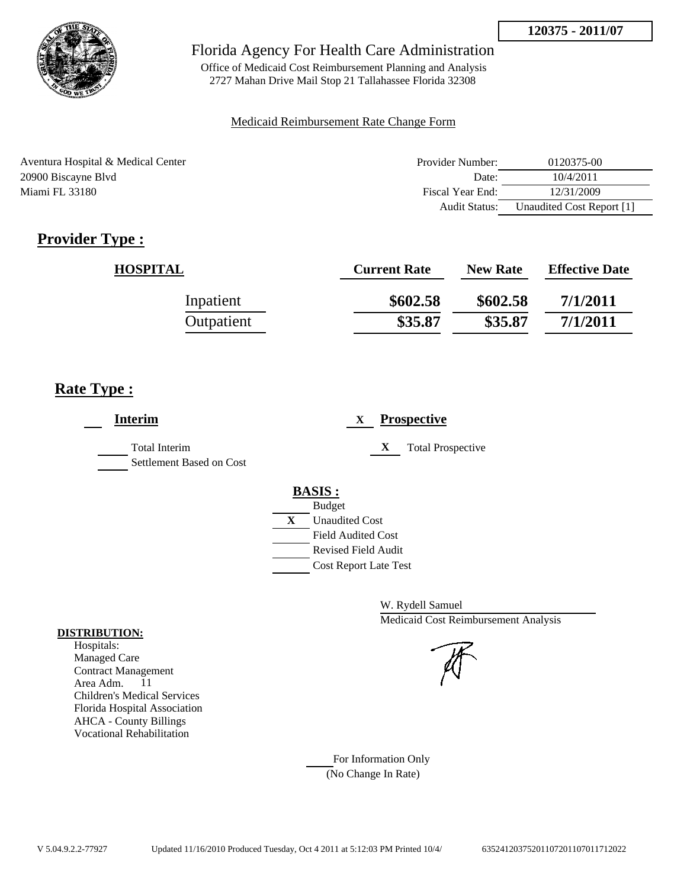

Office of Medicaid Cost Reimbursement Planning and Analysis 2727 Mahan Drive Mail Stop 21 Tallahassee Florida 32308

### Medicaid Reimbursement Rate Change Form

| Aventura Hospital & Medical Center | Provider Number: | 0120375-00                |
|------------------------------------|------------------|---------------------------|
| 20900 Biscayne Blvd                | Date:            | 10/4/2011                 |
| Miami FL 33180                     | Fiscal Year End: | 12/31/2009                |
|                                    | Audit Status:    | Unaudited Cost Report [1] |

# **Provider Type :**

| <b>HOSPITAL</b> | <b>Current Rate</b> | <b>New Rate</b> | <b>Effective Date</b> |
|-----------------|---------------------|-----------------|-----------------------|
| Inpatient       | \$602.58            | \$602.58        | 7/1/2011              |
| Outpatient      | \$35.87             | \$35.87         | 7/1/2011              |

## **Rate Type :**

| <b>Interim</b>                                   | <b>Prospective</b><br>X       |
|--------------------------------------------------|-------------------------------|
| <b>Total Interim</b><br>Settlement Based on Cost | X<br><b>Total Prospective</b> |
|                                                  | <b>BASIS:</b>                 |
|                                                  | <b>Budget</b>                 |
|                                                  | X<br><b>Unaudited Cost</b>    |
|                                                  | <b>Field Audited Cost</b>     |
|                                                  | Revised Field Audit           |
|                                                  | <b>Cost Report Late Test</b>  |

W. Rydell Samuel Medicaid Cost Reimbursement Analysis

For Information Only (No Change In Rate)

#### **DISTRIBUTION:**

Hospitals: Managed Care Contract Management Area Adm. 11 Children's Medical Services Florida Hospital Association AHCA - County Billings Vocational Rehabilitation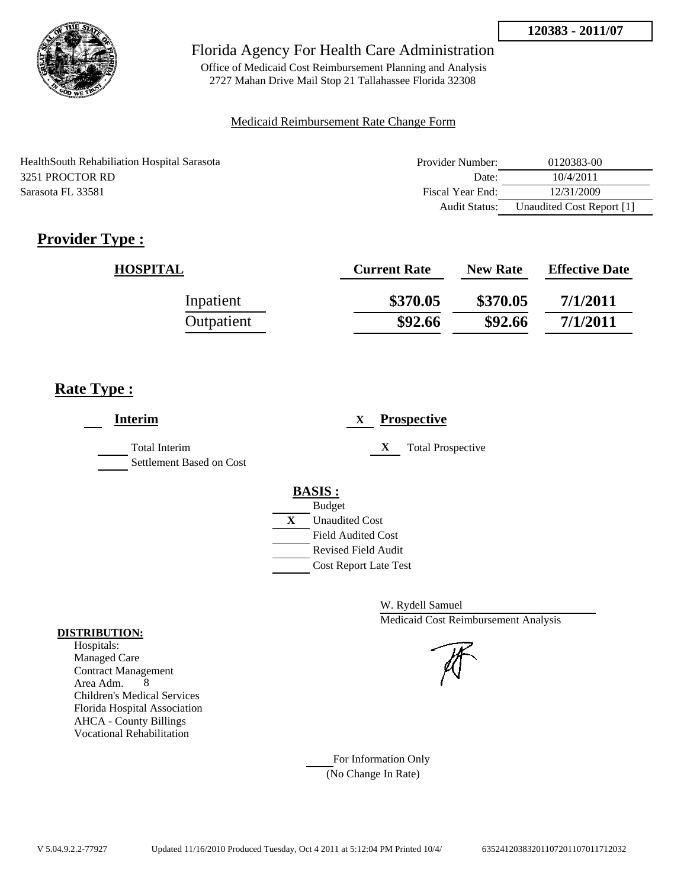

Office of Medicaid Cost Reimbursement Planning and Analysis 2727 Mahan Drive Mail Stop 21 Tallahassee Florida 32308

### Medicaid Reimbursement Rate Change Form

| HealthSouth Rehabiliation Hospital Sarasota | Provider Number: | 0120383-00                |
|---------------------------------------------|------------------|---------------------------|
| 3251 PROCTOR RD                             | Date:            | 10/4/2011                 |
| Sarasota FL 33581                           | Fiscal Year End: | 12/31/2009                |
|                                             | Audit Status:    | Unaudited Cost Report [1] |

# **Provider Type :**

| <b>HOSPITAL</b> | <b>Current Rate</b> | <b>New Rate</b> | <b>Effective Date</b> |
|-----------------|---------------------|-----------------|-----------------------|
| Inpatient       | \$370.05            | \$370.05        | 7/1/2011              |
| Outpatient      | \$92.66             | \$92.66         | 7/1/2011              |

## **Rate Type :**

| <b>Interim</b>                                   | <b>Prospective</b><br>X               |
|--------------------------------------------------|---------------------------------------|
| <b>Total Interim</b><br>Settlement Based on Cost | X<br><b>Total Prospective</b>         |
|                                                  | <b>BASIS:</b>                         |
|                                                  | <b>Budget</b>                         |
|                                                  | $\mathbf{X}$<br><b>Unaudited Cost</b> |
|                                                  | <b>Field Audited Cost</b>             |
|                                                  | <b>Revised Field Audit</b>            |
|                                                  | <b>Cost Report Late Test</b>          |
|                                                  |                                       |

W. Rydell Samuel Medicaid Cost Reimbursement Analysis

For Information Only (No Change In Rate)

#### **DISTRIBUTION:**

Hospitals: Managed Care Contract Management Area Adm. 8 Children's Medical Services Florida Hospital Association AHCA - County Billings Vocational Rehabilitation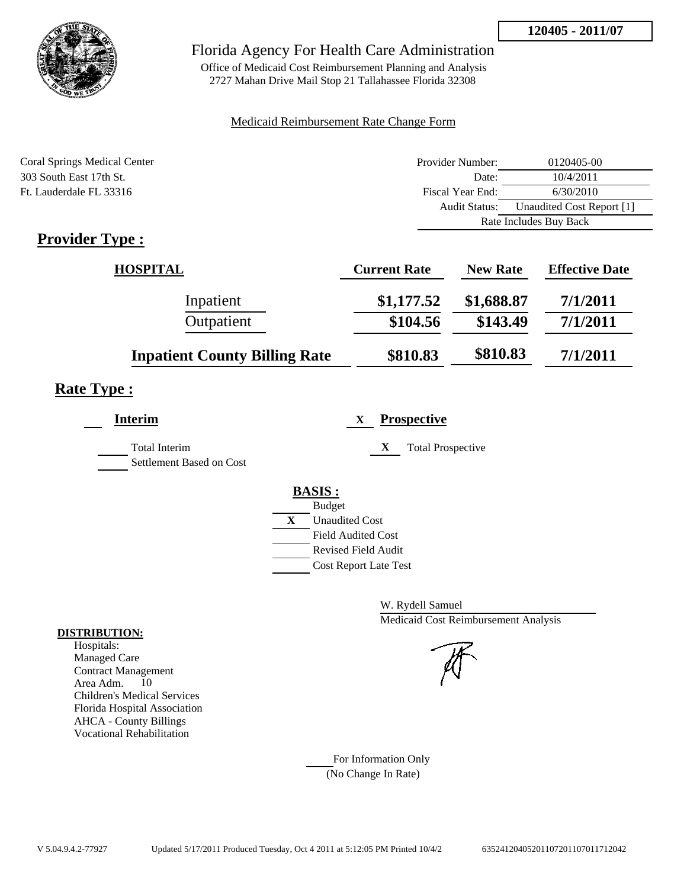

## Florida Agency For Health Care Administration

Office of Medicaid Cost Reimbursement Planning and Analysis 2727 Mahan Drive Mail Stop 21 Tallahassee Florida 32308

### Medicaid Reimbursement Rate Change Form

| <b>Coral Springs Medical Center</b>             | Provider Number: | 0120405-00                |
|-------------------------------------------------|------------------|---------------------------|
| 303 South East 17th St.                         | Date:            | 10/4/2011                 |
| Ft. Lauderdale FL 33316                         | Fiscal Year End: | 6/30/2010                 |
|                                                 | Audit Status:    | Unaudited Cost Report [1] |
|                                                 |                  | Rate Includes Buy Back    |
| $\bullet$ $\blacksquare$<br>$\blacksquare$<br>m |                  |                           |

## **Provider Type :**

| <b>HOSPITAL</b>                      | <b>Current Rate</b> | <b>New Rate</b> | <b>Effective Date</b> |
|--------------------------------------|---------------------|-----------------|-----------------------|
| Inpatient                            | \$1,177.52          | \$1,688.87      | 7/1/2011              |
| Outpatient                           | \$104.56            | \$143.49        | 7/1/2011              |
| <b>Inpatient County Billing Rate</b> | \$810.83            | \$810.83        | 7/1/2011              |

# **Rate Type :**

| <b>Interim</b>                                   | <b>Prospective</b><br>X                                                                                                                                 |
|--------------------------------------------------|---------------------------------------------------------------------------------------------------------------------------------------------------------|
| <b>Total Interim</b><br>Settlement Based on Cost | X<br><b>Total Prospective</b>                                                                                                                           |
|                                                  | <b>BASIS:</b><br><b>Budget</b><br>X<br><b>Unaudited Cost</b><br><b>Field Audited Cost</b><br><b>Revised Field Audit</b><br><b>Cost Report Late Test</b> |

W. Rydell Samuel Medicaid Cost Reimbursement Analysis

For Information Only (No Change In Rate)

#### **DISTRIBUTION:**

Hospitals: Managed Care Contract Management Area Adm. 10 Children's Medical Services Florida Hospital Association AHCA - County Billings Vocational Rehabilitation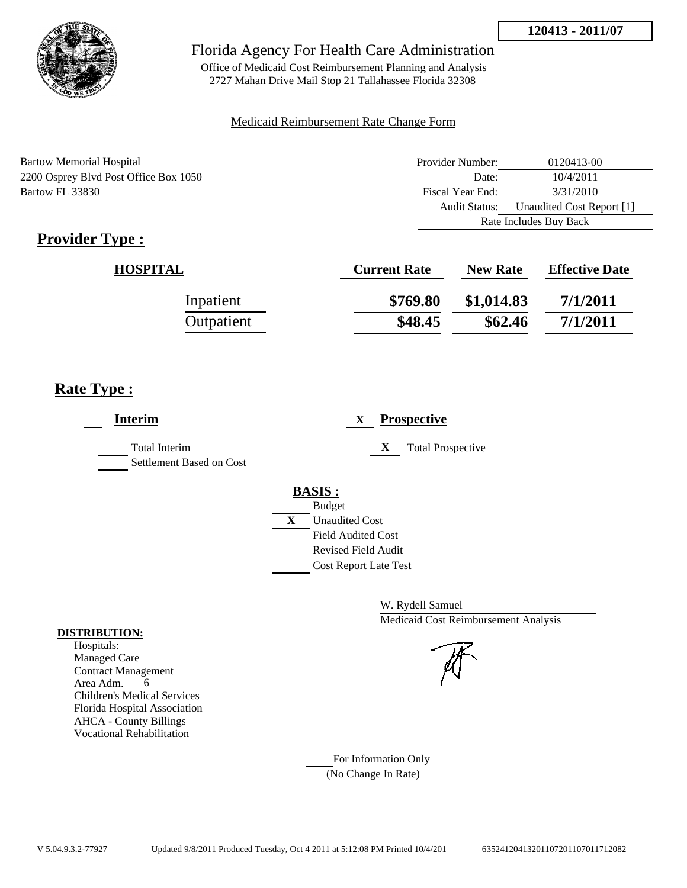

Office of Medicaid Cost Reimbursement Planning and Analysis 2727 Mahan Drive Mail Stop 21 Tallahassee Florida 32308

#### Medicaid Reimbursement Rate Change Form

| Bartow Memorial Hospital              | Provider Number: | 0120413-00                |
|---------------------------------------|------------------|---------------------------|
| 2200 Osprey Blvd Post Office Box 1050 | Date:            | 10/4/2011                 |
| Bartow FL 33830                       | Fiscal Year End: | 3/31/2010                 |
|                                       | Audit Status:    | Unaudited Cost Report [1] |
|                                       |                  | Rate Includes Buy Back    |

# **Provider Type :**

| <b>HOSPITAL</b> | <b>Current Rate</b> | <b>New Rate</b> | <b>Effective Date</b> |
|-----------------|---------------------|-----------------|-----------------------|
| Inpatient       | \$769.80            | \$1,014.83      | 7/1/2011              |
| Outpatient      | \$48.45             | \$62.46         | 7/1/2011              |

## **Rate Type :**

| <b>Interim</b>           | <b>Prospective</b><br>X       |
|--------------------------|-------------------------------|
| <b>Total Interim</b>     | <b>Total Prospective</b><br>X |
| Settlement Based on Cost |                               |
|                          | <b>BASIS:</b>                 |
|                          | <b>Budget</b>                 |
|                          | X<br><b>Unaudited Cost</b>    |
|                          | <b>Field Audited Cost</b>     |
|                          | <b>Revised Field Audit</b>    |
|                          | <b>Cost Report Late Test</b>  |
|                          |                               |

W. Rydell Samuel Medicaid Cost Reimbursement Analysis

For Information Only (No Change In Rate)

#### **DISTRIBUTION:**

Hospitals: Managed Care Contract Management Area Adm. 6 Children's Medical Services Florida Hospital Association AHCA - County Billings Vocational Rehabilitation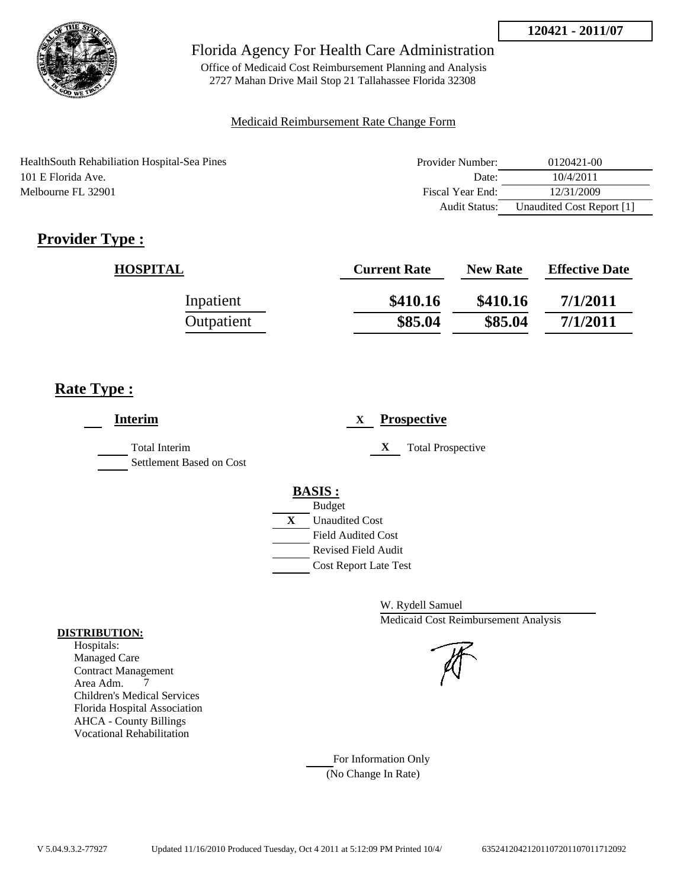

Office of Medicaid Cost Reimbursement Planning and Analysis 2727 Mahan Drive Mail Stop 21 Tallahassee Florida 32308

### Medicaid Reimbursement Rate Change Form

HealthSouth Rehabiliation Hospital-Sea Pines 101 E Florida Ave. Melbourne FL 32901

| Provider Number: | 0120421-00                |
|------------------|---------------------------|
| Date:            | 10/4/2011                 |
| Fiscal Year End: | 12/31/2009                |
| Audit Status:    | Unaudited Cost Report [1] |

# **Provider Type :**

| <b>HOSPITAL</b> | <b>Current Rate</b> | <b>New Rate</b> | <b>Effective Date</b> |
|-----------------|---------------------|-----------------|-----------------------|
| Inpatient       | \$410.16            | \$410.16        | 7/1/2011              |
| Outpatient      | \$85.04             | \$85.04         | 7/1/2011              |

## **Rate Type :**

| <b>Interim</b>                                   | <b>Prospective</b><br>X                                                                                                                          |
|--------------------------------------------------|--------------------------------------------------------------------------------------------------------------------------------------------------|
| <b>Total Interim</b><br>Settlement Based on Cost | X<br><b>Total Prospective</b>                                                                                                                    |
|                                                  | <b>BASIS:</b><br><b>Budget</b><br>X<br><b>Unaudited Cost</b><br><b>Field Audited Cost</b><br>Revised Field Audit<br><b>Cost Report Late Test</b> |

W. Rydell Samuel Medicaid Cost Reimbursement Analysis

For Information Only (No Change In Rate)

#### **DISTRIBUTION:**

Hospitals: Managed Care Contract Management Area Adm. 7 Children's Medical Services Florida Hospital Association AHCA - County Billings Vocational Rehabilitation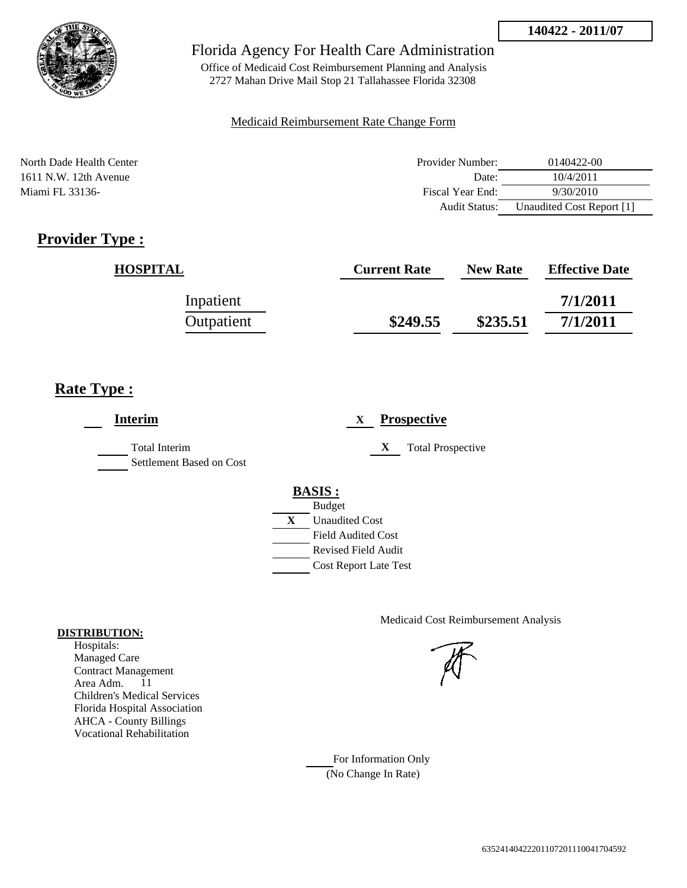

Office of Medicaid Cost Reimbursement Planning and Analysis 2727 Mahan Drive Mail Stop 21 Tallahassee Florida 32308

### Medicaid Reimbursement Rate Change Form

North Dade Health Center 1611 N.W. 12th Avenue Miami FL 33136-

| Provider Number: | 0140422-00                |
|------------------|---------------------------|
| Date:            | 10/4/2011                 |
| Fiscal Year End: | 9/30/2010                 |
| Audit Status:    | Unaudited Cost Report [1] |

# **Provider Type :**

| <b>HOSPITAL</b> | <b>Current Rate</b> | <b>New Rate</b> | <b>Effective Date</b> |
|-----------------|---------------------|-----------------|-----------------------|
| Inpatient       |                     |                 | 7/1/2011              |
| Outpatient      | \$249.55            | \$235.51        | 7/1/2011              |

## **Rate Type :**

| <b>Interim</b>                                   | <b>Prospective</b><br>X       |
|--------------------------------------------------|-------------------------------|
| <b>Total Interim</b><br>Settlement Based on Cost | X<br><b>Total Prospective</b> |
|                                                  | <b>BASIS:</b>                 |
|                                                  | <b>Budget</b>                 |
|                                                  | X<br><b>Unaudited Cost</b>    |
|                                                  | <b>Field Audited Cost</b>     |
|                                                  | <b>Revised Field Audit</b>    |
|                                                  | <b>Cost Report Late Test</b>  |

Medicaid Cost Reimbursement Analysis

For Information Only (No Change In Rate)

#### **DISTRIBUTION:**

Hospitals: Managed Care Contract Management Area Adm. 11 Children's Medical Services Florida Hospital Association AHCA - County Billings Vocational Rehabilitation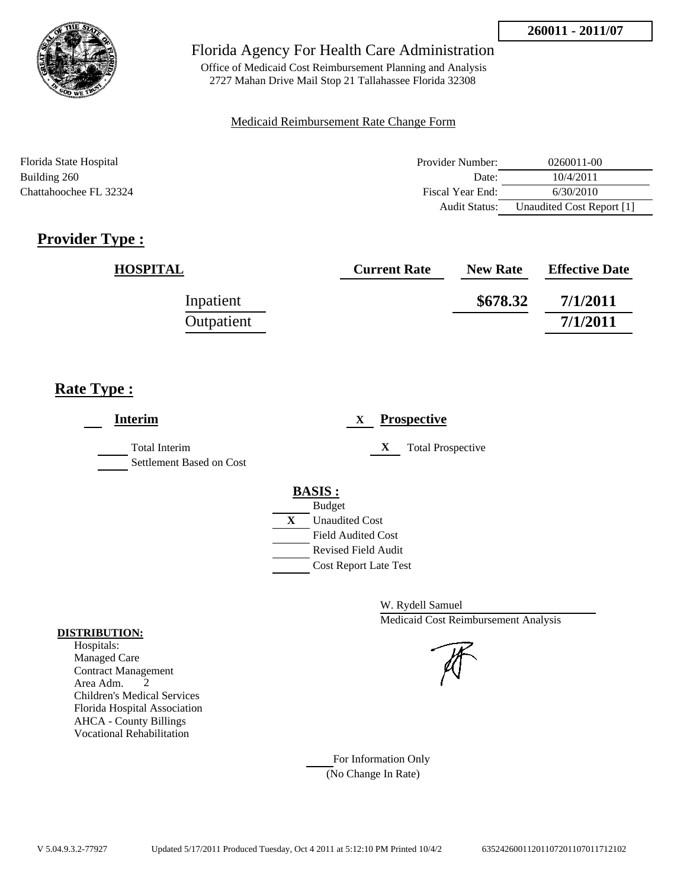

Office of Medicaid Cost Reimbursement Planning and Analysis 2727 Mahan Drive Mail Stop 21 Tallahassee Florida 32308

### Medicaid Reimbursement Rate Change Form

| Florida State Hospital | Provider Number:     | $0260011 - 00$            |
|------------------------|----------------------|---------------------------|
| Building 260           | Date:                | 10/4/2011                 |
| Chattahoochee FL 32324 | Fiscal Year End:     | 6/30/2010                 |
|                        | <b>Audit Status:</b> | Unaudited Cost Report [1] |

# **Provider Type :**

| <b>HOSPITAL</b> | <b>Current Rate</b> | <b>New Rate</b> | <b>Effective Date</b> |
|-----------------|---------------------|-----------------|-----------------------|
| Inpatient       |                     | \$678.32        | 7/1/2011              |
| Outpatient      |                     |                 | 7/1/2011              |

# **Rate Type :**

| <b>Interim</b>                                   | <b>Prospective</b><br>$\mathbf{X}$                                                                                                                                 |
|--------------------------------------------------|--------------------------------------------------------------------------------------------------------------------------------------------------------------------|
| <b>Total Interim</b><br>Settlement Based on Cost | <b>Total Prospective</b><br>X                                                                                                                                      |
|                                                  | <b>BASIS:</b><br><b>Budget</b><br>$\mathbf{X}$<br><b>Unaudited Cost</b><br><b>Field Audited Cost</b><br><b>Revised Field Audit</b><br><b>Cost Report Late Test</b> |
|                                                  | $\mathbf{W}$ , $\mathbf{D}$ , $\mathbf{1}$ , $\mathbf{1}$ , $\mathbf{C}$ , $\mathbf{I}$ , $\mathbf{I}$                                                             |

W. Rydell Samuel Medicaid Cost Reimbursement Analysis

For Information Only (No Change In Rate)

#### **DISTRIBUTION:**

Hospitals: Managed Care Contract Management Area Adm. 2 Children's Medical Services Florida Hospital Association AHCA - County Billings Vocational Rehabilitation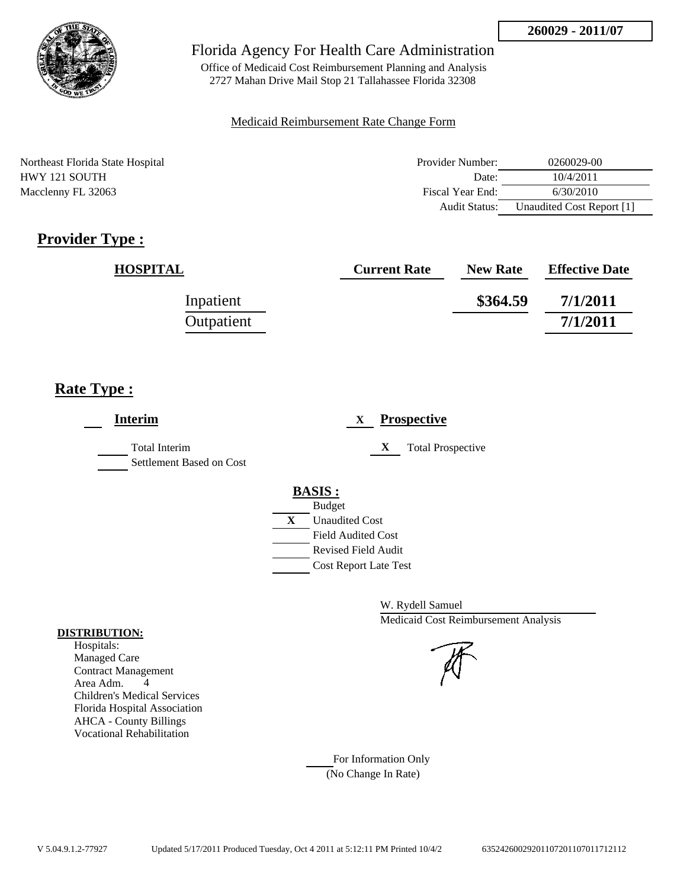

Office of Medicaid Cost Reimbursement Planning and Analysis 2727 Mahan Drive Mail Stop 21 Tallahassee Florida 32308

#### Medicaid Reimbursement Rate Change Form

Northeast Florida State Hospital HWY 121 SOUTH Macclenny FL 32063

| Provider Number: | 0260029-00                |
|------------------|---------------------------|
| Date:            | 10/4/2011                 |
| Fiscal Year End: | 6/30/2010                 |
| Audit Status:    | Unaudited Cost Report [1] |

# **Provider Type :**

| <b>HOSPITAL</b> | <b>Current Rate</b> | <b>New Rate</b> | <b>Effective Date</b> |
|-----------------|---------------------|-----------------|-----------------------|
| Inpatient       |                     | \$364.59        | 7/1/2011              |
| Outpatient      |                     |                 | 7/1/2011              |

## **Rate Type :**

| <b>Interim</b>                                   | <b>Prospective</b><br>X                                                                    |
|--------------------------------------------------|--------------------------------------------------------------------------------------------|
| <b>Total Interim</b><br>Settlement Based on Cost | <b>Total Prospective</b><br>X                                                              |
|                                                  | <b>BASIS:</b>                                                                              |
|                                                  | <b>Budget</b>                                                                              |
|                                                  | $\mathbf{X}$<br><b>Unaudited Cost</b>                                                      |
|                                                  | <b>Field Audited Cost</b>                                                                  |
|                                                  | <b>Revised Field Audit</b>                                                                 |
|                                                  | <b>Cost Report Late Test</b>                                                               |
|                                                  |                                                                                            |
|                                                  | $\overline{M}$ $\overline{D}$ $\overline{1}$ $\overline{11}$ $\overline{C}$ $\overline{1}$ |

W. Rydell Samuel Medicaid Cost Reimbursement Analysis

For Information Only (No Change In Rate)

#### **DISTRIBUTION:**

Hospitals: Managed Care Contract Management Area Adm. 4 Children's Medical Services Florida Hospital Association AHCA - County Billings Vocational Rehabilitation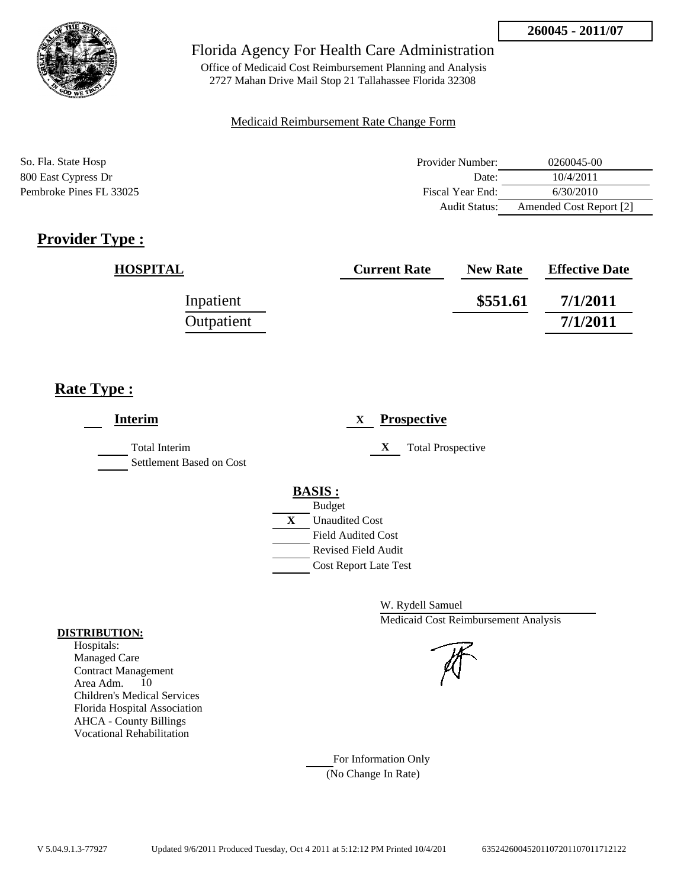

Office of Medicaid Cost Reimbursement Planning and Analysis 2727 Mahan Drive Mail Stop 21 Tallahassee Florida 32308

### Medicaid Reimbursement Rate Change Form

| So. Fla. State Hosp     | Provider Number: | 0260045-00              |
|-------------------------|------------------|-------------------------|
| 800 East Cypress Dr     | Date:            | 10/4/2011               |
| Pembroke Pines FL 33025 | Fiscal Year End: | 6/30/2010               |
|                         | Audit Status:    | Amended Cost Report [2] |

# **Provider Type :**

| <b>HOSPITAL</b> | <b>Current Rate</b> | <b>New Rate</b> | <b>Effective Date</b> |
|-----------------|---------------------|-----------------|-----------------------|
| Inpatient       |                     | \$551.61        | 7/1/2011              |
| Outpatient      |                     |                 | 7/1/2011              |

## **Rate Type :**

| <b>Total Interim</b><br>Settlement Based on Cost | <b>Total Prospective</b><br>X         |
|--------------------------------------------------|---------------------------------------|
|                                                  |                                       |
|                                                  | <b>BASIS:</b>                         |
|                                                  | <b>Budget</b>                         |
|                                                  | $\mathbf{X}$<br><b>Unaudited Cost</b> |
|                                                  | <b>Field Audited Cost</b>             |
|                                                  | <b>Revised Field Audit</b>            |
|                                                  | <b>Cost Report Late Test</b>          |

W. Rydell Samuel Medicaid Cost Reimbursement Analysis

For Information Only (No Change In Rate)

#### **DISTRIBUTION:**

Hospitals: Managed Care Contract Management Area Adm. 10 Children's Medical Services Florida Hospital Association AHCA - County Billings Vocational Rehabilitation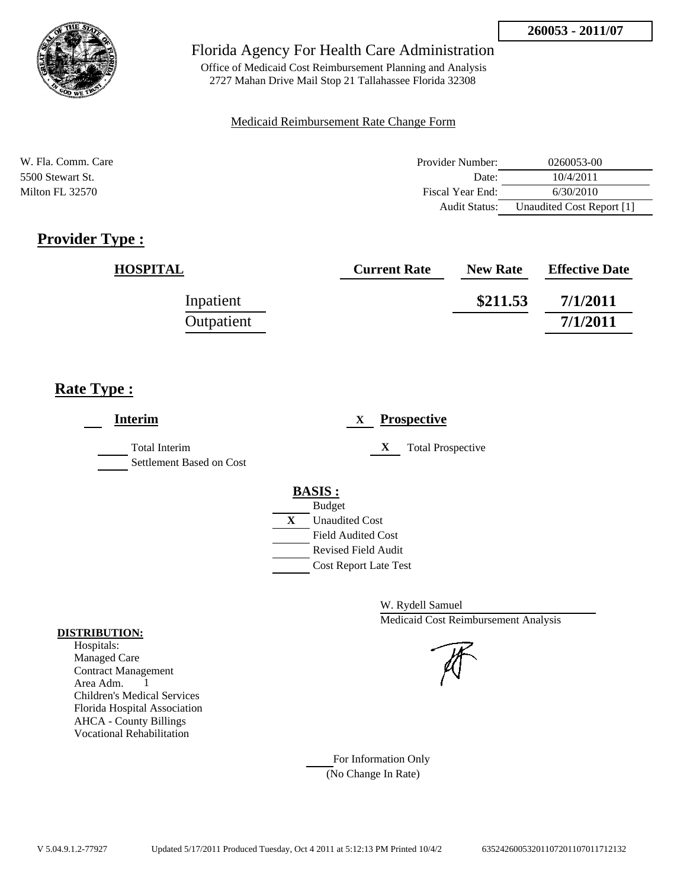

Office of Medicaid Cost Reimbursement Planning and Analysis 2727 Mahan Drive Mail Stop 21 Tallahassee Florida 32308

### Medicaid Reimbursement Rate Change Form

| W. Fla. Comm. Care | Provider Number:     | 0260053-00                |
|--------------------|----------------------|---------------------------|
| 5500 Stewart St.   | Date:                | 10/4/2011                 |
| Milton FL 32570    | Fiscal Year End:     | 6/30/2010                 |
|                    | <b>Audit Status:</b> | Unaudited Cost Report [1] |

# **Provider Type :**

| <b>HOSPITAL</b> | <b>Current Rate</b> | <b>New Rate</b> | <b>Effective Date</b> |
|-----------------|---------------------|-----------------|-----------------------|
| Inpatient       |                     | \$211.53        | 7/1/2011              |
| Outpatient      |                     |                 | 7/1/2011              |

## **Rate Type :**

| <b>Interim</b>                                   | <b>Prospective</b><br>X                                                        |
|--------------------------------------------------|--------------------------------------------------------------------------------|
| <b>Total Interim</b><br>Settlement Based on Cost | X<br><b>Total Prospective</b>                                                  |
|                                                  | <b>BASIS:</b>                                                                  |
|                                                  | <b>Budget</b>                                                                  |
|                                                  | $\mathbf{X}$<br><b>Unaudited Cost</b>                                          |
|                                                  | <b>Field Audited Cost</b>                                                      |
|                                                  | <b>Revised Field Audit</b>                                                     |
|                                                  | <b>Cost Report Late Test</b>                                                   |
|                                                  |                                                                                |
|                                                  | $\mathbf{W}$ $\mathbf{D}$ $\mathbf{1}$ $\mathbf{11}$ $\mathbf{C}$ $\mathbf{1}$ |

W. Rydell Samuel Medicaid Cost Reimbursement Analysis

For Information Only (No Change In Rate)

#### **DISTRIBUTION:**

Hospitals: Managed Care Contract Management Area Adm. 1 Children's Medical Services Florida Hospital Association AHCA - County Billings Vocational Rehabilitation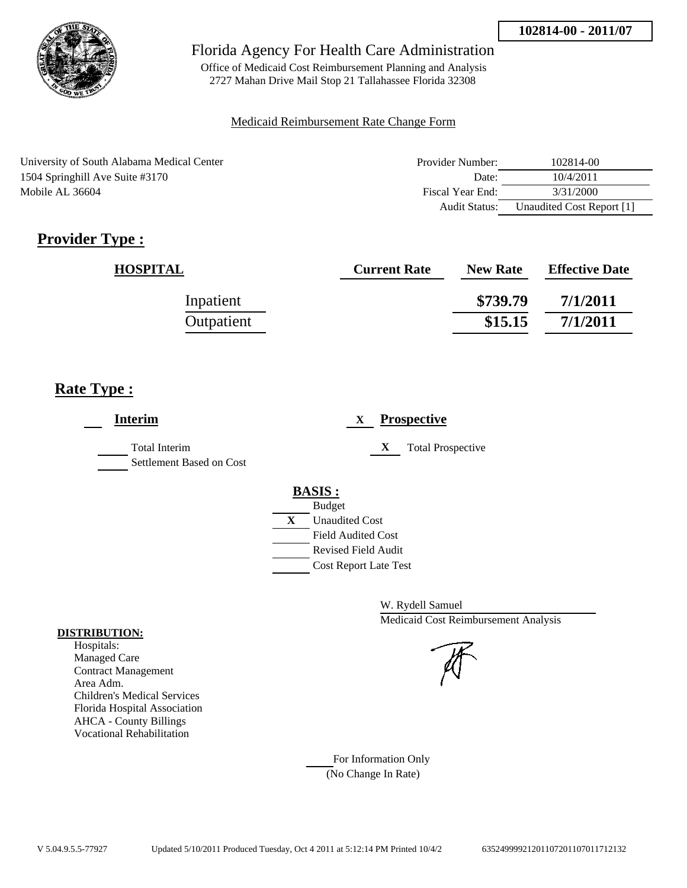

Office of Medicaid Cost Reimbursement Planning and Analysis 2727 Mahan Drive Mail Stop 21 Tallahassee Florida 32308

#### Medicaid Reimbursement Rate Change Form

| University of South Alabama Medical Center | Provider Number:     | 102814-00                 |
|--------------------------------------------|----------------------|---------------------------|
| 1504 Springhill Ave Suite #3170            | Date:                | 10/4/2011                 |
| Mobile AL 36604                            | Fiscal Year End:     | 3/31/2000                 |
|                                            | <b>Audit Status:</b> | Unaudited Cost Report [1] |

# **Provider Type :**

| <b>HOSPITAL</b> | <b>Current Rate</b> | <b>New Rate</b> | <b>Effective Date</b> |
|-----------------|---------------------|-----------------|-----------------------|
| Inpatient       |                     | \$739.79        | 7/1/2011              |
| Outpatient      |                     | \$15.15         | 7/1/2011              |

# **Rate Type :**

| <b>Interim</b>                                   | <b>Prospective</b><br>X       |
|--------------------------------------------------|-------------------------------|
| <b>Total Interim</b><br>Settlement Based on Cost | X<br><b>Total Prospective</b> |
|                                                  | <b>BASIS:</b>                 |
|                                                  | <b>Budget</b>                 |
|                                                  | X<br><b>Unaudited Cost</b>    |
|                                                  | <b>Field Audited Cost</b>     |
|                                                  | Revised Field Audit           |
|                                                  | <b>Cost Report Late Test</b>  |
|                                                  |                               |
|                                                  |                               |

W. Rydell Samuel Medicaid Cost Reimbursement Analysis

For Information Only (No Change In Rate)

#### **DISTRIBUTION:**

Hospitals: Managed Care Contract Management Area Adm. Children's Medical Services Florida Hospital Association AHCA - County Billings Vocational Rehabilitation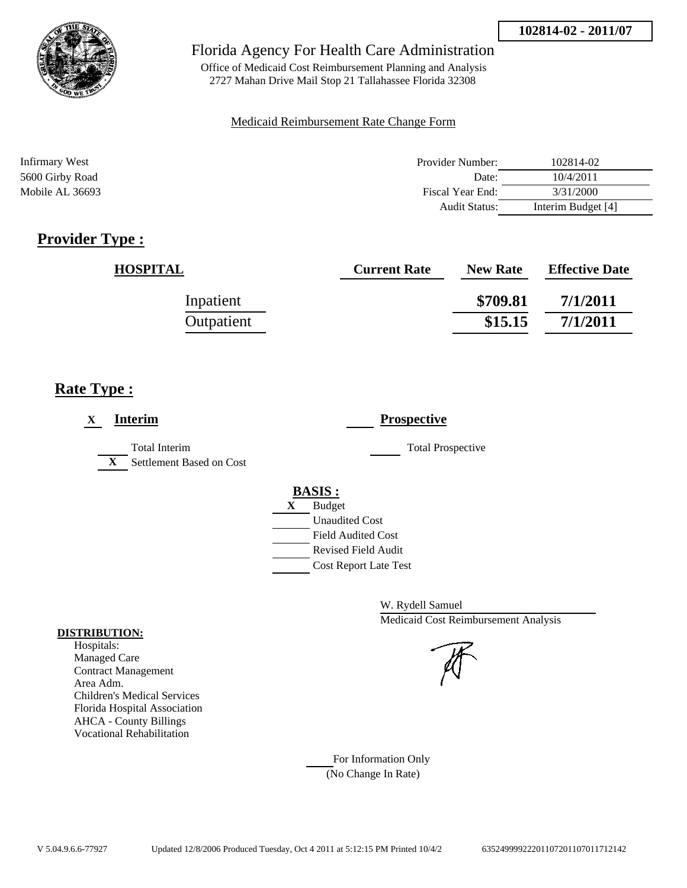

Office of Medicaid Cost Reimbursement Planning and Analysis 2727 Mahan Drive Mail Stop 21 Tallahassee Florida 32308

#### Medicaid Reimbursement Rate Change Form

| Infirmary West  | Provider Number:     | 102814-02          |
|-----------------|----------------------|--------------------|
| 5600 Girby Road | Date:                | 10/4/2011          |
| Mobile AL 36693 | Fiscal Year End:     | 3/31/2000          |
|                 | <b>Audit Status:</b> | Interim Budget [4] |

# **Provider Type :**

| <b>HOSPITAL</b> | <b>Current Rate</b> | <b>New Rate</b> | <b>Effective Date</b> |
|-----------------|---------------------|-----------------|-----------------------|
| Inpatient       |                     | \$709.81        | 7/1/2011              |
| Outpatient      |                     | \$15.15         | 7/1/2011              |

## **Rate Type :**

| <b>Interim</b><br>X                                              | <b>Prospective</b>                                           |
|------------------------------------------------------------------|--------------------------------------------------------------|
| <b>Total Interim</b><br>Settlement Based on Cost<br>$\mathbf{X}$ | <b>Total Prospective</b>                                     |
|                                                                  | <b>BASIS:</b><br><b>Budget</b><br>X<br><b>Unaudited Cost</b> |
|                                                                  | <b>Field Audited Cost</b><br><b>Revised Field Audit</b>      |
|                                                                  | <b>Cost Report Late Test</b>                                 |

W. Rydell Samuel Medicaid Cost Reimbursement Analysis

For Information Only (No Change In Rate)

#### **DISTRIBUTION:**

Hospitals: Managed Care Contract Management Area Adm. Children's Medical Services Florida Hospital Association AHCA - County Billings Vocational Rehabilitation